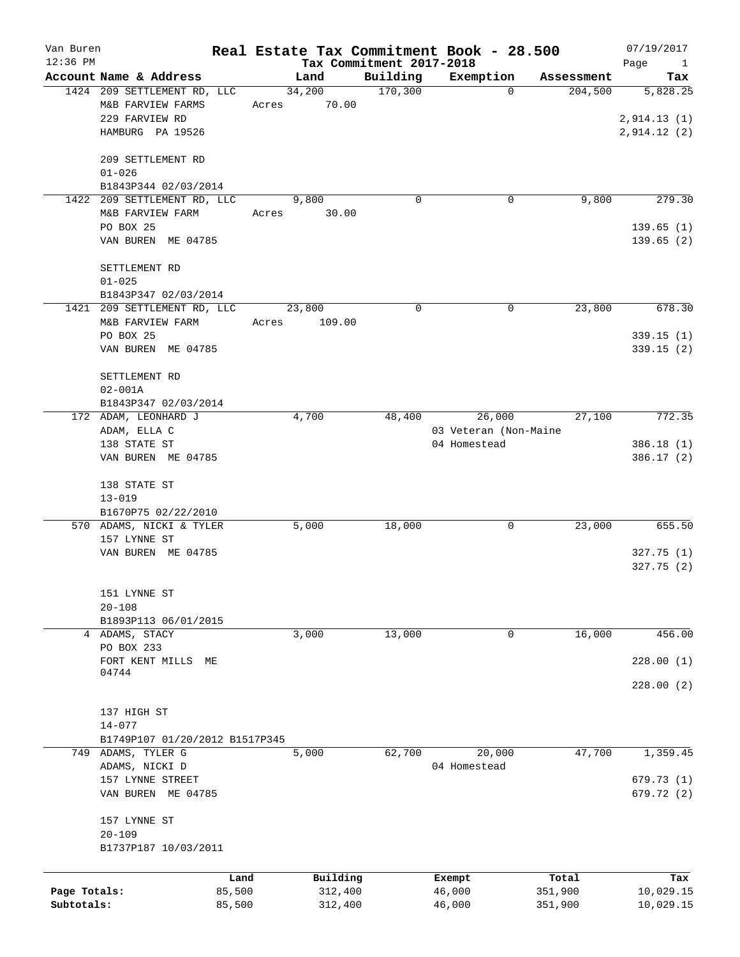| Van Buren<br>$12:36$ PM |                                                                                        |                 | Real Estate Tax Commitment Book - 28.500<br>Tax Commitment 2017-2018 |                        |            | 07/19/2017<br>Page<br>$\mathbf{1}$     |
|-------------------------|----------------------------------------------------------------------------------------|-----------------|----------------------------------------------------------------------|------------------------|------------|----------------------------------------|
|                         | Account Name & Address                                                                 | Land            | Building                                                             | Exemption              | Assessment | Tax                                    |
|                         | 1424 209 SETTLEMENT RD, LLC<br>M&B FARVIEW FARMS<br>229 FARVIEW RD<br>HAMBURG PA 19526 | 34,200<br>Acres | 170,300<br>70.00                                                     | $\Omega$               | 204,500    | 5,828.25<br>2,914.13(1)<br>2,914.12(2) |
|                         | 209 SETTLEMENT RD<br>$01 - 026$<br>B1843P344 02/03/2014                                |                 |                                                                      |                        |            |                                        |
| 1422                    | 209 SETTLEMENT RD, LLC                                                                 | 9,800           | 0                                                                    | 0                      | 9,800      | 279.30                                 |
|                         | M&B FARVIEW FARM<br>PO BOX 25<br>VAN BUREN ME 04785                                    | Acres           | 30.00                                                                |                        |            | 139.65(1)<br>139.65(2)                 |
|                         | SETTLEMENT RD<br>$01 - 025$                                                            |                 |                                                                      |                        |            |                                        |
|                         | B1843P347 02/03/2014<br>1421 209 SETTLEMENT RD, LLC                                    | 23,800          | 0                                                                    | $\mathbf 0$            | 23,800     | 678.30                                 |
|                         | M&B FARVIEW FARM<br>PO BOX 25<br>VAN BUREN ME 04785                                    | Acres           | 109.00                                                               |                        |            | 339.15(1)<br>339.15(2)                 |
|                         | SETTLEMENT RD<br>$02 - 001A$<br>B1843P347 02/03/2014                                   |                 |                                                                      |                        |            |                                        |
|                         | 172 ADAM, LEONHARD J                                                                   | 4,700           | 48,400                                                               | 26,000                 | 27,100     | 772.35                                 |
|                         | ADAM, ELLA C                                                                           |                 |                                                                      | 03 Veteran (Non-Maine  |            |                                        |
|                         | 138 STATE ST                                                                           |                 |                                                                      | 04 Homestead           |            | 386.18(1)                              |
|                         | VAN BUREN ME 04785                                                                     |                 |                                                                      |                        |            | 386.17(2)                              |
|                         | 138 STATE ST<br>$13 - 019$                                                             |                 |                                                                      |                        |            |                                        |
|                         | B1670P75 02/22/2010                                                                    |                 |                                                                      |                        |            |                                        |
|                         | 570 ADAMS, NICKI & TYLER<br>157 LYNNE ST                                               | 5,000           | 18,000                                                               | 0                      | 23,000     | 655.50                                 |
|                         | VAN BUREN ME 04785                                                                     |                 |                                                                      |                        |            | 327.75(1)<br>327.75(2)                 |
|                         | 151 LYNNE ST<br>$20 - 108$<br>B1893P113 06/01/2015                                     |                 |                                                                      |                        |            |                                        |
|                         | 4 ADAMS, STACY                                                                         | 3,000           | 13,000                                                               | 0                      | 16,000     | 456.00                                 |
|                         | PO BOX 233<br>FORT KENT MILLS<br>МE                                                    |                 |                                                                      |                        |            | 228.00(1)                              |
|                         | 04744                                                                                  |                 |                                                                      |                        |            | 228.00(2)                              |
|                         | 137 HIGH ST<br>$14 - 077$<br>B1749P107 01/20/2012 B1517P345                            |                 |                                                                      |                        |            |                                        |
|                         | 749 ADAMS, TYLER G<br>ADAMS, NICKI D                                                   | 5,000           | 62,700                                                               | 20,000<br>04 Homestead | 47,700     | 1,359.45                               |
|                         | 157 LYNNE STREET<br>VAN BUREN ME 04785                                                 |                 |                                                                      |                        |            | 679.73(1)<br>679.72 (2)                |
|                         | 157 LYNNE ST<br>$20 - 109$<br>B1737P187 10/03/2011                                     |                 |                                                                      |                        |            |                                        |
|                         |                                                                                        | Land            | Building                                                             | Exempt                 | Total      | Tax                                    |
| Page Totals:            | 85,500                                                                                 |                 | 312,400                                                              | 46,000                 | 351,900    | 10,029.15                              |
| Subtotals:              | 85,500                                                                                 |                 | 312,400                                                              | 46,000                 | 351,900    | 10,029.15                              |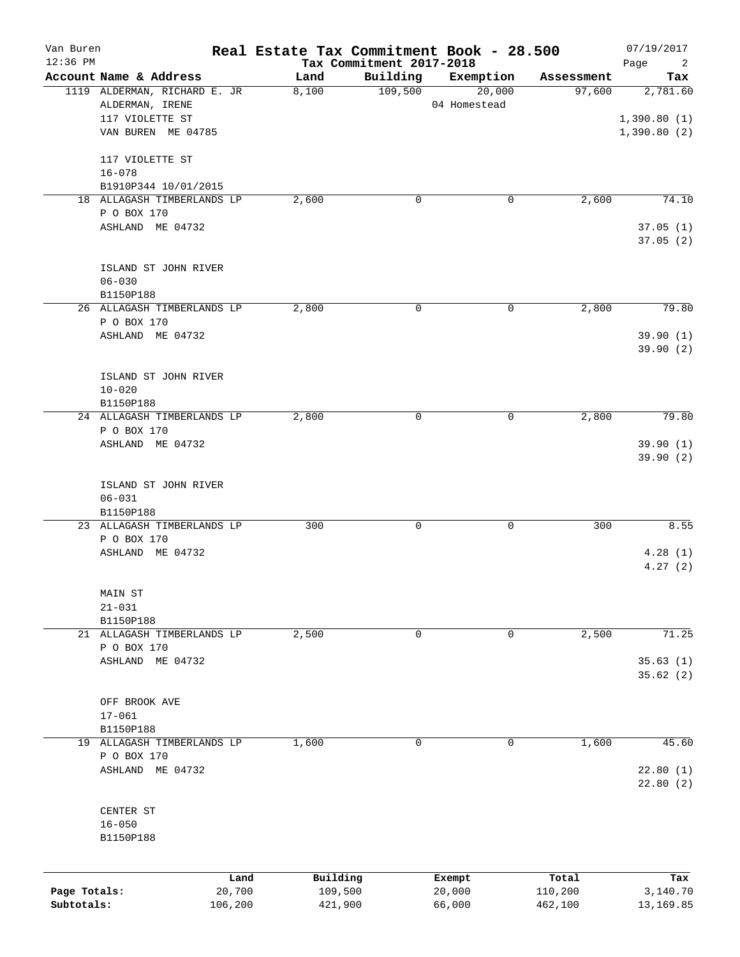| Van Buren<br>12:36 PM |                              |         | Real Estate Tax Commitment Book - 28.500 | Tax Commitment 2017-2018 |              |            | 07/19/2017<br>Page<br>$\overline{2}$ |
|-----------------------|------------------------------|---------|------------------------------------------|--------------------------|--------------|------------|--------------------------------------|
|                       | Account Name & Address       |         | Land                                     | Building                 | Exemption    | Assessment | Tax                                  |
|                       | 1119 ALDERMAN, RICHARD E. JR |         | 8,100                                    | 109,500                  | 20,000       | 97,600     | 2,781.60                             |
|                       | ALDERMAN, IRENE              |         |                                          |                          | 04 Homestead |            |                                      |
|                       | 117 VIOLETTE ST              |         |                                          |                          |              |            | 1,390.80(1)                          |
|                       | VAN BUREN ME 04785           |         |                                          |                          |              |            | 1,390.80(2)                          |
|                       | 117 VIOLETTE ST              |         |                                          |                          |              |            |                                      |
|                       | $16 - 078$                   |         |                                          |                          |              |            |                                      |
|                       | B1910P344 10/01/2015         |         |                                          |                          |              |            |                                      |
|                       | 18 ALLAGASH TIMBERLANDS LP   |         | 2,600                                    | $\mathbf 0$              | 0            | 2,600      | 74.10                                |
|                       | P O BOX 170                  |         |                                          |                          |              |            |                                      |
|                       | ASHLAND ME 04732             |         |                                          |                          |              |            | 37.05(1)<br>37.05(2)                 |
|                       | ISLAND ST JOHN RIVER         |         |                                          |                          |              |            |                                      |
|                       | $06 - 030$                   |         |                                          |                          |              |            |                                      |
|                       | B1150P188                    |         |                                          |                          |              |            |                                      |
|                       | 26 ALLAGASH TIMBERLANDS LP   |         | 2,800                                    | $\mathbf 0$              | 0            | 2,800      | 79.80                                |
|                       | P O BOX 170                  |         |                                          |                          |              |            |                                      |
|                       | ASHLAND ME 04732             |         |                                          |                          |              |            | 39.90(1)                             |
|                       |                              |         |                                          |                          |              |            | 39.90(2)                             |
|                       | ISLAND ST JOHN RIVER         |         |                                          |                          |              |            |                                      |
|                       | $10 - 020$                   |         |                                          |                          |              |            |                                      |
|                       | B1150P188                    |         |                                          |                          |              |            |                                      |
|                       | 24 ALLAGASH TIMBERLANDS LP   |         | 2,800                                    | 0                        | 0            | 2,800      | 79.80                                |
|                       | P O BOX 170                  |         |                                          |                          |              |            |                                      |
|                       | ASHLAND ME 04732             |         |                                          |                          |              |            | 39.90 (1)                            |
|                       |                              |         |                                          |                          |              |            | 39.90 (2)                            |
|                       | ISLAND ST JOHN RIVER         |         |                                          |                          |              |            |                                      |
|                       | $06 - 031$                   |         |                                          |                          |              |            |                                      |
|                       | B1150P188                    |         |                                          |                          |              |            |                                      |
|                       | 23 ALLAGASH TIMBERLANDS LP   |         | 300                                      | 0                        | 0            | 300        | 8.55                                 |
|                       | P O BOX 170                  |         |                                          |                          |              |            |                                      |
|                       | ASHLAND ME 04732             |         |                                          |                          |              |            | 4.28(1)                              |
|                       |                              |         |                                          |                          |              |            | 4.27(2)                              |
|                       | MAIN ST                      |         |                                          |                          |              |            |                                      |
|                       | $21 - 031$                   |         |                                          |                          |              |            |                                      |
|                       | B1150P188                    |         |                                          |                          |              |            |                                      |
|                       | 21 ALLAGASH TIMBERLANDS LP   |         | 2,500                                    | 0                        | 0            | 2,500      | 71.25                                |
|                       | P O BOX 170                  |         |                                          |                          |              |            |                                      |
|                       | ASHLAND ME 04732             |         |                                          |                          |              |            | 35.63(1)                             |
|                       |                              |         |                                          |                          |              |            | 35.62(2)                             |
|                       |                              |         |                                          |                          |              |            |                                      |
|                       | OFF BROOK AVE                |         |                                          |                          |              |            |                                      |
|                       | $17 - 061$                   |         |                                          |                          |              |            |                                      |
|                       | B1150P188                    |         |                                          |                          |              |            |                                      |
|                       | 19 ALLAGASH TIMBERLANDS LP   |         | 1,600                                    | 0                        | 0            | 1,600      | 45.60                                |
|                       | P O BOX 170                  |         |                                          |                          |              |            |                                      |
|                       | ASHLAND ME 04732             |         |                                          |                          |              |            | 22.80(1)                             |
|                       |                              |         |                                          |                          |              |            | 22.80(2)                             |
|                       |                              |         |                                          |                          |              |            |                                      |
|                       | CENTER ST                    |         |                                          |                          |              |            |                                      |
|                       | $16 - 050$                   |         |                                          |                          |              |            |                                      |
|                       | B1150P188                    |         |                                          |                          |              |            |                                      |
|                       |                              |         |                                          |                          |              |            |                                      |
|                       |                              | Land    | Building                                 |                          | Exempt       | Total      | Tax                                  |
| Page Totals:          |                              | 20,700  | 109,500                                  |                          | 20,000       | 110,200    | 3,140.70                             |
| Subtotals:            |                              | 106,200 | 421,900                                  |                          | 66,000       | 462,100    | 13,169.85                            |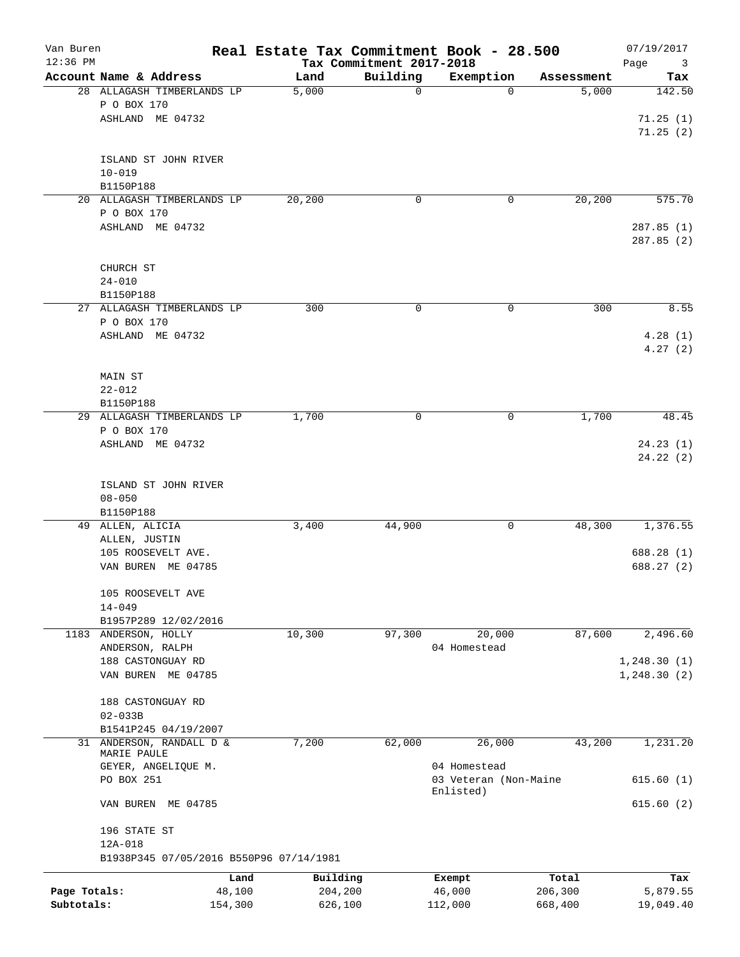| Van Buren<br>$12:36$ PM |                                         |                |                     | Tax Commitment 2017-2018 | Real Estate Tax Commitment Book - 28.500 |                  | 07/19/2017<br>Page<br>3 |
|-------------------------|-----------------------------------------|----------------|---------------------|--------------------------|------------------------------------------|------------------|-------------------------|
|                         | Account Name & Address                  |                | Land                | Building                 | Exemption                                | Assessment       | Tax                     |
|                         | 28 ALLAGASH TIMBERLANDS LP              |                | 5,000               | 0                        | $\Omega$                                 | 5,000            | 142.50                  |
|                         | P O BOX 170                             |                |                     |                          |                                          |                  |                         |
|                         | ASHLAND ME 04732                        |                |                     |                          |                                          |                  | 71.25(1)                |
|                         |                                         |                |                     |                          |                                          |                  | 71.25(2)                |
|                         |                                         |                |                     |                          |                                          |                  |                         |
|                         | ISLAND ST JOHN RIVER                    |                |                     |                          |                                          |                  |                         |
|                         | $10 - 019$                              |                |                     |                          |                                          |                  |                         |
|                         | B1150P188                               |                |                     |                          |                                          |                  | 575.70                  |
|                         | 20 ALLAGASH TIMBERLANDS LP              |                | 20,200              | 0                        | 0                                        | 20,200           |                         |
|                         | P O BOX 170                             |                |                     |                          |                                          |                  |                         |
|                         | ASHLAND ME 04732                        |                |                     |                          |                                          |                  | 287.85(1)<br>287.85(2)  |
|                         |                                         |                |                     |                          |                                          |                  |                         |
|                         | CHURCH ST                               |                |                     |                          |                                          |                  |                         |
|                         | $24 - 010$                              |                |                     |                          |                                          |                  |                         |
|                         | B1150P188                               |                |                     |                          |                                          |                  |                         |
|                         | 27 ALLAGASH TIMBERLANDS LP              |                | 300                 | 0                        | 0                                        | 300              | 8.55                    |
|                         | P O BOX 170                             |                |                     |                          |                                          |                  |                         |
|                         | ASHLAND ME 04732                        |                |                     |                          |                                          |                  | 4.28(1)                 |
|                         |                                         |                |                     |                          |                                          |                  | 4.27(2)                 |
|                         |                                         |                |                     |                          |                                          |                  |                         |
|                         | <b>MAIN ST</b>                          |                |                     |                          |                                          |                  |                         |
|                         | $22 - 012$                              |                |                     |                          |                                          |                  |                         |
|                         | B1150P188                               |                |                     |                          |                                          |                  |                         |
|                         | 29 ALLAGASH TIMBERLANDS LP              |                | 1,700               | 0                        | 0                                        | 1,700            | 48.45                   |
|                         | P O BOX 170                             |                |                     |                          |                                          |                  |                         |
|                         | ASHLAND ME 04732                        |                |                     |                          |                                          |                  | 24.23(1)                |
|                         |                                         |                |                     |                          |                                          |                  | 24.22(2)                |
|                         |                                         |                |                     |                          |                                          |                  |                         |
|                         | ISLAND ST JOHN RIVER                    |                |                     |                          |                                          |                  |                         |
|                         | $08 - 050$                              |                |                     |                          |                                          |                  |                         |
|                         | B1150P188                               |                |                     |                          |                                          | 48,300           |                         |
|                         | 49 ALLEN, ALICIA                        |                | 3,400               | 44,900                   | 0                                        |                  | 1,376.55                |
|                         | ALLEN, JUSTIN                           |                |                     |                          |                                          |                  |                         |
|                         | 105 ROOSEVELT AVE.                      |                |                     |                          |                                          |                  | 688.28 (1)              |
|                         | VAN BUREN ME 04785                      |                |                     |                          |                                          |                  | 688.27 (2)              |
|                         | 105 ROOSEVELT AVE                       |                |                     |                          |                                          |                  |                         |
|                         | $14 - 049$                              |                |                     |                          |                                          |                  |                         |
|                         | B1957P289 12/02/2016                    |                |                     |                          |                                          |                  |                         |
|                         | 1183 ANDERSON, HOLLY                    |                | 10,300              | 97,300                   | 20,000                                   | 87,600           | 2,496.60                |
|                         | ANDERSON, RALPH                         |                |                     |                          | 04 Homestead                             |                  |                         |
|                         | 188 CASTONGUAY RD                       |                |                     |                          |                                          |                  | 1, 248.30(1)            |
|                         | VAN BUREN ME 04785                      |                |                     |                          |                                          |                  | 1, 248.30(2)            |
|                         |                                         |                |                     |                          |                                          |                  |                         |
|                         | 188 CASTONGUAY RD                       |                |                     |                          |                                          |                  |                         |
|                         | $02 - 033B$                             |                |                     |                          |                                          |                  |                         |
|                         | B1541P245 04/19/2007                    |                |                     |                          |                                          |                  |                         |
|                         | 31 ANDERSON, RANDALL D &                |                | 7,200               | 62,000                   | 26,000                                   | 43,200           | 1,231.20                |
|                         | MARIE PAULE                             |                |                     |                          |                                          |                  |                         |
|                         | GEYER, ANGELIQUE M.                     |                |                     |                          | 04 Homestead                             |                  |                         |
|                         | PO BOX 251                              |                |                     |                          | 03 Veteran (Non-Maine<br>Enlisted)       |                  | 615.60(1)               |
|                         | VAN BUREN ME 04785                      |                |                     |                          |                                          |                  | 615.60(2)               |
|                         |                                         |                |                     |                          |                                          |                  |                         |
|                         | 196 STATE ST<br>12A-018                 |                |                     |                          |                                          |                  |                         |
|                         | B1938P345 07/05/2016 B550P96 07/14/1981 |                |                     |                          |                                          |                  |                         |
|                         |                                         |                |                     |                          |                                          |                  |                         |
| Page Totals:            |                                         | Land<br>48,100 | Building<br>204,200 |                          | Exempt<br>46,000                         | Total<br>206,300 | Tax<br>5,879.55         |
| Subtotals:              |                                         | 154,300        | 626,100             |                          | 112,000                                  | 668,400          | 19,049.40               |
|                         |                                         |                |                     |                          |                                          |                  |                         |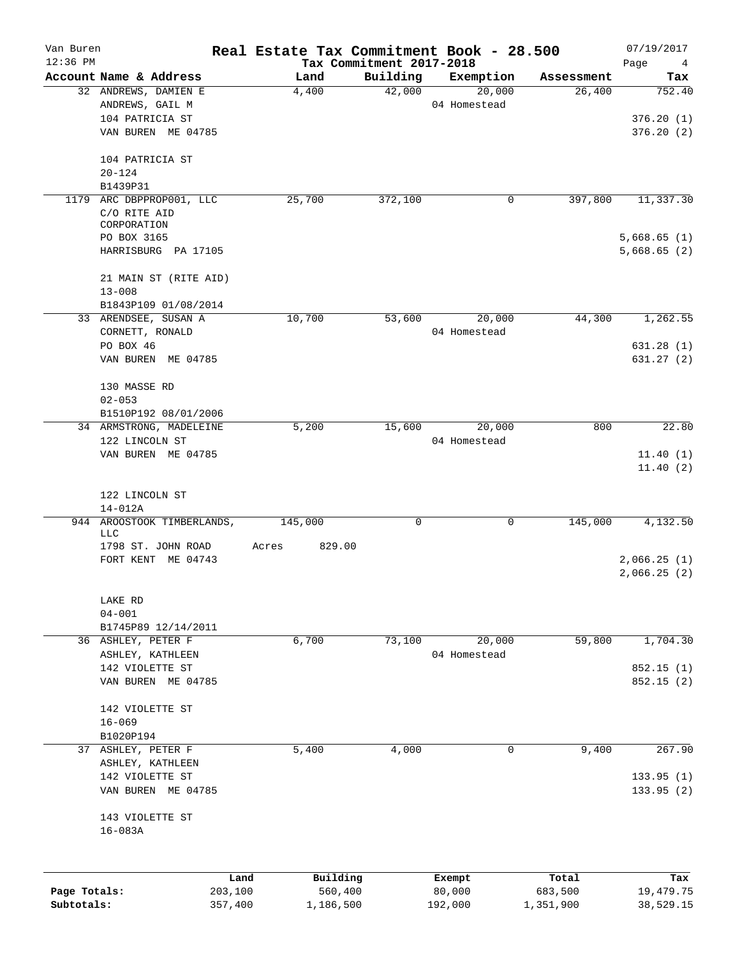| Van Buren<br>$12:36$ PM |                               |         | Real Estate Tax Commitment Book - 28.500 | Tax Commitment 2017-2018 |              |            | 07/19/2017<br>Page<br>4 |
|-------------------------|-------------------------------|---------|------------------------------------------|--------------------------|--------------|------------|-------------------------|
|                         | Account Name & Address        |         | Land                                     | Building                 | Exemption    | Assessment | Tax                     |
|                         | 32 ANDREWS, DAMIEN E          |         | 4,400                                    | 42,000                   | 20,000       | 26,400     | 752.40                  |
|                         | ANDREWS, GAIL M               |         |                                          |                          | 04 Homestead |            |                         |
|                         | 104 PATRICIA ST               |         |                                          |                          |              |            | 376.20(1)               |
|                         | VAN BUREN ME 04785            |         |                                          |                          |              |            | 376.20(2)               |
|                         | 104 PATRICIA ST               |         |                                          |                          |              |            |                         |
|                         | $20 - 124$                    |         |                                          |                          |              |            |                         |
|                         | B1439P31                      |         |                                          |                          |              |            |                         |
|                         | 1179 ARC DBPPROP001, LLC      |         | 25,700                                   | 372,100                  | 0            | 397,800    | 11,337.30               |
|                         | C/O RITE AID                  |         |                                          |                          |              |            |                         |
|                         | CORPORATION                   |         |                                          |                          |              |            |                         |
|                         | PO BOX 3165                   |         |                                          |                          |              |            | 5,668.65(1)             |
|                         | HARRISBURG PA 17105           |         |                                          |                          |              |            | 5,668.65(2)             |
|                         | 21 MAIN ST (RITE AID)         |         |                                          |                          |              |            |                         |
|                         | $13 - 008$                    |         |                                          |                          |              |            |                         |
|                         | B1843P109 01/08/2014          |         |                                          |                          |              |            |                         |
|                         | 33 ARENDSEE, SUSAN A          |         | 10,700                                   | 53,600                   | 20,000       | 44,300     | 1,262.55                |
|                         | CORNETT, RONALD               |         |                                          |                          | 04 Homestead |            |                         |
|                         | PO BOX 46                     |         |                                          |                          |              |            | 631.28(1)               |
|                         | VAN BUREN ME 04785            |         |                                          |                          |              |            | 631.27 (2)              |
|                         | 130 MASSE RD                  |         |                                          |                          |              |            |                         |
|                         | $02 - 053$                    |         |                                          |                          |              |            |                         |
|                         | B1510P192 08/01/2006          |         |                                          |                          |              |            |                         |
|                         | 34 ARMSTRONG, MADELEINE       |         | 5,200                                    | 15,600                   | 20,000       | 800        | 22.80                   |
|                         | 122 LINCOLN ST                |         |                                          |                          | 04 Homestead |            |                         |
|                         | VAN BUREN ME 04785            |         |                                          |                          |              |            | 11.40(1)<br>11.40(2)    |
|                         | 122 LINCOLN ST<br>$14 - 012A$ |         |                                          |                          |              |            |                         |
|                         | 944 AROOSTOOK TIMBERLANDS,    |         | 145,000                                  | 0                        | 0            | 145,000    | 4,132.50                |
|                         | LLC                           |         |                                          |                          |              |            |                         |
|                         | 1798 ST. JOHN ROAD            |         | 829.00<br>Acres                          |                          |              |            |                         |
|                         | FORT KENT ME 04743            |         |                                          |                          |              |            | 2,066.25(1)             |
|                         |                               |         |                                          |                          |              |            | 2,066.25(2)             |
|                         |                               |         |                                          |                          |              |            |                         |
|                         | LAKE RD                       |         |                                          |                          |              |            |                         |
|                         | $04 - 001$                    |         |                                          |                          |              |            |                         |
|                         | B1745P89 12/14/2011           |         |                                          |                          |              |            |                         |
|                         | 36 ASHLEY, PETER F            |         | 6,700                                    | 73,100                   | 20,000       | 59,800     | 1,704.30                |
|                         | ASHLEY, KATHLEEN              |         |                                          |                          | 04 Homestead |            |                         |
|                         | 142 VIOLETTE ST               |         |                                          |                          |              |            | 852.15(1)               |
|                         | VAN BUREN ME 04785            |         |                                          |                          |              |            | 852.15(2)               |
|                         |                               |         |                                          |                          |              |            |                         |
|                         | 142 VIOLETTE ST               |         |                                          |                          |              |            |                         |
|                         | $16 - 069$                    |         |                                          |                          |              |            |                         |
|                         | B1020P194                     |         |                                          |                          |              |            |                         |
|                         | 37 ASHLEY, PETER F            |         | 5,400                                    | 4,000                    | 0            | 9,400      | 267.90                  |
|                         | ASHLEY, KATHLEEN              |         |                                          |                          |              |            |                         |
|                         | 142 VIOLETTE ST               |         |                                          |                          |              |            | 133.95(1)               |
|                         | VAN BUREN ME 04785            |         |                                          |                          |              |            | 133.95(2)               |
|                         | 143 VIOLETTE ST               |         |                                          |                          |              |            |                         |
|                         | $16 - 083A$                   |         |                                          |                          |              |            |                         |
|                         |                               |         |                                          |                          |              |            |                         |
|                         |                               | Land    | Building                                 |                          | Exempt       | Total      | Tax                     |
| Page Totals:            |                               | 203,100 | 560,400                                  |                          | 80,000       | 683,500    | 19,479.75               |
| Subtotals:              |                               | 357,400 | 1,186,500                                |                          | 192,000      | 1,351,900  | 38,529.15               |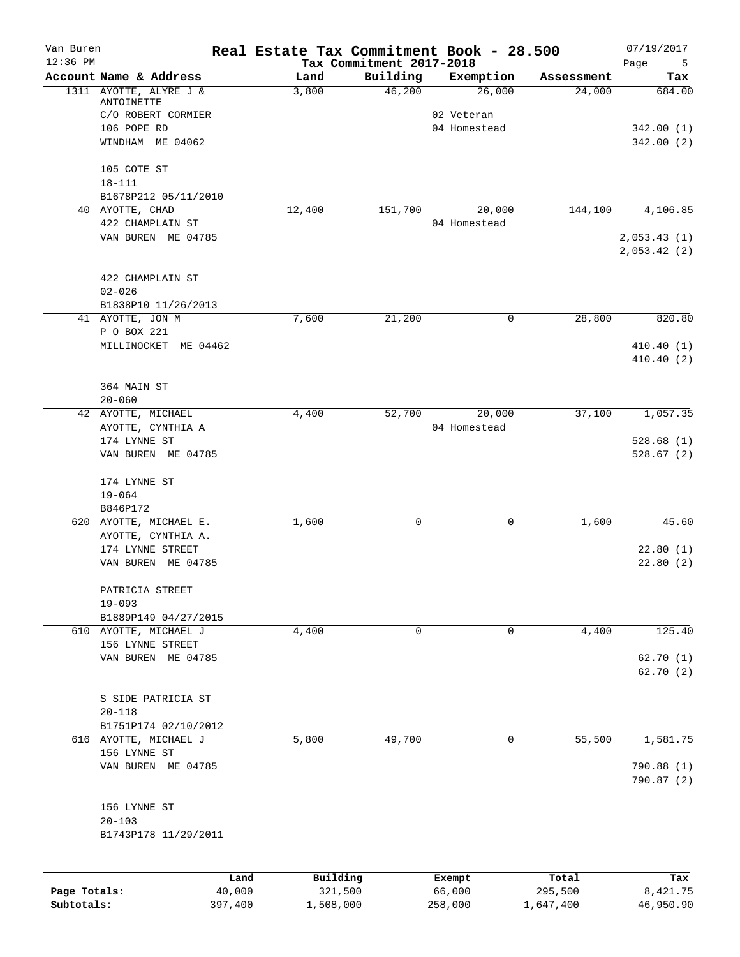| Van Buren<br>$12:36$ PM |                                               | Real Estate Tax Commitment Book - 28.500 | Tax Commitment 2017-2018 |        |                            |            | 07/19/2017<br>Page<br>5 |
|-------------------------|-----------------------------------------------|------------------------------------------|--------------------------|--------|----------------------------|------------|-------------------------|
|                         | Account Name & Address                        | Land                                     | Building                 |        | Exemption                  | Assessment | Tax                     |
|                         | 1311 AYOTTE, ALYRE J &                        | 3,800                                    | 46,200                   |        | 26,000                     | 24,000     | 684.00                  |
|                         | ANTOINETTE                                    |                                          |                          |        |                            |            |                         |
|                         | C/O ROBERT CORMIER<br>106 POPE RD             |                                          |                          |        | 02 Veteran<br>04 Homestead |            | 342.00(1)               |
|                         | WINDHAM ME 04062                              |                                          |                          |        |                            |            | 342.00(2)               |
|                         |                                               |                                          |                          |        |                            |            |                         |
|                         | 105 COTE ST                                   |                                          |                          |        |                            |            |                         |
|                         | $18 - 111$                                    |                                          |                          |        |                            |            |                         |
|                         | B1678P212 05/11/2010                          |                                          |                          |        |                            |            |                         |
|                         | 40 AYOTTE, CHAD                               | 12,400                                   | 151,700                  |        | 20,000                     | 144,100    | 4,106.85                |
|                         | 422 CHAMPLAIN ST<br>VAN BUREN ME 04785        |                                          |                          |        | 04 Homestead               |            | 2,053.43(1)             |
|                         |                                               |                                          |                          |        |                            |            | 2,053.42(2)             |
|                         | 422 CHAMPLAIN ST                              |                                          |                          |        |                            |            |                         |
|                         | $02 - 026$                                    |                                          |                          |        |                            |            |                         |
|                         | B1838P10 11/26/2013                           |                                          |                          |        |                            |            |                         |
|                         | 41 AYOTTE, JON M<br>P O BOX 221               | 7,600                                    | 21,200                   |        | 0                          | 28,800     | 820.80                  |
|                         | MILLINOCKET ME 04462                          |                                          |                          |        |                            |            | 410.40(1)               |
|                         |                                               |                                          |                          |        |                            |            | 410.40(2)               |
|                         | 364 MAIN ST                                   |                                          |                          |        |                            |            |                         |
|                         | $20 - 060$                                    |                                          |                          |        |                            |            |                         |
|                         | 42 AYOTTE, MICHAEL                            | 4,400                                    | 52,700                   |        | 20,000                     | 37,100     | 1,057.35                |
|                         | AYOTTE, CYNTHIA A                             |                                          |                          |        | 04 Homestead               |            |                         |
|                         | 174 LYNNE ST                                  |                                          |                          |        |                            |            | 528.68(1)               |
|                         | VAN BUREN ME 04785                            |                                          |                          |        |                            |            | 528.67(2)               |
|                         | 174 LYNNE ST                                  |                                          |                          |        |                            |            |                         |
|                         | $19 - 064$                                    |                                          |                          |        |                            |            |                         |
|                         | B846P172                                      |                                          |                          |        |                            |            |                         |
|                         | 620 AYOTTE, MICHAEL E.                        | 1,600                                    | 0                        |        | 0                          | 1,600      | 45.60                   |
|                         | AYOTTE, CYNTHIA A.<br>174 LYNNE STREET        |                                          |                          |        |                            |            | 22.80(1)                |
|                         | VAN BUREN ME 04785                            |                                          |                          |        |                            |            | 22.80(2)                |
|                         |                                               |                                          |                          |        |                            |            |                         |
|                         | PATRICIA STREET                               |                                          |                          |        |                            |            |                         |
|                         | $19 - 093$                                    |                                          |                          |        |                            |            |                         |
|                         | B1889P149 04/27/2015                          |                                          |                          |        |                            |            |                         |
|                         | 610 AYOTTE, MICHAEL J                         | 4,400                                    | 0                        |        | 0                          | 4,400      | 125.40                  |
|                         | 156 LYNNE STREET<br>VAN BUREN ME 04785        |                                          |                          |        |                            |            | 62.70(1)                |
|                         |                                               |                                          |                          |        |                            |            | 62.70(2)                |
|                         |                                               |                                          |                          |        |                            |            |                         |
|                         | S SIDE PATRICIA ST                            |                                          |                          |        |                            |            |                         |
|                         | $20 - 118$                                    |                                          |                          |        |                            |            |                         |
|                         | B1751P174 02/10/2012<br>616 AYOTTE, MICHAEL J | 5,800                                    | 49,700                   |        | 0                          | 55,500     | 1,581.75                |
|                         | 156 LYNNE ST                                  |                                          |                          |        |                            |            |                         |
|                         | VAN BUREN ME 04785                            |                                          |                          |        |                            |            | 790.88 (1)              |
|                         |                                               |                                          |                          |        |                            |            | 790.87 (2)              |
|                         | 156 LYNNE ST                                  |                                          |                          |        |                            |            |                         |
|                         | $20 - 103$                                    |                                          |                          |        |                            |            |                         |
|                         | B1743P178 11/29/2011                          |                                          |                          |        |                            |            |                         |
|                         |                                               |                                          |                          |        |                            |            |                         |
|                         |                                               | Building<br>Land                         |                          | Exempt |                            | Total      | Tax                     |
| Page Totals:            | 40,000                                        | 321,500                                  |                          | 66,000 |                            | 295,500    | 8,421.75                |

**Subtotals:** 397,400 1,508,000 258,000 1,647,400 46,950.90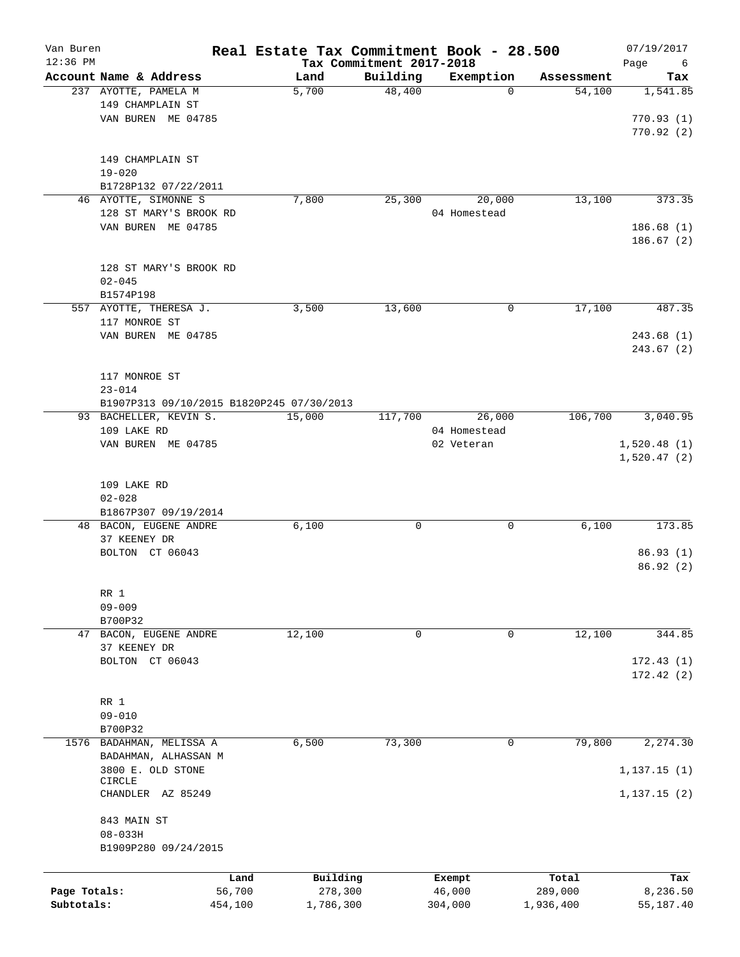| Van Buren<br>$12:36$ PM |                                           |         | Real Estate Tax Commitment Book - 28.500 |          |              |            | 07/19/2017       |
|-------------------------|-------------------------------------------|---------|------------------------------------------|----------|--------------|------------|------------------|
|                         | Account Name & Address                    |         | Tax Commitment 2017-2018<br>Land         | Building | Exemption    | Assessment | Page<br>6<br>Tax |
|                         | 237 AYOTTE, PAMELA M                      |         | 5,700                                    | 48,400   | 0            | 54,100     | 1,541.85         |
|                         | 149 CHAMPLAIN ST                          |         |                                          |          |              |            |                  |
|                         | VAN BUREN ME 04785                        |         |                                          |          |              |            | 770.93(1)        |
|                         |                                           |         |                                          |          |              |            | 770.92(2)        |
|                         |                                           |         |                                          |          |              |            |                  |
|                         | 149 CHAMPLAIN ST                          |         |                                          |          |              |            |                  |
|                         | $19 - 020$                                |         |                                          |          |              |            |                  |
|                         | B1728P132 07/22/2011                      |         |                                          |          |              |            |                  |
|                         | 46 AYOTTE, SIMONNE S                      |         | 7,800                                    | 25,300   | 20,000       | 13,100     | 373.35           |
|                         | 128 ST MARY'S BROOK RD                    |         |                                          |          | 04 Homestead |            |                  |
|                         | VAN BUREN ME 04785                        |         |                                          |          |              |            | 186.68(1)        |
|                         |                                           |         |                                          |          |              |            | 186.67(2)        |
|                         |                                           |         |                                          |          |              |            |                  |
|                         | 128 ST MARY'S BROOK RD                    |         |                                          |          |              |            |                  |
|                         | $02 - 045$                                |         |                                          |          |              |            |                  |
|                         | B1574P198                                 |         |                                          |          |              |            |                  |
|                         | 557 AYOTTE, THERESA J.                    |         | 3,500                                    | 13,600   | 0            | 17,100     | 487.35           |
|                         | 117 MONROE ST                             |         |                                          |          |              |            |                  |
|                         | VAN BUREN ME 04785                        |         |                                          |          |              |            | 243.68(1)        |
|                         |                                           |         |                                          |          |              |            | 243.67(2)        |
|                         |                                           |         |                                          |          |              |            |                  |
|                         |                                           |         |                                          |          |              |            |                  |
|                         | 117 MONROE ST                             |         |                                          |          |              |            |                  |
|                         | $23 - 014$                                |         |                                          |          |              |            |                  |
|                         | B1907P313 09/10/2015 B1820P245 07/30/2013 |         |                                          |          |              |            |                  |
|                         | 93 BACHELLER, KEVIN S.                    |         | 15,000                                   | 117,700  | 26,000       | 106,700    | 3,040.95         |
|                         | 109 LAKE RD                               |         |                                          |          | 04 Homestead |            |                  |
|                         | VAN BUREN ME 04785                        |         |                                          |          | 02 Veteran   |            | 1,520.48(1)      |
|                         |                                           |         |                                          |          |              |            | 1,520.47(2)      |
|                         |                                           |         |                                          |          |              |            |                  |
|                         | 109 LAKE RD                               |         |                                          |          |              |            |                  |
|                         | $02 - 028$                                |         |                                          |          |              |            |                  |
|                         | B1867P307 09/19/2014                      |         |                                          |          |              |            |                  |
|                         | 48 BACON, EUGENE ANDRE                    |         | 6,100                                    | 0        | 0            | 6,100      | 173.85           |
|                         | 37 KEENEY DR                              |         |                                          |          |              |            |                  |
|                         | BOLTON CT 06043                           |         |                                          |          |              |            | 86.93(1)         |
|                         |                                           |         |                                          |          |              |            | 86.92(2)         |
|                         |                                           |         |                                          |          |              |            |                  |
|                         | RR 1                                      |         |                                          |          |              |            |                  |
|                         | $09 - 009$                                |         |                                          |          |              |            |                  |
|                         | B700P32<br>BACON, EUGENE ANDRE            |         |                                          |          |              |            | 344.85           |
| 47                      |                                           |         | 12,100                                   | 0        | 0            | 12,100     |                  |
|                         | 37 KEENEY DR                              |         |                                          |          |              |            |                  |
|                         | BOLTON CT 06043                           |         |                                          |          |              |            | 172.43(1)        |
|                         |                                           |         |                                          |          |              |            | 172.42(2)        |
|                         |                                           |         |                                          |          |              |            |                  |
|                         | RR 1                                      |         |                                          |          |              |            |                  |
|                         | $09 - 010$                                |         |                                          |          |              |            |                  |
| 1576                    | B700P32<br>BADAHMAN, MELISSA A            |         | 6,500                                    | 73,300   | 0            | 79,800     | 2,274.30         |
|                         | BADAHMAN, ALHASSAN M                      |         |                                          |          |              |            |                  |
|                         | 3800 E. OLD STONE                         |         |                                          |          |              |            |                  |
|                         | <b>CIRCLE</b>                             |         |                                          |          |              |            | 1, 137.15(1)     |
|                         | CHANDLER AZ 85249                         |         |                                          |          |              |            | 1, 137.15(2)     |
|                         |                                           |         |                                          |          |              |            |                  |
|                         | 843 MAIN ST                               |         |                                          |          |              |            |                  |
|                         | $08 - 033H$                               |         |                                          |          |              |            |                  |
|                         | B1909P280 09/24/2015                      |         |                                          |          |              |            |                  |
|                         |                                           |         |                                          |          |              |            |                  |
|                         |                                           | Land    | Building                                 |          | Exempt       | Total      | Tax              |
| Page Totals:            |                                           | 56,700  | 278,300                                  |          | 46,000       | 289,000    | 8,236.50         |
| Subtotals:              |                                           | 454,100 | 1,786,300                                |          | 304,000      | 1,936,400  | 55,187.40        |
|                         |                                           |         |                                          |          |              |            |                  |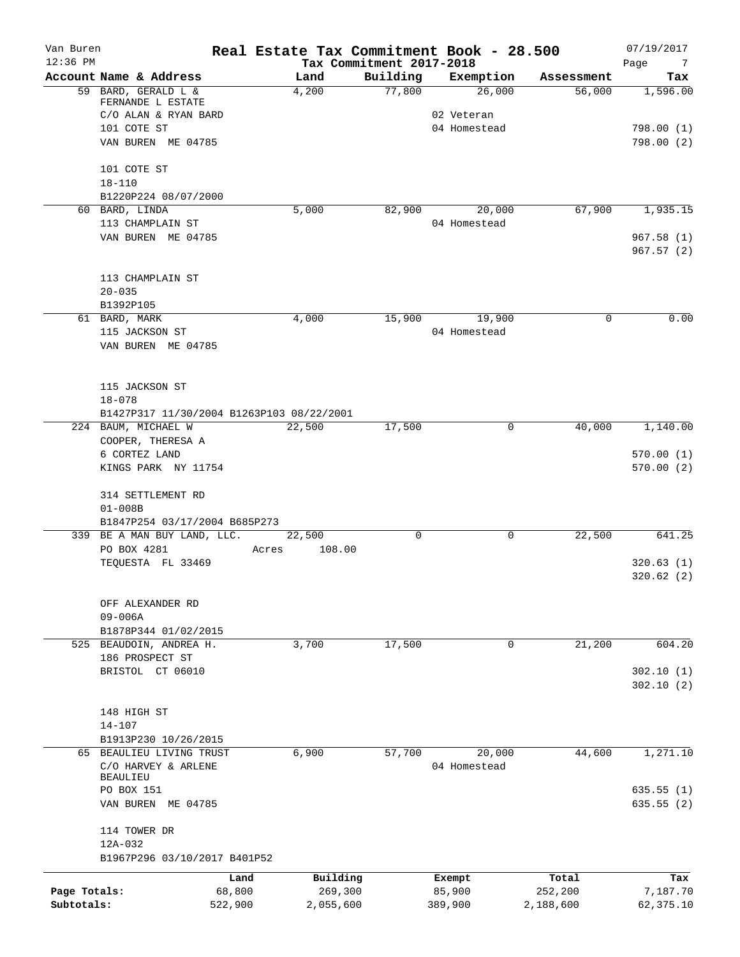| Van Buren<br>$12:36$ PM |                                                                  |         | Real Estate Tax Commitment Book - 28.500 | Tax Commitment 2017-2018 |                            |           |            | 07/19/2017<br>Page<br>$\overline{7}$ |
|-------------------------|------------------------------------------------------------------|---------|------------------------------------------|--------------------------|----------------------------|-----------|------------|--------------------------------------|
|                         | Account Name & Address                                           |         | Land                                     | Building                 |                            | Exemption | Assessment | Tax                                  |
|                         | 59 BARD, GERALD L &<br>FERNANDE L ESTATE                         |         | 4,200                                    | 77,800                   |                            | 26,000    | 56,000     | 1,596.00                             |
|                         | C/O ALAN & RYAN BARD<br>101 COTE ST                              |         |                                          |                          | 02 Veteran<br>04 Homestead |           |            | 798.00(1)                            |
|                         | VAN BUREN ME 04785                                               |         |                                          |                          |                            |           |            | 798.00(2)                            |
|                         | 101 COTE ST<br>$18 - 110$                                        |         |                                          |                          |                            |           |            |                                      |
|                         | B1220P224 08/07/2000                                             |         |                                          |                          |                            |           |            |                                      |
|                         | 60 BARD, LINDA                                                   |         | 5,000                                    | 82,900                   |                            | 20,000    | 67,900     | 1,935.15                             |
|                         | 113 CHAMPLAIN ST                                                 |         |                                          |                          | 04 Homestead               |           |            |                                      |
|                         | VAN BUREN ME 04785                                               |         |                                          |                          |                            |           |            | 967.58(1)<br>967.57(2)               |
|                         | 113 CHAMPLAIN ST                                                 |         |                                          |                          |                            |           |            |                                      |
|                         | $20 - 035$                                                       |         |                                          |                          |                            |           |            |                                      |
|                         | B1392P105                                                        |         |                                          |                          |                            |           |            |                                      |
|                         | 61 BARD, MARK                                                    |         | 4,000                                    | 15,900                   |                            | 19,900    | 0          | 0.00                                 |
|                         | 115 JACKSON ST<br>VAN BUREN ME 04785                             |         |                                          |                          | 04 Homestead               |           |            |                                      |
|                         | 115 JACKSON ST                                                   |         |                                          |                          |                            |           |            |                                      |
|                         | $18 - 078$                                                       |         |                                          |                          |                            |           |            |                                      |
|                         | B1427P317 11/30/2004 B1263P103 08/22/2001<br>224 BAUM, MICHAEL W |         | 22,500                                   | 17,500                   |                            | 0         | 40,000     | 1,140.00                             |
|                         | COOPER, THERESA A                                                |         |                                          |                          |                            |           |            |                                      |
|                         | 6 CORTEZ LAND                                                    |         |                                          |                          |                            |           |            | 570.00(1)                            |
|                         | KINGS PARK NY 11754                                              |         |                                          |                          |                            |           |            | 570.00(2)                            |
|                         | 314 SETTLEMENT RD<br>$01 - 008B$                                 |         |                                          |                          |                            |           |            |                                      |
|                         | B1847P254 03/17/2004 B685P273                                    |         |                                          |                          |                            |           |            |                                      |
|                         | 339 BE A MAN BUY LAND, LLC.                                      |         | 22,500                                   | $\mathbf 0$              |                            | 0         | 22,500     | 641.25                               |
|                         | PO BOX 4281<br>TEQUESTA FL 33469                                 | Acres   | 108.00                                   |                          |                            |           |            | 320.63(1)                            |
|                         |                                                                  |         |                                          |                          |                            |           |            | 320.62(2)                            |
|                         | OFF ALEXANDER RD<br>$09 - 006A$                                  |         |                                          |                          |                            |           |            |                                      |
|                         | B1878P344 01/02/2015                                             |         |                                          |                          |                            |           |            |                                      |
|                         | 525 BEAUDOIN, ANDREA H.<br>186 PROSPECT ST                       |         | 3,700                                    | 17,500                   |                            | 0         | 21,200     | 604.20                               |
|                         | BRISTOL CT 06010                                                 |         |                                          |                          |                            |           |            | 302.10(1)                            |
|                         |                                                                  |         |                                          |                          |                            |           |            | 302.10(2)                            |
|                         |                                                                  |         |                                          |                          |                            |           |            |                                      |
|                         | 148 HIGH ST                                                      |         |                                          |                          |                            |           |            |                                      |
|                         | $14 - 107$                                                       |         |                                          |                          |                            |           |            |                                      |
|                         | B1913P230 10/26/2015                                             |         |                                          |                          |                            |           |            |                                      |
|                         | 65 BEAULIEU LIVING TRUST<br>C/O HARVEY & ARLENE<br>BEAULIEU      |         | 6,900                                    | 57,700                   | 04 Homestead               | 20,000    | 44,600     | 1,271.10                             |
|                         | PO BOX 151                                                       |         |                                          |                          |                            |           |            | 635.55(1)                            |
|                         | VAN BUREN ME 04785                                               |         |                                          |                          |                            |           |            | 635.55(2)                            |
|                         | 114 TOWER DR<br>12A-032                                          |         |                                          |                          |                            |           |            |                                      |
|                         | B1967P296 03/10/2017 B401P52                                     |         |                                          |                          |                            |           |            |                                      |
|                         |                                                                  | Land    | Building                                 |                          | Exempt                     |           | Total      | Tax                                  |
| Page Totals:            |                                                                  | 68,800  | 269,300                                  |                          | 85,900                     |           | 252,200    | 7,187.70                             |
| Subtotals:              |                                                                  | 522,900 | 2,055,600                                |                          | 389,900                    |           | 2,188,600  | 62, 375.10                           |
|                         |                                                                  |         |                                          |                          |                            |           |            |                                      |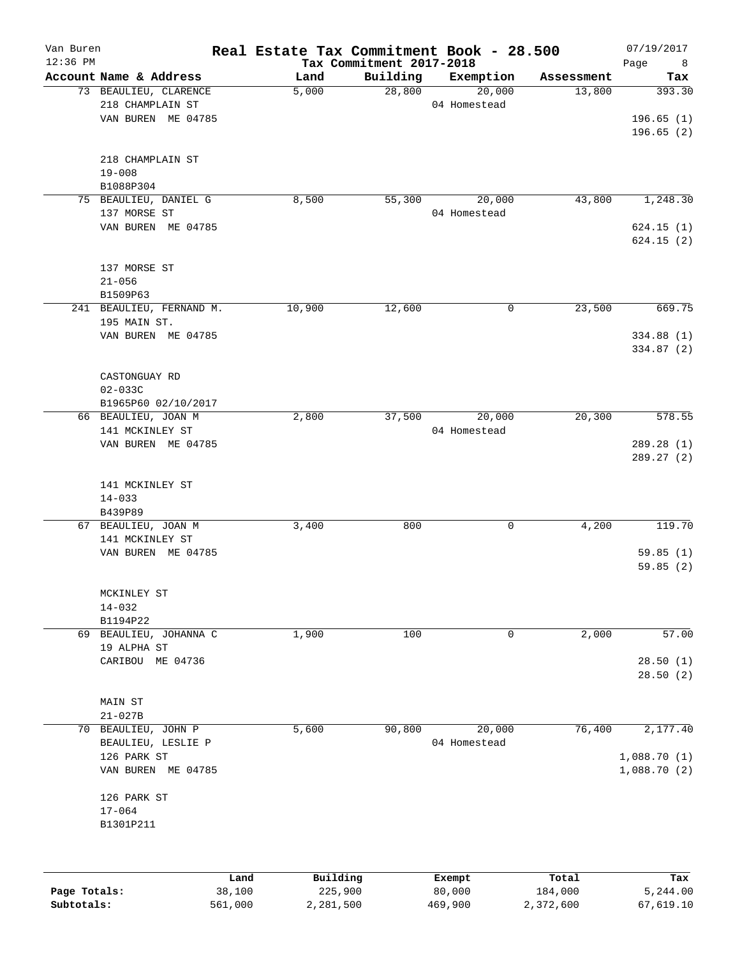| Van Buren<br>$12:36$ PM |                          | Real Estate Tax Commitment Book - 28.500 | Tax Commitment 2017-2018 |              |            | 07/19/2017<br>Page<br>8 |
|-------------------------|--------------------------|------------------------------------------|--------------------------|--------------|------------|-------------------------|
|                         | Account Name & Address   | Land                                     | Building                 | Exemption    | Assessment | Tax                     |
|                         | 73 BEAULIEU, CLARENCE    | 5,000                                    | 28,800                   | 20,000       | 13,800     | 393.30                  |
|                         | 218 CHAMPLAIN ST         |                                          |                          | 04 Homestead |            |                         |
|                         | VAN BUREN ME 04785       |                                          |                          |              |            | 196.65(1)               |
|                         |                          |                                          |                          |              |            | 196.65(2)               |
|                         | 218 CHAMPLAIN ST         |                                          |                          |              |            |                         |
|                         | $19 - 008$               |                                          |                          |              |            |                         |
|                         | B1088P304                |                                          |                          |              |            |                         |
|                         | 75 BEAULIEU, DANIEL G    | 8,500                                    | 55,300                   | 20,000       | 43,800     | 1,248.30                |
|                         | 137 MORSE ST             |                                          |                          | 04 Homestead |            |                         |
|                         | VAN BUREN ME 04785       |                                          |                          |              |            | 624.15(1)               |
|                         |                          |                                          |                          |              |            | 624.15(2)               |
|                         | 137 MORSE ST             |                                          |                          |              |            |                         |
|                         | $21 - 056$               |                                          |                          |              |            |                         |
|                         | B1509P63                 |                                          |                          |              |            |                         |
|                         | 241 BEAULIEU, FERNAND M. | 10,900                                   | 12,600                   | 0            | 23,500     | 669.75                  |
|                         | 195 MAIN ST.             |                                          |                          |              |            |                         |
|                         | VAN BUREN ME 04785       |                                          |                          |              |            | 334.88 (1)              |
|                         |                          |                                          |                          |              |            | 334.87 (2)              |
|                         | CASTONGUAY RD            |                                          |                          |              |            |                         |
|                         | $02 - 033C$              |                                          |                          |              |            |                         |
|                         | B1965P60 02/10/2017      |                                          |                          |              |            |                         |
|                         | 66 BEAULIEU, JOAN M      | 2,800                                    | 37,500                   | 20,000       | 20, 300    | 578.55                  |
|                         | 141 MCKINLEY ST          |                                          |                          | 04 Homestead |            |                         |
|                         | VAN BUREN ME 04785       |                                          |                          |              |            | 289.28 (1)              |
|                         |                          |                                          |                          |              |            | 289.27 (2)              |
|                         | 141 MCKINLEY ST          |                                          |                          |              |            |                         |
|                         | $14 - 033$               |                                          |                          |              |            |                         |
|                         | B439P89                  |                                          |                          |              |            |                         |
|                         | 67 BEAULIEU, JOAN M      | 3,400                                    | 800                      | 0            | 4,200      | 119.70                  |
|                         | 141 MCKINLEY ST          |                                          |                          |              |            |                         |
|                         | VAN BUREN ME 04785       |                                          |                          |              |            | 59.85(1)                |
|                         |                          |                                          |                          |              |            | 59.85(2)                |
|                         | MCKINLEY ST              |                                          |                          |              |            |                         |
|                         | $14 - 032$               |                                          |                          |              |            |                         |
|                         | B1194P22                 |                                          |                          |              |            |                         |
|                         | 69 BEAULIEU, JOHANNA C   | 1,900                                    | 100                      | 0            | 2,000      | 57.00                   |
|                         | 19 ALPHA ST              |                                          |                          |              |            |                         |
|                         | CARIBOU ME 04736         |                                          |                          |              |            | 28.50(1)                |
|                         |                          |                                          |                          |              |            | 28.50(2)                |
|                         | MAIN ST                  |                                          |                          |              |            |                         |
|                         | $21 - 027B$              |                                          |                          |              |            |                         |
|                         | 70 BEAULIEU, JOHN P      | 5,600                                    | 90,800                   | 20,000       | 76,400     | 2,177.40                |
|                         | BEAULIEU, LESLIE P       |                                          |                          | 04 Homestead |            |                         |
|                         | 126 PARK ST              |                                          |                          |              |            | 1,088.70(1)             |
|                         | VAN BUREN ME 04785       |                                          |                          |              |            | 1,088.70(2)             |
|                         |                          |                                          |                          |              |            |                         |
|                         | 126 PARK ST              |                                          |                          |              |            |                         |
|                         | $17 - 064$               |                                          |                          |              |            |                         |
|                         | B1301P211                |                                          |                          |              |            |                         |
|                         |                          |                                          |                          |              |            |                         |
|                         |                          | Building<br>Land                         |                          | Exempt       | Total      | Tax                     |
| Page Totals:            | 38,100                   | 225,900                                  |                          | 80,000       | 184,000    | 5,244.00                |

**Subtotals:** 561,000 2,281,500 469,900 2,372,600 67,619.10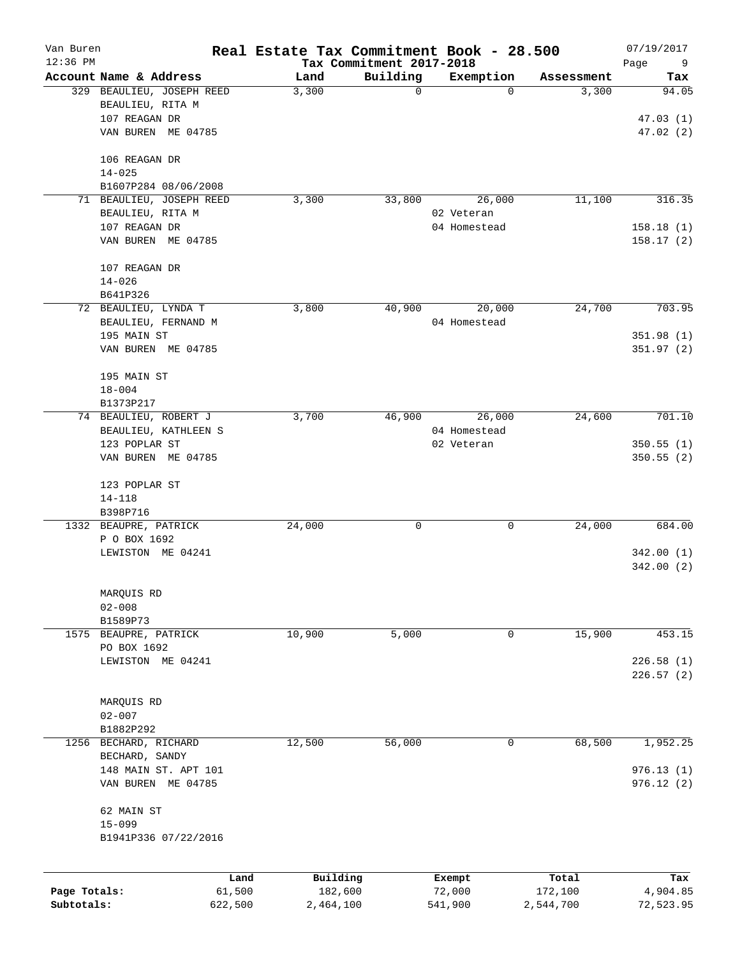| Van Buren<br>12:36 PM |                                               |         | Real Estate Tax Commitment Book - 28.500 | Tax Commitment 2017-2018 |              |            | 07/19/2017<br>Page<br>9 |
|-----------------------|-----------------------------------------------|---------|------------------------------------------|--------------------------|--------------|------------|-------------------------|
|                       | Account Name & Address                        |         | Land                                     | Building                 | Exemption    | Assessment | Tax                     |
|                       | 329 BEAULIEU, JOSEPH REED<br>BEAULIEU, RITA M |         | 3,300                                    | $\mathbf 0$              | 0            | 3,300      | 94.05                   |
|                       | 107 REAGAN DR<br>VAN BUREN ME 04785           |         |                                          |                          |              |            | 47.03(1)<br>47.02(2)    |
|                       | 106 REAGAN DR<br>$14 - 025$                   |         |                                          |                          |              |            |                         |
|                       | B1607P284 08/06/2008                          |         |                                          |                          |              |            |                         |
|                       | 71 BEAULIEU, JOSEPH REED                      |         | 3,300                                    | 33,800                   | 26,000       | 11,100     | 316.35                  |
|                       | BEAULIEU, RITA M                              |         |                                          |                          | 02 Veteran   |            |                         |
|                       | 107 REAGAN DR                                 |         |                                          |                          | 04 Homestead |            | 158.18(1)               |
|                       | VAN BUREN ME 04785                            |         |                                          |                          |              |            | 158.17(2)               |
|                       | 107 REAGAN DR                                 |         |                                          |                          |              |            |                         |
|                       | $14 - 026$                                    |         |                                          |                          |              |            |                         |
|                       | B641P326                                      |         |                                          |                          |              |            |                         |
|                       | 72 BEAULIEU, LYNDA T                          |         | 3,800                                    | 40,900                   | 20,000       | 24,700     | 703.95                  |
|                       | BEAULIEU, FERNAND M                           |         |                                          |                          | 04 Homestead |            |                         |
|                       | 195 MAIN ST                                   |         |                                          |                          |              |            | 351.98 (1)              |
|                       | VAN BUREN ME 04785                            |         |                                          |                          |              |            | 351.97(2)               |
|                       | 195 MAIN ST                                   |         |                                          |                          |              |            |                         |
|                       | $18 - 004$                                    |         |                                          |                          |              |            |                         |
|                       | B1373P217                                     |         |                                          |                          |              |            |                         |
|                       | 74 BEAULIEU, ROBERT J                         |         | 3,700                                    | 46,900                   | 26,000       | 24,600     | 701.10                  |
|                       | BEAULIEU, KATHLEEN S                          |         |                                          |                          | 04 Homestead |            |                         |
|                       | 123 POPLAR ST                                 |         |                                          |                          | 02 Veteran   |            | 350.55(1)               |
|                       | VAN BUREN ME 04785                            |         |                                          |                          |              |            | 350.55 (2)              |
|                       | 123 POPLAR ST                                 |         |                                          |                          |              |            |                         |
|                       | $14 - 118$                                    |         |                                          |                          |              |            |                         |
|                       | B398P716                                      |         |                                          |                          |              |            |                         |
|                       | 1332 BEAUPRE, PATRICK                         |         | 24,000                                   | 0                        | 0            | 24,000     | 684.00                  |
|                       | P O BOX 1692                                  |         |                                          |                          |              |            | 342.00(1)               |
|                       | LEWISTON ME 04241                             |         |                                          |                          |              |            | 342.00 (2)              |
|                       |                                               |         |                                          |                          |              |            |                         |
|                       | MARQUIS RD                                    |         |                                          |                          |              |            |                         |
|                       | $02 - 008$<br>B1589P73                        |         |                                          |                          |              |            |                         |
| 1575                  | BEAUPRE, PATRICK                              |         | 10,900                                   | 5,000                    | 0            | 15,900     | 453.15                  |
|                       | PO BOX 1692                                   |         |                                          |                          |              |            |                         |
|                       | LEWISTON ME 04241                             |         |                                          |                          |              |            | 226.58(1)               |
|                       |                                               |         |                                          |                          |              |            | 226.57(2)               |
|                       | MARQUIS RD                                    |         |                                          |                          |              |            |                         |
|                       | $02 - 007$                                    |         |                                          |                          |              |            |                         |
|                       | B1882P292                                     |         |                                          |                          |              |            |                         |
| 1256                  | BECHARD, RICHARD                              |         | 12,500                                   | 56,000                   | 0            | 68,500     | 1,952.25                |
|                       | BECHARD, SANDY                                |         |                                          |                          |              |            |                         |
|                       | 148 MAIN ST. APT 101                          |         |                                          |                          |              |            | 976.13(1)               |
|                       | VAN BUREN ME 04785                            |         |                                          |                          |              |            | 976.12(2)               |
|                       | 62 MAIN ST                                    |         |                                          |                          |              |            |                         |
|                       | $15 - 099$<br>B1941P336 07/22/2016            |         |                                          |                          |              |            |                         |
|                       |                                               |         |                                          |                          |              |            |                         |
|                       |                                               | Land    | Building                                 |                          | Exempt       | Total      | Tax                     |
| Page Totals:          |                                               | 61,500  | 182,600                                  |                          | 72,000       | 172,100    | 4,904.85                |
| Subtotals:            |                                               | 622,500 | 2,464,100                                |                          | 541,900      | 2,544,700  | 72,523.95               |
|                       |                                               |         |                                          |                          |              |            |                         |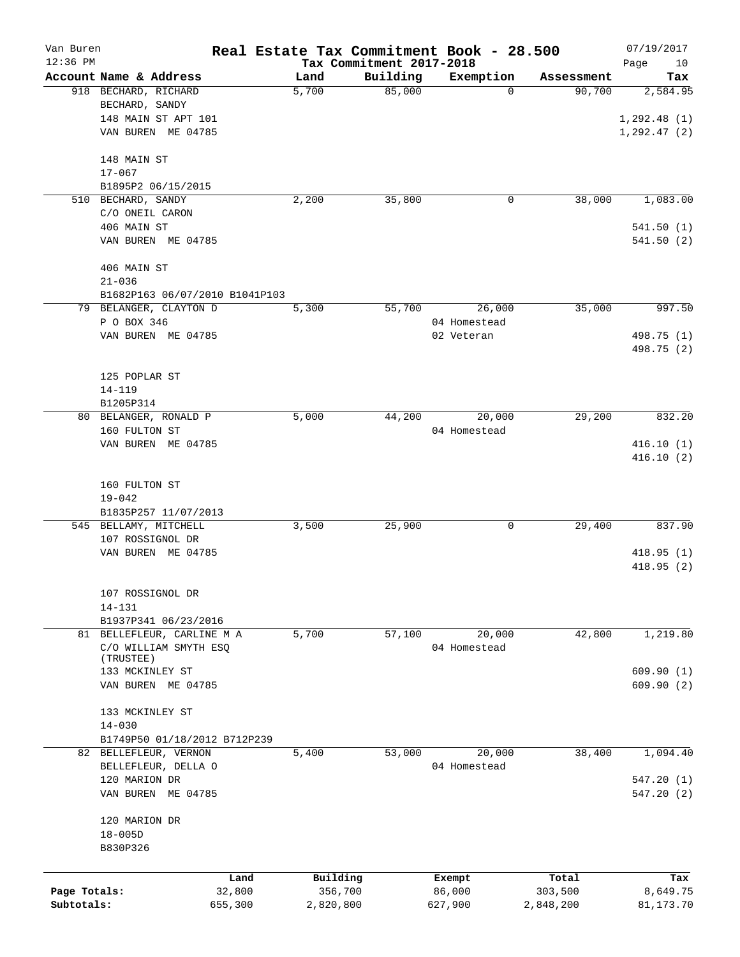| Van Buren<br>$12:36$ PM |                                |         | Real Estate Tax Commitment Book - 28.500 | Tax Commitment 2017-2018 |              |            | 07/19/2017<br>Page<br>10 |
|-------------------------|--------------------------------|---------|------------------------------------------|--------------------------|--------------|------------|--------------------------|
|                         | Account Name & Address         |         | Land                                     | Building                 | Exemption    | Assessment | Tax                      |
|                         | 918 BECHARD, RICHARD           |         | 5,700                                    | 85,000                   | 0            | 90,700     | 2,584.95                 |
|                         | BECHARD, SANDY                 |         |                                          |                          |              |            |                          |
|                         | 148 MAIN ST APT 101            |         |                                          |                          |              |            | 1, 292.48(1)             |
|                         | VAN BUREN ME 04785             |         |                                          |                          |              |            | 1, 292.47(2)             |
|                         |                                |         |                                          |                          |              |            |                          |
|                         | 148 MAIN ST                    |         |                                          |                          |              |            |                          |
|                         | $17 - 067$                     |         |                                          |                          |              |            |                          |
|                         | B1895P2 06/15/2015             |         |                                          |                          |              |            |                          |
|                         |                                |         |                                          |                          |              | 38,000     |                          |
| 510                     | BECHARD, SANDY                 |         | 2,200                                    | 35,800                   | 0            |            | 1,083.00                 |
|                         | C/O ONEIL CARON                |         |                                          |                          |              |            |                          |
|                         | 406 MAIN ST                    |         |                                          |                          |              |            | 541.50(1)                |
|                         | VAN BUREN ME 04785             |         |                                          |                          |              |            | 541.50(2)                |
|                         |                                |         |                                          |                          |              |            |                          |
|                         | 406 MAIN ST                    |         |                                          |                          |              |            |                          |
|                         | $21 - 036$                     |         |                                          |                          |              |            |                          |
|                         | B1682P163 06/07/2010 B1041P103 |         |                                          |                          |              |            |                          |
|                         | 79 BELANGER, CLAYTON D         |         | 5,300                                    | 55,700                   | 26,000       | 35,000     | 997.50                   |
|                         | P O BOX 346                    |         |                                          |                          | 04 Homestead |            |                          |
|                         | VAN BUREN ME 04785             |         |                                          |                          | 02 Veteran   |            | 498.75 (1)               |
|                         |                                |         |                                          |                          |              |            | 498.75 (2)               |
|                         |                                |         |                                          |                          |              |            |                          |
|                         | 125 POPLAR ST                  |         |                                          |                          |              |            |                          |
|                         | $14 - 119$                     |         |                                          |                          |              |            |                          |
|                         | B1205P314                      |         |                                          |                          |              |            |                          |
|                         | 80 BELANGER, RONALD P          |         | 5,000                                    | 44,200                   | 20,000       | 29,200     | 832.20                   |
|                         | 160 FULTON ST                  |         |                                          |                          | 04 Homestead |            |                          |
|                         | VAN BUREN ME 04785             |         |                                          |                          |              |            | 416.10(1)                |
|                         |                                |         |                                          |                          |              |            | 416.10(2)                |
|                         |                                |         |                                          |                          |              |            |                          |
|                         |                                |         |                                          |                          |              |            |                          |
|                         | 160 FULTON ST                  |         |                                          |                          |              |            |                          |
|                         | $19 - 042$                     |         |                                          |                          |              |            |                          |
|                         | B1835P257 11/07/2013           |         |                                          |                          |              |            |                          |
|                         | 545 BELLAMY, MITCHELL          |         | 3,500                                    | 25,900                   | 0            | 29,400     | 837.90                   |
|                         | 107 ROSSIGNOL DR               |         |                                          |                          |              |            |                          |
|                         | VAN BUREN ME 04785             |         |                                          |                          |              |            | 418.95(1)                |
|                         |                                |         |                                          |                          |              |            | 418.95(2)                |
|                         |                                |         |                                          |                          |              |            |                          |
|                         | 107 ROSSIGNOL DR               |         |                                          |                          |              |            |                          |
|                         | $14 - 131$                     |         |                                          |                          |              |            |                          |
|                         | B1937P341 06/23/2016           |         |                                          |                          |              |            |                          |
|                         | 81 BELLEFLEUR, CARLINE M A     |         | 5,700                                    | 57,100                   | 20,000       | 42,800     | 1,219.80                 |
|                         | C/O WILLIAM SMYTH ESQ          |         |                                          |                          | 04 Homestead |            |                          |
|                         | (TRUSTEE)                      |         |                                          |                          |              |            |                          |
|                         | 133 MCKINLEY ST                |         |                                          |                          |              |            | 609.90(1)                |
|                         | VAN BUREN ME 04785             |         |                                          |                          |              |            | 609.90(2)                |
|                         |                                |         |                                          |                          |              |            |                          |
|                         | 133 MCKINLEY ST                |         |                                          |                          |              |            |                          |
|                         | $14 - 030$                     |         |                                          |                          |              |            |                          |
|                         | B1749P50 01/18/2012 B712P239   |         |                                          |                          |              |            |                          |
|                         | 82 BELLEFLEUR, VERNON          |         | 5,400                                    | 53,000                   | 20,000       | 38,400     | 1,094.40                 |
|                         | BELLEFLEUR, DELLA O            |         |                                          |                          | 04 Homestead |            |                          |
|                         | 120 MARION DR                  |         |                                          |                          |              |            | 547.20(1)                |
|                         |                                |         |                                          |                          |              |            |                          |
|                         | VAN BUREN ME 04785             |         |                                          |                          |              |            | 547.20(2)                |
|                         |                                |         |                                          |                          |              |            |                          |
|                         | 120 MARION DR                  |         |                                          |                          |              |            |                          |
|                         | $18 - 005D$                    |         |                                          |                          |              |            |                          |
|                         | B830P326                       |         |                                          |                          |              |            |                          |
|                         |                                |         |                                          |                          |              |            |                          |
|                         |                                | Land    | Building                                 |                          | Exempt       | Total      | Tax                      |
| Page Totals:            |                                | 32,800  | 356,700                                  |                          | 86,000       | 303,500    | 8,649.75                 |
| Subtotals:              |                                | 655,300 | 2,820,800                                |                          | 627,900      | 2,848,200  | 81, 173. 70              |
|                         |                                |         |                                          |                          |              |            |                          |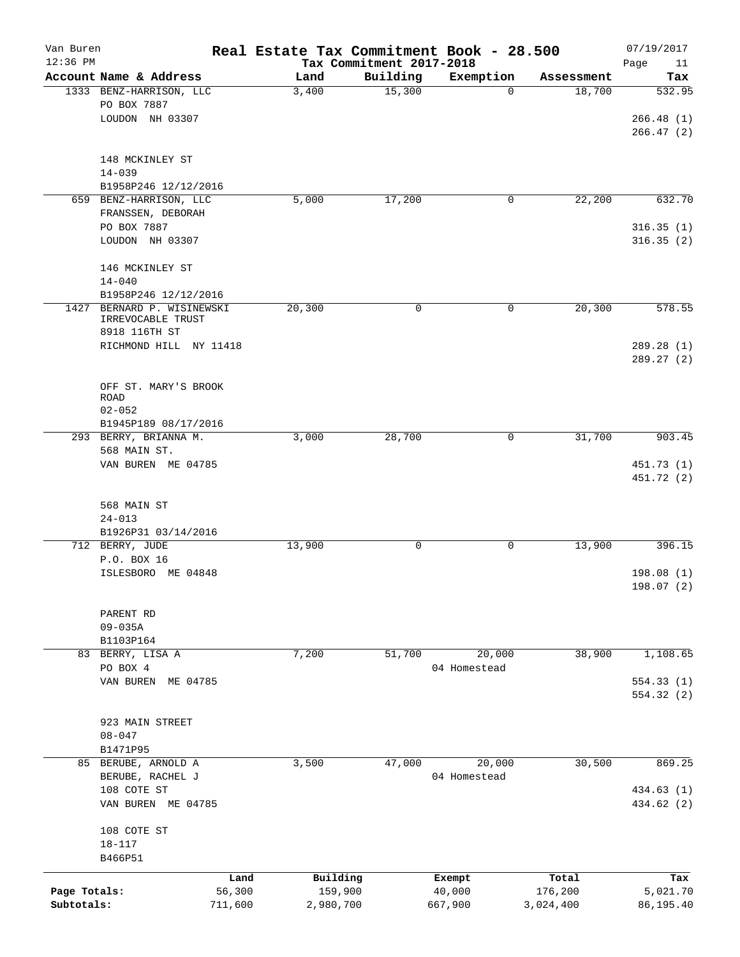| Van Buren<br>$12:36$ PM    |                                                             |                   | Real Estate Tax Commitment Book - 28.500 | Tax Commitment 2017-2018 |                        |                      | 07/19/2017<br>Page<br>11 |
|----------------------------|-------------------------------------------------------------|-------------------|------------------------------------------|--------------------------|------------------------|----------------------|--------------------------|
|                            | Account Name & Address                                      |                   | Land                                     | Building                 | Exemption              | Assessment           | Tax                      |
|                            | 1333 BENZ-HARRISON, LLC<br>PO BOX 7887                      |                   | 3,400                                    | 15,300                   | 0                      | 18,700               | 532.95                   |
|                            | LOUDON NH 03307                                             |                   |                                          |                          |                        |                      | 266.48(1)<br>266.47 (2)  |
|                            | 148 MCKINLEY ST<br>$14 - 039$                               |                   |                                          |                          |                        |                      |                          |
|                            | B1958P246 12/12/2016                                        |                   |                                          |                          |                        |                      |                          |
|                            | 659 BENZ-HARRISON, LLC                                      |                   | 5,000                                    | 17,200                   | 0                      | 22,200               | 632.70                   |
|                            | FRANSSEN, DEBORAH<br>PO BOX 7887                            |                   |                                          |                          |                        |                      | 316.35(1)                |
|                            | LOUDON NH 03307                                             |                   |                                          |                          |                        |                      | 316.35(2)                |
|                            | 146 MCKINLEY ST<br>$14 - 040$                               |                   |                                          |                          |                        |                      |                          |
|                            | B1958P246 12/12/2016                                        |                   |                                          |                          |                        |                      |                          |
| 1427                       | BERNARD P. WISINEWSKI<br>IRREVOCABLE TRUST<br>8918 116TH ST |                   | 20,300                                   | 0                        | 0                      | 20,300               | 578.55                   |
|                            | RICHMOND HILL NY 11418                                      |                   |                                          |                          |                        |                      | 289.28 (1)<br>289.27 (2) |
|                            | OFF ST. MARY'S BROOK<br><b>ROAD</b>                         |                   |                                          |                          |                        |                      |                          |
|                            | $02 - 052$                                                  |                   |                                          |                          |                        |                      |                          |
|                            | B1945P189 08/17/2016                                        |                   |                                          |                          |                        |                      |                          |
|                            | 293 BERRY, BRIANNA M.                                       |                   | 3,000                                    | 28,700                   | 0                      | 31,700               | 903.45                   |
|                            | 568 MAIN ST.<br>VAN BUREN ME 04785                          |                   |                                          |                          |                        |                      | 451.73 (1)<br>451.72 (2) |
|                            | 568 MAIN ST<br>$24 - 013$                                   |                   |                                          |                          |                        |                      |                          |
|                            | B1926P31 03/14/2016                                         |                   |                                          |                          |                        |                      |                          |
|                            | 712 BERRY, JUDE                                             |                   | 13,900                                   | 0                        | 0                      | 13,900               | 396.15                   |
|                            | P.O. BOX 16<br>ISLESBORO ME 04848                           |                   |                                          |                          |                        |                      | 198.08(1)<br>198.07 (2)  |
|                            | PARENT RD<br>$09 - 035A$                                    |                   |                                          |                          |                        |                      |                          |
|                            | B1103P164                                                   |                   |                                          |                          |                        |                      |                          |
|                            | 83 BERRY, LISA A                                            |                   | 7,200                                    | 51,700                   | 20,000                 | 38,900               | 1,108.65                 |
|                            | PO BOX 4                                                    |                   |                                          |                          | 04 Homestead           |                      |                          |
|                            | VAN BUREN ME 04785                                          |                   |                                          |                          |                        |                      | 554.33 (1)<br>554.32 (2) |
|                            | 923 MAIN STREET<br>$08 - 047$                               |                   |                                          |                          |                        |                      |                          |
|                            | B1471P95                                                    |                   |                                          |                          |                        |                      |                          |
|                            | 85 BERUBE, ARNOLD A<br>BERUBE, RACHEL J                     |                   | 3,500                                    | 47,000                   | 20,000<br>04 Homestead | 30,500               | 869.25                   |
|                            | 108 COTE ST<br>VAN BUREN ME 04785                           |                   |                                          |                          |                        |                      | 434.63 (1)<br>434.62 (2) |
|                            | 108 COTE ST<br>$18 - 117$                                   |                   |                                          |                          |                        |                      |                          |
|                            | B466P51                                                     |                   |                                          |                          |                        |                      |                          |
|                            |                                                             | Land              | Building                                 |                          | Exempt                 | Total                | Tax                      |
| Page Totals:<br>Subtotals: |                                                             | 56,300<br>711,600 | 159,900<br>2,980,700                     |                          | 40,000<br>667,900      | 176,200<br>3,024,400 | 5,021.70<br>86,195.40    |
|                            |                                                             |                   |                                          |                          |                        |                      |                          |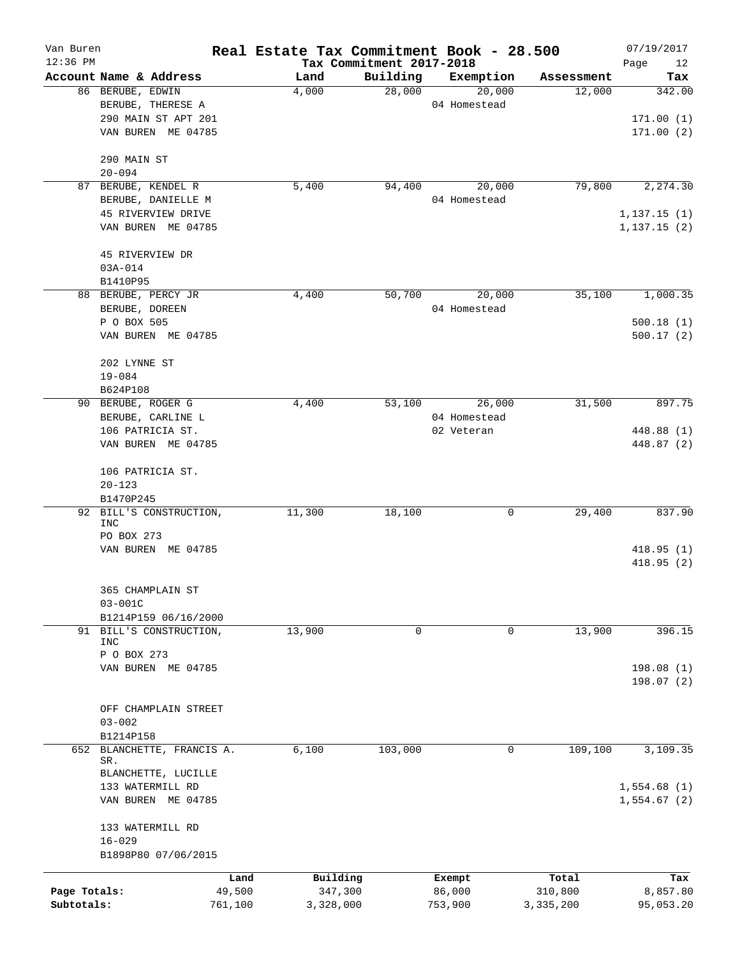| Van Buren<br>$12:36$ PM |                                 |         | Real Estate Tax Commitment Book - 28.500 | Tax Commitment 2017-2018 |              |            | 07/19/2017        |
|-------------------------|---------------------------------|---------|------------------------------------------|--------------------------|--------------|------------|-------------------|
|                         | Account Name & Address          |         | Land                                     | Building                 | Exemption    | Assessment | Page<br>12<br>Tax |
|                         | 86 BERUBE, EDWIN                |         | 4,000                                    | 28,000                   | 20,000       | 12,000     | 342.00            |
|                         | BERUBE, THERESE A               |         |                                          |                          | 04 Homestead |            |                   |
|                         | 290 MAIN ST APT 201             |         |                                          |                          |              |            | 171.00(1)         |
|                         | VAN BUREN ME 04785              |         |                                          |                          |              |            | 171.00(2)         |
|                         | 290 MAIN ST                     |         |                                          |                          |              |            |                   |
|                         | $20 - 094$                      |         |                                          |                          |              |            |                   |
| 87                      | BERUBE, KENDEL R                |         | 5,400                                    | 94,400                   | 20,000       | 79,800     | 2,274.30          |
|                         | BERUBE, DANIELLE M              |         |                                          |                          | 04 Homestead |            |                   |
|                         | 45 RIVERVIEW DRIVE              |         |                                          |                          |              |            | 1,137.15(1)       |
|                         | VAN BUREN ME 04785              |         |                                          |                          |              |            | 1, 137.15(2)      |
|                         | 45 RIVERVIEW DR                 |         |                                          |                          |              |            |                   |
|                         | $03A - 014$                     |         |                                          |                          |              |            |                   |
|                         | B1410P95                        |         |                                          |                          |              |            |                   |
|                         | 88 BERUBE, PERCY JR             |         | 4,400                                    | 50,700                   | 20,000       | 35,100     | 1,000.35          |
|                         | BERUBE, DOREEN                  |         |                                          |                          | 04 Homestead |            |                   |
|                         | P O BOX 505                     |         |                                          |                          |              |            | 500.18(1)         |
|                         | VAN BUREN ME 04785              |         |                                          |                          |              |            | 500.17(2)         |
|                         | 202 LYNNE ST                    |         |                                          |                          |              |            |                   |
|                         | $19 - 084$                      |         |                                          |                          |              |            |                   |
|                         | B624P108                        |         |                                          |                          |              |            |                   |
| 90                      | BERUBE, ROGER G                 |         | 4,400                                    | 53,100                   | 26,000       | 31,500     | 897.75            |
|                         | BERUBE, CARLINE L               |         |                                          |                          | 04 Homestead |            |                   |
|                         | 106 PATRICIA ST.                |         |                                          |                          | 02 Veteran   |            | 448.88 (1)        |
|                         | VAN BUREN ME 04785              |         |                                          |                          |              |            | 448.87 (2)        |
|                         | 106 PATRICIA ST.                |         |                                          |                          |              |            |                   |
|                         | $20 - 123$                      |         |                                          |                          |              |            |                   |
|                         | B1470P245                       |         |                                          |                          |              |            |                   |
| 92                      | BILL'S CONSTRUCTION,            |         | 11,300                                   | 18,100                   | 0            | 29,400     | 837.90            |
|                         | INC<br>PO BOX 273               |         |                                          |                          |              |            |                   |
|                         | VAN BUREN ME 04785              |         |                                          |                          |              |            | 418.95(1)         |
|                         |                                 |         |                                          |                          |              |            | 418.95(2)         |
|                         |                                 |         |                                          |                          |              |            |                   |
|                         | 365 CHAMPLAIN ST<br>$03 - 001C$ |         |                                          |                          |              |            |                   |
|                         | B1214P159 06/16/2000            |         |                                          |                          |              |            |                   |
|                         | 91 BILL'S CONSTRUCTION,         |         | 13,900                                   | 0                        | 0            | 13,900     | 396.15            |
|                         | <b>INC</b>                      |         |                                          |                          |              |            |                   |
|                         | P O BOX 273                     |         |                                          |                          |              |            |                   |
|                         | VAN BUREN ME 04785              |         |                                          |                          |              |            | 198.08(1)         |
|                         |                                 |         |                                          |                          |              |            | 198.07(2)         |
|                         | OFF CHAMPLAIN STREET            |         |                                          |                          |              |            |                   |
|                         | $03 - 002$                      |         |                                          |                          |              |            |                   |
|                         | B1214P158                       |         |                                          |                          |              |            |                   |
| 652                     | BLANCHETTE, FRANCIS A.          |         | 6,100                                    | 103,000                  | 0            | 109,100    | 3,109.35          |
|                         | SR.                             |         |                                          |                          |              |            |                   |
|                         | BLANCHETTE, LUCILLE             |         |                                          |                          |              |            |                   |
|                         | 133 WATERMILL RD                |         |                                          |                          |              |            | 1,554.68(1)       |
|                         | VAN BUREN ME 04785              |         |                                          |                          |              |            | 1,554.67(2)       |
|                         | 133 WATERMILL RD                |         |                                          |                          |              |            |                   |
|                         | $16 - 029$                      |         |                                          |                          |              |            |                   |
|                         | B1898P80 07/06/2015             |         |                                          |                          |              |            |                   |
|                         |                                 | Land    | Building                                 |                          | Exempt       | Total      | Tax               |
| Page Totals:            |                                 | 49,500  | 347,300                                  |                          | 86,000       | 310,800    | 8,857.80          |
| Subtotals:              |                                 | 761,100 | 3,328,000                                |                          | 753,900      | 3,335,200  | 95,053.20         |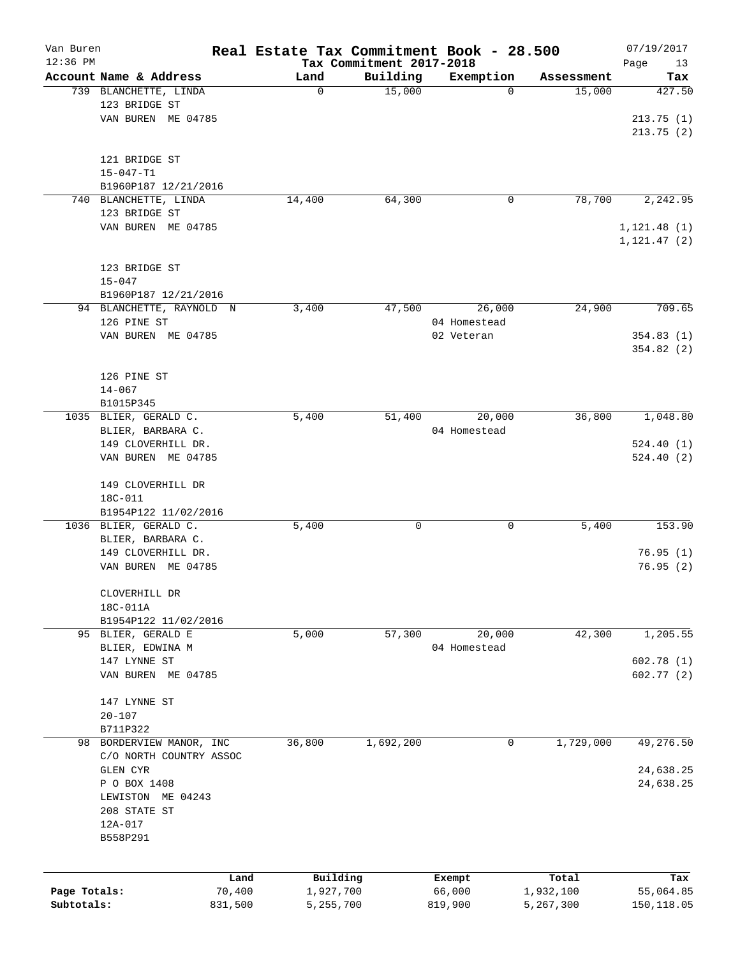| Van Buren    |                                          |         | Real Estate Tax Commitment Book - 28.500 |                                      |              |            | 07/19/2017           |
|--------------|------------------------------------------|---------|------------------------------------------|--------------------------------------|--------------|------------|----------------------|
| $12:36$ PM   | Account Name & Address                   |         | Land                                     | Tax Commitment 2017-2018<br>Building | Exemption    | Assessment | Page<br>13<br>Tax    |
|              | 739 BLANCHETTE, LINDA                    |         | 0                                        | 15,000                               | 0            | 15,000     | 427.50               |
|              | 123 BRIDGE ST                            |         |                                          |                                      |              |            |                      |
|              | VAN BUREN ME 04785                       |         |                                          |                                      |              |            | 213.75(1)            |
|              |                                          |         |                                          |                                      |              |            | 213.75(2)            |
|              |                                          |         |                                          |                                      |              |            |                      |
|              | 121 BRIDGE ST                            |         |                                          |                                      |              |            |                      |
|              | $15 - 047 - T1$                          |         |                                          |                                      |              |            |                      |
|              | B1960P187 12/21/2016                     |         |                                          |                                      |              |            |                      |
| 740          | BLANCHETTE, LINDA                        |         | 14,400                                   | 64,300                               | 0            | 78,700     | 2,242.95             |
|              | 123 BRIDGE ST                            |         |                                          |                                      |              |            |                      |
|              | VAN BUREN ME 04785                       |         |                                          |                                      |              |            | 1, 121.48(1)         |
|              |                                          |         |                                          |                                      |              |            | 1, 121.47 (2)        |
|              | 123 BRIDGE ST                            |         |                                          |                                      |              |            |                      |
|              | $15 - 047$                               |         |                                          |                                      |              |            |                      |
|              | B1960P187 12/21/2016                     |         |                                          |                                      |              |            |                      |
|              | 94 BLANCHETTE, RAYNOLD N                 |         | 3,400                                    | 47,500                               | 26,000       | 24,900     | 709.65               |
|              | 126 PINE ST                              |         |                                          |                                      | 04 Homestead |            |                      |
|              | VAN BUREN ME 04785                       |         |                                          |                                      | 02 Veteran   |            | 354.83(1)            |
|              |                                          |         |                                          |                                      |              |            | 354.82(2)            |
|              |                                          |         |                                          |                                      |              |            |                      |
|              | 126 PINE ST                              |         |                                          |                                      |              |            |                      |
|              | $14 - 067$                               |         |                                          |                                      |              |            |                      |
|              | B1015P345                                |         |                                          |                                      |              |            |                      |
|              | 1035 BLIER, GERALD C.                    |         | 5,400                                    | 51,400                               | 20,000       | 36,800     | 1,048.80             |
|              | BLIER, BARBARA C.                        |         |                                          |                                      | 04 Homestead |            |                      |
|              | 149 CLOVERHILL DR.                       |         |                                          |                                      |              |            | 524.40(1)            |
|              | VAN BUREN ME 04785                       |         |                                          |                                      |              |            | 524.40(2)            |
|              |                                          |         |                                          |                                      |              |            |                      |
|              | 149 CLOVERHILL DR                        |         |                                          |                                      |              |            |                      |
|              | 18C-011                                  |         |                                          |                                      |              |            |                      |
|              | B1954P122 11/02/2016                     |         |                                          |                                      |              |            |                      |
|              | 1036 BLIER, GERALD C.                    |         | 5,400                                    | 0                                    | 0            | 5,400      | 153.90               |
|              | BLIER, BARBARA C.                        |         |                                          |                                      |              |            |                      |
|              | 149 CLOVERHILL DR.<br>VAN BUREN ME 04785 |         |                                          |                                      |              |            | 76.95(1)<br>76.95(2) |
|              |                                          |         |                                          |                                      |              |            |                      |
|              | CLOVERHILL DR                            |         |                                          |                                      |              |            |                      |
|              | 18C-011A                                 |         |                                          |                                      |              |            |                      |
|              | B1954P122 11/02/2016                     |         |                                          |                                      |              |            |                      |
|              | 95 BLIER, GERALD E                       |         | 5,000                                    | 57,300                               | 20,000       | 42,300     | 1,205.55             |
|              | BLIER, EDWINA M                          |         |                                          |                                      | 04 Homestead |            |                      |
|              | 147 LYNNE ST                             |         |                                          |                                      |              |            | 602.78(1)            |
|              | VAN BUREN ME 04785                       |         |                                          |                                      |              |            | 602.77(2)            |
|              |                                          |         |                                          |                                      |              |            |                      |
|              | 147 LYNNE ST                             |         |                                          |                                      |              |            |                      |
|              | $20 - 107$                               |         |                                          |                                      |              |            |                      |
|              | B711P322                                 |         |                                          |                                      |              |            |                      |
|              | 98 BORDERVIEW MANOR, INC                 |         | 36,800                                   | 1,692,200                            | 0            | 1,729,000  | 49,276.50            |
|              | C/O NORTH COUNTRY ASSOC                  |         |                                          |                                      |              |            |                      |
|              | GLEN CYR                                 |         |                                          |                                      |              |            | 24,638.25            |
|              | P O BOX 1408                             |         |                                          |                                      |              |            | 24,638.25            |
|              | LEWISTON ME 04243                        |         |                                          |                                      |              |            |                      |
|              | 208 STATE ST                             |         |                                          |                                      |              |            |                      |
|              | 12A-017                                  |         |                                          |                                      |              |            |                      |
|              | B558P291                                 |         |                                          |                                      |              |            |                      |
|              |                                          |         |                                          |                                      |              |            |                      |
|              |                                          | Land    | Building                                 |                                      | Exempt       | Total      | Tax                  |
| Page Totals: |                                          | 70,400  | 1,927,700                                |                                      | 66,000       | 1,932,100  | 55,064.85            |
| Subtotals:   |                                          | 831,500 | 5,255,700                                |                                      | 819,900      | 5,267,300  | 150, 118.05          |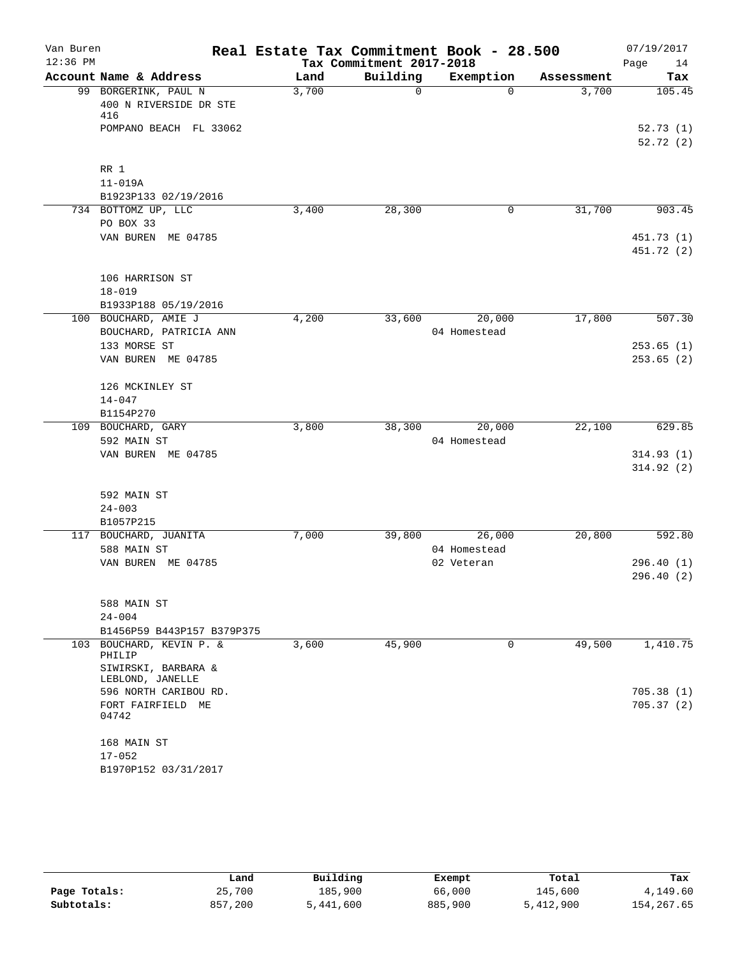| Van Buren  |                                                         | Real Estate Tax Commitment Book - 28.500 |                          |                            |            | 07/19/2017               |
|------------|---------------------------------------------------------|------------------------------------------|--------------------------|----------------------------|------------|--------------------------|
| $12:36$ PM |                                                         |                                          | Tax Commitment 2017-2018 |                            |            | Page<br>14               |
|            | Account Name & Address                                  | Land                                     | Building                 | Exemption                  | Assessment | Tax                      |
|            | 99 BORGERINK, PAUL N<br>400 N RIVERSIDE DR STE<br>416   | 3,700                                    | $\Omega$                 | $\Omega$                   | 3,700      | 105.45                   |
|            | POMPANO BEACH FL 33062                                  |                                          |                          |                            |            | 52.73(1)<br>52.72(2)     |
|            | RR 1<br>$11 - 019A$<br>B1923P133 02/19/2016             |                                          |                          |                            |            |                          |
|            | 734 BOTTOMZ UP, LLC<br>PO BOX 33                        | 3,400                                    | 28,300                   | 0                          | 31,700     | 903.45                   |
|            | VAN BUREN ME 04785                                      |                                          |                          |                            |            | 451.73 (1)<br>451.72 (2) |
|            | 106 HARRISON ST<br>$18 - 019$                           |                                          |                          |                            |            |                          |
|            | B1933P188 05/19/2016<br>100 BOUCHARD, AMIE J            | 4,200                                    | 33,600                   | 20,000                     | 17,800     | 507.30                   |
|            | BOUCHARD, PATRICIA ANN                                  |                                          |                          | 04 Homestead               |            |                          |
|            | 133 MORSE ST<br>VAN BUREN ME 04785                      |                                          |                          |                            |            | 253.65(1)<br>253.65(2)   |
|            | 126 MCKINLEY ST<br>$14 - 047$<br>B1154P270              |                                          |                          |                            |            |                          |
|            | 109 BOUCHARD, GARY                                      | 3,800                                    | 38,300                   | 20,000                     | 22,100     | 629.85                   |
|            | 592 MAIN ST                                             |                                          |                          | 04 Homestead               |            |                          |
|            | VAN BUREN ME 04785                                      |                                          |                          |                            |            | 314.93(1)<br>314.92(2)   |
|            | 592 MAIN ST<br>$24 - 003$<br>B1057P215                  |                                          |                          |                            |            |                          |
|            | 117 BOUCHARD, JUANITA                                   | 7,000                                    | 39,800                   | 26,000                     | 20,800     | 592.80                   |
|            | 588 MAIN ST<br>VAN BUREN ME 04785                       |                                          |                          | 04 Homestead<br>02 Veteran |            | 296.40(1)<br>296.40(2)   |
|            | 588 MAIN ST<br>$24 - 004$<br>B1456P59 B443P157 B379P375 |                                          |                          |                            |            |                          |
|            | 103 BOUCHARD, KEVIN P. &<br>PHILIP                      | 3,600                                    | 45,900                   | 0                          | 49,500     | 1,410.75                 |
|            | SIWIRSKI, BARBARA &<br>LEBLOND, JANELLE                 |                                          |                          |                            |            |                          |
|            | 596 NORTH CARIBOU RD.<br>FORT FAIRFIELD ME<br>04742     |                                          |                          |                            |            | 705.38(1)<br>705.37(2)   |
|            | 168 MAIN ST<br>$17 - 052$                               |                                          |                          |                            |            |                          |
|            | B1970P152 03/31/2017                                    |                                          |                          |                            |            |                          |

|              | Land    | Building  | Exempt  | Total     | Tax         |
|--------------|---------|-----------|---------|-----------|-------------|
| Page Totals: | 25,700  | 185,900   | 66,000  | 145,600   | 4,149.60    |
| Subtotals:   | 857,200 | 5,441,600 | 885,900 | 5,412,900 | 154, 267.65 |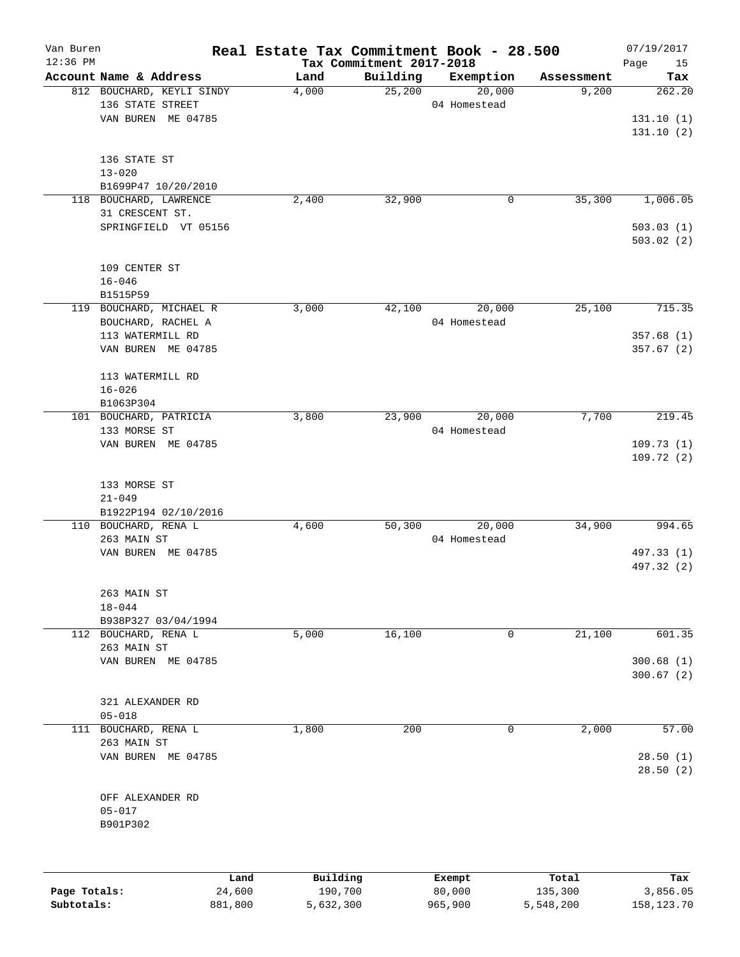| Van Buren    |                                              | Real Estate Tax Commitment Book - 28.500 |                          |                        |                     | 07/19/2017    |
|--------------|----------------------------------------------|------------------------------------------|--------------------------|------------------------|---------------------|---------------|
| $12:36$ PM   | Account Name & Address                       |                                          | Tax Commitment 2017-2018 |                        |                     | Page<br>15    |
|              | 812 BOUCHARD, KEYLI SINDY                    | Land<br>4,000                            | Building<br>25,200       | Exemption<br>20,000    | Assessment<br>9,200 | Tax<br>262.20 |
|              | 136 STATE STREET                             |                                          |                          | 04 Homestead           |                     |               |
|              | VAN BUREN ME 04785                           |                                          |                          |                        |                     | 131.10(1)     |
|              |                                              |                                          |                          |                        |                     | 131.10(2)     |
|              |                                              |                                          |                          |                        |                     |               |
|              | 136 STATE ST                                 |                                          |                          |                        |                     |               |
|              | $13 - 020$                                   |                                          |                          |                        |                     |               |
|              | B1699P47 10/20/2010                          |                                          |                          |                        |                     |               |
| 118          | BOUCHARD, LAWRENCE                           | 2,400                                    | 32,900                   | $\mathsf{O}$           | 35,300              | 1,006.05      |
|              | 31 CRESCENT ST.                              |                                          |                          |                        |                     |               |
|              | SPRINGFIELD VT 05156                         |                                          |                          |                        |                     | 503.03(1)     |
|              |                                              |                                          |                          |                        |                     | 503.02(2)     |
|              |                                              |                                          |                          |                        |                     |               |
|              | 109 CENTER ST<br>$16 - 046$                  |                                          |                          |                        |                     |               |
|              | B1515P59                                     |                                          |                          |                        |                     |               |
| 119          | BOUCHARD, MICHAEL R                          | 3,000                                    | 42,100                   | 20,000                 | 25,100              | 715.35        |
|              | BOUCHARD, RACHEL A                           |                                          |                          | 04 Homestead           |                     |               |
|              | 113 WATERMILL RD                             |                                          |                          |                        |                     | 357.68(1)     |
|              | VAN BUREN ME 04785                           |                                          |                          |                        |                     | 357.67(2)     |
|              |                                              |                                          |                          |                        |                     |               |
|              | 113 WATERMILL RD                             |                                          |                          |                        |                     |               |
|              | $16 - 026$                                   |                                          |                          |                        |                     |               |
|              | B1063P304                                    |                                          |                          |                        |                     |               |
|              | 101 BOUCHARD, PATRICIA                       | 3,800                                    | 23,900                   | 20,000                 | 7,700               | 219.45        |
|              | 133 MORSE ST                                 |                                          |                          | 04 Homestead           |                     |               |
|              | VAN BUREN ME 04785                           |                                          |                          |                        |                     | 109.73(1)     |
|              |                                              |                                          |                          |                        |                     | 109.72(2)     |
|              |                                              |                                          |                          |                        |                     |               |
|              | 133 MORSE ST                                 |                                          |                          |                        |                     |               |
|              | $21 - 049$                                   |                                          |                          |                        |                     |               |
|              | B1922P194 02/10/2016<br>110 BOUCHARD, RENA L |                                          |                          |                        | 34,900              | 994.65        |
|              | 263 MAIN ST                                  | 4,600                                    | 50,300                   | 20,000<br>04 Homestead |                     |               |
|              | VAN BUREN ME 04785                           |                                          |                          |                        |                     | 497.33 (1)    |
|              |                                              |                                          |                          |                        |                     | 497.32 (2)    |
|              |                                              |                                          |                          |                        |                     |               |
|              | 263 MAIN ST                                  |                                          |                          |                        |                     |               |
|              | $18 - 044$                                   |                                          |                          |                        |                     |               |
|              | B938P327 03/04/1994                          |                                          |                          |                        |                     |               |
|              | 112 BOUCHARD, RENA L                         | 5,000                                    | 16,100                   | 0                      | 21,100              | 601.35        |
|              | 263 MAIN ST                                  |                                          |                          |                        |                     |               |
|              | VAN BUREN ME 04785                           |                                          |                          |                        |                     | 300.68(1)     |
|              |                                              |                                          |                          |                        |                     | 300.67(2)     |
|              |                                              |                                          |                          |                        |                     |               |
|              | 321 ALEXANDER RD                             |                                          |                          |                        |                     |               |
|              | $05 - 018$                                   |                                          |                          |                        |                     |               |
| 111          | BOUCHARD, RENA L<br>263 MAIN ST              | 1,800                                    | 200                      | 0                      | 2,000               | 57.00         |
|              | VAN BUREN ME 04785                           |                                          |                          |                        |                     | 28.50(1)      |
|              |                                              |                                          |                          |                        |                     | 28.50(2)      |
|              |                                              |                                          |                          |                        |                     |               |
|              | OFF ALEXANDER RD                             |                                          |                          |                        |                     |               |
|              | $05 - 017$                                   |                                          |                          |                        |                     |               |
|              | B901P302                                     |                                          |                          |                        |                     |               |
|              |                                              |                                          |                          |                        |                     |               |
|              |                                              |                                          |                          |                        |                     |               |
|              | Land                                         | Building                                 |                          | Exempt                 | Total               | Tax           |
| Page Totals: | 24,600                                       | 190,700                                  |                          | 80,000                 | 135,300             | 3,856.05      |
| Subtotals:   | 881,800                                      | 5,632,300                                |                          | 965,900                | 5,548,200           | 158,123.70    |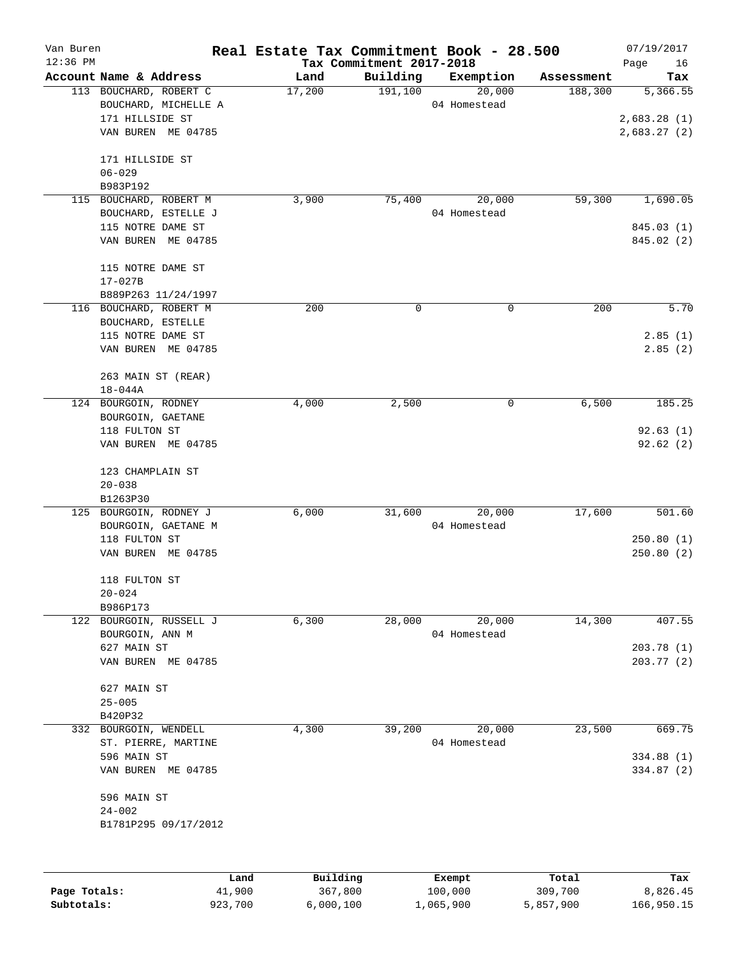| Van Buren    |                        | Real Estate Tax Commitment Book - 28.500 |                                      |              |            | 07/19/2017        |
|--------------|------------------------|------------------------------------------|--------------------------------------|--------------|------------|-------------------|
| $12:36$ PM   | Account Name & Address | Land                                     | Tax Commitment 2017-2018<br>Building | Exemption    | Assessment | Page<br>16<br>Tax |
|              | 113 BOUCHARD, ROBERT C | 17,200                                   | 191,100                              | 20,000       | 188,300    | 5,366.55          |
|              | BOUCHARD, MICHELLE A   |                                          |                                      | 04 Homestead |            |                   |
|              | 171 HILLSIDE ST        |                                          |                                      |              |            | 2,683.28(1)       |
|              | VAN BUREN ME 04785     |                                          |                                      |              |            | 2,683.27(2)       |
|              |                        |                                          |                                      |              |            |                   |
|              | 171 HILLSIDE ST        |                                          |                                      |              |            |                   |
|              | $06 - 029$             |                                          |                                      |              |            |                   |
|              | B983P192               |                                          |                                      |              |            |                   |
| 115          | BOUCHARD, ROBERT M     | 3,900                                    | 75,400                               | 20,000       | 59,300     | 1,690.05          |
|              | BOUCHARD, ESTELLE J    |                                          |                                      | 04 Homestead |            |                   |
|              | 115 NOTRE DAME ST      |                                          |                                      |              |            | 845.03 (1)        |
|              | VAN BUREN ME 04785     |                                          |                                      |              |            | 845.02 (2)        |
|              | 115 NOTRE DAME ST      |                                          |                                      |              |            |                   |
|              | $17 - 027B$            |                                          |                                      |              |            |                   |
|              | B889P263 11/24/1997    |                                          |                                      |              |            |                   |
|              | 116 BOUCHARD, ROBERT M | 200                                      | 0                                    | 0            | 200        | 5.70              |
|              | BOUCHARD, ESTELLE      |                                          |                                      |              |            |                   |
|              | 115 NOTRE DAME ST      |                                          |                                      |              |            | 2.85(1)           |
|              | VAN BUREN ME 04785     |                                          |                                      |              |            | 2.85(2)           |
|              |                        |                                          |                                      |              |            |                   |
|              | 263 MAIN ST (REAR)     |                                          |                                      |              |            |                   |
|              | $18 - 044A$            |                                          |                                      |              |            |                   |
|              | 124 BOURGOIN, RODNEY   | 4,000                                    | 2,500                                | 0            | 6,500      | 185.25            |
|              | BOURGOIN, GAETANE      |                                          |                                      |              |            |                   |
|              | 118 FULTON ST          |                                          |                                      |              |            | 92.63(1)          |
|              | VAN BUREN ME 04785     |                                          |                                      |              |            | 92.62(2)          |
|              | 123 CHAMPLAIN ST       |                                          |                                      |              |            |                   |
|              | $20 - 038$             |                                          |                                      |              |            |                   |
|              | B1263P30               |                                          |                                      |              |            |                   |
| 125          | BOURGOIN, RODNEY J     | 6,000                                    | 31,600                               | 20,000       | 17,600     | 501.60            |
|              | BOURGOIN, GAETANE M    |                                          |                                      | 04 Homestead |            |                   |
|              | 118 FULTON ST          |                                          |                                      |              |            | 250.80(1)         |
|              | VAN BUREN ME 04785     |                                          |                                      |              |            | 250.80(2)         |
|              | 118 FULTON ST          |                                          |                                      |              |            |                   |
|              | $20 - 024$             |                                          |                                      |              |            |                   |
|              | B986P173               |                                          |                                      |              |            |                   |
| 122          | BOURGOIN, RUSSELL J    | 6,300                                    | 28,000                               | 20,000       | 14,300     | 407.55            |
|              | BOURGOIN, ANN M        |                                          |                                      | 04 Homestead |            |                   |
|              | 627 MAIN ST            |                                          |                                      |              |            | 203.78(1)         |
|              | VAN BUREN ME 04785     |                                          |                                      |              |            | 203.77(2)         |
|              |                        |                                          |                                      |              |            |                   |
|              | 627 MAIN ST            |                                          |                                      |              |            |                   |
|              | $25 - 005$             |                                          |                                      |              |            |                   |
|              | B420P32                |                                          |                                      |              |            |                   |
| 332          | BOURGOIN, WENDELL      | 4,300                                    | 39,200                               | 20,000       | 23,500     | 669.75            |
|              | ST. PIERRE, MARTINE    |                                          |                                      | 04 Homestead |            |                   |
|              | 596 MAIN ST            |                                          |                                      |              |            | 334.88(1)         |
|              | VAN BUREN ME 04785     |                                          |                                      |              |            | 334.87 (2)        |
|              | 596 MAIN ST            |                                          |                                      |              |            |                   |
|              | $24 - 002$             |                                          |                                      |              |            |                   |
|              | B1781P295 09/17/2012   |                                          |                                      |              |            |                   |
|              |                        |                                          |                                      |              |            |                   |
|              |                        | Building<br>Land                         |                                      | Exempt       | Total      | Tax               |
| Page Totals: | 41,900                 | 367,800                                  |                                      | 100,000      | 309,700    | 8,826.45          |
| Subtotals:   | 923,700                | 6,000,100                                |                                      | 1,065,900    | 5,857,900  | 166,950.15        |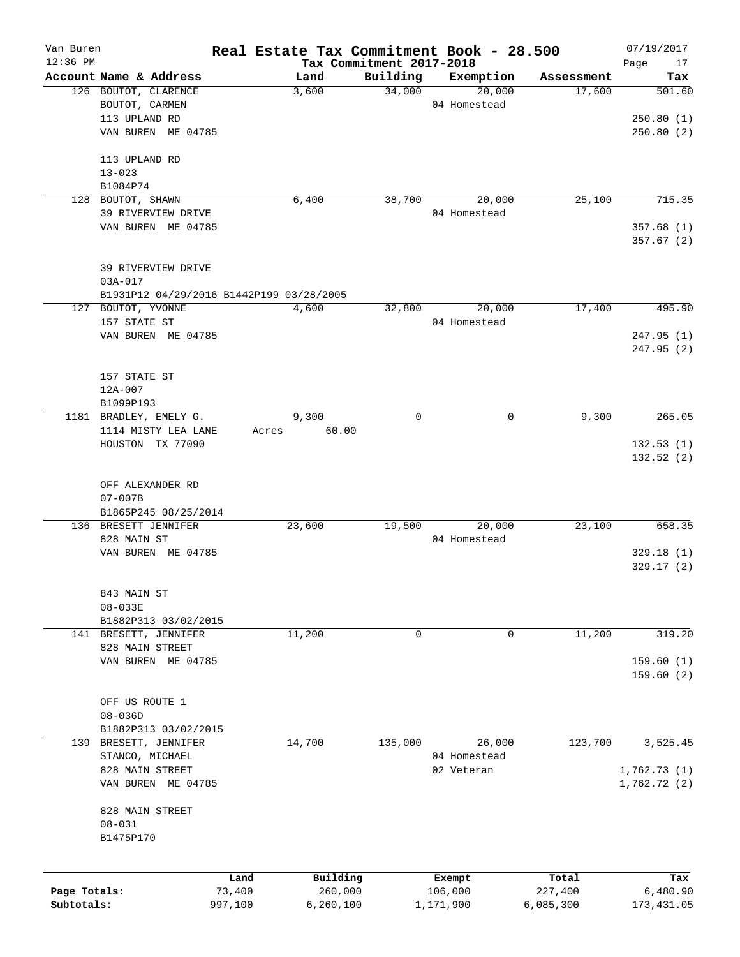| Van Buren    |                                          | Real Estate Tax Commitment Book - 28.500 |          |              |            | 07/19/2017        |
|--------------|------------------------------------------|------------------------------------------|----------|--------------|------------|-------------------|
| $12:36$ PM   | Account Name & Address                   | Tax Commitment 2017-2018<br>Land         | Building | Exemption    | Assessment | Page<br>17<br>Tax |
|              | 126 BOUTOT, CLARENCE                     | 3,600                                    | 34,000   | 20,000       | 17,600     | 501.60            |
|              | BOUTOT, CARMEN                           |                                          |          | 04 Homestead |            |                   |
|              | 113 UPLAND RD                            |                                          |          |              |            | 250.80(1)         |
|              | VAN BUREN ME 04785                       |                                          |          |              |            | 250.80(2)         |
|              |                                          |                                          |          |              |            |                   |
|              | 113 UPLAND RD                            |                                          |          |              |            |                   |
|              | $13 - 023$                               |                                          |          |              |            |                   |
|              | B1084P74                                 |                                          |          |              |            |                   |
|              | 128 BOUTOT, SHAWN                        | 6,400                                    | 38,700   | 20,000       | 25,100     | 715.35            |
|              | 39 RIVERVIEW DRIVE                       |                                          |          | 04 Homestead |            |                   |
|              | VAN BUREN ME 04785                       |                                          |          |              |            | 357.68(1)         |
|              |                                          |                                          |          |              |            | 357.67 (2)        |
|              |                                          |                                          |          |              |            |                   |
|              | 39 RIVERVIEW DRIVE                       |                                          |          |              |            |                   |
|              | $03A - 017$                              |                                          |          |              |            |                   |
|              | B1931P12 04/29/2016 B1442P199 03/28/2005 |                                          |          |              |            |                   |
|              | 127 BOUTOT, YVONNE                       | 4,600                                    | 32,800   | 20,000       | 17,400     | 495.90            |
|              | 157 STATE ST                             |                                          |          | 04 Homestead |            |                   |
|              | VAN BUREN ME 04785                       |                                          |          |              |            | 247.95(1)         |
|              |                                          |                                          |          |              |            | 247.95(2)         |
|              |                                          |                                          |          |              |            |                   |
|              | 157 STATE ST                             |                                          |          |              |            |                   |
|              | $12A - 007$                              |                                          |          |              |            |                   |
|              | B1099P193                                |                                          |          |              |            |                   |
|              | 1181 BRADLEY, EMELY G.                   | 9,300                                    | 0        | $\mathbf 0$  | 9,300      | 265.05            |
|              | 1114 MISTY LEA LANE                      | 60.00<br>Acres                           |          |              |            |                   |
|              | HOUSTON TX 77090                         |                                          |          |              |            | 132.53(1)         |
|              |                                          |                                          |          |              |            | 132.52(2)         |
|              |                                          |                                          |          |              |            |                   |
|              | OFF ALEXANDER RD<br>$07 - 007B$          |                                          |          |              |            |                   |
|              | B1865P245 08/25/2014                     |                                          |          |              |            |                   |
|              | 136 BRESETT JENNIFER                     | 23,600                                   | 19,500   | 20,000       | 23,100     | 658.35            |
|              | 828 MAIN ST                              |                                          |          | 04 Homestead |            |                   |
|              | VAN BUREN ME 04785                       |                                          |          |              |            | 329.18(1)         |
|              |                                          |                                          |          |              |            | 329.17(2)         |
|              |                                          |                                          |          |              |            |                   |
|              | 843 MAIN ST                              |                                          |          |              |            |                   |
|              | $08 - 033E$                              |                                          |          |              |            |                   |
|              | B1882P313 03/02/2015                     |                                          |          |              |            |                   |
|              | 141 BRESETT, JENNIFER                    | 11,200                                   | 0        | 0            | 11,200     | 319.20            |
|              | 828 MAIN STREET                          |                                          |          |              |            |                   |
|              | VAN BUREN ME 04785                       |                                          |          |              |            | 159.60(1)         |
|              |                                          |                                          |          |              |            | 159.60(2)         |
|              |                                          |                                          |          |              |            |                   |
|              | OFF US ROUTE 1                           |                                          |          |              |            |                   |
|              | $08 - 036D$                              |                                          |          |              |            |                   |
|              | B1882P313 03/02/2015                     |                                          |          |              |            |                   |
| 139          | BRESETT, JENNIFER                        | 14,700                                   | 135,000  | 26,000       | 123,700    | 3,525.45          |
|              | STANCO, MICHAEL                          |                                          |          | 04 Homestead |            |                   |
|              | 828 MAIN STREET                          |                                          |          | 02 Veteran   |            | 1,762.73(1)       |
|              | VAN BUREN ME 04785                       |                                          |          |              |            | 1,762.72(2)       |
|              |                                          |                                          |          |              |            |                   |
|              | 828 MAIN STREET                          |                                          |          |              |            |                   |
|              | $08 - 031$                               |                                          |          |              |            |                   |
|              | B1475P170                                |                                          |          |              |            |                   |
|              |                                          |                                          |          |              |            |                   |
|              | Land                                     | Building                                 |          | Exempt       | Total      | Tax               |
| Page Totals: | 73,400                                   | 260,000                                  |          | 106,000      | 227,400    | 6,480.90          |
| Subtotals:   | 997,100                                  | 6,260,100                                |          | 1,171,900    | 6,085,300  | 173, 431.05       |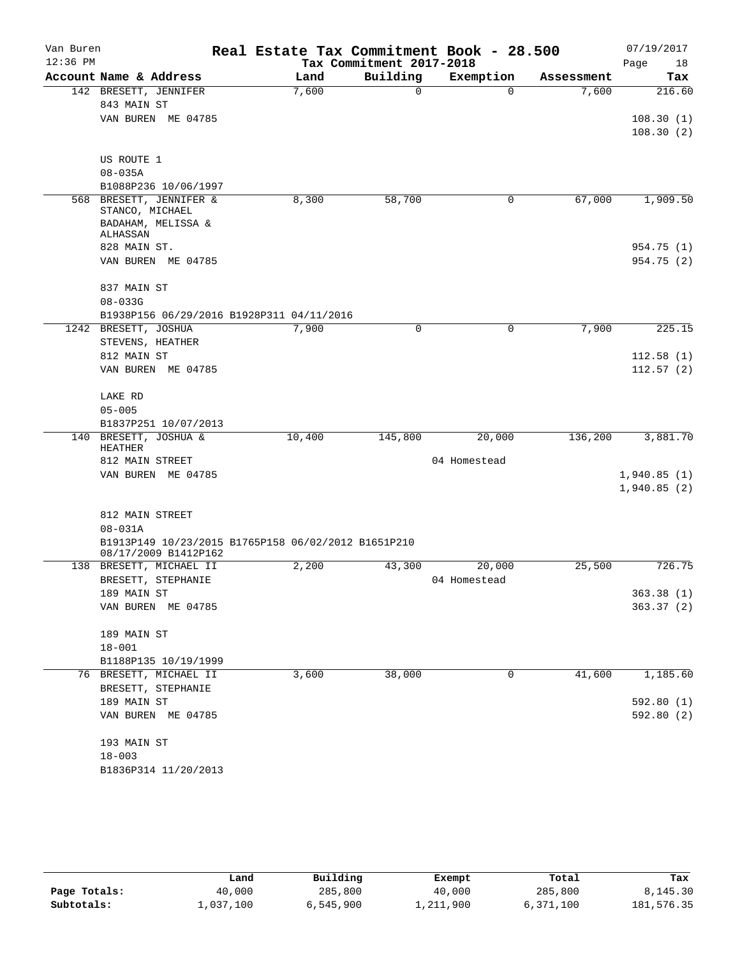| Van Buren  |                                                                             |        | Real Estate Tax Commitment Book - 28.500 |              |            | 07/19/2017             |
|------------|-----------------------------------------------------------------------------|--------|------------------------------------------|--------------|------------|------------------------|
| $12:36$ PM |                                                                             |        | Tax Commitment 2017-2018                 |              |            | Page<br>18             |
|            | Account Name & Address                                                      | Land   | Building                                 | Exemption    | Assessment | Tax                    |
|            | 142 BRESETT, JENNIFER<br>843 MAIN ST                                        | 7,600  | $\mathbf 0$                              | $\Omega$     | 7,600      | 216.60                 |
|            | VAN BUREN ME 04785                                                          |        |                                          |              |            | 108.30(1)              |
|            |                                                                             |        |                                          |              |            | 108.30(2)              |
|            | US ROUTE 1                                                                  |        |                                          |              |            |                        |
|            | $08 - 035A$                                                                 |        |                                          |              |            |                        |
|            | B1088P236 10/06/1997                                                        |        |                                          |              |            |                        |
|            | 568 BRESETT, JENNIFER &<br>STANCO, MICHAEL                                  | 8,300  | 58,700                                   | 0            | 67,000     | 1,909.50               |
|            | BADAHAM, MELISSA &<br>ALHASSAN                                              |        |                                          |              |            |                        |
|            | 828 MAIN ST.                                                                |        |                                          |              |            | 954.75 (1)             |
|            | VAN BUREN ME 04785                                                          |        |                                          |              |            | 954.75 (2)             |
|            | 837 MAIN ST                                                                 |        |                                          |              |            |                        |
|            | $08 - 033G$                                                                 |        |                                          |              |            |                        |
|            | B1938P156 06/29/2016 B1928P311 04/11/2016                                   |        |                                          |              |            |                        |
|            | 1242 BRESETT, JOSHUA                                                        | 7,900  | $\mathbf 0$                              | $\mathbf 0$  | 7,900      | 225.15                 |
|            | STEVENS, HEATHER<br>812 MAIN ST                                             |        |                                          |              |            |                        |
|            | VAN BUREN ME 04785                                                          |        |                                          |              |            | 112.58(1)<br>112.57(2) |
|            |                                                                             |        |                                          |              |            |                        |
|            | LAKE RD                                                                     |        |                                          |              |            |                        |
|            | $05 - 005$                                                                  |        |                                          |              |            |                        |
|            | B1837P251 10/07/2013                                                        |        |                                          |              |            |                        |
| 140        | BRESETT, JOSHUA &                                                           | 10,400 | 145,800                                  | 20,000       | 136,200    | 3,881.70               |
|            | HEATHER                                                                     |        |                                          |              |            |                        |
|            | 812 MAIN STREET<br>VAN BUREN ME 04785                                       |        |                                          | 04 Homestead |            | 1,940.85(1)            |
|            |                                                                             |        |                                          |              |            | 1,940.85(2)            |
|            |                                                                             |        |                                          |              |            |                        |
|            | 812 MAIN STREET                                                             |        |                                          |              |            |                        |
|            | $08 - 031A$                                                                 |        |                                          |              |            |                        |
|            | B1913P149 10/23/2015 B1765P158 06/02/2012 B1651P210<br>08/17/2009 B1412P162 |        |                                          |              |            |                        |
|            | 138 BRESETT, MICHAEL II                                                     | 2,200  | 43,300                                   | 20,000       | 25,500     | 726.75                 |
|            | BRESETT, STEPHANIE                                                          |        |                                          | 04 Homestead |            |                        |
|            | 189 MAIN ST                                                                 |        |                                          |              |            | 363.38 (1)             |
|            | VAN BUREN ME 04785                                                          |        |                                          |              |            | 363.37 (2)             |
|            | 189 MAIN ST                                                                 |        |                                          |              |            |                        |
|            | $18 - 001$                                                                  |        |                                          |              |            |                        |
|            | B1188P135 10/19/1999                                                        |        |                                          |              |            |                        |
|            | 76 BRESETT, MICHAEL II                                                      | 3,600  | 38,000                                   | 0            | 41,600     | 1,185.60               |
|            | BRESETT, STEPHANIE                                                          |        |                                          |              |            |                        |
|            | 189 MAIN ST                                                                 |        |                                          |              |            | 592.80(1)              |
|            | VAN BUREN ME 04785                                                          |        |                                          |              |            | 592.80(2)              |
|            | 193 MAIN ST                                                                 |        |                                          |              |            |                        |
|            | $18 - 003$                                                                  |        |                                          |              |            |                        |
|            | B1836P314 11/20/2013                                                        |        |                                          |              |            |                        |
|            |                                                                             |        |                                          |              |            |                        |

|              | Land      | Building  | Exempt    | Total     | Tax        |
|--------------|-----------|-----------|-----------|-----------|------------|
| Page Totals: | 40,000    | 285,800   | 40,000    | 285,800   | 8,145.30   |
| Subtotals:   | 1,037,100 | 6,545,900 | 1,211,900 | 6,371,100 | 181,576.35 |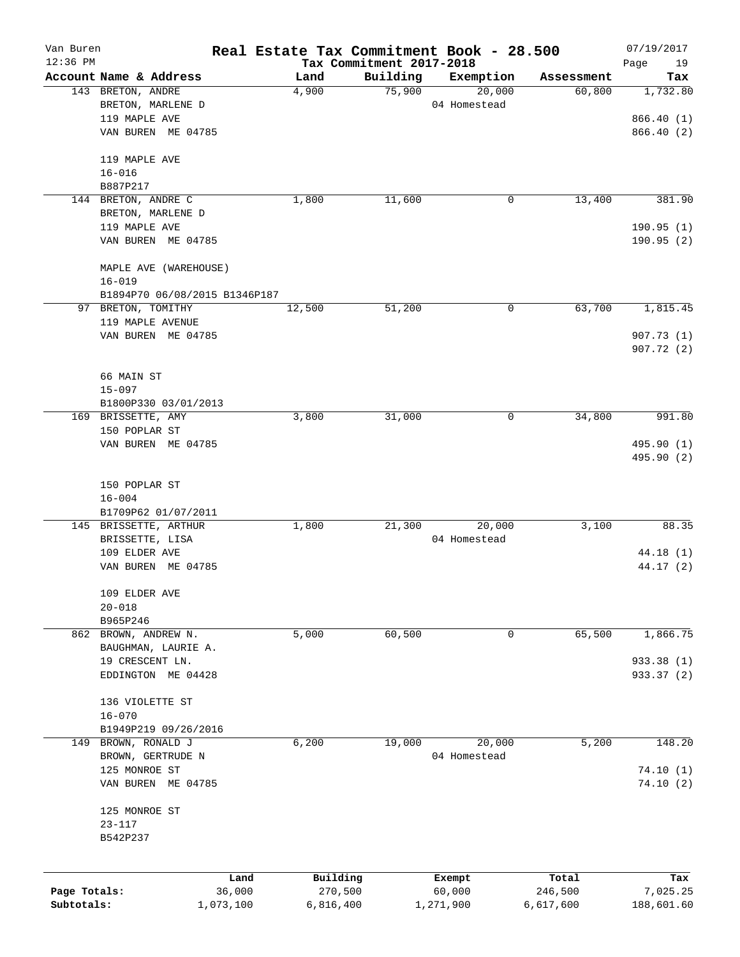| Van Buren<br>12:36 PM |                                              | Real Estate Tax Commitment Book - 28.500 |                                      |              |            | 07/19/2017        |
|-----------------------|----------------------------------------------|------------------------------------------|--------------------------------------|--------------|------------|-------------------|
|                       | Account Name & Address                       | Land                                     | Tax Commitment 2017-2018<br>Building | Exemption    | Assessment | Page<br>19<br>Tax |
|                       | 143 BRETON, ANDRE                            | 4,900                                    | 75,900                               | 20,000       | 60,800     | 1,732.80          |
|                       | BRETON, MARLENE D                            |                                          |                                      | 04 Homestead |            |                   |
|                       | 119 MAPLE AVE                                |                                          |                                      |              |            | 866.40 (1)        |
|                       | VAN BUREN ME 04785                           |                                          |                                      |              |            | 866.40 (2)        |
|                       | 119 MAPLE AVE                                |                                          |                                      |              |            |                   |
|                       | $16 - 016$                                   |                                          |                                      |              |            |                   |
|                       | B887P217                                     |                                          |                                      |              |            |                   |
|                       | 144 BRETON, ANDRE C                          | 1,800                                    | 11,600                               | 0            | 13,400     | 381.90            |
|                       | BRETON, MARLENE D                            |                                          |                                      |              |            |                   |
|                       | 119 MAPLE AVE                                |                                          |                                      |              |            | 190.95(1)         |
|                       | VAN BUREN ME 04785                           |                                          |                                      |              |            | 190.95(2)         |
|                       | MAPLE AVE (WAREHOUSE)                        |                                          |                                      |              |            |                   |
|                       | $16 - 019$                                   |                                          |                                      |              |            |                   |
|                       | B1894P70 06/08/2015 B1346P187                |                                          |                                      |              |            |                   |
|                       | 97 BRETON, TOMITHY                           | 12,500                                   | 51,200                               | 0            | 63,700     | 1,815.45          |
|                       | 119 MAPLE AVENUE                             |                                          |                                      |              |            |                   |
|                       | VAN BUREN ME 04785                           |                                          |                                      |              |            | 907.73(1)         |
|                       |                                              |                                          |                                      |              |            | 907.72(2)         |
|                       | 66 MAIN ST                                   |                                          |                                      |              |            |                   |
|                       | $15 - 097$                                   |                                          |                                      |              |            |                   |
|                       | B1800P330 03/01/2013                         |                                          |                                      |              |            |                   |
|                       | 169 BRISSETTE, AMY                           | 3,800                                    | 31,000                               | 0            | 34,800     | 991.80            |
|                       | 150 POPLAR ST                                |                                          |                                      |              |            |                   |
|                       | VAN BUREN ME 04785                           |                                          |                                      |              |            | 495.90 (1)        |
|                       |                                              |                                          |                                      |              |            | 495.90 (2)        |
|                       |                                              |                                          |                                      |              |            |                   |
|                       | 150 POPLAR ST                                |                                          |                                      |              |            |                   |
|                       | $16 - 004$                                   |                                          |                                      |              |            |                   |
|                       | B1709P62 01/07/2011<br>145 BRISSETTE, ARTHUR | 1,800                                    | 21,300                               | 20,000       | 3,100      | 88.35             |
|                       | BRISSETTE, LISA                              |                                          |                                      | 04 Homestead |            |                   |
|                       | 109 ELDER AVE                                |                                          |                                      |              |            | 44.18 (1)         |
|                       | VAN BUREN<br>ME 04785                        |                                          |                                      |              |            | 44.17 (2)         |
|                       |                                              |                                          |                                      |              |            |                   |
|                       | 109 ELDER AVE                                |                                          |                                      |              |            |                   |
|                       | $20 - 018$                                   |                                          |                                      |              |            |                   |
|                       | B965P246                                     |                                          |                                      |              |            |                   |
|                       | 862 BROWN, ANDREW N.                         | 5,000                                    | 60,500                               | 0            | 65,500     | 1,866.75          |
|                       | BAUGHMAN, LAURIE A.<br>19 CRESCENT LN.       |                                          |                                      |              |            | 933.38 (1)        |
|                       | EDDINGTON ME 04428                           |                                          |                                      |              |            | 933.37 (2)        |
|                       |                                              |                                          |                                      |              |            |                   |
|                       | 136 VIOLETTE ST                              |                                          |                                      |              |            |                   |
|                       | $16 - 070$                                   |                                          |                                      |              |            |                   |
|                       | B1949P219 09/26/2016                         |                                          |                                      |              |            |                   |
| 149                   | BROWN, RONALD J                              | 6,200                                    | 19,000                               | 20,000       | 5,200      | 148.20            |
|                       | BROWN, GERTRUDE N                            |                                          |                                      | 04 Homestead |            |                   |
|                       | 125 MONROE ST                                |                                          |                                      |              |            | 74.10(1)          |
|                       | VAN BUREN ME 04785                           |                                          |                                      |              |            | 74.10(2)          |
|                       | 125 MONROE ST                                |                                          |                                      |              |            |                   |
|                       | $23 - 117$                                   |                                          |                                      |              |            |                   |
|                       | B542P237                                     |                                          |                                      |              |            |                   |
|                       |                                              |                                          |                                      |              |            |                   |
|                       | Land                                         | Building                                 |                                      | Exempt       | Total      | Tax               |
| Page Totals:          | 36,000                                       | 270,500                                  |                                      | 60,000       | 246,500    | 7,025.25          |
| Subtotals:            | 1,073,100                                    | 6,816,400                                |                                      | 1,271,900    | 6,617,600  | 188,601.60        |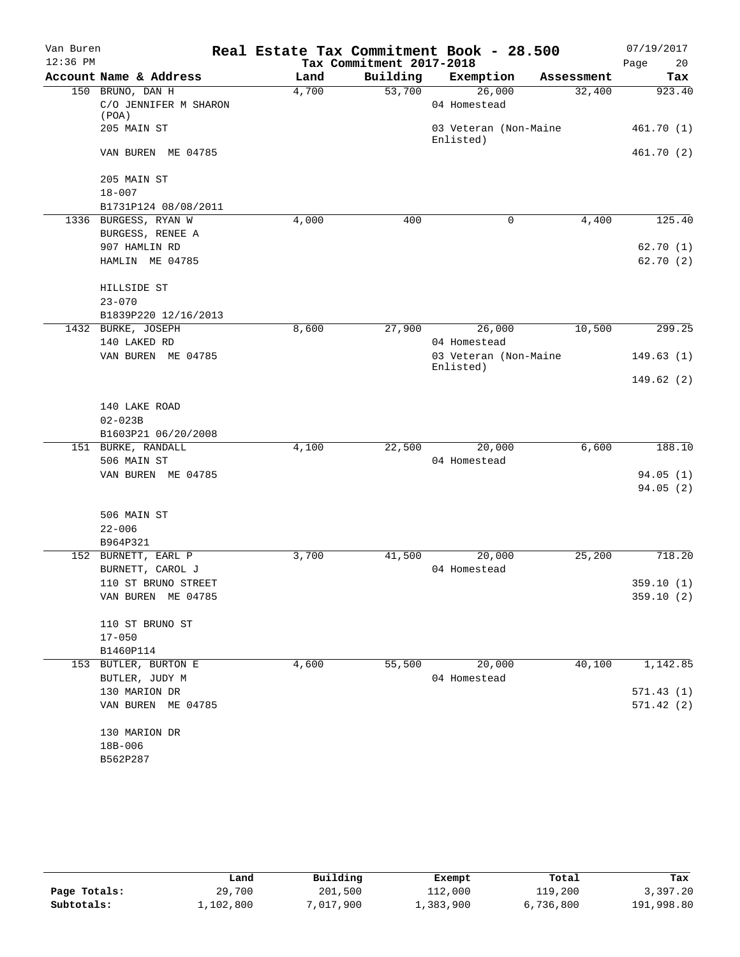| $12:36$ PM<br>Tax Commitment 2017-2018<br>Account Name & Address<br>Building<br>Land<br>Exemption<br>Assessment<br>150 BRUNO, DAN H<br>53,700<br>4,700<br>26,000<br>32,400<br>C/O JENNIFER M SHARON<br>04 Homestead<br>(POA) | 20<br>Page<br>Tax       |
|------------------------------------------------------------------------------------------------------------------------------------------------------------------------------------------------------------------------------|-------------------------|
|                                                                                                                                                                                                                              | 923.40                  |
|                                                                                                                                                                                                                              | 461.70(1)<br>461.70 (2) |
|                                                                                                                                                                                                                              |                         |
| 205 MAIN ST<br>03 Veteran (Non-Maine<br>Enlisted)                                                                                                                                                                            |                         |
| VAN BUREN ME 04785                                                                                                                                                                                                           |                         |
| 205 MAIN ST                                                                                                                                                                                                                  |                         |
| $18 - 007$<br>B1731P124 08/08/2011                                                                                                                                                                                           |                         |
| 1336 BURGESS, RYAN W<br>4,000<br>400<br>$\mathbf 0$<br>4,400                                                                                                                                                                 | 125.40                  |
| BURGESS, RENEE A                                                                                                                                                                                                             |                         |
| 907 HAMLIN RD                                                                                                                                                                                                                | 62.70(1)                |
| HAMLIN ME 04785                                                                                                                                                                                                              | 62.70(2)                |
|                                                                                                                                                                                                                              |                         |
| HILLSIDE ST                                                                                                                                                                                                                  |                         |
| $23 - 070$                                                                                                                                                                                                                   |                         |
| B1839P220 12/16/2013                                                                                                                                                                                                         |                         |
| 8,600<br>27,900<br>26,000<br>10,500<br>1432 BURKE, JOSEPH                                                                                                                                                                    | 299.25                  |
| 140 LAKED RD<br>04 Homestead                                                                                                                                                                                                 |                         |
| VAN BUREN ME 04785<br>03 Veteran (Non-Maine<br>Enlisted)                                                                                                                                                                     | 149.63(1)               |
|                                                                                                                                                                                                                              | 149.62(2)               |
| 140 LAKE ROAD                                                                                                                                                                                                                |                         |
| $02 - 023B$                                                                                                                                                                                                                  |                         |
| B1603P21 06/20/2008                                                                                                                                                                                                          |                         |
| 151 BURKE, RANDALL<br>4,100<br>22,500<br>20,000<br>6,600                                                                                                                                                                     | 188.10                  |
| 506 MAIN ST<br>04 Homestead                                                                                                                                                                                                  |                         |
| VAN BUREN ME 04785                                                                                                                                                                                                           | 94.05(1)                |
|                                                                                                                                                                                                                              | 94.05(2)                |
| 506 MAIN ST                                                                                                                                                                                                                  |                         |
| $22 - 006$                                                                                                                                                                                                                   |                         |
| B964P321                                                                                                                                                                                                                     |                         |
| 25,200<br>152 BURNETT, EARL P<br>3,700<br>41,500<br>20,000                                                                                                                                                                   | 718.20                  |
| BURNETT, CAROL J<br>04 Homestead                                                                                                                                                                                             |                         |
| 110 ST BRUNO STREET                                                                                                                                                                                                          | 359.10 (1)              |
| VAN BUREN ME 04785                                                                                                                                                                                                           | 359.10(2)               |
| 110 ST BRUNO ST                                                                                                                                                                                                              |                         |
| $17 - 050$                                                                                                                                                                                                                   |                         |
| B1460P114                                                                                                                                                                                                                    |                         |
| 4,600<br>55,500<br>20,000<br>40,100<br>153 BUTLER, BURTON E                                                                                                                                                                  | 1,142.85                |
| 04 Homestead<br>BUTLER, JUDY M                                                                                                                                                                                               |                         |
| 130 MARION DR                                                                                                                                                                                                                | 571.43(1)               |
| VAN BUREN ME 04785                                                                                                                                                                                                           | 571.42(2)               |
| 130 MARION DR                                                                                                                                                                                                                |                         |
| 18B-006                                                                                                                                                                                                                      |                         |
| B562P287                                                                                                                                                                                                                     |                         |

|              | Land      | Building  | Exempt    | Total     | Tax        |
|--------------|-----------|-----------|-----------|-----------|------------|
| Page Totals: | 29,700    | 201,500   | 112,000   | 119,200   | 3,397.20   |
| Subtotals:   | 1,102,800 | 7,017,900 | ⊥,383,900 | 6,736,800 | 191,998.80 |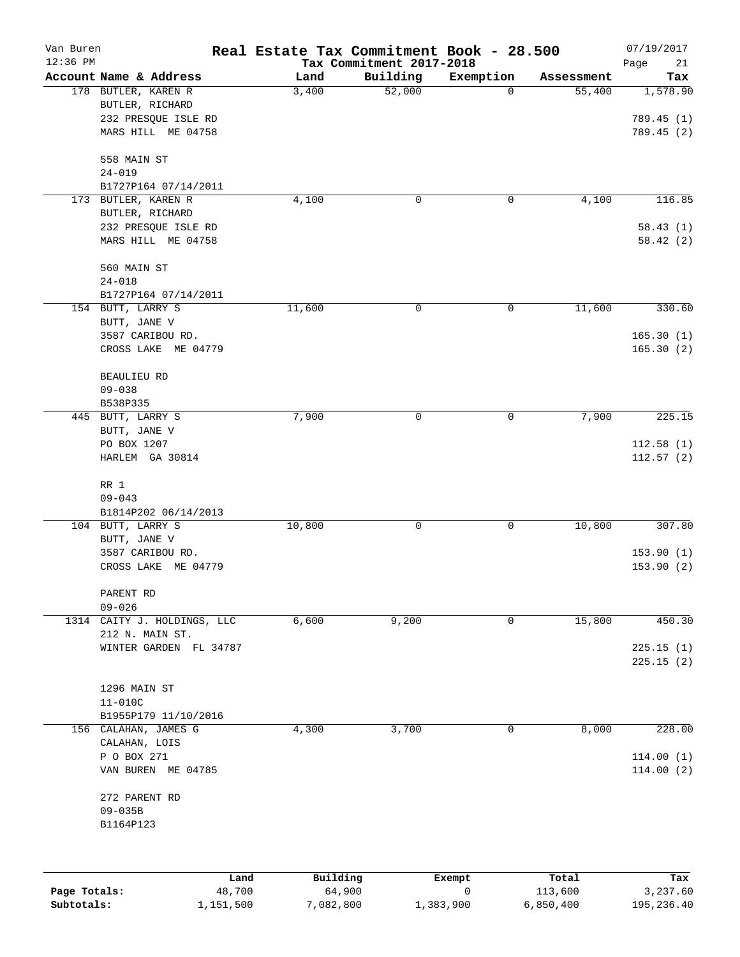| Van Buren<br>12:36 PM |                        |          | Real Estate Tax Commitment Book - 28.500<br>Tax Commitment 2017-2018 |           |            | 07/19/2017<br>Page<br>21 |
|-----------------------|------------------------|----------|----------------------------------------------------------------------|-----------|------------|--------------------------|
|                       | Account Name & Address | Land     | Building                                                             | Exemption | Assessment | Tax                      |
|                       | 178 BUTLER, KAREN R    | 3,400    | 52,000                                                               | 0         | 55,400     | 1,578.90                 |
|                       | BUTLER, RICHARD        |          |                                                                      |           |            |                          |
|                       | 232 PRESQUE ISLE RD    |          |                                                                      |           |            | 789.45 (1)               |
|                       | MARS HILL ME 04758     |          |                                                                      |           |            | 789.45 (2)               |
|                       | 558 MAIN ST            |          |                                                                      |           |            |                          |
|                       | $24 - 019$             |          |                                                                      |           |            |                          |
|                       | B1727P164 07/14/2011   |          |                                                                      |           |            |                          |
|                       | 173 BUTLER, KAREN R    | 4,100    | 0                                                                    | 0         | 4,100      | 116.85                   |
|                       | BUTLER, RICHARD        |          |                                                                      |           |            |                          |
|                       | 232 PRESQUE ISLE RD    |          |                                                                      |           |            | 58.43(1)                 |
|                       | MARS HILL ME 04758     |          |                                                                      |           |            | 58.42(2)                 |
|                       | 560 MAIN ST            |          |                                                                      |           |            |                          |
|                       | $24 - 018$             |          |                                                                      |           |            |                          |
|                       | B1727P164 07/14/2011   |          |                                                                      |           |            |                          |
|                       | 154 BUTT, LARRY S      | 11,600   | 0                                                                    | 0         | 11,600     | 330.60                   |
|                       | BUTT, JANE V           |          |                                                                      |           |            |                          |
|                       | 3587 CARIBOU RD.       |          |                                                                      |           |            | 165.30(1)                |
|                       | CROSS LAKE ME 04779    |          |                                                                      |           |            | 165.30(2)                |
|                       | <b>BEAULIEU RD</b>     |          |                                                                      |           |            |                          |
|                       | $09 - 038$             |          |                                                                      |           |            |                          |
|                       | B538P335               |          |                                                                      |           |            |                          |
|                       | 445 BUTT, LARRY S      | 7,900    | 0                                                                    | 0         | 7,900      | 225.15                   |
|                       | BUTT, JANE V           |          |                                                                      |           |            |                          |
|                       | PO BOX 1207            |          |                                                                      |           |            | 112.58(1)                |
|                       | HARLEM GA 30814        |          |                                                                      |           |            | 112.57(2)                |
|                       | RR 1                   |          |                                                                      |           |            |                          |
|                       | $09 - 043$             |          |                                                                      |           |            |                          |
|                       | B1814P202 06/14/2013   |          |                                                                      |           |            |                          |
|                       | 104 BUTT, LARRY S      | 10,800   | 0                                                                    | 0         | 10,800     | 307.80                   |
|                       | BUTT, JANE V           |          |                                                                      |           |            |                          |
|                       | 3587 CARIBOU RD.       |          |                                                                      |           |            | 153.90(1)                |
|                       | CROSS LAKE ME 04779    |          |                                                                      |           |            | 153.90(2)                |
|                       | PARENT RD              |          |                                                                      |           |            |                          |
|                       | $09 - 026$             |          |                                                                      |           |            |                          |
| 1314                  | CAITY J. HOLDINGS, LLC | 6,600    | 9,200                                                                | 0         | 15,800     | 450.30                   |
|                       | 212 N. MAIN ST.        |          |                                                                      |           |            |                          |
|                       | WINTER GARDEN FL 34787 |          |                                                                      |           |            | 225.15(1)                |
|                       |                        |          |                                                                      |           |            | 225.15(2)                |
|                       | 1296 MAIN ST           |          |                                                                      |           |            |                          |
|                       | $11 - 010C$            |          |                                                                      |           |            |                          |
|                       | B1955P179 11/10/2016   |          |                                                                      |           |            |                          |
|                       | 156 CALAHAN, JAMES G   | 4,300    | 3,700                                                                | 0         | 8,000      | 228.00                   |
|                       | CALAHAN, LOIS          |          |                                                                      |           |            |                          |
|                       | P O BOX 271            |          |                                                                      |           |            | 114.00(1)                |
|                       | VAN BUREN ME 04785     |          |                                                                      |           |            | 114.00(2)                |
|                       |                        |          |                                                                      |           |            |                          |
|                       | 272 PARENT RD          |          |                                                                      |           |            |                          |
|                       | $09 - 035B$            |          |                                                                      |           |            |                          |
|                       | B1164P123              |          |                                                                      |           |            |                          |
|                       |                        |          |                                                                      |           |            |                          |
|                       |                        |          |                                                                      |           |            |                          |
|                       | Land                   | Building |                                                                      | Exempt    | Total      | Tax                      |

| Page Totals: | 48,700    | 64,900    |           | 113,600   | 3,237.60   |
|--------------|-----------|-----------|-----------|-----------|------------|
| Subtotals:   | 1,151,500 | 7,082,800 | 1,383,900 | 6,850,400 | 195,236.40 |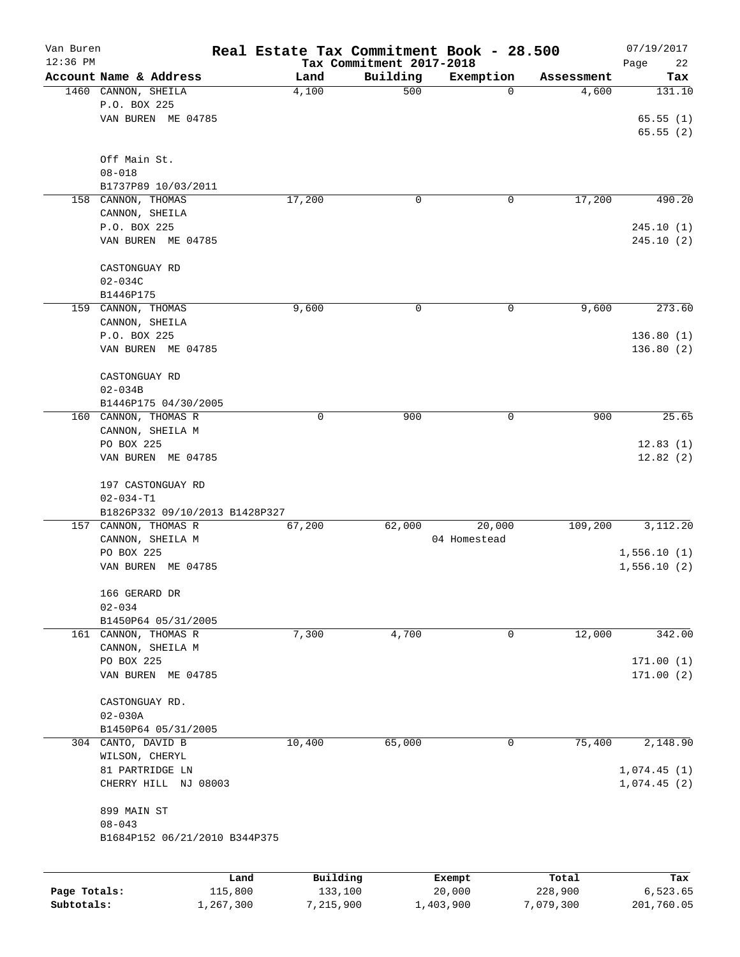| Van Buren<br>$12:36$ PM |                                |         |          | Tax Commitment 2017-2018 | Real Estate Tax Commitment Book - 28.500 |            | 07/19/2017<br>Page<br>22 |
|-------------------------|--------------------------------|---------|----------|--------------------------|------------------------------------------|------------|--------------------------|
|                         | Account Name & Address         |         | Land     | Building                 | Exemption                                | Assessment | Tax                      |
|                         | 1460 CANNON, SHEILA            |         | 4,100    | 500                      | 0                                        | 4,600      | 131.10                   |
|                         | P.O. BOX 225                   |         |          |                          |                                          |            |                          |
|                         | VAN BUREN ME 04785             |         |          |                          |                                          |            | 65.55(1)                 |
|                         |                                |         |          |                          |                                          |            | 65.55(2)                 |
|                         |                                |         |          |                          |                                          |            |                          |
|                         | Off Main St.                   |         |          |                          |                                          |            |                          |
|                         | $08 - 018$                     |         |          |                          |                                          |            |                          |
|                         | B1737P89 10/03/2011            |         |          |                          |                                          |            |                          |
|                         | 158 CANNON, THOMAS             |         | 17,200   | 0                        | 0                                        | 17,200     | 490.20                   |
|                         | CANNON, SHEILA                 |         |          |                          |                                          |            |                          |
|                         | P.O. BOX 225                   |         |          |                          |                                          |            | 245.10(1)                |
|                         | VAN BUREN ME 04785             |         |          |                          |                                          |            | 245.10(2)                |
|                         |                                |         |          |                          |                                          |            |                          |
|                         | CASTONGUAY RD                  |         |          |                          |                                          |            |                          |
|                         | $02 - 034C$                    |         |          |                          |                                          |            |                          |
|                         | B1446P175                      |         |          |                          |                                          |            |                          |
|                         | 159 CANNON, THOMAS             |         | 9,600    | 0                        | 0                                        | 9,600      | 273.60                   |
|                         | CANNON, SHEILA                 |         |          |                          |                                          |            |                          |
|                         | P.O. BOX 225                   |         |          |                          |                                          |            | 136.80(1)                |
|                         | VAN BUREN ME 04785             |         |          |                          |                                          |            | 136.80 (2)               |
|                         |                                |         |          |                          |                                          |            |                          |
|                         | CASTONGUAY RD                  |         |          |                          |                                          |            |                          |
|                         | $02 - 034B$                    |         |          |                          |                                          |            |                          |
|                         | B1446P175 04/30/2005           |         |          |                          |                                          |            |                          |
|                         | 160 CANNON, THOMAS R           |         | 0        | 900                      | 0                                        | 900        | 25.65                    |
|                         | CANNON, SHEILA M               |         |          |                          |                                          |            |                          |
|                         | PO BOX 225                     |         |          |                          |                                          |            | 12.83(1)                 |
|                         | VAN BUREN ME 04785             |         |          |                          |                                          |            | 12.82(2)                 |
|                         |                                |         |          |                          |                                          |            |                          |
|                         | 197 CASTONGUAY RD              |         |          |                          |                                          |            |                          |
|                         | $02 - 034 - T1$                |         |          |                          |                                          |            |                          |
|                         | B1826P332 09/10/2013 B1428P327 |         |          |                          |                                          |            |                          |
|                         | 157 CANNON, THOMAS R           |         | 67,200   | 62,000                   | 20,000                                   | 109,200    | 3,112.20                 |
|                         | CANNON, SHEILA M               |         |          |                          | 04 Homestead                             |            |                          |
|                         | PO BOX 225                     |         |          |                          |                                          |            | 1,556.10(1)              |
|                         | VAN BUREN ME 04785             |         |          |                          |                                          |            | 1,556.10(2)              |
|                         |                                |         |          |                          |                                          |            |                          |
|                         | 166 GERARD DR                  |         |          |                          |                                          |            |                          |
|                         | $02 - 034$                     |         |          |                          |                                          |            |                          |
|                         | B1450P64 05/31/2005            |         |          |                          |                                          |            |                          |
|                         | 161 CANNON, THOMAS R           |         | 7,300    | 4,700                    | 0                                        | 12,000     | 342.00                   |
|                         | CANNON, SHEILA M               |         |          |                          |                                          |            |                          |
|                         | PO BOX 225                     |         |          |                          |                                          |            | 171.00(1)                |
|                         | VAN BUREN ME 04785             |         |          |                          |                                          |            | 171.00(2)                |
|                         |                                |         |          |                          |                                          |            |                          |
|                         | CASTONGUAY RD.                 |         |          |                          |                                          |            |                          |
|                         | $02 - 030A$                    |         |          |                          |                                          |            |                          |
|                         | B1450P64 05/31/2005            |         |          |                          |                                          |            |                          |
|                         | 304 CANTO, DAVID B             |         | 10,400   | 65,000                   | 0                                        | 75,400     | 2,148.90                 |
|                         | WILSON, CHERYL                 |         |          |                          |                                          |            |                          |
|                         | 81 PARTRIDGE LN                |         |          |                          |                                          |            | 1,074.45(1)              |
|                         | CHERRY HILL NJ 08003           |         |          |                          |                                          |            | 1,074.45(2)              |
|                         |                                |         |          |                          |                                          |            |                          |
|                         | 899 MAIN ST                    |         |          |                          |                                          |            |                          |
|                         | $08 - 043$                     |         |          |                          |                                          |            |                          |
|                         | B1684P152 06/21/2010 B344P375  |         |          |                          |                                          |            |                          |
|                         |                                |         |          |                          |                                          |            |                          |
|                         |                                |         |          |                          |                                          |            |                          |
|                         |                                | Land    | Building |                          | Exempt                                   | Total      | Tax                      |
| Page Totals:            |                                | 115,800 | 133,100  |                          | 20,000                                   | 228,900    | 6,523.65                 |

**Subtotals:** 1,267,300 7,215,900 1,403,900 7,079,300 201,760.05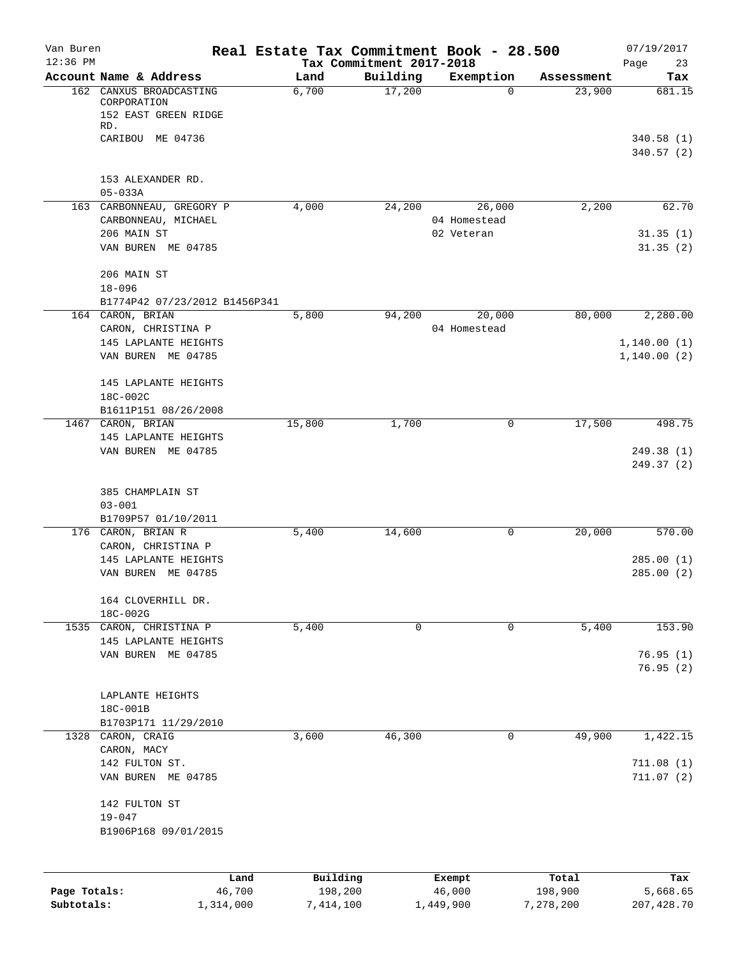| Van Buren    |                                                   | Real Estate Tax Commitment Book - 28.500 |                                      |                            |                  | 07/19/2017             |
|--------------|---------------------------------------------------|------------------------------------------|--------------------------------------|----------------------------|------------------|------------------------|
| $12:36$ PM   | Account Name & Address                            | Land                                     | Tax Commitment 2017-2018<br>Building | Exemption                  | Assessment       | Page<br>23<br>Tax      |
| 162          | CANXUS BROADCASTING                               | 6,700                                    | 17,200                               | 0                          | 23,900           | 681.15                 |
|              | CORPORATION<br>152 EAST GREEN RIDGE               |                                          |                                      |                            |                  |                        |
|              | RD.                                               |                                          |                                      |                            |                  |                        |
|              | CARIBOU ME 04736                                  |                                          |                                      |                            |                  | 340.58(1)<br>340.57(2) |
|              | 153 ALEXANDER RD.                                 |                                          |                                      |                            |                  |                        |
|              | $05 - 033A$                                       |                                          |                                      |                            |                  |                        |
|              | 163 CARBONNEAU, GREGORY P                         | 4,000                                    | 24,200                               | 26,000                     | 2,200            | 62.70                  |
|              | CARBONNEAU, MICHAEL<br>206 MAIN ST                |                                          |                                      | 04 Homestead<br>02 Veteran |                  | 31.35(1)               |
|              | VAN BUREN ME 04785                                |                                          |                                      |                            |                  | 31.35(2)               |
|              | 206 MAIN ST                                       |                                          |                                      |                            |                  |                        |
|              | $18 - 096$                                        |                                          |                                      |                            |                  |                        |
|              | B1774P42 07/23/2012 B1456P341<br>164 CARON, BRIAN | 5,800                                    | 94,200                               | 20,000                     | 80,000           | 2,280.00               |
|              | CARON, CHRISTINA P                                |                                          |                                      | 04 Homestead               |                  |                        |
|              | 145 LAPLANTE HEIGHTS                              |                                          |                                      |                            |                  | 1,140.00(1)            |
|              | VAN BUREN ME 04785                                |                                          |                                      |                            |                  | 1,140.00(2)            |
|              | 145 LAPLANTE HEIGHTS                              |                                          |                                      |                            |                  |                        |
|              | 18C-002C                                          |                                          |                                      |                            |                  |                        |
|              | B1611P151 08/26/2008<br>1467 CARON, BRIAN         | 15,800                                   | 1,700                                | 0                          | 17,500           | 498.75                 |
|              | 145 LAPLANTE HEIGHTS                              |                                          |                                      |                            |                  |                        |
|              | VAN BUREN ME 04785                                |                                          |                                      |                            |                  | 249.38 (1)             |
|              |                                                   |                                          |                                      |                            |                  | 249.37 (2)             |
|              | 385 CHAMPLAIN ST                                  |                                          |                                      |                            |                  |                        |
|              | $03 - 001$                                        |                                          |                                      |                            |                  |                        |
|              | B1709P57 01/10/2011                               |                                          |                                      |                            |                  |                        |
|              | 176 CARON, BRIAN R<br>CARON, CHRISTINA P          | 5,400                                    | 14,600                               | 0                          | 20,000           | 570.00                 |
|              | 145 LAPLANTE HEIGHTS                              |                                          |                                      |                            |                  | 285.00(1)              |
|              | VAN BUREN ME 04785                                |                                          |                                      |                            |                  | 285.00(2)              |
|              | 164 CLOVERHILL DR.                                |                                          |                                      |                            |                  |                        |
|              | 18C-002G                                          |                                          |                                      |                            |                  |                        |
|              | 1535 CARON, CHRISTINA P                           | 5,400                                    | 0                                    | 0                          | 5,400            | 153.90                 |
|              | 145 LAPLANTE HEIGHTS<br>VAN BUREN ME 04785        |                                          |                                      |                            |                  | 76.95(1)               |
|              |                                                   |                                          |                                      |                            |                  | 76.95 (2)              |
|              | LAPLANTE HEIGHTS                                  |                                          |                                      |                            |                  |                        |
|              | 18C-001B                                          |                                          |                                      |                            |                  |                        |
|              | B1703P171 11/29/2010                              |                                          |                                      |                            |                  |                        |
|              | 1328 CARON, CRAIG                                 | 3,600                                    | 46,300                               | 0                          | 49,900           | 1,422.15               |
|              | CARON, MACY<br>142 FULTON ST.                     |                                          |                                      |                            |                  | 711.08(1)              |
|              | VAN BUREN ME 04785                                |                                          |                                      |                            |                  | 711.07(2)              |
|              | 142 FULTON ST                                     |                                          |                                      |                            |                  |                        |
|              | $19 - 047$                                        |                                          |                                      |                            |                  |                        |
|              | B1906P168 09/01/2015                              |                                          |                                      |                            |                  |                        |
|              |                                                   |                                          |                                      |                            |                  |                        |
| Page Totals: | Land<br>46,700                                    | Building<br>198,200                      |                                      | Exempt<br>46,000           | Total<br>198,900 | Tax<br>5,668.65        |
| Subtotals:   | 1,314,000                                         | 7,414,100                                |                                      | 1,449,900                  | 7,278,200        | 207, 428.70            |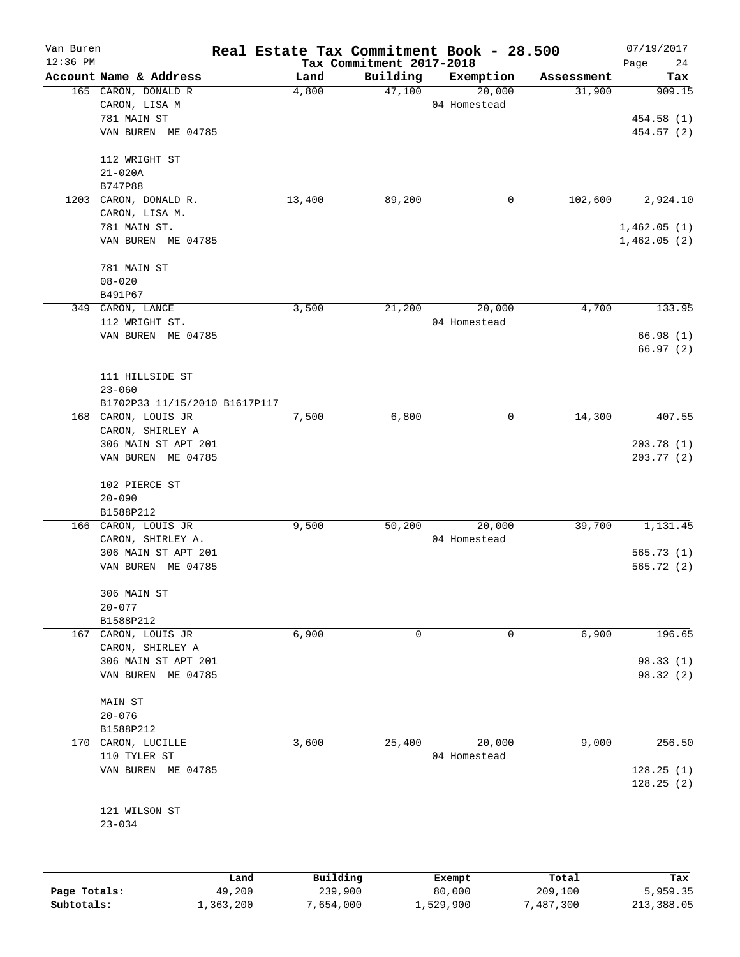| Van Buren    |                                               | Real Estate Tax Commitment Book - 28.500 |                          |                     |                      | 07/19/2017    |
|--------------|-----------------------------------------------|------------------------------------------|--------------------------|---------------------|----------------------|---------------|
| $12:36$ PM   |                                               |                                          | Tax Commitment 2017-2018 |                     |                      | Page<br>24    |
|              | Account Name & Address<br>165 CARON, DONALD R | Land<br>4,800                            | Building<br>47,100       | Exemption<br>20,000 | Assessment<br>31,900 | Tax<br>909.15 |
|              |                                               |                                          |                          | 04 Homestead        |                      |               |
|              | CARON, LISA M<br>781 MAIN ST                  |                                          |                          |                     |                      |               |
|              |                                               |                                          |                          |                     |                      | 454.58(1)     |
|              | VAN BUREN ME 04785                            |                                          |                          |                     |                      | 454.57 (2)    |
|              | 112 WRIGHT ST                                 |                                          |                          |                     |                      |               |
|              | $21 - 020A$                                   |                                          |                          |                     |                      |               |
|              | B747P88                                       |                                          |                          |                     |                      |               |
| 1203         | CARON, DONALD R.                              | 13,400                                   | 89,200                   | $\mathbf 0$         | 102,600              | 2,924.10      |
|              | CARON, LISA M.                                |                                          |                          |                     |                      |               |
|              | 781 MAIN ST.                                  |                                          |                          |                     |                      | 1,462.05(1)   |
|              | VAN BUREN ME 04785                            |                                          |                          |                     |                      | 1,462.05(2)   |
|              | 781 MAIN ST                                   |                                          |                          |                     |                      |               |
|              | $08 - 020$                                    |                                          |                          |                     |                      |               |
|              | B491P67                                       |                                          |                          |                     |                      |               |
|              |                                               |                                          |                          |                     |                      | 133.95        |
|              | 349 CARON, LANCE                              | 3,500                                    | 21,200                   | 20,000              | 4,700                |               |
|              | 112 WRIGHT ST.                                |                                          |                          | 04 Homestead        |                      |               |
|              | VAN BUREN ME 04785                            |                                          |                          |                     |                      | 66.98(1)      |
|              |                                               |                                          |                          |                     |                      | 66.97(2)      |
|              | 111 HILLSIDE ST                               |                                          |                          |                     |                      |               |
|              | $23 - 060$                                    |                                          |                          |                     |                      |               |
|              | B1702P33 11/15/2010 B1617P117                 |                                          |                          |                     |                      |               |
|              | 168 CARON, LOUIS JR                           | 7,500                                    | 6,800                    | 0                   | 14,300               | 407.55        |
|              | CARON, SHIRLEY A                              |                                          |                          |                     |                      |               |
|              |                                               |                                          |                          |                     |                      |               |
|              | 306 MAIN ST APT 201                           |                                          |                          |                     |                      | 203.78(1)     |
|              | VAN BUREN ME 04785                            |                                          |                          |                     |                      | 203.77(2)     |
|              | 102 PIERCE ST                                 |                                          |                          |                     |                      |               |
|              | $20 - 090$                                    |                                          |                          |                     |                      |               |
|              | B1588P212                                     |                                          |                          |                     |                      |               |
|              | 166 CARON, LOUIS JR                           | 9,500                                    | 50,200                   | 20,000              | 39,700               | 1,131.45      |
|              | CARON, SHIRLEY A.                             |                                          |                          | 04 Homestead        |                      |               |
|              | 306 MAIN ST APT 201                           |                                          |                          |                     |                      | 565.73(1)     |
|              | VAN BUREN ME 04785                            |                                          |                          |                     |                      | 565.72(2)     |
|              |                                               |                                          |                          |                     |                      |               |
|              | 306 MAIN ST                                   |                                          |                          |                     |                      |               |
|              | $20 - 077$                                    |                                          |                          |                     |                      |               |
|              | B1588P212                                     |                                          |                          |                     |                      |               |
| 167          | CARON, LOUIS JR                               | 6,900                                    | 0                        | 0                   | 6,900                | 196.65        |
|              | CARON, SHIRLEY A                              |                                          |                          |                     |                      |               |
|              | 306 MAIN ST APT 201                           |                                          |                          |                     |                      | 98.33(1)      |
|              | VAN BUREN ME 04785                            |                                          |                          |                     |                      | 98.32 (2)     |
|              | MAIN ST                                       |                                          |                          |                     |                      |               |
|              | $20 - 076$                                    |                                          |                          |                     |                      |               |
|              | B1588P212                                     |                                          |                          |                     |                      |               |
| 170          |                                               |                                          | 25,400                   | 20,000              | 9,000                | 256.50        |
|              | CARON, LUCILLE                                | 3,600                                    |                          |                     |                      |               |
|              | 110 TYLER ST                                  |                                          |                          | 04 Homestead        |                      |               |
|              | VAN BUREN ME 04785                            |                                          |                          |                     |                      | 128.25(1)     |
|              |                                               |                                          |                          |                     |                      | 128.25(2)     |
|              | 121 WILSON ST                                 |                                          |                          |                     |                      |               |
|              | $23 - 034$                                    |                                          |                          |                     |                      |               |
|              |                                               |                                          |                          |                     |                      |               |
|              |                                               |                                          |                          |                     |                      |               |
|              |                                               | Building<br>Land                         |                          | Exempt              | Total                | Tax           |
| Page Totals: | 49,200                                        | 239,900                                  |                          | 80,000              | 209,100              | 5,959.35      |
| Subtotals:   | 1,363,200                                     | 7,654,000                                |                          | 1,529,900           | 7,487,300            | 213,388.05    |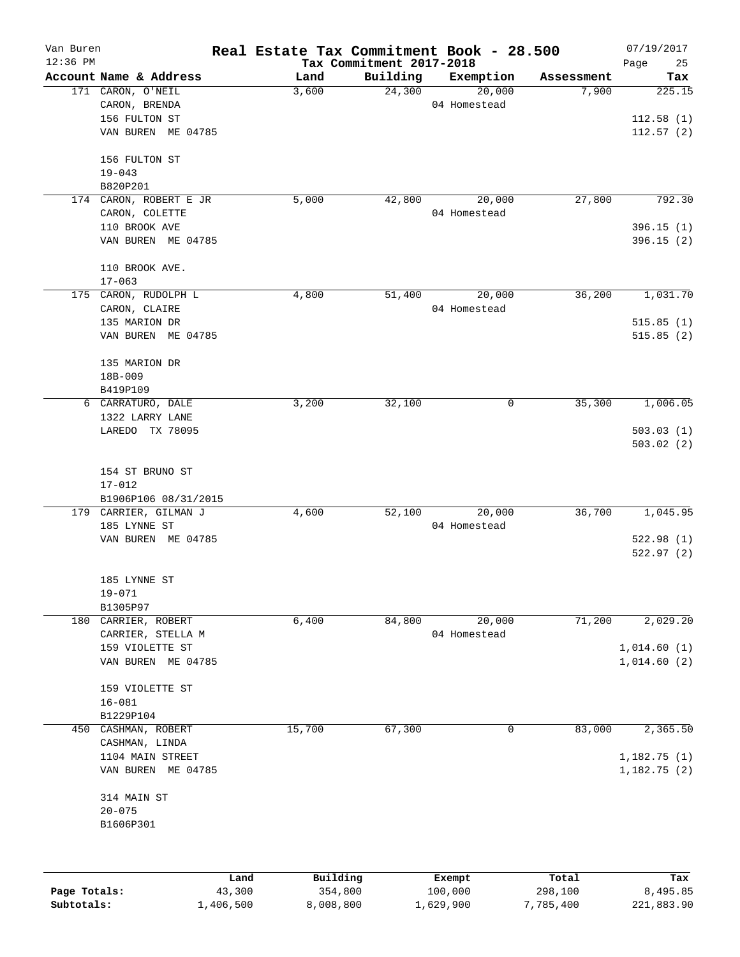| Van Buren    |                                       |        |          |                          | Real Estate Tax Commitment Book - 28.500 |            | 07/19/2017     |
|--------------|---------------------------------------|--------|----------|--------------------------|------------------------------------------|------------|----------------|
| $12:36$ PM   |                                       |        |          | Tax Commitment 2017-2018 |                                          |            | 25<br>Page     |
|              | Account Name & Address                |        | Land     | Building                 | Exemption                                | Assessment | Tax            |
|              | 171 CARON, O'NEIL                     |        | 3,600    | 24,300                   | 20,000                                   | 7,900      | 225.15         |
|              | CARON, BRENDA<br>156 FULTON ST        |        |          |                          | 04 Homestead                             |            | 112.58(1)      |
|              | VAN BUREN ME 04785                    |        |          |                          |                                          |            |                |
|              |                                       |        |          |                          |                                          |            | 112.57(2)      |
|              | 156 FULTON ST                         |        |          |                          |                                          |            |                |
|              | $19 - 043$                            |        |          |                          |                                          |            |                |
|              | B820P201                              |        |          |                          |                                          |            |                |
|              | 174 CARON, ROBERT E JR                |        | 5,000    | 42,800                   | 20,000                                   | 27,800     | 792.30         |
|              | CARON, COLETTE                        |        |          |                          | 04 Homestead                             |            |                |
|              | 110 BROOK AVE                         |        |          |                          |                                          |            | 396.15(1)      |
|              | VAN BUREN ME 04785                    |        |          |                          |                                          |            | 396.15(2)      |
|              | 110 BROOK AVE.                        |        |          |                          |                                          |            |                |
|              | $17 - 063$                            |        | 4,800    |                          |                                          |            |                |
|              | 175 CARON, RUDOLPH L<br>CARON, CLAIRE |        |          | 51,400                   | 20,000<br>04 Homestead                   | 36,200     | 1,031.70       |
|              |                                       |        |          |                          |                                          |            |                |
|              | 135 MARION DR<br>VAN BUREN ME 04785   |        |          |                          |                                          |            | 515.85(1)      |
|              |                                       |        |          |                          |                                          |            | 515.85(2)      |
|              | 135 MARION DR                         |        |          |                          |                                          |            |                |
|              | 18B-009                               |        |          |                          |                                          |            |                |
|              | B419P109                              |        |          |                          |                                          |            |                |
| 6            | CARRATURO, DALE                       |        | 3,200    | 32,100                   | 0                                        | 35,300     | 1,006.05       |
|              | 1322 LARRY LANE                       |        |          |                          |                                          |            |                |
|              | LAREDO TX 78095                       |        |          |                          |                                          |            | 503.03(1)      |
|              |                                       |        |          |                          |                                          |            | 503.02(2)      |
|              | 154 ST BRUNO ST                       |        |          |                          |                                          |            |                |
|              | $17 - 012$                            |        |          |                          |                                          |            |                |
|              | B1906P106 08/31/2015                  |        |          |                          |                                          |            |                |
|              | 179 CARRIER, GILMAN J                 |        | 4,600    | 52,100                   | 20,000                                   | 36,700     | 1,045.95       |
|              | 185 LYNNE ST                          |        |          |                          | 04 Homestead                             |            |                |
|              | VAN BUREN ME 04785                    |        |          |                          |                                          |            | 522.98(1)      |
|              |                                       |        |          |                          |                                          |            | 522.97(2)      |
|              | 185 LYNNE ST                          |        |          |                          |                                          |            |                |
|              | $19 - 071$                            |        |          |                          |                                          |            |                |
|              | B1305P97                              |        |          |                          |                                          |            |                |
|              | 180 CARRIER, ROBERT                   |        | 6,400    | 84,800                   | 20,000                                   | 71,200     | 2,029.20       |
|              | CARRIER, STELLA M                     |        |          |                          | 04 Homestead                             |            |                |
|              | 159 VIOLETTE ST                       |        |          |                          |                                          |            | 1,014.60(1)    |
|              | VAN BUREN ME 04785                    |        |          |                          |                                          |            | 1,014.60(2)    |
|              |                                       |        |          |                          |                                          |            |                |
|              | 159 VIOLETTE ST                       |        |          |                          |                                          |            |                |
|              | $16 - 081$                            |        |          |                          |                                          |            |                |
|              | B1229P104                             |        |          |                          |                                          |            |                |
| 450          | CASHMAN, ROBERT                       |        | 15,700   | 67,300                   | 0                                        | 83,000     | 2,365.50       |
|              | CASHMAN, LINDA                        |        |          |                          |                                          |            |                |
|              | 1104 MAIN STREET                      |        |          |                          |                                          |            | 1,182.75(1)    |
|              | VAN BUREN ME 04785                    |        |          |                          |                                          |            | 1, 182. 75 (2) |
|              | 314 MAIN ST                           |        |          |                          |                                          |            |                |
|              | $20 - 075$                            |        |          |                          |                                          |            |                |
|              | B1606P301                             |        |          |                          |                                          |            |                |
|              |                                       |        |          |                          |                                          |            |                |
|              |                                       |        |          |                          |                                          |            |                |
|              |                                       | Land   | Building |                          | Exempt                                   | Total      | Tax            |
| Page Totals: |                                       | 43,300 | 354,800  |                          | 100,000                                  | 298,100    | 8,495.85       |

**Subtotals:** 1,406,500 8,008,800 1,629,900 7,785,400 221,883.90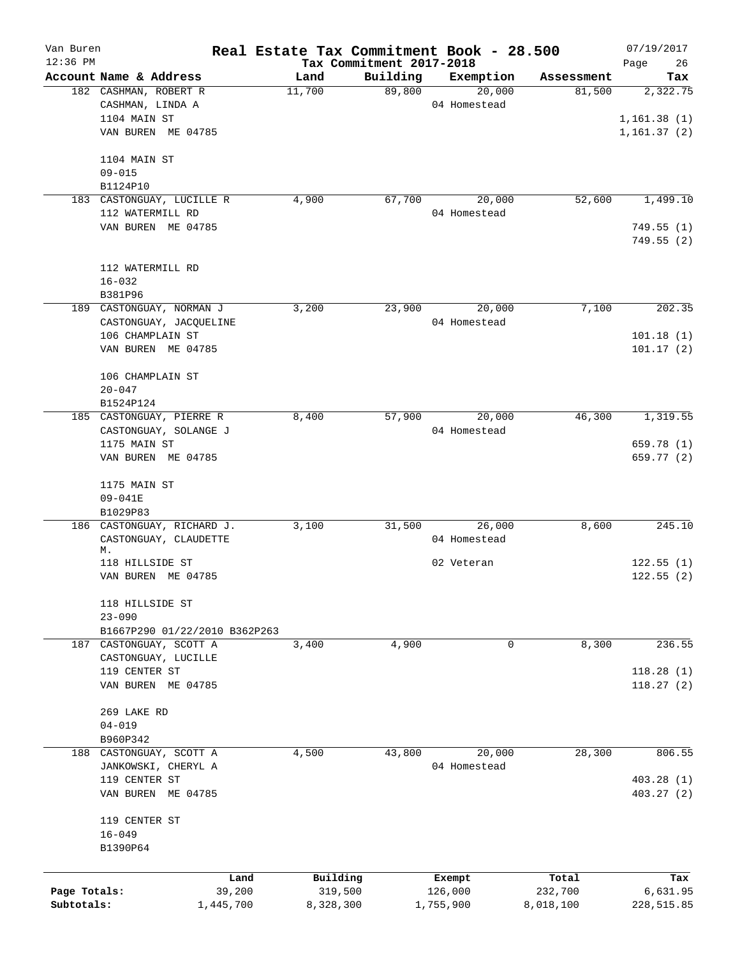| Van Buren    |                          |                               |           |                          | Real Estate Tax Commitment Book - 28.500 |            | 07/19/2017   |
|--------------|--------------------------|-------------------------------|-----------|--------------------------|------------------------------------------|------------|--------------|
| $12:36$ PM   |                          |                               |           | Tax Commitment 2017-2018 |                                          |            | Page<br>26   |
|              | Account Name & Address   |                               | Land      | Building                 | Exemption                                | Assessment | Tax          |
|              | 182 CASHMAN, ROBERT R    |                               | 11,700    | 89,800                   | 20,000                                   | 81,500     | 2,322.75     |
|              | CASHMAN, LINDA A         |                               |           |                          | 04 Homestead                             |            |              |
|              | 1104 MAIN ST             |                               |           |                          |                                          |            | 1, 161.38(1) |
|              | VAN BUREN ME 04785       |                               |           |                          |                                          |            | 1, 161.37(2) |
|              | 1104 MAIN ST             |                               |           |                          |                                          |            |              |
|              | $09 - 015$               |                               |           |                          |                                          |            |              |
|              | B1124P10                 |                               |           |                          |                                          |            |              |
| 183          |                          | CASTONGUAY, LUCILLE R         | 4,900     | 67,700                   | 20,000                                   | 52,600     | 1,499.10     |
|              | 112 WATERMILL RD         |                               |           |                          | 04 Homestead                             |            |              |
|              | VAN BUREN ME 04785       |                               |           |                          |                                          |            | 749.55(1)    |
|              |                          |                               |           |                          |                                          |            | 749.55(2)    |
|              | 112 WATERMILL RD         |                               |           |                          |                                          |            |              |
|              | $16 - 032$               |                               |           |                          |                                          |            |              |
|              | B381P96                  |                               |           |                          |                                          |            |              |
|              | 189 CASTONGUAY, NORMAN J |                               | 3,200     | 23,900                   | 20,000                                   | 7,100      | 202.35       |
|              |                          | CASTONGUAY, JACQUELINE        |           |                          | 04 Homestead                             |            |              |
|              | 106 CHAMPLAIN ST         |                               |           |                          |                                          |            | 101.18(1)    |
|              | VAN BUREN ME 04785       |                               |           |                          |                                          |            | 101.17(2)    |
|              | 106 CHAMPLAIN ST         |                               |           |                          |                                          |            |              |
|              | $20 - 047$               |                               |           |                          |                                          |            |              |
|              | B1524P124                |                               |           |                          |                                          |            |              |
|              | 185 CASTONGUAY, PIERRE R |                               | 8,400     | 57,900                   | 20,000                                   | 46,300     | 1,319.55     |
|              |                          | CASTONGUAY, SOLANGE J         |           |                          | 04 Homestead                             |            |              |
|              | 1175 MAIN ST             |                               |           |                          |                                          |            | 659.78 (1)   |
|              | VAN BUREN ME 04785       |                               |           |                          |                                          |            | 659.77 (2)   |
|              |                          |                               |           |                          |                                          |            |              |
|              | 1175 MAIN ST             |                               |           |                          |                                          |            |              |
|              | 09-041E                  |                               |           |                          |                                          |            |              |
|              | B1029P83                 |                               |           |                          |                                          |            |              |
|              |                          | 186 CASTONGUAY, RICHARD J.    | 3,100     | 31,500                   | 26,000                                   | 8,600      | 245.10       |
|              |                          | CASTONGUAY, CLAUDETTE         |           |                          | 04 Homestead                             |            |              |
|              | М.                       |                               |           |                          |                                          |            |              |
|              | 118 HILLSIDE ST          |                               |           |                          | 02 Veteran                               |            | 122.55(1)    |
|              | VAN BUREN ME 04785       |                               |           |                          |                                          |            | 122.55(2)    |
|              | 118 HILLSIDE ST          |                               |           |                          |                                          |            |              |
|              | $23 - 090$               |                               |           |                          |                                          |            |              |
|              |                          | B1667P290 01/22/2010 B362P263 |           |                          |                                          |            |              |
|              | 187 CASTONGUAY, SCOTT A  |                               | 3,400     | 4,900                    | 0                                        | 8,300      | 236.55       |
|              | CASTONGUAY, LUCILLE      |                               |           |                          |                                          |            |              |
|              | 119 CENTER ST            |                               |           |                          |                                          |            | 118.28(1)    |
|              | VAN BUREN ME 04785       |                               |           |                          |                                          |            | 118.27(2)    |
|              | 269 LAKE RD              |                               |           |                          |                                          |            |              |
|              | $04 - 019$               |                               |           |                          |                                          |            |              |
|              | B960P342                 |                               |           |                          |                                          |            |              |
|              | 188 CASTONGUAY, SCOTT A  |                               | 4,500     | 43,800                   | 20,000                                   | 28,300     | 806.55       |
|              | JANKOWSKI, CHERYL A      |                               |           |                          | 04 Homestead                             |            |              |
|              | 119 CENTER ST            |                               |           |                          |                                          |            | 403.28(1)    |
|              | VAN BUREN ME 04785       |                               |           |                          |                                          |            | 403.27(2)    |
|              |                          |                               |           |                          |                                          |            |              |
|              | 119 CENTER ST            |                               |           |                          |                                          |            |              |
|              | $16 - 049$               |                               |           |                          |                                          |            |              |
|              | B1390P64                 |                               |           |                          |                                          |            |              |
|              |                          | Land                          | Building  |                          | Exempt                                   | Total      | Tax          |
| Page Totals: |                          | 39,200                        | 319,500   |                          | 126,000                                  | 232,700    | 6,631.95     |
| Subtotals:   |                          | 1,445,700                     | 8,328,300 |                          | 1,755,900                                | 8,018,100  | 228,515.85   |
|              |                          |                               |           |                          |                                          |            |              |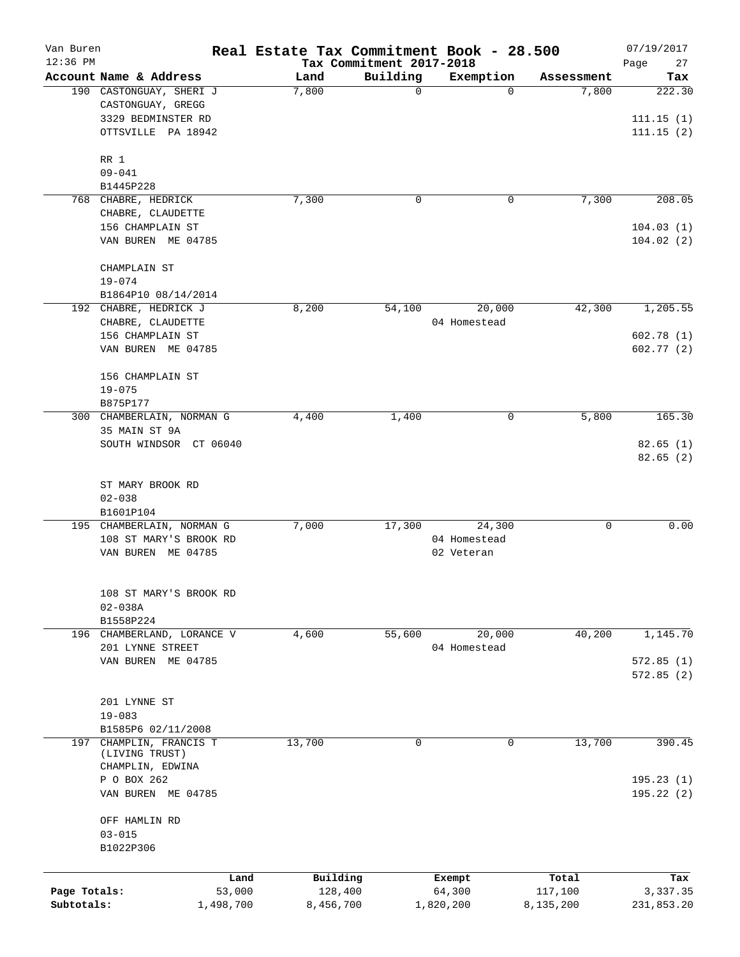| Van Buren<br>$12:36$ PM |                                                                      |        | Real Estate Tax Commitment Book - 28.500<br>Tax Commitment 2017-2018 |                        |            | 07/19/2017<br>Page<br>27 |
|-------------------------|----------------------------------------------------------------------|--------|----------------------------------------------------------------------|------------------------|------------|--------------------------|
|                         | Account Name & Address                                               | Land   | Building                                                             | Exemption              | Assessment | Tax                      |
|                         | 190 CASTONGUAY, SHERI J<br>CASTONGUAY, GREGG                         | 7,800  | 0                                                                    | $\Omega$               | 7,800      | 222.30                   |
|                         | 3329 BEDMINSTER RD<br>OTTSVILLE PA 18942                             |        |                                                                      |                        |            | 111.15(1)<br>111.15(2)   |
|                         | RR 1                                                                 |        |                                                                      |                        |            |                          |
|                         | $09 - 041$                                                           |        |                                                                      |                        |            |                          |
|                         | B1445P228<br>768 CHABRE, HEDRICK                                     | 7,300  | $\mathbf 0$                                                          | 0                      | 7,300      | 208.05                   |
|                         | CHABRE, CLAUDETTE                                                    |        |                                                                      |                        |            |                          |
|                         | 156 CHAMPLAIN ST<br>VAN BUREN ME 04785                               |        |                                                                      |                        |            | 104.03(1)<br>104.02(2)   |
|                         | CHAMPLAIN ST<br>$19 - 074$                                           |        |                                                                      |                        |            |                          |
|                         | B1864P10 08/14/2014                                                  |        |                                                                      |                        |            |                          |
|                         | 192 CHABRE, HEDRICK J                                                | 8,200  | 54,100                                                               | 20,000                 | 42,300     | 1,205.55                 |
|                         | CHABRE, CLAUDETTE<br>156 CHAMPLAIN ST<br>VAN BUREN ME 04785          |        |                                                                      | 04 Homestead           |            | 602.78(1)<br>602.77(2)   |
|                         |                                                                      |        |                                                                      |                        |            |                          |
|                         | 156 CHAMPLAIN ST<br>$19 - 075$                                       |        |                                                                      |                        |            |                          |
|                         | B875P177                                                             |        |                                                                      |                        |            |                          |
|                         | 300 CHAMBERLAIN, NORMAN G<br>35 MAIN ST 9A<br>SOUTH WINDSOR CT 06040 | 4,400  | 1,400                                                                | 0                      | 5,800      | 165.30<br>82.65(1)       |
|                         |                                                                      |        |                                                                      |                        |            | 82.65(2)                 |
|                         | ST MARY BROOK RD<br>$02 - 038$                                       |        |                                                                      |                        |            |                          |
|                         | B1601P104                                                            |        |                                                                      |                        |            |                          |
|                         | 195 CHAMBERLAIN, NORMAN G<br>108 ST MARY'S BROOK RD                  | 7,000  | 17,300                                                               | 24,300<br>04 Homestead | 0          | 0.00                     |
|                         | VAN BUREN ME 04785                                                   |        |                                                                      | 02 Veteran             |            |                          |
|                         | 108 ST MARY'S BROOK RD<br>$02 - 038A$                                |        |                                                                      |                        |            |                          |
|                         | B1558P224                                                            |        |                                                                      |                        |            |                          |
| 196                     | CHAMBERLAND, LORANCE V                                               | 4,600  | 55,600                                                               | 20,000                 | 40,200     | 1,145.70                 |
|                         | 201 LYNNE STREET<br>VAN BUREN ME 04785                               |        |                                                                      | 04 Homestead           |            | 572.85(1)                |
|                         |                                                                      |        |                                                                      |                        |            | 572.85(2)                |
|                         | 201 LYNNE ST<br>$19 - 083$                                           |        |                                                                      |                        |            |                          |
|                         | B1585P6 02/11/2008                                                   |        |                                                                      |                        |            |                          |
| 197                     | CHAMPLIN, FRANCIS T<br>(LIVING TRUST)<br>CHAMPLIN, EDWINA            | 13,700 | 0                                                                    | 0                      | 13,700     | 390.45                   |
|                         | P O BOX 262                                                          |        |                                                                      |                        |            | 195.23(1)                |
|                         | VAN BUREN ME 04785                                                   |        |                                                                      |                        |            | 195.22(2)                |
|                         | OFF HAMLIN RD                                                        |        |                                                                      |                        |            |                          |
|                         | $03 - 015$<br>B1022P306                                              |        |                                                                      |                        |            |                          |
|                         |                                                                      | Land   | Building                                                             | Exempt                 | Total      | Tax                      |
| Page Totals:            |                                                                      | 53,000 | 128,400                                                              | 64,300                 | 117,100    | 3,337.35                 |
| Subtotals:              | 1,498,700                                                            |        | 8,456,700                                                            | 1,820,200              | 8,135,200  | 231,853.20               |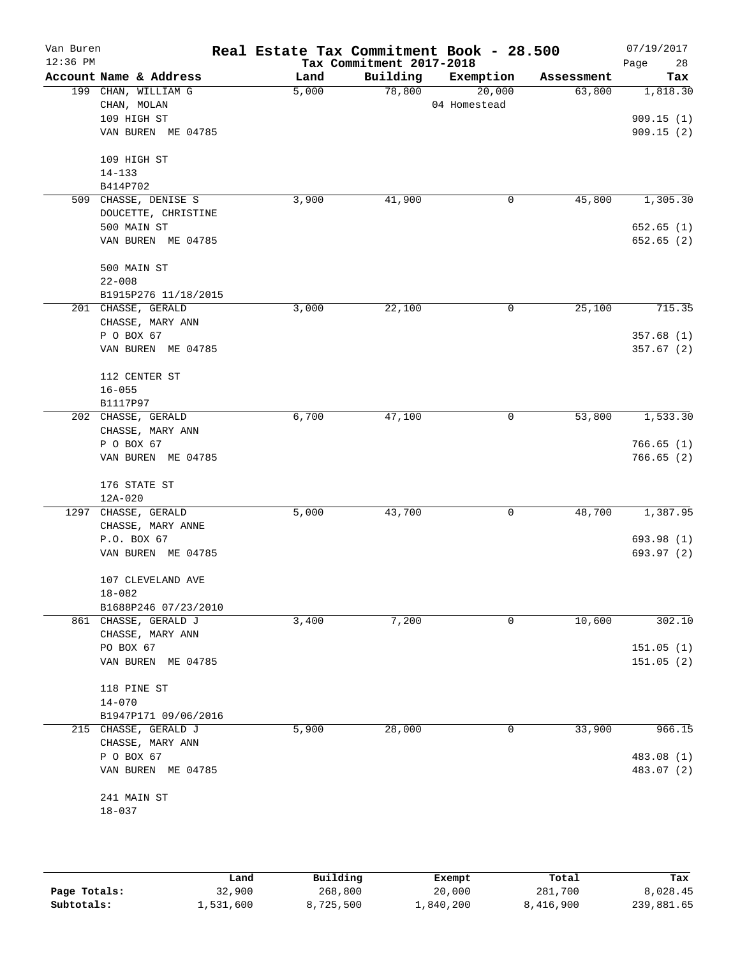| Van Buren<br>$12:36$ PM |                                  | Real Estate Tax Commitment Book - 28.500 | Tax Commitment 2017-2018 |              |            | 07/19/2017<br>28<br>Page |
|-------------------------|----------------------------------|------------------------------------------|--------------------------|--------------|------------|--------------------------|
|                         | Account Name & Address           | Land                                     | Building                 | Exemption    | Assessment | Tax                      |
|                         | 199 CHAN, WILLIAM G              | 5,000                                    | 78,800                   | 20,000       | 63,800     | 1,818.30                 |
|                         | CHAN, MOLAN                      |                                          |                          | 04 Homestead |            |                          |
|                         | 109 HIGH ST                      |                                          |                          |              |            | 909.15(1)                |
|                         | VAN BUREN ME 04785               |                                          |                          |              |            | 909.15(2)                |
|                         | 109 HIGH ST                      |                                          |                          |              |            |                          |
|                         | $14 - 133$                       |                                          |                          |              |            |                          |
|                         | B414P702                         |                                          |                          |              |            |                          |
|                         | 509 CHASSE, DENISE S             | 3,900                                    | 41,900                   | 0            | 45,800     | 1,305.30                 |
|                         | DOUCETTE, CHRISTINE              |                                          |                          |              |            |                          |
|                         | 500 MAIN ST                      |                                          |                          |              |            | 652.65(1)                |
|                         | VAN BUREN ME 04785               |                                          |                          |              |            | 652.65(2)                |
|                         | 500 MAIN ST                      |                                          |                          |              |            |                          |
|                         | $22 - 008$                       |                                          |                          |              |            |                          |
|                         | B1915P276 11/18/2015             |                                          |                          |              |            |                          |
|                         | 201 CHASSE, GERALD               | 3,000                                    | 22,100                   | 0            | 25,100     | 715.35                   |
|                         | CHASSE, MARY ANN                 |                                          |                          |              |            |                          |
|                         | P O BOX 67<br>VAN BUREN ME 04785 |                                          |                          |              |            | 357.68(1)                |
|                         |                                  |                                          |                          |              |            | 357.67(2)                |
|                         | 112 CENTER ST                    |                                          |                          |              |            |                          |
|                         | $16 - 055$                       |                                          |                          |              |            |                          |
|                         | B1117P97                         |                                          |                          |              |            |                          |
|                         | 202 CHASSE, GERALD               | 6,700                                    | 47,100                   | 0            | 53,800     | 1,533.30                 |
|                         | CHASSE, MARY ANN                 |                                          |                          |              |            |                          |
|                         | P O BOX 67                       |                                          |                          |              |            | 766.65(1)                |
|                         | VAN BUREN ME 04785               |                                          |                          |              |            | 766.65(2)                |
|                         | 176 STATE ST                     |                                          |                          |              |            |                          |
|                         | $12A - 020$                      |                                          |                          |              |            |                          |
|                         | 1297 CHASSE, GERALD              | 5,000                                    | 43,700                   | 0            | 48,700     | 1,387.95                 |
|                         | CHASSE, MARY ANNE                |                                          |                          |              |            |                          |
|                         | P.O. BOX 67                      |                                          |                          |              |            | 693.98 (1)               |
|                         | VAN BUREN ME 04785               |                                          |                          |              |            | 693.97 (2)               |
|                         | 107 CLEVELAND AVE                |                                          |                          |              |            |                          |
|                         | $18 - 082$                       |                                          |                          |              |            |                          |
|                         | B1688P246 07/23/2010             |                                          |                          |              |            |                          |
|                         | 861 CHASSE, GERALD J             | 3,400                                    | 7,200                    | $\mathbf 0$  | 10,600     | 302.10                   |
|                         | CHASSE, MARY ANN<br>PO BOX 67    |                                          |                          |              |            | 151.05(1)                |
|                         | VAN BUREN ME 04785               |                                          |                          |              |            | 151.05(2)                |
|                         |                                  |                                          |                          |              |            |                          |
|                         | 118 PINE ST                      |                                          |                          |              |            |                          |
|                         | $14 - 070$                       |                                          |                          |              |            |                          |
|                         | B1947P171 09/06/2016             |                                          |                          |              |            |                          |
|                         | 215 CHASSE, GERALD J             | 5,900                                    | 28,000                   | 0            | 33,900     | 966.15                   |
|                         | CHASSE, MARY ANN                 |                                          |                          |              |            |                          |
|                         | P O BOX 67                       |                                          |                          |              |            | 483.08 (1)               |
|                         | VAN BUREN ME 04785               |                                          |                          |              |            | 483.07 (2)               |
|                         | 241 MAIN ST                      |                                          |                          |              |            |                          |
|                         | $18 - 037$                       |                                          |                          |              |            |                          |
|                         |                                  |                                          |                          |              |            |                          |
|                         |                                  |                                          |                          |              |            |                          |

|              | Land      | Building  | Exempt    | Total     | Tax        |
|--------------|-----------|-----------|-----------|-----------|------------|
| Page Totals: | 32,900    | 268,800   | 20,000    | 281,700   | 8,028.45   |
| Subtotals:   | 1,531,600 | 8,725,500 | 1,840,200 | 8,416,900 | 239,881.65 |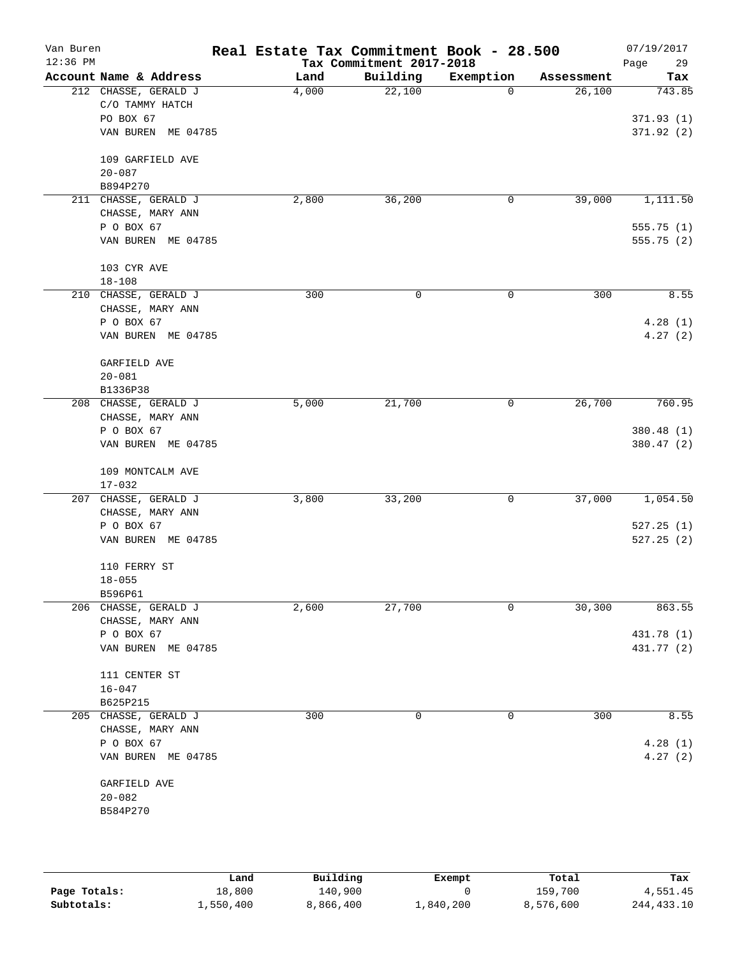| Van Buren<br>12:36 PM |                                  | Real Estate Tax Commitment Book - 28.500 | Tax Commitment 2017-2018 |             |            | 07/19/2017<br>29<br>Page |
|-----------------------|----------------------------------|------------------------------------------|--------------------------|-------------|------------|--------------------------|
|                       | Account Name & Address           | Land                                     | Building                 | Exemption   | Assessment | Tax                      |
|                       | 212 CHASSE, GERALD J             | 4,000                                    | 22,100                   | $\mathbf 0$ | 26,100     | 743.85                   |
|                       | C/O TAMMY HATCH                  |                                          |                          |             |            |                          |
|                       | PO BOX 67                        |                                          |                          |             |            | 371.93(1)                |
|                       | VAN BUREN ME 04785               |                                          |                          |             |            | 371.92(2)                |
|                       | 109 GARFIELD AVE                 |                                          |                          |             |            |                          |
|                       | $20 - 087$                       |                                          |                          |             |            |                          |
|                       | B894P270                         |                                          |                          |             |            |                          |
|                       | 211 CHASSE, GERALD J             | 2,800                                    | 36,200                   | 0           | 39,000     | 1,111.50                 |
|                       | CHASSE, MARY ANN                 |                                          |                          |             |            |                          |
|                       | P O BOX 67                       |                                          |                          |             |            | 555.75(1)                |
|                       | VAN BUREN ME 04785               |                                          |                          |             |            | 555.75(2)                |
|                       | 103 CYR AVE                      |                                          |                          |             |            |                          |
|                       | $18 - 108$                       |                                          |                          |             |            |                          |
|                       | 210 CHASSE, GERALD J             | 300                                      | 0                        | 0           | 300        | 8.55                     |
|                       | CHASSE, MARY ANN                 |                                          |                          |             |            |                          |
|                       | P O BOX 67                       |                                          |                          |             |            | 4.28(1)                  |
|                       | VAN BUREN ME 04785               |                                          |                          |             |            | 4.27(2)                  |
|                       | GARFIELD AVE                     |                                          |                          |             |            |                          |
|                       | $20 - 081$                       |                                          |                          |             |            |                          |
|                       | B1336P38                         |                                          |                          |             |            |                          |
|                       | 208 CHASSE, GERALD J             | 5,000                                    | 21,700                   | 0           | 26,700     | 760.95                   |
|                       | CHASSE, MARY ANN                 |                                          |                          |             |            |                          |
|                       | P O BOX 67                       |                                          |                          |             |            | 380.48 (1)               |
|                       | VAN BUREN ME 04785               |                                          |                          |             |            | 380.47 (2)               |
|                       | 109 MONTCALM AVE                 |                                          |                          |             |            |                          |
|                       | $17 - 032$                       |                                          |                          |             |            |                          |
|                       | 207 CHASSE, GERALD J             | 3,800                                    | 33,200                   | 0           | 37,000     | 1,054.50                 |
|                       | CHASSE, MARY ANN                 |                                          |                          |             |            |                          |
|                       | P O BOX 67                       |                                          |                          |             |            | 527.25(1)                |
|                       | VAN BUREN ME 04785               |                                          |                          |             |            | 527.25(2)                |
|                       |                                  |                                          |                          |             |            |                          |
|                       | 110 FERRY ST                     |                                          |                          |             |            |                          |
|                       | $18 - 055$                       |                                          |                          |             |            |                          |
|                       | B596P61                          |                                          |                          |             |            |                          |
|                       | 206 CHASSE, GERALD J             | 2,600                                    | 27,700                   | 0           | 30,300     | 863.55                   |
|                       | CHASSE, MARY ANN                 |                                          |                          |             |            |                          |
|                       | P O BOX 67<br>VAN BUREN ME 04785 |                                          |                          |             |            | 431.78 (1)<br>431.77 (2) |
|                       |                                  |                                          |                          |             |            |                          |
|                       | 111 CENTER ST                    |                                          |                          |             |            |                          |
|                       | $16 - 047$                       |                                          |                          |             |            |                          |
|                       | B625P215                         |                                          |                          |             |            |                          |
|                       | 205 CHASSE, GERALD J             | 300                                      | 0                        | 0           | 300        | 8.55                     |
|                       | CHASSE, MARY ANN                 |                                          |                          |             |            |                          |
|                       | P O BOX 67                       |                                          |                          |             |            | 4.28(1)                  |
|                       | VAN BUREN ME 04785               |                                          |                          |             |            | 4.27(2)                  |
|                       | GARFIELD AVE                     |                                          |                          |             |            |                          |
|                       | $20 - 082$                       |                                          |                          |             |            |                          |
|                       | B584P270                         |                                          |                          |             |            |                          |
|                       |                                  |                                          |                          |             |            |                          |

|              | Land      | Building  | Exempt    | Total     | Tax          |
|--------------|-----------|-----------|-----------|-----------|--------------|
| Page Totals: | 18,800    | 140,900   |           | 159,700   | 4,551.45     |
| Subtotals:   | 1,550,400 | 8,866,400 | ⊥,840,200 | 8,576,600 | 244, 433. 10 |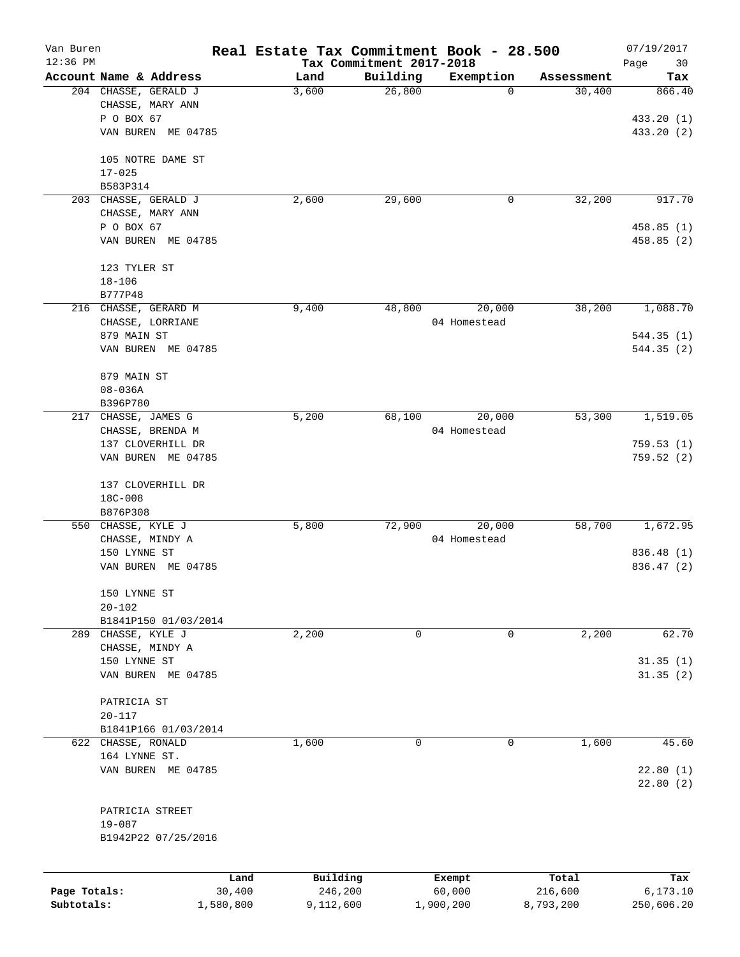| Van Buren    |                        |                | Real Estate Tax Commitment Book - 28.500 |                                      |                  |                      | 07/19/2017       |
|--------------|------------------------|----------------|------------------------------------------|--------------------------------------|------------------|----------------------|------------------|
| 12:36 PM     | Account Name & Address |                | Land                                     | Tax Commitment 2017-2018<br>Building |                  |                      | Page<br>30       |
|              | 204 CHASSE, GERALD J   |                | 3,600                                    | 26,800                               | Exemption<br>0   | Assessment<br>30,400 | Tax<br>866.40    |
|              | CHASSE, MARY ANN       |                |                                          |                                      |                  |                      |                  |
|              | P O BOX 67             |                |                                          |                                      |                  |                      | 433.20 (1)       |
|              | VAN BUREN ME 04785     |                |                                          |                                      |                  |                      | 433.20 (2)       |
|              |                        |                |                                          |                                      |                  |                      |                  |
|              | 105 NOTRE DAME ST      |                |                                          |                                      |                  |                      |                  |
|              | $17 - 025$             |                |                                          |                                      |                  |                      |                  |
|              | B583P314               |                |                                          |                                      |                  |                      |                  |
|              | 203 CHASSE, GERALD J   |                | 2,600                                    | 29,600                               | 0                | 32,200               | 917.70           |
|              | CHASSE, MARY ANN       |                |                                          |                                      |                  |                      |                  |
|              | P O BOX 67             |                |                                          |                                      |                  |                      | 458.85(1)        |
|              | VAN BUREN ME 04785     |                |                                          |                                      |                  |                      | 458.85 (2)       |
|              | 123 TYLER ST           |                |                                          |                                      |                  |                      |                  |
|              | $18 - 106$             |                |                                          |                                      |                  |                      |                  |
|              | B777P48                |                |                                          |                                      |                  |                      |                  |
|              | 216 CHASSE, GERARD M   |                | 9,400                                    | 48,800                               | 20,000           | 38,200               | 1,088.70         |
|              | CHASSE, LORRIANE       |                |                                          |                                      | 04 Homestead     |                      |                  |
|              | 879 MAIN ST            |                |                                          |                                      |                  |                      | 544.35(1)        |
|              | VAN BUREN ME 04785     |                |                                          |                                      |                  |                      | 544.35(2)        |
|              |                        |                |                                          |                                      |                  |                      |                  |
|              | 879 MAIN ST            |                |                                          |                                      |                  |                      |                  |
|              | $08 - 036A$            |                |                                          |                                      |                  |                      |                  |
|              | B396P780               |                |                                          |                                      |                  |                      |                  |
| 217          | CHASSE, JAMES G        |                | 5,200                                    | 68,100                               | 20,000           | 53,300               | 1,519.05         |
|              | CHASSE, BRENDA M       |                |                                          |                                      | 04 Homestead     |                      |                  |
|              | 137 CLOVERHILL DR      |                |                                          |                                      |                  |                      | 759.53(1)        |
|              | VAN BUREN ME 04785     |                |                                          |                                      |                  |                      | 759.52(2)        |
|              | 137 CLOVERHILL DR      |                |                                          |                                      |                  |                      |                  |
|              | 18C-008                |                |                                          |                                      |                  |                      |                  |
|              | B876P308               |                |                                          |                                      |                  |                      |                  |
|              | 550 CHASSE, KYLE J     |                | 5,800                                    | 72,900                               | 20,000           | 58,700               | 1,672.95         |
|              | CHASSE, MINDY A        |                |                                          |                                      | 04 Homestead     |                      |                  |
|              | 150 LYNNE ST           |                |                                          |                                      |                  |                      | 836.48 (1)       |
|              | VAN BUREN ME 04785     |                |                                          |                                      |                  |                      | 836.47 (2)       |
|              |                        |                |                                          |                                      |                  |                      |                  |
|              | 150 LYNNE ST           |                |                                          |                                      |                  |                      |                  |
|              | $20 - 102$             |                |                                          |                                      |                  |                      |                  |
|              | B1841P150 01/03/2014   |                |                                          |                                      |                  |                      |                  |
|              | 289 CHASSE, KYLE J     |                | 2,200                                    | 0                                    | 0                | 2,200                | 62.70            |
|              | CHASSE, MINDY A        |                |                                          |                                      |                  |                      |                  |
|              | 150 LYNNE ST           |                |                                          |                                      |                  |                      | 31.35(1)         |
|              | VAN BUREN ME 04785     |                |                                          |                                      |                  |                      | 31.35(2)         |
|              | PATRICIA ST            |                |                                          |                                      |                  |                      |                  |
|              | $20 - 117$             |                |                                          |                                      |                  |                      |                  |
|              | B1841P166 01/03/2014   |                |                                          |                                      |                  |                      |                  |
|              | 622 CHASSE, RONALD     |                | 1,600                                    | 0                                    | $\mathbf 0$      | 1,600                | 45.60            |
|              | 164 LYNNE ST.          |                |                                          |                                      |                  |                      |                  |
|              | VAN BUREN ME 04785     |                |                                          |                                      |                  |                      | 22.80(1)         |
|              |                        |                |                                          |                                      |                  |                      | 22.80(2)         |
|              |                        |                |                                          |                                      |                  |                      |                  |
|              | PATRICIA STREET        |                |                                          |                                      |                  |                      |                  |
|              | $19 - 087$             |                |                                          |                                      |                  |                      |                  |
|              | B1942P22 07/25/2016    |                |                                          |                                      |                  |                      |                  |
|              |                        |                |                                          |                                      |                  |                      |                  |
| Page Totals: |                        | Land<br>30,400 | Building<br>246,200                      |                                      | Exempt<br>60,000 | Total<br>216,600     | Tax<br>6, 173.10 |
| Subtotals:   |                        | 1,580,800      | 9,112,600                                |                                      | 1,900,200        | 8,793,200            | 250,606.20       |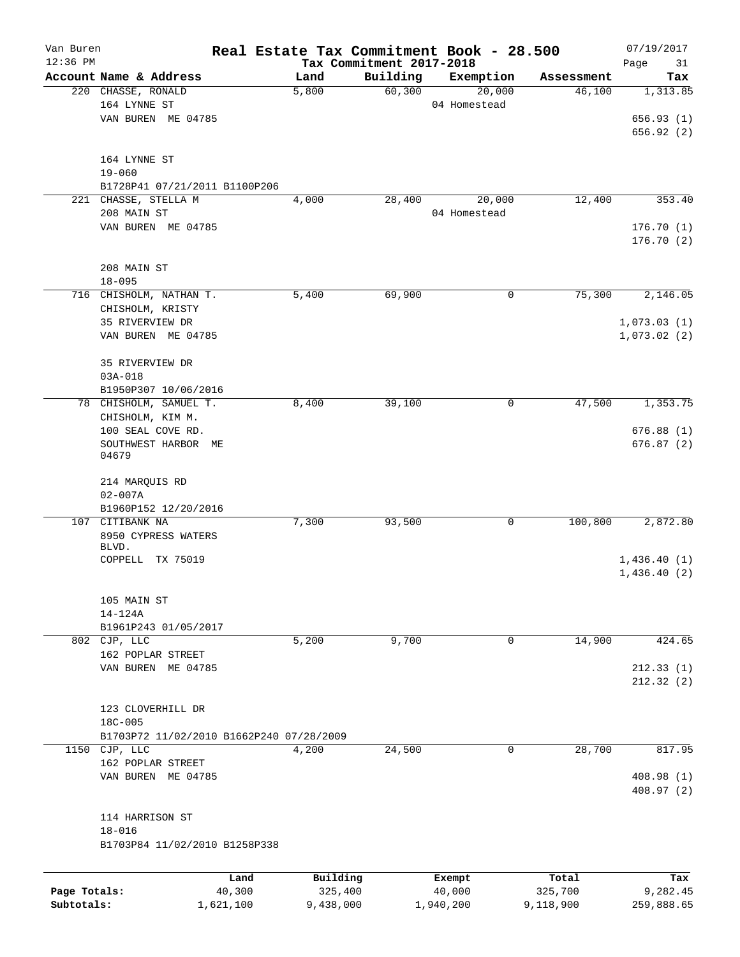| Van Buren<br>$12:36$ PM |                                          |           |           | Tax Commitment 2017-2018 | Real Estate Tax Commitment Book - 28.500 |            | 07/19/2017<br>Page<br>31 |
|-------------------------|------------------------------------------|-----------|-----------|--------------------------|------------------------------------------|------------|--------------------------|
|                         | Account Name & Address                   |           | Land      | Building                 | Exemption                                | Assessment | Tax                      |
|                         | 220 CHASSE, RONALD                       |           | 5,800     | 60,300                   | 20,000                                   | 46,100     | 1,313.85                 |
|                         | 164 LYNNE ST                             |           |           |                          | 04 Homestead                             |            |                          |
|                         | VAN BUREN ME 04785                       |           |           |                          |                                          |            | 656.93(1)                |
|                         |                                          |           |           |                          |                                          |            | 656.92(2)                |
|                         |                                          |           |           |                          |                                          |            |                          |
|                         | 164 LYNNE ST                             |           |           |                          |                                          |            |                          |
|                         | $19 - 060$                               |           |           |                          |                                          |            |                          |
|                         | B1728P41 07/21/2011 B1100P206            |           |           |                          |                                          |            |                          |
|                         | 221 CHASSE, STELLA M                     |           | 4,000     | 28,400                   | 20,000                                   | 12,400     | 353.40                   |
|                         | 208 MAIN ST                              |           |           |                          | 04 Homestead                             |            |                          |
|                         | VAN BUREN ME 04785                       |           |           |                          |                                          |            | 176.70(1)<br>176.70(2)   |
|                         |                                          |           |           |                          |                                          |            |                          |
|                         | 208 MAIN ST                              |           |           |                          |                                          |            |                          |
|                         | $18 - 095$                               |           |           |                          |                                          |            |                          |
|                         | 716 CHISHOLM, NATHAN T.                  |           | 5,400     | 69,900                   | $\mathbf 0$                              | 75,300     | 2,146.05                 |
|                         | CHISHOLM, KRISTY                         |           |           |                          |                                          |            |                          |
|                         | 35 RIVERVIEW DR                          |           |           |                          |                                          |            | 1,073.03(1)              |
|                         | VAN BUREN ME 04785                       |           |           |                          |                                          |            | 1,073.02(2)              |
|                         |                                          |           |           |                          |                                          |            |                          |
|                         | 35 RIVERVIEW DR                          |           |           |                          |                                          |            |                          |
|                         | $03A - 018$                              |           |           |                          |                                          |            |                          |
|                         | B1950P307 10/06/2016                     |           |           |                          |                                          |            |                          |
|                         | 78 CHISHOLM, SAMUEL T.                   |           | 8,400     | 39,100                   | 0                                        | 47,500     | 1,353.75                 |
|                         | CHISHOLM, KIM M.                         |           |           |                          |                                          |            |                          |
|                         | 100 SEAL COVE RD.                        |           |           |                          |                                          |            | 676.88(1)                |
|                         | SOUTHWEST HARBOR ME                      |           |           |                          |                                          |            | 676.87(2)                |
|                         | 04679                                    |           |           |                          |                                          |            |                          |
|                         |                                          |           |           |                          |                                          |            |                          |
|                         | 214 MARQUIS RD<br>$02 - 007A$            |           |           |                          |                                          |            |                          |
|                         | B1960P152 12/20/2016                     |           |           |                          |                                          |            |                          |
|                         | 107 CITIBANK NA                          |           | 7,300     | 93,500                   | 0                                        | 100,800    | 2,872.80                 |
|                         | 8950 CYPRESS WATERS                      |           |           |                          |                                          |            |                          |
|                         | BLVD.                                    |           |           |                          |                                          |            |                          |
|                         | COPPELL TX 75019                         |           |           |                          |                                          |            | 1,436.40(1)              |
|                         |                                          |           |           |                          |                                          |            | 1,436.40(2)              |
|                         |                                          |           |           |                          |                                          |            |                          |
|                         | 105 MAIN ST                              |           |           |                          |                                          |            |                          |
|                         | $14-124A$                                |           |           |                          |                                          |            |                          |
|                         | B1961P243 01/05/2017                     |           |           |                          |                                          |            |                          |
|                         | 802 CJP, LLC                             |           | 5,200     | 9,700                    | 0                                        | 14,900     | 424.65                   |
|                         | 162 POPLAR STREET                        |           |           |                          |                                          |            |                          |
|                         | VAN BUREN ME 04785                       |           |           |                          |                                          |            | 212.33(1)                |
|                         |                                          |           |           |                          |                                          |            | 212.32(2)                |
|                         |                                          |           |           |                          |                                          |            |                          |
|                         | 123 CLOVERHILL DR                        |           |           |                          |                                          |            |                          |
|                         | 18C-005                                  |           |           |                          |                                          |            |                          |
|                         | B1703P72 11/02/2010 B1662P240 07/28/2009 |           |           |                          |                                          | 28,700     | 817.95                   |
|                         | 1150 CJP, LLC                            |           | 4,200     | 24,500                   | 0                                        |            |                          |
|                         | 162 POPLAR STREET<br>VAN BUREN ME 04785  |           |           |                          |                                          |            | 408.98 (1)               |
|                         |                                          |           |           |                          |                                          |            | 408.97 (2)               |
|                         |                                          |           |           |                          |                                          |            |                          |
|                         | 114 HARRISON ST                          |           |           |                          |                                          |            |                          |
|                         | $18 - 016$                               |           |           |                          |                                          |            |                          |
|                         | B1703P84 11/02/2010 B1258P338            |           |           |                          |                                          |            |                          |
|                         |                                          |           |           |                          |                                          |            |                          |
|                         |                                          | Land      | Building  |                          | Exempt                                   | Total      | Tax                      |
| Page Totals:            |                                          | 40,300    | 325,400   |                          | 40,000                                   | 325,700    | 9,282.45                 |
| Subtotals:              |                                          | 1,621,100 | 9,438,000 |                          | 1,940,200                                | 9,118,900  | 259,888.65               |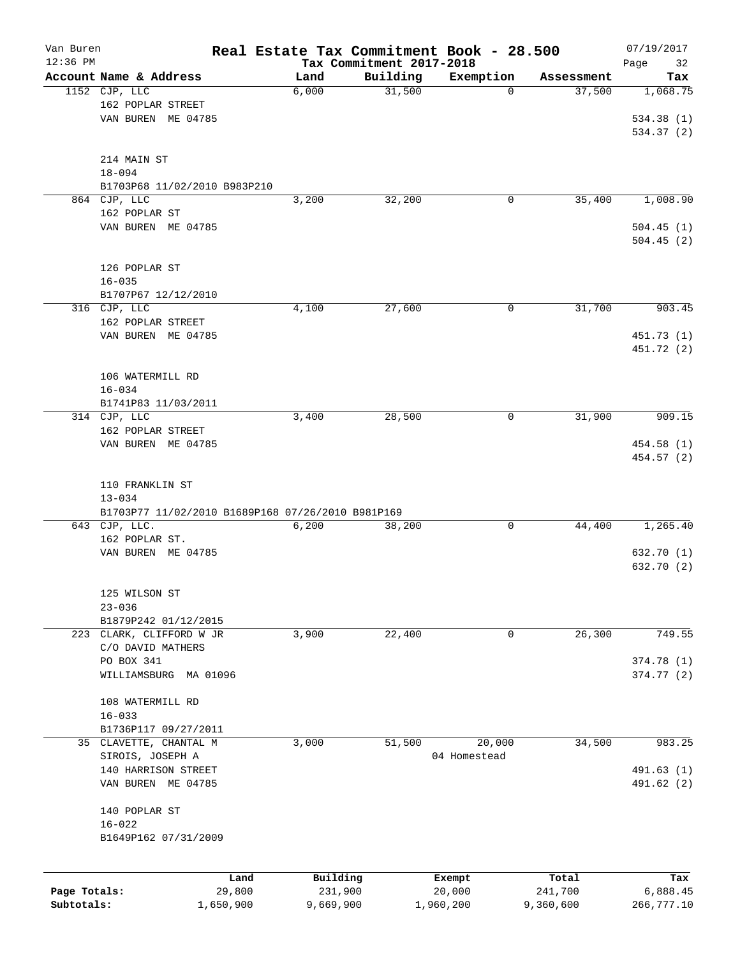| Van Buren<br>$12:36$ PM |                                                   |           | Real Estate Tax Commitment Book - 28.500 | Tax Commitment 2017-2018 |              |            | 07/19/2017<br>Page<br>32 |
|-------------------------|---------------------------------------------------|-----------|------------------------------------------|--------------------------|--------------|------------|--------------------------|
|                         | Account Name & Address                            |           | Land                                     | Building                 | Exemption    | Assessment | Tax                      |
|                         | 1152 CJP, LLC                                     |           | 6,000                                    | 31,500                   | 0            | 37,500     | 1,068.75                 |
|                         | 162 POPLAR STREET                                 |           |                                          |                          |              |            |                          |
|                         | VAN BUREN ME 04785                                |           |                                          |                          |              |            | 534.38 (1)               |
|                         |                                                   |           |                                          |                          |              |            | 534.37 (2)               |
|                         |                                                   |           |                                          |                          |              |            |                          |
|                         | 214 MAIN ST                                       |           |                                          |                          |              |            |                          |
|                         | $18 - 094$                                        |           |                                          |                          |              |            |                          |
|                         | B1703P68 11/02/2010 B983P210                      |           |                                          |                          |              |            |                          |
|                         | 864 CJP, LLC                                      |           | 3,200                                    | 32,200                   | 0            | 35,400     | 1,008.90                 |
|                         | 162 POPLAR ST                                     |           |                                          |                          |              |            |                          |
|                         | VAN BUREN ME 04785                                |           |                                          |                          |              |            | 504.45(1)                |
|                         |                                                   |           |                                          |                          |              |            | 504.45(2)                |
|                         |                                                   |           |                                          |                          |              |            |                          |
|                         | 126 POPLAR ST                                     |           |                                          |                          |              |            |                          |
|                         | $16 - 035$                                        |           |                                          |                          |              |            |                          |
|                         | B1707P67 12/12/2010                               |           |                                          |                          |              |            |                          |
|                         | 316 CJP, LLC                                      |           | 4,100                                    | 27,600                   | 0            | 31,700     | 903.45                   |
|                         | 162 POPLAR STREET                                 |           |                                          |                          |              |            |                          |
|                         | VAN BUREN ME 04785                                |           |                                          |                          |              |            | 451.73 (1)               |
|                         |                                                   |           |                                          |                          |              |            | 451.72 (2)               |
|                         |                                                   |           |                                          |                          |              |            |                          |
|                         | 106 WATERMILL RD<br>$16 - 034$                    |           |                                          |                          |              |            |                          |
|                         | B1741P83 11/03/2011                               |           |                                          |                          |              |            |                          |
|                         | 314 CJP, LLC                                      |           | 3,400                                    | 28,500                   | 0            | 31,900     | 909.15                   |
|                         | 162 POPLAR STREET                                 |           |                                          |                          |              |            |                          |
|                         | VAN BUREN ME 04785                                |           |                                          |                          |              |            | 454.58 (1)               |
|                         |                                                   |           |                                          |                          |              |            | 454.57 (2)               |
|                         |                                                   |           |                                          |                          |              |            |                          |
|                         | 110 FRANKLIN ST                                   |           |                                          |                          |              |            |                          |
|                         | $13 - 034$                                        |           |                                          |                          |              |            |                          |
|                         | B1703P77 11/02/2010 B1689P168 07/26/2010 B981P169 |           |                                          |                          |              |            |                          |
|                         | 643 CJP, LLC.                                     |           | 6,200                                    | 38,200                   | 0            | 44,400     | 1,265.40                 |
|                         | 162 POPLAR ST.                                    |           |                                          |                          |              |            |                          |
|                         | VAN BUREN ME 04785                                |           |                                          |                          |              |            | 632.70 (1)               |
|                         |                                                   |           |                                          |                          |              |            | 632.70 (2)               |
|                         |                                                   |           |                                          |                          |              |            |                          |
|                         | 125 WILSON ST                                     |           |                                          |                          |              |            |                          |
|                         | $23 - 036$                                        |           |                                          |                          |              |            |                          |
|                         | B1879P242 01/12/2015                              |           |                                          |                          |              |            |                          |
|                         | 223 CLARK, CLIFFORD W JR                          |           | 3,900                                    | 22,400                   | 0            | 26,300     | 749.55                   |
|                         | C/O DAVID MATHERS                                 |           |                                          |                          |              |            |                          |
|                         | PO BOX 341                                        |           |                                          |                          |              |            | 374.78 (1)               |
|                         | WILLIAMSBURG MA 01096                             |           |                                          |                          |              |            | 374.77 (2)               |
|                         |                                                   |           |                                          |                          |              |            |                          |
|                         | 108 WATERMILL RD                                  |           |                                          |                          |              |            |                          |
|                         | $16 - 033$                                        |           |                                          |                          |              |            |                          |
|                         | B1736P117 09/27/2011                              |           |                                          |                          |              |            |                          |
|                         | 35 CLAVETTE, CHANTAL M                            |           | 3,000                                    | 51,500                   | 20,000       | 34,500     | 983.25                   |
|                         | SIROIS, JOSEPH A                                  |           |                                          |                          | 04 Homestead |            |                          |
|                         | 140 HARRISON STREET                               |           |                                          |                          |              |            | 491.63 (1)               |
|                         | VAN BUREN ME 04785                                |           |                                          |                          |              |            | 491.62 (2)               |
|                         |                                                   |           |                                          |                          |              |            |                          |
|                         | 140 POPLAR ST                                     |           |                                          |                          |              |            |                          |
|                         | $16 - 022$<br>B1649P162 07/31/2009                |           |                                          |                          |              |            |                          |
|                         |                                                   |           |                                          |                          |              |            |                          |
|                         |                                                   |           |                                          |                          |              |            |                          |
|                         |                                                   | Land      | Building                                 |                          | Exempt       | Total      | Tax                      |
| Page Totals:            |                                                   | 29,800    | 231,900                                  |                          | 20,000       | 241,700    | 6,888.45                 |
| Subtotals:              |                                                   | 1,650,900 | 9,669,900                                |                          | 1,960,200    | 9,360,600  | 266,777.10               |
|                         |                                                   |           |                                          |                          |              |            |                          |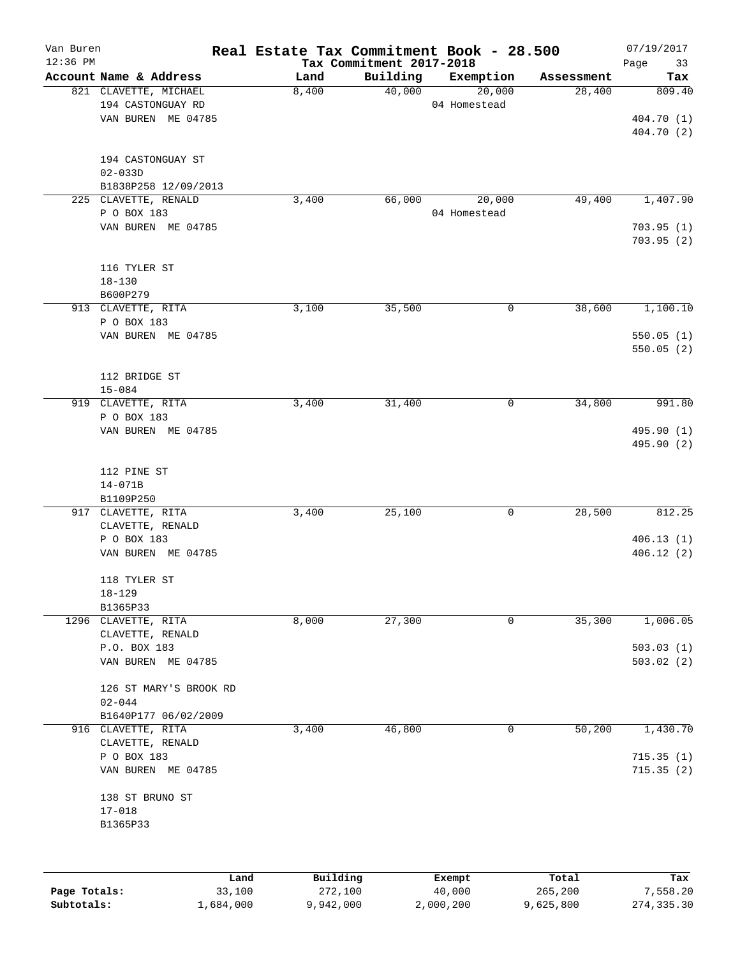| Van Buren    |                                 | Real Estate Tax Commitment Book - 28.500 |                          |              |            | 07/19/2017 |
|--------------|---------------------------------|------------------------------------------|--------------------------|--------------|------------|------------|
| $12:36$ PM   |                                 |                                          | Tax Commitment 2017-2018 |              |            | Page<br>33 |
|              | Account Name & Address          | Land                                     | Building                 | Exemption    | Assessment | Tax        |
|              | 821 CLAVETTE, MICHAEL           | 8,400                                    | 40,000                   | 20,000       | 28,400     | 809.40     |
|              | 194 CASTONGUAY RD               |                                          |                          | 04 Homestead |            |            |
|              | VAN BUREN ME 04785              |                                          |                          |              |            | 404.70 (1) |
|              |                                 |                                          |                          |              |            | 404.70 (2) |
|              | 194 CASTONGUAY ST               |                                          |                          |              |            |            |
|              | $02 - 033D$                     |                                          |                          |              |            |            |
|              | B1838P258 12/09/2013            |                                          |                          |              |            |            |
|              | 225 CLAVETTE, RENALD            | 3,400                                    | 66,000                   | 20,000       | 49,400     | 1,407.90   |
|              | P O BOX 183                     |                                          |                          | 04 Homestead |            |            |
|              | VAN BUREN ME 04785              |                                          |                          |              |            | 703.95(1)  |
|              |                                 |                                          |                          |              |            | 703.95(2)  |
|              |                                 |                                          |                          |              |            |            |
|              | 116 TYLER ST                    |                                          |                          |              |            |            |
|              | $18 - 130$                      |                                          |                          |              |            |            |
|              | B600P279                        |                                          |                          |              |            |            |
|              | 913 CLAVETTE, RITA              | 3,100                                    | 35,500                   | 0            | 38,600     | 1,100.10   |
|              | P O BOX 183                     |                                          |                          |              |            |            |
|              | VAN BUREN ME 04785              |                                          |                          |              |            | 550.05(1)  |
|              |                                 |                                          |                          |              |            | 550.05(2)  |
|              |                                 |                                          |                          |              |            |            |
|              | 112 BRIDGE ST<br>$15 - 084$     |                                          |                          |              |            |            |
|              | 919 CLAVETTE, RITA              | 3,400                                    | 31,400                   | 0            | 34,800     | 991.80     |
|              | P O BOX 183                     |                                          |                          |              |            |            |
|              | VAN BUREN ME 04785              |                                          |                          |              |            | 495.90 (1) |
|              |                                 |                                          |                          |              |            | 495.90 (2) |
|              |                                 |                                          |                          |              |            |            |
|              | 112 PINE ST                     |                                          |                          |              |            |            |
|              | $14 - 071B$                     |                                          |                          |              |            |            |
|              | B1109P250                       |                                          |                          |              |            |            |
|              | 917 CLAVETTE, RITA              | 3,400                                    | 25,100                   | 0            | 28,500     | 812.25     |
|              | CLAVETTE, RENALD                |                                          |                          |              |            |            |
|              | P O BOX 183                     |                                          |                          |              |            | 406.13(1)  |
|              | VAN BUREN ME 04785              |                                          |                          |              |            | 406.12(2)  |
|              |                                 |                                          |                          |              |            |            |
|              | 118 TYLER ST                    |                                          |                          |              |            |            |
|              | $18 - 129$                      |                                          |                          |              |            |            |
|              | B1365P33<br>1296 CLAVETTE, RITA | 8,000                                    | 27,300                   | 0            | 35,300     | 1,006.05   |
|              | CLAVETTE, RENALD                |                                          |                          |              |            |            |
|              | P.O. BOX 183                    |                                          |                          |              |            | 503.03(1)  |
|              | VAN BUREN ME 04785              |                                          |                          |              |            | 503.02(2)  |
|              |                                 |                                          |                          |              |            |            |
|              | 126 ST MARY'S BROOK RD          |                                          |                          |              |            |            |
|              | $02 - 044$                      |                                          |                          |              |            |            |
|              | B1640P177 06/02/2009            |                                          |                          |              |            |            |
|              | 916 CLAVETTE, RITA              | 3,400                                    | 46,800                   | 0            | 50,200     | 1,430.70   |
|              | CLAVETTE, RENALD                |                                          |                          |              |            |            |
|              | P O BOX 183                     |                                          |                          |              |            | 715.35(1)  |
|              | VAN BUREN ME 04785              |                                          |                          |              |            | 715.35(2)  |
|              |                                 |                                          |                          |              |            |            |
|              | 138 ST BRUNO ST                 |                                          |                          |              |            |            |
|              | $17 - 018$                      |                                          |                          |              |            |            |
|              | B1365P33                        |                                          |                          |              |            |            |
|              |                                 |                                          |                          |              |            |            |
|              |                                 |                                          |                          |              |            |            |
|              | Land                            | Building                                 |                          | Exempt       | Total      | Tax        |
| Page Totals: | 33,100                          | 272,100                                  |                          | 40,000       | 265,200    | 7,558.20   |

**Subtotals:** 1,684,000 9,942,000 2,000,200 9,625,800 274,335.30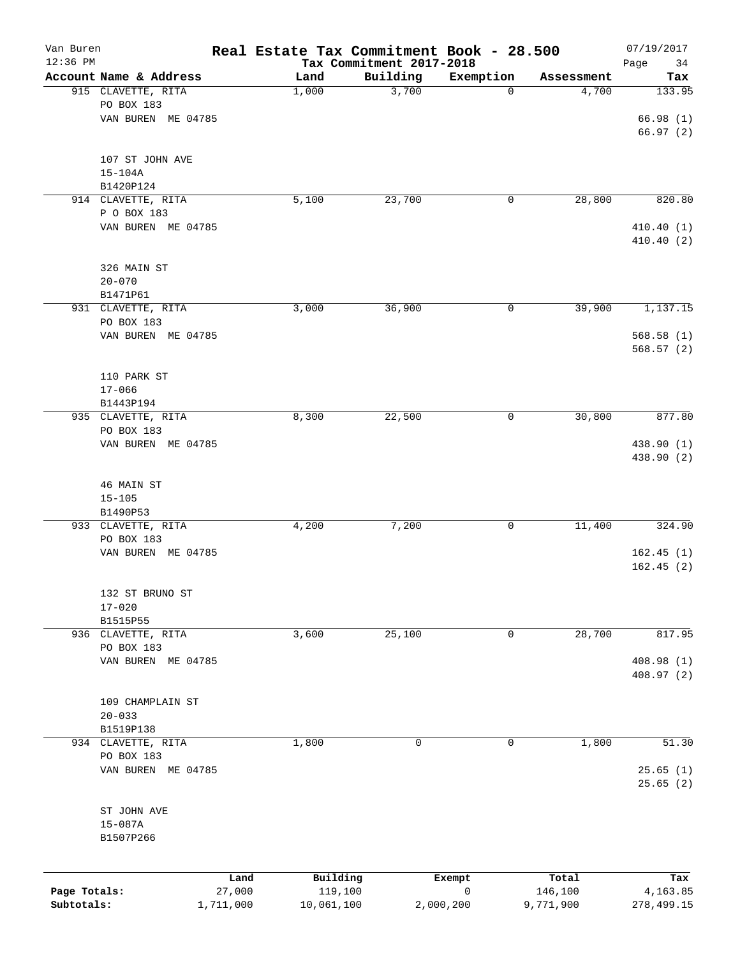| Van Buren<br>12:36 PM |                                   |                | Real Estate Tax Commitment Book - 28.500 | Tax Commitment 2017-2018 |             |                  | 07/19/2017<br>Page<br>34 |
|-----------------------|-----------------------------------|----------------|------------------------------------------|--------------------------|-------------|------------------|--------------------------|
|                       | Account Name & Address            |                | Land                                     | Building                 | Exemption   | Assessment       | Tax                      |
|                       | 915 CLAVETTE, RITA                |                | 1,000                                    | 3,700                    | $\mathbf 0$ | 4,700            | 133.95                   |
|                       | PO BOX 183                        |                |                                          |                          |             |                  |                          |
|                       | VAN BUREN ME 04785                |                |                                          |                          |             |                  | 66.98(1)<br>66.97(2)     |
|                       |                                   |                |                                          |                          |             |                  |                          |
|                       | 107 ST JOHN AVE                   |                |                                          |                          |             |                  |                          |
|                       | $15 - 104A$                       |                |                                          |                          |             |                  |                          |
|                       | B1420P124                         |                |                                          |                          |             |                  |                          |
|                       | 914 CLAVETTE, RITA                |                | 5,100                                    | 23,700                   | 0           | 28,800           | 820.80                   |
|                       | P O BOX 183<br>VAN BUREN ME 04785 |                |                                          |                          |             |                  | 410.40(1)                |
|                       |                                   |                |                                          |                          |             |                  | 410.40 (2)               |
|                       | 326 MAIN ST                       |                |                                          |                          |             |                  |                          |
|                       | $20 - 070$                        |                |                                          |                          |             |                  |                          |
|                       | B1471P61                          |                |                                          |                          |             |                  |                          |
|                       | 931 CLAVETTE, RITA                |                | 3,000                                    | 36,900                   | 0           | 39,900           | 1,137.15                 |
|                       | PO BOX 183                        |                |                                          |                          |             |                  |                          |
|                       | VAN BUREN ME 04785                |                |                                          |                          |             |                  | 568.58(1)                |
|                       |                                   |                |                                          |                          |             |                  | 568.57(2)                |
|                       | 110 PARK ST                       |                |                                          |                          |             |                  |                          |
|                       | $17 - 066$                        |                |                                          |                          |             |                  |                          |
|                       | B1443P194                         |                |                                          |                          |             |                  |                          |
|                       | 935 CLAVETTE, RITA                |                | 8,300                                    | 22,500                   | 0           | 30,800           | 877.80                   |
|                       | PO BOX 183                        |                |                                          |                          |             |                  |                          |
|                       | VAN BUREN ME 04785                |                |                                          |                          |             |                  | 438.90 (1)               |
|                       |                                   |                |                                          |                          |             |                  | 438.90 (2)               |
|                       |                                   |                |                                          |                          |             |                  |                          |
|                       | 46 MAIN ST                        |                |                                          |                          |             |                  |                          |
|                       | $15 - 105$                        |                |                                          |                          |             |                  |                          |
|                       | B1490P53                          |                |                                          |                          |             |                  |                          |
|                       | 933 CLAVETTE, RITA                |                | 4,200                                    | 7,200                    | 0           | 11,400           | 324.90                   |
|                       | PO BOX 183<br>VAN BUREN ME 04785  |                |                                          |                          |             |                  | 162.45(1)                |
|                       |                                   |                |                                          |                          |             |                  | 162.45(2)                |
|                       |                                   |                |                                          |                          |             |                  |                          |
|                       | 132 ST BRUNO ST                   |                |                                          |                          |             |                  |                          |
|                       | $17 - 020$                        |                |                                          |                          |             |                  |                          |
|                       | B1515P55                          |                |                                          |                          |             |                  |                          |
|                       | 936 CLAVETTE, RITA                |                | 3,600                                    | 25,100                   | 0           | 28,700           | 817.95                   |
|                       | PO BOX 183                        |                |                                          |                          |             |                  |                          |
|                       | VAN BUREN ME 04785                |                |                                          |                          |             |                  | 408.98 (1)               |
|                       |                                   |                |                                          |                          |             |                  | 408.97(2)                |
|                       | 109 CHAMPLAIN ST                  |                |                                          |                          |             |                  |                          |
|                       | $20 - 033$                        |                |                                          |                          |             |                  |                          |
|                       | B1519P138                         |                |                                          |                          |             |                  |                          |
|                       | 934 CLAVETTE, RITA                |                | 1,800                                    | 0                        | 0           | 1,800            | 51.30                    |
|                       | PO BOX 183                        |                |                                          |                          |             |                  |                          |
|                       | VAN BUREN ME 04785                |                |                                          |                          |             |                  | 25.65(1)                 |
|                       |                                   |                |                                          |                          |             |                  | 25.65(2)                 |
|                       |                                   |                |                                          |                          |             |                  |                          |
|                       | ST JOHN AVE                       |                |                                          |                          |             |                  |                          |
|                       | $15 - 087A$                       |                |                                          |                          |             |                  |                          |
|                       | B1507P266                         |                |                                          |                          |             |                  |                          |
|                       |                                   |                |                                          |                          |             |                  |                          |
| Page Totals:          |                                   | Land<br>27,000 | Building<br>119,100                      |                          | Exempt<br>0 | Total<br>146,100 | Tax<br>4,163.85          |
| Subtotals:            |                                   | 1,711,000      | 10,061,100                               |                          | 2,000,200   | 9,771,900        | 278,499.15               |
|                       |                                   |                |                                          |                          |             |                  |                          |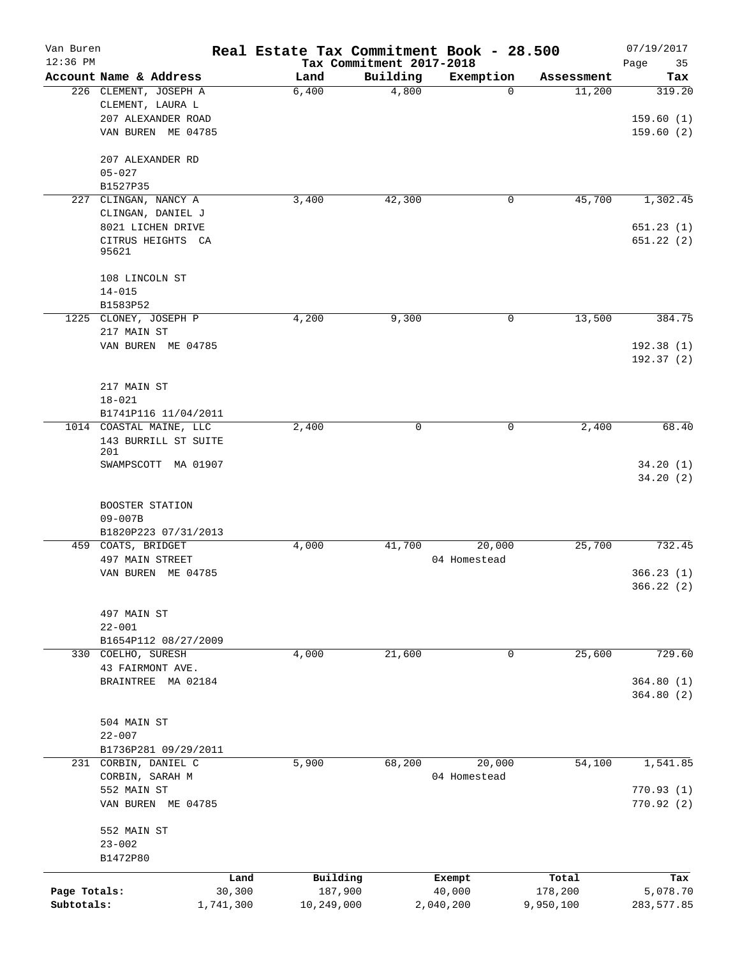| Van Buren    |                                                 | Real Estate Tax Commitment Book - 28.500 |                          |                       |                      | 07/19/2017    |
|--------------|-------------------------------------------------|------------------------------------------|--------------------------|-----------------------|----------------------|---------------|
| $12:36$ PM   |                                                 |                                          | Tax Commitment 2017-2018 |                       |                      | Page<br>35    |
|              | Account Name & Address<br>226 CLEMENT, JOSEPH A | Land<br>6,400                            | Building<br>4,800        | Exemption<br>$\Omega$ | Assessment<br>11,200 | Tax<br>319.20 |
|              | CLEMENT, LAURA L                                |                                          |                          |                       |                      |               |
|              | 207 ALEXANDER ROAD                              |                                          |                          |                       |                      | 159.60(1)     |
|              | VAN BUREN ME 04785                              |                                          |                          |                       |                      | 159.60(2)     |
|              |                                                 |                                          |                          |                       |                      |               |
|              | 207 ALEXANDER RD                                |                                          |                          |                       |                      |               |
|              | $05 - 027$                                      |                                          |                          |                       |                      |               |
|              | B1527P35                                        |                                          |                          |                       |                      |               |
| 227          | CLINGAN, NANCY A                                | 3,400                                    | 42,300                   | 0                     | 45,700               | 1,302.45      |
|              | CLINGAN, DANIEL J                               |                                          |                          |                       |                      |               |
|              | 8021 LICHEN DRIVE                               |                                          |                          |                       |                      | 651.23(1)     |
|              | CITRUS HEIGHTS CA                               |                                          |                          |                       |                      | 651.22(2)     |
|              | 95621                                           |                                          |                          |                       |                      |               |
|              | 108 LINCOLN ST                                  |                                          |                          |                       |                      |               |
|              | $14 - 015$                                      |                                          |                          |                       |                      |               |
|              | B1583P52                                        |                                          |                          |                       |                      |               |
|              | 1225 CLONEY, JOSEPH P                           | 4,200                                    | 9,300                    | 0                     | 13,500               | 384.75        |
|              | 217 MAIN ST                                     |                                          |                          |                       |                      |               |
|              | VAN BUREN ME 04785                              |                                          |                          |                       |                      | 192.38(1)     |
|              |                                                 |                                          |                          |                       |                      | 192.37(2)     |
|              |                                                 |                                          |                          |                       |                      |               |
|              | 217 MAIN ST                                     |                                          |                          |                       |                      |               |
|              | $18 - 021$                                      |                                          |                          |                       |                      |               |
|              | B1741P116 11/04/2011                            |                                          |                          |                       |                      |               |
|              | 1014 COASTAL MAINE, LLC                         | 2,400                                    | $\Omega$                 | $\mathbf 0$           | 2,400                | 68.40         |
|              | 143 BURRILL ST SUITE                            |                                          |                          |                       |                      |               |
|              | 201<br>SWAMPSCOTT MA 01907                      |                                          |                          |                       |                      | 34.20(1)      |
|              |                                                 |                                          |                          |                       |                      | 34.20 (2)     |
|              |                                                 |                                          |                          |                       |                      |               |
|              | BOOSTER STATION                                 |                                          |                          |                       |                      |               |
|              | $09 - 007B$                                     |                                          |                          |                       |                      |               |
|              | B1820P223 07/31/2013                            |                                          |                          |                       |                      |               |
|              | 459 COATS, BRIDGET                              | 4,000                                    | 41,700                   | 20,000                | 25,700               | 732.45        |
|              | 497 MAIN STREET                                 |                                          |                          | 04 Homestead          |                      |               |
|              | VAN BUREN ME 04785                              |                                          |                          |                       |                      | 366.23(1)     |
|              |                                                 |                                          |                          |                       |                      | 366.22 (2)    |
|              | 497 MAIN ST                                     |                                          |                          |                       |                      |               |
|              | $22 - 001$                                      |                                          |                          |                       |                      |               |
|              | B1654P112 08/27/2009                            |                                          |                          |                       |                      |               |
| 330          | COELHO, SURESH                                  | 4,000                                    | 21,600                   | 0                     | 25,600               | 729.60        |
|              | 43 FAIRMONT AVE.                                |                                          |                          |                       |                      |               |
|              | BRAINTREE MA 02184                              |                                          |                          |                       |                      | 364.80(1)     |
|              |                                                 |                                          |                          |                       |                      | 364.80(2)     |
|              |                                                 |                                          |                          |                       |                      |               |
|              | 504 MAIN ST                                     |                                          |                          |                       |                      |               |
|              | $22 - 007$                                      |                                          |                          |                       |                      |               |
|              | B1736P281 09/29/2011                            |                                          |                          |                       |                      |               |
|              | 231 CORBIN, DANIEL C                            | 5,900                                    | 68,200                   | 20,000                | 54,100               | 1,541.85      |
|              | CORBIN, SARAH M                                 |                                          |                          | 04 Homestead          |                      |               |
|              | 552 MAIN ST                                     |                                          |                          |                       |                      | 770.93(1)     |
|              | VAN BUREN ME 04785                              |                                          |                          |                       |                      | 770.92(2)     |
|              |                                                 |                                          |                          |                       |                      |               |
|              | 552 MAIN ST                                     |                                          |                          |                       |                      |               |
|              | $23 - 002$                                      |                                          |                          |                       |                      |               |
|              | B1472P80                                        |                                          |                          |                       |                      |               |
|              |                                                 | Building<br>Land                         |                          | Exempt                | Total                | Tax           |
| Page Totals: | 30,300                                          | 187,900                                  |                          | 40,000                | 178,200              | 5,078.70      |
| Subtotals:   | 1,741,300                                       | 10,249,000                               |                          | 2,040,200             | 9,950,100            | 283, 577.85   |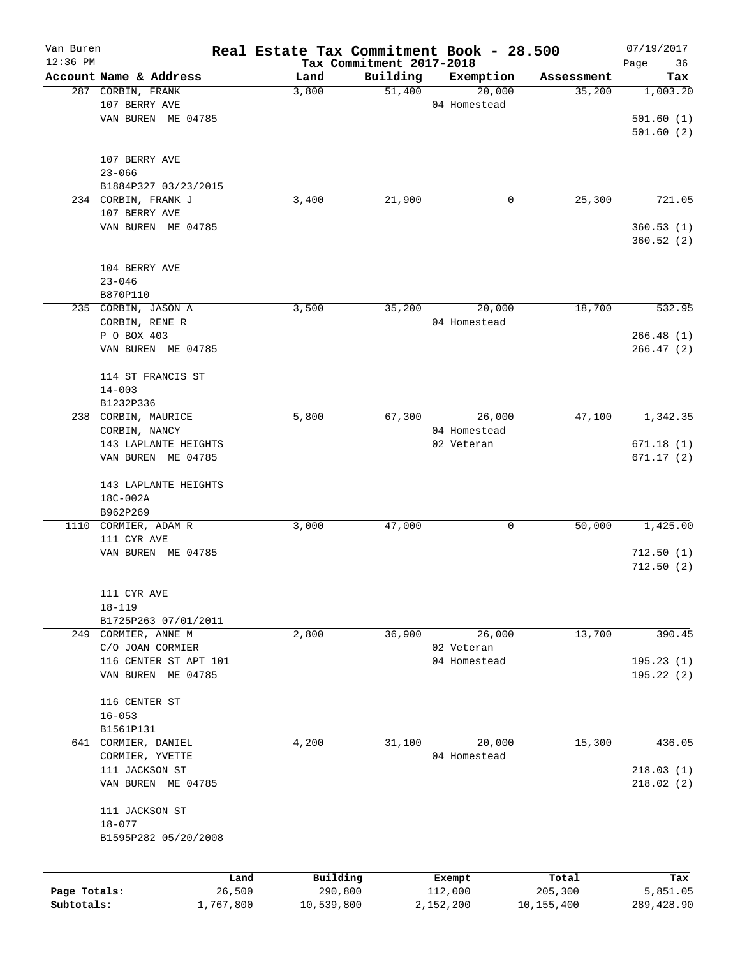| Van Buren    |                              |           | Real Estate Tax Commitment Book - 28.500 |                                      |              |            | 07/19/2017              |
|--------------|------------------------------|-----------|------------------------------------------|--------------------------------------|--------------|------------|-------------------------|
| 12:36 PM     | Account Name & Address       |           | Land                                     | Tax Commitment 2017-2018<br>Building | Exemption    | Assessment | Page<br>36<br>Tax       |
|              | 287 CORBIN, FRANK            |           | 3,800                                    | 51,400                               | 20,000       | 35,200     | 1,003.20                |
|              | 107 BERRY AVE                |           |                                          |                                      | 04 Homestead |            |                         |
|              | VAN BUREN ME 04785           |           |                                          |                                      |              |            | 501.60(1)               |
|              |                              |           |                                          |                                      |              |            | 501.60(2)               |
|              | 107 BERRY AVE                |           |                                          |                                      |              |            |                         |
|              | $23 - 066$                   |           |                                          |                                      |              |            |                         |
|              | B1884P327 03/23/2015         |           |                                          |                                      |              |            |                         |
|              | 234 CORBIN, FRANK J          |           | 3,400                                    | 21,900                               | 0            | 25,300     | 721.05                  |
|              | 107 BERRY AVE                |           |                                          |                                      |              |            |                         |
|              | VAN BUREN ME 04785           |           |                                          |                                      |              |            | 360.53(1)<br>360.52 (2) |
|              | 104 BERRY AVE                |           |                                          |                                      |              |            |                         |
|              | $23 - 046$                   |           |                                          |                                      |              |            |                         |
|              | B870P110                     |           |                                          |                                      |              |            |                         |
|              | 235 CORBIN, JASON A          |           | 3,500                                    | 35,200                               | 20,000       | 18,700     | 532.95                  |
|              | CORBIN, RENE R               |           |                                          |                                      | 04 Homestead |            |                         |
|              | P O BOX 403                  |           |                                          |                                      |              |            | 266.48(1)               |
|              | VAN BUREN ME 04785           |           |                                          |                                      |              |            | 266.47(2)               |
|              | 114 ST FRANCIS ST            |           |                                          |                                      |              |            |                         |
|              | $14 - 003$                   |           |                                          |                                      |              |            |                         |
|              | B1232P336                    |           |                                          |                                      |              |            |                         |
|              | 238 CORBIN, MAURICE          |           | 5,800                                    | 67,300                               | 26,000       | 47,100     | 1,342.35                |
|              | CORBIN, NANCY                |           |                                          |                                      | 04 Homestead |            |                         |
|              | 143 LAPLANTE HEIGHTS         |           |                                          |                                      | 02 Veteran   |            | 671.18(1)               |
|              | VAN BUREN ME 04785           |           |                                          |                                      |              |            | 671.17(2)               |
|              | 143 LAPLANTE HEIGHTS         |           |                                          |                                      |              |            |                         |
|              | 18C-002A                     |           |                                          |                                      |              |            |                         |
|              | B962P269                     |           |                                          |                                      |              |            |                         |
|              | 1110 CORMIER, ADAM R         |           | 3,000                                    | 47,000                               | 0            | 50,000     | 1,425.00                |
|              | 111 CYR AVE                  |           |                                          |                                      |              |            |                         |
|              | VAN BUREN ME 04785           |           |                                          |                                      |              |            | 712.50(1)<br>712.50(2)  |
|              | 111 CYR AVE                  |           |                                          |                                      |              |            |                         |
|              | $18 - 119$                   |           |                                          |                                      |              |            |                         |
|              | B1725P263 07/01/2011         |           |                                          |                                      |              |            |                         |
|              | 249 CORMIER, ANNE M          |           | 2,800                                    | 36,900                               | 26,000       | 13,700     | 390.45                  |
|              | C/O JOAN CORMIER             |           |                                          |                                      | 02 Veteran   |            |                         |
|              | 116 CENTER ST APT 101        |           |                                          |                                      | 04 Homestead |            | 195.23(1)               |
|              | VAN BUREN ME 04785           |           |                                          |                                      |              |            | 195.22(2)               |
|              | 116 CENTER ST                |           |                                          |                                      |              |            |                         |
|              | $16 - 053$                   |           |                                          |                                      |              |            |                         |
|              | B1561P131                    |           |                                          |                                      |              |            |                         |
| 641          | CORMIER, DANIEL              |           | 4,200                                    | 31,100                               | 20,000       | 15,300     | 436.05                  |
|              | CORMIER, YVETTE              |           |                                          |                                      | 04 Homestead |            |                         |
|              | 111 JACKSON ST               |           |                                          |                                      |              |            | 218.03(1)               |
|              | VAN BUREN ME 04785           |           |                                          |                                      |              |            | 218.02(2)               |
|              | 111 JACKSON ST<br>$18 - 077$ |           |                                          |                                      |              |            |                         |
|              | B1595P282 05/20/2008         |           |                                          |                                      |              |            |                         |
|              |                              |           |                                          |                                      |              |            |                         |
|              |                              | Land      | Building                                 |                                      | Exempt       | Total      | Tax                     |
| Page Totals: |                              | 26,500    | 290,800                                  |                                      | 112,000      | 205,300    | 5,851.05                |
| Subtotals:   |                              | 1,767,800 | 10,539,800                               |                                      | 2,152,200    | 10,155,400 | 289, 428.90             |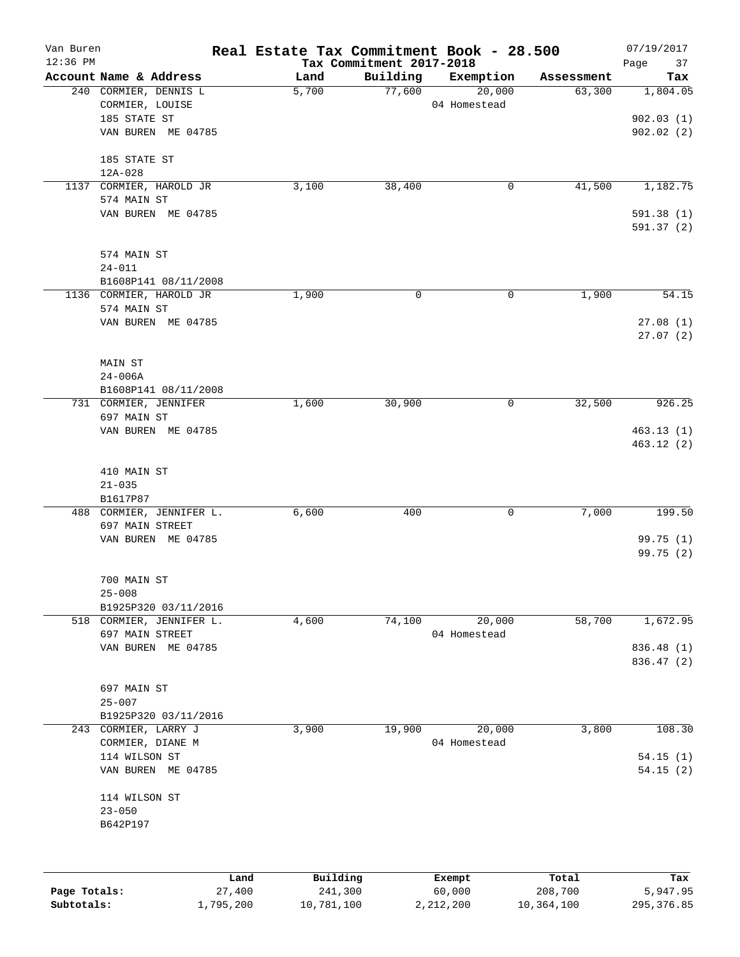| Van Buren<br>$12:36$ PM |                          | Real Estate Tax Commitment Book - 28.500 | Tax Commitment 2017-2018 |              |                       | 07/19/2017<br>Page<br>37 |
|-------------------------|--------------------------|------------------------------------------|--------------------------|--------------|-----------------------|--------------------------|
|                         | Account Name & Address   | Land                                     | Building                 | Exemption    | Assessment            | Tax                      |
|                         | 240 CORMIER, DENNIS L    | 5,700                                    | 77,600                   | 20,000       | 63,300                | 1,804.05                 |
|                         | CORMIER, LOUISE          |                                          |                          | 04 Homestead |                       |                          |
|                         | 185 STATE ST             |                                          |                          |              |                       | 902.03(1)                |
|                         | VAN BUREN ME 04785       |                                          |                          |              |                       | 902.02(2)                |
|                         | 185 STATE ST             |                                          |                          |              |                       |                          |
|                         | $12A - 028$              |                                          |                          |              |                       |                          |
|                         | 1137 CORMIER, HAROLD JR  | 3,100                                    | 38,400                   | 0            | 41,500                | 1,182.75                 |
|                         | 574 MAIN ST              |                                          |                          |              |                       |                          |
|                         | VAN BUREN ME 04785       |                                          |                          |              |                       | 591.38 (1)<br>591.37(2)  |
|                         | 574 MAIN ST              |                                          |                          |              |                       |                          |
|                         | $24 - 011$               |                                          |                          |              |                       |                          |
|                         | B1608P141 08/11/2008     |                                          |                          |              |                       |                          |
|                         | 1136 CORMIER, HAROLD JR  | 1,900                                    | 0                        | $\mathbf 0$  | 1,900                 | 54.15                    |
|                         | 574 MAIN ST              |                                          |                          |              |                       |                          |
|                         | VAN BUREN ME 04785       |                                          |                          |              |                       | 27.08(1)<br>27.07(2)     |
|                         | <b>MAIN ST</b>           |                                          |                          |              |                       |                          |
|                         | $24 - 006A$              |                                          |                          |              |                       |                          |
|                         | B1608P141 08/11/2008     |                                          |                          |              |                       |                          |
|                         | 731 CORMIER, JENNIFER    | 1,600                                    | 30,900                   | $\mathsf{O}$ | 32,500                | 926.25                   |
|                         | 697 MAIN ST              |                                          |                          |              |                       |                          |
|                         | VAN BUREN ME 04785       |                                          |                          |              |                       | 463.13(1)                |
|                         |                          |                                          |                          |              |                       | 463.12(2)                |
|                         | 410 MAIN ST              |                                          |                          |              |                       |                          |
|                         | $21 - 035$               |                                          |                          |              |                       |                          |
|                         | B1617P87                 |                                          |                          |              |                       |                          |
|                         | 488 CORMIER, JENNIFER L. | 6,600                                    | 400                      | 0            | 7,000                 | 199.50                   |
|                         | 697 MAIN STREET          |                                          |                          |              |                       |                          |
|                         | VAN BUREN ME 04785       |                                          |                          |              |                       | 99.75 (1)                |
|                         |                          |                                          |                          |              |                       | 99.75 (2)                |
|                         | 700 MAIN ST              |                                          |                          |              |                       |                          |
|                         | $25 - 008$               |                                          |                          |              |                       |                          |
|                         | B1925P320 03/11/2016     |                                          |                          |              |                       |                          |
|                         | 518 CORMIER, JENNIFER L. | 4,600                                    | 74,100                   | 20,000       | 58,700                | 1,672.95                 |
|                         | 697 MAIN STREET          |                                          |                          | 04 Homestead |                       |                          |
|                         | VAN BUREN ME 04785       |                                          |                          |              |                       | 836.48 (1)               |
|                         |                          |                                          |                          |              |                       | 836.47 (2)               |
|                         | 697 MAIN ST              |                                          |                          |              |                       |                          |
|                         | $25 - 007$               |                                          |                          |              |                       |                          |
|                         | B1925P320 03/11/2016     |                                          |                          |              |                       |                          |
| 243                     | CORMIER, LARRY J         | 3,900                                    | 19,900                   | 20,000       | 3,800                 | 108.30                   |
|                         | CORMIER, DIANE M         |                                          |                          | 04 Homestead |                       |                          |
|                         | 114 WILSON ST            |                                          |                          |              |                       | 54.15(1)                 |
|                         | VAN BUREN ME 04785       |                                          |                          |              |                       | 54.15(2)                 |
|                         | 114 WILSON ST            |                                          |                          |              |                       |                          |
|                         | $23 - 050$               |                                          |                          |              |                       |                          |
|                         | B642P197                 |                                          |                          |              |                       |                          |
|                         |                          |                                          |                          |              |                       |                          |
|                         |                          | Building<br>Land                         |                          | Exempt       | Total                 | Tax                      |
| Page Totals:            | 27,400<br>1,795,200      | 241,300<br>10,781,100                    |                          | 60,000       | 208,700<br>10,364,100 | 5,947.95<br>295, 376.85  |
| Subtotals:              |                          |                                          |                          | 2, 212, 200  |                       |                          |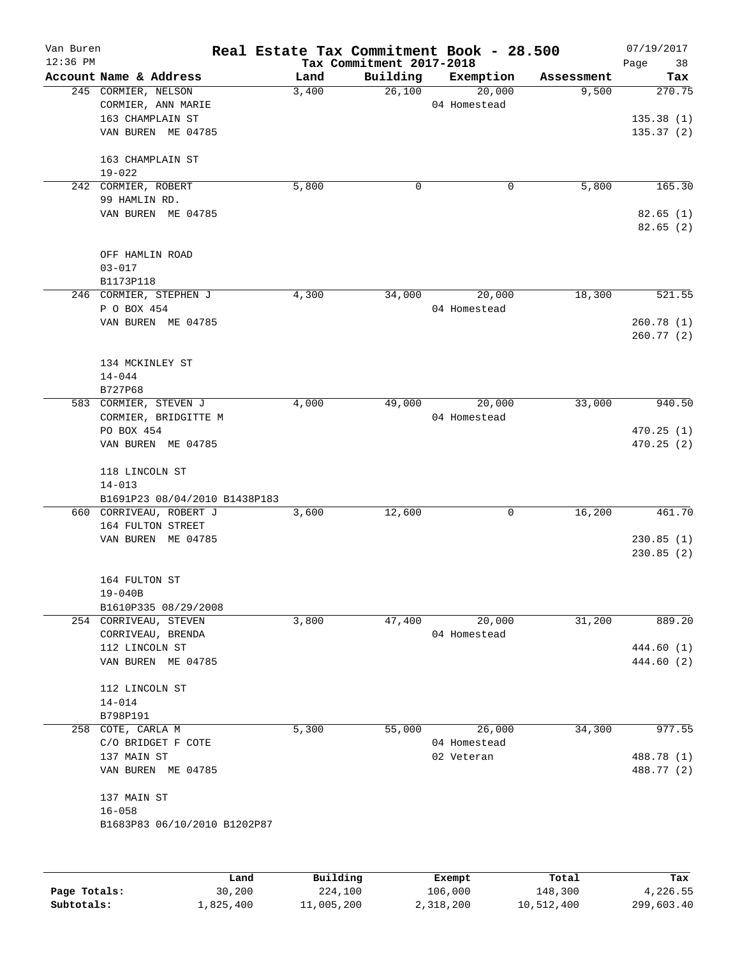| Van Buren  |                                        |          |                          | Real Estate Tax Commitment Book - 28.500 |            | 07/19/2017 |
|------------|----------------------------------------|----------|--------------------------|------------------------------------------|------------|------------|
| $12:36$ PM |                                        |          | Tax Commitment 2017-2018 |                                          |            | Page<br>38 |
|            | Account Name & Address                 | Land     | Building                 | Exemption                                | Assessment | Tax        |
|            | 245 CORMIER, NELSON                    | 3,400    | 26,100                   | 20,000                                   | 9,500      | 270.75     |
|            | CORMIER, ANN MARIE<br>163 CHAMPLAIN ST |          |                          | 04 Homestead                             |            | 135.38(1)  |
|            | VAN BUREN ME 04785                     |          |                          |                                          |            | 135.37(2)  |
|            |                                        |          |                          |                                          |            |            |
|            | 163 CHAMPLAIN ST                       |          |                          |                                          |            |            |
|            | $19 - 022$                             |          |                          |                                          |            |            |
|            | 242 CORMIER, ROBERT                    | 5,800    | 0                        | 0                                        | 5,800      | 165.30     |
|            | 99 HAMLIN RD.                          |          |                          |                                          |            |            |
|            | VAN BUREN ME 04785                     |          |                          |                                          |            | 82.65(1)   |
|            |                                        |          |                          |                                          |            | 82.65(2)   |
|            | OFF HAMLIN ROAD                        |          |                          |                                          |            |            |
|            | $03 - 017$                             |          |                          |                                          |            |            |
|            | B1173P118                              |          |                          |                                          |            |            |
|            | 246 CORMIER, STEPHEN J                 | 4,300    | 34,000                   | 20,000                                   | 18,300     | 521.55     |
|            | P O BOX 454                            |          |                          | 04 Homestead                             |            |            |
|            | VAN BUREN ME 04785                     |          |                          |                                          |            | 260.78(1)  |
|            |                                        |          |                          |                                          |            | 260.77(2)  |
|            |                                        |          |                          |                                          |            |            |
|            | 134 MCKINLEY ST                        |          |                          |                                          |            |            |
|            | $14 - 044$                             |          |                          |                                          |            |            |
|            | B727P68                                |          |                          |                                          |            |            |
|            | 583 CORMIER, STEVEN J                  | 4,000    | 49,000                   | 20,000                                   | 33,000     | 940.50     |
|            | CORMIER, BRIDGITTE M                   |          |                          | 04 Homestead                             |            |            |
|            | PO BOX 454                             |          |                          |                                          |            | 470.25(1)  |
|            | VAN BUREN ME 04785                     |          |                          |                                          |            | 470.25(2)  |
|            | 118 LINCOLN ST                         |          |                          |                                          |            |            |
|            | $14 - 013$                             |          |                          |                                          |            |            |
|            | B1691P23 08/04/2010 B1438P183          |          |                          |                                          |            |            |
|            | 660 CORRIVEAU, ROBERT J                | 3,600    | 12,600                   | 0                                        | 16,200     | 461.70     |
|            | 164 FULTON STREET                      |          |                          |                                          |            |            |
|            | VAN BUREN ME 04785                     |          |                          |                                          |            | 230.85(1)  |
|            |                                        |          |                          |                                          |            | 230.85(2)  |
|            |                                        |          |                          |                                          |            |            |
|            | 164 FULTON ST                          |          |                          |                                          |            |            |
|            | $19 - 040B$<br>B1610P335 08/29/2008    |          |                          |                                          |            |            |
|            | 254 CORRIVEAU, STEVEN                  | 3,800    | 47,400                   | 20,000                                   | 31,200     | 889.20     |
|            | CORRIVEAU, BRENDA                      |          |                          | 04 Homestead                             |            |            |
|            | 112 LINCOLN ST                         |          |                          |                                          |            | 444.60 (1) |
|            | VAN BUREN ME 04785                     |          |                          |                                          |            | 444.60 (2) |
|            |                                        |          |                          |                                          |            |            |
|            | 112 LINCOLN ST                         |          |                          |                                          |            |            |
|            | $14 - 014$                             |          |                          |                                          |            |            |
|            | B798P191                               |          |                          |                                          |            |            |
| 258        | COTE, CARLA M                          | 5,300    | 55,000                   | 26,000                                   | 34,300     | 977.55     |
|            | C/O BRIDGET F COTE                     |          |                          | 04 Homestead                             |            |            |
|            | 137 MAIN ST                            |          |                          | 02 Veteran                               |            | 488.78 (1) |
|            | VAN BUREN ME 04785                     |          |                          |                                          |            | 488.77 (2) |
|            | 137 MAIN ST                            |          |                          |                                          |            |            |
|            | $16 - 058$                             |          |                          |                                          |            |            |
|            | B1683P83 06/10/2010 B1202P87           |          |                          |                                          |            |            |
|            |                                        |          |                          |                                          |            |            |
|            |                                        |          |                          |                                          |            |            |
|            | Land                                   | Building |                          | Exempt                                   | Total      | Tax        |

|              | úand      | Building   | Exempt    | Total      | тах        |
|--------------|-----------|------------|-----------|------------|------------|
| Page Totals: | 30,200    | 224,100    | 106.000   | 148,300    | 4,226.55   |
| Subtotals:   | 1,825,400 | 11,005,200 | 2,318,200 | 10,512,400 | 299,603.40 |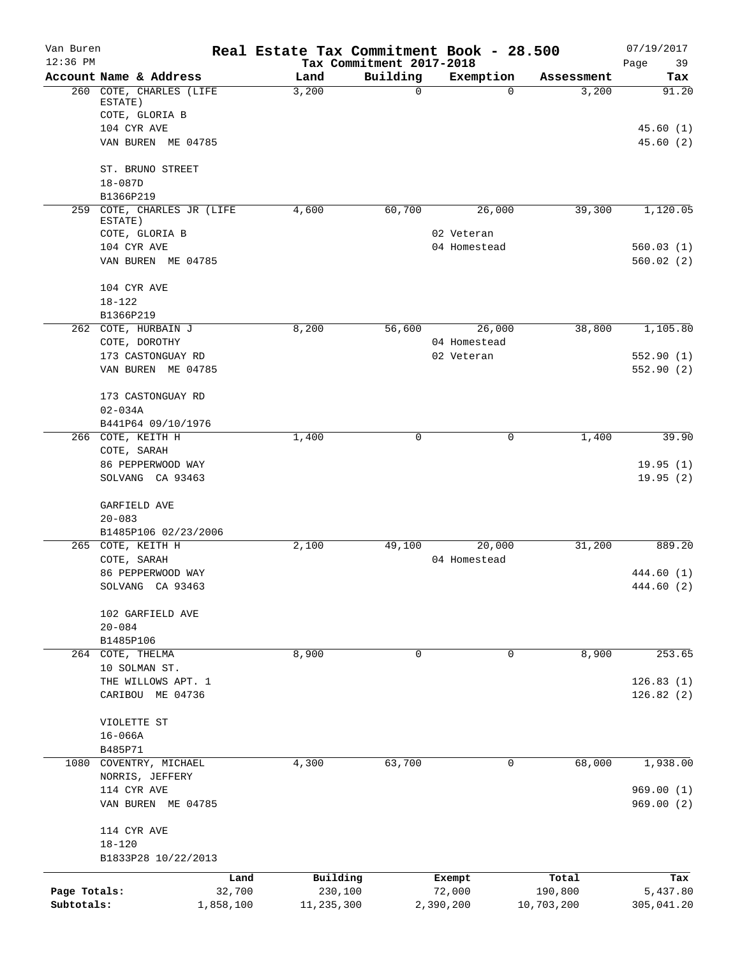| Van Buren<br>$12:36$ PM    |                                       |                     | Real Estate Tax Commitment Book - 28.500 |                                      |                     |                       | 07/19/2017             |
|----------------------------|---------------------------------------|---------------------|------------------------------------------|--------------------------------------|---------------------|-----------------------|------------------------|
|                            | Account Name & Address                |                     | Land                                     | Tax Commitment 2017-2018<br>Building | Exemption           | Assessment            | 39<br>Page<br>Tax      |
|                            | 260 COTE, CHARLES (LIFE               |                     | 3,200                                    | $\Omega$                             | $\Omega$            | 3,200                 | 91.20                  |
|                            | ESTATE)                               |                     |                                          |                                      |                     |                       |                        |
|                            | COTE, GLORIA B                        |                     |                                          |                                      |                     |                       |                        |
|                            | 104 CYR AVE                           |                     |                                          |                                      |                     |                       | 45.60(1)               |
|                            | VAN BUREN ME 04785                    |                     |                                          |                                      |                     |                       | 45.60(2)               |
|                            | ST. BRUNO STREET                      |                     |                                          |                                      |                     |                       |                        |
|                            | $18 - 087D$                           |                     |                                          |                                      |                     |                       |                        |
|                            | B1366P219                             |                     |                                          |                                      |                     |                       |                        |
|                            | 259 COTE, CHARLES JR (LIFE<br>ESTATE) |                     | 4,600                                    | 60,700                               | 26,000              | 39,300                | 1,120.05               |
|                            | COTE, GLORIA B                        |                     |                                          |                                      | 02 Veteran          |                       |                        |
|                            | 104 CYR AVE                           |                     |                                          |                                      | 04 Homestead        |                       | 560.03(1)              |
|                            | VAN BUREN ME 04785                    |                     |                                          |                                      |                     |                       | 560.02(2)              |
|                            | 104 CYR AVE                           |                     |                                          |                                      |                     |                       |                        |
|                            | $18 - 122$                            |                     |                                          |                                      |                     |                       |                        |
|                            | B1366P219                             |                     |                                          |                                      |                     |                       |                        |
|                            | 262 COTE, HURBAIN J                   |                     | 8,200                                    | 56,600                               | 26,000              | 38,800                | 1,105.80               |
|                            | COTE, DOROTHY                         |                     |                                          |                                      | 04 Homestead        |                       |                        |
|                            | 173 CASTONGUAY RD                     |                     |                                          |                                      | 02 Veteran          |                       | 552.90(1)              |
|                            | VAN BUREN ME 04785                    |                     |                                          |                                      |                     |                       | 552.90(2)              |
|                            | 173 CASTONGUAY RD                     |                     |                                          |                                      |                     |                       |                        |
|                            | $02 - 034A$                           |                     |                                          |                                      |                     |                       |                        |
|                            | B441P64 09/10/1976                    |                     |                                          |                                      |                     |                       |                        |
|                            | 266 COTE, KEITH H                     |                     | 1,400                                    | 0                                    | 0                   | 1,400                 | 39.90                  |
|                            | COTE, SARAH                           |                     |                                          |                                      |                     |                       |                        |
|                            | 86 PEPPERWOOD WAY                     |                     |                                          |                                      |                     |                       | 19.95(1)               |
|                            | SOLVANG CA 93463                      |                     |                                          |                                      |                     |                       | 19.95(2)               |
|                            | GARFIELD AVE                          |                     |                                          |                                      |                     |                       |                        |
|                            | $20 - 083$                            |                     |                                          |                                      |                     |                       |                        |
|                            | B1485P106 02/23/2006                  |                     |                                          |                                      |                     |                       |                        |
|                            | 265 COTE, KEITH H                     |                     | 2,100                                    | 49,100                               | 20,000              | 31,200                | 889.20                 |
|                            | COTE, SARAH                           |                     |                                          |                                      | 04 Homestead        |                       |                        |
|                            | 86 PEPPERWOOD WAY                     |                     |                                          |                                      |                     |                       | 444.60 (1)             |
|                            | SOLVANG CA 93463                      |                     |                                          |                                      |                     |                       | 444.60 (2)             |
|                            | 102 GARFIELD AVE                      |                     |                                          |                                      |                     |                       |                        |
|                            | $20 - 084$                            |                     |                                          |                                      |                     |                       |                        |
|                            | B1485P106                             |                     |                                          |                                      |                     |                       |                        |
|                            | 264 COTE, THELMA                      |                     | 8,900                                    | $\mathbf 0$                          | 0                   | 8,900                 | 253.65                 |
|                            | 10 SOLMAN ST.                         |                     |                                          |                                      |                     |                       |                        |
|                            | THE WILLOWS APT. 1                    |                     |                                          |                                      |                     |                       | 126.83(1)              |
|                            | CARIBOU ME 04736                      |                     |                                          |                                      |                     |                       | 126.82(2)              |
|                            | VIOLETTE ST                           |                     |                                          |                                      |                     |                       |                        |
|                            | $16 - 066A$                           |                     |                                          |                                      |                     |                       |                        |
|                            | B485P71                               |                     |                                          |                                      |                     |                       |                        |
|                            | 1080 COVENTRY, MICHAEL                |                     | 4,300                                    | 63,700                               | 0                   | 68,000                | 1,938.00               |
|                            | NORRIS, JEFFERY                       |                     |                                          |                                      |                     |                       |                        |
|                            | 114 CYR AVE                           |                     |                                          |                                      |                     |                       | 969.00(1)              |
|                            | VAN BUREN ME 04785                    |                     |                                          |                                      |                     |                       | 969.00(2)              |
|                            | 114 CYR AVE                           |                     |                                          |                                      |                     |                       |                        |
|                            | $18 - 120$                            |                     |                                          |                                      |                     |                       |                        |
|                            | B1833P28 10/22/2013                   |                     |                                          |                                      |                     |                       |                        |
|                            |                                       | Land                | Building                                 |                                      | Exempt              | Total                 | Tax                    |
| Page Totals:<br>Subtotals: |                                       | 32,700<br>1,858,100 | 230,100<br>11,235,300                    |                                      | 72,000<br>2,390,200 | 190,800<br>10,703,200 | 5,437.80<br>305,041.20 |
|                            |                                       |                     |                                          |                                      |                     |                       |                        |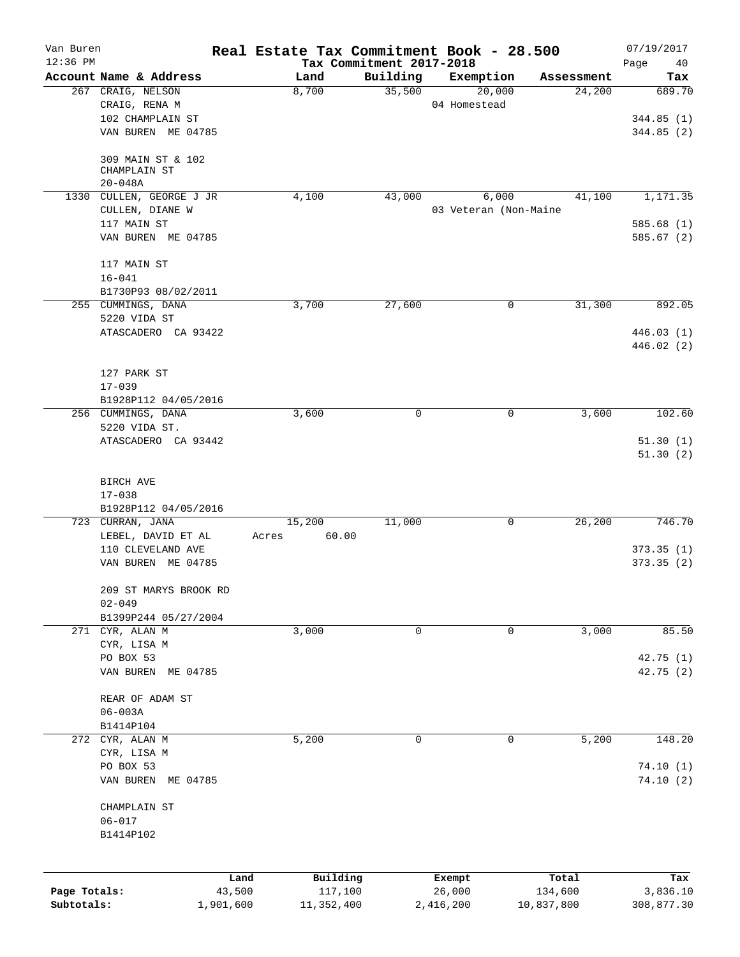| Van Buren    |                                          |           | Real Estate Tax Commitment Book - 28.500 |                                      |                       |            | 07/19/2017        |
|--------------|------------------------------------------|-----------|------------------------------------------|--------------------------------------|-----------------------|------------|-------------------|
| $12:36$ PM   | Account Name & Address                   |           | Land                                     | Tax Commitment 2017-2018<br>Building | Exemption             | Assessment | Page<br>40<br>Tax |
|              | 267 CRAIG, NELSON                        |           | 8,700                                    | 35,500                               | 20,000                | 24,200     | 689.70            |
|              | CRAIG, RENA M                            |           |                                          |                                      | 04 Homestead          |            |                   |
|              | 102 CHAMPLAIN ST                         |           |                                          |                                      |                       |            | 344.85(1)         |
|              | VAN BUREN ME 04785                       |           |                                          |                                      |                       |            | 344.85 (2)        |
|              | 309 MAIN ST & 102<br>CHAMPLAIN ST        |           |                                          |                                      |                       |            |                   |
|              | $20 - 048A$                              |           |                                          |                                      |                       |            |                   |
|              | 1330 CULLEN, GEORGE J JR                 |           | 4,100                                    | 43,000                               | 6,000                 | 41,100     | 1,171.35          |
|              | CULLEN, DIANE W                          |           |                                          |                                      | 03 Veteran (Non-Maine |            |                   |
|              | 117 MAIN ST                              |           |                                          |                                      |                       |            | 585.68(1)         |
|              | VAN BUREN ME 04785                       |           |                                          |                                      |                       |            | 585.67(2)         |
|              | 117 MAIN ST                              |           |                                          |                                      |                       |            |                   |
|              | $16 - 041$                               |           |                                          |                                      |                       |            |                   |
|              | B1730P93 08/02/2011                      |           |                                          |                                      |                       |            |                   |
|              | 255 CUMMINGS, DANA                       |           | 3,700                                    | 27,600                               | 0                     | 31,300     | 892.05            |
|              | 5220 VIDA ST                             |           |                                          |                                      |                       |            |                   |
|              | ATASCADERO CA 93422                      |           |                                          |                                      |                       |            | 446.03(1)         |
|              |                                          |           |                                          |                                      |                       |            | 446.02(2)         |
|              | 127 PARK ST                              |           |                                          |                                      |                       |            |                   |
|              | $17 - 039$                               |           |                                          |                                      |                       |            |                   |
|              | B1928P112 04/05/2016                     |           |                                          |                                      |                       |            |                   |
|              | 256 CUMMINGS, DANA                       |           | 3,600                                    | $\mathbf 0$                          | $\mathbf 0$           | 3,600      | 102.60            |
|              | 5220 VIDA ST.                            |           |                                          |                                      |                       |            |                   |
|              | ATASCADERO CA 93442                      |           |                                          |                                      |                       |            | 51.30(1)          |
|              |                                          |           |                                          |                                      |                       |            | 51.30(2)          |
|              |                                          |           |                                          |                                      |                       |            |                   |
|              | BIRCH AVE                                |           |                                          |                                      |                       |            |                   |
|              | $17 - 038$                               |           |                                          |                                      |                       |            |                   |
|              | B1928P112 04/05/2016<br>723 CURRAN, JANA |           | 15,200                                   | 11,000                               | 0                     | 26,200     | 746.70            |
|              | LEBEL, DAVID ET AL                       |           | 60.00<br>Acres                           |                                      |                       |            |                   |
|              | 110 CLEVELAND AVE                        |           |                                          |                                      |                       |            | 373.35(1)         |
|              | VAN BUREN ME 04785                       |           |                                          |                                      |                       |            | 373.35(2)         |
|              |                                          |           |                                          |                                      |                       |            |                   |
|              | 209 ST MARYS BROOK RD                    |           |                                          |                                      |                       |            |                   |
|              | $02 - 049$                               |           |                                          |                                      |                       |            |                   |
|              | B1399P244 05/27/2004                     |           |                                          |                                      |                       |            |                   |
|              | 271 CYR, ALAN M                          |           | 3,000                                    | 0                                    | 0                     | 3,000      | 85.50             |
|              | CYR, LISA M                              |           |                                          |                                      |                       |            |                   |
|              | PO BOX 53                                |           |                                          |                                      |                       |            | 42.75(1)          |
|              | VAN BUREN ME 04785                       |           |                                          |                                      |                       |            | 42.75 (2)         |
|              | REAR OF ADAM ST                          |           |                                          |                                      |                       |            |                   |
|              | $06 - 003A$                              |           |                                          |                                      |                       |            |                   |
|              | B1414P104                                |           |                                          |                                      |                       |            |                   |
|              | 272 CYR, ALAN M                          |           | 5,200                                    | $\mathbf 0$                          | 0                     | 5,200      | 148.20            |
|              | CYR, LISA M                              |           |                                          |                                      |                       |            |                   |
|              | PO BOX 53                                |           |                                          |                                      |                       |            | 74.10(1)          |
|              | VAN BUREN ME 04785                       |           |                                          |                                      |                       |            | 74.10(2)          |
|              | CHAMPLAIN ST                             |           |                                          |                                      |                       |            |                   |
|              | $06 - 017$                               |           |                                          |                                      |                       |            |                   |
|              | B1414P102                                |           |                                          |                                      |                       |            |                   |
|              |                                          |           |                                          |                                      |                       |            |                   |
|              |                                          | Land      | Building                                 |                                      | Exempt                | Total      | Tax               |
| Page Totals: |                                          | 43,500    | 117,100                                  |                                      | 26,000                | 134,600    | 3,836.10          |
| Subtotals:   |                                          | 1,901,600 | 11,352,400                               |                                      | 2,416,200             | 10,837,800 | 308,877.30        |
|              |                                          |           |                                          |                                      |                       |            |                   |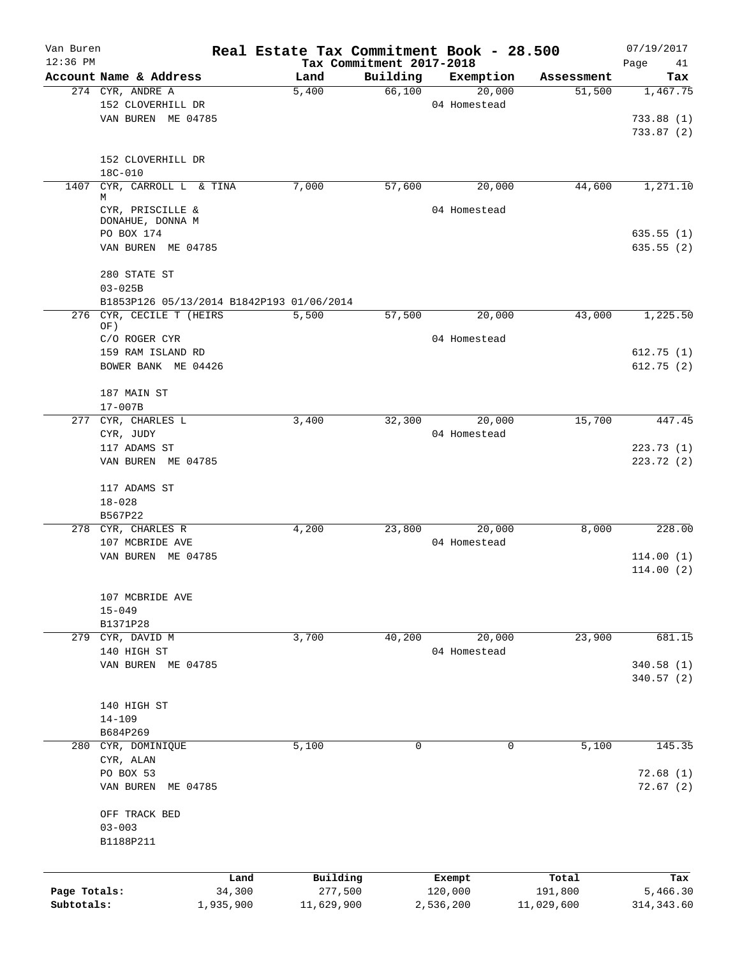| Van Buren    |                                                                       | Real Estate Tax Commitment Book - 28.500 |          |                     |                      | 07/19/2017        |
|--------------|-----------------------------------------------------------------------|------------------------------------------|----------|---------------------|----------------------|-------------------|
| $12:36$ PM   | Account Name & Address                                                | Tax Commitment 2017-2018                 | Building |                     |                      | Page<br>41<br>Tax |
|              | 274 CYR, ANDRE A                                                      | Land<br>5,400                            | 66,100   | Exemption<br>20,000 | Assessment<br>51,500 | 1,467.75          |
|              | 152 CLOVERHILL DR                                                     |                                          |          | 04 Homestead        |                      |                   |
|              | VAN BUREN ME 04785                                                    |                                          |          |                     |                      | 733.88(1)         |
|              |                                                                       |                                          |          |                     |                      | 733.87(2)         |
|              |                                                                       |                                          |          |                     |                      |                   |
|              | 152 CLOVERHILL DR<br>18C-010                                          |                                          |          |                     |                      |                   |
|              | 1407 CYR, CARROLL L & TINA                                            | 7,000                                    | 57,600   | 20,000              | 44,600               | 1,271.10          |
|              | М                                                                     |                                          |          |                     |                      |                   |
|              | CYR, PRISCILLE &<br>DONAHUE, DONNA M                                  |                                          |          | 04 Homestead        |                      |                   |
|              | PO BOX 174                                                            |                                          |          |                     |                      | 635.55(1)         |
|              | VAN BUREN ME 04785                                                    |                                          |          |                     |                      | 635.55 (2)        |
|              |                                                                       |                                          |          |                     |                      |                   |
|              | 280 STATE ST                                                          |                                          |          |                     |                      |                   |
|              | $03 - 025B$                                                           |                                          |          |                     |                      |                   |
|              | B1853P126 05/13/2014 B1842P193 01/06/2014<br>276 CYR, CECILE T (HEIRS | 5,500                                    | 57,500   | 20,000              | 43,000               | 1,225.50          |
|              | OF)                                                                   |                                          |          |                     |                      |                   |
|              | C/O ROGER CYR                                                         |                                          |          | 04 Homestead        |                      |                   |
|              | 159 RAM ISLAND RD                                                     |                                          |          |                     |                      | 612.75(1)         |
|              | BOWER BANK ME 04426                                                   |                                          |          |                     |                      | 612.75(2)         |
|              | 187 MAIN ST                                                           |                                          |          |                     |                      |                   |
|              | $17 - 007B$                                                           |                                          |          |                     |                      |                   |
|              | 277 CYR, CHARLES L                                                    | 3,400                                    | 32,300   | 20,000              | 15,700               | 447.45            |
|              | CYR, JUDY                                                             |                                          |          | 04 Homestead        |                      |                   |
|              | 117 ADAMS ST                                                          |                                          |          |                     |                      | 223.73(1)         |
|              | VAN BUREN ME 04785                                                    |                                          |          |                     |                      | 223.72 (2)        |
|              | 117 ADAMS ST                                                          |                                          |          |                     |                      |                   |
|              | $18 - 028$                                                            |                                          |          |                     |                      |                   |
|              | B567P22                                                               |                                          |          |                     |                      |                   |
|              | 278 CYR, CHARLES R                                                    | 4,200                                    | 23,800   | 20,000              | 8,000                | 228.00            |
|              | 107 MCBRIDE AVE                                                       |                                          |          | 04 Homestead        |                      |                   |
|              | VAN BUREN ME 04785                                                    |                                          |          |                     |                      | 114.00(1)         |
|              |                                                                       |                                          |          |                     |                      | 114.00(2)         |
|              | 107 MCBRIDE AVE                                                       |                                          |          |                     |                      |                   |
|              | $15 - 049$                                                            |                                          |          |                     |                      |                   |
|              | B1371P28                                                              |                                          |          |                     |                      |                   |
|              | 279 CYR, DAVID M                                                      | 3,700                                    | 40,200   | 20,000              | 23,900               | 681.15            |
|              | 140 HIGH ST                                                           |                                          |          | 04 Homestead        |                      |                   |
|              | VAN BUREN ME 04785                                                    |                                          |          |                     |                      | 340.58 (1)        |
|              |                                                                       |                                          |          |                     |                      | 340.57(2)         |
|              |                                                                       |                                          |          |                     |                      |                   |
|              | 140 HIGH ST                                                           |                                          |          |                     |                      |                   |
|              | $14 - 109$<br>B684P269                                                |                                          |          |                     |                      |                   |
|              | 280 CYR, DOMINIQUE                                                    | 5,100                                    | 0        | 0                   | 5,100                | 145.35            |
|              | CYR, ALAN                                                             |                                          |          |                     |                      |                   |
|              | PO BOX 53                                                             |                                          |          |                     |                      | 72.68(1)          |
|              | VAN BUREN<br>ME 04785                                                 |                                          |          |                     |                      | 72.67(2)          |
|              |                                                                       |                                          |          |                     |                      |                   |
|              | OFF TRACK BED                                                         |                                          |          |                     |                      |                   |
|              | $03 - 003$                                                            |                                          |          |                     |                      |                   |
|              | B1188P211                                                             |                                          |          |                     |                      |                   |
|              |                                                                       |                                          |          |                     |                      |                   |
| Page Totals: | Land<br>34,300                                                        | Building<br>277,500                      |          | Exempt<br>120,000   | Total<br>191,800     | Tax<br>5,466.30   |
| Subtotals:   | 1,935,900                                                             | 11,629,900                               |          | 2,536,200           | 11,029,600           | 314, 343.60       |
|              |                                                                       |                                          |          |                     |                      |                   |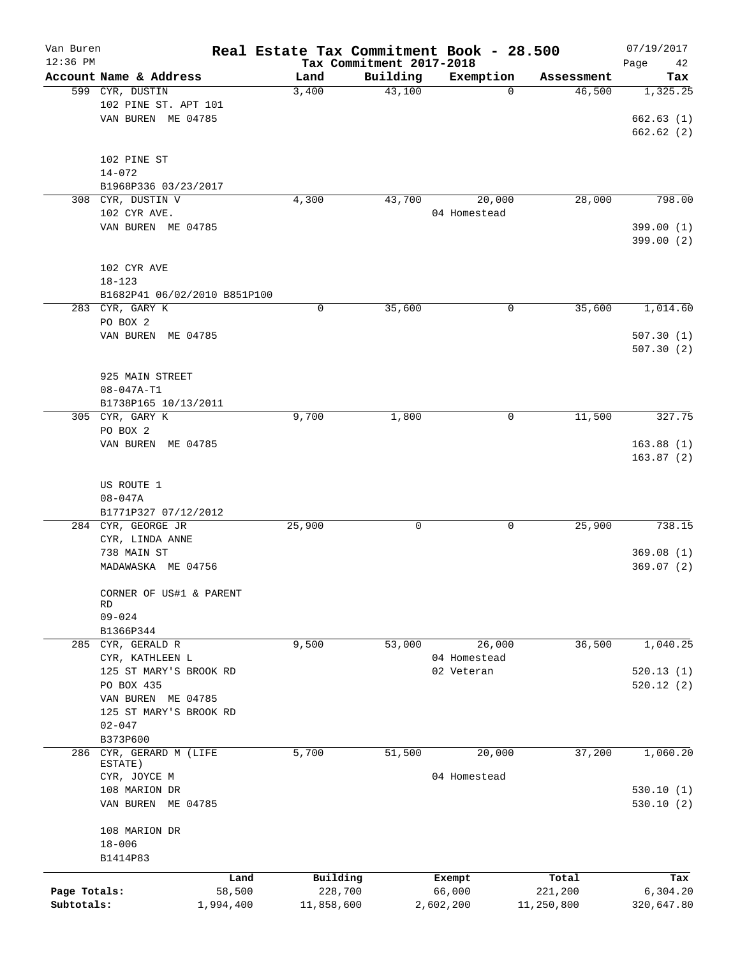| Van Buren    |                                |           |            |                                      | Real Estate Tax Commitment Book - 28.500 |            | 07/19/2017        |
|--------------|--------------------------------|-----------|------------|--------------------------------------|------------------------------------------|------------|-------------------|
| $12:36$ PM   | Account Name & Address         |           | Land       | Tax Commitment 2017-2018<br>Building | Exemption                                | Assessment | Page<br>42<br>Tax |
|              | 599 CYR, DUSTIN                |           | 3,400      | 43,100                               | 0                                        | 46,500     | 1,325.25          |
|              | 102 PINE ST. APT 101           |           |            |                                      |                                          |            |                   |
|              | VAN BUREN ME 04785             |           |            |                                      |                                          |            | 662.63(1)         |
|              |                                |           |            |                                      |                                          |            | 662.62(2)         |
|              |                                |           |            |                                      |                                          |            |                   |
|              | 102 PINE ST                    |           |            |                                      |                                          |            |                   |
|              | $14 - 072$                     |           |            |                                      |                                          |            |                   |
|              | B1968P336 03/23/2017           |           |            |                                      |                                          |            |                   |
|              | 308 CYR, DUSTIN V              |           | 4,300      | 43,700                               | 20,000                                   | 28,000     | 798.00            |
|              | 102 CYR AVE.                   |           |            |                                      | 04 Homestead                             |            |                   |
|              | VAN BUREN ME 04785             |           |            |                                      |                                          |            | 399.00(1)         |
|              |                                |           |            |                                      |                                          |            | 399.00(2)         |
|              |                                |           |            |                                      |                                          |            |                   |
|              | 102 CYR AVE                    |           |            |                                      |                                          |            |                   |
|              | $18 - 123$                     |           |            |                                      |                                          |            |                   |
|              | B1682P41 06/02/2010 B851P100   |           |            |                                      |                                          |            |                   |
|              | 283 CYR, GARY K                |           | 0          | 35,600                               | 0                                        | 35,600     | 1,014.60          |
|              | PO BOX 2                       |           |            |                                      |                                          |            |                   |
|              | VAN BUREN ME 04785             |           |            |                                      |                                          |            | 507.30(1)         |
|              |                                |           |            |                                      |                                          |            | 507.30(2)         |
|              |                                |           |            |                                      |                                          |            |                   |
|              | 925 MAIN STREET                |           |            |                                      |                                          |            |                   |
|              | $08 - 047A - T1$               |           |            |                                      |                                          |            |                   |
|              | B1738P165 10/13/2011           |           |            |                                      |                                          |            |                   |
|              | 305 CYR, GARY K                |           | 9,700      | 1,800                                | 0                                        | 11,500     | 327.75            |
|              | PO BOX 2                       |           |            |                                      |                                          |            |                   |
|              | VAN BUREN ME 04785             |           |            |                                      |                                          |            | 163.88(1)         |
|              |                                |           |            |                                      |                                          |            | 163.87(2)         |
|              |                                |           |            |                                      |                                          |            |                   |
|              | US ROUTE 1                     |           |            |                                      |                                          |            |                   |
|              | $08 - 047A$                    |           |            |                                      |                                          |            |                   |
|              | B1771P327 07/12/2012           |           |            |                                      |                                          |            |                   |
|              | 284 CYR, GEORGE JR             |           | 25,900     | 0                                    | 0                                        | 25,900     | 738.15            |
|              | CYR, LINDA ANNE                |           |            |                                      |                                          |            |                   |
|              | 738 MAIN ST                    |           |            |                                      |                                          |            | 369.08(1)         |
|              | MADAWASKA ME 04756             |           |            |                                      |                                          |            | 369.07 (2)        |
|              |                                |           |            |                                      |                                          |            |                   |
|              | CORNER OF US#1 & PARENT        |           |            |                                      |                                          |            |                   |
|              | RD                             |           |            |                                      |                                          |            |                   |
|              | $09 - 024$                     |           |            |                                      |                                          |            |                   |
|              | B1366P344                      |           |            |                                      |                                          |            |                   |
| 285          | CYR, GERALD R                  |           | 9,500      | 53,000                               | 26,000                                   | 36,500     | 1,040.25          |
|              | CYR, KATHLEEN L                |           |            |                                      | 04 Homestead                             |            |                   |
|              | 125 ST MARY'S BROOK RD         |           |            |                                      | 02 Veteran                               |            | 520.13(1)         |
|              | PO BOX 435                     |           |            |                                      |                                          |            | 520.12(2)         |
|              | VAN BUREN ME 04785             |           |            |                                      |                                          |            |                   |
|              | 125 ST MARY'S BROOK RD         |           |            |                                      |                                          |            |                   |
|              | $02 - 047$                     |           |            |                                      |                                          |            |                   |
|              | B373P600                       |           |            |                                      |                                          |            |                   |
| 286          | CYR, GERARD M (LIFE<br>ESTATE) |           | 5,700      | 51,500                               | 20,000                                   | 37,200     | 1,060.20          |
|              | CYR, JOYCE M                   |           |            |                                      | 04 Homestead                             |            |                   |
|              | 108 MARION DR                  |           |            |                                      |                                          |            | 530.10(1)         |
|              | VAN BUREN ME 04785             |           |            |                                      |                                          |            | 530.10(2)         |
|              |                                |           |            |                                      |                                          |            |                   |
|              | 108 MARION DR                  |           |            |                                      |                                          |            |                   |
|              | $18 - 006$                     |           |            |                                      |                                          |            |                   |
|              | B1414P83                       |           |            |                                      |                                          |            |                   |
|              |                                |           |            |                                      |                                          |            |                   |
|              |                                | Land      | Building   |                                      | Exempt                                   | Total      | Tax               |
| Page Totals: |                                | 58,500    | 228,700    |                                      | 66,000                                   | 221,200    | 6,304.20          |
| Subtotals:   |                                | 1,994,400 | 11,858,600 |                                      | 2,602,200                                | 11,250,800 | 320,647.80        |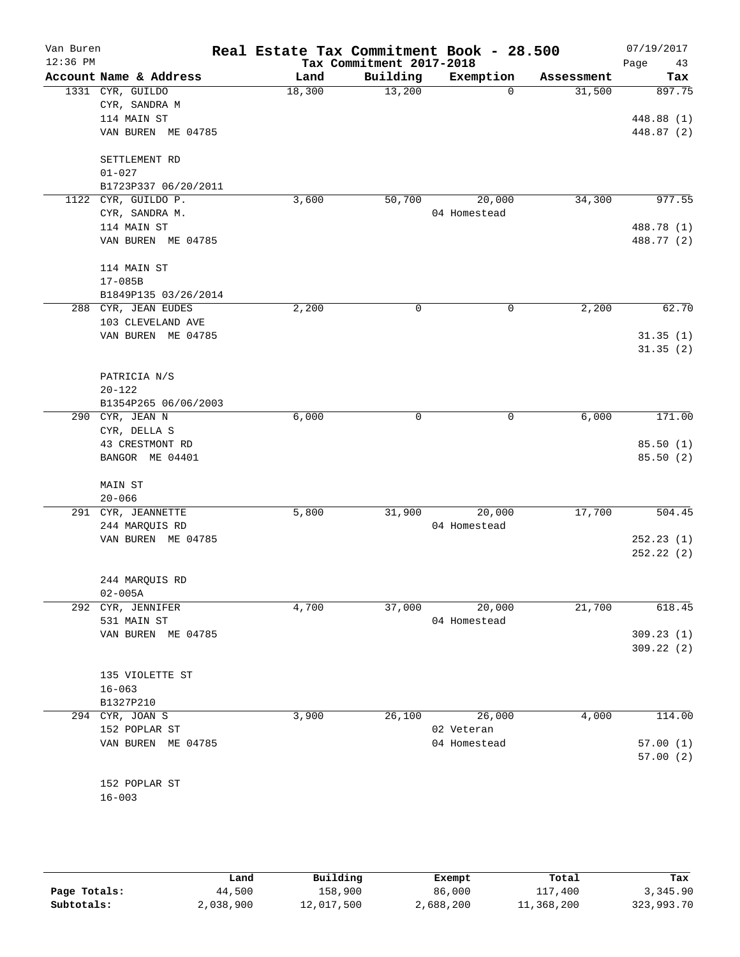| Van Buren<br>$12:36$ PM |                        | Real Estate Tax Commitment Book - 28.500 | Tax Commitment 2017-2018 |              |            | 07/19/2017<br>Page<br>43 |
|-------------------------|------------------------|------------------------------------------|--------------------------|--------------|------------|--------------------------|
|                         | Account Name & Address | Land                                     | Building                 | Exemption    | Assessment | Tax                      |
|                         | 1331 CYR, GUILDO       | 18,300                                   | 13,200                   | 0            | 31,500     | 897.75                   |
|                         | CYR, SANDRA M          |                                          |                          |              |            |                          |
|                         | 114 MAIN ST            |                                          |                          |              |            | 448.88 (1)               |
|                         | VAN BUREN ME 04785     |                                          |                          |              |            | 448.87 (2)               |
|                         | SETTLEMENT RD          |                                          |                          |              |            |                          |
|                         | $01 - 027$             |                                          |                          |              |            |                          |
|                         | B1723P337 06/20/2011   |                                          |                          |              |            |                          |
| 1122                    | CYR, GUILDO P.         | 3,600                                    | 50,700                   | 20,000       | 34,300     | 977.55                   |
|                         | CYR, SANDRA M.         |                                          |                          | 04 Homestead |            |                          |
|                         | 114 MAIN ST            |                                          |                          |              |            | 488.78 (1)               |
|                         | VAN BUREN ME 04785     |                                          |                          |              |            | 488.77 (2)               |
|                         | 114 MAIN ST            |                                          |                          |              |            |                          |
|                         | $17 - 085B$            |                                          |                          |              |            |                          |
|                         | B1849P135 03/26/2014   |                                          |                          |              |            |                          |
|                         | 288 CYR, JEAN EUDES    | 2,200                                    | 0                        | 0            | 2,200      | 62.70                    |
|                         | 103 CLEVELAND AVE      |                                          |                          |              |            |                          |
|                         | VAN BUREN ME 04785     |                                          |                          |              |            | 31.35(1)                 |
|                         |                        |                                          |                          |              |            | 31.35(2)                 |
|                         | PATRICIA N/S           |                                          |                          |              |            |                          |
|                         | $20 - 122$             |                                          |                          |              |            |                          |
|                         | B1354P265 06/06/2003   |                                          |                          |              |            |                          |
| 290                     | CYR, JEAN N            | 6,000                                    | 0                        | 0            | 6,000      | 171.00                   |
|                         | CYR, DELLA S           |                                          |                          |              |            |                          |
|                         | 43 CRESTMONT RD        |                                          |                          |              |            | 85.50(1)                 |
|                         | BANGOR ME 04401        |                                          |                          |              |            | 85.50 (2)                |
|                         | MAIN ST                |                                          |                          |              |            |                          |
|                         | $20 - 066$             |                                          |                          |              |            |                          |
|                         | 291 CYR, JEANNETTE     | 5,800                                    | 31,900                   | 20,000       | 17,700     | 504.45                   |
|                         | 244 MARQUIS RD         |                                          |                          | 04 Homestead |            |                          |
|                         | VAN BUREN ME 04785     |                                          |                          |              |            | 252.23(1)                |
|                         |                        |                                          |                          |              |            | 252.22(2)                |
|                         | 244 MARQUIS RD         |                                          |                          |              |            |                          |
|                         | $02 - 005A$            |                                          |                          |              |            |                          |
| 292                     | CYR, JENNIFER          | 4,700                                    | 37,000                   | 20,000       | 21,700     | 618.45                   |
|                         | 531 MAIN ST            |                                          |                          | 04 Homestead |            |                          |
|                         | VAN BUREN ME 04785     |                                          |                          |              |            | 309.23(1)                |
|                         |                        |                                          |                          |              |            | 309.22(2)                |
|                         | 135 VIOLETTE ST        |                                          |                          |              |            |                          |
|                         | $16 - 063$             |                                          |                          |              |            |                          |
|                         | B1327P210              |                                          |                          |              |            |                          |
|                         | 294 CYR, JOAN S        | 3,900                                    | 26,100                   | 26,000       | 4,000      | 114.00                   |
|                         | 152 POPLAR ST          |                                          |                          | 02 Veteran   |            |                          |
|                         | VAN BUREN ME 04785     |                                          |                          | 04 Homestead |            | 57.00 (1)                |
|                         |                        |                                          |                          |              |            | 57.00(2)                 |
|                         | 152 POPLAR ST          |                                          |                          |              |            |                          |
|                         | $16 - 003$             |                                          |                          |              |            |                          |
|                         |                        |                                          |                          |              |            |                          |
|                         |                        |                                          |                          |              |            |                          |

|              | Land      | Building   | Exempt    | Total      | Tax        |
|--------------|-----------|------------|-----------|------------|------------|
| Page Totals: | 44,500    | 158,900    | 86,000    | 117,400    | 3,345.90   |
| Subtotals:   | 2,038,900 | 12,017,500 | 2,688,200 | 11,368,200 | 323,993.70 |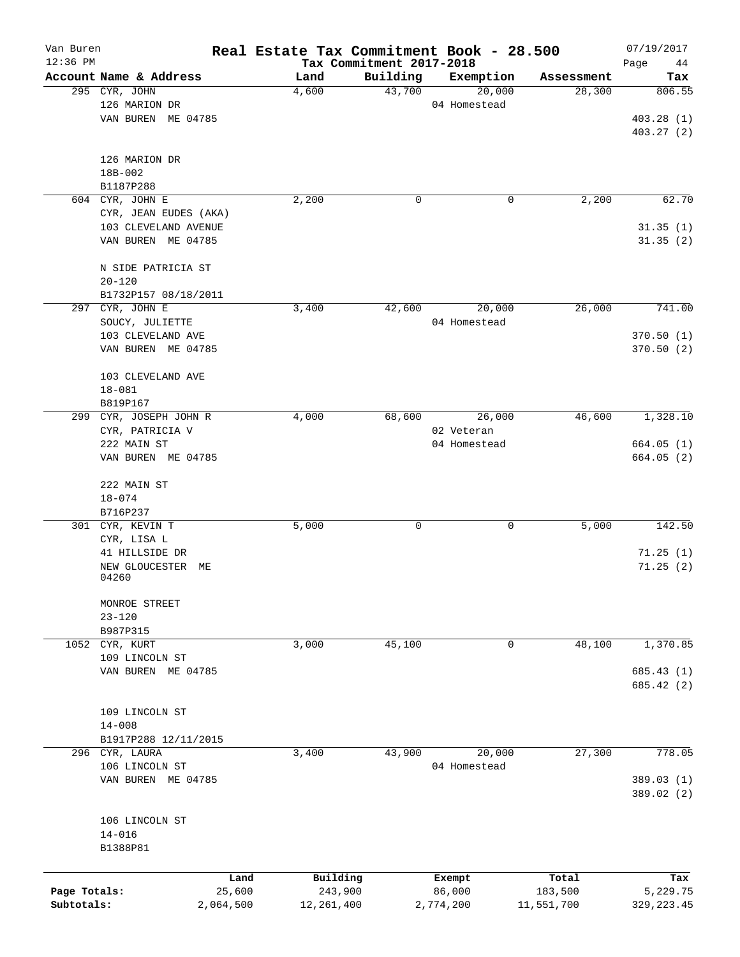| Van Buren    |                        |                | Real Estate Tax Commitment Book - 28.500 |                                      |                  |                  | 07/19/2017        |
|--------------|------------------------|----------------|------------------------------------------|--------------------------------------|------------------|------------------|-------------------|
| 12:36 PM     | Account Name & Address |                | Land                                     | Tax Commitment 2017-2018<br>Building | Exemption        | Assessment       | Page<br>44<br>Tax |
|              | 295 CYR, JOHN          |                | 4,600                                    | 43,700                               | 20,000           | 28,300           | 806.55            |
|              | 126 MARION DR          |                |                                          |                                      | 04 Homestead     |                  |                   |
|              | VAN BUREN ME 04785     |                |                                          |                                      |                  |                  | 403.28(1)         |
|              |                        |                |                                          |                                      |                  |                  | 403.27 (2)        |
|              | 126 MARION DR          |                |                                          |                                      |                  |                  |                   |
|              | 18B-002                |                |                                          |                                      |                  |                  |                   |
|              | B1187P288              |                |                                          |                                      |                  |                  |                   |
|              | 604 CYR, JOHN E        |                | 2,200                                    | 0                                    | 0                | 2,200            | 62.70             |
|              | CYR, JEAN EUDES (AKA)  |                |                                          |                                      |                  |                  |                   |
|              | 103 CLEVELAND AVENUE   |                |                                          |                                      |                  |                  | 31.35(1)          |
|              | VAN BUREN ME 04785     |                |                                          |                                      |                  |                  | 31.35(2)          |
|              | N SIDE PATRICIA ST     |                |                                          |                                      |                  |                  |                   |
|              | $20 - 120$             |                |                                          |                                      |                  |                  |                   |
|              | B1732P157 08/18/2011   |                |                                          |                                      |                  |                  |                   |
|              | 297 CYR, JOHN E        |                | 3,400                                    | 42,600                               | 20,000           | 26,000           | 741.00            |
|              | SOUCY, JULIETTE        |                |                                          |                                      | 04 Homestead     |                  |                   |
|              | 103 CLEVELAND AVE      |                |                                          |                                      |                  |                  | 370.50(1)         |
|              | VAN BUREN ME 04785     |                |                                          |                                      |                  |                  | 370.50(2)         |
|              | 103 CLEVELAND AVE      |                |                                          |                                      |                  |                  |                   |
|              | $18 - 081$             |                |                                          |                                      |                  |                  |                   |
|              | B819P167               |                |                                          |                                      |                  |                  |                   |
| 299          | CYR, JOSEPH JOHN R     |                | 4,000                                    | 68,600                               | 26,000           | 46,600           | 1,328.10          |
|              | CYR, PATRICIA V        |                |                                          |                                      | 02 Veteran       |                  |                   |
|              | 222 MAIN ST            |                |                                          |                                      | 04 Homestead     |                  | 664.05(1)         |
|              | VAN BUREN ME 04785     |                |                                          |                                      |                  |                  | 664.05(2)         |
|              | 222 MAIN ST            |                |                                          |                                      |                  |                  |                   |
|              | $18 - 074$             |                |                                          |                                      |                  |                  |                   |
|              | B716P237               |                |                                          |                                      |                  |                  |                   |
|              | 301 CYR, KEVIN T       |                | 5,000                                    | 0                                    | 0                | 5,000            | 142.50            |
|              | CYR, LISA L            |                |                                          |                                      |                  |                  |                   |
|              | 41 HILLSIDE DR         |                |                                          |                                      |                  |                  | 71.25(1)          |
|              | NEW GLOUCESTER         | MЕ             |                                          |                                      |                  |                  | 71.25(2)          |
|              | 04260                  |                |                                          |                                      |                  |                  |                   |
|              | MONROE STREET          |                |                                          |                                      |                  |                  |                   |
|              | $23 - 120$             |                |                                          |                                      |                  |                  |                   |
|              | B987P315               |                |                                          |                                      |                  |                  |                   |
| 1052         | CYR, KURT              |                | 3,000                                    | 45,100                               | $\mathbf 0$      | 48,100           | 1,370.85          |
|              | 109 LINCOLN ST         |                |                                          |                                      |                  |                  |                   |
|              | VAN BUREN ME 04785     |                |                                          |                                      |                  |                  | 685.43(1)         |
|              |                        |                |                                          |                                      |                  |                  | 685.42 (2)        |
|              | 109 LINCOLN ST         |                |                                          |                                      |                  |                  |                   |
|              | $14 - 008$             |                |                                          |                                      |                  |                  |                   |
|              | B1917P288 12/11/2015   |                |                                          |                                      |                  |                  |                   |
|              | 296 CYR, LAURA         |                | 3,400                                    | 43,900                               | 20,000           | 27,300           | 778.05            |
|              | 106 LINCOLN ST         |                |                                          |                                      | 04 Homestead     |                  |                   |
|              | VAN BUREN ME 04785     |                |                                          |                                      |                  |                  | 389.03 (1)        |
|              |                        |                |                                          |                                      |                  |                  | 389.02 (2)        |
|              | 106 LINCOLN ST         |                |                                          |                                      |                  |                  |                   |
|              | $14 - 016$             |                |                                          |                                      |                  |                  |                   |
|              | B1388P81               |                |                                          |                                      |                  |                  |                   |
|              |                        |                |                                          |                                      |                  |                  |                   |
| Page Totals: |                        | Land<br>25,600 | Building<br>243,900                      |                                      | Exempt<br>86,000 | Total<br>183,500 | Tax<br>5,229.75   |
| Subtotals:   |                        | 2,064,500      | 12, 261, 400                             |                                      | 2,774,200        | 11,551,700       | 329, 223.45       |
|              |                        |                |                                          |                                      |                  |                  |                   |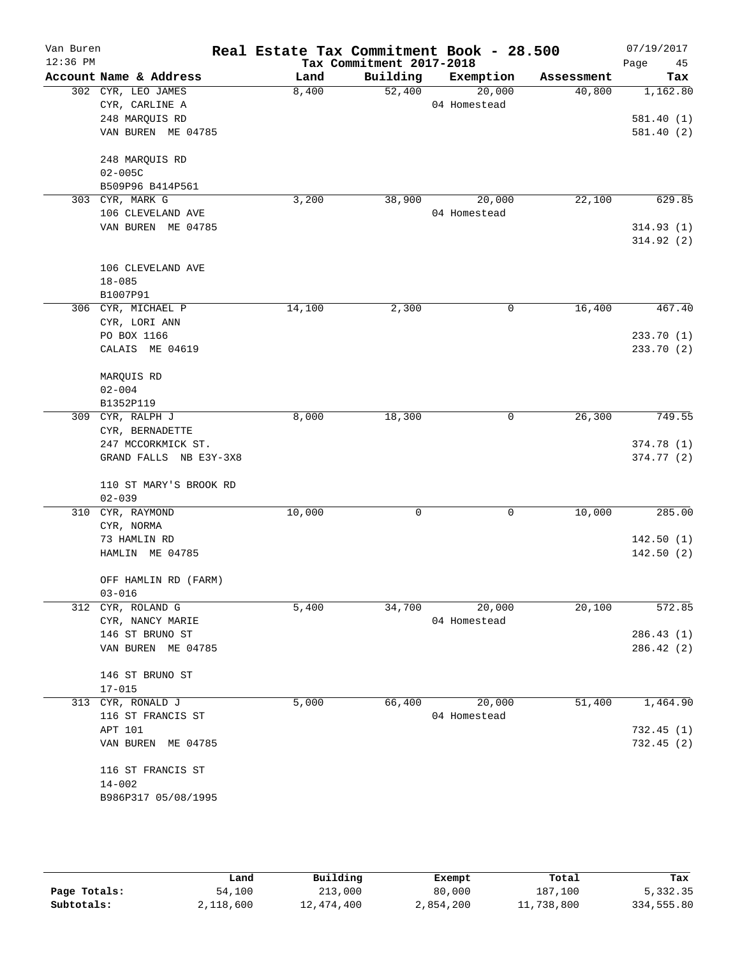| Van Buren<br>$12:36$ PM |                                                          |        | Tax Commitment 2017-2018 | Real Estate Tax Commitment Book - 28.500 |            | 07/19/2017<br>Page<br>45 |
|-------------------------|----------------------------------------------------------|--------|--------------------------|------------------------------------------|------------|--------------------------|
|                         | Account Name & Address                                   | Land   | Building                 | Exemption                                | Assessment | Tax                      |
|                         | 302 CYR, LEO JAMES<br>CYR, CARLINE A                     | 8,400  | 52,400                   | 20,000<br>04 Homestead                   | 40,800     | 1,162.80                 |
|                         | 248 MARQUIS RD<br>VAN BUREN ME 04785                     |        |                          |                                          |            | 581.40(1)<br>581.40(2)   |
|                         | 248 MARQUIS RD<br>$02 - 005C$                            |        |                          |                                          |            |                          |
|                         | B509P96 B414P561<br>303 CYR, MARK G<br>106 CLEVELAND AVE | 3,200  | 38,900                   | 20,000<br>04 Homestead                   | 22,100     | 629.85                   |
|                         | VAN BUREN ME 04785                                       |        |                          |                                          |            | 314.93(1)<br>314.92(2)   |
|                         | 106 CLEVELAND AVE<br>$18 - 085$<br>B1007P91              |        |                          |                                          |            |                          |
|                         | 306 CYR, MICHAEL P<br>CYR, LORI ANN                      | 14,100 | 2,300                    | $\mathbf 0$                              | 16,400     | 467.40                   |
|                         | PO BOX 1166<br>CALAIS ME 04619                           |        |                          |                                          |            | 233.70(1)<br>233.70 (2)  |
|                         | MARQUIS RD<br>$02 - 004$<br>B1352P119                    |        |                          |                                          |            |                          |
|                         | 309 CYR, RALPH J<br>CYR, BERNADETTE                      | 8,000  | 18,300                   | $\mathbf 0$                              | 26,300     | 749.55                   |
|                         | 247 MCCORKMICK ST.<br>GRAND FALLS NB E3Y-3X8             |        |                          |                                          |            | 374.78(1)<br>374.77(2)   |
|                         | 110 ST MARY'S BROOK RD<br>$02 - 039$                     |        |                          |                                          |            |                          |
|                         | 310 CYR, RAYMOND<br>CYR, NORMA                           | 10,000 | 0                        | $\mathbf 0$                              | 10,000     | 285.00                   |
|                         | 73 HAMLIN RD<br>HAMLIN ME 04785                          |        |                          |                                          |            | 142.50(1)<br>142.50(2)   |
|                         | OFF HAMLIN RD (FARM)<br>$03 - 016$                       |        |                          |                                          |            |                          |
|                         | 312 CYR, ROLAND G<br>CYR, NANCY MARIE                    | 5,400  | 34,700                   | 20,000<br>04 Homestead                   | 20,100     | 572.85                   |
|                         | 146 ST BRUNO ST<br>VAN BUREN ME 04785                    |        |                          |                                          |            | 286.43 (1)<br>286.42(2)  |
|                         | 146 ST BRUNO ST<br>$17 - 015$                            |        |                          |                                          |            |                          |
|                         | 313 CYR, RONALD J<br>116 ST FRANCIS ST                   | 5,000  | 66,400                   | 20,000<br>04 Homestead                   | 51,400     | 1,464.90                 |
|                         | APT 101<br>VAN BUREN ME 04785                            |        |                          |                                          |            | 732.45(1)<br>732.45(2)   |
|                         | 116 ST FRANCIS ST<br>$14 - 002$<br>B986P317 05/08/1995   |        |                          |                                          |            |                          |
|                         |                                                          |        |                          |                                          |            |                          |

|              | Land      | Building   | Exempt    | Total      | Tax        |
|--------------|-----------|------------|-----------|------------|------------|
| Page Totals: | 54,100    | 213,000    | 80,000    | 187,100    | 5,332.35   |
| Subtotals:   | 2,118,600 | 12,474,400 | 2,854,200 | 11,738,800 | 334,555.80 |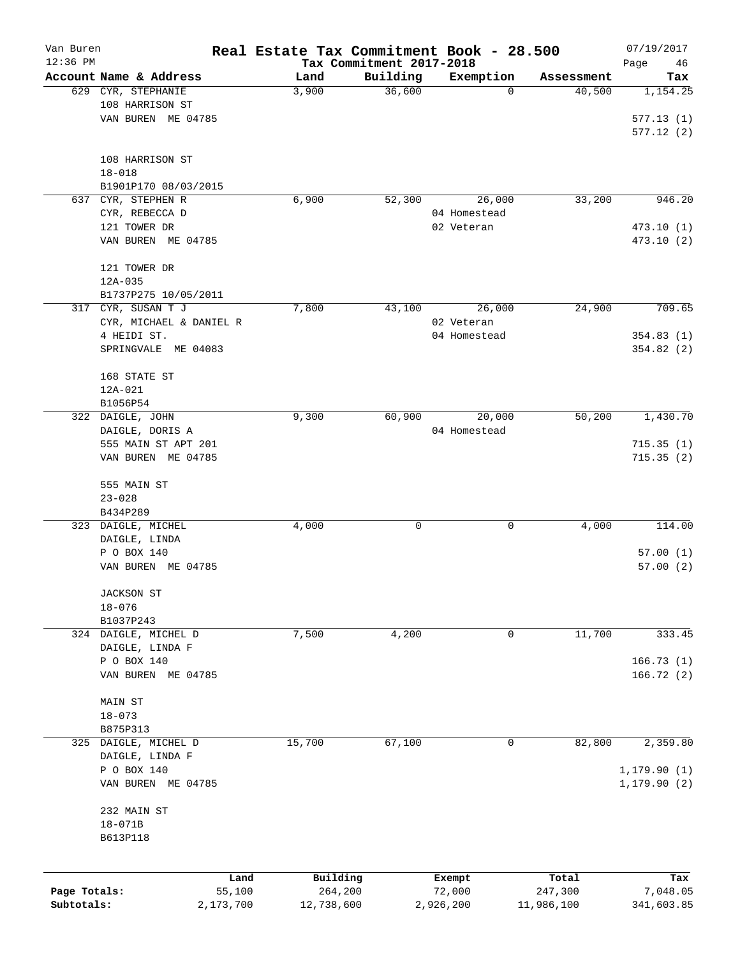| Van Buren    |                            |                | Real Estate Tax Commitment Book - 28.500 |                                      |                  |                  | 07/19/2017        |
|--------------|----------------------------|----------------|------------------------------------------|--------------------------------------|------------------|------------------|-------------------|
| 12:36 PM     | Account Name & Address     |                | Land                                     | Tax Commitment 2017-2018<br>Building | Exemption        | Assessment       | Page<br>46<br>Tax |
|              | 629 CYR, STEPHANIE         |                | 3,900                                    | 36,600                               | 0                | 40,500           | 1,154.25          |
|              | 108 HARRISON ST            |                |                                          |                                      |                  |                  |                   |
|              | VAN BUREN ME 04785         |                |                                          |                                      |                  |                  | 577.13(1)         |
|              |                            |                |                                          |                                      |                  |                  | 577.12(2)         |
|              |                            |                |                                          |                                      |                  |                  |                   |
|              | 108 HARRISON ST            |                |                                          |                                      |                  |                  |                   |
|              | $18 - 018$                 |                |                                          |                                      |                  |                  |                   |
|              | B1901P170 08/03/2015       |                |                                          |                                      |                  |                  |                   |
|              | 637 CYR, STEPHEN R         |                | 6,900                                    | 52,300                               | 26,000           | 33,200           | 946.20            |
|              | CYR, REBECCA D             |                |                                          |                                      | 04 Homestead     |                  |                   |
|              | 121 TOWER DR               |                |                                          |                                      | 02 Veteran       |                  | 473.10(1)         |
|              | VAN BUREN ME 04785         |                |                                          |                                      |                  |                  | 473.10 (2)        |
|              | 121 TOWER DR               |                |                                          |                                      |                  |                  |                   |
|              | $12A - 035$                |                |                                          |                                      |                  |                  |                   |
|              | B1737P275 10/05/2011       |                |                                          |                                      |                  |                  |                   |
|              | 317 CYR, SUSAN T J         |                | 7,800                                    | 43,100                               | 26,000           | 24,900           | 709.65            |
|              | CYR, MICHAEL & DANIEL R    |                |                                          |                                      | 02 Veteran       |                  |                   |
|              | 4 HEIDI ST.                |                |                                          |                                      | 04 Homestead     |                  | 354.83 (1)        |
|              | SPRINGVALE ME 04083        |                |                                          |                                      |                  |                  | 354.82(2)         |
|              |                            |                |                                          |                                      |                  |                  |                   |
|              | 168 STATE ST               |                |                                          |                                      |                  |                  |                   |
|              | 12A-021                    |                |                                          |                                      |                  |                  |                   |
|              | B1056P54                   |                |                                          |                                      |                  |                  |                   |
|              | 322 DAIGLE, JOHN           |                | 9,300                                    | 60,900                               | 20,000           | 50,200           | 1,430.70          |
|              | DAIGLE, DORIS A            |                |                                          |                                      | 04 Homestead     |                  |                   |
|              | 555 MAIN ST APT 201        |                |                                          |                                      |                  |                  | 715.35(1)         |
|              | VAN BUREN ME 04785         |                |                                          |                                      |                  |                  | 715.35(2)         |
|              | 555 MAIN ST                |                |                                          |                                      |                  |                  |                   |
|              | $23 - 028$                 |                |                                          |                                      |                  |                  |                   |
|              | B434P289                   |                |                                          |                                      |                  |                  |                   |
|              | 323 DAIGLE, MICHEL         |                | 4,000                                    | 0                                    | 0                | 4,000            | 114.00            |
|              | DAIGLE, LINDA              |                |                                          |                                      |                  |                  |                   |
|              | P O BOX 140                |                |                                          |                                      |                  |                  | 57.00(1)          |
|              | VAN BUREN ME 04785         |                |                                          |                                      |                  |                  | 57.00(2)          |
|              |                            |                |                                          |                                      |                  |                  |                   |
|              | JACKSON ST                 |                |                                          |                                      |                  |                  |                   |
|              | $18 - 076$<br>B1037P243    |                |                                          |                                      |                  |                  |                   |
|              | 324 DAIGLE, MICHEL D       |                | 7,500                                    | 4,200                                | 0                | 11,700           | 333.45            |
|              | DAIGLE, LINDA F            |                |                                          |                                      |                  |                  |                   |
|              | P O BOX 140                |                |                                          |                                      |                  |                  | 166.73(1)         |
|              | VAN BUREN ME 04785         |                |                                          |                                      |                  |                  | 166.72(2)         |
|              |                            |                |                                          |                                      |                  |                  |                   |
|              | MAIN ST                    |                |                                          |                                      |                  |                  |                   |
|              | $18 - 073$                 |                |                                          |                                      |                  |                  |                   |
|              | B875P313                   |                |                                          |                                      |                  |                  |                   |
| 325          | DAIGLE, MICHEL D           |                | 15,700                                   | 67,100                               | 0                | 82,800           | 2,359.80          |
|              | DAIGLE, LINDA F            |                |                                          |                                      |                  |                  |                   |
|              | P O BOX 140                |                |                                          |                                      |                  |                  | 1, 179.90(1)      |
|              | VAN BUREN ME 04785         |                |                                          |                                      |                  |                  | 1, 179.90(2)      |
|              |                            |                |                                          |                                      |                  |                  |                   |
|              | 232 MAIN ST<br>$18 - 071B$ |                |                                          |                                      |                  |                  |                   |
|              | B613P118                   |                |                                          |                                      |                  |                  |                   |
|              |                            |                |                                          |                                      |                  |                  |                   |
|              |                            |                |                                          |                                      |                  |                  |                   |
| Page Totals: |                            | Land<br>55,100 | Building<br>264,200                      |                                      | Exempt<br>72,000 | Total<br>247,300 | Tax<br>7,048.05   |
| Subtotals:   |                            | 2,173,700      | 12,738,600                               |                                      | 2,926,200        | 11,986,100       | 341,603.85        |
|              |                            |                |                                          |                                      |                  |                  |                   |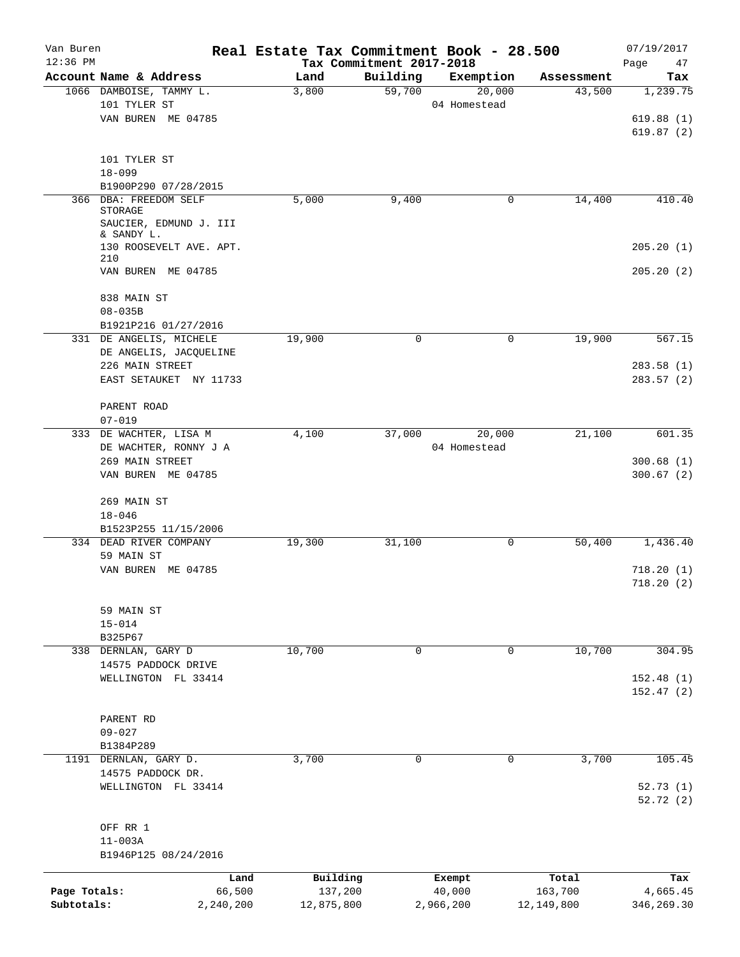| Van Buren    |                                      | Real Estate Tax Commitment Book - 28.500 |                                      |                     |                      | 07/19/2017             |
|--------------|--------------------------------------|------------------------------------------|--------------------------------------|---------------------|----------------------|------------------------|
| $12:36$ PM   | Account Name & Address               | Land                                     | Tax Commitment 2017-2018<br>Building |                     |                      | Page<br>47             |
|              | 1066 DAMBOISE, TAMMY L.              | 3,800                                    | 59,700                               | Exemption<br>20,000 | Assessment<br>43,500 | Tax<br>1, 239.75       |
|              | 101 TYLER ST                         |                                          |                                      | 04 Homestead        |                      |                        |
|              | VAN BUREN ME 04785                   |                                          |                                      |                     |                      | 619.88(1)              |
|              |                                      |                                          |                                      |                     |                      | 619.87(2)              |
|              |                                      |                                          |                                      |                     |                      |                        |
|              | 101 TYLER ST                         |                                          |                                      |                     |                      |                        |
|              | $18 - 099$                           |                                          |                                      |                     |                      |                        |
|              | B1900P290 07/28/2015                 |                                          |                                      |                     |                      |                        |
|              | 366 DBA: FREEDOM SELF<br>STORAGE     | 5,000                                    | 9,400                                | 0                   | 14,400               | 410.40                 |
|              | SAUCIER, EDMUND J. III<br>& SANDY L. |                                          |                                      |                     |                      |                        |
|              | 130 ROOSEVELT AVE. APT.<br>210       |                                          |                                      |                     |                      | 205.20(1)              |
|              | VAN BUREN ME 04785                   |                                          |                                      |                     |                      | 205.20(2)              |
|              | 838 MAIN ST                          |                                          |                                      |                     |                      |                        |
|              | $08 - 035B$                          |                                          |                                      |                     |                      |                        |
|              | B1921P216 01/27/2016                 |                                          |                                      |                     |                      |                        |
|              | 331 DE ANGELIS, MICHELE              | 19,900                                   | $\mathbf 0$                          | 0                   | 19,900               | 567.15                 |
|              | DE ANGELIS, JACQUELINE               |                                          |                                      |                     |                      |                        |
|              | 226 MAIN STREET                      |                                          |                                      |                     |                      | 283.58(1)              |
|              | EAST SETAUKET NY 11733               |                                          |                                      |                     |                      | 283.57(2)              |
|              |                                      |                                          |                                      |                     |                      |                        |
|              | PARENT ROAD                          |                                          |                                      |                     |                      |                        |
|              | $07 - 019$                           |                                          |                                      |                     |                      |                        |
|              | 333 DE WACHTER, LISA M               | 4,100                                    | 37,000                               | 20,000              | 21,100               | 601.35                 |
|              |                                      |                                          |                                      | 04 Homestead        |                      |                        |
|              | DE WACHTER, RONNY J A                |                                          |                                      |                     |                      |                        |
|              | 269 MAIN STREET                      |                                          |                                      |                     |                      | 300.68(1)              |
|              | VAN BUREN ME 04785                   |                                          |                                      |                     |                      | 300.67(2)              |
|              |                                      |                                          |                                      |                     |                      |                        |
|              | 269 MAIN ST                          |                                          |                                      |                     |                      |                        |
|              | $18 - 046$                           |                                          |                                      |                     |                      |                        |
|              | B1523P255 11/15/2006                 |                                          |                                      |                     |                      |                        |
|              | 334 DEAD RIVER COMPANY               | 19,300                                   | 31,100                               | 0                   | 50,400               | 1,436.40               |
|              | 59 MAIN ST                           |                                          |                                      |                     |                      |                        |
|              | VAN BUREN ME 04785                   |                                          |                                      |                     |                      | 718.20(1)<br>718.20(2) |
|              | 59 MAIN ST                           |                                          |                                      |                     |                      |                        |
|              | $15 - 014$                           |                                          |                                      |                     |                      |                        |
|              | B325P67                              |                                          |                                      |                     |                      |                        |
|              |                                      | 10,700                                   | $\mathbf 0$                          | 0                   | 10,700               | 304.95                 |
|              | 338 DERNLAN, GARY D                  |                                          |                                      |                     |                      |                        |
|              | 14575 PADDOCK DRIVE                  |                                          |                                      |                     |                      |                        |
|              | WELLINGTON FL 33414                  |                                          |                                      |                     |                      | 152.48(1)              |
|              |                                      |                                          |                                      |                     |                      | 152.47(2)              |
|              |                                      |                                          |                                      |                     |                      |                        |
|              | PARENT RD                            |                                          |                                      |                     |                      |                        |
|              | $09 - 027$                           |                                          |                                      |                     |                      |                        |
|              | B1384P289                            |                                          |                                      |                     |                      |                        |
|              | 1191 DERNLAN, GARY D.                | 3,700                                    | 0                                    | 0                   | 3,700                | 105.45                 |
|              | 14575 PADDOCK DR.                    |                                          |                                      |                     |                      |                        |
|              | WELLINGTON FL 33414                  |                                          |                                      |                     |                      | 52.73(1)<br>52.72 (2)  |
|              | OFF RR 1                             |                                          |                                      |                     |                      |                        |
|              | $11 - 003A$                          |                                          |                                      |                     |                      |                        |
|              | B1946P125 08/24/2016                 |                                          |                                      |                     |                      |                        |
|              |                                      |                                          |                                      |                     |                      |                        |
|              | Land                                 | Building                                 |                                      | Exempt              | Total                | Tax                    |
| Page Totals: | 66,500                               | 137,200                                  |                                      | 40,000              | 163,700              | 4,665.45               |
| Subtotals:   | 2,240,200                            | 12,875,800                               |                                      | 2,966,200           | 12,149,800           | 346,269.30             |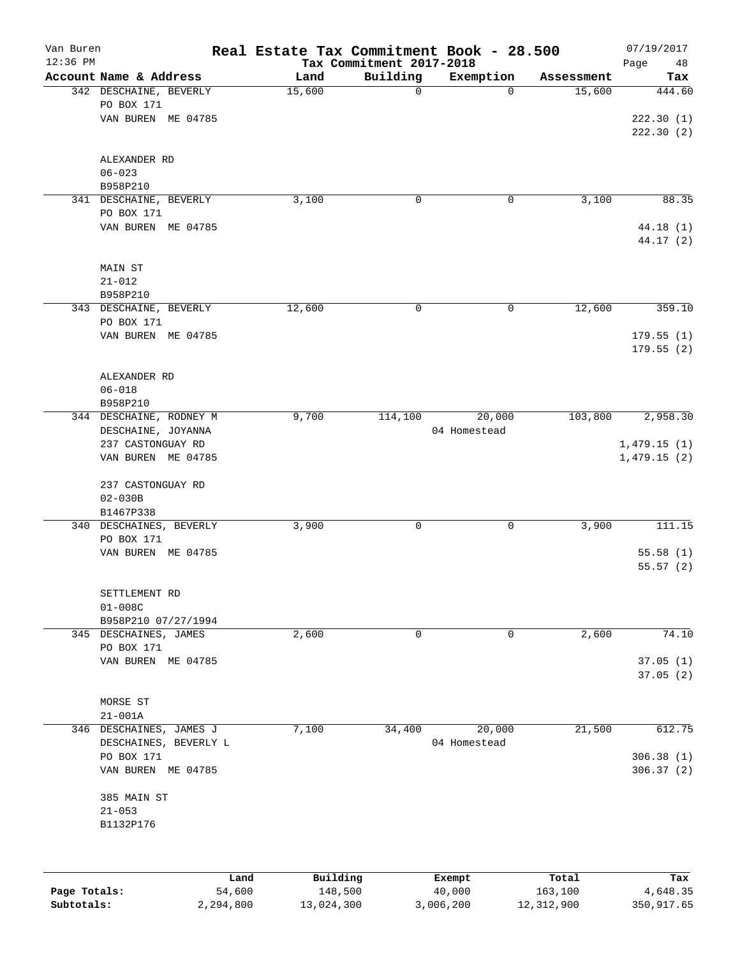| Van Buren<br>$12:36$ PM |                                              | Real Estate Tax Commitment Book - 28.500 | Tax Commitment 2017-2018 |              |            | 07/19/2017<br>Page<br>48 |
|-------------------------|----------------------------------------------|------------------------------------------|--------------------------|--------------|------------|--------------------------|
|                         | Account Name & Address                       | Land                                     | Building                 | Exemption    | Assessment | Tax                      |
|                         | 342 DESCHAINE, BEVERLY                       | 15,600                                   | $\mathbf 0$              | $\mathbf 0$  | 15,600     | 444.60                   |
|                         | PO BOX 171                                   |                                          |                          |              |            |                          |
|                         | VAN BUREN ME 04785                           |                                          |                          |              |            | 222.30(1)                |
|                         |                                              |                                          |                          |              |            | 222.30 (2)               |
|                         | ALEXANDER RD                                 |                                          |                          |              |            |                          |
|                         | $06 - 023$                                   |                                          |                          |              |            |                          |
|                         | B958P210                                     |                                          |                          |              |            |                          |
|                         | 341 DESCHAINE, BEVERLY                       | 3,100                                    | 0                        | 0            | 3,100      | 88.35                    |
|                         | PO BOX 171                                   |                                          |                          |              |            |                          |
|                         | VAN BUREN ME 04785                           |                                          |                          |              |            | 44.18 (1)<br>44.17 (2)   |
|                         | MAIN ST                                      |                                          |                          |              |            |                          |
|                         | $21 - 012$                                   |                                          |                          |              |            |                          |
|                         | B958P210                                     |                                          |                          |              |            |                          |
|                         | 343 DESCHAINE, BEVERLY                       | 12,600                                   | 0                        | 0            | 12,600     | 359.10                   |
|                         | PO BOX 171                                   |                                          |                          |              |            |                          |
|                         | VAN BUREN ME 04785                           |                                          |                          |              |            | 179.55(1)                |
|                         |                                              |                                          |                          |              |            | 179.55(2)                |
|                         | ALEXANDER RD                                 |                                          |                          |              |            |                          |
|                         | $06 - 018$                                   |                                          |                          |              |            |                          |
|                         | B958P210                                     |                                          |                          |              |            |                          |
|                         | 344 DESCHAINE, RODNEY M                      | 9,700                                    | 114,100                  | 20,000       | 103,800    | 2,958.30                 |
|                         | DESCHAINE, JOYANNA                           |                                          |                          | 04 Homestead |            |                          |
|                         | 237 CASTONGUAY RD                            |                                          |                          |              |            | 1,479.15(1)              |
|                         | VAN BUREN ME 04785                           |                                          |                          |              |            | 1,479.15(2)              |
|                         | 237 CASTONGUAY RD                            |                                          |                          |              |            |                          |
|                         | $02 - 030B$                                  |                                          |                          |              |            |                          |
|                         | B1467P338                                    |                                          |                          |              |            |                          |
|                         | 340 DESCHAINES, BEVERLY                      | 3,900                                    | 0                        | 0            | 3,900      | 111.15                   |
|                         | PO BOX 171                                   |                                          |                          |              |            |                          |
|                         | VAN BUREN ME 04785                           |                                          |                          |              |            | 55.58(1)<br>55.57(2)     |
|                         |                                              |                                          |                          |              |            |                          |
|                         | SETTLEMENT RD                                |                                          |                          |              |            |                          |
|                         | $01 - 008C$                                  |                                          |                          |              |            |                          |
|                         | B958P210 07/27/1994<br>345 DESCHAINES, JAMES | 2,600                                    | 0                        | 0            | 2,600      | 74.10                    |
|                         | PO BOX 171                                   |                                          |                          |              |            |                          |
|                         | VAN BUREN ME 04785                           |                                          |                          |              |            | 37.05(1)                 |
|                         |                                              |                                          |                          |              |            | 37.05(2)                 |
|                         | MORSE ST                                     |                                          |                          |              |            |                          |
|                         | $21 - 001A$                                  |                                          |                          |              |            |                          |
|                         | 346 DESCHAINES, JAMES J                      | 7,100                                    | 34,400                   | 20,000       | 21,500     | 612.75                   |
|                         | DESCHAINES, BEVERLY L                        |                                          |                          | 04 Homestead |            |                          |
|                         | PO BOX 171                                   |                                          |                          |              |            | 306.38(1)                |
|                         | VAN BUREN ME 04785                           |                                          |                          |              |            | 306.37 (2)               |
|                         | 385 MAIN ST                                  |                                          |                          |              |            |                          |
|                         | $21 - 053$                                   |                                          |                          |              |            |                          |
|                         | B1132P176                                    |                                          |                          |              |            |                          |
|                         |                                              |                                          |                          |              |            |                          |
|                         | Land                                         | Building                                 |                          | Exempt       | Total      | Tax                      |
| Page Totals:            | 54,600                                       | 148,500                                  |                          | 40,000       | 163, 100   | 4,648.35                 |

**Subtotals:** 2,294,800 13,024,300 3,006,200 12,312,900 350,917.65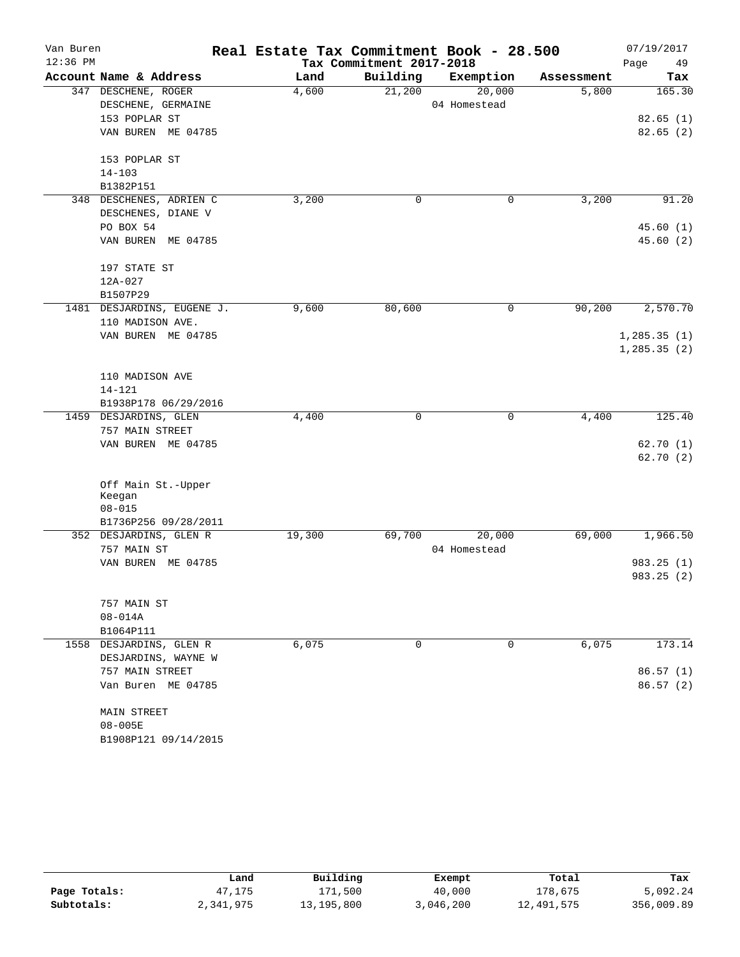| Van Buren  |                            | Real Estate Tax Commitment Book - 28.500 |                          |              |            | 07/19/2017   |
|------------|----------------------------|------------------------------------------|--------------------------|--------------|------------|--------------|
| $12:36$ PM |                            |                                          | Tax Commitment 2017-2018 |              |            | 49<br>Page   |
|            | Account Name & Address     | Land                                     | Building                 | Exemption    | Assessment | Tax          |
|            | 347 DESCHENE, ROGER        | 4,600                                    | 21,200                   | 20,000       | 5,800      | 165.30       |
|            | DESCHENE, GERMAINE         |                                          |                          | 04 Homestead |            |              |
|            | 153 POPLAR ST              |                                          |                          |              |            | 82.65(1)     |
|            | VAN BUREN ME 04785         |                                          |                          |              |            | 82.65(2)     |
|            | 153 POPLAR ST              |                                          |                          |              |            |              |
|            | $14 - 103$                 |                                          |                          |              |            |              |
|            | B1382P151                  |                                          |                          |              |            |              |
| 348        | DESCHENES, ADRIEN C        | 3,200                                    | 0                        | 0            | 3,200      | 91.20        |
|            | DESCHENES, DIANE V         |                                          |                          |              |            |              |
|            | PO BOX 54                  |                                          |                          |              |            | 45.60(1)     |
|            | VAN BUREN ME 04785         |                                          |                          |              |            | 45.60(2)     |
|            | 197 STATE ST               |                                          |                          |              |            |              |
|            | 12A-027                    |                                          |                          |              |            |              |
|            | B1507P29                   |                                          |                          |              |            |              |
|            | 1481 DESJARDINS, EUGENE J. | 9,600                                    | 80,600                   | 0            | 90,200     | 2,570.70     |
|            | 110 MADISON AVE.           |                                          |                          |              |            |              |
|            | VAN BUREN ME 04785         |                                          |                          |              |            | 1, 285.35(1) |
|            |                            |                                          |                          |              |            | 1,285.35(2)  |
|            |                            |                                          |                          |              |            |              |
|            | 110 MADISON AVE            |                                          |                          |              |            |              |
|            | $14 - 121$                 |                                          |                          |              |            |              |
|            | B1938P178 06/29/2016       |                                          |                          |              |            |              |
|            | 1459 DESJARDINS, GLEN      | 4,400                                    | 0                        | 0            | 4,400      | 125.40       |
|            | 757 MAIN STREET            |                                          |                          |              |            |              |
|            | VAN BUREN ME 04785         |                                          |                          |              |            | 62.70(1)     |
|            |                            |                                          |                          |              |            | 62.70(2)     |
|            | Off Main St.-Upper         |                                          |                          |              |            |              |
|            | Keegan                     |                                          |                          |              |            |              |
|            | $08 - 015$                 |                                          |                          |              |            |              |
|            | B1736P256 09/28/2011       |                                          |                          |              |            |              |
|            | 352 DESJARDINS, GLEN R     | 19,300                                   | 69,700                   | 20,000       | 69,000     | 1,966.50     |
|            | 757 MAIN ST                |                                          |                          | 04 Homestead |            |              |
|            | VAN BUREN ME 04785         |                                          |                          |              |            | 983.25(1)    |
|            |                            |                                          |                          |              |            | 983.25 (2)   |
|            | 757 MAIN ST                |                                          |                          |              |            |              |
|            | $08 - 014A$                |                                          |                          |              |            |              |
|            | B1064P111                  |                                          |                          |              |            |              |
|            | 1558 DESJARDINS, GLEN R    | 6,075                                    | 0                        | 0            | 6,075      | 173.14       |
|            | DESJARDINS, WAYNE W        |                                          |                          |              |            |              |
|            | 757 MAIN STREET            |                                          |                          |              |            | 86.57(1)     |
|            | Van Buren ME 04785         |                                          |                          |              |            | 86.57(2)     |
|            | MAIN STREET                |                                          |                          |              |            |              |
|            | $08 - 005E$                |                                          |                          |              |            |              |
|            | B1908P121 09/14/2015       |                                          |                          |              |            |              |
|            |                            |                                          |                          |              |            |              |

|              | Land      | Building   | Exempt    | Total      | Tax        |  |
|--------------|-----------|------------|-----------|------------|------------|--|
| Page Totals: | 47,175    | 171,500    | 40,000    | 178,675    | 5,092.24   |  |
| Subtotals:   | 2,341,975 | 13,195,800 | 3,046,200 | 12,491,575 | 356,009.89 |  |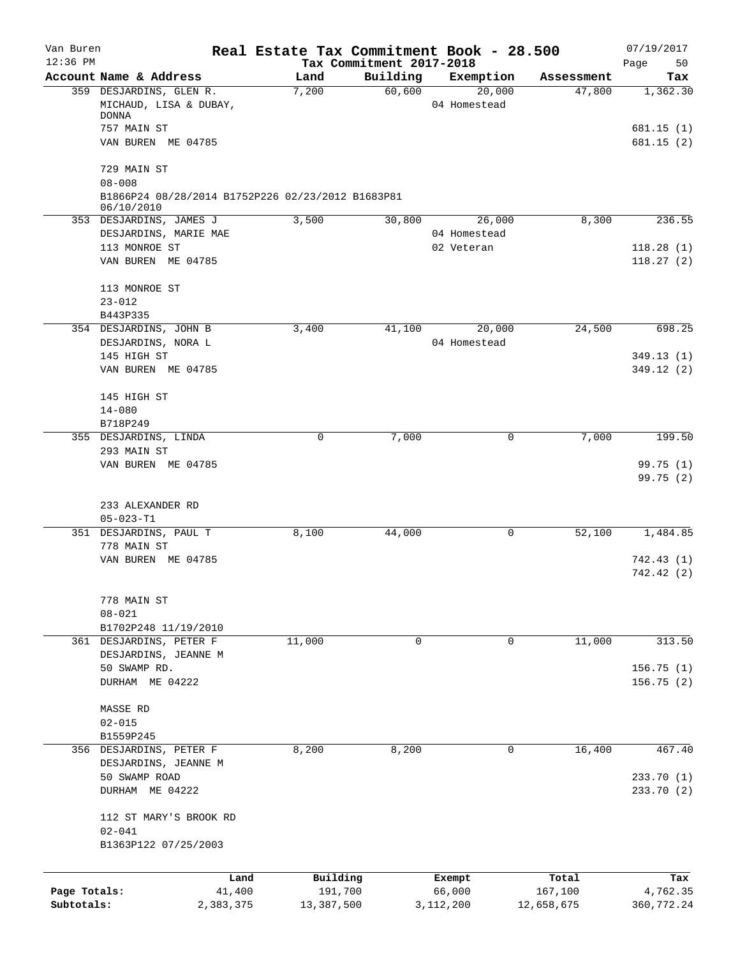| Van Buren<br>$12:36$ PM |                                                                               | Real Estate Tax Commitment Book - 28.500 | Tax Commitment 2017-2018 |                        |            | 07/19/2017<br>Page<br>50 |
|-------------------------|-------------------------------------------------------------------------------|------------------------------------------|--------------------------|------------------------|------------|--------------------------|
|                         | Account Name & Address                                                        | Land                                     | Building                 | Exemption              | Assessment | Tax                      |
|                         | 359 DESJARDINS, GLEN R.<br>MICHAUD, LISA & DUBAY,                             | 7,200                                    | 60,600                   | 20,000<br>04 Homestead | 47,800     | 1,362.30                 |
|                         | <b>DONNA</b>                                                                  |                                          |                          |                        |            |                          |
|                         | 757 MAIN ST<br>VAN BUREN ME 04785                                             |                                          |                          |                        |            | 681.15(1)<br>681.15(2)   |
|                         | 729 MAIN ST                                                                   |                                          |                          |                        |            |                          |
|                         | $08 - 008$<br>B1866P24 08/28/2014 B1752P226 02/23/2012 B1683P81<br>06/10/2010 |                                          |                          |                        |            |                          |
|                         | 353 DESJARDINS, JAMES J                                                       | 3,500                                    | 30,800                   | 26,000                 | 8,300      | 236.55                   |
|                         | DESJARDINS, MARIE MAE                                                         |                                          |                          | 04 Homestead           |            |                          |
|                         | 113 MONROE ST                                                                 |                                          |                          | 02 Veteran             |            | 118.28(1)                |
|                         | VAN BUREN ME 04785                                                            |                                          |                          |                        |            | 118.27(2)                |
|                         | 113 MONROE ST                                                                 |                                          |                          |                        |            |                          |
|                         | $23 - 012$                                                                    |                                          |                          |                        |            |                          |
|                         | B443P335<br>354 DESJARDINS, JOHN B                                            | 3,400                                    | 41,100                   | 20,000                 | 24,500     | 698.25                   |
|                         | DESJARDINS, NORA L                                                            |                                          |                          | 04 Homestead           |            |                          |
|                         | 145 HIGH ST                                                                   |                                          |                          |                        |            | 349.13(1)                |
|                         | VAN BUREN ME 04785                                                            |                                          |                          |                        |            | 349.12 (2)               |
|                         | 145 HIGH ST                                                                   |                                          |                          |                        |            |                          |
|                         | $14 - 080$                                                                    |                                          |                          |                        |            |                          |
|                         | B718P249<br>355 DESJARDINS, LINDA                                             | 0                                        | 7,000                    | 0                      | 7,000      | 199.50                   |
|                         | 293 MAIN ST                                                                   |                                          |                          |                        |            |                          |
|                         | VAN BUREN ME 04785                                                            |                                          |                          |                        |            | 99.75 (1)                |
|                         |                                                                               |                                          |                          |                        |            | 99.75(2)                 |
|                         | 233 ALEXANDER RD                                                              |                                          |                          |                        |            |                          |
|                         | $05 - 023 - T1$                                                               |                                          |                          |                        |            |                          |
|                         | 351 DESJARDINS, PAUL T                                                        | 8,100                                    | 44,000                   | 0                      | 52,100     | 1,484.85                 |
|                         | 778 MAIN ST                                                                   |                                          |                          |                        |            |                          |
|                         | VAN BUREN ME 04785                                                            |                                          |                          |                        |            | 742.43 (1)<br>742.42 (2) |
|                         | 778 MAIN ST                                                                   |                                          |                          |                        |            |                          |
|                         | $08 - 021$                                                                    |                                          |                          |                        |            |                          |
|                         | B1702P248 11/19/2010                                                          |                                          |                          |                        |            |                          |
|                         | 361 DESJARDINS, PETER F                                                       | 11,000                                   | 0                        | 0                      | 11,000     | 313.50                   |
|                         | DESJARDINS, JEANNE M                                                          |                                          |                          |                        |            |                          |
|                         | 50 SWAMP RD.                                                                  |                                          |                          |                        |            | 156.75(1)                |
|                         | DURHAM ME 04222                                                               |                                          |                          |                        |            | 156.75 (2)               |
|                         | MASSE RD                                                                      |                                          |                          |                        |            |                          |
|                         | $02 - 015$                                                                    |                                          |                          |                        |            |                          |
|                         | B1559P245                                                                     |                                          |                          |                        |            |                          |
|                         | 356 DESJARDINS, PETER F                                                       | 8,200                                    | 8,200                    | 0                      | 16,400     | 467.40                   |
|                         | DESJARDINS, JEANNE M                                                          |                                          |                          |                        |            |                          |
|                         | 50 SWAMP ROAD                                                                 |                                          |                          |                        |            | 233.70(1)                |
|                         | DURHAM ME 04222                                                               |                                          |                          |                        |            | 233.70 (2)               |
|                         | 112 ST MARY'S BROOK RD                                                        |                                          |                          |                        |            |                          |
|                         | $02 - 041$<br>B1363P122 07/25/2003                                            |                                          |                          |                        |            |                          |
|                         |                                                                               |                                          |                          |                        |            |                          |
|                         |                                                                               | Building<br>Land<br>191,700              |                          | Exempt<br>66,000       | Total      | Tax                      |
| Page Totals:            | 41,400                                                                        |                                          |                          |                        | 167,100    | 4,762.35                 |
| Subtotals:              | 2,383,375                                                                     | 13,387,500                               |                          | 3,112,200              | 12,658,675 | 360, 772.24              |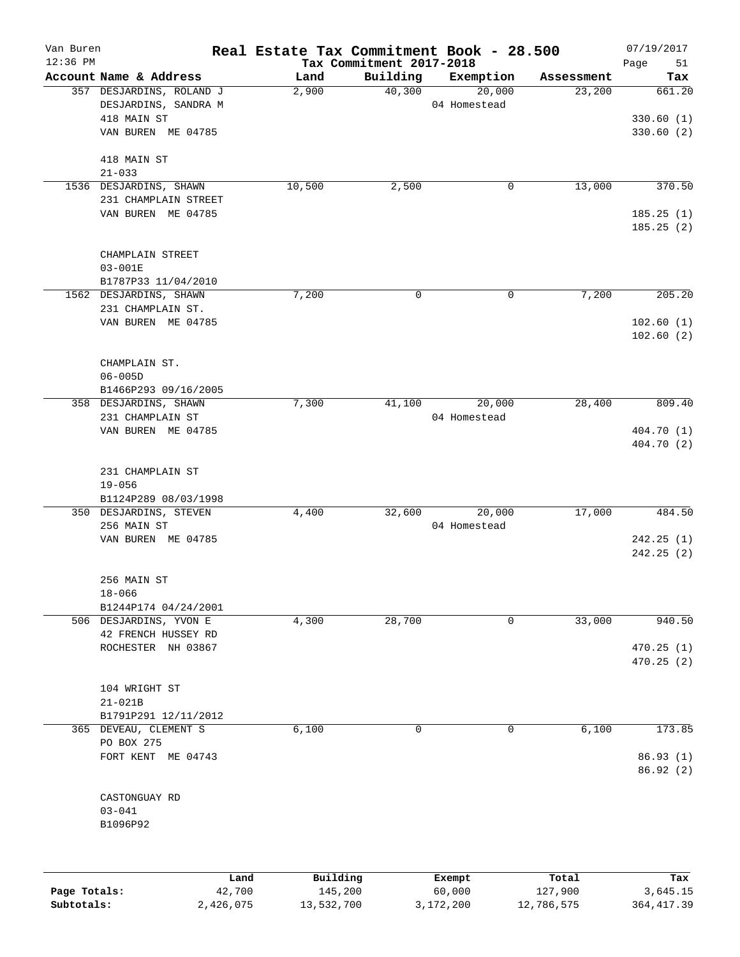| Van Buren    |                                | Real Estate Tax Commitment Book - 28.500 |                                      |              |            | 07/19/2017             |
|--------------|--------------------------------|------------------------------------------|--------------------------------------|--------------|------------|------------------------|
| $12:36$ PM   | Account Name & Address         | Land                                     | Tax Commitment 2017-2018<br>Building | Exemption    | Assessment | 51<br>Page<br>Tax      |
|              | 357 DESJARDINS, ROLAND J       | 2,900                                    | 40,300                               | 20,000       | 23,200     | 661.20                 |
|              | DESJARDINS, SANDRA M           |                                          |                                      | 04 Homestead |            |                        |
|              | 418 MAIN ST                    |                                          |                                      |              |            | 330.60(1)              |
|              | VAN BUREN ME 04785             |                                          |                                      |              |            | 330.60(2)              |
|              | 418 MAIN ST                    |                                          |                                      |              |            |                        |
|              | $21 - 033$                     |                                          |                                      |              |            |                        |
|              | 1536 DESJARDINS, SHAWN         | 10,500                                   | 2,500                                | 0            | 13,000     | 370.50                 |
|              | 231 CHAMPLAIN STREET           |                                          |                                      |              |            |                        |
|              | VAN BUREN ME 04785             |                                          |                                      |              |            | 185.25(1)<br>185.25(2) |
|              |                                |                                          |                                      |              |            |                        |
|              | CHAMPLAIN STREET               |                                          |                                      |              |            |                        |
|              | $03 - 001E$                    |                                          |                                      |              |            |                        |
|              | B1787P33 11/04/2010            |                                          | 0                                    | 0            | 7,200      | 205.20                 |
|              | 1562 DESJARDINS, SHAWN         | 7,200                                    |                                      |              |            |                        |
|              | 231 CHAMPLAIN ST.              |                                          |                                      |              |            |                        |
|              | VAN BUREN ME 04785             |                                          |                                      |              |            | 102.60(1)<br>102.60(2) |
|              | CHAMPLAIN ST.                  |                                          |                                      |              |            |                        |
|              | $06 - 005D$                    |                                          |                                      |              |            |                        |
|              | B1466P293 09/16/2005           |                                          |                                      |              |            |                        |
|              | 358 DESJARDINS, SHAWN          | 7,300                                    | 41,100                               | 20,000       | 28,400     | 809.40                 |
|              | 231 CHAMPLAIN ST               |                                          |                                      | 04 Homestead |            |                        |
|              | VAN BUREN ME 04785             |                                          |                                      |              |            | 404.70 (1)             |
|              |                                |                                          |                                      |              |            | 404.70 (2)             |
|              |                                |                                          |                                      |              |            |                        |
|              | 231 CHAMPLAIN ST<br>$19 - 056$ |                                          |                                      |              |            |                        |
|              | B1124P289 08/03/1998           |                                          |                                      |              |            |                        |
|              | 350 DESJARDINS, STEVEN         | 4,400                                    | 32,600                               | 20,000       | 17,000     | 484.50                 |
|              | 256 MAIN ST                    |                                          |                                      | 04 Homestead |            |                        |
|              | VAN BUREN ME 04785             |                                          |                                      |              |            | 242.25(1)              |
|              |                                |                                          |                                      |              |            | 242.25(2)              |
|              | 256 MAIN ST                    |                                          |                                      |              |            |                        |
|              | $18 - 066$                     |                                          |                                      |              |            |                        |
|              | B1244P174 04/24/2001           |                                          |                                      |              |            |                        |
|              | 506 DESJARDINS, YVON E         | 4,300                                    | 28,700                               | $\mathbf 0$  | 33,000     | 940.50                 |
|              | 42 FRENCH HUSSEY RD            |                                          |                                      |              |            |                        |
|              | ROCHESTER NH 03867             |                                          |                                      |              |            | 470.25(1)              |
|              |                                |                                          |                                      |              |            | 470.25 (2)             |
|              | 104 WRIGHT ST                  |                                          |                                      |              |            |                        |
|              | $21 - 021B$                    |                                          |                                      |              |            |                        |
|              | B1791P291 12/11/2012           |                                          |                                      |              |            |                        |
|              | 365 DEVEAU, CLEMENT S          | 6,100                                    | 0                                    | $\mathbf 0$  | 6,100      | 173.85                 |
|              | PO BOX 275                     |                                          |                                      |              |            |                        |
|              | FORT KENT ME 04743             |                                          |                                      |              |            | 86.93 (1)              |
|              |                                |                                          |                                      |              |            | 86.92(2)               |
|              | CASTONGUAY RD                  |                                          |                                      |              |            |                        |
|              | $03 - 041$                     |                                          |                                      |              |            |                        |
|              | B1096P92                       |                                          |                                      |              |            |                        |
|              |                                |                                          |                                      |              |            |                        |
|              |                                | Building<br>Land                         |                                      | Exempt       | Total      | Tax                    |
| Page Totals: | 42,700                         | 145,200                                  |                                      | 60,000       | 127,900    | 3,645.15               |
| Subtotals:   | 2,426,075                      | 13,532,700                               |                                      | 3,172,200    | 12,786,575 | 364, 417.39            |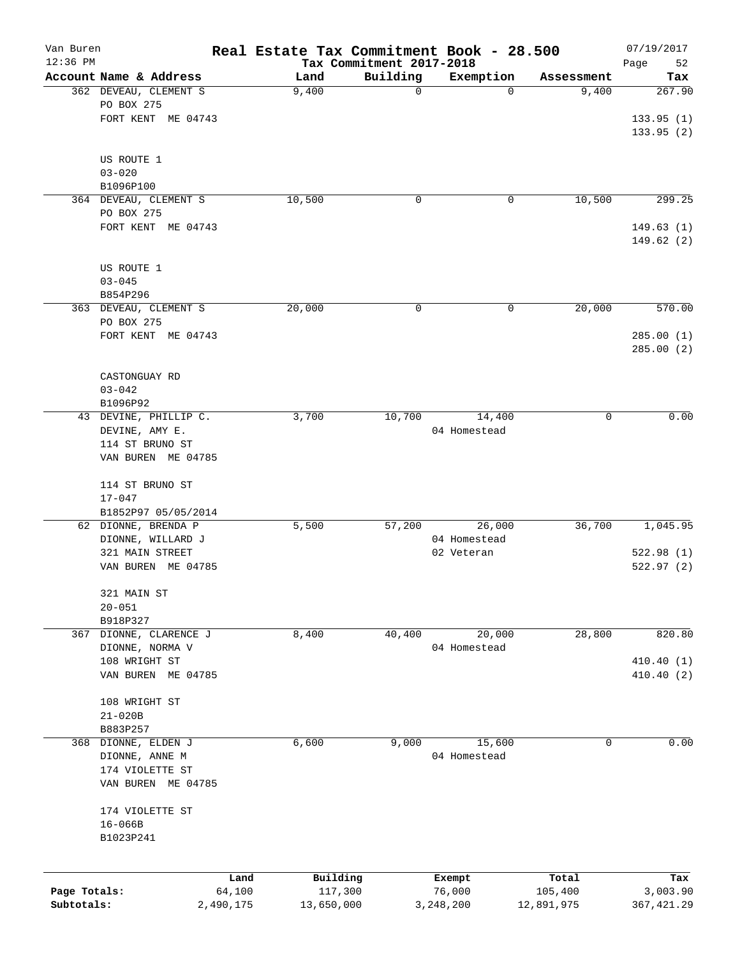| Van Buren    |                          |           | Real Estate Tax Commitment Book - 28.500 |                                      |              |            | 07/19/2017        |
|--------------|--------------------------|-----------|------------------------------------------|--------------------------------------|--------------|------------|-------------------|
| $12:36$ PM   | Account Name & Address   |           | Land                                     | Tax Commitment 2017-2018<br>Building | Exemption    | Assessment | Page<br>52<br>Tax |
|              | 362 DEVEAU, CLEMENT S    |           | 9,400                                    | $\mathbf 0$                          | $\Omega$     | 9,400      | 267.90            |
|              | PO BOX 275               |           |                                          |                                      |              |            |                   |
|              | FORT KENT ME 04743       |           |                                          |                                      |              |            | 133.95(1)         |
|              |                          |           |                                          |                                      |              |            | 133.95 (2)        |
|              |                          |           |                                          |                                      |              |            |                   |
|              | US ROUTE 1<br>$03 - 020$ |           |                                          |                                      |              |            |                   |
|              | B1096P100                |           |                                          |                                      |              |            |                   |
|              | 364 DEVEAU, CLEMENT S    |           | 10,500                                   | $\mathsf{O}$                         | 0            | 10,500     | 299.25            |
|              | PO BOX 275               |           |                                          |                                      |              |            |                   |
|              | FORT KENT ME 04743       |           |                                          |                                      |              |            | 149.63(1)         |
|              |                          |           |                                          |                                      |              |            | 149.62 (2)        |
|              | US ROUTE 1               |           |                                          |                                      |              |            |                   |
|              | $03 - 045$               |           |                                          |                                      |              |            |                   |
|              | B854P296                 |           |                                          |                                      |              |            |                   |
|              | 363 DEVEAU, CLEMENT S    |           | 20,000                                   | 0                                    | 0            | 20,000     | 570.00            |
|              | PO BOX 275               |           |                                          |                                      |              |            |                   |
|              | FORT KENT ME 04743       |           |                                          |                                      |              |            | 285.00(1)         |
|              |                          |           |                                          |                                      |              |            | 285.00(2)         |
|              | CASTONGUAY RD            |           |                                          |                                      |              |            |                   |
|              | $03 - 042$               |           |                                          |                                      |              |            |                   |
|              | B1096P92                 |           |                                          |                                      |              |            |                   |
|              | 43 DEVINE, PHILLIP C.    |           | 3,700                                    | 10,700                               | 14,400       | 0          | 0.00              |
|              | DEVINE, AMY E.           |           |                                          |                                      | 04 Homestead |            |                   |
|              | 114 ST BRUNO ST          |           |                                          |                                      |              |            |                   |
|              | VAN BUREN ME 04785       |           |                                          |                                      |              |            |                   |
|              | 114 ST BRUNO ST          |           |                                          |                                      |              |            |                   |
|              | $17 - 047$               |           |                                          |                                      |              |            |                   |
|              | B1852P97 05/05/2014      |           |                                          |                                      |              |            |                   |
|              | 62 DIONNE, BRENDA P      |           | 5,500                                    | 57,200                               | 26,000       | 36,700     | 1,045.95          |
|              | DIONNE, WILLARD J        |           |                                          |                                      | 04 Homestead |            |                   |
|              | 321 MAIN STREET          |           |                                          |                                      | 02 Veteran   |            | 522.98(1)         |
|              | VAN BUREN ME 04785       |           |                                          |                                      |              |            | 522.97(2)         |
|              | 321 MAIN ST              |           |                                          |                                      |              |            |                   |
|              | $20 - 051$               |           |                                          |                                      |              |            |                   |
|              | B918P327                 |           |                                          |                                      |              |            |                   |
|              | 367 DIONNE, CLARENCE J   |           | 8,400                                    | 40,400                               | 20,000       | 28,800     | 820.80            |
|              | DIONNE, NORMA V          |           |                                          |                                      | 04 Homestead |            |                   |
|              | 108 WRIGHT ST            |           |                                          |                                      |              |            | 410.40(1)         |
|              | VAN BUREN ME 04785       |           |                                          |                                      |              |            | 410.40 (2)        |
|              | 108 WRIGHT ST            |           |                                          |                                      |              |            |                   |
|              | $21 - 020B$              |           |                                          |                                      |              |            |                   |
|              | B883P257                 |           |                                          |                                      |              |            |                   |
|              | 368 DIONNE, ELDEN J      |           | 6,600                                    | 9,000                                | 15,600       | 0          | 0.00              |
|              | DIONNE, ANNE M           |           |                                          |                                      | 04 Homestead |            |                   |
|              | 174 VIOLETTE ST          |           |                                          |                                      |              |            |                   |
|              | VAN BUREN ME 04785       |           |                                          |                                      |              |            |                   |
|              | 174 VIOLETTE ST          |           |                                          |                                      |              |            |                   |
|              | $16 - 066B$              |           |                                          |                                      |              |            |                   |
|              | B1023P241                |           |                                          |                                      |              |            |                   |
|              |                          |           |                                          |                                      |              |            |                   |
|              |                          | Land      | Building                                 |                                      | Exempt       | Total      | Tax               |
| Page Totals: |                          | 64,100    | 117,300                                  |                                      | 76,000       | 105,400    | 3,003.90          |
| Subtotals:   |                          | 2,490,175 | 13,650,000                               |                                      | 3,248,200    | 12,891,975 | 367,421.29        |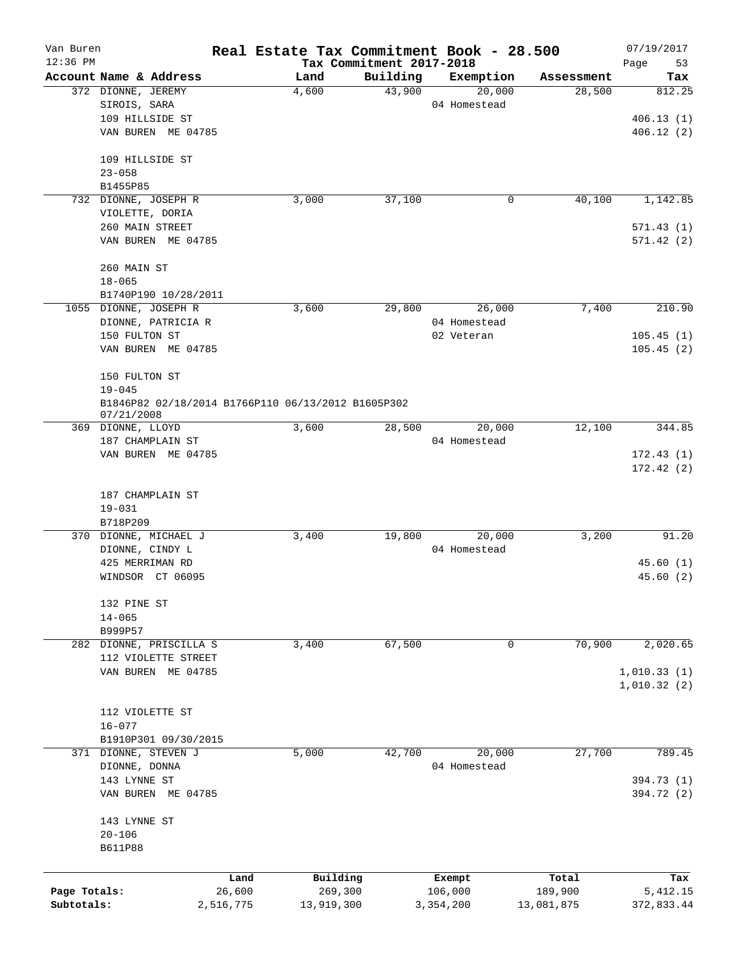| Van Buren    |                                                                  | Real Estate Tax Commitment Book - 28.500 |                          |              |            | 07/19/2017  |
|--------------|------------------------------------------------------------------|------------------------------------------|--------------------------|--------------|------------|-------------|
| $12:36$ PM   |                                                                  |                                          | Tax Commitment 2017-2018 |              |            | Page<br>53  |
|              | Account Name & Address                                           | Land                                     | Building                 | Exemption    | Assessment | Tax         |
|              | 372 DIONNE, JEREMY                                               | 4,600                                    | 43,900                   | 20,000       | 28,500     | 812.25      |
|              | SIROIS, SARA                                                     |                                          |                          | 04 Homestead |            |             |
|              | 109 HILLSIDE ST                                                  |                                          |                          |              |            | 406.13(1)   |
|              | VAN BUREN ME 04785                                               |                                          |                          |              |            | 406.12(2)   |
|              | 109 HILLSIDE ST                                                  |                                          |                          |              |            |             |
|              | $23 - 058$                                                       |                                          |                          |              |            |             |
|              | B1455P85                                                         |                                          |                          |              |            |             |
|              | 732 DIONNE, JOSEPH R                                             | 3,000                                    | 37,100                   | 0            | 40,100     | 1,142.85    |
|              | VIOLETTE, DORIA                                                  |                                          |                          |              |            |             |
|              | 260 MAIN STREET                                                  |                                          |                          |              |            | 571.43(1)   |
|              | VAN BUREN ME 04785                                               |                                          |                          |              |            | 571.42(2)   |
|              | 260 MAIN ST                                                      |                                          |                          |              |            |             |
|              | $18 - 065$                                                       |                                          |                          |              |            |             |
|              | B1740P190 10/28/2011                                             |                                          |                          |              |            |             |
|              | 1055 DIONNE, JOSEPH R                                            | 3,600                                    | 29,800                   | 26,000       | 7,400      | 210.90      |
|              | DIONNE, PATRICIA R                                               |                                          |                          | 04 Homestead |            |             |
|              | 150 FULTON ST                                                    |                                          |                          | 02 Veteran   |            | 105.45(1)   |
|              | VAN BUREN ME 04785                                               |                                          |                          |              |            | 105.45(2)   |
|              |                                                                  |                                          |                          |              |            |             |
|              | 150 FULTON ST                                                    |                                          |                          |              |            |             |
|              | $19 - 045$                                                       |                                          |                          |              |            |             |
|              | B1846P82 02/18/2014 B1766P110 06/13/2012 B1605P302<br>07/21/2008 |                                          |                          |              |            |             |
|              | 369 DIONNE, LLOYD                                                | 3,600                                    | 28,500                   | 20,000       | 12,100     | 344.85      |
|              | 187 CHAMPLAIN ST                                                 |                                          |                          | 04 Homestead |            |             |
|              | VAN BUREN ME 04785                                               |                                          |                          |              |            | 172.43(1)   |
|              |                                                                  |                                          |                          |              |            | 172.42(2)   |
|              |                                                                  |                                          |                          |              |            |             |
|              | 187 CHAMPLAIN ST                                                 |                                          |                          |              |            |             |
|              | $19 - 031$                                                       |                                          |                          |              |            |             |
|              | B718P209                                                         |                                          |                          |              |            |             |
|              | 370 DIONNE, MICHAEL J                                            | 3,400                                    | 19,800                   | 20,000       | 3,200      | 91.20       |
|              | DIONNE, CINDY L                                                  |                                          |                          | 04 Homestead |            |             |
|              | 425 MERRIMAN RD                                                  |                                          |                          |              |            | 45.60(1)    |
|              | WINDSOR CT 06095                                                 |                                          |                          |              |            | 45.60(2)    |
|              | 132 PINE ST                                                      |                                          |                          |              |            |             |
|              | $14 - 065$                                                       |                                          |                          |              |            |             |
|              | B999P57                                                          |                                          |                          |              |            |             |
|              | 282 DIONNE, PRISCILLA S                                          | 3,400                                    | 67,500                   | 0            | 70,900     | 2,020.65    |
|              | 112 VIOLETTE STREET                                              |                                          |                          |              |            |             |
|              | VAN BUREN ME 04785                                               |                                          |                          |              |            | 1,010.33(1) |
|              |                                                                  |                                          |                          |              |            | 1,010.32(2) |
|              |                                                                  |                                          |                          |              |            |             |
|              | 112 VIOLETTE ST                                                  |                                          |                          |              |            |             |
|              | $16 - 077$                                                       |                                          |                          |              |            |             |
|              | B1910P301 09/30/2015                                             |                                          |                          |              |            |             |
|              | 371 DIONNE, STEVEN J                                             | 5,000                                    | 42,700                   | 20,000       | 27,700     | 789.45      |
|              | DIONNE, DONNA                                                    |                                          |                          | 04 Homestead |            |             |
|              | 143 LYNNE ST                                                     |                                          |                          |              |            | 394.73 (1)  |
|              | VAN BUREN ME 04785                                               |                                          |                          |              |            | 394.72 (2)  |
|              |                                                                  |                                          |                          |              |            |             |
|              | 143 LYNNE ST<br>$20 - 106$                                       |                                          |                          |              |            |             |
|              | <b>B611P88</b>                                                   |                                          |                          |              |            |             |
|              |                                                                  |                                          |                          |              |            |             |
|              |                                                                  | Building<br>Land                         |                          | Exempt       | Total      | Tax         |
| Page Totals: | 26,600                                                           | 269,300                                  |                          | 106,000      | 189,900    | 5, 412.15   |
| Subtotals:   | 2,516,775                                                        | 13,919,300                               |                          | 3,354,200    | 13,081,875 | 372,833.44  |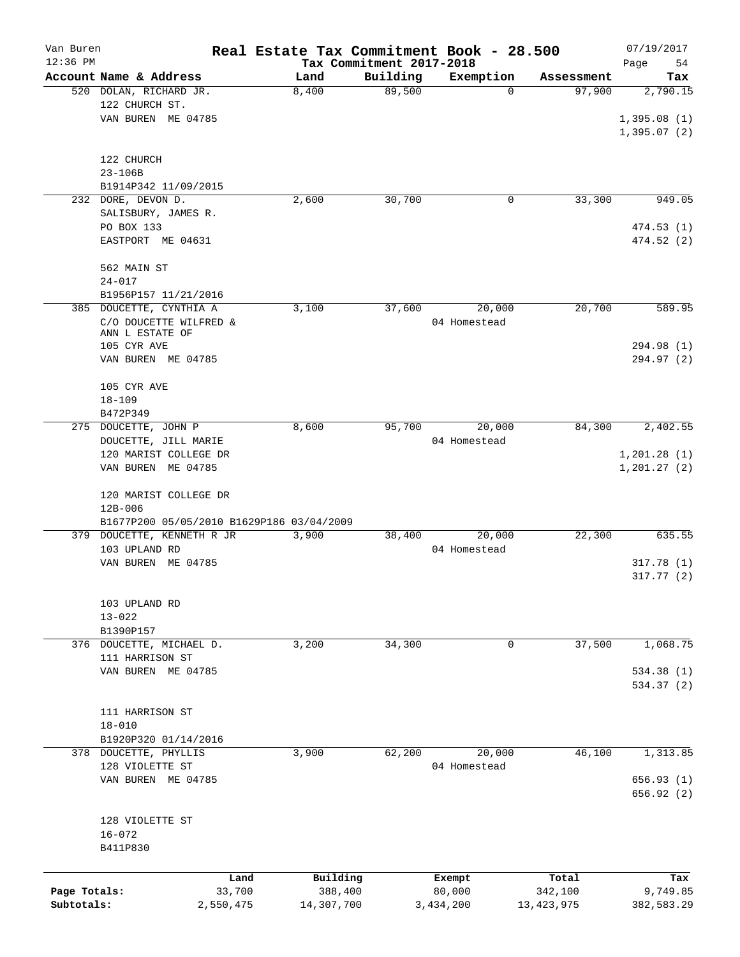| Van Buren                  |                                                                      | Real Estate Tax Commitment Book - 28.500 |          |                        |                         | 07/19/2017                   |
|----------------------------|----------------------------------------------------------------------|------------------------------------------|----------|------------------------|-------------------------|------------------------------|
| $12:36$ PM                 | Account Name & Address                                               | Tax Commitment 2017-2018<br>Land         | Building | Exemption              | Assessment              | Page<br>54<br>Tax            |
|                            | 520 DOLAN, RICHARD JR.<br>122 CHURCH ST.                             | 8,400                                    | 89,500   | 0                      | 97,900                  | 2,790.15                     |
|                            | VAN BUREN ME 04785                                                   |                                          |          |                        |                         | 1,395.08(1)<br>1,395.07(2)   |
|                            | 122 CHURCH                                                           |                                          |          |                        |                         |                              |
|                            | $23 - 106B$<br>B1914P342 11/09/2015                                  |                                          |          |                        |                         |                              |
|                            | 232 DORE, DEVON D.                                                   | 2,600                                    | 30,700   | 0                      | 33,300                  | 949.05                       |
|                            | SALISBURY, JAMES R.<br>PO BOX 133                                    |                                          |          |                        |                         | 474.53 (1)                   |
|                            | EASTPORT ME 04631                                                    |                                          |          |                        |                         | 474.52 (2)                   |
|                            | 562 MAIN ST<br>$24 - 017$                                            |                                          |          |                        |                         |                              |
|                            | B1956P157 11/21/2016                                                 |                                          |          |                        |                         |                              |
|                            | 385 DOUCETTE, CYNTHIA A<br>C/O DOUCETTE WILFRED &<br>ANN L ESTATE OF | 3,100                                    | 37,600   | 20,000<br>04 Homestead | 20,700                  | 589.95                       |
|                            | 105 CYR AVE                                                          |                                          |          |                        |                         | 294.98 (1)                   |
|                            | VAN BUREN ME 04785                                                   |                                          |          |                        |                         | 294.97 (2)                   |
|                            | 105 CYR AVE                                                          |                                          |          |                        |                         |                              |
|                            | $18 - 109$<br>B472P349                                               |                                          |          |                        |                         |                              |
|                            | 275 DOUCETTE, JOHN P                                                 | 8,600                                    | 95,700   | 20,000                 | 84,300                  | 2,402.55                     |
|                            | DOUCETTE, JILL MARIE                                                 |                                          |          | 04 Homestead           |                         |                              |
|                            | 120 MARIST COLLEGE DR<br>VAN BUREN ME 04785                          |                                          |          |                        |                         | 1, 201.28(1)<br>1, 201.27(2) |
|                            | 120 MARIST COLLEGE DR<br>$12B - 006$                                 |                                          |          |                        |                         |                              |
|                            | B1677P200 05/05/2010 B1629P186 03/04/2009                            |                                          |          |                        |                         |                              |
|                            | 379 DOUCETTE, KENNETH R JR<br>103 UPLAND RD                          | 3,900                                    | 38,400   | 20,000<br>04 Homestead | 22,300                  | 635.55                       |
|                            | VAN BUREN ME 04785                                                   |                                          |          |                        |                         | 317.78(1)<br>317.77(2)       |
|                            | 103 UPLAND RD                                                        |                                          |          |                        |                         |                              |
|                            | $13 - 022$<br>B1390P157                                              |                                          |          |                        |                         |                              |
|                            | 376 DOUCETTE, MICHAEL D.<br>111 HARRISON ST                          | 3,200                                    | 34,300   | 0                      | 37,500                  | 1,068.75                     |
|                            | VAN BUREN ME 04785                                                   |                                          |          |                        |                         | 534.38(1)<br>534.37 (2)      |
|                            |                                                                      |                                          |          |                        |                         |                              |
|                            | 111 HARRISON ST                                                      |                                          |          |                        |                         |                              |
|                            | $18 - 010$<br>B1920P320 01/14/2016                                   |                                          |          |                        |                         |                              |
|                            | 378 DOUCETTE, PHYLLIS                                                | 3,900                                    | 62,200   | 20,000                 | 46,100                  | 1,313.85                     |
|                            | 128 VIOLETTE ST                                                      |                                          |          | 04 Homestead           |                         |                              |
|                            | VAN BUREN ME 04785                                                   |                                          |          |                        |                         | 656.93(1)<br>656.92(2)       |
|                            | 128 VIOLETTE ST                                                      |                                          |          |                        |                         |                              |
|                            | $16 - 072$<br>B411P830                                               |                                          |          |                        |                         |                              |
|                            |                                                                      |                                          |          |                        |                         |                              |
|                            | Land                                                                 | Building                                 |          | Exempt                 | Total                   | Tax                          |
| Page Totals:<br>Subtotals: | 33,700<br>2,550,475                                                  | 388,400<br>14,307,700                    |          | 80,000<br>3,434,200    | 342,100<br>13, 423, 975 | 9,749.85<br>382,583.29       |
|                            |                                                                      |                                          |          |                        |                         |                              |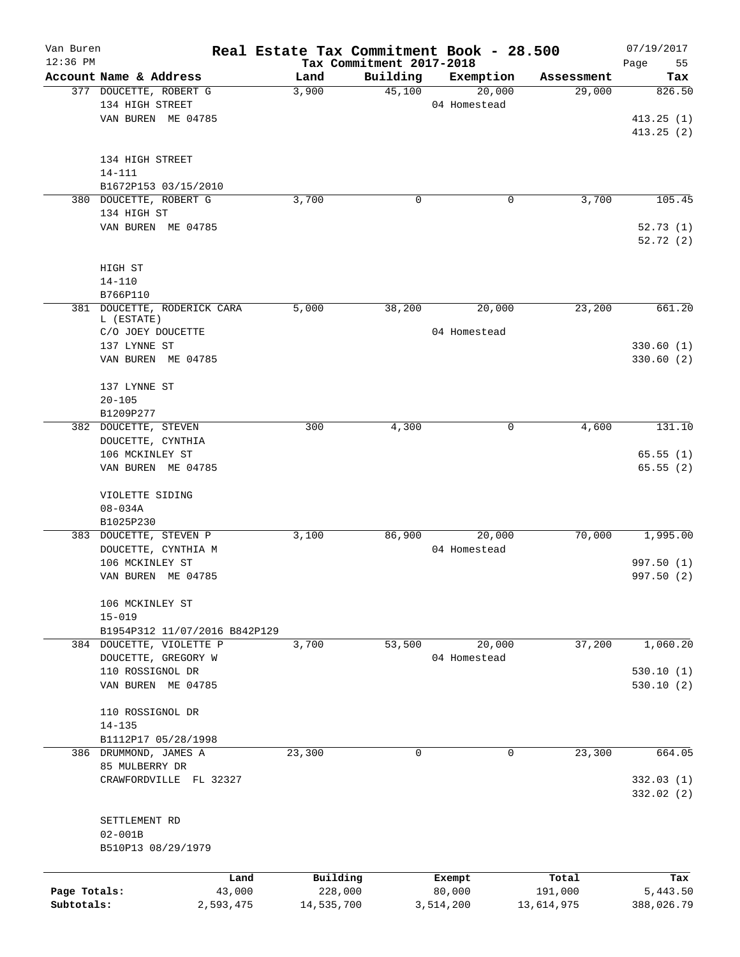| Van Buren    |                               | Real Estate Tax Commitment Book - 28.500 |                          |              |            | 07/19/2017 |
|--------------|-------------------------------|------------------------------------------|--------------------------|--------------|------------|------------|
| $12:36$ PM   |                               |                                          | Tax Commitment 2017-2018 |              |            | Page<br>55 |
|              | Account Name & Address        | Land                                     | Building                 | Exemption    | Assessment | Tax        |
|              | 377 DOUCETTE, ROBERT G        | 3,900                                    | 45,100                   | 20,000       | 29,000     | 826.50     |
|              | 134 HIGH STREET               |                                          |                          | 04 Homestead |            |            |
|              | VAN BUREN ME 04785            |                                          |                          |              |            | 413.25(1)  |
|              |                               |                                          |                          |              |            | 413.25(2)  |
|              |                               |                                          |                          |              |            |            |
|              | 134 HIGH STREET               |                                          |                          |              |            |            |
|              | 14-111                        |                                          |                          |              |            |            |
|              | B1672P153 03/15/2010          |                                          |                          |              |            |            |
| 380          | DOUCETTE, ROBERT G            | 3,700                                    | 0                        | 0            | 3,700      | 105.45     |
|              | 134 HIGH ST                   |                                          |                          |              |            |            |
|              | VAN BUREN ME 04785            |                                          |                          |              |            | 52.73(1)   |
|              |                               |                                          |                          |              |            | 52.72(2)   |
|              |                               |                                          |                          |              |            |            |
|              | HIGH ST                       |                                          |                          |              |            |            |
|              | $14 - 110$                    |                                          |                          |              |            |            |
|              | B766P110                      |                                          |                          |              |            |            |
| 381          | DOUCETTE, RODERICK CARA       | 5,000                                    | 38,200                   | 20,000       | 23,200     | 661.20     |
|              | L (ESTATE)                    |                                          |                          |              |            |            |
|              | C/O JOEY DOUCETTE             |                                          |                          | 04 Homestead |            |            |
|              | 137 LYNNE ST                  |                                          |                          |              |            | 330.60(1)  |
|              | VAN BUREN ME 04785            |                                          |                          |              |            | 330.60 (2) |
|              |                               |                                          |                          |              |            |            |
|              | 137 LYNNE ST                  |                                          |                          |              |            |            |
|              | $20 - 105$                    |                                          |                          |              |            |            |
|              | B1209P277                     |                                          |                          |              |            |            |
|              | 382 DOUCETTE, STEVEN          | 300                                      | 4,300                    | 0            | 4,600      | 131.10     |
|              | DOUCETTE, CYNTHIA             |                                          |                          |              |            |            |
|              | 106 MCKINLEY ST               |                                          |                          |              |            | 65.55(1)   |
|              | VAN BUREN ME 04785            |                                          |                          |              |            | 65.55(2)   |
|              |                               |                                          |                          |              |            |            |
|              | VIOLETTE SIDING               |                                          |                          |              |            |            |
|              | $08 - 034A$                   |                                          |                          |              |            |            |
|              | B1025P230                     |                                          |                          |              |            |            |
|              | 383 DOUCETTE, STEVEN P        | 3,100                                    | 86,900                   | 20,000       | 70,000     | 1,995.00   |
|              | DOUCETTE, CYNTHIA M           |                                          |                          | 04 Homestead |            |            |
|              | 106 MCKINLEY ST               |                                          |                          |              |            | 997.50 (1) |
|              | VAN BUREN ME 04785            |                                          |                          |              |            | 997.50 (2) |
|              |                               |                                          |                          |              |            |            |
|              | 106 MCKINLEY ST               |                                          |                          |              |            |            |
|              | $15 - 019$                    |                                          |                          |              |            |            |
|              | B1954P312 11/07/2016 B842P129 |                                          |                          |              |            |            |
|              | 384 DOUCETTE, VIOLETTE P      | 3,700                                    | 53,500                   | 20,000       | 37,200     | 1,060.20   |
|              | DOUCETTE, GREGORY W           |                                          |                          | 04 Homestead |            |            |
|              | 110 ROSSIGNOL DR              |                                          |                          |              |            | 530.10(1)  |
|              | VAN BUREN ME 04785            |                                          |                          |              |            | 530.10(2)  |
|              |                               |                                          |                          |              |            |            |
|              | 110 ROSSIGNOL DR              |                                          |                          |              |            |            |
|              | $14 - 135$                    |                                          |                          |              |            |            |
|              | B1112P17 05/28/1998           |                                          |                          |              |            |            |
|              | 386 DRUMMOND, JAMES A         | 23,300                                   | 0                        | 0            | 23,300     | 664.05     |
|              | 85 MULBERRY DR                |                                          |                          |              |            |            |
|              | CRAWFORDVILLE FL 32327        |                                          |                          |              |            | 332.03(1)  |
|              |                               |                                          |                          |              |            | 332.02(2)  |
|              |                               |                                          |                          |              |            |            |
|              | SETTLEMENT RD                 |                                          |                          |              |            |            |
|              | $02 - 001B$                   |                                          |                          |              |            |            |
|              | B510P13 08/29/1979            |                                          |                          |              |            |            |
|              |                               |                                          |                          |              |            |            |
|              | Land                          | Building                                 |                          | Exempt       | Total      | Tax        |
| Page Totals: | 43,000                        | 228,000                                  |                          | 80,000       | 191,000    | 5,443.50   |
| Subtotals:   | 2,593,475                     | 14,535,700                               |                          | 3,514,200    | 13,614,975 | 388,026.79 |
|              |                               |                                          |                          |              |            |            |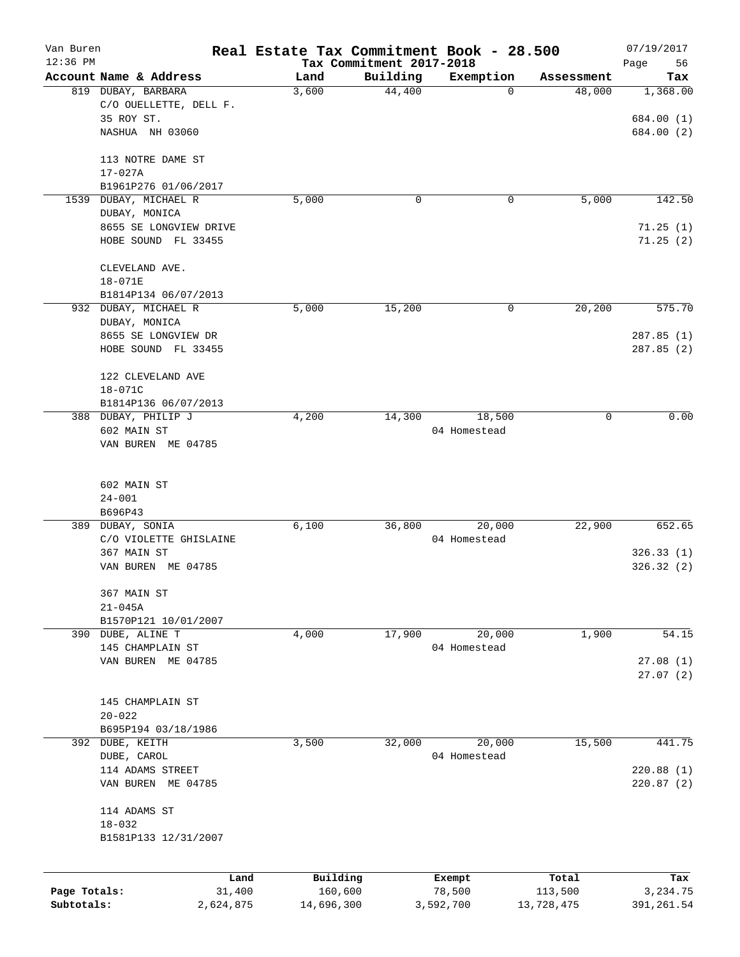| Van Buren<br>$12:36$ PM |                        | Real Estate Tax Commitment Book - 28.500 |                                      |              |            | 07/19/2017        |
|-------------------------|------------------------|------------------------------------------|--------------------------------------|--------------|------------|-------------------|
|                         | Account Name & Address | Land                                     | Tax Commitment 2017-2018<br>Building | Exemption    | Assessment | 56<br>Page<br>Tax |
|                         | 819 DUBAY, BARBARA     | 3,600                                    | 44,400                               | 0            | 48,000     | 1,368.00          |
|                         | C/O OUELLETTE, DELL F. |                                          |                                      |              |            |                   |
|                         | 35 ROY ST.             |                                          |                                      |              |            | 684.00 (1)        |
|                         | NASHUA NH 03060        |                                          |                                      |              |            | 684.00 (2)        |
|                         | 113 NOTRE DAME ST      |                                          |                                      |              |            |                   |
|                         | $17 - 027A$            |                                          |                                      |              |            |                   |
|                         | B1961P276 01/06/2017   |                                          |                                      |              |            |                   |
| 1539                    | DUBAY, MICHAEL R       | 5,000                                    | 0                                    | 0            | 5,000      | 142.50            |
|                         | DUBAY, MONICA          |                                          |                                      |              |            |                   |
|                         | 8655 SE LONGVIEW DRIVE |                                          |                                      |              |            | 71.25(1)          |
|                         | HOBE SOUND FL 33455    |                                          |                                      |              |            | 71.25(2)          |
|                         | CLEVELAND AVE.         |                                          |                                      |              |            |                   |
|                         | $18 - 071E$            |                                          |                                      |              |            |                   |
|                         | B1814P134 06/07/2013   |                                          |                                      |              |            |                   |
|                         | 932 DUBAY, MICHAEL R   | 5,000                                    | 15,200                               | 0            | 20,200     | 575.70            |
|                         | DUBAY, MONICA          |                                          |                                      |              |            |                   |
|                         | 8655 SE LONGVIEW DR    |                                          |                                      |              |            | 287.85(1)         |
|                         | HOBE SOUND FL 33455    |                                          |                                      |              |            | 287.85(2)         |
|                         | 122 CLEVELAND AVE      |                                          |                                      |              |            |                   |
|                         | $18 - 071C$            |                                          |                                      |              |            |                   |
|                         | B1814P136 06/07/2013   |                                          |                                      |              |            |                   |
|                         | 388 DUBAY, PHILIP J    | 4,200                                    | 14,300                               | 18,500       | 0          | 0.00              |
|                         | 602 MAIN ST            |                                          |                                      | 04 Homestead |            |                   |
|                         | VAN BUREN ME 04785     |                                          |                                      |              |            |                   |
|                         | 602 MAIN ST            |                                          |                                      |              |            |                   |
|                         | $24 - 001$             |                                          |                                      |              |            |                   |
|                         | B696P43                |                                          |                                      |              |            |                   |
|                         | 389 DUBAY, SONIA       | 6,100                                    | 36,800                               | 20,000       | 22,900     | 652.65            |
|                         | C/O VIOLETTE GHISLAINE |                                          |                                      | 04 Homestead |            |                   |
|                         | 367 MAIN ST            |                                          |                                      |              |            | 326.33(1)         |
|                         | VAN BUREN ME 04785     |                                          |                                      |              |            | 326.32(2)         |
|                         | 367 MAIN ST            |                                          |                                      |              |            |                   |
|                         | $21 - 045A$            |                                          |                                      |              |            |                   |
|                         | B1570P121 10/01/2007   |                                          |                                      |              |            |                   |
|                         | 390 DUBE, ALINE T      | 4,000                                    | 17,900                               | 20,000       | 1,900      | 54.15             |
|                         | 145 CHAMPLAIN ST       |                                          |                                      | 04 Homestead |            |                   |
|                         | VAN BUREN ME 04785     |                                          |                                      |              |            | 27.08(1)          |
|                         |                        |                                          |                                      |              |            | 27.07(2)          |
|                         | 145 CHAMPLAIN ST       |                                          |                                      |              |            |                   |
|                         | $20 - 022$             |                                          |                                      |              |            |                   |
|                         | B695P194 03/18/1986    |                                          |                                      |              |            |                   |
|                         | 392 DUBE, KEITH        | 3,500                                    | 32,000                               | 20,000       | 15,500     | 441.75            |
|                         | DUBE, CAROL            |                                          |                                      | 04 Homestead |            |                   |
|                         | 114 ADAMS STREET       |                                          |                                      |              |            | 220.88 (1)        |
|                         | VAN BUREN ME 04785     |                                          |                                      |              |            | 220.87(2)         |
|                         | 114 ADAMS ST           |                                          |                                      |              |            |                   |
|                         | $18 - 032$             |                                          |                                      |              |            |                   |
|                         | B1581P133 12/31/2007   |                                          |                                      |              |            |                   |
|                         |                        |                                          |                                      |              |            |                   |
|                         | Land                   | Building                                 |                                      | Exempt       | Total      | Tax               |
| Page Totals:            | 31,400                 | 160,600                                  |                                      | 78,500       | 113,500    | 3,234.75          |
| Subtotals:              | 2,624,875              | 14,696,300                               |                                      | 3,592,700    | 13,728,475 | 391,261.54        |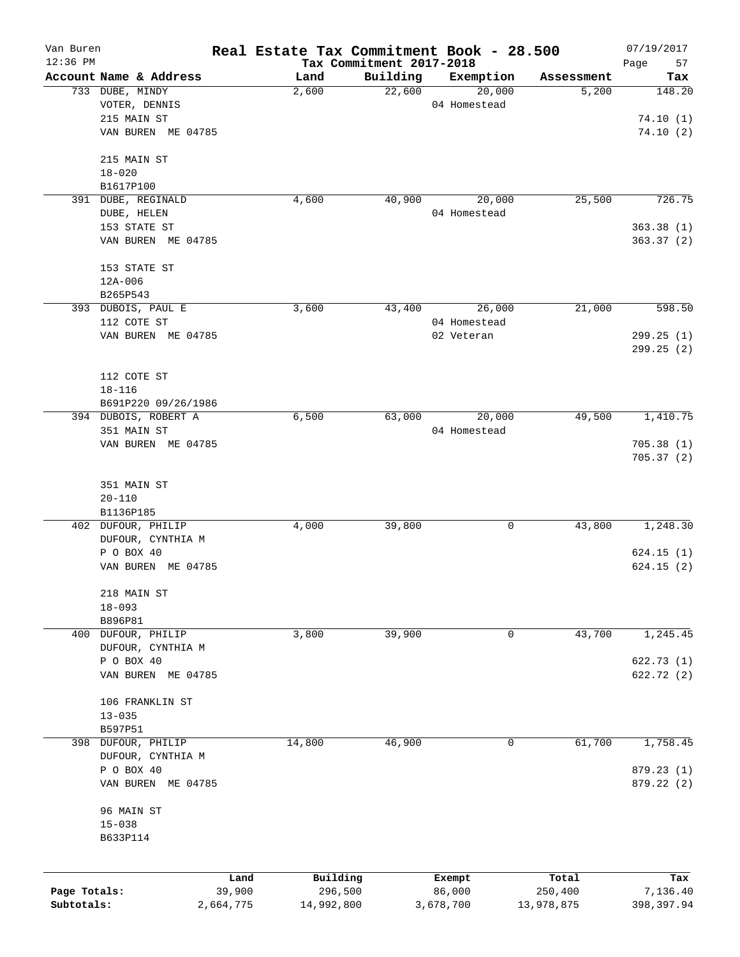| Van Buren<br>$12:36$ PM |                                   |           | Real Estate Tax Commitment Book - 28.500 |                                      |              |            | 07/19/2017        |
|-------------------------|-----------------------------------|-----------|------------------------------------------|--------------------------------------|--------------|------------|-------------------|
|                         | Account Name & Address            |           | Land                                     | Tax Commitment 2017-2018<br>Building | Exemption    | Assessment | Page<br>57<br>Tax |
|                         | 733 DUBE, MINDY                   |           | 2,600                                    | 22,600                               | 20,000       | 5,200      | 148.20            |
|                         | VOTER, DENNIS                     |           |                                          |                                      | 04 Homestead |            |                   |
|                         | 215 MAIN ST                       |           |                                          |                                      |              |            | 74.10(1)          |
|                         | VAN BUREN ME 04785                |           |                                          |                                      |              |            | 74.10(2)          |
|                         | 215 MAIN ST                       |           |                                          |                                      |              |            |                   |
|                         | $18 - 020$                        |           |                                          |                                      |              |            |                   |
|                         | B1617P100                         |           |                                          |                                      |              |            |                   |
|                         | 391 DUBE, REGINALD                |           | 4,600                                    | 40,900                               | 20,000       | 25,500     | 726.75            |
|                         | DUBE, HELEN                       |           |                                          |                                      | 04 Homestead |            |                   |
|                         | 153 STATE ST                      |           |                                          |                                      |              |            | 363.38(1)         |
|                         | VAN BUREN ME 04785                |           |                                          |                                      |              |            | 363.37(2)         |
|                         | 153 STATE ST                      |           |                                          |                                      |              |            |                   |
|                         | $12A - 006$                       |           |                                          |                                      |              |            |                   |
|                         | B265P543                          |           |                                          |                                      |              |            |                   |
|                         | 393 DUBOIS, PAUL E                |           | 3,600                                    | 43,400                               | 26,000       | 21,000     | 598.50            |
|                         | 112 COTE ST<br>VAN BUREN ME 04785 |           |                                          |                                      | 04 Homestead |            | 299.25 (1)        |
|                         |                                   |           |                                          |                                      | 02 Veteran   |            |                   |
|                         |                                   |           |                                          |                                      |              |            | 299.25 (2)        |
|                         | 112 COTE ST                       |           |                                          |                                      |              |            |                   |
|                         | $18 - 116$                        |           |                                          |                                      |              |            |                   |
|                         | B691P220 09/26/1986               |           |                                          |                                      |              |            |                   |
|                         | 394 DUBOIS, ROBERT A              |           | 6,500                                    | 63,000                               | 20,000       | 49,500     | 1,410.75          |
|                         | 351 MAIN ST                       |           |                                          |                                      | 04 Homestead |            |                   |
|                         | VAN BUREN ME 04785                |           |                                          |                                      |              |            | 705.38(1)         |
|                         |                                   |           |                                          |                                      |              |            | 705.37(2)         |
|                         | 351 MAIN ST                       |           |                                          |                                      |              |            |                   |
|                         | $20 - 110$                        |           |                                          |                                      |              |            |                   |
|                         | B1136P185                         |           |                                          |                                      |              |            |                   |
|                         | 402 DUFOUR, PHILIP                |           | 4,000                                    | 39,800                               | 0            | 43,800     | 1,248.30          |
|                         | DUFOUR, CYNTHIA M                 |           |                                          |                                      |              |            |                   |
|                         | P O BOX 40                        |           |                                          |                                      |              |            | 624.15(1)         |
|                         | VAN BUREN ME 04785                |           |                                          |                                      |              |            | 624.15(2)         |
|                         | 218 MAIN ST                       |           |                                          |                                      |              |            |                   |
|                         | $18 - 093$                        |           |                                          |                                      |              |            |                   |
|                         | B896P81                           |           |                                          |                                      |              |            |                   |
|                         | 400 DUFOUR, PHILIP                |           | 3,800                                    | 39,900                               | 0            | 43,700     | 1,245.45          |
|                         | DUFOUR, CYNTHIA M                 |           |                                          |                                      |              |            |                   |
|                         | P O BOX 40                        |           |                                          |                                      |              |            | 622.73 (1)        |
|                         | VAN BUREN ME 04785                |           |                                          |                                      |              |            | 622.72(2)         |
|                         | 106 FRANKLIN ST                   |           |                                          |                                      |              |            |                   |
|                         | $13 - 035$                        |           |                                          |                                      |              |            |                   |
|                         | B597P51                           |           |                                          |                                      |              |            |                   |
| 398                     | DUFOUR, PHILIP                    |           | 14,800                                   | 46,900                               | 0            | 61,700     | 1,758.45          |
|                         | DUFOUR, CYNTHIA M                 |           |                                          |                                      |              |            |                   |
|                         | P O BOX 40                        |           |                                          |                                      |              |            | 879.23 (1)        |
|                         | VAN BUREN ME 04785                |           |                                          |                                      |              |            | 879.22 (2)        |
|                         | 96 MAIN ST                        |           |                                          |                                      |              |            |                   |
|                         | $15 - 038$                        |           |                                          |                                      |              |            |                   |
|                         | B633P114                          |           |                                          |                                      |              |            |                   |
|                         |                                   |           |                                          |                                      |              |            |                   |
|                         |                                   | Land      | Building                                 |                                      | Exempt       | Total      | Tax               |
| Page Totals:            |                                   | 39,900    | 296,500                                  |                                      | 86,000       | 250,400    | 7,136.40          |
| Subtotals:              |                                   | 2,664,775 | 14,992,800                               |                                      | 3,678,700    | 13,978,875 | 398,397.94        |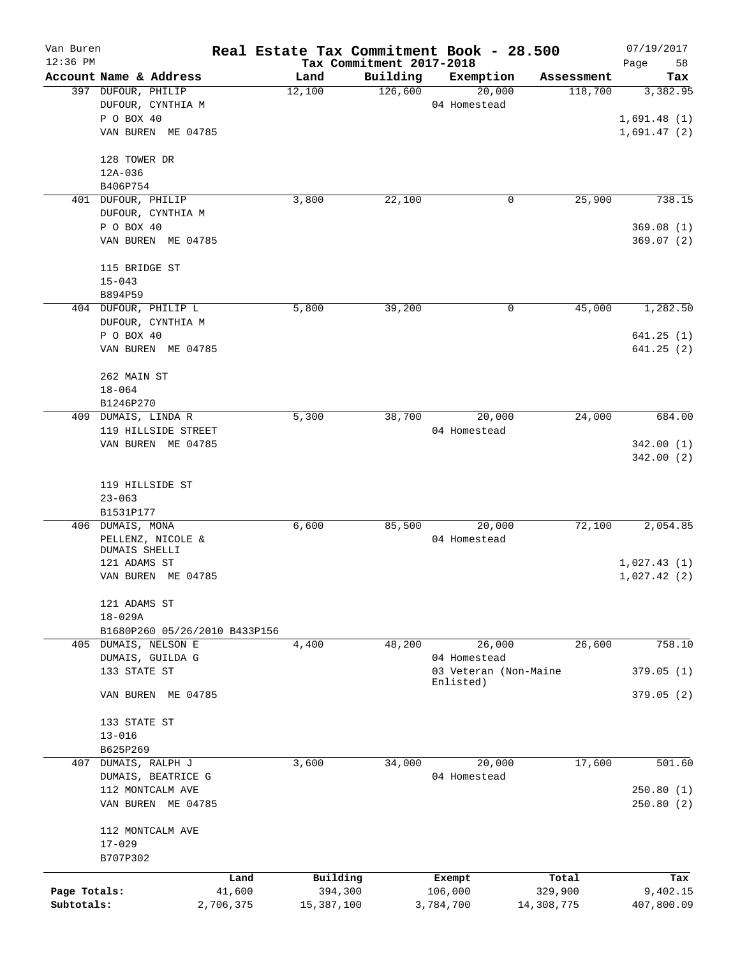| Van Buren    |                               |                               | Real Estate Tax Commitment Book - 28.500 |                          |                                       |                       | 07/19/2017      |
|--------------|-------------------------------|-------------------------------|------------------------------------------|--------------------------|---------------------------------------|-----------------------|-----------------|
| $12:36$ PM   |                               |                               |                                          | Tax Commitment 2017-2018 |                                       |                       | Page<br>58      |
|              | 397 DUFOUR, PHILIP            | Account Name & Address        | Land<br>12,100                           | Building<br>126,600      | Exemption<br>20,000                   | Assessment<br>118,700 | Tax<br>3,382.95 |
|              |                               | DUFOUR, CYNTHIA M             |                                          |                          | 04 Homestead                          |                       |                 |
|              | P O BOX 40                    |                               |                                          |                          |                                       |                       | 1,691.48(1)     |
|              |                               | VAN BUREN ME 04785            |                                          |                          |                                       |                       | 1,691.47(2)     |
|              |                               |                               |                                          |                          |                                       |                       |                 |
|              | 128 TOWER DR                  |                               |                                          |                          |                                       |                       |                 |
|              | 12A-036                       |                               |                                          |                          |                                       |                       |                 |
|              | B406P754                      |                               |                                          |                          |                                       |                       |                 |
| 401          | DUFOUR, PHILIP                |                               | 3,800                                    | 22,100                   | 0                                     | 25,900                | 738.15          |
|              |                               | DUFOUR, CYNTHIA M             |                                          |                          |                                       |                       |                 |
|              | P O BOX 40                    |                               |                                          |                          |                                       |                       | 369.08(1)       |
|              |                               | VAN BUREN ME 04785            |                                          |                          |                                       |                       | 369.07(2)       |
|              | 115 BRIDGE ST                 |                               |                                          |                          |                                       |                       |                 |
|              | $15 - 043$                    |                               |                                          |                          |                                       |                       |                 |
|              | B894P59                       |                               |                                          |                          |                                       |                       |                 |
|              |                               | 404 DUFOUR, PHILIP L          | 5,800                                    | 39,200                   | 0                                     | 45,000                | 1,282.50        |
|              |                               | DUFOUR, CYNTHIA M             |                                          |                          |                                       |                       |                 |
|              | P O BOX 40                    |                               |                                          |                          |                                       |                       | 641.25(1)       |
|              |                               | VAN BUREN ME 04785            |                                          |                          |                                       |                       | 641.25(2)       |
|              | 262 MAIN ST                   |                               |                                          |                          |                                       |                       |                 |
|              | $18 - 064$                    |                               |                                          |                          |                                       |                       |                 |
|              | B1246P270                     |                               |                                          |                          |                                       |                       |                 |
| 409          | DUMAIS, LINDA R               |                               | 5,300                                    | 38,700                   | 20,000                                | 24,000                | 684.00          |
|              |                               | 119 HILLSIDE STREET           |                                          |                          | 04 Homestead                          |                       |                 |
|              |                               | VAN BUREN ME 04785            |                                          |                          |                                       |                       | 342.00(1)       |
|              |                               |                               |                                          |                          |                                       |                       | 342.00(2)       |
|              |                               |                               |                                          |                          |                                       |                       |                 |
|              | 119 HILLSIDE ST               |                               |                                          |                          |                                       |                       |                 |
|              | $23 - 063$                    |                               |                                          |                          |                                       |                       |                 |
|              | B1531P177                     |                               |                                          |                          |                                       |                       |                 |
|              | 406 DUMAIS, MONA              |                               | 6,600                                    | 85,500                   | 20,000                                | 72,100                | 2,054.85        |
|              |                               | PELLENZ, NICOLE &             |                                          |                          | 04 Homestead                          |                       |                 |
|              | DUMAIS SHELLI<br>121 ADAMS ST |                               |                                          |                          |                                       |                       | 1,027.43(1)     |
|              |                               | VAN BUREN ME 04785            |                                          |                          |                                       |                       |                 |
|              |                               |                               |                                          |                          |                                       |                       | 1,027.42(2)     |
|              | 121 ADAMS ST                  |                               |                                          |                          |                                       |                       |                 |
|              | $18 - 029A$                   |                               |                                          |                          |                                       |                       |                 |
|              |                               | B1680P260 05/26/2010 B433P156 |                                          |                          |                                       |                       |                 |
|              |                               | 405 DUMAIS, NELSON E          | 4,400                                    | 48,200                   | 26,000                                | 26,600                | 758.10          |
|              |                               | DUMAIS, GUILDA G              |                                          |                          | 04 Homestead<br>03 Veteran (Non-Maine |                       |                 |
|              | 133 STATE ST                  |                               |                                          |                          | Enlisted)                             |                       | 379.05(1)       |
|              | VAN BUREN                     | ME 04785                      |                                          |                          |                                       |                       | 379.05(2)       |
|              | 133 STATE ST                  |                               |                                          |                          |                                       |                       |                 |
|              | $13 - 016$                    |                               |                                          |                          |                                       |                       |                 |
|              | B625P269                      |                               |                                          |                          |                                       |                       |                 |
|              | 407 DUMAIS, RALPH J           |                               | 3,600                                    | 34,000                   | 20,000                                | 17,600                | 501.60          |
|              |                               | DUMAIS, BEATRICE G            |                                          |                          | 04 Homestead                          |                       |                 |
|              |                               | 112 MONTCALM AVE              |                                          |                          |                                       |                       | 250.80(1)       |
|              |                               | VAN BUREN ME 04785            |                                          |                          |                                       |                       | 250.80(2)       |
|              |                               | 112 MONTCALM AVE              |                                          |                          |                                       |                       |                 |
|              | $17 - 029$                    |                               |                                          |                          |                                       |                       |                 |
|              | B707P302                      |                               |                                          |                          |                                       |                       |                 |
|              |                               | Land                          | Building                                 |                          | Exempt                                | Total                 | Tax             |
| Page Totals: |                               | 41,600                        | 394,300                                  |                          | 106,000                               | 329,900               | 9,402.15        |
| Subtotals:   |                               | 2,706,375                     | 15,387,100                               |                          | 3,784,700                             | 14,308,775            | 407,800.09      |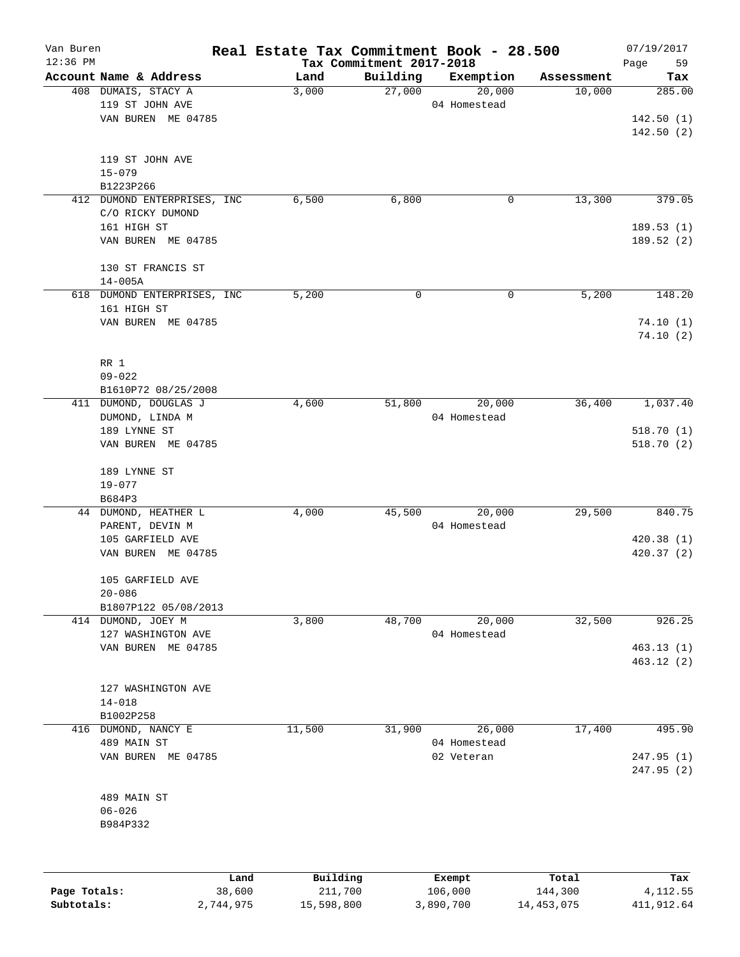| Van Buren<br>$12:36$ PM |                                | Real Estate Tax Commitment Book - 28.500 | Tax Commitment 2017-2018 |                        |                  | 07/19/2017<br>Page<br>59 |
|-------------------------|--------------------------------|------------------------------------------|--------------------------|------------------------|------------------|--------------------------|
|                         | Account Name & Address         | Land                                     | Building                 | Exemption              | Assessment       | Tax                      |
|                         | 408 DUMAIS, STACY A            | 3,000                                    | 27,000                   | 20,000                 | 10,000           | 285.00                   |
|                         | 119 ST JOHN AVE                |                                          |                          | 04 Homestead           |                  |                          |
|                         | VAN BUREN ME 04785             |                                          |                          |                        |                  | 142.50(1)                |
|                         |                                |                                          |                          |                        |                  | 142.50(2)                |
|                         | 119 ST JOHN AVE                |                                          |                          |                        |                  |                          |
|                         | $15 - 079$                     |                                          |                          |                        |                  |                          |
|                         | B1223P266                      |                                          |                          |                        |                  |                          |
|                         | 412 DUMOND ENTERPRISES, INC.   | 6,500                                    | 6,800                    | 0                      | 13,300           | 379.05                   |
|                         | C/O RICKY DUMOND               |                                          |                          |                        |                  |                          |
|                         | 161 HIGH ST                    |                                          |                          |                        |                  | 189.53(1)                |
|                         | VAN BUREN ME 04785             |                                          |                          |                        |                  | 189.52(2)                |
|                         | 130 ST FRANCIS ST              |                                          |                          |                        |                  |                          |
|                         | $14 - 005A$                    |                                          |                          |                        |                  |                          |
| 618                     | DUMOND ENTERPRISES, INC        | 5,200                                    | $\mathbf 0$              | 0                      | 5,200            | 148.20                   |
|                         | 161 HIGH ST                    |                                          |                          |                        |                  |                          |
|                         | VAN BUREN ME 04785             |                                          |                          |                        |                  | 74.10(1)                 |
|                         |                                |                                          |                          |                        |                  | 74.10(2)                 |
|                         | RR 1                           |                                          |                          |                        |                  |                          |
|                         | $09 - 022$                     |                                          |                          |                        |                  |                          |
|                         | B1610P72 08/25/2008            |                                          |                          |                        |                  |                          |
| 411                     | DUMOND, DOUGLAS J              | 4,600                                    | 51,800                   | 20,000                 | 36,400           | 1,037.40                 |
|                         | DUMOND, LINDA M                |                                          |                          | 04 Homestead           |                  |                          |
|                         | 189 LYNNE ST                   |                                          |                          |                        |                  | 518.70(1)                |
|                         | VAN BUREN ME 04785             |                                          |                          |                        |                  | 518.70(2)                |
|                         |                                |                                          |                          |                        |                  |                          |
|                         | 189 LYNNE ST                   |                                          |                          |                        |                  |                          |
|                         | $19 - 077$                     |                                          |                          |                        |                  |                          |
|                         | B684P3                         |                                          |                          |                        |                  |                          |
|                         | 44 DUMOND, HEATHER L           | 4,000                                    | 45,500                   | 20,000                 | 29,500           | 840.75                   |
|                         | PARENT, DEVIN M                |                                          |                          | 04 Homestead           |                  |                          |
|                         | 105 GARFIELD AVE               |                                          |                          |                        |                  | 420.38(1)                |
|                         | VAN BUREN ME 04785             |                                          |                          |                        |                  | 420.37(2)                |
|                         | 105 GARFIELD AVE               |                                          |                          |                        |                  |                          |
|                         | $20 - 086$                     |                                          |                          |                        |                  |                          |
|                         | B1807P122 05/08/2013           |                                          |                          |                        |                  |                          |
|                         | 414 DUMOND, JOEY M             | 3,800                                    | 48,700                   | 20,000                 | 32,500           | 926.25                   |
|                         | 127 WASHINGTON AVE             |                                          |                          | 04 Homestead           |                  |                          |
|                         | VAN BUREN ME 04785             |                                          |                          |                        |                  | 463.13(1)                |
|                         |                                |                                          |                          |                        |                  | 463.12(2)                |
|                         |                                |                                          |                          |                        |                  |                          |
|                         | 127 WASHINGTON AVE             |                                          |                          |                        |                  |                          |
|                         | $14 - 018$                     |                                          |                          |                        |                  |                          |
|                         | B1002P258                      |                                          |                          |                        | 17,400           | 495.90                   |
| 416                     | DUMOND, NANCY E<br>489 MAIN ST | 11,500                                   | 31,900                   | 26,000<br>04 Homestead |                  |                          |
|                         | VAN BUREN ME 04785             |                                          |                          | 02 Veteran             |                  | 247.95(1)                |
|                         |                                |                                          |                          |                        |                  | 247.95 (2)               |
|                         |                                |                                          |                          |                        |                  |                          |
|                         | 489 MAIN ST                    |                                          |                          |                        |                  |                          |
|                         | $06 - 026$                     |                                          |                          |                        |                  |                          |
|                         | B984P332                       |                                          |                          |                        |                  |                          |
|                         |                                |                                          |                          |                        |                  |                          |
|                         |                                |                                          |                          |                        |                  |                          |
| Page Totals:            | Land<br>38,600                 | Building<br>211,700                      |                          | Exempt<br>106,000      | Total<br>144,300 | Tax<br>4, 112.55         |

**Subtotals:** 2,744,975 15,598,800 3,890,700 14,453,075 411,912.64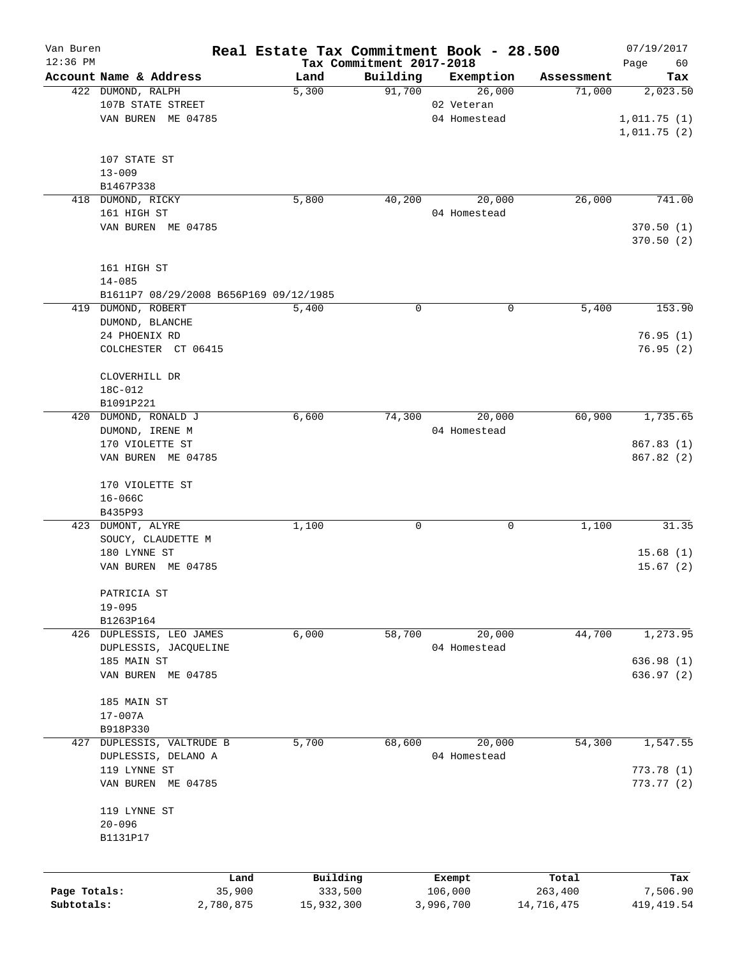| Van Buren    |                                        |           | Real Estate Tax Commitment Book - 28.500 |                                      |                     |                      | 07/19/2017      |
|--------------|----------------------------------------|-----------|------------------------------------------|--------------------------------------|---------------------|----------------------|-----------------|
| $12:36$ PM   | Account Name & Address                 |           |                                          | Tax Commitment 2017-2018<br>Building |                     |                      | Page<br>60      |
|              | 422 DUMOND, RALPH                      |           | Land<br>5,300                            | 91,700                               | Exemption<br>26,000 | Assessment<br>71,000 | Tax<br>2,023.50 |
|              | 107B STATE STREET                      |           |                                          |                                      | 02 Veteran          |                      |                 |
|              | VAN BUREN ME 04785                     |           |                                          |                                      | 04 Homestead        |                      | 1,011.75(1)     |
|              |                                        |           |                                          |                                      |                     |                      | 1,011.75(2)     |
|              |                                        |           |                                          |                                      |                     |                      |                 |
|              | 107 STATE ST                           |           |                                          |                                      |                     |                      |                 |
|              | $13 - 009$                             |           |                                          |                                      |                     |                      |                 |
|              | B1467P338                              |           |                                          |                                      |                     |                      |                 |
|              | 418 DUMOND, RICKY                      |           | 5,800                                    | 40,200                               | 20,000              | 26,000               | 741.00          |
|              | 161 HIGH ST                            |           |                                          |                                      | 04 Homestead        |                      |                 |
|              | VAN BUREN ME 04785                     |           |                                          |                                      |                     |                      | 370.50(1)       |
|              |                                        |           |                                          |                                      |                     |                      | 370.50 (2)      |
|              |                                        |           |                                          |                                      |                     |                      |                 |
|              | 161 HIGH ST                            |           |                                          |                                      |                     |                      |                 |
|              | $14 - 085$                             |           |                                          |                                      |                     |                      |                 |
|              | B1611P7 08/29/2008 B656P169 09/12/1985 |           |                                          |                                      |                     |                      |                 |
|              | 419 DUMOND, ROBERT                     |           | 5,400                                    | 0                                    | 0                   | 5,400                | 153.90          |
|              | DUMOND, BLANCHE                        |           |                                          |                                      |                     |                      |                 |
|              | 24 PHOENIX RD                          |           |                                          |                                      |                     |                      | 76.95(1)        |
|              | COLCHESTER CT 06415                    |           |                                          |                                      |                     |                      | 76.95(2)        |
|              |                                        |           |                                          |                                      |                     |                      |                 |
|              | CLOVERHILL DR                          |           |                                          |                                      |                     |                      |                 |
|              | 18C-012                                |           |                                          |                                      |                     |                      |                 |
|              | B1091P221                              |           |                                          |                                      |                     |                      |                 |
| 420          | DUMOND, RONALD J                       |           | 6,600                                    | 74,300                               | 20,000              | 60,900               | 1,735.65        |
|              | DUMOND, IRENE M                        |           |                                          |                                      | 04 Homestead        |                      |                 |
|              | 170 VIOLETTE ST                        |           |                                          |                                      |                     |                      | 867.83 (1)      |
|              | VAN BUREN ME 04785                     |           |                                          |                                      |                     |                      | 867.82 (2)      |
|              |                                        |           |                                          |                                      |                     |                      |                 |
|              | 170 VIOLETTE ST<br>$16 - 066C$         |           |                                          |                                      |                     |                      |                 |
|              | B435P93                                |           |                                          |                                      |                     |                      |                 |
|              | 423 DUMONT, ALYRE                      |           | 1,100                                    | 0                                    | 0                   | 1,100                | 31.35           |
|              | SOUCY, CLAUDETTE M                     |           |                                          |                                      |                     |                      |                 |
|              | 180 LYNNE ST                           |           |                                          |                                      |                     |                      | 15.68(1)        |
|              | VAN BUREN ME 04785                     |           |                                          |                                      |                     |                      | 15.67(2)        |
|              |                                        |           |                                          |                                      |                     |                      |                 |
|              | PATRICIA ST                            |           |                                          |                                      |                     |                      |                 |
|              | $19 - 095$                             |           |                                          |                                      |                     |                      |                 |
|              | B1263P164                              |           |                                          |                                      |                     |                      |                 |
|              | 426 DUPLESSIS, LEO JAMES               |           | 6,000                                    | 58,700                               | 20,000              | 44,700               | 1, 273.95       |
|              | DUPLESSIS, JACQUELINE                  |           |                                          |                                      | 04 Homestead        |                      |                 |
|              | 185 MAIN ST                            |           |                                          |                                      |                     |                      | 636.98(1)       |
|              | VAN BUREN ME 04785                     |           |                                          |                                      |                     |                      | 636.97(2)       |
|              |                                        |           |                                          |                                      |                     |                      |                 |
|              | 185 MAIN ST                            |           |                                          |                                      |                     |                      |                 |
|              | $17 - 007A$                            |           |                                          |                                      |                     |                      |                 |
|              | B918P330                               |           |                                          |                                      |                     |                      |                 |
| 427          | DUPLESSIS, VALTRUDE B                  |           | 5,700                                    | 68,600                               | 20,000              | 54,300               | 1,547.55        |
|              | DUPLESSIS, DELANO A                    |           |                                          |                                      | 04 Homestead        |                      |                 |
|              | 119 LYNNE ST                           |           |                                          |                                      |                     |                      | 773.78(1)       |
|              | VAN BUREN ME 04785                     |           |                                          |                                      |                     |                      | 773.77(2)       |
|              |                                        |           |                                          |                                      |                     |                      |                 |
|              | 119 LYNNE ST                           |           |                                          |                                      |                     |                      |                 |
|              | $20 - 096$                             |           |                                          |                                      |                     |                      |                 |
|              | B1131P17                               |           |                                          |                                      |                     |                      |                 |
|              |                                        |           |                                          |                                      |                     |                      |                 |
|              |                                        | Land      | Building                                 |                                      | Exempt              | Total                | Tax             |
| Page Totals: |                                        | 35,900    | 333,500                                  |                                      | 106,000             | 263,400              | 7,506.90        |
| Subtotals:   |                                        | 2,780,875 | 15,932,300                               |                                      | 3,996,700           | 14,716,475           | 419, 419.54     |
|              |                                        |           |                                          |                                      |                     |                      |                 |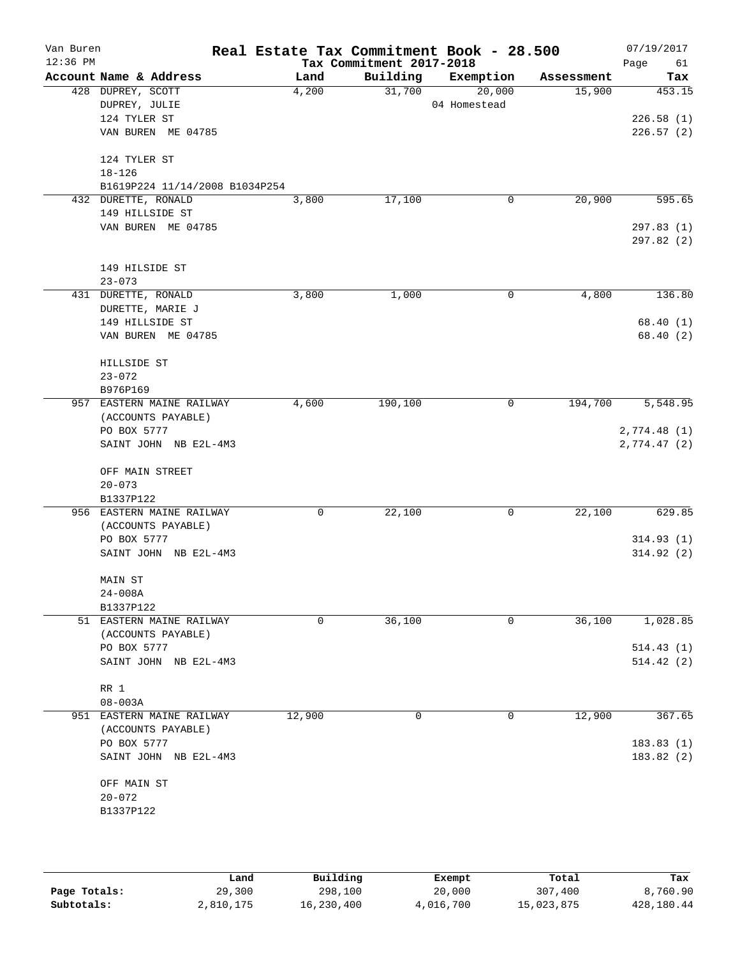| Van Buren<br>$12:36$ PM |                                      | Real Estate Tax Commitment Book - 28.500 | Tax Commitment 2017-2018 |              |            | 07/19/2017<br>Page<br>61 |
|-------------------------|--------------------------------------|------------------------------------------|--------------------------|--------------|------------|--------------------------|
|                         | Account Name & Address               | Land                                     | Building                 | Exemption    | Assessment | Tax                      |
|                         | 428 DUPREY, SCOTT                    | 4,200                                    | 31,700                   | 20,000       | 15,900     | 453.15                   |
|                         | DUPREY, JULIE                        |                                          |                          | 04 Homestead |            |                          |
|                         | 124 TYLER ST                         |                                          |                          |              |            | 226.58(1)                |
|                         | VAN BUREN ME 04785                   |                                          |                          |              |            | 226.57(2)                |
|                         | 124 TYLER ST                         |                                          |                          |              |            |                          |
|                         | $18 - 126$                           |                                          |                          |              |            |                          |
|                         | B1619P224 11/14/2008 B1034P254       |                                          |                          |              |            |                          |
|                         | 432 DURETTE, RONALD                  | 3,800                                    | 17,100                   | 0            | 20,900     | 595.65                   |
|                         | 149 HILLSIDE ST                      |                                          |                          |              |            |                          |
|                         | VAN BUREN ME 04785                   |                                          |                          |              |            | 297.83(1)<br>297.82 (2)  |
|                         | 149 HILSIDE ST                       |                                          |                          |              |            |                          |
|                         | $23 - 073$                           |                                          |                          |              |            |                          |
|                         | 431 DURETTE, RONALD                  | 3,800                                    | 1,000                    | 0            | 4,800      | 136.80                   |
|                         | DURETTE, MARIE J                     |                                          |                          |              |            |                          |
|                         | 149 HILLSIDE ST                      |                                          |                          |              |            | 68.40(1)                 |
|                         | VAN BUREN ME 04785                   |                                          |                          |              |            | 68.40 (2)                |
|                         | HILLSIDE ST                          |                                          |                          |              |            |                          |
|                         | $23 - 072$                           |                                          |                          |              |            |                          |
|                         | B976P169                             |                                          |                          |              |            |                          |
|                         | 957 EASTERN MAINE RAILWAY            | 4,600                                    | 190,100                  | 0            | 194,700    | 5,548.95                 |
|                         | (ACCOUNTS PAYABLE)                   |                                          |                          |              |            |                          |
|                         | PO BOX 5777<br>SAINT JOHN NB E2L-4M3 |                                          |                          |              |            | 2,774.48(1)              |
|                         |                                      |                                          |                          |              |            | 2,774.47(2)              |
|                         | OFF MAIN STREET                      |                                          |                          |              |            |                          |
|                         | $20 - 073$                           |                                          |                          |              |            |                          |
|                         | B1337P122                            |                                          |                          |              |            |                          |
|                         | 956 EASTERN MAINE RAILWAY            | 0                                        | 22,100                   | 0            | 22,100     | 629.85                   |
|                         | (ACCOUNTS PAYABLE)                   |                                          |                          |              |            |                          |
|                         | PO BOX 5777                          |                                          |                          |              |            | 314.93(1)                |
|                         | SAINT JOHN NB E2L-4M3                |                                          |                          |              |            | 314.92(2)                |
|                         | MAIN ST                              |                                          |                          |              |            |                          |
|                         | $24 - 008A$                          |                                          |                          |              |            |                          |
|                         | B1337P122                            |                                          |                          |              |            |                          |
|                         | 51 EASTERN MAINE RAILWAY             | $\mathbf 0$                              | 36,100                   | $\mathbf 0$  | 36,100     | 1,028.85                 |
|                         | (ACCOUNTS PAYABLE)                   |                                          |                          |              |            |                          |
|                         | PO BOX 5777                          |                                          |                          |              |            | 514.43(1)                |
|                         | SAINT JOHN NB E2L-4M3                |                                          |                          |              |            | 514.42(2)                |
|                         | RR 1                                 |                                          |                          |              |            |                          |
|                         | $08 - 003A$                          |                                          |                          |              |            |                          |
|                         | 951 EASTERN MAINE RAILWAY            | 12,900                                   | 0                        | 0            | 12,900     | 367.65                   |
|                         | (ACCOUNTS PAYABLE)                   |                                          |                          |              |            |                          |
|                         | PO BOX 5777                          |                                          |                          |              |            | 183.83(1)                |
|                         | SAINT JOHN NB E2L-4M3                |                                          |                          |              |            | 183.82(2)                |
|                         | OFF MAIN ST                          |                                          |                          |              |            |                          |
|                         | $20 - 072$                           |                                          |                          |              |            |                          |
|                         | B1337P122                            |                                          |                          |              |            |                          |
|                         |                                      |                                          |                          |              |            |                          |
|                         |                                      |                                          |                          |              |            |                          |

|              | Land      | Building   | Exempt    | Total      | Tax        |
|--------------|-----------|------------|-----------|------------|------------|
| Page Totals: | 29,300    | 298,100    | 20,000    | 307,400    | 8,760.90   |
| Subtotals:   | 2,810,175 | 16,230,400 | 4,016,700 | 15,023,875 | 428,180.44 |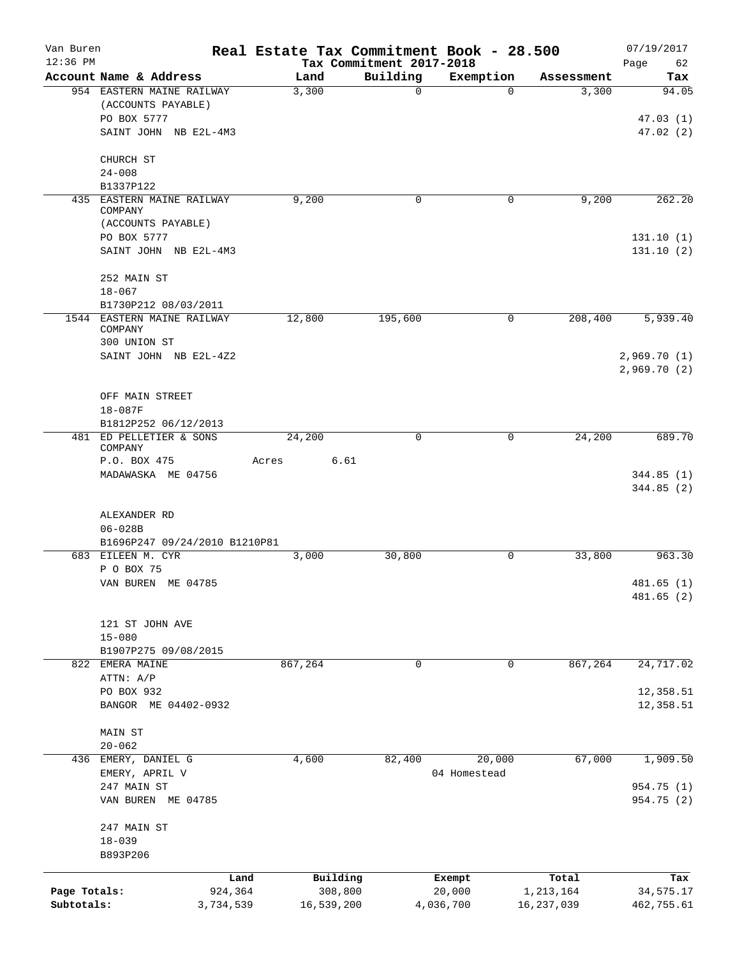| Van Buren    |                                                     |               | Real Estate Tax Commitment Book - 28.500 |                       |                     | 07/19/2017   |
|--------------|-----------------------------------------------------|---------------|------------------------------------------|-----------------------|---------------------|--------------|
| $12:36$ PM   |                                                     |               | Tax Commitment 2017-2018                 |                       |                     | Page<br>62   |
|              | Account Name & Address<br>954 EASTERN MAINE RAILWAY | Land<br>3,300 | Building<br>$\mathbf 0$                  | Exemption<br>$\Omega$ | Assessment<br>3,300 | Tax<br>94.05 |
|              | (ACCOUNTS PAYABLE)                                  |               |                                          |                       |                     |              |
|              | PO BOX 5777                                         |               |                                          |                       |                     | 47.03(1)     |
|              | SAINT JOHN NB E2L-4M3                               |               |                                          |                       |                     | 47.02(2)     |
|              | CHURCH ST                                           |               |                                          |                       |                     |              |
|              | $24 - 008$                                          |               |                                          |                       |                     |              |
|              | B1337P122                                           |               |                                          |                       |                     |              |
|              | 435 EASTERN MAINE RAILWAY                           | 9,200         | $\mathbf 0$                              | 0                     | 9,200               | 262.20       |
|              | COMPANY<br>(ACCOUNTS PAYABLE)                       |               |                                          |                       |                     |              |
|              | PO BOX 5777                                         |               |                                          |                       |                     | 131.10(1)    |
|              | SAINT JOHN NB E2L-4M3                               |               |                                          |                       |                     | 131.10(2)    |
|              | 252 MAIN ST                                         |               |                                          |                       |                     |              |
|              | $18 - 067$                                          |               |                                          |                       |                     |              |
|              | B1730P212 08/03/2011                                |               |                                          |                       |                     |              |
|              | 1544 EASTERN MAINE RAILWAY<br>COMPANY               | 12,800        | 195,600                                  | 0                     | 208,400             | 5,939.40     |
|              | 300 UNION ST                                        |               |                                          |                       |                     |              |
|              | SAINT JOHN NB E2L-4Z2                               |               |                                          |                       |                     | 2,969.70(1)  |
|              |                                                     |               |                                          |                       |                     | 2,969.70(2)  |
|              | OFF MAIN STREET                                     |               |                                          |                       |                     |              |
|              | $18 - 087F$                                         |               |                                          |                       |                     |              |
|              | B1812P252 06/12/2013                                |               |                                          |                       |                     |              |
|              | 481 ED PELLETIER & SONS                             | 24,200        | 0                                        | 0                     | 24,200              | 689.70       |
|              | COMPANY                                             |               |                                          |                       |                     |              |
|              | P.O. BOX 475                                        | Acres         | 6.61                                     |                       |                     |              |
|              | MADAWASKA ME 04756                                  |               |                                          |                       |                     | 344.85(1)    |
|              |                                                     |               |                                          |                       |                     | 344.85 (2)   |
|              | ALEXANDER RD                                        |               |                                          |                       |                     |              |
|              | $06 - 028B$                                         |               |                                          |                       |                     |              |
|              | B1696P247 09/24/2010 B1210P81                       |               |                                          |                       |                     |              |
|              | 683 EILEEN M. CYR                                   | 3,000         | 30,800                                   | 0                     | 33,800              | 963.30       |
|              | P O BOX 75                                          |               |                                          |                       |                     |              |
|              | VAN BUREN ME 04785                                  |               |                                          |                       |                     | 481.65(1)    |
|              |                                                     |               |                                          |                       |                     | 481.65(2)    |
|              | 121 ST JOHN AVE                                     |               |                                          |                       |                     |              |
|              | $15 - 080$                                          |               |                                          |                       |                     |              |
|              | B1907P275 09/08/2015                                |               |                                          |                       |                     |              |
|              | 822 EMERA MAINE                                     | 867,264       | 0                                        | $\mathbf 0$           | 867,264             | 24, 717.02   |
|              | ATTN: A/P                                           |               |                                          |                       |                     |              |
|              | PO BOX 932                                          |               |                                          |                       |                     | 12,358.51    |
|              | BANGOR ME 04402-0932                                |               |                                          |                       |                     | 12,358.51    |
|              | MAIN ST                                             |               |                                          |                       |                     |              |
|              | $20 - 062$                                          |               |                                          |                       |                     |              |
| 436          | EMERY, DANIEL G                                     | 4,600         | 82,400                                   | 20,000                | 67,000              | 1,909.50     |
|              | EMERY, APRIL V                                      |               |                                          | 04 Homestead          |                     |              |
|              | 247 MAIN ST                                         |               |                                          |                       |                     | 954.75 (1)   |
|              | VAN BUREN ME 04785                                  |               |                                          |                       |                     | 954.75 (2)   |
|              | 247 MAIN ST                                         |               |                                          |                       |                     |              |
|              | $18 - 039$                                          |               |                                          |                       |                     |              |
|              | B893P206                                            |               |                                          |                       |                     |              |
|              | Land                                                |               | Building                                 | Exempt                | Total               | Tax          |
| Page Totals: | 924,364                                             |               | 308,800                                  | 20,000                | 1,213,164           | 34,575.17    |
| Subtotals:   | 3,734,539                                           |               | 16,539,200                               | 4,036,700             | 16,237,039          | 462,755.61   |
|              |                                                     |               |                                          |                       |                     |              |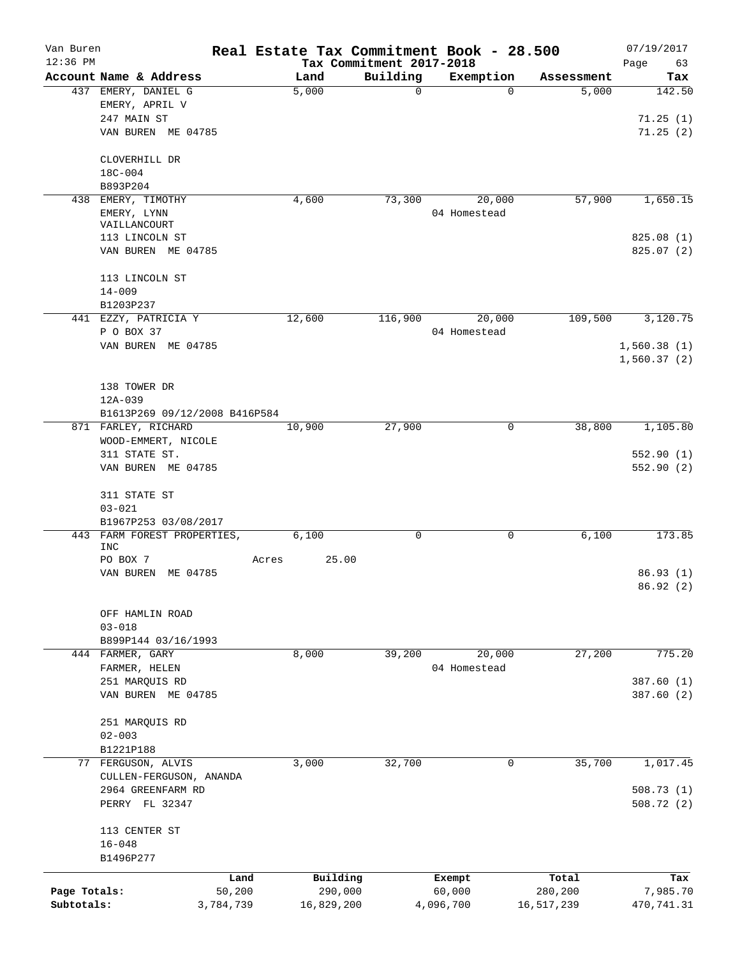| Van Buren    |                                               |       |               |                          | Real Estate Tax Commitment Book - 28.500 |                     | 07/19/2017                 |
|--------------|-----------------------------------------------|-------|---------------|--------------------------|------------------------------------------|---------------------|----------------------------|
| $12:36$ PM   |                                               |       |               | Tax Commitment 2017-2018 |                                          |                     | Page<br>63                 |
|              | Account Name & Address<br>437 EMERY, DANIEL G |       | Land<br>5,000 | Building<br>$\mathbf 0$  | Exemption<br>$\Omega$                    | Assessment<br>5,000 | Tax<br>142.50              |
|              | EMERY, APRIL V                                |       |               |                          |                                          |                     |                            |
|              | 247 MAIN ST                                   |       |               |                          |                                          |                     | 71.25(1)                   |
|              | VAN BUREN ME 04785                            |       |               |                          |                                          |                     | 71.25(2)                   |
|              |                                               |       |               |                          |                                          |                     |                            |
|              | CLOVERHILL DR                                 |       |               |                          |                                          |                     |                            |
|              | $18C - 004$                                   |       |               |                          |                                          |                     |                            |
|              | B893P204                                      |       |               |                          |                                          |                     |                            |
| 438          | EMERY, TIMOTHY                                |       | 4,600         | 73,300                   | 20,000                                   | 57,900              | 1,650.15                   |
|              | EMERY, LYNN<br>VAILLANCOURT                   |       |               |                          | 04 Homestead                             |                     |                            |
|              | 113 LINCOLN ST                                |       |               |                          |                                          |                     | 825.08(1)                  |
|              | VAN BUREN ME 04785                            |       |               |                          |                                          |                     | 825.07(2)                  |
|              |                                               |       |               |                          |                                          |                     |                            |
|              | 113 LINCOLN ST                                |       |               |                          |                                          |                     |                            |
|              | $14 - 009$                                    |       |               |                          |                                          |                     |                            |
|              | B1203P237                                     |       |               | 116,900                  |                                          |                     |                            |
|              | 441 EZZY, PATRICIA Y<br>P O BOX 37            |       | 12,600        |                          | 20,000<br>04 Homestead                   | 109,500             | 3,120.75                   |
|              |                                               |       |               |                          |                                          |                     |                            |
|              | VAN BUREN ME 04785                            |       |               |                          |                                          |                     | 1,560.38(1)<br>1,560.37(2) |
|              |                                               |       |               |                          |                                          |                     |                            |
|              | 138 TOWER DR                                  |       |               |                          |                                          |                     |                            |
|              | 12A-039                                       |       |               |                          |                                          |                     |                            |
|              | B1613P269 09/12/2008 B416P584                 |       |               |                          |                                          |                     |                            |
|              | 871 FARLEY, RICHARD                           |       | 10,900        | 27,900                   | 0                                        | 38,800              | 1,105.80                   |
|              | WOOD-EMMERT, NICOLE                           |       |               |                          |                                          |                     |                            |
|              | 311 STATE ST.                                 |       |               |                          |                                          |                     | 552.90(1)                  |
|              | VAN BUREN ME 04785                            |       |               |                          |                                          |                     | 552.90(2)                  |
|              | 311 STATE ST                                  |       |               |                          |                                          |                     |                            |
|              | $03 - 021$                                    |       |               |                          |                                          |                     |                            |
|              | B1967P253 03/08/2017                          |       |               |                          |                                          |                     |                            |
|              | 443 FARM FOREST PROPERTIES,                   |       | 6,100         | $\mathbf 0$              | 0                                        | 6,100               | 173.85                     |
|              | INC                                           |       |               |                          |                                          |                     |                            |
|              | PO BOX 7<br>VAN BUREN ME 04785                | Acres | 25.00         |                          |                                          |                     | 86.93(1)                   |
|              |                                               |       |               |                          |                                          |                     | 86.92 (2)                  |
|              |                                               |       |               |                          |                                          |                     |                            |
|              | OFF HAMLIN ROAD<br>$03 - 018$                 |       |               |                          |                                          |                     |                            |
|              | B899P144 03/16/1993                           |       |               |                          |                                          |                     |                            |
|              | 444 FARMER, GARY                              |       | 8,000         | 39,200                   | 20,000                                   | 27,200              | 775.20                     |
|              | FARMER, HELEN                                 |       |               |                          | 04 Homestead                             |                     |                            |
|              | 251 MARQUIS RD                                |       |               |                          |                                          |                     | 387.60 (1)                 |
|              | VAN BUREN ME 04785                            |       |               |                          |                                          |                     | 387.60 (2)                 |
|              |                                               |       |               |                          |                                          |                     |                            |
|              | 251 MARQUIS RD                                |       |               |                          |                                          |                     |                            |
|              | $02 - 003$                                    |       |               |                          |                                          |                     |                            |
|              | B1221P188                                     |       |               |                          |                                          |                     |                            |
|              | 77 FERGUSON, ALVIS                            |       | 3,000         | 32,700                   | 0                                        | 35,700              | 1,017.45                   |
|              | CULLEN-FERGUSON, ANANDA                       |       |               |                          |                                          |                     |                            |
|              | 2964 GREENFARM RD<br>PERRY FL 32347           |       |               |                          |                                          |                     | 508.73(1)<br>508.72(2)     |
|              |                                               |       |               |                          |                                          |                     |                            |
|              | 113 CENTER ST                                 |       |               |                          |                                          |                     |                            |
|              | $16 - 048$                                    |       |               |                          |                                          |                     |                            |
|              | B1496P277                                     |       |               |                          |                                          |                     |                            |
|              | Land                                          |       | Building      |                          | Exempt                                   | Total               | Tax                        |
| Page Totals: | 50,200                                        |       | 290,000       |                          | 60,000                                   | 280,200             | 7,985.70                   |
| Subtotals:   | 3,784,739                                     |       | 16,829,200    |                          | 4,096,700                                | 16,517,239          | 470,741.31                 |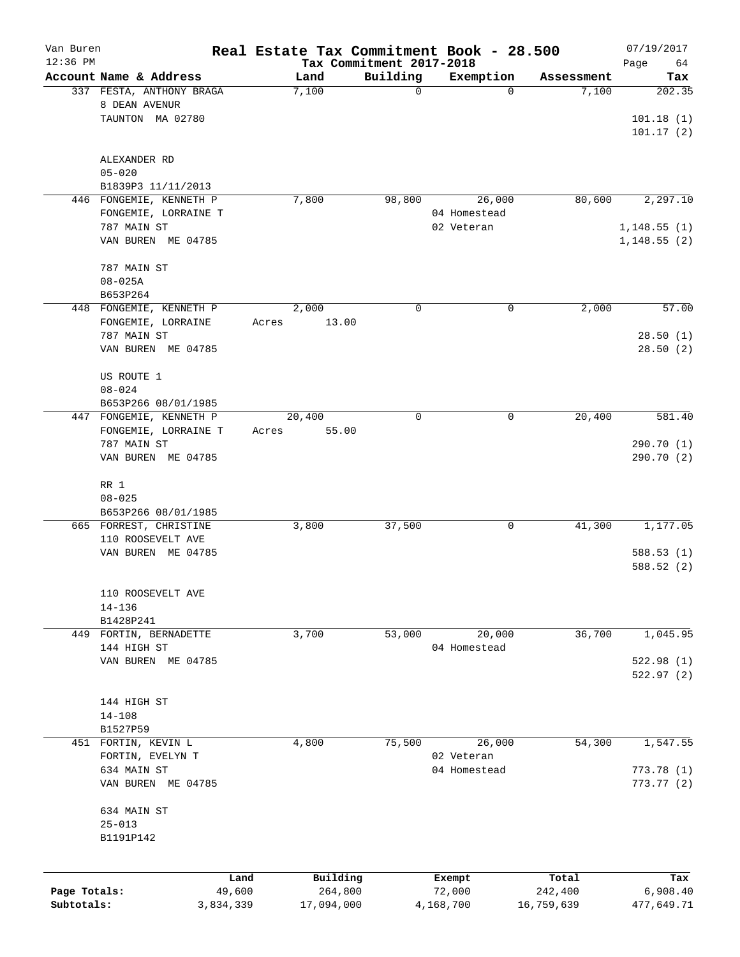| Van Buren<br>$12:36$ PM |                                               | Real Estate Tax Commitment Book - 28.500 |                                      |                  |                  | 07/19/2017             |
|-------------------------|-----------------------------------------------|------------------------------------------|--------------------------------------|------------------|------------------|------------------------|
|                         | Account Name & Address                        | Land                                     | Tax Commitment 2017-2018<br>Building | Exemption        | Assessment       | Page<br>64<br>Tax      |
|                         | 337 FESTA, ANTHONY BRAGA                      | 7,100                                    | $\mathbf 0$                          | 0                | 7,100            | 202.35                 |
|                         | 8 DEAN AVENUR                                 |                                          |                                      |                  |                  |                        |
|                         | TAUNTON MA 02780                              |                                          |                                      |                  |                  | 101.18(1)<br>101.17(2) |
|                         | ALEXANDER RD                                  |                                          |                                      |                  |                  |                        |
|                         | $05 - 020$                                    |                                          |                                      |                  |                  |                        |
|                         | B1839P3 11/11/2013                            |                                          |                                      |                  |                  |                        |
|                         | 446 FONGEMIE, KENNETH P                       | 7,800                                    | 98,800                               | 26,000           | 80,600           | 2,297.10               |
|                         | FONGEMIE, LORRAINE T                          |                                          |                                      | 04 Homestead     |                  |                        |
|                         | 787 MAIN ST                                   |                                          |                                      | 02 Veteran       |                  | 1, 148.55(1)           |
|                         | VAN BUREN ME 04785                            |                                          |                                      |                  |                  | 1, 148.55(2)           |
|                         | 787 MAIN ST                                   |                                          |                                      |                  |                  |                        |
|                         | $08 - 025A$                                   |                                          |                                      |                  |                  |                        |
|                         | B653P264                                      |                                          |                                      |                  |                  |                        |
|                         | 448 FONGEMIE, KENNETH P<br>FONGEMIE, LORRAINE | 2,000                                    | 0                                    | 0                | 2,000            | 57.00                  |
|                         | 787 MAIN ST                                   | 13.00<br>Acres                           |                                      |                  |                  | 28.50(1)               |
|                         | VAN BUREN ME 04785                            |                                          |                                      |                  |                  | 28.50(2)               |
|                         | US ROUTE 1                                    |                                          |                                      |                  |                  |                        |
|                         | $08 - 024$                                    |                                          |                                      |                  |                  |                        |
|                         | B653P266 08/01/1985                           |                                          |                                      |                  |                  |                        |
|                         | 447 FONGEMIE, KENNETH P                       | 20,400                                   | 0                                    | 0                | 20,400           | $\overline{581}$ . 40  |
|                         | FONGEMIE, LORRAINE T                          | 55.00<br>Acres                           |                                      |                  |                  |                        |
|                         | 787 MAIN ST                                   |                                          |                                      |                  |                  | 290.70 (1)             |
|                         | VAN BUREN ME 04785                            |                                          |                                      |                  |                  | 290.70 (2)             |
|                         | RR 1                                          |                                          |                                      |                  |                  |                        |
|                         | $08 - 025$                                    |                                          |                                      |                  |                  |                        |
|                         | B653P266 08/01/1985                           |                                          |                                      |                  |                  |                        |
|                         | 665 FORREST, CHRISTINE                        | 3,800                                    | 37,500                               | 0                | 41,300           | 1,177.05               |
|                         | 110 ROOSEVELT AVE                             |                                          |                                      |                  |                  |                        |
|                         | VAN BUREN ME 04785                            |                                          |                                      |                  |                  | 588.53(1)<br>588.52(2) |
|                         |                                               |                                          |                                      |                  |                  |                        |
|                         | 110 ROOSEVELT AVE                             |                                          |                                      |                  |                  |                        |
|                         | $14 - 136$                                    |                                          |                                      |                  |                  |                        |
|                         | B1428P241                                     |                                          |                                      |                  |                  |                        |
|                         | 449 FORTIN, BERNADETTE                        | 3,700                                    | 53,000                               | 20,000           | 36,700           | 1,045.95               |
|                         | 144 HIGH ST<br>VAN BUREN ME 04785             |                                          |                                      | 04 Homestead     |                  | 522.98(1)              |
|                         |                                               |                                          |                                      |                  |                  | 522.97(2)              |
|                         | 144 HIGH ST                                   |                                          |                                      |                  |                  |                        |
|                         | $14 - 108$                                    |                                          |                                      |                  |                  |                        |
|                         | B1527P59                                      |                                          |                                      |                  |                  |                        |
|                         | 451 FORTIN, KEVIN L                           | 4,800                                    | 75,500                               | 26,000           | 54,300           | 1,547.55               |
|                         | FORTIN, EVELYN T                              |                                          |                                      | 02 Veteran       |                  |                        |
|                         | 634 MAIN ST                                   |                                          |                                      | 04 Homestead     |                  | 773.78 (1)             |
|                         | VAN BUREN ME 04785                            |                                          |                                      |                  |                  | 773.77(2)              |
|                         | 634 MAIN ST                                   |                                          |                                      |                  |                  |                        |
|                         | $25 - 013$                                    |                                          |                                      |                  |                  |                        |
|                         | B1191P142                                     |                                          |                                      |                  |                  |                        |
|                         |                                               |                                          |                                      |                  |                  |                        |
| Page Totals:            | 49,600                                        | Building<br>Land<br>264,800              |                                      | Exempt<br>72,000 | Total<br>242,400 | Tax<br>6,908.40        |
| Subtotals:              | 3,834,339                                     | 17,094,000                               |                                      | 4,168,700        | 16,759,639       | 477,649.71             |
|                         |                                               |                                          |                                      |                  |                  |                        |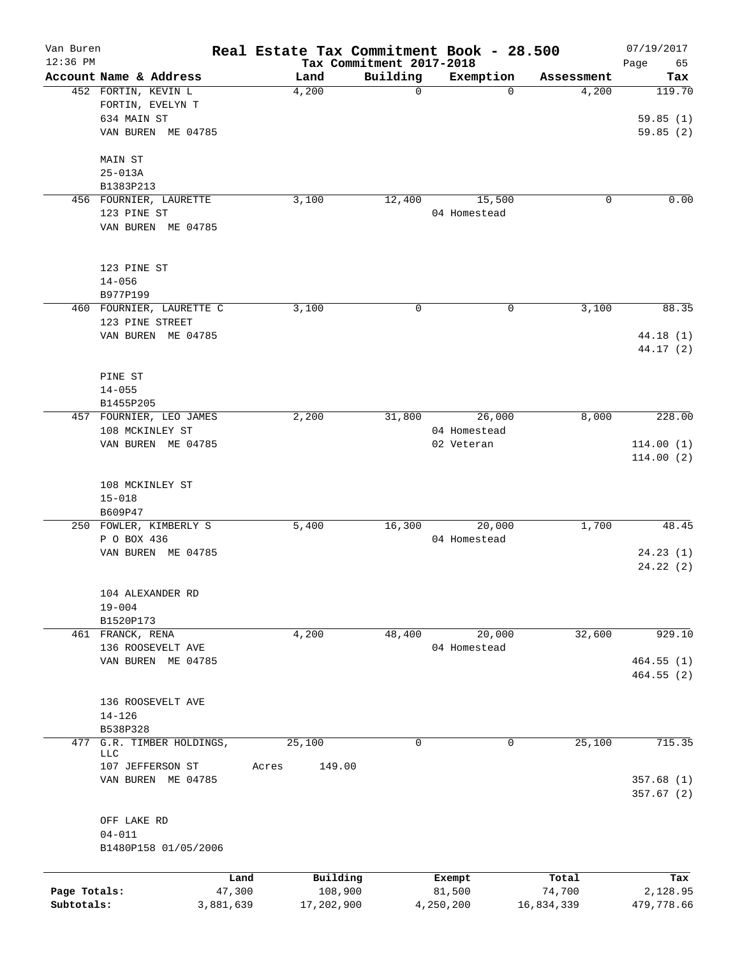| Van Buren    |                                               |           |               |                          | Real Estate Tax Commitment Book - 28.500 |                     | 07/19/2017    |
|--------------|-----------------------------------------------|-----------|---------------|--------------------------|------------------------------------------|---------------------|---------------|
| $12:36$ PM   |                                               |           |               | Tax Commitment 2017-2018 |                                          |                     | Page<br>65    |
|              | Account Name & Address<br>452 FORTIN, KEVIN L |           | Land<br>4,200 | Building<br>$\mathbf 0$  | Exemption<br>$\Omega$                    | Assessment<br>4,200 | Tax<br>119.70 |
|              | FORTIN, EVELYN T                              |           |               |                          |                                          |                     |               |
|              | 634 MAIN ST                                   |           |               |                          |                                          |                     | 59.85(1)      |
|              | VAN BUREN ME 04785                            |           |               |                          |                                          |                     | 59.85(2)      |
|              |                                               |           |               |                          |                                          |                     |               |
|              | MAIN ST                                       |           |               |                          |                                          |                     |               |
|              | $25 - 013A$                                   |           |               |                          |                                          |                     |               |
|              | B1383P213                                     |           |               |                          |                                          |                     |               |
|              | 456 FOURNIER, LAURETTE                        |           | 3,100         | 12,400                   | 15,500                                   | 0                   | 0.00          |
|              | 123 PINE ST                                   |           |               |                          | 04 Homestead                             |                     |               |
|              | VAN BUREN ME 04785                            |           |               |                          |                                          |                     |               |
|              | 123 PINE ST                                   |           |               |                          |                                          |                     |               |
|              | $14 - 056$                                    |           |               |                          |                                          |                     |               |
|              |                                               |           |               |                          |                                          |                     |               |
|              | B977P199                                      |           |               |                          |                                          |                     |               |
|              | 460 FOURNIER, LAURETTE C                      |           | 3,100         | 0                        | 0                                        | 3,100               | 88.35         |
|              | 123 PINE STREET                               |           |               |                          |                                          |                     |               |
|              | VAN BUREN ME 04785                            |           |               |                          |                                          |                     | 44.18(1)      |
|              |                                               |           |               |                          |                                          |                     | 44.17 (2)     |
|              |                                               |           |               |                          |                                          |                     |               |
|              | PINE ST                                       |           |               |                          |                                          |                     |               |
|              | $14 - 055$                                    |           |               |                          |                                          |                     |               |
|              | B1455P205                                     |           |               |                          |                                          |                     |               |
|              | 457 FOURNIER, LEO JAMES                       |           | 2,200         | 31,800                   | 26,000                                   | 8,000               | 228.00        |
|              | 108 MCKINLEY ST                               |           |               |                          | 04 Homestead                             |                     |               |
|              | VAN BUREN ME 04785                            |           |               |                          | 02 Veteran                               |                     | 114.00(1)     |
|              |                                               |           |               |                          |                                          |                     | 114.00(2)     |
|              |                                               |           |               |                          |                                          |                     |               |
|              | 108 MCKINLEY ST                               |           |               |                          |                                          |                     |               |
|              | $15 - 018$                                    |           |               |                          |                                          |                     |               |
|              | B609P47                                       |           |               |                          |                                          |                     |               |
|              | 250 FOWLER, KIMBERLY S                        |           | 5,400         | 16,300                   | 20,000                                   | 1,700               | 48.45         |
|              | P O BOX 436                                   |           |               |                          | 04 Homestead                             |                     |               |
|              | VAN BUREN ME 04785                            |           |               |                          |                                          |                     | 24.23(1)      |
|              |                                               |           |               |                          |                                          |                     | 24.22(2)      |
|              | 104 ALEXANDER RD                              |           |               |                          |                                          |                     |               |
|              |                                               |           |               |                          |                                          |                     |               |
|              | $19 - 004$                                    |           |               |                          |                                          |                     |               |
|              | B1520P173                                     |           |               |                          |                                          |                     |               |
|              | 461 FRANCK, RENA                              |           | 4,200         | 48,400                   | 20,000                                   | 32,600              | 929.10        |
|              | 136 ROOSEVELT AVE                             |           |               |                          | 04 Homestead                             |                     |               |
|              | VAN BUREN ME 04785                            |           |               |                          |                                          |                     | 464.55 (1)    |
|              |                                               |           |               |                          |                                          |                     | 464.55 (2)    |
|              |                                               |           |               |                          |                                          |                     |               |
|              | 136 ROOSEVELT AVE                             |           |               |                          |                                          |                     |               |
|              | $14 - 126$                                    |           |               |                          |                                          |                     |               |
|              | B538P328                                      |           |               |                          |                                          |                     |               |
| 477          | G.R. TIMBER HOLDINGS,                         |           | 25,100        | 0                        | 0                                        | 25,100              | 715.35        |
|              | <b>LLC</b>                                    |           |               |                          |                                          |                     |               |
|              | 107 JEFFERSON ST                              | Acres     | 149.00        |                          |                                          |                     |               |
|              | VAN BUREN ME 04785                            |           |               |                          |                                          |                     | 357.68(1)     |
|              |                                               |           |               |                          |                                          |                     | 357.67(2)     |
|              |                                               |           |               |                          |                                          |                     |               |
|              | OFF LAKE RD                                   |           |               |                          |                                          |                     |               |
|              | $04 - 011$                                    |           |               |                          |                                          |                     |               |
|              | B1480P158 01/05/2006                          |           |               |                          |                                          |                     |               |
|              |                                               | Land      | Building      |                          | Exempt                                   | Total               | Tax           |
| Page Totals: |                                               | 47,300    | 108,900       |                          | 81,500                                   | 74,700              | 2,128.95      |
| Subtotals:   |                                               | 3,881,639 | 17,202,900    |                          | 4,250,200                                | 16,834,339          | 479,778.66    |
|              |                                               |           |               |                          |                                          |                     |               |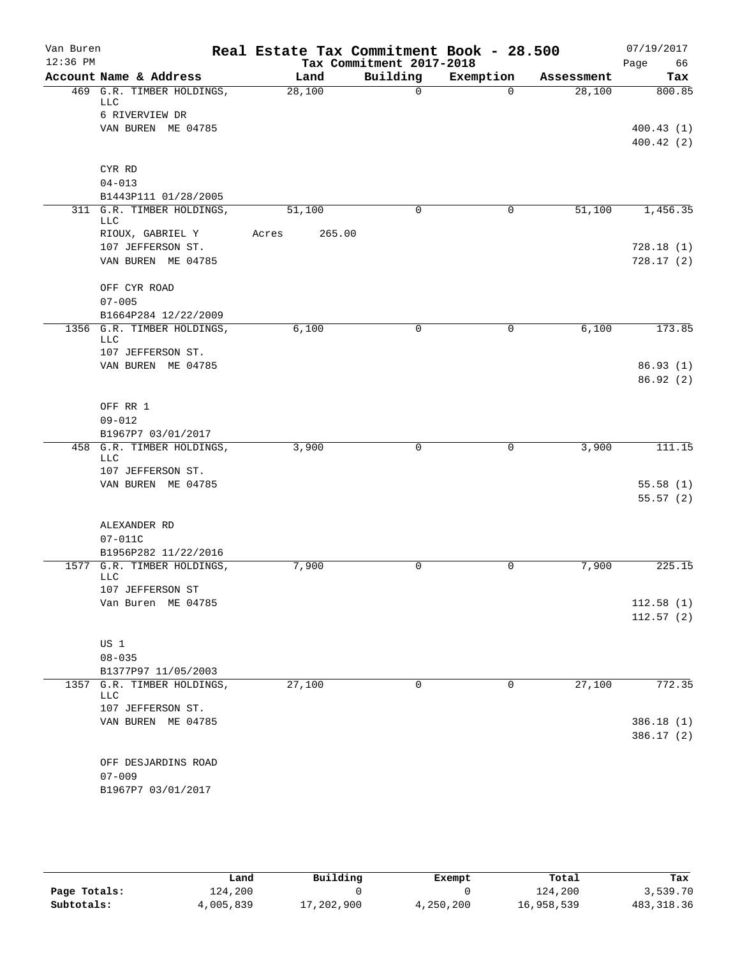| Van Buren  |                                         | Real Estate Tax Commitment Book - 28.500 |                          |             |            | 07/19/2017 |
|------------|-----------------------------------------|------------------------------------------|--------------------------|-------------|------------|------------|
| $12:36$ PM |                                         |                                          | Tax Commitment 2017-2018 |             |            | Page<br>66 |
|            | Account Name & Address                  | Land                                     | Building                 | Exemption   | Assessment | Tax        |
|            | 469 G.R. TIMBER HOLDINGS,<br>LLC        | 28,100                                   | $\Omega$                 | $\Omega$    | 28,100     | 800.85     |
|            | 6 RIVERVIEW DR                          |                                          |                          |             |            |            |
|            | VAN BUREN ME 04785                      |                                          |                          |             |            | 400.43(1)  |
|            |                                         |                                          |                          |             |            | 400.42(2)  |
|            | CYR RD                                  |                                          |                          |             |            |            |
|            | $04 - 013$                              |                                          |                          |             |            |            |
|            | B1443P111 01/28/2005                    |                                          |                          |             |            |            |
|            | 311 G.R. TIMBER HOLDINGS,<br>LLC        | 51,100                                   | $\Omega$                 | 0           | 51,100     | 1,456.35   |
|            | RIOUX, GABRIEL Y                        | 265.00<br>Acres                          |                          |             |            |            |
|            | 107 JEFFERSON ST.                       |                                          |                          |             |            | 728.18(1)  |
|            | VAN BUREN ME 04785                      |                                          |                          |             |            | 728.17(2)  |
|            | OFF CYR ROAD                            |                                          |                          |             |            |            |
|            | $07 - 005$                              |                                          |                          |             |            |            |
|            | B1664P284 12/22/2009                    |                                          |                          |             |            |            |
|            | 1356 G.R. TIMBER HOLDINGS,              | 6,100                                    | $\mathbf 0$              | $\mathbf 0$ | 6,100      | 173.85     |
|            | <b>LLC</b><br>107 JEFFERSON ST.         |                                          |                          |             |            |            |
|            | VAN BUREN ME 04785                      |                                          |                          |             |            | 86.93(1)   |
|            |                                         |                                          |                          |             |            | 86.92(2)   |
|            |                                         |                                          |                          |             |            |            |
|            | OFF RR 1                                |                                          |                          |             |            |            |
|            | $09 - 012$                              |                                          |                          |             |            |            |
|            | B1967P7 03/01/2017                      |                                          |                          |             |            |            |
|            | 458 G.R. TIMBER HOLDINGS,               | 3,900                                    | $\mathbf 0$              | 0           | 3,900      | 111.15     |
|            | <b>LLC</b>                              |                                          |                          |             |            |            |
|            | 107 JEFFERSON ST.<br>VAN BUREN ME 04785 |                                          |                          |             |            | 55.58(1)   |
|            |                                         |                                          |                          |             |            | 55.57(2)   |
|            |                                         |                                          |                          |             |            |            |
|            | ALEXANDER RD                            |                                          |                          |             |            |            |
|            | 07-011C                                 |                                          |                          |             |            |            |
|            | B1956P282 11/22/2016                    |                                          |                          |             |            |            |
|            | 1577 G.R. TIMBER HOLDINGS,<br>LLC       | 7,900                                    | 0                        | 0           | 7,900      | 225.15     |
|            | 107 JEFFERSON ST                        |                                          |                          |             |            |            |
|            | Van Buren ME 04785                      |                                          |                          |             |            | 112.58(1)  |
|            |                                         |                                          |                          |             |            | 112.57(2)  |
|            | US 1                                    |                                          |                          |             |            |            |
|            | $08 - 035$                              |                                          |                          |             |            |            |
|            | B1377P97 11/05/2003                     |                                          |                          |             |            |            |
| 1357       | G.R. TIMBER HOLDINGS,                   | 27,100                                   | 0                        | 0           | 27,100     | 772.35     |
|            | LLC                                     |                                          |                          |             |            |            |
|            | 107 JEFFERSON ST.                       |                                          |                          |             |            |            |
|            | VAN BUREN ME 04785                      |                                          |                          |             |            | 386.18(1)  |
|            |                                         |                                          |                          |             |            | 386.17(2)  |
|            | OFF DESJARDINS ROAD                     |                                          |                          |             |            |            |
|            | $07 - 009$                              |                                          |                          |             |            |            |
|            | B1967P7 03/01/2017                      |                                          |                          |             |            |            |
|            |                                         |                                          |                          |             |            |            |

|              | Land      | Building   | Exempt    | Total      | Tax         |
|--------------|-----------|------------|-----------|------------|-------------|
| Page Totals: | 124,200   |            |           | 124,200    | 3,539.70    |
| Subtotals:   | 4,005,839 | 17,202,900 | 4,250,200 | 16,958,539 | 483, 318.36 |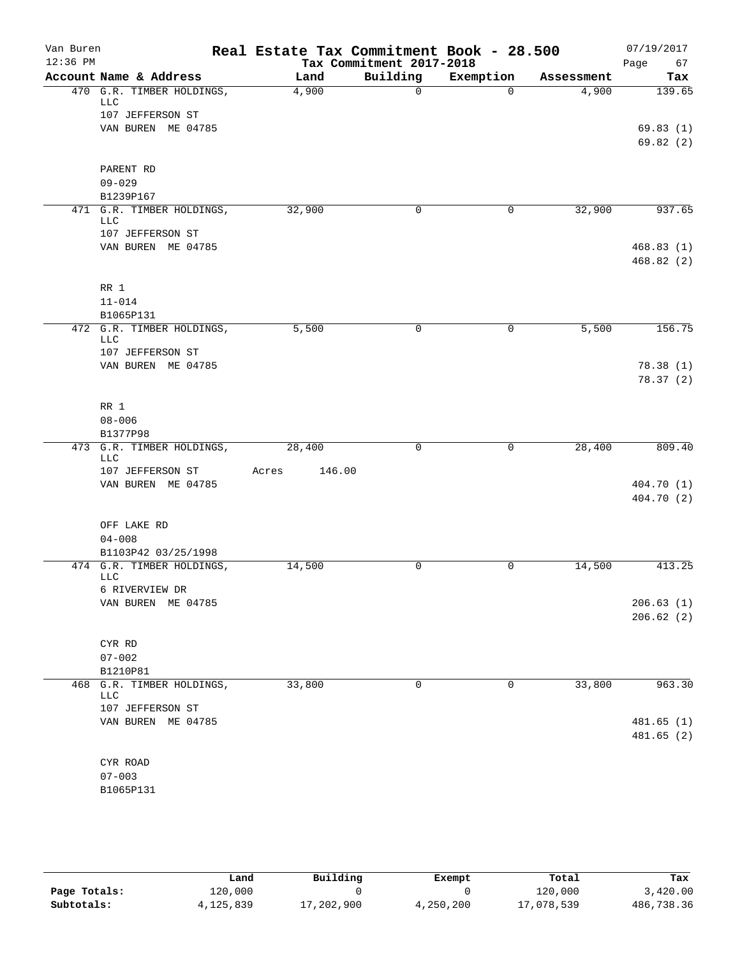| Van Buren<br>$12:36$ PM |                                         | Real Estate Tax Commitment Book - 28.500 |                                      |              |            | 07/19/2017        |
|-------------------------|-----------------------------------------|------------------------------------------|--------------------------------------|--------------|------------|-------------------|
|                         | Account Name & Address                  | Land                                     | Tax Commitment 2017-2018<br>Building | Exemption    | Assessment | Page<br>67<br>Tax |
|                         | 470 G.R. TIMBER HOLDINGS,               | 4,900                                    | $\Omega$                             | $\Omega$     | 4,900      | 139.65            |
|                         | <b>LLC</b>                              |                                          |                                      |              |            |                   |
|                         | 107 JEFFERSON ST                        |                                          |                                      |              |            |                   |
|                         | VAN BUREN ME 04785                      |                                          |                                      |              |            | 69.83(1)          |
|                         |                                         |                                          |                                      |              |            | 69.82(2)          |
|                         | PARENT RD                               |                                          |                                      |              |            |                   |
|                         | $09 - 029$                              |                                          |                                      |              |            |                   |
|                         | B1239P167                               |                                          |                                      |              |            |                   |
|                         | 471 G.R. TIMBER HOLDINGS,               | 32,900                                   | 0                                    | 0            | 32,900     | 937.65            |
|                         | <b>LLC</b><br>107 JEFFERSON ST          |                                          |                                      |              |            |                   |
|                         | VAN BUREN ME 04785                      |                                          |                                      |              |            | 468.83(1)         |
|                         |                                         |                                          |                                      |              |            | 468.82(2)         |
|                         | RR 1                                    |                                          |                                      |              |            |                   |
|                         | $11 - 014$                              |                                          |                                      |              |            |                   |
|                         | B1065P131                               |                                          |                                      |              |            |                   |
|                         | 472 G.R. TIMBER HOLDINGS,<br><b>LLC</b> | 5,500                                    | 0                                    | $\mathsf{O}$ | 5,500      | 156.75            |
|                         | 107 JEFFERSON ST                        |                                          |                                      |              |            |                   |
|                         | VAN BUREN ME 04785                      |                                          |                                      |              |            | 78.38(1)          |
|                         |                                         |                                          |                                      |              |            | 78.37(2)          |
|                         | RR 1                                    |                                          |                                      |              |            |                   |
|                         | $08 - 006$                              |                                          |                                      |              |            |                   |
|                         | B1377P98                                |                                          |                                      |              |            |                   |
|                         | 473 G.R. TIMBER HOLDINGS,<br><b>LLC</b> | 28,400                                   | $\mathbf 0$                          | $\mathbf 0$  | 28,400     | 809.40            |
|                         | 107 JEFFERSON ST                        | 146.00<br>Acres                          |                                      |              |            |                   |
|                         | VAN BUREN ME 04785                      |                                          |                                      |              |            | 404.70 (1)        |
|                         |                                         |                                          |                                      |              |            | 404.70 (2)        |
|                         | OFF LAKE RD                             |                                          |                                      |              |            |                   |
|                         | $04 - 008$                              |                                          |                                      |              |            |                   |
|                         | B1103P42 03/25/1998                     |                                          |                                      |              |            |                   |
|                         | 474 G.R. TIMBER HOLDINGS,<br><b>LLC</b> | 14,500                                   | 0                                    | 0            | 14,500     | 413.25            |
|                         | 6 RIVERVIEW DR                          |                                          |                                      |              |            |                   |
|                         | VAN BUREN ME 04785                      |                                          |                                      |              |            | 206.63(1)         |
|                         |                                         |                                          |                                      |              |            | 206.62(2)         |
|                         | CYR RD                                  |                                          |                                      |              |            |                   |
|                         | $07 - 002$                              |                                          |                                      |              |            |                   |
|                         | B1210P81                                |                                          |                                      |              |            |                   |
| 468                     | G.R. TIMBER HOLDINGS,<br><b>LLC</b>     | 33,800                                   | 0                                    | 0            | 33,800     | 963.30            |
|                         | 107 JEFFERSON ST                        |                                          |                                      |              |            |                   |
|                         | VAN BUREN ME 04785                      |                                          |                                      |              |            | 481.65(1)         |
|                         |                                         |                                          |                                      |              |            | 481.65 (2)        |
|                         | CYR ROAD                                |                                          |                                      |              |            |                   |
|                         | $07 - 003$                              |                                          |                                      |              |            |                   |
|                         | B1065P131                               |                                          |                                      |              |            |                   |

|              | Land      | Building   | Exempt    | Total      | Tax        |
|--------------|-----------|------------|-----------|------------|------------|
| Page Totals: | 120,000   |            |           | 120,000    | 3,420.00   |
| Subtotals:   | 4,125,839 | 17,202,900 | 4,250,200 | 17,078,539 | 486,738.36 |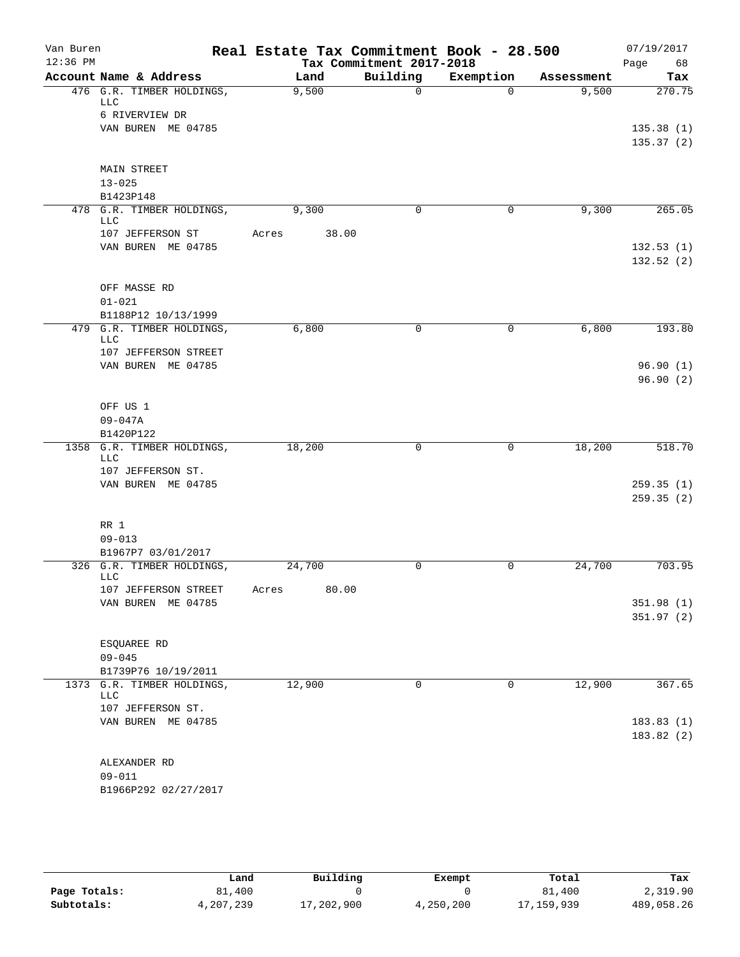| Van Buren<br>$12:36$ PM |                                   |       |        |                                      | Real Estate Tax Commitment Book - 28.500 |                     | 07/19/2017        |
|-------------------------|-----------------------------------|-------|--------|--------------------------------------|------------------------------------------|---------------------|-------------------|
|                         | Account Name & Address            |       | Land   | Tax Commitment 2017-2018<br>Building | Exemption                                |                     | Page<br>68<br>Tax |
|                         | 476 G.R. TIMBER HOLDINGS,         |       | 9,500  | $\Omega$                             | $\Omega$                                 | Assessment<br>9,500 | 270.75            |
|                         | LLC                               |       |        |                                      |                                          |                     |                   |
|                         | 6 RIVERVIEW DR                    |       |        |                                      |                                          |                     |                   |
|                         | VAN BUREN ME 04785                |       |        |                                      |                                          |                     | 135.38(1)         |
|                         |                                   |       |        |                                      |                                          |                     | 135.37(2)         |
|                         |                                   |       |        |                                      |                                          |                     |                   |
|                         | <b>MAIN STREET</b>                |       |        |                                      |                                          |                     |                   |
|                         | $13 - 025$<br>B1423P148           |       |        |                                      |                                          |                     |                   |
|                         | 478 G.R. TIMBER HOLDINGS,         |       | 9,300  | 0                                    | 0                                        | 9,300               | 265.05            |
|                         | LLC                               |       |        |                                      |                                          |                     |                   |
|                         | 107 JEFFERSON ST                  | Acres | 38.00  |                                      |                                          |                     |                   |
|                         | VAN BUREN ME 04785                |       |        |                                      |                                          |                     | 132.53(1)         |
|                         |                                   |       |        |                                      |                                          |                     | 132.52(2)         |
|                         |                                   |       |        |                                      |                                          |                     |                   |
|                         | OFF MASSE RD                      |       |        |                                      |                                          |                     |                   |
|                         | $01 - 021$                        |       |        |                                      |                                          |                     |                   |
|                         | B1188P12 10/13/1999               |       | 6,800  | $\mathbf 0$                          |                                          |                     | 193.80            |
|                         | 479 G.R. TIMBER HOLDINGS,<br>LLC  |       |        |                                      | 0                                        | 6,800               |                   |
|                         | 107 JEFFERSON STREET              |       |        |                                      |                                          |                     |                   |
|                         | VAN BUREN ME 04785                |       |        |                                      |                                          |                     | 96.90(1)          |
|                         |                                   |       |        |                                      |                                          |                     | 96.90(2)          |
|                         |                                   |       |        |                                      |                                          |                     |                   |
|                         | OFF US 1                          |       |        |                                      |                                          |                     |                   |
|                         | $09 - 047A$                       |       |        |                                      |                                          |                     |                   |
|                         | B1420P122                         |       |        |                                      |                                          |                     |                   |
|                         | 1358 G.R. TIMBER HOLDINGS,<br>LLC |       | 18,200 | $\mathbf 0$                          | 0                                        | 18,200              | 518.70            |
|                         | 107 JEFFERSON ST.                 |       |        |                                      |                                          |                     |                   |
|                         | VAN BUREN ME 04785                |       |        |                                      |                                          |                     | 259.35(1)         |
|                         |                                   |       |        |                                      |                                          |                     | 259.35(2)         |
|                         |                                   |       |        |                                      |                                          |                     |                   |
|                         | RR 1                              |       |        |                                      |                                          |                     |                   |
|                         | $09 - 013$                        |       |        |                                      |                                          |                     |                   |
|                         | B1967P7 03/01/2017                |       |        |                                      |                                          |                     |                   |
|                         | 326 G.R. TIMBER HOLDINGS,<br>LLC  |       | 24,700 | 0                                    | 0                                        | 24,700              | 703.95            |
|                         | 107 JEFFERSON STREET              | Acres | 80.00  |                                      |                                          |                     |                   |
|                         | VAN BUREN ME 04785                |       |        |                                      |                                          |                     | 351.98(1)         |
|                         |                                   |       |        |                                      |                                          |                     | 351.97 (2)        |
|                         |                                   |       |        |                                      |                                          |                     |                   |
|                         | ESQUAREE RD                       |       |        |                                      |                                          |                     |                   |
|                         | $09 - 045$                        |       |        |                                      |                                          |                     |                   |
|                         | B1739P76 10/19/2011               |       |        |                                      |                                          |                     |                   |
|                         | 1373 G.R. TIMBER HOLDINGS,<br>LLC |       | 12,900 | $\mathbf 0$                          | 0                                        | 12,900              | 367.65            |
|                         | 107 JEFFERSON ST.                 |       |        |                                      |                                          |                     |                   |
|                         | VAN BUREN ME 04785                |       |        |                                      |                                          |                     | 183.83(1)         |
|                         |                                   |       |        |                                      |                                          |                     | 183.82(2)         |
|                         |                                   |       |        |                                      |                                          |                     |                   |
|                         | ALEXANDER RD                      |       |        |                                      |                                          |                     |                   |
|                         | $09 - 011$                        |       |        |                                      |                                          |                     |                   |
|                         | B1966P292 02/27/2017              |       |        |                                      |                                          |                     |                   |

|              | Land      | Building   | Exempt    | Total      | Tax        |
|--------------|-----------|------------|-----------|------------|------------|
| Page Totals: | 81,400    |            |           | 81,400     | 2,319.90   |
| Subtotals:   | 4,207,239 | 17,202,900 | 4,250,200 | 17,159,939 | 489,058.26 |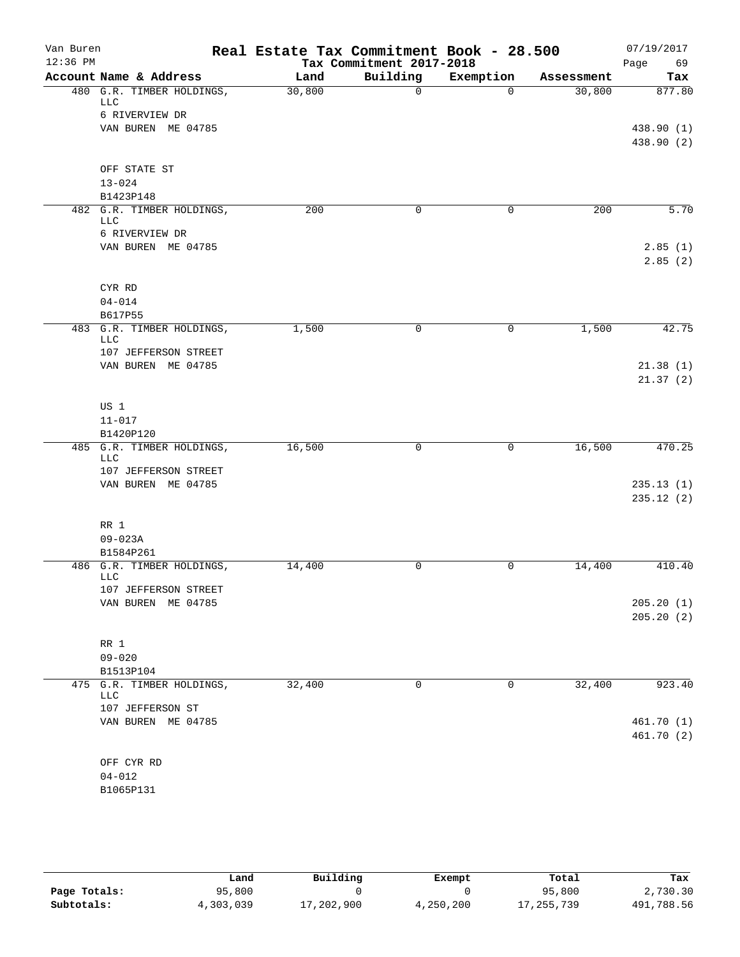| Van Buren  |                                         | Real Estate Tax Commitment Book - 28.500 |                          |             |            | 07/19/2017               |
|------------|-----------------------------------------|------------------------------------------|--------------------------|-------------|------------|--------------------------|
| $12:36$ PM |                                         |                                          | Tax Commitment 2017-2018 |             |            | Page<br>69               |
|            | Account Name & Address                  | Land                                     | Building                 | Exemption   | Assessment | Tax                      |
|            | 480 G.R. TIMBER HOLDINGS,<br><b>LLC</b> | 30,800                                   | $\mathbf 0$              | $\Omega$    | 30,800     | 877.80                   |
|            | 6 RIVERVIEW DR                          |                                          |                          |             |            |                          |
|            | VAN BUREN ME 04785                      |                                          |                          |             |            | 438.90 (1)               |
|            |                                         |                                          |                          |             |            | 438.90 (2)               |
|            | OFF STATE ST                            |                                          |                          |             |            |                          |
|            | $13 - 024$                              |                                          |                          |             |            |                          |
|            | B1423P148                               |                                          |                          |             |            |                          |
|            | 482 G.R. TIMBER HOLDINGS,               | 200                                      | 0                        | $\mathbf 0$ | 200        | 5.70                     |
|            | LLC                                     |                                          |                          |             |            |                          |
|            | 6 RIVERVIEW DR                          |                                          |                          |             |            |                          |
|            | VAN BUREN ME 04785                      |                                          |                          |             |            | 2.85(1)<br>2.85(2)       |
|            | CYR RD                                  |                                          |                          |             |            |                          |
|            | $04 - 014$                              |                                          |                          |             |            |                          |
|            | B617P55                                 |                                          |                          |             |            |                          |
|            | 483 G.R. TIMBER HOLDINGS,<br><b>LLC</b> | 1,500                                    | 0                        | 0           | 1,500      | 42.75                    |
|            | 107 JEFFERSON STREET                    |                                          |                          |             |            |                          |
|            | VAN BUREN ME 04785                      |                                          |                          |             |            | 21.38(1)                 |
|            |                                         |                                          |                          |             |            | 21.37(2)                 |
|            | US 1                                    |                                          |                          |             |            |                          |
|            | $11 - 017$                              |                                          |                          |             |            |                          |
|            | B1420P120                               |                                          |                          |             |            |                          |
|            | 485 G.R. TIMBER HOLDINGS,               | 16,500                                   | $\mathbf 0$              | 0           | 16,500     | 470.25                   |
|            | <b>LLC</b>                              |                                          |                          |             |            |                          |
|            | 107 JEFFERSON STREET                    |                                          |                          |             |            |                          |
|            | VAN BUREN ME 04785                      |                                          |                          |             |            | 235.13(1)                |
|            |                                         |                                          |                          |             |            | 235.12(2)                |
|            | RR 1                                    |                                          |                          |             |            |                          |
|            | $09 - 023A$                             |                                          |                          |             |            |                          |
|            | B1584P261                               |                                          |                          |             |            |                          |
|            | 486 G.R. TIMBER HOLDINGS,               | 14,400                                   | 0                        | 0           | 14,400     | 410.40                   |
|            | LLC                                     |                                          |                          |             |            |                          |
|            | 107 JEFFERSON STREET                    |                                          |                          |             |            |                          |
|            | VAN BUREN ME 04785                      |                                          |                          |             |            | 205.20(1)<br>205.20(2)   |
|            |                                         |                                          |                          |             |            |                          |
|            | RR 1                                    |                                          |                          |             |            |                          |
|            | $09 - 020$                              |                                          |                          |             |            |                          |
|            | B1513P104                               |                                          |                          |             |            |                          |
|            | 475 G.R. TIMBER HOLDINGS,               | 32,400                                   | $\mathbf 0$              | 0           | 32,400     | 923.40                   |
|            | <b>LLC</b>                              |                                          |                          |             |            |                          |
|            | 107 JEFFERSON ST                        |                                          |                          |             |            |                          |
|            | VAN BUREN ME 04785                      |                                          |                          |             |            | 461.70 (1)<br>461.70 (2) |
|            |                                         |                                          |                          |             |            |                          |
|            | OFF CYR RD                              |                                          |                          |             |            |                          |
|            | $04 - 012$                              |                                          |                          |             |            |                          |
|            | B1065P131                               |                                          |                          |             |            |                          |

|              | Land      | Building   | Exempt    | Total        | Tax        |
|--------------|-----------|------------|-----------|--------------|------------|
| Page Totals: | 95,800    |            |           | 95,800       | 2,730.30   |
| Subtotals:   | 4,303,039 | 17,202,900 | 4,250,200 | 17, 255, 739 | 491,788.56 |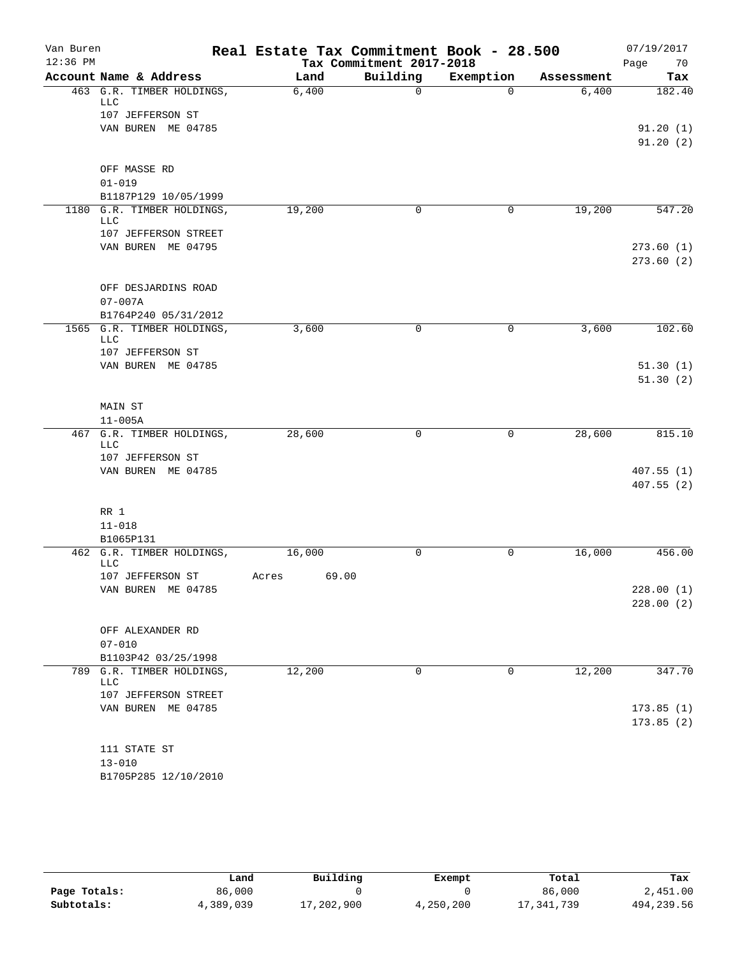| Van Buren  |                                          | Real Estate Tax Commitment Book - 28.500 |                          |           |            | 07/19/2017             |
|------------|------------------------------------------|------------------------------------------|--------------------------|-----------|------------|------------------------|
| $12:36$ PM |                                          |                                          | Tax Commitment 2017-2018 |           |            | Page<br>70             |
|            | Account Name & Address                   | Land                                     | Building                 | Exemption | Assessment | Tax                    |
|            | 463 G.R. TIMBER HOLDINGS,<br><b>LLC</b>  | 6,400                                    | $\Omega$                 | $\Omega$  | 6,400      | 182.40                 |
|            | 107 JEFFERSON ST                         |                                          |                          |           |            |                        |
|            | VAN BUREN ME 04785                       |                                          |                          |           |            | 91.20(1)               |
|            |                                          |                                          |                          |           |            | 91.20(2)               |
|            | OFF MASSE RD                             |                                          |                          |           |            |                        |
|            | $01 - 019$                               |                                          |                          |           |            |                        |
|            | B1187P129 10/05/1999                     |                                          |                          |           |            |                        |
|            | 1180 G.R. TIMBER HOLDINGS,<br><b>LLC</b> | 19,200                                   | 0                        | 0         | 19,200     | 547.20                 |
|            | 107 JEFFERSON STREET                     |                                          |                          |           |            |                        |
|            | VAN BUREN ME 04795                       |                                          |                          |           |            | 273.60(1)              |
|            |                                          |                                          |                          |           |            | 273.60(2)              |
|            | OFF DESJARDINS ROAD                      |                                          |                          |           |            |                        |
|            | $07 - 007A$                              |                                          |                          |           |            |                        |
|            | B1764P240 05/31/2012                     |                                          |                          |           |            |                        |
|            | 1565 G.R. TIMBER HOLDINGS,               | 3,600                                    | 0                        | 0         | 3,600      | 102.60                 |
|            | <b>LLC</b><br>107 JEFFERSON ST           |                                          |                          |           |            |                        |
|            | VAN BUREN ME 04785                       |                                          |                          |           |            | 51.30(1)               |
|            |                                          |                                          |                          |           |            | 51.30(2)               |
|            |                                          |                                          |                          |           |            |                        |
|            | MAIN ST                                  |                                          |                          |           |            |                        |
|            | $11 - 005A$                              |                                          |                          |           |            |                        |
| 467        | G.R. TIMBER HOLDINGS,<br><b>LLC</b>      | 28,600                                   | 0                        | 0         | 28,600     | 815.10                 |
|            | 107 JEFFERSON ST                         |                                          |                          |           |            |                        |
|            | VAN BUREN ME 04785                       |                                          |                          |           |            | 407.55(1)              |
|            |                                          |                                          |                          |           |            | 407.55(2)              |
|            |                                          |                                          |                          |           |            |                        |
|            | RR 1                                     |                                          |                          |           |            |                        |
|            | $11 - 018$<br>B1065P131                  |                                          |                          |           |            |                        |
|            | 462 G.R. TIMBER HOLDINGS,                | 16,000                                   | $\mathbf 0$              | 0         | 16,000     | 456.00                 |
|            | <b>LLC</b>                               |                                          |                          |           |            |                        |
|            | 107 JEFFERSON ST                         | 69.00<br>Acres                           |                          |           |            |                        |
|            | VAN BUREN ME 04785                       |                                          |                          |           |            | 228.00(1)<br>228.00(2) |
|            |                                          |                                          |                          |           |            |                        |
|            | OFF ALEXANDER RD                         |                                          |                          |           |            |                        |
|            | $07 - 010$                               |                                          |                          |           |            |                        |
|            | B1103P42 03/25/1998                      |                                          |                          |           |            |                        |
|            | 789 G.R. TIMBER HOLDINGS,                | 12,200                                   | 0                        | 0         | 12,200     | 347.70                 |
|            | LLC<br>107 JEFFERSON STREET              |                                          |                          |           |            |                        |
|            | VAN BUREN ME 04785                       |                                          |                          |           |            | 173.85(1)              |
|            |                                          |                                          |                          |           |            | 173.85(2)              |
|            |                                          |                                          |                          |           |            |                        |
|            | 111 STATE ST                             |                                          |                          |           |            |                        |
|            | $13 - 010$                               |                                          |                          |           |            |                        |
|            | B1705P285 12/10/2010                     |                                          |                          |           |            |                        |

|              | Land      | Building   | Exempt    | Total      | Tax         |
|--------------|-----------|------------|-----------|------------|-------------|
| Page Totals: | 86,000    |            |           | 86,000     | 2,451.00    |
| Subtotals:   | 4,389,039 | 17,202,900 | 4,250,200 | 17,341,739 | 494, 239.56 |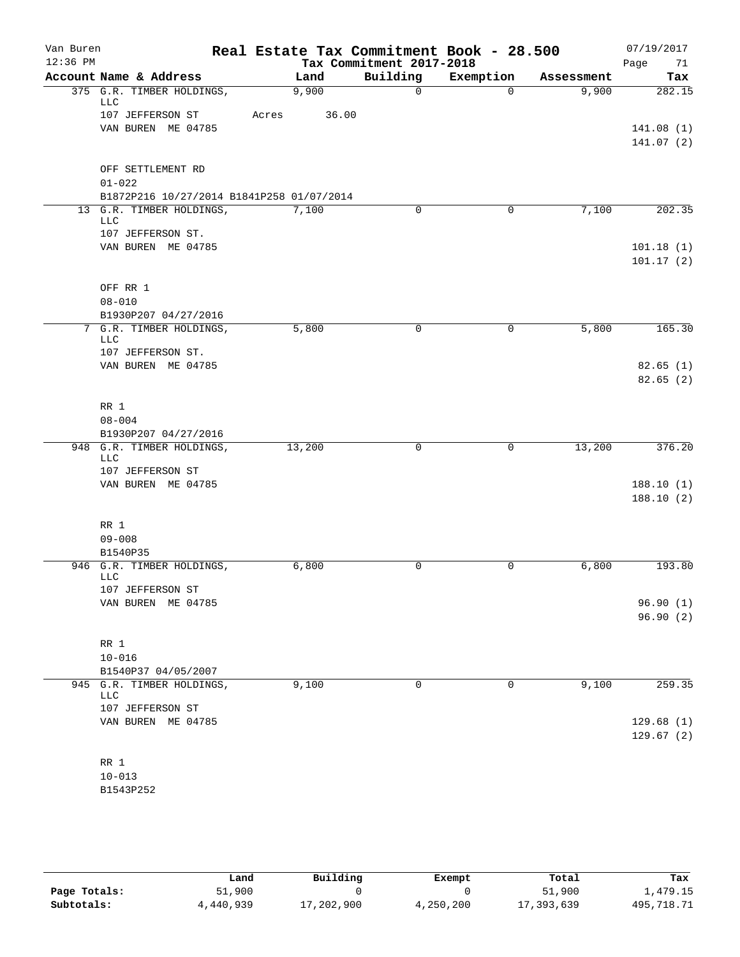| Van Buren<br>$12:36$ PM |                                           |       |        | Tax Commitment 2017-2018 | Real Estate Tax Commitment Book - 28.500 |            | 07/19/2017<br>Page<br>71 |
|-------------------------|-------------------------------------------|-------|--------|--------------------------|------------------------------------------|------------|--------------------------|
|                         | Account Name & Address                    |       | Land   | Building                 | Exemption                                | Assessment | Tax                      |
|                         | 375 G.R. TIMBER HOLDINGS,<br><b>LLC</b>   |       | 9,900  | $\mathsf{O}$             | $\Omega$                                 | 9,900      | 282.15                   |
|                         | 107 JEFFERSON ST                          | Acres | 36.00  |                          |                                          |            |                          |
|                         | VAN BUREN ME 04785                        |       |        |                          |                                          |            | 141.08(1)                |
|                         |                                           |       |        |                          |                                          |            | 141.07 (2)               |
|                         | OFF SETTLEMENT RD                         |       |        |                          |                                          |            |                          |
|                         | $01 - 022$                                |       |        |                          |                                          |            |                          |
|                         | B1872P216 10/27/2014 B1841P258 01/07/2014 |       |        |                          |                                          |            |                          |
|                         | 13 G.R. TIMBER HOLDINGS,<br>LLC           |       | 7,100  | 0                        | 0                                        | 7,100      | 202.35                   |
|                         | 107 JEFFERSON ST.                         |       |        |                          |                                          |            |                          |
|                         | VAN BUREN ME 04785                        |       |        |                          |                                          |            | 101.18(1)<br>101.17(2)   |
|                         | OFF RR 1                                  |       |        |                          |                                          |            |                          |
|                         | $08 - 010$                                |       |        |                          |                                          |            |                          |
|                         | B1930P207 04/27/2016                      |       |        |                          |                                          |            |                          |
|                         | 7 G.R. TIMBER HOLDINGS,<br><b>LLC</b>     |       | 5,800  | 0                        | 0                                        | 5,800      | 165.30                   |
|                         | 107 JEFFERSON ST.                         |       |        |                          |                                          |            |                          |
|                         | VAN BUREN ME 04785                        |       |        |                          |                                          |            | 82.65(1)                 |
|                         |                                           |       |        |                          |                                          |            | 82.65(2)                 |
|                         | RR 1                                      |       |        |                          |                                          |            |                          |
|                         | $08 - 004$                                |       |        |                          |                                          |            |                          |
|                         | B1930P207 04/27/2016                      |       |        |                          |                                          |            |                          |
|                         | 948 G.R. TIMBER HOLDINGS,                 |       | 13,200 | $\mathbf 0$              | 0                                        | 13,200     | 376.20                   |
|                         | LLC<br>107 JEFFERSON ST                   |       |        |                          |                                          |            |                          |
|                         | VAN BUREN ME 04785                        |       |        |                          |                                          |            | 188.10(1)                |
|                         |                                           |       |        |                          |                                          |            | 188.10(2)                |
|                         | RR 1                                      |       |        |                          |                                          |            |                          |
|                         | $09 - 008$                                |       |        |                          |                                          |            |                          |
|                         | B1540P35                                  |       |        |                          |                                          |            |                          |
|                         | 946 G.R. TIMBER HOLDINGS,<br><b>LLC</b>   |       | 6,800  | 0                        | 0                                        | 6,800      | 193.80                   |
|                         | 107 JEFFERSON ST                          |       |        |                          |                                          |            | 96.90(1)                 |
|                         | VAN BUREN ME 04785                        |       |        |                          |                                          |            | 96.90(2)                 |
|                         |                                           |       |        |                          |                                          |            |                          |
|                         | RR 1                                      |       |        |                          |                                          |            |                          |
|                         | $10 - 016$                                |       |        |                          |                                          |            |                          |
|                         | B1540P37 04/05/2007                       |       |        |                          |                                          |            |                          |
|                         | 945 G.R. TIMBER HOLDINGS,<br><b>LLC</b>   |       | 9,100  | 0                        | 0                                        | 9,100      | 259.35                   |
|                         | 107 JEFFERSON ST                          |       |        |                          |                                          |            |                          |
|                         | VAN BUREN ME 04785                        |       |        |                          |                                          |            | 129.68(1)<br>129.67(2)   |
|                         | RR 1                                      |       |        |                          |                                          |            |                          |
|                         | $10 - 013$                                |       |        |                          |                                          |            |                          |
|                         | B1543P252                                 |       |        |                          |                                          |            |                          |

|              | Land      | Building   | Exempt    | Total      | Tax        |
|--------------|-----------|------------|-----------|------------|------------|
| Page Totals: | 51,900    |            |           | 51,900     | 1,479.15   |
| Subtotals:   | 4,440,939 | 17,202,900 | 4,250,200 | 17,393,639 | 495,718.71 |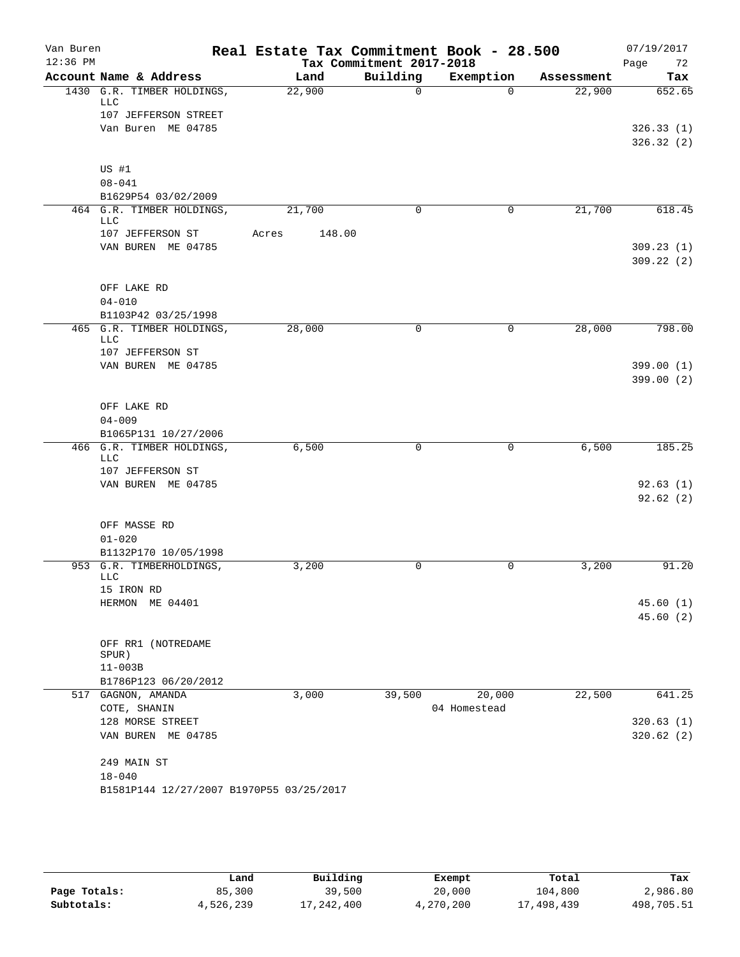| Van Buren<br>$12:36$ PM |                                                  | Real Estate Tax Commitment Book - 28.500 |                                      |              |            | 07/19/2017             |
|-------------------------|--------------------------------------------------|------------------------------------------|--------------------------------------|--------------|------------|------------------------|
|                         | Account Name & Address                           | Land                                     | Tax Commitment 2017-2018<br>Building | Exemption    | Assessment | 72<br>Page<br>Tax      |
|                         | 1430 G.R. TIMBER HOLDINGS,                       | 22,900                                   | $\mathbf 0$                          | $\Omega$     | 22,900     | 652.65                 |
|                         | LLC                                              |                                          |                                      |              |            |                        |
|                         | 107 JEFFERSON STREET                             |                                          |                                      |              |            |                        |
|                         | Van Buren ME 04785                               |                                          |                                      |              |            | 326.33(1)<br>326.32(2) |
|                         |                                                  |                                          |                                      |              |            |                        |
|                         | US #1                                            |                                          |                                      |              |            |                        |
|                         | $08 - 041$                                       |                                          |                                      |              |            |                        |
|                         | B1629P54 03/02/2009<br>464 G.R. TIMBER HOLDINGS, | 21,700                                   | 0                                    | 0            | 21,700     | 618.45                 |
|                         | LLC                                              |                                          |                                      |              |            |                        |
|                         | 107 JEFFERSON ST                                 | 148.00<br>Acres                          |                                      |              |            |                        |
|                         | VAN BUREN ME 04785                               |                                          |                                      |              |            | 309.23(1)<br>309.22(2) |
|                         | OFF LAKE RD                                      |                                          |                                      |              |            |                        |
|                         | $04 - 010$                                       |                                          |                                      |              |            |                        |
|                         | B1103P42 03/25/1998                              |                                          |                                      |              |            |                        |
|                         | 465 G.R. TIMBER HOLDINGS,<br>LLC                 | 28,000                                   | $\mathbf 0$                          | 0            | 28,000     | 798.00                 |
|                         | 107 JEFFERSON ST                                 |                                          |                                      |              |            |                        |
|                         | VAN BUREN ME 04785                               |                                          |                                      |              |            | 399.00(1)              |
|                         |                                                  |                                          |                                      |              |            | 399.00(2)              |
|                         | OFF LAKE RD                                      |                                          |                                      |              |            |                        |
|                         | $04 - 009$                                       |                                          |                                      |              |            |                        |
|                         | B1065P131 10/27/2006                             |                                          |                                      |              |            |                        |
|                         | 466 G.R. TIMBER HOLDINGS,<br>LLC                 | 6,500                                    | $\mathbf 0$                          | 0            | 6,500      | 185.25                 |
|                         | 107 JEFFERSON ST                                 |                                          |                                      |              |            |                        |
|                         | VAN BUREN ME 04785                               |                                          |                                      |              |            | 92.63(1)               |
|                         |                                                  |                                          |                                      |              |            | 92.62(2)               |
|                         | OFF MASSE RD                                     |                                          |                                      |              |            |                        |
|                         | $01 - 020$                                       |                                          |                                      |              |            |                        |
|                         | B1132P170 10/05/1998                             |                                          |                                      |              |            |                        |
|                         | 953 G.R. TIMBERHOLDINGS,<br><b>LLC</b>           | 3,200                                    | 0                                    | 0            | 3,200      | 91.20                  |
|                         | 15 IRON RD                                       |                                          |                                      |              |            |                        |
|                         | HERMON ME 04401                                  |                                          |                                      |              |            | 45.60 (1)              |
|                         |                                                  |                                          |                                      |              |            | 45.60(2)               |
|                         | OFF RR1 (NOTREDAME                               |                                          |                                      |              |            |                        |
|                         | SPUR)                                            |                                          |                                      |              |            |                        |
|                         | $11 - 003B$                                      |                                          |                                      |              |            |                        |
|                         | B1786P123 06/20/2012<br>517 GAGNON, AMANDA       | 3,000                                    | 39,500                               | 20,000       | 22,500     | 641.25                 |
|                         | COTE, SHANIN                                     |                                          |                                      | 04 Homestead |            |                        |
|                         | 128 MORSE STREET                                 |                                          |                                      |              |            | 320.63(1)              |
|                         | VAN BUREN ME 04785                               |                                          |                                      |              |            | 320.62(2)              |
|                         | 249 MAIN ST                                      |                                          |                                      |              |            |                        |
|                         | $18 - 040$                                       |                                          |                                      |              |            |                        |
|                         | B1581P144 12/27/2007 B1970P55 03/25/2017         |                                          |                                      |              |            |                        |
|                         |                                                  |                                          |                                      |              |            |                        |

|              | Land      | Building   | Exempt    | Total      | Tax        |
|--------------|-----------|------------|-----------|------------|------------|
| Page Totals: | 85,300    | 39,500     | 20,000    | 104,800    | 2,986.80   |
| Subtotals:   | 4,526,239 | 17,242,400 | 4,270,200 | 17,498,439 | 498,705.51 |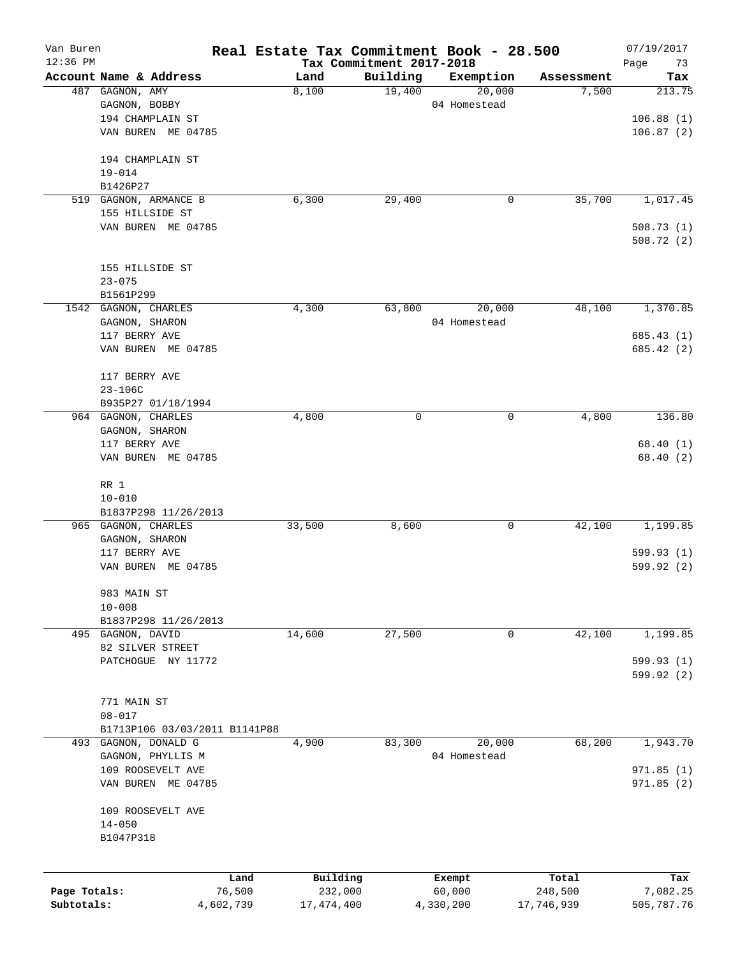| Van Buren                  |                                                       |                     |                         |                                      | Real Estate Tax Commitment Book - 28.500 |                       | 07/19/2017             |
|----------------------------|-------------------------------------------------------|---------------------|-------------------------|--------------------------------------|------------------------------------------|-----------------------|------------------------|
| $12:36$ PM                 | Account Name & Address                                |                     |                         | Tax Commitment 2017-2018<br>Building |                                          |                       | Page<br>73             |
|                            | 487 GAGNON, AMY                                       |                     | Land<br>8,100           | 19,400                               | Exemption<br>20,000                      | Assessment<br>7,500   | Tax<br>213.75          |
|                            | GAGNON, BOBBY                                         |                     |                         |                                      | 04 Homestead                             |                       |                        |
|                            | 194 CHAMPLAIN ST                                      |                     |                         |                                      |                                          |                       | 106.88(1)              |
|                            | VAN BUREN ME 04785                                    |                     |                         |                                      |                                          |                       | 106.87(2)              |
|                            |                                                       |                     |                         |                                      |                                          |                       |                        |
|                            | 194 CHAMPLAIN ST                                      |                     |                         |                                      |                                          |                       |                        |
|                            | $19 - 014$                                            |                     |                         |                                      |                                          |                       |                        |
|                            | B1426P27                                              |                     |                         |                                      |                                          |                       |                        |
|                            | 519 GAGNON, ARMANCE B                                 |                     | 6,300                   | 29,400                               | 0                                        | 35,700                | 1,017.45               |
|                            | 155 HILLSIDE ST                                       |                     |                         |                                      |                                          |                       |                        |
|                            | VAN BUREN ME 04785                                    |                     |                         |                                      |                                          |                       | 508.73(1)<br>508.72(2) |
|                            |                                                       |                     |                         |                                      |                                          |                       |                        |
|                            | 155 HILLSIDE ST                                       |                     |                         |                                      |                                          |                       |                        |
|                            | $23 - 075$                                            |                     |                         |                                      |                                          |                       |                        |
|                            | B1561P299                                             |                     |                         |                                      |                                          |                       |                        |
|                            | 1542 GAGNON, CHARLES                                  |                     | 4,300                   | 63,800                               | 20,000                                   | 48,100                | 1,370.85               |
|                            | GAGNON, SHARON                                        |                     |                         |                                      | 04 Homestead                             |                       |                        |
|                            | 117 BERRY AVE                                         |                     |                         |                                      |                                          |                       | 685.43 (1)             |
|                            | VAN BUREN ME 04785                                    |                     |                         |                                      |                                          |                       | 685.42 (2)             |
|                            |                                                       |                     |                         |                                      |                                          |                       |                        |
|                            | 117 BERRY AVE                                         |                     |                         |                                      |                                          |                       |                        |
|                            | $23 - 106C$                                           |                     |                         |                                      |                                          |                       |                        |
|                            | B935P27 01/18/1994                                    |                     |                         |                                      |                                          |                       |                        |
|                            | 964 GAGNON, CHARLES                                   |                     | 4,800                   | 0                                    | 0                                        | 4,800                 | 136.80                 |
|                            | GAGNON, SHARON<br>117 BERRY AVE                       |                     |                         |                                      |                                          |                       | 68.40(1)               |
|                            | VAN BUREN ME 04785                                    |                     |                         |                                      |                                          |                       | 68.40 (2)              |
|                            |                                                       |                     |                         |                                      |                                          |                       |                        |
|                            | RR 1                                                  |                     |                         |                                      |                                          |                       |                        |
|                            | $10 - 010$                                            |                     |                         |                                      |                                          |                       |                        |
|                            | B1837P298 11/26/2013                                  |                     |                         |                                      |                                          |                       |                        |
|                            | 965 GAGNON, CHARLES                                   |                     | 33,500                  | 8,600                                | 0                                        | 42,100                | 1,199.85               |
|                            | GAGNON, SHARON                                        |                     |                         |                                      |                                          |                       |                        |
|                            | 117 BERRY AVE                                         |                     |                         |                                      |                                          |                       | 599.93(1)              |
|                            | VAN BUREN ME 04785                                    |                     |                         |                                      |                                          |                       | 599.92 (2)             |
|                            | 983 MAIN ST                                           |                     |                         |                                      |                                          |                       |                        |
|                            | $10 - 008$                                            |                     |                         |                                      |                                          |                       |                        |
|                            | B1837P298 11/26/2013                                  |                     |                         |                                      |                                          |                       |                        |
|                            | 495 GAGNON, DAVID                                     |                     | 14,600                  | 27,500                               | 0                                        | 42,100                | 1,199.85               |
|                            | 82 SILVER STREET                                      |                     |                         |                                      |                                          |                       |                        |
|                            | PATCHOGUE NY 11772                                    |                     |                         |                                      |                                          |                       | 599.93 (1)             |
|                            |                                                       |                     |                         |                                      |                                          |                       | 599.92 (2)             |
|                            |                                                       |                     |                         |                                      |                                          |                       |                        |
|                            | 771 MAIN ST                                           |                     |                         |                                      |                                          |                       |                        |
|                            | $08 - 017$                                            |                     |                         |                                      |                                          |                       |                        |
|                            | B1713P106 03/03/2011 B1141P88<br>493 GAGNON, DONALD G |                     | 4,900                   | 83,300                               | 20,000                                   | 68,200                | 1,943.70               |
|                            | GAGNON, PHYLLIS M                                     |                     |                         |                                      | 04 Homestead                             |                       |                        |
|                            | 109 ROOSEVELT AVE                                     |                     |                         |                                      |                                          |                       | 971.85(1)              |
|                            | VAN BUREN ME 04785                                    |                     |                         |                                      |                                          |                       | 971.85 (2)             |
|                            |                                                       |                     |                         |                                      |                                          |                       |                        |
|                            | 109 ROOSEVELT AVE                                     |                     |                         |                                      |                                          |                       |                        |
|                            | $14 - 050$                                            |                     |                         |                                      |                                          |                       |                        |
|                            | B1047P318                                             |                     |                         |                                      |                                          |                       |                        |
|                            |                                                       |                     |                         |                                      |                                          |                       |                        |
|                            |                                                       | Land                | Building                |                                      | Exempt                                   | Total                 | Tax                    |
| Page Totals:<br>Subtotals: |                                                       | 76,500<br>4,602,739 | 232,000<br>17, 474, 400 |                                      | 60,000<br>4,330,200                      | 248,500<br>17,746,939 | 7,082.25<br>505,787.76 |
|                            |                                                       |                     |                         |                                      |                                          |                       |                        |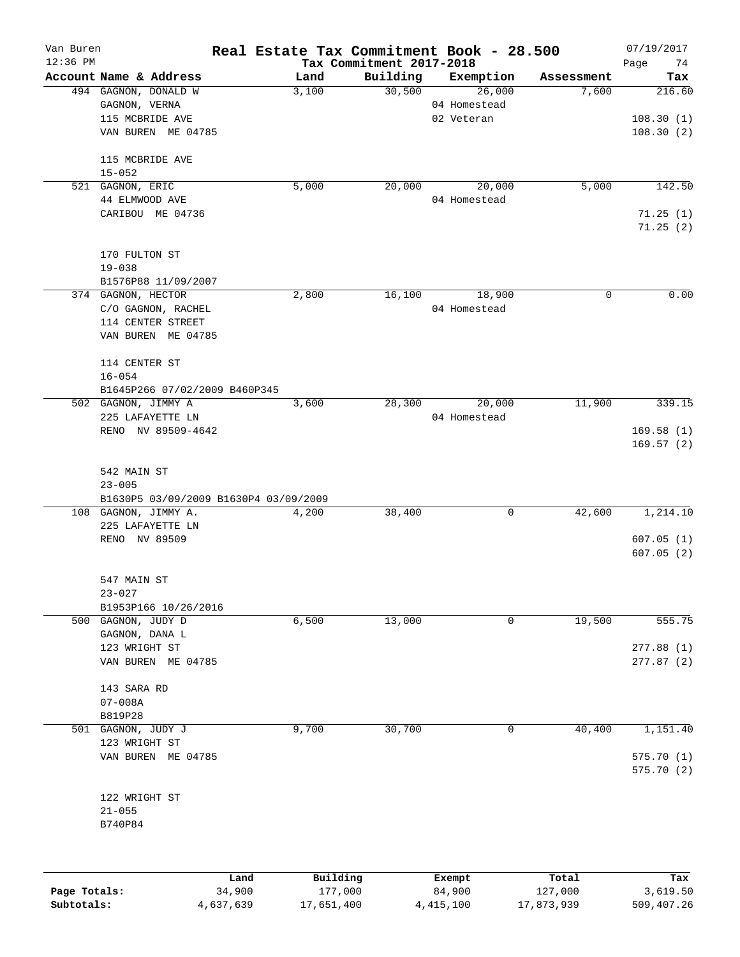| Van Buren    |                                           | Real Estate Tax Commitment Book - 28.500 |                                      |              |             | 07/19/2017             |
|--------------|-------------------------------------------|------------------------------------------|--------------------------------------|--------------|-------------|------------------------|
| $12:36$ PM   | Account Name & Address                    | Land                                     | Tax Commitment 2017-2018<br>Building | Exemption    | Assessment  | Page<br>74<br>Tax      |
|              | 494 GAGNON, DONALD W                      | 3,100                                    | 30,500                               | 26,000       | 7,600       | 216.60                 |
|              | GAGNON, VERNA                             |                                          |                                      | 04 Homestead |             |                        |
|              | 115 MCBRIDE AVE                           |                                          |                                      | 02 Veteran   |             | 108.30(1)              |
|              | VAN BUREN ME 04785                        |                                          |                                      |              |             | 108.30(2)              |
|              |                                           |                                          |                                      |              |             |                        |
|              | 115 MCBRIDE AVE                           |                                          |                                      |              |             |                        |
|              | $15 - 052$<br>521 GAGNON, ERIC            | 5,000                                    | 20,000                               | 20,000       | 5,000       | 142.50                 |
|              | 44 ELMWOOD AVE                            |                                          |                                      | 04 Homestead |             |                        |
|              | CARIBOU ME 04736                          |                                          |                                      |              |             | 71.25(1)               |
|              |                                           |                                          |                                      |              |             | 71.25(2)               |
|              |                                           |                                          |                                      |              |             |                        |
|              | 170 FULTON ST                             |                                          |                                      |              |             |                        |
|              | $19 - 038$                                |                                          |                                      |              |             |                        |
|              | B1576P88 11/09/2007<br>374 GAGNON, HECTOR | 2,800                                    | 16,100                               | 18,900       | $\mathbf 0$ | 0.00                   |
|              | C/O GAGNON, RACHEL                        |                                          |                                      | 04 Homestead |             |                        |
|              | 114 CENTER STREET                         |                                          |                                      |              |             |                        |
|              | VAN BUREN ME 04785                        |                                          |                                      |              |             |                        |
|              |                                           |                                          |                                      |              |             |                        |
|              | 114 CENTER ST                             |                                          |                                      |              |             |                        |
|              | $16 - 054$                                |                                          |                                      |              |             |                        |
|              | B1645P266 07/02/2009 B460P345             |                                          |                                      |              |             |                        |
|              | 502 GAGNON, JIMMY A                       | 3,600                                    | 28,300                               | 20,000       | 11,900      | 339.15                 |
|              | 225 LAFAYETTE LN                          |                                          |                                      | 04 Homestead |             |                        |
|              | RENO NV 89509-4642                        |                                          |                                      |              |             | 169.58(1)<br>169.57(2) |
|              |                                           |                                          |                                      |              |             |                        |
|              | 542 MAIN ST                               |                                          |                                      |              |             |                        |
|              | $23 - 005$                                |                                          |                                      |              |             |                        |
|              | B1630P5 03/09/2009 B1630P4 03/09/2009     |                                          |                                      |              |             |                        |
|              | 108 GAGNON, JIMMY A.                      | 4,200                                    | 38,400                               | 0            | 42,600      | 1,214.10               |
|              | 225 LAFAYETTE LN                          |                                          |                                      |              |             |                        |
|              | RENO NV 89509                             |                                          |                                      |              |             | 607.05(1)              |
|              |                                           |                                          |                                      |              |             | 607.05(2)              |
|              |                                           |                                          |                                      |              |             |                        |
|              | 547 MAIN ST                               |                                          |                                      |              |             |                        |
|              | $23 - 027$<br>B1953P166 10/26/2016        |                                          |                                      |              |             |                        |
|              | 500 GAGNON, JUDY D                        | 6,500                                    | 13,000                               | 0            | 19,500      | 555.75                 |
|              | GAGNON, DANA L                            |                                          |                                      |              |             |                        |
|              | 123 WRIGHT ST                             |                                          |                                      |              |             | 277.88(1)              |
|              | VAN BUREN ME 04785                        |                                          |                                      |              |             | 277.87 (2)             |
|              |                                           |                                          |                                      |              |             |                        |
|              | 143 SARA RD                               |                                          |                                      |              |             |                        |
|              | $07 - 008A$                               |                                          |                                      |              |             |                        |
|              | B819P28                                   |                                          |                                      |              |             |                        |
| 501          | GAGNON, JUDY J                            | 9,700                                    | 30,700                               | 0            | 40,400      | 1,151.40               |
|              | 123 WRIGHT ST                             |                                          |                                      |              |             |                        |
|              | VAN BUREN ME 04785                        |                                          |                                      |              |             | 575.70(1)              |
|              |                                           |                                          |                                      |              |             | 575.70 (2)             |
|              | 122 WRIGHT ST                             |                                          |                                      |              |             |                        |
|              | $21 - 055$                                |                                          |                                      |              |             |                        |
|              | B740P84                                   |                                          |                                      |              |             |                        |
|              |                                           |                                          |                                      |              |             |                        |
|              |                                           |                                          |                                      |              |             |                        |
|              | Land                                      | Building                                 |                                      | Exempt       | Total       | Tax                    |
| Page Totals: | 34,900                                    | 177,000                                  |                                      | 84,900       | 127,000     | 3,619.50               |

**Subtotals:** 4,637,639 17,651,400 4,415,100 17,873,939 509,407.26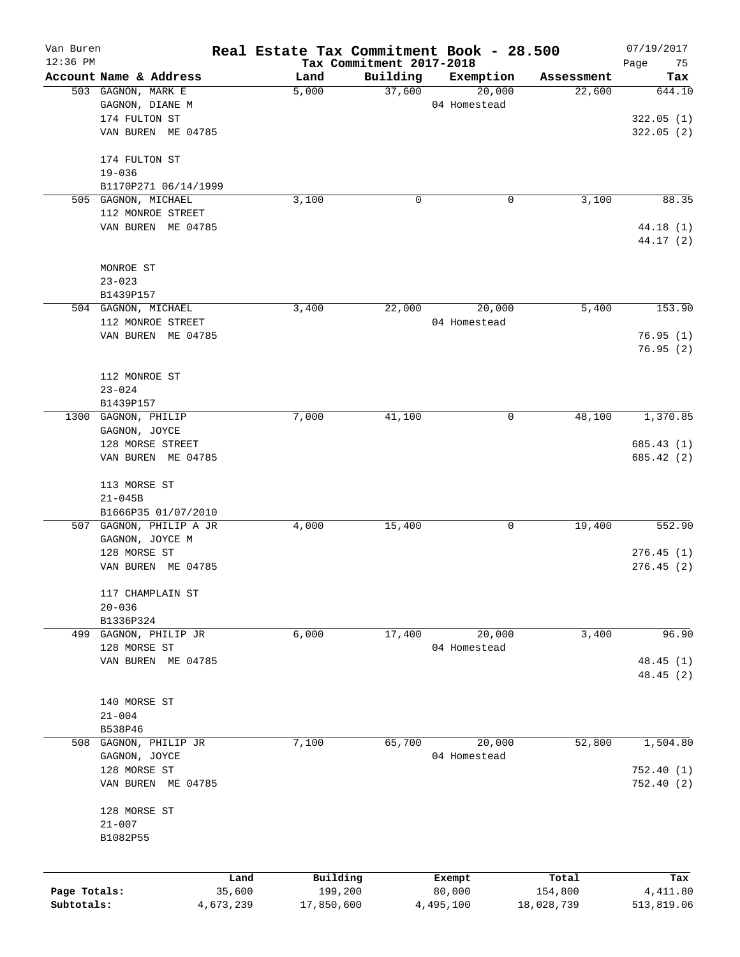| Van Buren    |                                      |           | Real Estate Tax Commitment Book - 28.500 |                                      |              |            | 07/19/2017             |
|--------------|--------------------------------------|-----------|------------------------------------------|--------------------------------------|--------------|------------|------------------------|
| 12:36 PM     | Account Name & Address               |           | Land                                     | Tax Commitment 2017-2018<br>Building | Exemption    | Assessment | Page<br>75<br>Tax      |
|              | 503 GAGNON, MARK E                   |           | 5,000                                    | 37,600                               | 20,000       | 22,600     | 644.10                 |
|              | GAGNON, DIANE M                      |           |                                          |                                      | 04 Homestead |            |                        |
|              | 174 FULTON ST                        |           |                                          |                                      |              |            | 322.05(1)              |
|              | VAN BUREN ME 04785                   |           |                                          |                                      |              |            | 322.05(2)              |
|              | 174 FULTON ST                        |           |                                          |                                      |              |            |                        |
|              | $19 - 036$                           |           |                                          |                                      |              |            |                        |
|              | B1170P271 06/14/1999                 |           |                                          |                                      |              |            |                        |
|              | 505 GAGNON, MICHAEL                  |           | 3,100                                    | 0                                    | 0            | 3,100      | 88.35                  |
|              | 112 MONROE STREET                    |           |                                          |                                      |              |            |                        |
|              | VAN BUREN ME 04785                   |           |                                          |                                      |              |            | 44.18 (1)<br>44.17 (2) |
|              | MONROE ST                            |           |                                          |                                      |              |            |                        |
|              | $23 - 023$                           |           |                                          |                                      |              |            |                        |
|              | B1439P157                            |           |                                          |                                      |              |            |                        |
|              | 504 GAGNON, MICHAEL                  |           | 3,400                                    | 22,000                               | 20,000       | 5,400      | 153.90                 |
|              | 112 MONROE STREET                    |           |                                          |                                      | 04 Homestead |            |                        |
|              | VAN BUREN ME 04785                   |           |                                          |                                      |              |            | 76.95(1)               |
|              |                                      |           |                                          |                                      |              |            | 76.95(2)               |
|              |                                      |           |                                          |                                      |              |            |                        |
|              | 112 MONROE ST                        |           |                                          |                                      |              |            |                        |
|              | $23 - 024$                           |           |                                          |                                      |              |            |                        |
|              | B1439P157                            |           |                                          |                                      | 0            | 48,100     |                        |
|              | 1300 GAGNON, PHILIP<br>GAGNON, JOYCE |           | 7,000                                    | 41,100                               |              |            | 1,370.85               |
|              | 128 MORSE STREET                     |           |                                          |                                      |              |            | 685.43(1)              |
|              | VAN BUREN ME 04785                   |           |                                          |                                      |              |            | 685.42 (2)             |
|              |                                      |           |                                          |                                      |              |            |                        |
|              | 113 MORSE ST                         |           |                                          |                                      |              |            |                        |
|              | $21 - 045B$                          |           |                                          |                                      |              |            |                        |
|              | B1666P35 01/07/2010                  |           |                                          |                                      |              |            |                        |
|              | 507 GAGNON, PHILIP A JR              |           | 4,000                                    | 15,400                               | 0            | 19,400     | 552.90                 |
|              | GAGNON, JOYCE M                      |           |                                          |                                      |              |            |                        |
|              | 128 MORSE ST                         |           |                                          |                                      |              |            | 276.45(1)              |
|              | VAN BUREN ME 04785                   |           |                                          |                                      |              |            | 276.45(2)              |
|              | 117 CHAMPLAIN ST                     |           |                                          |                                      |              |            |                        |
|              | $20 - 036$                           |           |                                          |                                      |              |            |                        |
|              | B1336P324                            |           |                                          |                                      |              |            |                        |
| 499          | GAGNON, PHILIP JR                    |           | 6,000                                    | 17,400                               | 20,000       | 3,400      | 96.90                  |
|              | 128 MORSE ST                         |           |                                          |                                      | 04 Homestead |            |                        |
|              | VAN BUREN ME 04785                   |           |                                          |                                      |              |            | 48.45(1)               |
|              |                                      |           |                                          |                                      |              |            | 48.45 (2)              |
|              | 140 MORSE ST                         |           |                                          |                                      |              |            |                        |
|              | $21 - 004$                           |           |                                          |                                      |              |            |                        |
|              | B538P46                              |           |                                          |                                      |              |            |                        |
| 508          | GAGNON, PHILIP JR                    |           | 7,100                                    | 65,700                               | 20,000       | 52,800     | 1,504.80               |
|              | GAGNON, JOYCE                        |           |                                          |                                      | 04 Homestead |            |                        |
|              | 128 MORSE ST                         |           |                                          |                                      |              |            | 752.40(1)              |
|              | VAN BUREN ME 04785                   |           |                                          |                                      |              |            | 752.40(2)              |
|              |                                      |           |                                          |                                      |              |            |                        |
|              | 128 MORSE ST                         |           |                                          |                                      |              |            |                        |
|              | $21 - 007$                           |           |                                          |                                      |              |            |                        |
|              | B1082P55                             |           |                                          |                                      |              |            |                        |
|              |                                      |           |                                          |                                      |              |            |                        |
|              |                                      | Land      | Building                                 |                                      | Exempt       | Total      | Tax                    |
| Page Totals: |                                      | 35,600    | 199,200                                  |                                      | 80,000       | 154,800    | 4,411.80               |
| Subtotals:   |                                      | 4,673,239 | 17,850,600                               |                                      | 4,495,100    | 18,028,739 | 513,819.06             |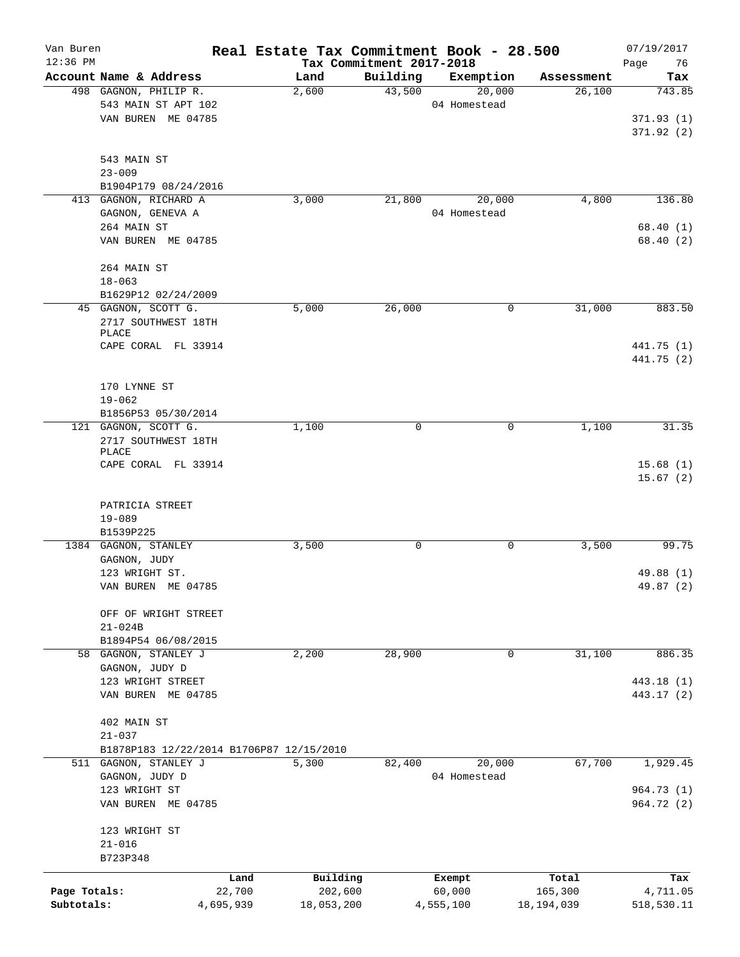| Van Buren    |                                             |           | Real Estate Tax Commitment Book - 28.500 |                          |              |              | 07/19/2017 |
|--------------|---------------------------------------------|-----------|------------------------------------------|--------------------------|--------------|--------------|------------|
| $12:36$ PM   |                                             |           |                                          | Tax Commitment 2017-2018 |              |              | 76<br>Page |
|              | Account Name & Address                      |           | Land                                     | Building                 | Exemption    | Assessment   | Tax        |
|              | 498 GAGNON, PHILIP R.                       |           | 2,600                                    | 43,500                   | 20,000       | 26,100       | 743.85     |
|              | 543 MAIN ST APT 102                         |           |                                          |                          | 04 Homestead |              |            |
|              | VAN BUREN ME 04785                          |           |                                          |                          |              |              | 371.93(1)  |
|              |                                             |           |                                          |                          |              |              | 371.92(2)  |
|              |                                             |           |                                          |                          |              |              |            |
|              | 543 MAIN ST                                 |           |                                          |                          |              |              |            |
|              | $23 - 009$                                  |           |                                          |                          |              |              |            |
|              | B1904P179 08/24/2016                        |           |                                          |                          |              |              |            |
|              | 413 GAGNON, RICHARD A                       |           | 3,000                                    | 21,800                   | 20,000       | 4,800        | 136.80     |
|              | GAGNON, GENEVA A                            |           |                                          |                          | 04 Homestead |              |            |
|              | 264 MAIN ST                                 |           |                                          |                          |              |              | 68.40(1)   |
|              | VAN BUREN ME 04785                          |           |                                          |                          |              |              | 68.40(2)   |
|              |                                             |           |                                          |                          |              |              |            |
|              | 264 MAIN ST                                 |           |                                          |                          |              |              |            |
|              | $18 - 063$                                  |           |                                          |                          |              |              |            |
|              | B1629P12 02/24/2009                         |           |                                          |                          |              |              |            |
|              | 45 GAGNON, SCOTT G.                         |           | 5,000                                    | 26,000                   | 0            | 31,000       | 883.50     |
|              | 2717 SOUTHWEST 18TH<br>PLACE                |           |                                          |                          |              |              |            |
|              | CAPE CORAL FL 33914                         |           |                                          |                          |              |              | 441.75 (1) |
|              |                                             |           |                                          |                          |              |              | 441.75 (2) |
|              |                                             |           |                                          |                          |              |              |            |
|              |                                             |           |                                          |                          |              |              |            |
|              | 170 LYNNE ST                                |           |                                          |                          |              |              |            |
|              | $19 - 062$                                  |           |                                          |                          |              |              |            |
|              | B1856P53 05/30/2014<br>121 GAGNON, SCOTT G. |           |                                          | 0                        | 0            | 1,100        | 31.35      |
|              |                                             |           | 1,100                                    |                          |              |              |            |
|              | 2717 SOUTHWEST 18TH<br>PLACE                |           |                                          |                          |              |              |            |
|              | CAPE CORAL FL 33914                         |           |                                          |                          |              |              | 15.68(1)   |
|              |                                             |           |                                          |                          |              |              | 15.67(2)   |
|              |                                             |           |                                          |                          |              |              |            |
|              | PATRICIA STREET                             |           |                                          |                          |              |              |            |
|              | $19 - 089$                                  |           |                                          |                          |              |              |            |
|              | B1539P225                                   |           |                                          |                          |              |              |            |
|              | 1384 GAGNON, STANLEY                        |           | 3,500                                    | 0                        | 0            | 3,500        | 99.75      |
|              | GAGNON, JUDY                                |           |                                          |                          |              |              |            |
|              | 123 WRIGHT ST.                              |           |                                          |                          |              |              | 49.88 (1)  |
|              | VAN BUREN ME 04785                          |           |                                          |                          |              |              | 49.87 (2)  |
|              |                                             |           |                                          |                          |              |              |            |
|              | OFF OF WRIGHT STREET                        |           |                                          |                          |              |              |            |
|              | $21 - 024B$                                 |           |                                          |                          |              |              |            |
|              | B1894P54 06/08/2015                         |           |                                          |                          |              |              |            |
|              | 58 GAGNON, STANLEY J                        |           | 2,200                                    | 28,900                   | 0            | 31,100       | 886.35     |
|              | GAGNON, JUDY D                              |           |                                          |                          |              |              |            |
|              | 123 WRIGHT STREET                           |           |                                          |                          |              |              | 443.18 (1) |
|              | VAN BUREN ME 04785                          |           |                                          |                          |              |              | 443.17 (2) |
|              |                                             |           |                                          |                          |              |              |            |
|              | 402 MAIN ST                                 |           |                                          |                          |              |              |            |
|              | $21 - 037$                                  |           |                                          |                          |              |              |            |
|              |                                             |           | B1878P183 12/22/2014 B1706P87 12/15/2010 |                          |              |              |            |
|              | 511 GAGNON, STANLEY J                       |           | 5,300                                    | 82,400                   | 20,000       | 67,700       | 1,929.45   |
|              | GAGNON, JUDY D                              |           |                                          |                          | 04 Homestead |              |            |
|              | 123 WRIGHT ST                               |           |                                          |                          |              |              | 964.73 (1) |
|              | VAN BUREN ME 04785                          |           |                                          |                          |              |              | 964.72 (2) |
|              |                                             |           |                                          |                          |              |              |            |
|              | 123 WRIGHT ST                               |           |                                          |                          |              |              |            |
|              | $21 - 016$                                  |           |                                          |                          |              |              |            |
|              | B723P348                                    |           |                                          |                          |              |              |            |
|              |                                             |           |                                          |                          |              |              |            |
|              |                                             | Land      | Building                                 |                          | Exempt       | Total        | Tax        |
| Page Totals: |                                             | 22,700    | 202,600                                  |                          | 60,000       | 165,300      | 4,711.05   |
| Subtotals:   |                                             | 4,695,939 | 18,053,200                               |                          | 4,555,100    | 18, 194, 039 | 518,530.11 |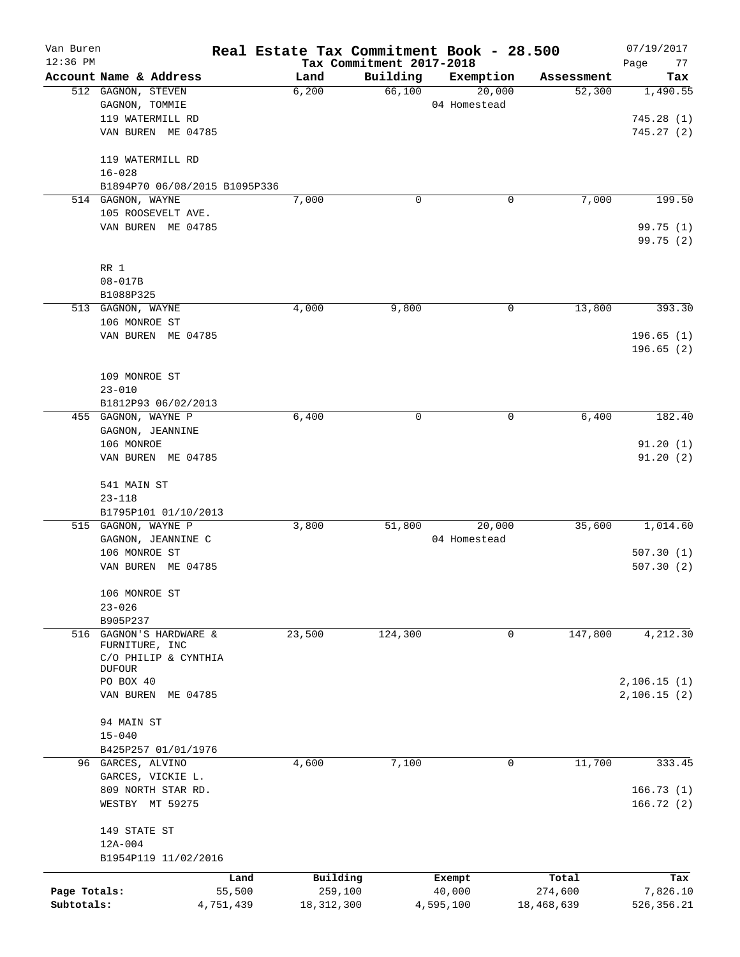| Van Buren    |                                              | Real Estate Tax Commitment Book - 28.500 |                          |                        |                      | 07/19/2017      |
|--------------|----------------------------------------------|------------------------------------------|--------------------------|------------------------|----------------------|-----------------|
| $12:36$ PM   |                                              |                                          | Tax Commitment 2017-2018 |                        |                      | 77<br>Page      |
|              | Account Name & Address<br>512 GAGNON, STEVEN | Land<br>6,200                            | Building<br>66,100       | Exemption<br>20,000    | Assessment<br>52,300 | Tax<br>1,490.55 |
|              | GAGNON, TOMMIE                               |                                          |                          | 04 Homestead           |                      |                 |
|              | 119 WATERMILL RD                             |                                          |                          |                        |                      | 745.28(1)       |
|              | VAN BUREN ME 04785                           |                                          |                          |                        |                      | 745.27(2)       |
|              |                                              |                                          |                          |                        |                      |                 |
|              | 119 WATERMILL RD                             |                                          |                          |                        |                      |                 |
|              | $16 - 028$                                   |                                          |                          |                        |                      |                 |
|              | B1894P70 06/08/2015 B1095P336                |                                          |                          |                        |                      |                 |
|              | 514 GAGNON, WAYNE                            | 7,000                                    | $\mathbf 0$              | 0                      | 7,000                | 199.50          |
|              | 105 ROOSEVELT AVE.                           |                                          |                          |                        |                      |                 |
|              | VAN BUREN ME 04785                           |                                          |                          |                        |                      | 99.75 (1)       |
|              |                                              |                                          |                          |                        |                      | 99.75 (2)       |
|              |                                              |                                          |                          |                        |                      |                 |
|              | RR 1                                         |                                          |                          |                        |                      |                 |
|              | $08 - 017B$                                  |                                          |                          |                        |                      |                 |
|              | B1088P325<br>513 GAGNON, WAYNE               | 4,000                                    | 9,800                    | 0                      | 13,800               | 393.30          |
|              | 106 MONROE ST                                |                                          |                          |                        |                      |                 |
|              | VAN BUREN ME 04785                           |                                          |                          |                        |                      | 196.65(1)       |
|              |                                              |                                          |                          |                        |                      | 196.65(2)       |
|              |                                              |                                          |                          |                        |                      |                 |
|              | 109 MONROE ST                                |                                          |                          |                        |                      |                 |
|              | $23 - 010$                                   |                                          |                          |                        |                      |                 |
|              | B1812P93 06/02/2013                          |                                          |                          |                        |                      |                 |
|              | 455 GAGNON, WAYNE P                          | 6,400                                    | 0                        | 0                      | 6,400                | 182.40          |
|              | GAGNON, JEANNINE                             |                                          |                          |                        |                      |                 |
|              | 106 MONROE                                   |                                          |                          |                        |                      | 91.20(1)        |
|              | VAN BUREN ME 04785                           |                                          |                          |                        |                      | 91.20(2)        |
|              |                                              |                                          |                          |                        |                      |                 |
|              | 541 MAIN ST                                  |                                          |                          |                        |                      |                 |
|              | $23 - 118$                                   |                                          |                          |                        |                      |                 |
|              | B1795P101 01/10/2013<br>GAGNON, WAYNE P      |                                          |                          |                        |                      |                 |
| 515          | GAGNON, JEANNINE C                           | 3,800                                    | 51,800                   | 20,000<br>04 Homestead | 35,600               | 1,014.60        |
|              | 106 MONROE ST                                |                                          |                          |                        |                      | 507.30(1)       |
|              | VAN BUREN ME 04785                           |                                          |                          |                        |                      | 507.30(2)       |
|              |                                              |                                          |                          |                        |                      |                 |
|              | 106 MONROE ST                                |                                          |                          |                        |                      |                 |
|              | $23 - 026$                                   |                                          |                          |                        |                      |                 |
|              | B905P237                                     |                                          |                          |                        |                      |                 |
| 516          | GAGNON'S HARDWARE &                          | 23,500                                   | 124,300                  | 0                      | 147,800              | 4,212.30        |
|              | FURNITURE, INC                               |                                          |                          |                        |                      |                 |
|              | C/O PHILIP & CYNTHIA<br><b>DUFOUR</b>        |                                          |                          |                        |                      |                 |
|              | PO BOX 40                                    |                                          |                          |                        |                      | 2,106.15(1)     |
|              | VAN BUREN ME 04785                           |                                          |                          |                        |                      | 2,106.15(2)     |
|              |                                              |                                          |                          |                        |                      |                 |
|              | 94 MAIN ST                                   |                                          |                          |                        |                      |                 |
|              | $15 - 040$                                   |                                          |                          |                        |                      |                 |
|              | B425P257 01/01/1976                          |                                          |                          |                        |                      |                 |
|              | 96 GARCES, ALVINO                            | 4,600                                    | 7,100                    | 0                      | 11,700               | 333.45          |
|              | GARCES, VICKIE L.                            |                                          |                          |                        |                      |                 |
|              | 809 NORTH STAR RD.                           |                                          |                          |                        |                      | 166.73(1)       |
|              | WESTBY MT 59275                              |                                          |                          |                        |                      | 166.72(2)       |
|              | 149 STATE ST                                 |                                          |                          |                        |                      |                 |
|              | $12A-004$                                    |                                          |                          |                        |                      |                 |
|              | B1954P119 11/02/2016                         |                                          |                          |                        |                      |                 |
|              |                                              |                                          |                          |                        |                      |                 |
| Page Totals: |                                              | Building<br>Land<br>55,500               | 259,100                  | Exempt<br>40,000       | Total<br>274,600     | Tax<br>7,826.10 |
| Subtotals:   | 4,751,439                                    | 18, 312, 300                             |                          | 4,595,100              | 18,468,639           | 526,356.21      |
|              |                                              |                                          |                          |                        |                      |                 |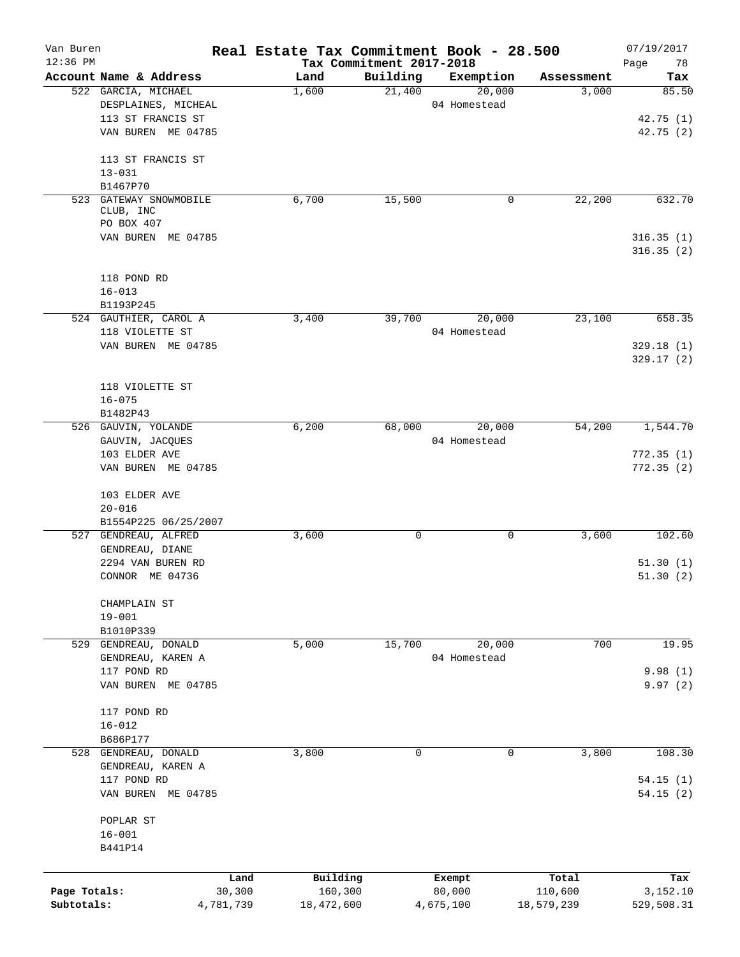| Van Buren    |                                        | Real Estate Tax Commitment Book - 28.500 |                                      |                        |                     | 07/19/2017        |
|--------------|----------------------------------------|------------------------------------------|--------------------------------------|------------------------|---------------------|-------------------|
| $12:36$ PM   | Account Name & Address                 | Land                                     | Tax Commitment 2017-2018<br>Building | Exemption              |                     | Page<br>78<br>Tax |
|              | 522 GARCIA, MICHAEL                    | 1,600                                    | 21,400                               | 20,000                 | Assessment<br>3,000 | 85.50             |
|              | DESPLAINES, MICHEAL                    |                                          |                                      | 04 Homestead           |                     |                   |
|              | 113 ST FRANCIS ST                      |                                          |                                      |                        |                     | 42.75 (1)         |
|              | VAN BUREN ME 04785                     |                                          |                                      |                        |                     | 42.75(2)          |
|              | 113 ST FRANCIS ST                      |                                          |                                      |                        |                     |                   |
|              | $13 - 031$                             |                                          |                                      |                        |                     |                   |
|              | B1467P70                               |                                          |                                      |                        |                     |                   |
|              | 523 GATEWAY SNOWMOBILE                 | 6,700                                    | 15,500                               | 0                      | 22,200              | 632.70            |
|              | CLUB, INC                              |                                          |                                      |                        |                     |                   |
|              | PO BOX 407                             |                                          |                                      |                        |                     |                   |
|              | VAN BUREN ME 04785                     |                                          |                                      |                        |                     | 316.35(1)         |
|              |                                        |                                          |                                      |                        |                     | 316.35(2)         |
|              | 118 POND RD                            |                                          |                                      |                        |                     |                   |
|              | $16 - 013$                             |                                          |                                      |                        |                     |                   |
|              | B1193P245                              |                                          |                                      |                        |                     |                   |
|              | 524 GAUTHIER, CAROL A                  | 3,400                                    | 39,700                               | 20,000                 | 23,100              | 658.35            |
|              | 118 VIOLETTE ST                        |                                          |                                      | 04 Homestead           |                     |                   |
|              | VAN BUREN ME 04785                     |                                          |                                      |                        |                     | 329.18(1)         |
|              |                                        |                                          |                                      |                        |                     | 329.17(2)         |
|              |                                        |                                          |                                      |                        |                     |                   |
|              | 118 VIOLETTE ST                        |                                          |                                      |                        |                     |                   |
|              | $16 - 075$                             |                                          |                                      |                        |                     |                   |
|              | B1482P43                               | 6,200                                    |                                      |                        |                     | 1,544.70          |
|              | 526 GAUVIN, YOLANDE<br>GAUVIN, JACQUES |                                          | 68,000                               | 20,000<br>04 Homestead | 54,200              |                   |
|              | 103 ELDER AVE                          |                                          |                                      |                        |                     | 772.35(1)         |
|              | VAN BUREN ME 04785                     |                                          |                                      |                        |                     | 772.35(2)         |
|              |                                        |                                          |                                      |                        |                     |                   |
|              | 103 ELDER AVE                          |                                          |                                      |                        |                     |                   |
|              | $20 - 016$                             |                                          |                                      |                        |                     |                   |
|              | B1554P225 06/25/2007                   |                                          |                                      |                        |                     |                   |
|              | 527 GENDREAU, ALFRED                   | 3,600                                    | 0                                    | 0                      | 3,600               | 102.60            |
|              | GENDREAU, DIANE                        |                                          |                                      |                        |                     |                   |
|              | 2294 VAN BUREN RD                      |                                          |                                      |                        |                     | 51.30(1)          |
|              | CONNOR ME 04736                        |                                          |                                      |                        |                     | 51.30(2)          |
|              | CHAMPLAIN ST                           |                                          |                                      |                        |                     |                   |
|              | $19 - 001$                             |                                          |                                      |                        |                     |                   |
|              | B1010P339                              |                                          |                                      |                        |                     |                   |
|              | 529 GENDREAU, DONALD                   | 5,000                                    | 15,700                               | 20,000                 | 700                 | 19.95             |
|              | GENDREAU, KAREN A                      |                                          |                                      | 04 Homestead           |                     |                   |
|              | 117 POND RD                            |                                          |                                      |                        |                     | 9.98(1)           |
|              | VAN BUREN ME 04785                     |                                          |                                      |                        |                     | 9.97(2)           |
|              |                                        |                                          |                                      |                        |                     |                   |
|              | 117 POND RD<br>$16 - 012$              |                                          |                                      |                        |                     |                   |
|              | B686P177                               |                                          |                                      |                        |                     |                   |
|              | 528 GENDREAU, DONALD                   | 3,800                                    | 0                                    | 0                      | 3,800               | 108.30            |
|              | GENDREAU, KAREN A                      |                                          |                                      |                        |                     |                   |
|              | 117 POND RD                            |                                          |                                      |                        |                     | 54.15(1)          |
|              | VAN BUREN ME 04785                     |                                          |                                      |                        |                     | 54.15(2)          |
|              |                                        |                                          |                                      |                        |                     |                   |
|              | POPLAR ST                              |                                          |                                      |                        |                     |                   |
|              | $16 - 001$                             |                                          |                                      |                        |                     |                   |
|              | B441P14                                |                                          |                                      |                        |                     |                   |
|              |                                        | Land                                     | Building                             |                        | Total               | Tax               |
| Page Totals: |                                        | 30,300                                   | 160,300                              | Exempt<br>80,000       | 110,600             | 3,152.10          |
| Subtotals:   | 4,781,739                              | 18,472,600                               |                                      | 4,675,100              | 18,579,239          | 529,508.31        |
|              |                                        |                                          |                                      |                        |                     |                   |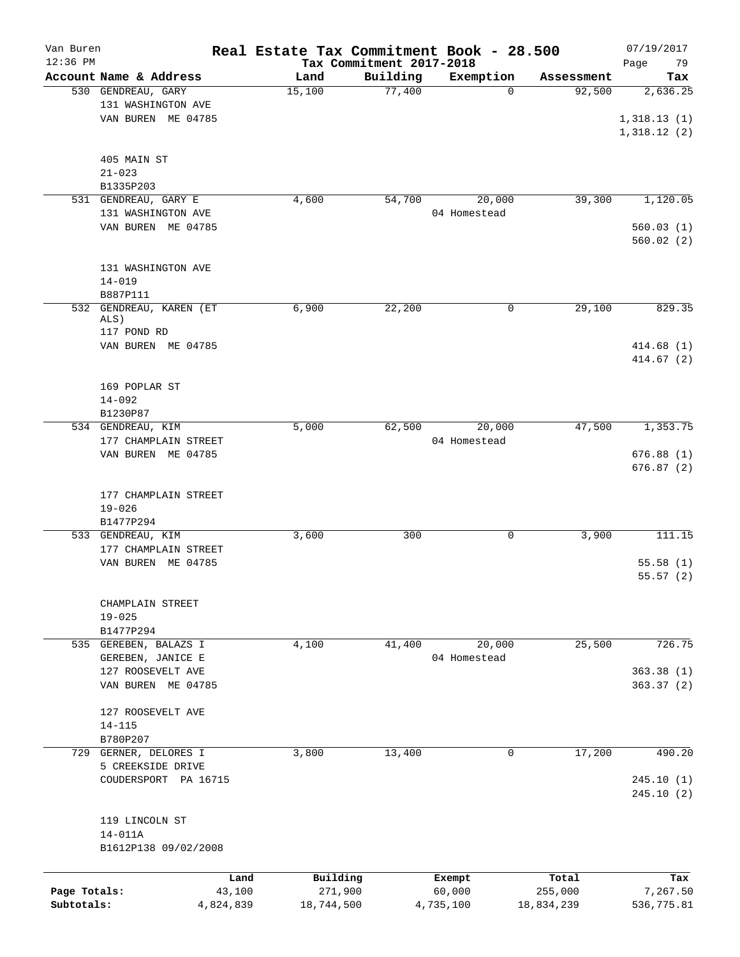| Van Buren    |                        | Real Estate Tax Commitment Book - 28.500 |                          |                       |                      | 07/19/2017      |
|--------------|------------------------|------------------------------------------|--------------------------|-----------------------|----------------------|-----------------|
| $12:36$ PM   | Account Name & Address | Land                                     | Tax Commitment 2017-2018 |                       |                      | 79<br>Page      |
|              | 530 GENDREAU, GARY     | 15,100                                   | Building<br>77,400       | Exemption<br>$\Omega$ | Assessment<br>92,500 | Tax<br>2,636.25 |
|              | 131 WASHINGTON AVE     |                                          |                          |                       |                      |                 |
|              | VAN BUREN ME 04785     |                                          |                          |                       |                      | 1,318.13(1)     |
|              |                        |                                          |                          |                       |                      | 1,318.12(2)     |
|              |                        |                                          |                          |                       |                      |                 |
|              |                        |                                          |                          |                       |                      |                 |
|              | 405 MAIN ST            |                                          |                          |                       |                      |                 |
|              | $21 - 023$             |                                          |                          |                       |                      |                 |
|              | B1335P203              |                                          |                          |                       |                      |                 |
|              | 531 GENDREAU, GARY E   | 4,600                                    | 54,700                   | 20,000                | 39,300               | 1,120.05        |
|              | 131 WASHINGTON AVE     |                                          |                          | 04 Homestead          |                      |                 |
|              | VAN BUREN ME 04785     |                                          |                          |                       |                      | 560.03(1)       |
|              |                        |                                          |                          |                       |                      | 560.02(2)       |
|              |                        |                                          |                          |                       |                      |                 |
|              | 131 WASHINGTON AVE     |                                          |                          |                       |                      |                 |
|              | $14 - 019$             |                                          |                          |                       |                      |                 |
|              | B887P111               |                                          |                          |                       |                      |                 |
| 532          | GENDREAU, KAREN (ET    | 6,900                                    | 22,200                   | 0                     | 29,100               | 829.35          |
|              | ALS)                   |                                          |                          |                       |                      |                 |
|              | 117 POND RD            |                                          |                          |                       |                      |                 |
|              | VAN BUREN ME 04785     |                                          |                          |                       |                      | 414.68(1)       |
|              |                        |                                          |                          |                       |                      | 414.67 (2)      |
|              |                        |                                          |                          |                       |                      |                 |
|              | 169 POPLAR ST          |                                          |                          |                       |                      |                 |
|              | $14 - 092$             |                                          |                          |                       |                      |                 |
|              | B1230P87               |                                          |                          |                       |                      |                 |
|              | 534 GENDREAU, KIM      | 5,000                                    | 62,500                   | 20,000                | 47,500               | 1,353.75        |
|              | 177 CHAMPLAIN STREET   |                                          |                          | 04 Homestead          |                      |                 |
|              | VAN BUREN ME 04785     |                                          |                          |                       |                      | 676.88(1)       |
|              |                        |                                          |                          |                       |                      | 676.87(2)       |
|              |                        |                                          |                          |                       |                      |                 |
|              | 177 CHAMPLAIN STREET   |                                          |                          |                       |                      |                 |
|              | $19 - 026$             |                                          |                          |                       |                      |                 |
|              | B1477P294              |                                          |                          |                       |                      |                 |
|              | 533 GENDREAU, KIM      | 3,600                                    | 300                      | 0                     | 3,900                | 111.15          |
|              | 177 CHAMPLAIN STREET   |                                          |                          |                       |                      |                 |
|              | VAN BUREN<br>ME 04785  |                                          |                          |                       |                      | 55.58(1)        |
|              |                        |                                          |                          |                       |                      | 55.57(2)        |
|              |                        |                                          |                          |                       |                      |                 |
|              | CHAMPLAIN STREET       |                                          |                          |                       |                      |                 |
|              | $19 - 025$             |                                          |                          |                       |                      |                 |
|              | B1477P294              |                                          |                          |                       |                      |                 |
|              | 535 GEREBEN, BALAZS I  | 4,100                                    | 41,400                   | 20,000                | 25,500               | 726.75          |
|              | GEREBEN, JANICE E      |                                          |                          | 04 Homestead          |                      |                 |
|              | 127 ROOSEVELT AVE      |                                          |                          |                       |                      | 363.38(1)       |
|              | VAN BUREN ME 04785     |                                          |                          |                       |                      | 363.37(2)       |
|              |                        |                                          |                          |                       |                      |                 |
|              | 127 ROOSEVELT AVE      |                                          |                          |                       |                      |                 |
|              | $14 - 115$             |                                          |                          |                       |                      |                 |
|              | B780P207               |                                          |                          |                       |                      |                 |
|              | 729 GERNER, DELORES I  | 3,800                                    | 13,400                   | 0                     | 17,200               | 490.20          |
|              | 5 CREEKSIDE DRIVE      |                                          |                          |                       |                      |                 |
|              | COUDERSPORT PA 16715   |                                          |                          |                       |                      | 245.10(1)       |
|              |                        |                                          |                          |                       |                      | 245.10(2)       |
|              |                        |                                          |                          |                       |                      |                 |
|              |                        |                                          |                          |                       |                      |                 |
|              | 119 LINCOLN ST         |                                          |                          |                       |                      |                 |
|              | $14 - 011A$            |                                          |                          |                       |                      |                 |
|              | B1612P138 09/02/2008   |                                          |                          |                       |                      |                 |
|              |                        |                                          |                          |                       |                      |                 |
|              | Land                   | Building                                 |                          | Exempt                | Total                | Tax             |
| Page Totals: | 43,100                 | 271,900                                  |                          | 60,000                | 255,000              | 7,267.50        |
| Subtotals:   | 4,824,839              | 18,744,500                               |                          | 4,735,100             | 18,834,239           | 536,775.81      |
|              |                        |                                          |                          |                       |                      |                 |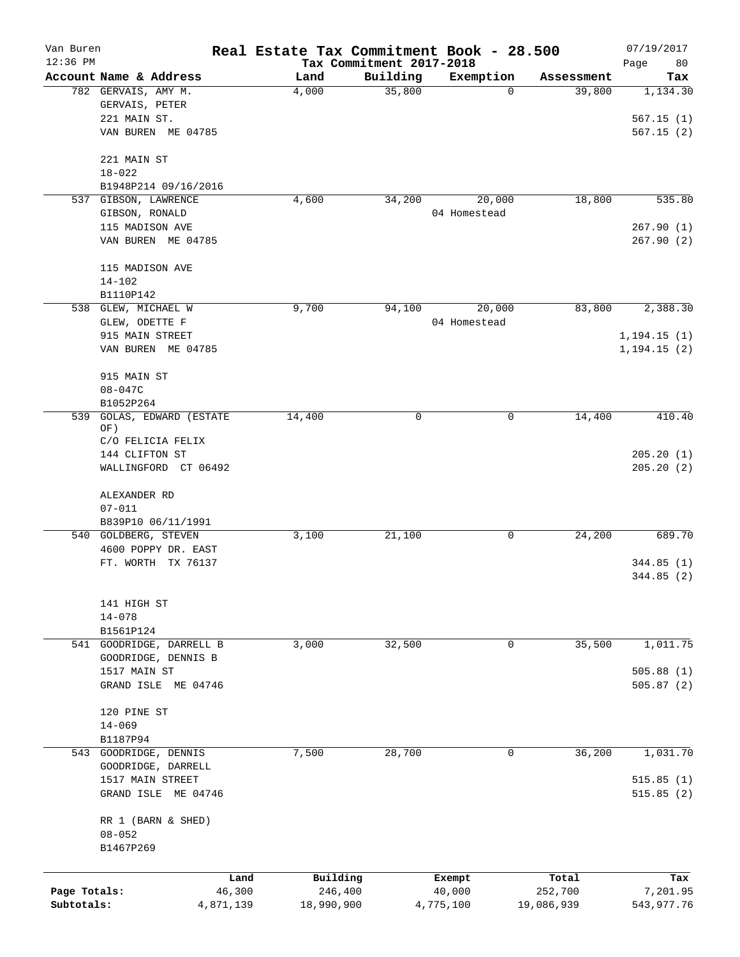| Van Buren<br>$12:36$ PM |                                            |           | Real Estate Tax Commitment Book - 28.500 | Tax Commitment 2017-2018 |              |            | 07/19/2017<br>Page<br>80 |
|-------------------------|--------------------------------------------|-----------|------------------------------------------|--------------------------|--------------|------------|--------------------------|
|                         | Account Name & Address                     |           | Land                                     | Building                 | Exemption    | Assessment | Tax                      |
|                         | 782 GERVAIS, AMY M.                        |           | 4,000                                    | 35,800                   | 0            | 39,800     | 1,134.30                 |
|                         | GERVAIS, PETER                             |           |                                          |                          |              |            |                          |
|                         | 221 MAIN ST.                               |           |                                          |                          |              |            | 567.15(1)                |
|                         | VAN BUREN ME 04785                         |           |                                          |                          |              |            | 567.15(2)                |
|                         | 221 MAIN ST                                |           |                                          |                          |              |            |                          |
|                         | $18 - 022$                                 |           |                                          |                          |              |            |                          |
|                         | B1948P214 09/16/2016                       |           |                                          |                          |              |            |                          |
| 537                     | GIBSON, LAWRENCE                           |           | 4,600                                    | 34,200                   | 20,000       | 18,800     | 535.80                   |
|                         | GIBSON, RONALD                             |           |                                          |                          | 04 Homestead |            |                          |
|                         | 115 MADISON AVE                            |           |                                          |                          |              |            | 267.90(1)                |
|                         | VAN BUREN ME 04785                         |           |                                          |                          |              |            | 267.90(2)                |
|                         | 115 MADISON AVE                            |           |                                          |                          |              |            |                          |
|                         | $14 - 102$                                 |           |                                          |                          |              |            |                          |
|                         | B1110P142                                  |           |                                          |                          |              |            |                          |
|                         | 538 GLEW, MICHAEL W                        |           | 9,700                                    | 94,100                   | 20,000       | 83,800     | 2,388.30                 |
|                         | GLEW, ODETTE F                             |           |                                          |                          | 04 Homestead |            |                          |
|                         | 915 MAIN STREET                            |           |                                          |                          |              |            | 1, 194.15(1)             |
|                         | VAN BUREN ME 04785                         |           |                                          |                          |              |            | 1, 194.15(2)             |
|                         | 915 MAIN ST                                |           |                                          |                          |              |            |                          |
|                         | $08 - 047C$                                |           |                                          |                          |              |            |                          |
|                         | B1052P264                                  |           |                                          |                          |              |            |                          |
| 539                     | GOLAS, EDWARD (ESTATE                      |           | 14,400                                   | 0                        | 0            | 14,400     | 410.40                   |
|                         | OF)<br>C/O FELICIA FELIX                   |           |                                          |                          |              |            |                          |
|                         | 144 CLIFTON ST                             |           |                                          |                          |              |            | 205.20(1)                |
|                         | WALLINGFORD CT 06492                       |           |                                          |                          |              |            | 205.20(2)                |
|                         |                                            |           |                                          |                          |              |            |                          |
|                         | ALEXANDER RD                               |           |                                          |                          |              |            |                          |
|                         | $07 - 011$                                 |           |                                          |                          |              |            |                          |
|                         | B839P10 06/11/1991<br>540 GOLDBERG, STEVEN |           | 3,100                                    | 21,100                   | 0            | 24,200     | 689.70                   |
|                         | 4600 POPPY DR. EAST                        |           |                                          |                          |              |            |                          |
|                         | FT. WORTH TX 76137                         |           |                                          |                          |              |            | 344.85(1)                |
|                         |                                            |           |                                          |                          |              |            | 344.85 (2)               |
|                         |                                            |           |                                          |                          |              |            |                          |
|                         | 141 HIGH ST<br>$14 - 078$                  |           |                                          |                          |              |            |                          |
|                         | B1561P124                                  |           |                                          |                          |              |            |                          |
|                         | 541 GOODRIDGE, DARRELL B                   |           | 3,000                                    | 32,500                   | 0            | 35,500     | 1,011.75                 |
|                         | GOODRIDGE, DENNIS B                        |           |                                          |                          |              |            |                          |
|                         | 1517 MAIN ST                               |           |                                          |                          |              |            | 505.88(1)                |
|                         | GRAND ISLE ME 04746                        |           |                                          |                          |              |            | 505.87(2)                |
|                         |                                            |           |                                          |                          |              |            |                          |
|                         | 120 PINE ST                                |           |                                          |                          |              |            |                          |
|                         | $14 - 069$                                 |           |                                          |                          |              |            |                          |
|                         | B1187P94                                   |           |                                          |                          |              |            |                          |
|                         | 543 GOODRIDGE, DENNIS                      |           | 7,500                                    | 28,700                   | 0            | 36,200     | 1,031.70                 |
|                         | GOODRIDGE, DARRELL                         |           |                                          |                          |              |            |                          |
|                         | 1517 MAIN STREET                           |           |                                          |                          |              |            | 515.85(1)                |
|                         | GRAND ISLE ME 04746                        |           |                                          |                          |              |            | 515.85(2)                |
|                         | RR 1 (BARN & SHED)                         |           |                                          |                          |              |            |                          |
|                         | $08 - 052$                                 |           |                                          |                          |              |            |                          |
|                         | B1467P269                                  |           |                                          |                          |              |            |                          |
|                         |                                            | Land      | Building                                 |                          | Exempt       | Total      | Tax                      |
| Page Totals:            |                                            | 46,300    | 246,400                                  |                          | 40,000       | 252,700    | 7,201.95                 |
| Subtotals:              |                                            | 4,871,139 | 18,990,900                               |                          | 4,775,100    | 19,086,939 | 543,977.76               |
|                         |                                            |           |                                          |                          |              |            |                          |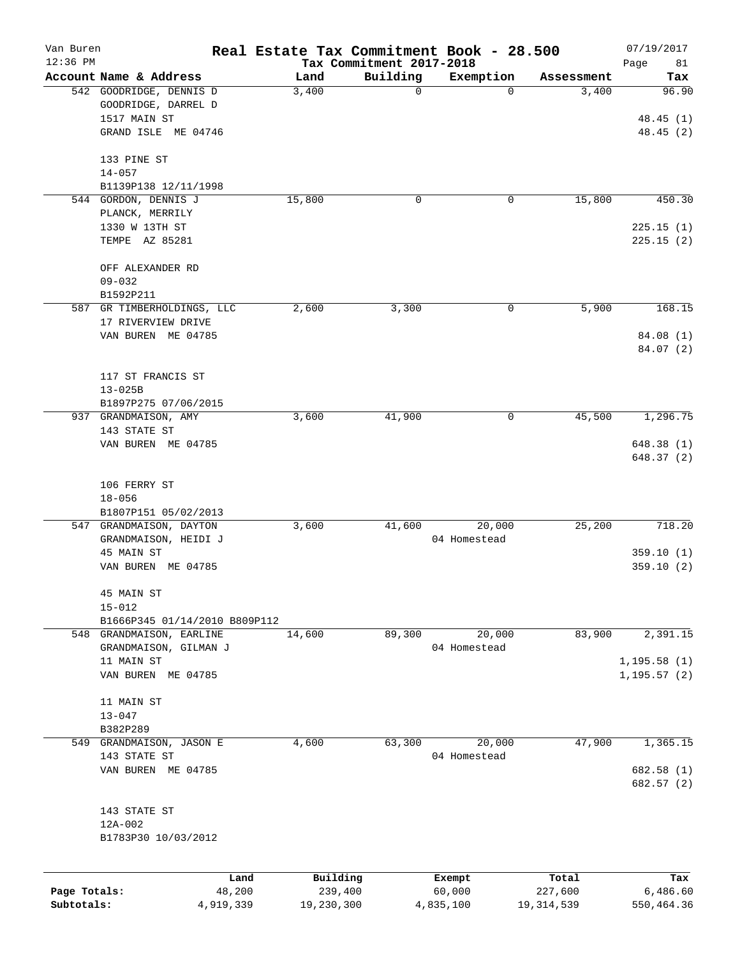| Van Buren<br>$12:36$ PM |                                  |                | Real Estate Tax Commitment Book - 28.500 | Tax Commitment 2017-2018 |                  |                  | 07/19/2017                   |
|-------------------------|----------------------------------|----------------|------------------------------------------|--------------------------|------------------|------------------|------------------------------|
|                         | Account Name & Address           |                | Land                                     | Building                 | Exemption        | Assessment       | Page<br>81<br>Tax            |
|                         | 542 GOODRIDGE, DENNIS D          |                | 3,400                                    | 0                        | $\mathbf 0$      | 3,400            | 96.90                        |
|                         | GOODRIDGE, DARREL D              |                |                                          |                          |                  |                  |                              |
|                         | 1517 MAIN ST                     |                |                                          |                          |                  |                  | 48.45(1)                     |
|                         | GRAND ISLE ME 04746              |                |                                          |                          |                  |                  | 48.45(2)                     |
|                         | 133 PINE ST                      |                |                                          |                          |                  |                  |                              |
|                         | $14 - 057$                       |                |                                          |                          |                  |                  |                              |
|                         | B1139P138 12/11/1998             |                |                                          |                          |                  |                  |                              |
|                         | 544 GORDON, DENNIS J             |                | 15,800                                   | 0                        | 0                | 15,800           | 450.30                       |
|                         | PLANCK, MERRILY                  |                |                                          |                          |                  |                  |                              |
|                         | 1330 W 13TH ST                   |                |                                          |                          |                  |                  | 225.15(1)                    |
|                         | TEMPE AZ 85281                   |                |                                          |                          |                  |                  | 225.15(2)                    |
|                         | OFF ALEXANDER RD                 |                |                                          |                          |                  |                  |                              |
|                         | $09 - 032$                       |                |                                          |                          |                  |                  |                              |
|                         | B1592P211                        |                |                                          |                          |                  |                  |                              |
|                         | 587 GR TIMBERHOLDINGS, LLC       |                | 2,600                                    | 3,300                    | 0                | 5,900            | 168.15                       |
|                         | 17 RIVERVIEW DRIVE               |                |                                          |                          |                  |                  |                              |
|                         | VAN BUREN ME 04785               |                |                                          |                          |                  |                  | 84.08 (1)                    |
|                         |                                  |                |                                          |                          |                  |                  | 84.07 (2)                    |
|                         | 117 ST FRANCIS ST                |                |                                          |                          |                  |                  |                              |
|                         | $13 - 025B$                      |                |                                          |                          |                  |                  |                              |
|                         | B1897P275 07/06/2015             |                |                                          |                          |                  |                  |                              |
|                         | 937 GRANDMAISON, AMY             |                | 3,600                                    | 41,900                   | 0                | 45,500           | 1,296.75                     |
|                         | 143 STATE ST                     |                |                                          |                          |                  |                  |                              |
|                         | VAN BUREN ME 04785               |                |                                          |                          |                  |                  | 648.38 (1)<br>648.37 (2)     |
|                         |                                  |                |                                          |                          |                  |                  |                              |
|                         | 106 FERRY ST                     |                |                                          |                          |                  |                  |                              |
|                         | $18 - 056$                       |                |                                          |                          |                  |                  |                              |
|                         | B1807P151 05/02/2013             |                |                                          |                          |                  |                  |                              |
|                         | 547 GRANDMAISON, DAYTON          |                | 3,600                                    | 41,600                   | 20,000           | 25,200           | 718.20                       |
|                         | GRANDMAISON, HEIDI J             |                |                                          |                          | 04 Homestead     |                  |                              |
|                         | 45 MAIN ST<br>VAN BUREN ME 04785 |                |                                          |                          |                  |                  | 359.10(1)<br>359.10(2)       |
|                         |                                  |                |                                          |                          |                  |                  |                              |
|                         | 45 MAIN ST                       |                |                                          |                          |                  |                  |                              |
|                         | $15 - 012$                       |                |                                          |                          |                  |                  |                              |
|                         | B1666P345 01/14/2010 B809P112    |                |                                          |                          |                  |                  |                              |
|                         | 548 GRANDMAISON, EARLINE         |                | 14,600                                   | 89,300                   | 20,000           | 83,900           | 2,391.15                     |
|                         | GRANDMAISON, GILMAN J            |                |                                          |                          | 04 Homestead     |                  |                              |
|                         | 11 MAIN ST<br>VAN BUREN ME 04785 |                |                                          |                          |                  |                  | 1, 195.58(1)<br>1, 195.57(2) |
|                         |                                  |                |                                          |                          |                  |                  |                              |
|                         | 11 MAIN ST                       |                |                                          |                          |                  |                  |                              |
|                         | $13 - 047$                       |                |                                          |                          |                  |                  |                              |
|                         | B382P289                         |                |                                          |                          |                  |                  |                              |
|                         | 549 GRANDMAISON, JASON E         |                | 4,600                                    | 63,300                   | 20,000           | 47,900           | 1,365.15                     |
|                         | 143 STATE ST                     |                |                                          |                          | 04 Homestead     |                  |                              |
|                         | VAN BUREN ME 04785               |                |                                          |                          |                  |                  | 682.58 (1)                   |
|                         |                                  |                |                                          |                          |                  |                  | 682.57 (2)                   |
|                         | 143 STATE ST                     |                |                                          |                          |                  |                  |                              |
|                         | 12A-002                          |                |                                          |                          |                  |                  |                              |
|                         | B1783P30 10/03/2012              |                |                                          |                          |                  |                  |                              |
|                         |                                  |                |                                          |                          |                  |                  |                              |
| Page Totals:            |                                  | Land<br>48,200 | Building<br>239,400                      |                          | Exempt<br>60,000 | Total<br>227,600 | Tax<br>6,486.60              |
| Subtotals:              |                                  | 4,919,339      | 19,230,300                               |                          | 4,835,100        | 19, 314, 539     | 550,464.36                   |
|                         |                                  |                |                                          |                          |                  |                  |                              |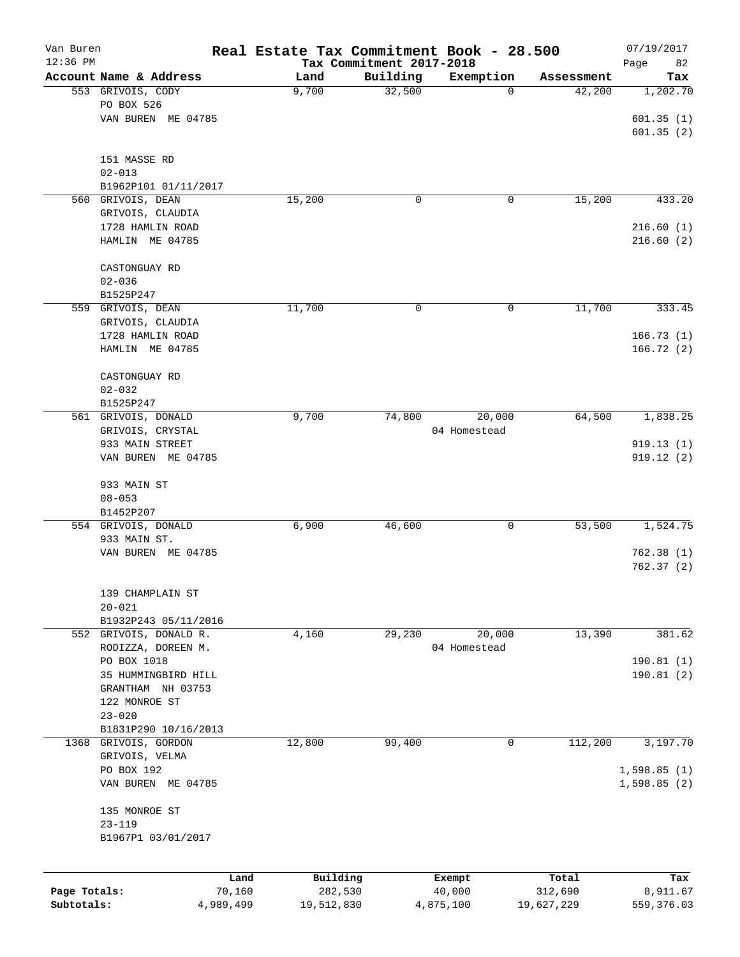| Van Buren<br>12:36 PM |                             |           | Real Estate Tax Commitment Book - 28.500 |                                      |              |            | 07/19/2017        |
|-----------------------|-----------------------------|-----------|------------------------------------------|--------------------------------------|--------------|------------|-------------------|
|                       | Account Name & Address      |           | Land                                     | Tax Commitment 2017-2018<br>Building | Exemption    | Assessment | Page<br>82<br>Tax |
|                       | 553 GRIVOIS, CODY           |           | 9,700                                    | 32,500                               | 0            | 42,200     | 1,202.70          |
|                       | PO BOX 526                  |           |                                          |                                      |              |            |                   |
|                       | VAN BUREN ME 04785          |           |                                          |                                      |              |            | 601.35(1)         |
|                       |                             |           |                                          |                                      |              |            | 601.35(2)         |
|                       |                             |           |                                          |                                      |              |            |                   |
|                       | 151 MASSE RD                |           |                                          |                                      |              |            |                   |
|                       | $02 - 013$                  |           |                                          |                                      |              |            |                   |
|                       | B1962P101 01/11/2017        |           |                                          |                                      |              |            |                   |
|                       | 560 GRIVOIS, DEAN           |           | 15,200                                   | 0                                    | 0            | 15,200     | 433.20            |
|                       | GRIVOIS, CLAUDIA            |           |                                          |                                      |              |            |                   |
|                       | 1728 HAMLIN ROAD            |           |                                          |                                      |              |            | 216.60(1)         |
|                       | HAMLIN ME 04785             |           |                                          |                                      |              |            | 216.60(2)         |
|                       |                             |           |                                          |                                      |              |            |                   |
|                       | CASTONGUAY RD<br>$02 - 036$ |           |                                          |                                      |              |            |                   |
|                       | B1525P247                   |           |                                          |                                      |              |            |                   |
|                       | 559 GRIVOIS, DEAN           |           | 11,700                                   | 0                                    | 0            | 11,700     | 333.45            |
|                       | GRIVOIS, CLAUDIA            |           |                                          |                                      |              |            |                   |
|                       | 1728 HAMLIN ROAD            |           |                                          |                                      |              |            | 166.73(1)         |
|                       | HAMLIN ME 04785             |           |                                          |                                      |              |            | 166.72(2)         |
|                       |                             |           |                                          |                                      |              |            |                   |
|                       | CASTONGUAY RD               |           |                                          |                                      |              |            |                   |
|                       | $02 - 032$                  |           |                                          |                                      |              |            |                   |
|                       | B1525P247                   |           |                                          |                                      |              |            |                   |
|                       | 561 GRIVOIS, DONALD         |           | 9,700                                    | 74,800                               | 20,000       | 64,500     | 1,838.25          |
|                       | GRIVOIS, CRYSTAL            |           |                                          |                                      | 04 Homestead |            |                   |
|                       | 933 MAIN STREET             |           |                                          |                                      |              |            | 919.13(1)         |
|                       | VAN BUREN ME 04785          |           |                                          |                                      |              |            | 919.12(2)         |
|                       |                             |           |                                          |                                      |              |            |                   |
|                       | 933 MAIN ST                 |           |                                          |                                      |              |            |                   |
|                       | $08 - 053$                  |           |                                          |                                      |              |            |                   |
|                       | B1452P207                   |           |                                          |                                      |              |            |                   |
|                       | 554 GRIVOIS, DONALD         |           | 6,900                                    | 46,600                               | 0            | 53,500     | 1,524.75          |
|                       | 933 MAIN ST.                |           |                                          |                                      |              |            |                   |
|                       | VAN BUREN ME 04785          |           |                                          |                                      |              |            | 762.38(1)         |
|                       |                             |           |                                          |                                      |              |            | 762.37(2)         |
|                       | 139 CHAMPLAIN ST            |           |                                          |                                      |              |            |                   |
|                       | $20 - 021$                  |           |                                          |                                      |              |            |                   |
|                       | B1932P243 05/11/2016        |           |                                          |                                      |              |            |                   |
|                       | 552 GRIVOIS, DONALD R.      |           | 4,160                                    | 29,230                               | 20,000       | 13,390     | 381.62            |
|                       | RODIZZA, DOREEN M.          |           |                                          |                                      | 04 Homestead |            |                   |
|                       | PO BOX 1018                 |           |                                          |                                      |              |            | 190.81(1)         |
|                       | 35 HUMMINGBIRD HILL         |           |                                          |                                      |              |            | 190.81(2)         |
|                       | GRANTHAM NH 03753           |           |                                          |                                      |              |            |                   |
|                       | 122 MONROE ST               |           |                                          |                                      |              |            |                   |
|                       | $23 - 020$                  |           |                                          |                                      |              |            |                   |
|                       | B1831P290 10/16/2013        |           |                                          |                                      |              |            |                   |
| 1368                  | GRIVOIS, GORDON             |           | 12,800                                   | 99,400                               | 0            | 112,200    | 3,197.70          |
|                       | GRIVOIS, VELMA              |           |                                          |                                      |              |            |                   |
|                       | PO BOX 192                  |           |                                          |                                      |              |            | 1,598.85(1)       |
|                       | VAN BUREN ME 04785          |           |                                          |                                      |              |            | 1,598.85(2)       |
|                       |                             |           |                                          |                                      |              |            |                   |
|                       | 135 MONROE ST               |           |                                          |                                      |              |            |                   |
|                       | $23 - 119$                  |           |                                          |                                      |              |            |                   |
|                       | B1967P1 03/01/2017          |           |                                          |                                      |              |            |                   |
|                       |                             |           |                                          |                                      |              |            |                   |
|                       |                             | Land      | Building                                 |                                      | Exempt       | Total      | Tax               |
| Page Totals:          |                             | 70,160    | 282,530                                  |                                      | 40,000       | 312,690    | 8,911.67          |
| Subtotals:            |                             | 4,989,499 | 19,512,830                               |                                      | 4,875,100    | 19,627,229 | 559,376.03        |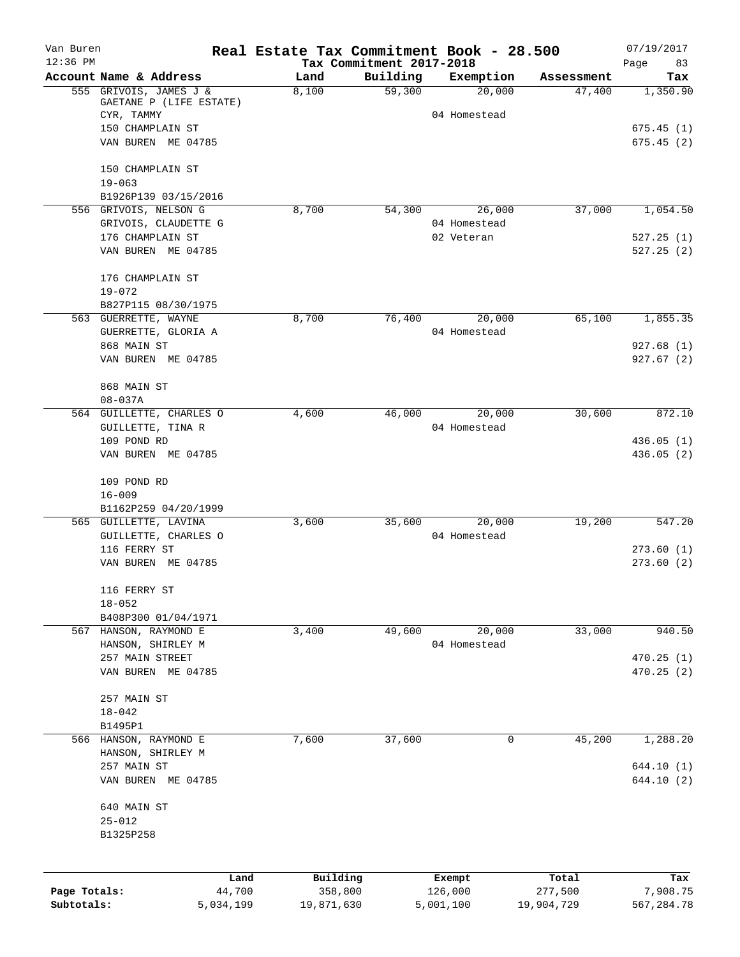| Van Buren    |                                               | Real Estate Tax Commitment Book - 28.500 |                                      |                            |                  | 07/19/2017        |
|--------------|-----------------------------------------------|------------------------------------------|--------------------------------------|----------------------------|------------------|-------------------|
| $12:36$ PM   | Account Name & Address                        | Land                                     | Tax Commitment 2017-2018<br>Building | Exemption                  | Assessment       | Page<br>83<br>Tax |
|              | 555 GRIVOIS, JAMES J &                        | 8,100                                    | 59,300                               | 20,000                     | 47,400           | 1,350.90          |
|              | GAETANE P (LIFE ESTATE)<br>CYR, TAMMY         |                                          |                                      | 04 Homestead               |                  |                   |
|              | 150 CHAMPLAIN ST                              |                                          |                                      |                            |                  | 675.45(1)         |
|              | VAN BUREN ME 04785                            |                                          |                                      |                            |                  | 675.45(2)         |
|              | 150 CHAMPLAIN ST                              |                                          |                                      |                            |                  |                   |
|              | $19 - 063$                                    |                                          |                                      |                            |                  |                   |
|              | B1926P139 03/15/2016                          |                                          |                                      |                            |                  |                   |
|              | 556 GRIVOIS, NELSON G                         | 8,700                                    | 54,300                               | 26,000                     | 37,000           | 1,054.50          |
|              | GRIVOIS, CLAUDETTE G<br>176 CHAMPLAIN ST      |                                          |                                      | 04 Homestead<br>02 Veteran |                  | 527.25(1)         |
|              | VAN BUREN ME 04785                            |                                          |                                      |                            |                  | 527.25(2)         |
|              | 176 CHAMPLAIN ST                              |                                          |                                      |                            |                  |                   |
|              | $19 - 072$                                    |                                          |                                      |                            |                  |                   |
|              | B827P115 08/30/1975                           |                                          |                                      |                            |                  |                   |
|              | 563 GUERRETTE, WAYNE                          | 8,700                                    | 76,400                               | 20,000<br>04 Homestead     | 65,100           | 1,855.35          |
|              | GUERRETTE, GLORIA A<br>868 MAIN ST            |                                          |                                      |                            |                  | 927.68(1)         |
|              | VAN BUREN ME 04785                            |                                          |                                      |                            |                  | 927.67(2)         |
|              | 868 MAIN ST                                   |                                          |                                      |                            |                  |                   |
|              | $08 - 037A$                                   |                                          |                                      |                            |                  |                   |
|              | 564 GUILLETTE, CHARLES O                      | 4,600                                    | 46,000                               | 20,000                     | 30,600           | 872.10            |
|              | GUILLETTE, TINA R<br>109 POND RD              |                                          |                                      | 04 Homestead               |                  | 436.05(1)         |
|              | VAN BUREN ME 04785                            |                                          |                                      |                            |                  | 436.05(2)         |
|              | 109 POND RD                                   |                                          |                                      |                            |                  |                   |
|              | $16 - 009$                                    |                                          |                                      |                            |                  |                   |
|              | B1162P259 04/20/1999                          |                                          |                                      |                            |                  |                   |
|              | 565 GUILLETTE, LAVINA<br>GUILLETTE, CHARLES O | 3,600                                    | 35,600                               | 20,000<br>04 Homestead     | 19,200           | 547.20            |
|              | 116 FERRY ST                                  |                                          |                                      |                            |                  | 273.60(1)         |
|              | VAN BUREN ME 04785                            |                                          |                                      |                            |                  | 273.60(2)         |
|              | 116 FERRY ST                                  |                                          |                                      |                            |                  |                   |
|              | $18 - 052$                                    |                                          |                                      |                            |                  |                   |
|              | B408P300 01/04/1971<br>567 HANSON, RAYMOND E  | 3,400                                    | 49,600                               | 20,000                     | 33,000           | 940.50            |
|              | HANSON, SHIRLEY M                             |                                          |                                      | 04 Homestead               |                  |                   |
|              | 257 MAIN STREET                               |                                          |                                      |                            |                  | 470.25(1)         |
|              | VAN BUREN ME 04785                            |                                          |                                      |                            |                  | 470.25(2)         |
|              | 257 MAIN ST                                   |                                          |                                      |                            |                  |                   |
|              | $18 - 042$                                    |                                          |                                      |                            |                  |                   |
|              | B1495P1<br>566 HANSON, RAYMOND E              | 7,600                                    | 37,600                               | 0                          | 45,200           | 1,288.20          |
|              | HANSON, SHIRLEY M                             |                                          |                                      |                            |                  |                   |
|              | 257 MAIN ST                                   |                                          |                                      |                            |                  | 644.10 (1)        |
|              | VAN BUREN ME 04785                            |                                          |                                      |                            |                  | 644.10(2)         |
|              | 640 MAIN ST                                   |                                          |                                      |                            |                  |                   |
|              | $25 - 012$<br>B1325P258                       |                                          |                                      |                            |                  |                   |
|              |                                               |                                          |                                      |                            |                  |                   |
| Page Totals: | Land<br>44,700                                | Building<br>358,800                      |                                      | Exempt<br>126,000          | Total<br>277,500 | Tax<br>7,908.75   |
| Subtotals:   | 5,034,199                                     | 19,871,630                               |                                      | 5,001,100                  | 19,904,729       | 567,284.78        |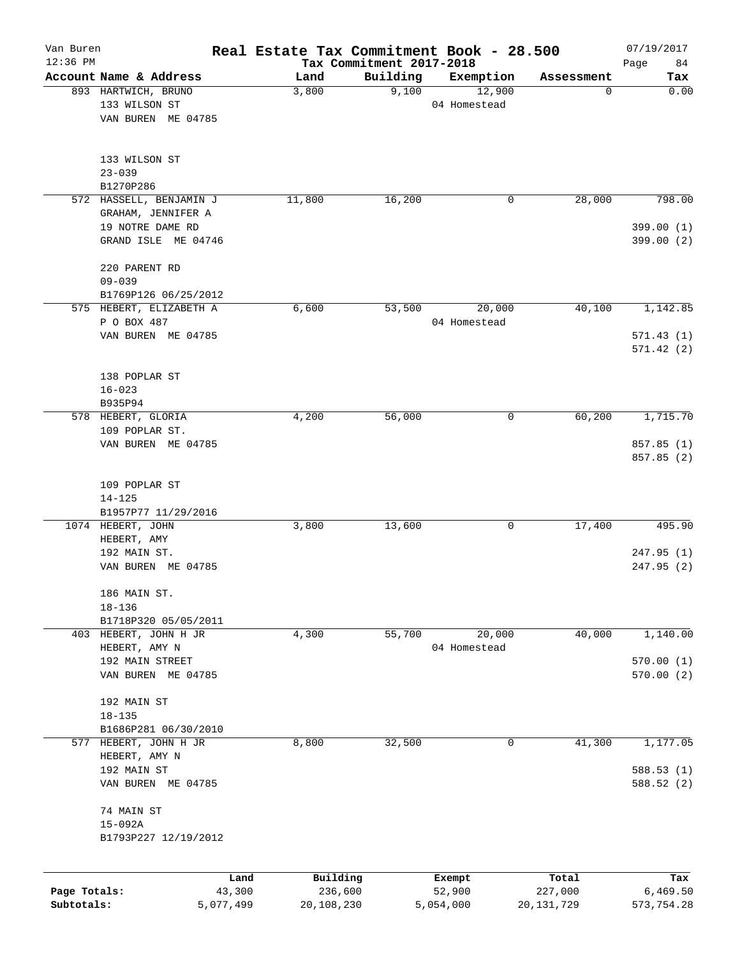| Van Buren<br>$12:36$ PM |                                                 |                | Real Estate Tax Commitment Book - 28.500 | Tax Commitment 2017-2018 |                        |                  | 07/19/2017<br>Page<br>84 |
|-------------------------|-------------------------------------------------|----------------|------------------------------------------|--------------------------|------------------------|------------------|--------------------------|
|                         | Account Name & Address                          |                | Land                                     | Building                 | Exemption              | Assessment       | Tax                      |
|                         | 893 HARTWICH, BRUNO                             |                | 3,800                                    | 9,100                    | 12,900                 | 0                | 0.00                     |
|                         | 133 WILSON ST                                   |                |                                          |                          | 04 Homestead           |                  |                          |
|                         | VAN BUREN ME 04785                              |                |                                          |                          |                        |                  |                          |
|                         | 133 WILSON ST                                   |                |                                          |                          |                        |                  |                          |
|                         | $23 - 039$                                      |                |                                          |                          |                        |                  |                          |
|                         | B1270P286                                       |                |                                          |                          |                        |                  |                          |
|                         | 572 HASSELL, BENJAMIN J<br>GRAHAM, JENNIFER A   |                | 11,800                                   | 16,200                   | 0                      | 28,000           | 798.00                   |
|                         | 19 NOTRE DAME RD                                |                |                                          |                          |                        |                  | 399.00(1)                |
|                         | GRAND ISLE ME 04746                             |                |                                          |                          |                        |                  | 399.00 (2)               |
|                         | 220 PARENT RD                                   |                |                                          |                          |                        |                  |                          |
|                         | $09 - 039$                                      |                |                                          |                          |                        |                  |                          |
|                         | B1769P126 06/25/2012<br>575 HEBERT, ELIZABETH A |                | 6,600                                    | 53,500                   | 20,000                 | 40,100           | 1,142.85                 |
|                         | P O BOX 487                                     |                |                                          |                          | 04 Homestead           |                  |                          |
|                         | VAN BUREN ME 04785                              |                |                                          |                          |                        |                  | 571.43(1)                |
|                         |                                                 |                |                                          |                          |                        |                  | 571.42(2)                |
|                         | 138 POPLAR ST                                   |                |                                          |                          |                        |                  |                          |
|                         | $16 - 023$                                      |                |                                          |                          |                        |                  |                          |
|                         | B935P94                                         |                |                                          |                          |                        |                  |                          |
|                         | 578 HEBERT, GLORIA<br>109 POPLAR ST.            |                | 4,200                                    | 56,000                   | 0                      | 60,200           | 1,715.70                 |
|                         | VAN BUREN ME 04785                              |                |                                          |                          |                        |                  | 857.85 (1)               |
|                         |                                                 |                |                                          |                          |                        |                  | 857.85 (2)               |
|                         | 109 POPLAR ST                                   |                |                                          |                          |                        |                  |                          |
|                         | $14 - 125$                                      |                |                                          |                          |                        |                  |                          |
|                         | B1957P77 11/29/2016                             |                |                                          |                          |                        |                  |                          |
|                         | 1074 HEBERT, JOHN<br>HEBERT, AMY                |                | 3,800                                    | 13,600                   | 0                      | 17,400           | 495.90                   |
|                         | 192 MAIN ST.                                    |                |                                          |                          |                        |                  | 247.95(1)                |
|                         | VAN BUREN ME 04785                              |                |                                          |                          |                        |                  | 247.95(2)                |
|                         | 186 MAIN ST.                                    |                |                                          |                          |                        |                  |                          |
|                         | $18 - 136$                                      |                |                                          |                          |                        |                  |                          |
|                         | B1718P320 05/05/2011                            |                |                                          |                          |                        |                  |                          |
|                         | 403 HEBERT, JOHN H JR<br>HEBERT, AMY N          |                | 4,300                                    | 55,700                   | 20,000<br>04 Homestead | 40,000           | 1,140.00                 |
|                         | 192 MAIN STREET                                 |                |                                          |                          |                        |                  | 570.00(1)                |
|                         | VAN BUREN ME 04785                              |                |                                          |                          |                        |                  | 570.00 (2)               |
|                         | 192 MAIN ST                                     |                |                                          |                          |                        |                  |                          |
|                         | $18 - 135$                                      |                |                                          |                          |                        |                  |                          |
|                         | B1686P281 06/30/2010                            |                |                                          |                          |                        |                  |                          |
|                         | 577 HEBERT, JOHN H JR                           |                | 8,800                                    | 32,500                   | 0                      | 41,300           | 1,177.05                 |
|                         | HEBERT, AMY N<br>192 MAIN ST                    |                |                                          |                          |                        |                  | 588.53(1)                |
|                         | VAN BUREN ME 04785                              |                |                                          |                          |                        |                  | 588.52 (2)               |
|                         | 74 MAIN ST                                      |                |                                          |                          |                        |                  |                          |
|                         | $15 - 092A$                                     |                |                                          |                          |                        |                  |                          |
|                         | B1793P227 12/19/2012                            |                |                                          |                          |                        |                  |                          |
|                         |                                                 |                |                                          |                          |                        |                  |                          |
| Page Totals:            |                                                 | Land<br>43,300 | Building<br>236,600                      |                          | Exempt<br>52,900       | Total<br>227,000 | Tax<br>6,469.50          |
| Subtotals:              |                                                 | 5,077,499      | 20,108,230                               |                          | 5,054,000              | 20, 131, 729     | 573,754.28               |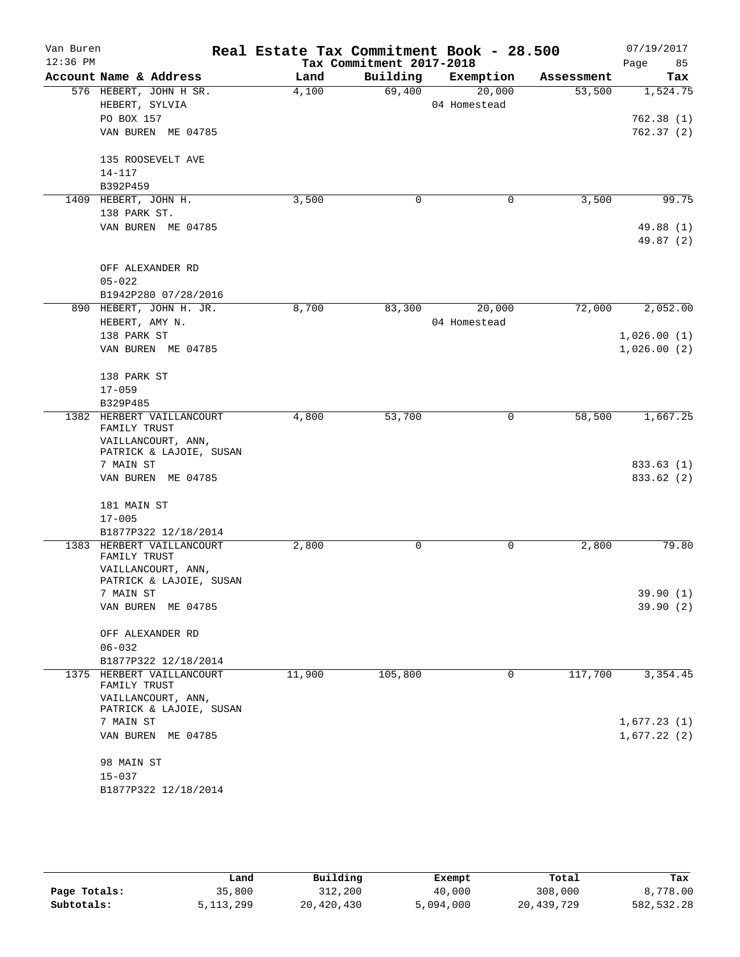| Van Buren  |                                                                 | Real Estate Tax Commitment Book - 28.500 |                          |                     |                      | 07/19/2017             |
|------------|-----------------------------------------------------------------|------------------------------------------|--------------------------|---------------------|----------------------|------------------------|
| $12:36$ PM | Account Name & Address                                          |                                          | Tax Commitment 2017-2018 |                     |                      | Page<br>85             |
|            | 576 HEBERT, JOHN H SR.                                          | Land<br>4,100                            | Building<br>69,400       | Exemption<br>20,000 | Assessment<br>53,500 | Tax<br>1,524.75        |
|            | HEBERT, SYLVIA                                                  |                                          |                          | 04 Homestead        |                      |                        |
|            | PO BOX 157                                                      |                                          |                          |                     |                      | 762.38(1)              |
|            | VAN BUREN ME 04785                                              |                                          |                          |                     |                      | 762.37(2)              |
|            | 135 ROOSEVELT AVE                                               |                                          |                          |                     |                      |                        |
|            | $14 - 117$                                                      |                                          |                          |                     |                      |                        |
|            | B392P459                                                        |                                          |                          |                     |                      |                        |
|            | 1409 HEBERT, JOHN H.                                            | 3,500                                    | 0                        | 0                   | 3,500                | 99.75                  |
|            | 138 PARK ST.                                                    |                                          |                          |                     |                      |                        |
|            | VAN BUREN ME 04785                                              |                                          |                          |                     |                      | 49.88 (1)<br>49.87 (2) |
|            | OFF ALEXANDER RD                                                |                                          |                          |                     |                      |                        |
|            | $05 - 022$                                                      |                                          |                          |                     |                      |                        |
|            | B1942P280 07/28/2016                                            |                                          |                          |                     |                      |                        |
|            | 890 HEBERT, JOHN H. JR.                                         | 8,700                                    | 83,300                   | 20,000              | 72,000               | 2,052.00               |
|            | HEBERT, AMY N.                                                  |                                          |                          | 04 Homestead        |                      |                        |
|            | 138 PARK ST                                                     |                                          |                          |                     |                      | 1,026.00(1)            |
|            | VAN BUREN ME 04785                                              |                                          |                          |                     |                      | 1,026.00(2)            |
|            | 138 PARK ST                                                     |                                          |                          |                     |                      |                        |
|            | $17 - 059$                                                      |                                          |                          |                     |                      |                        |
|            | B329P485                                                        |                                          |                          |                     |                      |                        |
|            | 1382 HERBERT VAILLANCOURT<br>FAMILY TRUST<br>VAILLANCOURT, ANN, | 4,800                                    | 53,700                   | 0                   | 58,500               | 1,667.25               |
|            | PATRICK & LAJOIE, SUSAN                                         |                                          |                          |                     |                      |                        |
|            | 7 MAIN ST                                                       |                                          |                          |                     |                      | 833.63 (1)             |
|            | VAN BUREN ME 04785                                              |                                          |                          |                     |                      | 833.62 (2)             |
|            | 181 MAIN ST<br>$17 - 005$                                       |                                          |                          |                     |                      |                        |
|            | B1877P322 12/18/2014                                            |                                          |                          |                     |                      |                        |
| 1383       | HERBERT VAILLANCOURT                                            | 2,800                                    | 0                        | 0                   | 2,800                | 79.80                  |
|            | FAMILY TRUST<br>VAILLANCOURT, ANN,                              |                                          |                          |                     |                      |                        |
|            | PATRICK & LAJOIE, SUSAN                                         |                                          |                          |                     |                      |                        |
|            | 7 MAIN ST<br>VAN BUREN ME 04785                                 |                                          |                          |                     |                      | 39.90 (1)<br>39.90(2)  |
|            | OFF ALEXANDER RD                                                |                                          |                          |                     |                      |                        |
|            | $06 - 032$                                                      |                                          |                          |                     |                      |                        |
|            | B1877P322 12/18/2014                                            |                                          |                          |                     |                      |                        |
| 1375       | HERBERT VAILLANCOURT<br>FAMILY TRUST                            | 11,900                                   | 105,800                  | 0                   | 117,700              | 3,354.45               |
|            | VAILLANCOURT, ANN,<br>PATRICK & LAJOIE, SUSAN                   |                                          |                          |                     |                      |                        |
|            | 7 MAIN ST                                                       |                                          |                          |                     |                      | 1,677.23(1)            |
|            | VAN BUREN ME 04785                                              |                                          |                          |                     |                      | 1,677.22(2)            |
|            | 98 MAIN ST                                                      |                                          |                          |                     |                      |                        |
|            | $15 - 037$                                                      |                                          |                          |                     |                      |                        |
|            | B1877P322 12/18/2014                                            |                                          |                          |                     |                      |                        |

|              | Land        | Building   | Exempt    | Total      | Tax         |
|--------------|-------------|------------|-----------|------------|-------------|
| Page Totals: | 35,800      | 312,200    | 40,000    | 308,000    | 8,778.00    |
| Subtotals:   | 5, 113, 299 | 20,420,430 | 5,094,000 | 20,439,729 | 582, 532.28 |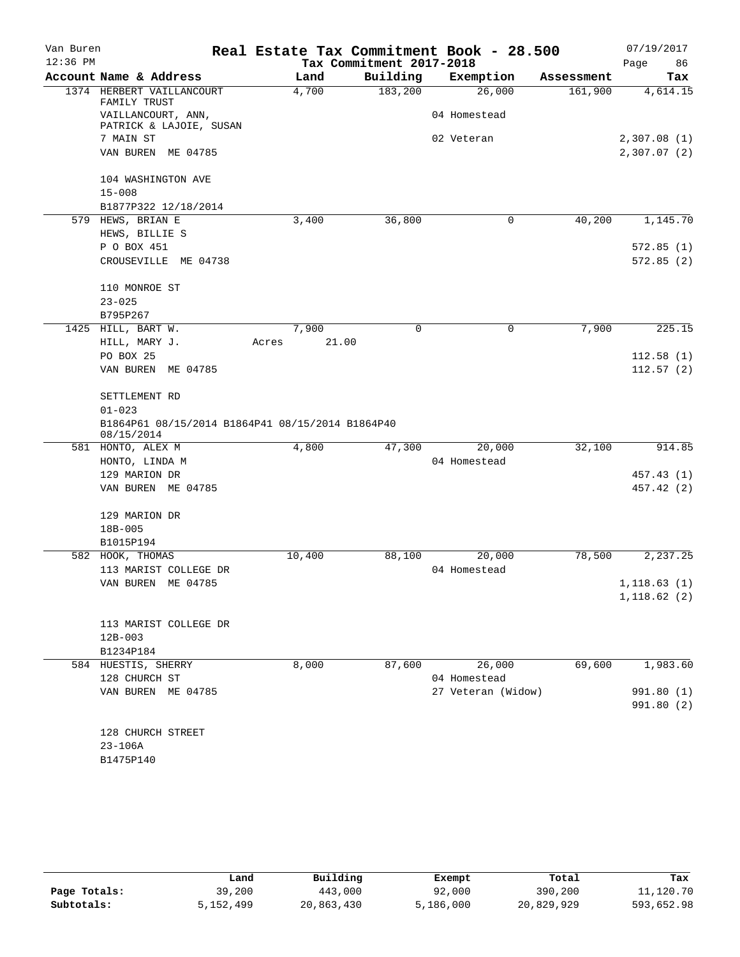| Van Buren  |                                                                | Real Estate Tax Commitment Book - 28.500 |                          |                    |            | 07/19/2017   |
|------------|----------------------------------------------------------------|------------------------------------------|--------------------------|--------------------|------------|--------------|
| $12:36$ PM |                                                                |                                          | Tax Commitment 2017-2018 |                    |            | Page<br>86   |
|            | Account Name & Address                                         | Land                                     | Building                 | Exemption          | Assessment | Tax          |
|            | 1374 HERBERT VAILLANCOURT<br>FAMILY TRUST                      | 4,700                                    | 183,200                  | 26,000             | 161,900    | 4,614.15     |
|            | VAILLANCOURT, ANN,<br>PATRICK & LAJOIE, SUSAN                  |                                          |                          | 04 Homestead       |            |              |
|            | 7 MAIN ST                                                      |                                          |                          | 02 Veteran         |            | 2,307.08(1)  |
|            | VAN BUREN ME 04785                                             |                                          |                          |                    |            | 2,307.07(2)  |
|            | 104 WASHINGTON AVE                                             |                                          |                          |                    |            |              |
|            | $15 - 008$                                                     |                                          |                          |                    |            |              |
|            | B1877P322 12/18/2014                                           |                                          |                          |                    |            |              |
|            | 579 HEWS, BRIAN E                                              | 3,400                                    | 36,800                   | $\mathbf 0$        | 40,200     | 1,145.70     |
|            | HEWS, BILLIE S                                                 |                                          |                          |                    |            |              |
|            | P O BOX 451                                                    |                                          |                          |                    |            | 572.85(1)    |
|            | CROUSEVILLE ME 04738                                           |                                          |                          |                    |            | 572.85(2)    |
|            | 110 MONROE ST                                                  |                                          |                          |                    |            |              |
|            | $23 - 025$                                                     |                                          |                          |                    |            |              |
|            | B795P267                                                       |                                          |                          |                    |            |              |
|            | 1425 HILL, BART W.                                             | 7,900                                    | 0                        | $\mathbf 0$        | 7,900      | 225.15       |
|            | HILL, MARY J.                                                  | 21.00<br>Acres                           |                          |                    |            |              |
|            | PO BOX 25                                                      |                                          |                          |                    |            | 112.58(1)    |
|            | VAN BUREN ME 04785                                             |                                          |                          |                    |            | 112.57(2)    |
|            |                                                                |                                          |                          |                    |            |              |
|            | SETTLEMENT RD                                                  |                                          |                          |                    |            |              |
|            | $01 - 023$                                                     |                                          |                          |                    |            |              |
|            | B1864P61 08/15/2014 B1864P41 08/15/2014 B1864P40<br>08/15/2014 |                                          |                          |                    |            |              |
|            | 581 HONTO, ALEX M                                              | 4,800                                    | 47,300                   | 20,000             | 32,100     | 914.85       |
|            | HONTO, LINDA M                                                 |                                          |                          | 04 Homestead       |            |              |
|            | 129 MARION DR                                                  |                                          |                          |                    |            | 457.43 (1)   |
|            | VAN BUREN ME 04785                                             |                                          |                          |                    |            | 457.42 (2)   |
|            | 129 MARION DR                                                  |                                          |                          |                    |            |              |
|            | 18B-005                                                        |                                          |                          |                    |            |              |
|            | B1015P194                                                      |                                          |                          |                    |            |              |
|            | 582 HOOK, THOMAS                                               | 10,400                                   | 88,100                   | 20,000             | 78,500     | 2,237.25     |
|            | 113 MARIST COLLEGE DR                                          |                                          |                          | 04 Homestead       |            |              |
|            | VAN BUREN ME 04785                                             |                                          |                          |                    |            | 1, 118.63(1) |
|            |                                                                |                                          |                          |                    |            | 1,118.62(2)  |
|            | 113 MARIST COLLEGE DR                                          |                                          |                          |                    |            |              |
|            | $12B - 003$                                                    |                                          |                          |                    |            |              |
|            | B1234P184                                                      |                                          |                          |                    |            |              |
|            | 584 HUESTIS, SHERRY                                            | 8,000                                    | 87,600                   | 26,000             | 69,600     | 1,983.60     |
|            | 128 CHURCH ST                                                  |                                          |                          | 04 Homestead       |            |              |
|            | VAN BUREN ME 04785                                             |                                          |                          | 27 Veteran (Widow) |            | 991.80 (1)   |
|            |                                                                |                                          |                          |                    |            | 991.80 (2)   |
|            | 128 CHURCH STREET                                              |                                          |                          |                    |            |              |
|            | $23 - 106A$                                                    |                                          |                          |                    |            |              |
|            | B1475P140                                                      |                                          |                          |                    |            |              |
|            |                                                                |                                          |                          |                    |            |              |

|              | Land      | Building   | Exempt    | Total      | Tax        |
|--------------|-----------|------------|-----------|------------|------------|
| Page Totals: | 39,200    | 443,000    | 92,000    | 390,200    | 11,120.70  |
| Subtotals:   | 5,152,499 | 20,863,430 | 5,186,000 | 20,829,929 | 593,652.98 |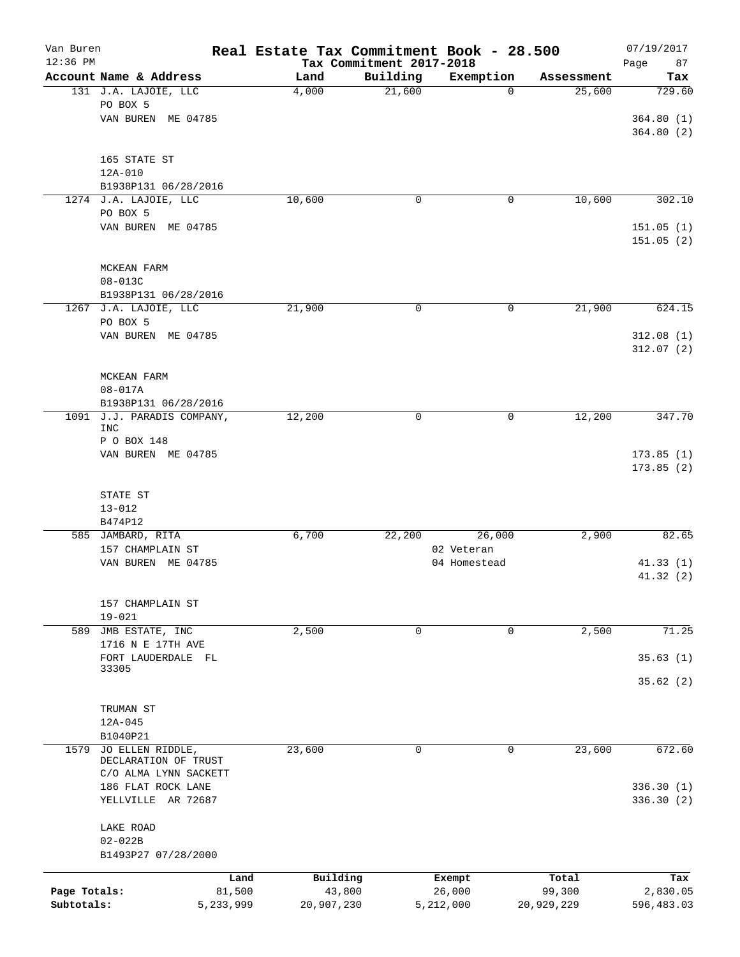| Van Buren<br>$12:36$ PM |                                                    |           | Real Estate Tax Commitment Book - 28.500 |                                      |                            |            | 07/19/2017        |
|-------------------------|----------------------------------------------------|-----------|------------------------------------------|--------------------------------------|----------------------------|------------|-------------------|
|                         | Account Name & Address                             |           | Land                                     | Tax Commitment 2017-2018<br>Building | Exemption                  | Assessment | Page<br>87<br>Tax |
|                         | 131 J.A. LAJOIE, LLC                               |           | 4,000                                    | 21,600                               | $\mathbf 0$                | 25,600     | 729.60            |
|                         | PO BOX 5                                           |           |                                          |                                      |                            |            |                   |
|                         | VAN BUREN ME 04785                                 |           |                                          |                                      |                            |            | 364.80(1)         |
|                         |                                                    |           |                                          |                                      |                            |            | 364.80(2)         |
|                         | 165 STATE ST                                       |           |                                          |                                      |                            |            |                   |
|                         | $12A-010$                                          |           |                                          |                                      |                            |            |                   |
|                         | B1938P131 06/28/2016<br>1274 J.A. LAJOIE, LLC      |           |                                          | 0                                    | 0                          |            | 302.10            |
|                         | PO BOX 5                                           |           | 10,600                                   |                                      |                            | 10,600     |                   |
|                         | VAN BUREN ME 04785                                 |           |                                          |                                      |                            |            | 151.05(1)         |
|                         |                                                    |           |                                          |                                      |                            |            | 151.05(2)         |
|                         | MCKEAN FARM                                        |           |                                          |                                      |                            |            |                   |
|                         | $08 - 013C$                                        |           |                                          |                                      |                            |            |                   |
|                         | B1938P131 06/28/2016                               |           |                                          |                                      |                            |            |                   |
|                         | 1267 J.A. LAJOIE, LLC                              |           | 21,900                                   | 0                                    | 0                          | 21,900     | 624.15            |
|                         | PO BOX 5<br>VAN BUREN ME 04785                     |           |                                          |                                      |                            |            | 312.08(1)         |
|                         |                                                    |           |                                          |                                      |                            |            | 312.07(2)         |
|                         |                                                    |           |                                          |                                      |                            |            |                   |
|                         | MCKEAN FARM                                        |           |                                          |                                      |                            |            |                   |
|                         | $08 - 017A$                                        |           |                                          |                                      |                            |            |                   |
|                         | B1938P131 06/28/2016<br>1091 J.J. PARADIS COMPANY, |           | 12,200                                   | 0                                    | 0                          | 12,200     | 347.70            |
|                         | <b>INC</b>                                         |           |                                          |                                      |                            |            |                   |
|                         | P O BOX 148                                        |           |                                          |                                      |                            |            |                   |
|                         | VAN BUREN ME 04785                                 |           |                                          |                                      |                            |            | 173.85(1)         |
|                         |                                                    |           |                                          |                                      |                            |            | 173.85(2)         |
|                         | STATE ST                                           |           |                                          |                                      |                            |            |                   |
|                         | $13 - 012$                                         |           |                                          |                                      |                            |            |                   |
|                         | B474P12                                            |           |                                          |                                      |                            |            |                   |
|                         | 585 JAMBARD, RITA                                  |           | 6,700                                    | 22,200                               | 26,000                     | 2,900      | 82.65             |
|                         | 157 CHAMPLAIN ST<br>VAN BUREN ME 04785             |           |                                          |                                      | 02 Veteran<br>04 Homestead |            | 41.33(1)          |
|                         |                                                    |           |                                          |                                      |                            |            | 41.32 (2)         |
|                         |                                                    |           |                                          |                                      |                            |            |                   |
|                         | 157 CHAMPLAIN ST                                   |           |                                          |                                      |                            |            |                   |
|                         | $19 - 021$                                         |           |                                          |                                      |                            |            |                   |
| 589                     | JMB ESTATE, INC<br>1716 N E 17TH AVE               |           | 2,500                                    | 0                                    | 0                          | 2,500      | 71.25             |
|                         | FORT LAUDERDALE FL                                 |           |                                          |                                      |                            |            | 35.63(1)          |
|                         | 33305                                              |           |                                          |                                      |                            |            |                   |
|                         |                                                    |           |                                          |                                      |                            |            | 35.62(2)          |
|                         | TRUMAN ST                                          |           |                                          |                                      |                            |            |                   |
|                         | $12A - 045$                                        |           |                                          |                                      |                            |            |                   |
|                         | B1040P21                                           |           |                                          |                                      |                            |            |                   |
| 1579                    | JO ELLEN RIDDLE,                                   |           | 23,600                                   | 0                                    | 0                          | 23,600     | 672.60            |
|                         | DECLARATION OF TRUST<br>C/O ALMA LYNN SACKETT      |           |                                          |                                      |                            |            |                   |
|                         | 186 FLAT ROCK LANE                                 |           |                                          |                                      |                            |            | 336.30(1)         |
|                         | YELLVILLE AR 72687                                 |           |                                          |                                      |                            |            | 336.30(2)         |
|                         | LAKE ROAD                                          |           |                                          |                                      |                            |            |                   |
|                         | $02 - 022B$                                        |           |                                          |                                      |                            |            |                   |
|                         | B1493P27 07/28/2000                                |           |                                          |                                      |                            |            |                   |
|                         |                                                    | Land      | Building                                 |                                      | Exempt                     | Total      | Tax               |
| Page Totals:            |                                                    | 81,500    | 43,800                                   |                                      | 26,000                     | 99,300     | 2,830.05          |
| Subtotals:              |                                                    | 5,233,999 | 20,907,230                               |                                      | 5,212,000                  | 20,929,229 | 596,483.03        |
|                         |                                                    |           |                                          |                                      |                            |            |                   |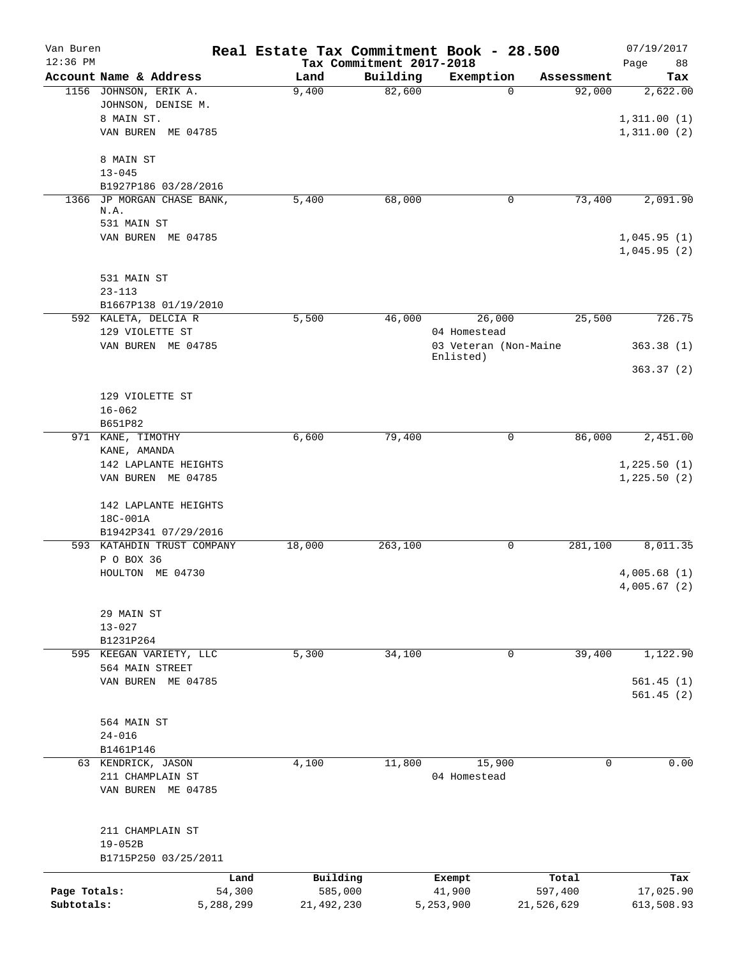| Van Buren<br>$12:36$ PM |                                                    |                     | Tax Commitment 2017-2018 | Real Estate Tax Commitment Book - 28.500 |                  | 07/19/2017<br>88<br>Page    |
|-------------------------|----------------------------------------------------|---------------------|--------------------------|------------------------------------------|------------------|-----------------------------|
|                         | Account Name & Address                             | Land                | Building                 | Exemption                                | Assessment       | Tax                         |
|                         | 1156 JOHNSON, ERIK A.<br>JOHNSON, DENISE M.        | 9,400               | 82,600                   | $\Omega$                                 | 92,000           | 2,622.00                    |
|                         | 8 MAIN ST.<br>VAN BUREN ME 04785                   |                     |                          |                                          |                  | 1,311.00(1)<br>1,311.00(2)  |
|                         | 8 MAIN ST                                          |                     |                          |                                          |                  |                             |
|                         | $13 - 045$<br>B1927P186 03/28/2016                 |                     |                          |                                          |                  |                             |
| 1366                    | JP MORGAN CHASE BANK,                              | 5,400               | 68,000                   | 0                                        | 73,400           | 2,091.90                    |
|                         | N.A.<br>531 MAIN ST                                |                     |                          |                                          |                  |                             |
|                         | VAN BUREN ME 04785                                 |                     |                          |                                          |                  | 1,045.95(1)<br>1,045.95(2)  |
|                         | 531 MAIN ST                                        |                     |                          |                                          |                  |                             |
|                         | $23 - 113$                                         |                     |                          |                                          |                  |                             |
|                         | B1667P138 01/19/2010<br>592 KALETA, DELCIA R       | 5,500               | 46,000                   | 26,000                                   | 25,500           | 726.75                      |
|                         | 129 VIOLETTE ST                                    |                     |                          | 04 Homestead                             |                  |                             |
|                         | VAN BUREN ME 04785                                 |                     |                          | 03 Veteran (Non-Maine<br>Enlisted)       |                  | 363.38(1)                   |
|                         |                                                    |                     |                          |                                          |                  | 363.37(2)                   |
|                         | 129 VIOLETTE ST<br>$16 - 062$                      |                     |                          |                                          |                  |                             |
|                         | B651P82<br>971 KANE, TIMOTHY                       | 6,600               | 79,400                   | 0                                        | 86,000           | 2,451.00                    |
|                         | KANE, AMANDA                                       |                     |                          |                                          |                  |                             |
|                         | 142 LAPLANTE HEIGHTS<br>VAN BUREN ME 04785         |                     |                          |                                          |                  | 1,225.50(1)<br>1, 225.50(2) |
|                         | 142 LAPLANTE HEIGHTS<br>18C-001A                   |                     |                          |                                          |                  |                             |
|                         | B1942P341 07/29/2016<br>593 KATAHDIN TRUST COMPANY | 18,000              | 263,100                  | 0                                        | 281,100          | 8,011.35                    |
|                         | P O BOX 36                                         |                     |                          |                                          |                  |                             |
|                         | HOULTON ME 04730                                   |                     |                          |                                          |                  | 4,005.68(1)<br>4,005.67(2)  |
|                         | 29 MAIN ST                                         |                     |                          |                                          |                  |                             |
|                         | $13 - 027$                                         |                     |                          |                                          |                  |                             |
|                         | B1231P264<br>595 KEEGAN VARIETY, LLC               | 5,300               | 34,100                   | 0                                        | 39,400           | 1,122.90                    |
|                         | 564 MAIN STREET                                    |                     |                          |                                          |                  |                             |
|                         | VAN BUREN ME 04785                                 |                     |                          |                                          |                  | 561.45(1)<br>561.45(2)      |
|                         |                                                    |                     |                          |                                          |                  |                             |
|                         | 564 MAIN ST<br>$24 - 016$                          |                     |                          |                                          |                  |                             |
|                         | B1461P146                                          |                     |                          |                                          |                  |                             |
|                         | 63 KENDRICK, JASON                                 | 4,100               | 11,800                   | 15,900                                   | 0                | 0.00                        |
|                         | 211 CHAMPLAIN ST<br>VAN BUREN ME 04785             |                     |                          | 04 Homestead                             |                  |                             |
|                         | 211 CHAMPLAIN ST<br>$19 - 052B$                    |                     |                          |                                          |                  |                             |
|                         | B1715P250 03/25/2011                               |                     |                          |                                          |                  |                             |
| Page Totals:            | Land<br>54,300                                     | Building<br>585,000 |                          | Exempt<br>41,900                         | Total<br>597,400 | Tax<br>17,025.90            |
| Subtotals:              | 5,288,299                                          | 21,492,230          |                          | 5,253,900                                | 21,526,629       | 613,508.93                  |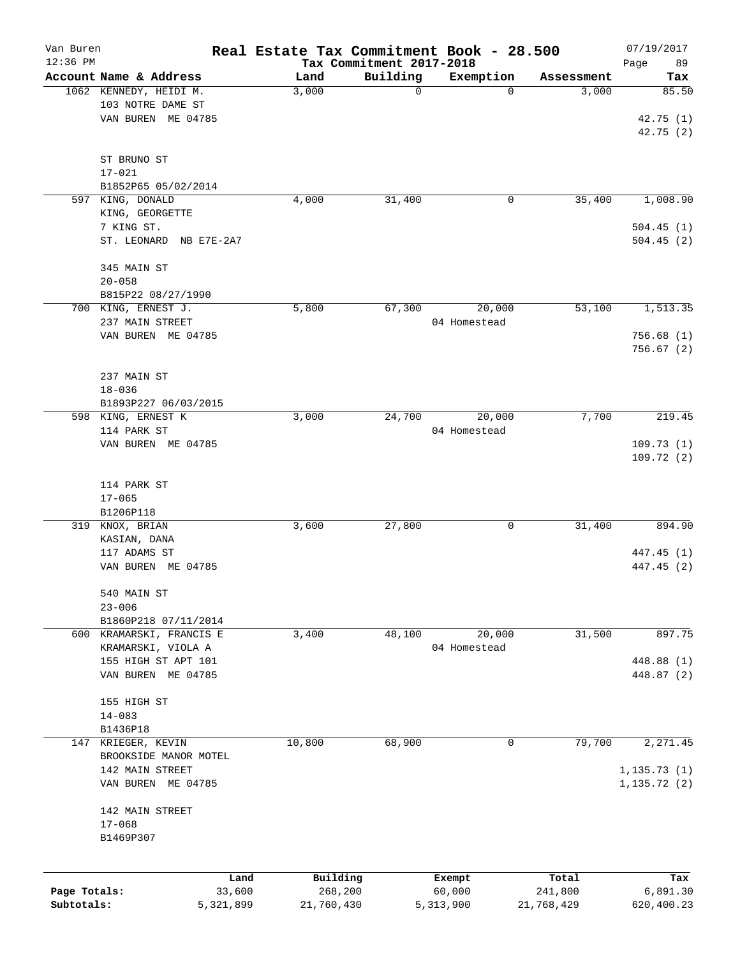| Van Buren    |                                      |                | Real Estate Tax Commitment Book - 28.500 |                     |                       | 07/19/2017             |
|--------------|--------------------------------------|----------------|------------------------------------------|---------------------|-----------------------|------------------------|
| 12:36 PM     | Account Name & Address               | Land           | Tax Commitment 2017-2018<br>Building     | Exemption           | Assessment            | Page<br>89<br>Tax      |
|              | 1062 KENNEDY, HEIDI M.               | 3,000          | $\mathbf 0$                              | 0                   | 3,000                 | 85.50                  |
|              | 103 NOTRE DAME ST                    |                |                                          |                     |                       |                        |
|              | VAN BUREN ME 04785                   |                |                                          |                     |                       | 42.75(1)               |
|              |                                      |                |                                          |                     |                       | 42.75 (2)              |
|              |                                      |                |                                          |                     |                       |                        |
|              | ST BRUNO ST                          |                |                                          |                     |                       |                        |
|              | $17 - 021$                           |                |                                          |                     |                       |                        |
|              | B1852P65 05/02/2014                  |                |                                          |                     |                       |                        |
|              | 597 KING, DONALD                     | 4,000          | 31,400                                   | 0                   | 35,400                | 1,008.90               |
|              | KING, GEORGETTE                      |                |                                          |                     |                       |                        |
|              | 7 KING ST.<br>ST. LEONARD NB E7E-2A7 |                |                                          |                     |                       | 504.45(1)<br>504.45(2) |
|              |                                      |                |                                          |                     |                       |                        |
|              | 345 MAIN ST                          |                |                                          |                     |                       |                        |
|              | $20 - 058$                           |                |                                          |                     |                       |                        |
|              | B815P22 08/27/1990                   |                |                                          |                     |                       |                        |
|              | 700 KING, ERNEST J.                  | 5,800          | 67,300                                   | 20,000              | 53,100                | 1,513.35               |
|              | 237 MAIN STREET                      |                |                                          | 04 Homestead        |                       |                        |
|              | VAN BUREN ME 04785                   |                |                                          |                     |                       | 756.68(1)              |
|              |                                      |                |                                          |                     |                       | 756.67(2)              |
|              |                                      |                |                                          |                     |                       |                        |
|              | 237 MAIN ST                          |                |                                          |                     |                       |                        |
|              | $18 - 036$                           |                |                                          |                     |                       |                        |
|              | B1893P227 06/03/2015                 |                |                                          |                     |                       |                        |
|              | 598 KING, ERNEST K                   | 3,000          | 24,700                                   | 20,000              | 7,700                 | 219.45                 |
|              | 114 PARK ST                          |                |                                          | 04 Homestead        |                       |                        |
|              | VAN BUREN ME 04785                   |                |                                          |                     |                       | 109.73(1)              |
|              |                                      |                |                                          |                     |                       | 109.72 (2)             |
|              |                                      |                |                                          |                     |                       |                        |
|              | 114 PARK ST                          |                |                                          |                     |                       |                        |
|              | $17 - 065$                           |                |                                          |                     |                       |                        |
|              | B1206P118<br>319 KNOX, BRIAN         | 3,600          | 27,800                                   | 0                   | 31,400                | 894.90                 |
|              | KASIAN, DANA                         |                |                                          |                     |                       |                        |
|              | 117 ADAMS ST                         |                |                                          |                     |                       | 447.45 (1)             |
|              | VAN BUREN ME 04785                   |                |                                          |                     |                       | 447.45 (2)             |
|              |                                      |                |                                          |                     |                       |                        |
|              | 540 MAIN ST                          |                |                                          |                     |                       |                        |
|              | $23 - 006$                           |                |                                          |                     |                       |                        |
|              | B1860P218 07/11/2014                 |                |                                          |                     |                       |                        |
|              | 600 KRAMARSKI, FRANCIS E             | 3,400          | 48,100                                   | 20,000              | 31,500                | 897.75                 |
|              | KRAMARSKI, VIOLA A                   |                |                                          | 04 Homestead        |                       |                        |
|              | 155 HIGH ST APT 101                  |                |                                          |                     |                       | 448.88 (1)             |
|              | VAN BUREN ME 04785                   |                |                                          |                     |                       | 448.87 (2)             |
|              |                                      |                |                                          |                     |                       |                        |
|              | 155 HIGH ST                          |                |                                          |                     |                       |                        |
|              | $14 - 083$                           |                |                                          |                     |                       |                        |
|              | B1436P18                             |                |                                          |                     |                       |                        |
| 147          | KRIEGER, KEVIN                       | 10,800         | 68,900                                   | 0                   | 79,700                | 2,271.45               |
|              | BROOKSIDE MANOR MOTEL                |                |                                          |                     |                       |                        |
|              | 142 MAIN STREET                      |                |                                          |                     |                       | 1, 135.73(1)           |
|              | VAN BUREN ME 04785                   |                |                                          |                     |                       | 1, 135.72(2)           |
|              | 142 MAIN STREET                      |                |                                          |                     |                       |                        |
|              | $17 - 068$                           |                |                                          |                     |                       |                        |
|              | B1469P307                            |                |                                          |                     |                       |                        |
|              |                                      |                |                                          |                     |                       |                        |
|              |                                      |                |                                          |                     |                       |                        |
| Page Totals: |                                      | Land<br>33,600 | Building<br>268,200                      | Exempt              | Total                 | Tax                    |
| Subtotals:   | 5,321,899                            |                | 21,760,430                               | 60,000<br>5,313,900 | 241,800<br>21,768,429 | 6,891.30<br>620,400.23 |
|              |                                      |                |                                          |                     |                       |                        |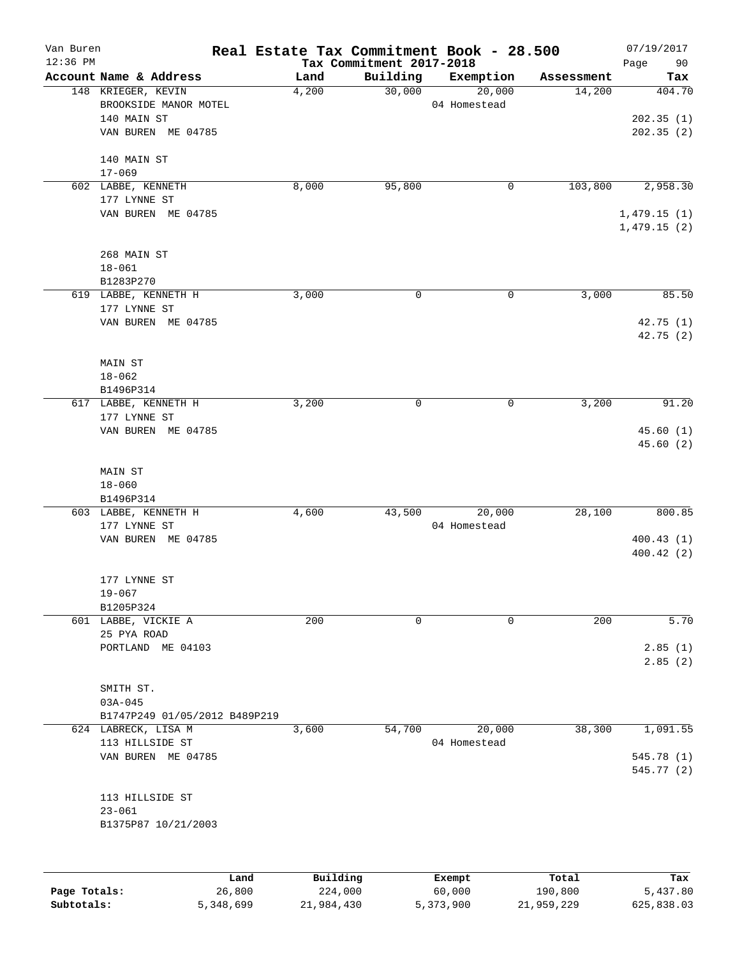| Van Buren<br>$12:36$ PM |                               |          | Tax Commitment 2017-2018 | Real Estate Tax Commitment Book - 28.500 |            | 07/19/2017<br>Page<br>90   |
|-------------------------|-------------------------------|----------|--------------------------|------------------------------------------|------------|----------------------------|
|                         | Account Name & Address        | Land     | Building                 | Exemption                                | Assessment | Tax                        |
|                         | 148 KRIEGER, KEVIN            | 4,200    | 30,000                   | 20,000                                   | 14,200     | 404.70                     |
|                         | BROOKSIDE MANOR MOTEL         |          |                          | 04 Homestead                             |            |                            |
|                         | 140 MAIN ST                   |          |                          |                                          |            | 202.35(1)                  |
|                         | VAN BUREN ME 04785            |          |                          |                                          |            | 202.35(2)                  |
|                         | 140 MAIN ST                   |          |                          |                                          |            |                            |
|                         | $17 - 069$                    |          |                          |                                          |            |                            |
|                         | 602 LABBE, KENNETH            | 8,000    | 95,800                   | 0                                        | 103,800    | 2,958.30                   |
|                         | 177 LYNNE ST                  |          |                          |                                          |            |                            |
|                         | VAN BUREN ME 04785            |          |                          |                                          |            | 1,479.15(1)<br>1,479.15(2) |
|                         | 268 MAIN ST                   |          |                          |                                          |            |                            |
|                         | $18 - 061$                    |          |                          |                                          |            |                            |
|                         | B1283P270                     |          |                          |                                          |            |                            |
|                         | 619 LABBE, KENNETH H          | 3,000    | 0                        | 0                                        | 3,000      | 85.50                      |
|                         | 177 LYNNE ST                  |          |                          |                                          |            |                            |
|                         | VAN BUREN ME 04785            |          |                          |                                          |            | 42.75 (1)                  |
|                         |                               |          |                          |                                          |            | 42.75(2)                   |
|                         | MAIN ST                       |          |                          |                                          |            |                            |
|                         | $18 - 062$                    |          |                          |                                          |            |                            |
|                         | B1496P314                     |          |                          |                                          |            |                            |
| 617                     | LABBE, KENNETH H              | 3,200    | 0                        | 0                                        | 3,200      | 91.20                      |
|                         | 177 LYNNE ST                  |          |                          |                                          |            |                            |
|                         | VAN BUREN ME 04785            |          |                          |                                          |            | 45.60(1)<br>45.60 (2)      |
|                         |                               |          |                          |                                          |            |                            |
|                         | MAIN ST                       |          |                          |                                          |            |                            |
|                         | $18 - 060$                    |          |                          |                                          |            |                            |
|                         | B1496P314                     |          |                          |                                          |            |                            |
|                         | 603 LABBE, KENNETH H          | 4,600    | 43,500                   | 20,000                                   | 28,100     | 800.85                     |
|                         | 177 LYNNE ST                  |          |                          | 04 Homestead                             |            |                            |
|                         | VAN BUREN ME 04785            |          |                          |                                          |            | 400.43(1)                  |
|                         |                               |          |                          |                                          |            | 400.42(2)                  |
|                         | 177 LYNNE ST                  |          |                          |                                          |            |                            |
|                         | $19 - 067$                    |          |                          |                                          |            |                            |
|                         | B1205P324                     |          |                          |                                          |            |                            |
|                         | 601 LABBE, VICKIE A           | 200      | 0                        | 0                                        | 200        | 5.70                       |
|                         | 25 PYA ROAD                   |          |                          |                                          |            |                            |
|                         | PORTLAND ME 04103             |          |                          |                                          |            | 2.85(1)                    |
|                         |                               |          |                          |                                          |            | 2.85(2)                    |
|                         | SMITH ST.                     |          |                          |                                          |            |                            |
|                         | $03A - 045$                   |          |                          |                                          |            |                            |
|                         | B1747P249 01/05/2012 B489P219 |          |                          |                                          |            |                            |
|                         | 624 LABRECK, LISA M           | 3,600    | 54,700                   | 20,000                                   | 38,300     | 1,091.55                   |
|                         | 113 HILLSIDE ST               |          |                          | 04 Homestead                             |            |                            |
|                         | VAN BUREN ME 04785            |          |                          |                                          |            | 545.78 (1)                 |
|                         |                               |          |                          |                                          |            | 545.77 (2)                 |
|                         | 113 HILLSIDE ST               |          |                          |                                          |            |                            |
|                         | $23 - 061$                    |          |                          |                                          |            |                            |
|                         | B1375P87 10/21/2003           |          |                          |                                          |            |                            |
|                         |                               |          |                          |                                          |            |                            |
|                         | Land                          | Building |                          | Exempt                                   | Total      | Tax                        |
| Page Totals:            | 26,800                        | 224,000  |                          | 60,000                                   | 190,800    | 5,437.80                   |

**Subtotals:** 5,348,699 21,984,430 5,373,900 21,959,229 625,838.03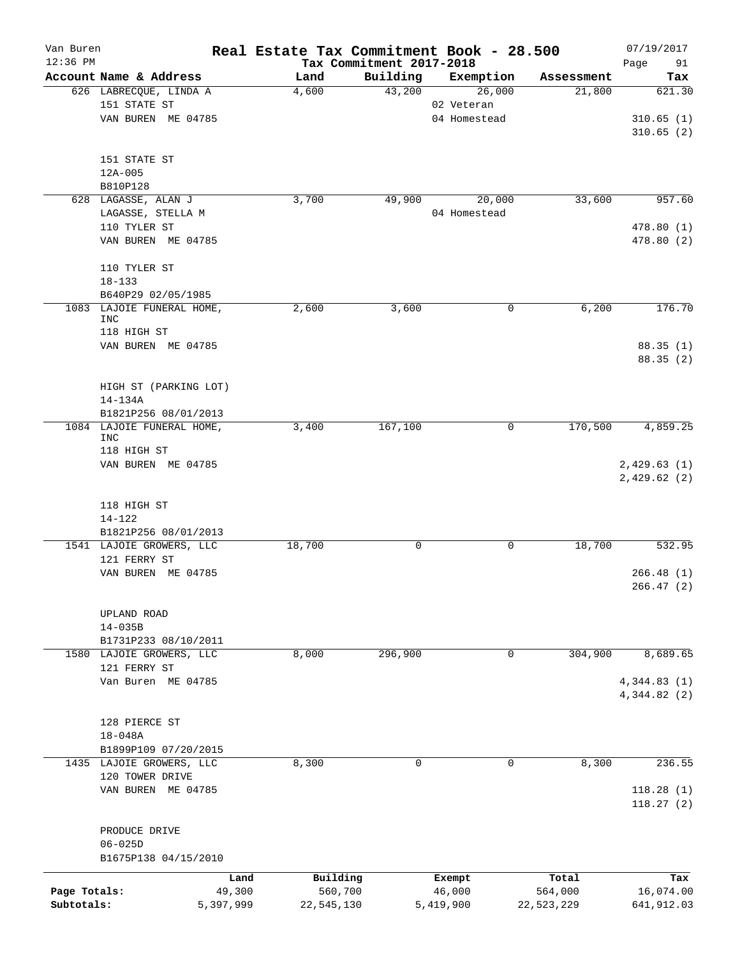| Van Buren<br>$12:36$ PM |                                         |           | Real Estate Tax Commitment Book - 28.500 | Tax Commitment 2017-2018 |              |              | 07/19/2017<br>91 |
|-------------------------|-----------------------------------------|-----------|------------------------------------------|--------------------------|--------------|--------------|------------------|
|                         | Account Name & Address                  |           | Land                                     | Building                 | Exemption    | Assessment   | Page<br>Tax      |
|                         | 626 LABRECQUE, LINDA A                  |           | 4,600                                    | 43,200                   | 26,000       | 21,800       | 621.30           |
|                         | 151 STATE ST                            |           |                                          |                          | 02 Veteran   |              |                  |
|                         | VAN BUREN ME 04785                      |           |                                          |                          | 04 Homestead |              | 310.65(1)        |
|                         |                                         |           |                                          |                          |              |              | 310.65(2)        |
|                         |                                         |           |                                          |                          |              |              |                  |
|                         | 151 STATE ST                            |           |                                          |                          |              |              |                  |
|                         | 12A-005                                 |           |                                          |                          |              |              |                  |
|                         | B810P128                                |           |                                          |                          |              |              |                  |
|                         | 628 LAGASSE, ALAN J                     |           | 3,700                                    | 49,900                   | 20,000       | 33,600       | 957.60           |
|                         | LAGASSE, STELLA M                       |           |                                          |                          | 04 Homestead |              |                  |
|                         | 110 TYLER ST                            |           |                                          |                          |              |              | 478.80 (1)       |
|                         | VAN BUREN ME 04785                      |           |                                          |                          |              |              | 478.80 (2)       |
|                         | 110 TYLER ST                            |           |                                          |                          |              |              |                  |
|                         | $18 - 133$                              |           |                                          |                          |              |              |                  |
|                         | B640P29 02/05/1985                      |           |                                          |                          |              |              |                  |
|                         | 1083 LAJOIE FUNERAL HOME,               |           | 2,600                                    | 3,600                    |              | 6,200<br>0   | 176.70           |
|                         | INC                                     |           |                                          |                          |              |              |                  |
|                         | 118 HIGH ST                             |           |                                          |                          |              |              |                  |
|                         | VAN BUREN ME 04785                      |           |                                          |                          |              |              | 88.35(1)         |
|                         |                                         |           |                                          |                          |              |              | 88.35(2)         |
|                         |                                         |           |                                          |                          |              |              |                  |
|                         | HIGH ST (PARKING LOT)                   |           |                                          |                          |              |              |                  |
|                         | 14-134A                                 |           |                                          |                          |              |              |                  |
|                         | B1821P256 08/01/2013                    |           |                                          |                          |              |              |                  |
|                         | 1084 LAJOIE FUNERAL HOME,<br><b>INC</b> |           | 3,400                                    | 167,100                  |              | 170,500<br>0 | 4,859.25         |
|                         | 118 HIGH ST                             |           |                                          |                          |              |              |                  |
|                         | VAN BUREN ME 04785                      |           |                                          |                          |              |              | 2,429.63(1)      |
|                         |                                         |           |                                          |                          |              |              | 2,429.62(2)      |
|                         |                                         |           |                                          |                          |              |              |                  |
|                         | 118 HIGH ST                             |           |                                          |                          |              |              |                  |
|                         | $14 - 122$                              |           |                                          |                          |              |              |                  |
|                         | B1821P256 08/01/2013                    |           |                                          |                          |              |              |                  |
|                         | 1541 LAJOIE GROWERS, LLC                |           | 18,700                                   | 0                        |              | 18,700<br>0  | 532.95           |
|                         | 121 FERRY ST                            |           |                                          |                          |              |              |                  |
|                         | VAN BUREN ME 04785                      |           |                                          |                          |              |              | 266.48(1)        |
|                         |                                         |           |                                          |                          |              |              | 266.47 (2)       |
|                         |                                         |           |                                          |                          |              |              |                  |
|                         | UPLAND ROAD                             |           |                                          |                          |              |              |                  |
|                         | $14 - 035B$                             |           |                                          |                          |              |              |                  |
|                         | B1731P233 08/10/2011                    |           |                                          |                          |              |              |                  |
|                         | 1580 LAJOIE GROWERS, LLC                |           | 8,000                                    | 296,900                  |              | 304,900<br>0 | 8,689.65         |
|                         | 121 FERRY ST                            |           |                                          |                          |              |              |                  |
|                         | Van Buren ME 04785                      |           |                                          |                          |              |              | 4,344.83(1)      |
|                         |                                         |           |                                          |                          |              |              | 4,344.82 (2)     |
|                         |                                         |           |                                          |                          |              |              |                  |
|                         | 128 PIERCE ST                           |           |                                          |                          |              |              |                  |
|                         | $18 - 048A$<br>B1899P109 07/20/2015     |           |                                          |                          |              |              |                  |
|                         | 1435 LAJOIE GROWERS, LLC                |           | 8,300                                    | $\mathbf 0$              |              | 8,300<br>0   | 236.55           |
|                         | 120 TOWER DRIVE                         |           |                                          |                          |              |              |                  |
|                         | VAN BUREN ME 04785                      |           |                                          |                          |              |              | 118.28(1)        |
|                         |                                         |           |                                          |                          |              |              | 118.27(2)        |
|                         | PRODUCE DRIVE                           |           |                                          |                          |              |              |                  |
|                         | $06 - 025D$                             |           |                                          |                          |              |              |                  |
|                         | B1675P138 04/15/2010                    |           |                                          |                          |              |              |                  |
|                         |                                         | Land      | Building                                 |                          | Exempt       | Total        | Tax              |
| Page Totals:            |                                         | 49,300    | 560,700                                  |                          | 46,000       | 564,000      | 16,074.00        |
| Subtotals:              |                                         | 5,397,999 | 22,545,130                               |                          | 5,419,900    | 22,523,229   | 641,912.03       |
|                         |                                         |           |                                          |                          |              |              |                  |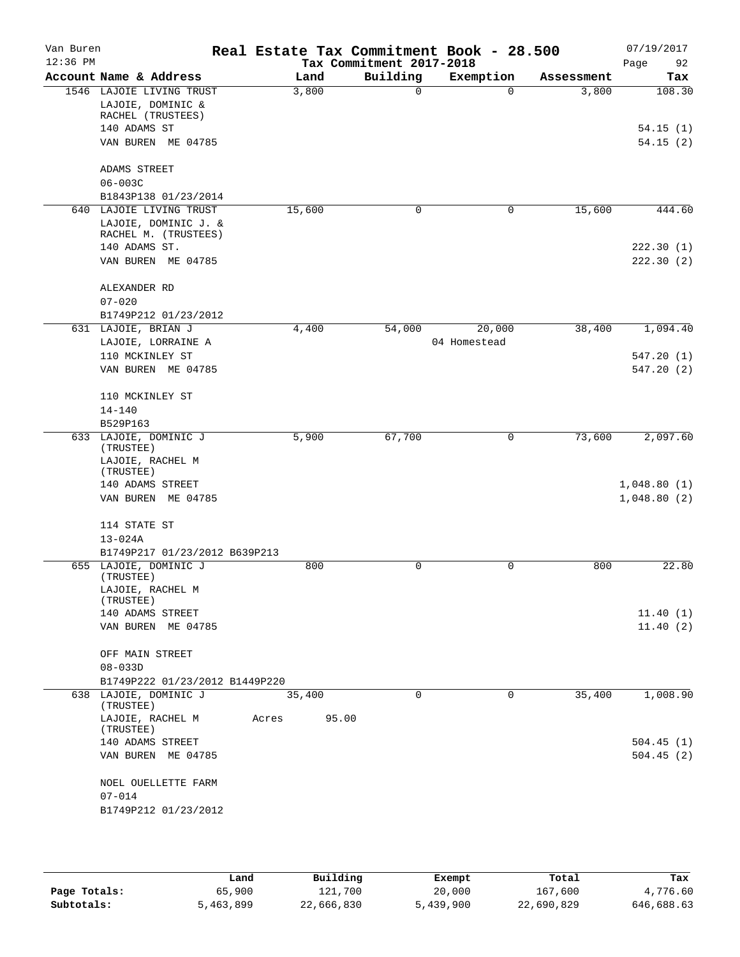| Van Buren<br>$12:36$ PM |                                    | Real Estate Tax Commitment Book - 28.500 | Tax Commitment 2017-2018 |              |            | 07/19/2017<br>92<br>Page |
|-------------------------|------------------------------------|------------------------------------------|--------------------------|--------------|------------|--------------------------|
|                         | Account Name & Address             | Land                                     | Building                 | Exemption    | Assessment | Tax                      |
|                         | 1546 LAJOIE LIVING TRUST           | 3,800                                    | $\Omega$                 | $\Omega$     | 3,800      | 108.30                   |
|                         | LAJOIE, DOMINIC &                  |                                          |                          |              |            |                          |
|                         | RACHEL (TRUSTEES)                  |                                          |                          |              |            |                          |
|                         | 140 ADAMS ST                       |                                          |                          |              |            | 54.15(1)                 |
|                         | VAN BUREN ME 04785                 |                                          |                          |              |            | 54.15(2)                 |
|                         | ADAMS STREET                       |                                          |                          |              |            |                          |
|                         | $06 - 003C$                        |                                          |                          |              |            |                          |
|                         | B1843P138 01/23/2014               |                                          |                          |              |            |                          |
|                         | 640 LAJOIE LIVING TRUST            | 15,600                                   | 0                        | 0            | 15,600     | 444.60                   |
|                         | LAJOIE, DOMINIC J. &               |                                          |                          |              |            |                          |
|                         | RACHEL M. (TRUSTEES)               |                                          |                          |              |            |                          |
|                         | 140 ADAMS ST.                      |                                          |                          |              |            | 222.30(1)                |
|                         | VAN BUREN ME 04785                 |                                          |                          |              |            | 222.30(2)                |
|                         | ALEXANDER RD                       |                                          |                          |              |            |                          |
|                         | $07 - 020$                         |                                          |                          |              |            |                          |
|                         | B1749P212 01/23/2012               |                                          |                          |              |            |                          |
|                         | 631 LAJOIE, BRIAN J                | 4,400                                    | 54,000                   | 20,000       | 38,400     | 1,094.40                 |
|                         | LAJOIE, LORRAINE A                 |                                          |                          | 04 Homestead |            |                          |
|                         | 110 MCKINLEY ST                    |                                          |                          |              |            | 547.20(1)                |
|                         | VAN BUREN ME 04785                 |                                          |                          |              |            | 547.20 (2)               |
|                         | 110 MCKINLEY ST                    |                                          |                          |              |            |                          |
|                         | $14 - 140$                         |                                          |                          |              |            |                          |
|                         | B529P163                           |                                          |                          |              |            |                          |
|                         | 633 LAJOIE, DOMINIC J<br>(TRUSTEE) | 5,900                                    | 67,700                   | 0            | 73,600     | 2,097.60                 |
|                         | LAJOIE, RACHEL M                   |                                          |                          |              |            |                          |
|                         | (TRUSTEE)                          |                                          |                          |              |            |                          |
|                         | 140 ADAMS STREET                   |                                          |                          |              |            | 1,048.80(1)              |
|                         | VAN BUREN ME 04785                 |                                          |                          |              |            | 1,048.80(2)              |
|                         | 114 STATE ST                       |                                          |                          |              |            |                          |
|                         | $13 - 024A$                        |                                          |                          |              |            |                          |
|                         | B1749P217 01/23/2012 B639P213      |                                          |                          |              |            |                          |
|                         | 655 LAJOIE, DOMINIC J<br>(TRUSTEE) | 800                                      | 0                        | 0            | 800        | 22.80                    |
|                         | LAJOIE, RACHEL M                   |                                          |                          |              |            |                          |
|                         | (TRUSTEE)                          |                                          |                          |              |            |                          |
|                         | 140 ADAMS STREET                   |                                          |                          |              |            | 11.40(1)                 |
|                         | VAN BUREN ME 04785                 |                                          |                          |              |            | 11.40(2)                 |
|                         | OFF MAIN STREET                    |                                          |                          |              |            |                          |
|                         | $08 - 033D$                        |                                          |                          |              |            |                          |
|                         | B1749P222 01/23/2012 B1449P220     |                                          |                          |              |            |                          |
|                         | 638 LAJOIE, DOMINIC J<br>(TRUSTEE) | 35,400                                   | $\Omega$                 | 0            | 35,400     | 1,008.90                 |
|                         | LAJOIE, RACHEL M<br>(TRUSTEE)      | Acres<br>95.00                           |                          |              |            |                          |
|                         | 140 ADAMS STREET                   |                                          |                          |              |            | 504.45(1)                |
|                         | VAN BUREN ME 04785                 |                                          |                          |              |            | 504.45(2)                |
|                         | NOEL OUELLETTE FARM                |                                          |                          |              |            |                          |
|                         | $07 - 014$                         |                                          |                          |              |            |                          |
|                         | B1749P212 01/23/2012               |                                          |                          |              |            |                          |
|                         |                                    |                                          |                          |              |            |                          |

|              | Land      | Building   | Exempt    | Total      | Tax        |
|--------------|-----------|------------|-----------|------------|------------|
| Page Totals: | 65,900    | 121,700    | 20,000    | 167,600    | 4,776.60   |
| Subtotals:   | 5,463,899 | 22,666,830 | 5,439,900 | 22,690,829 | 646,688.63 |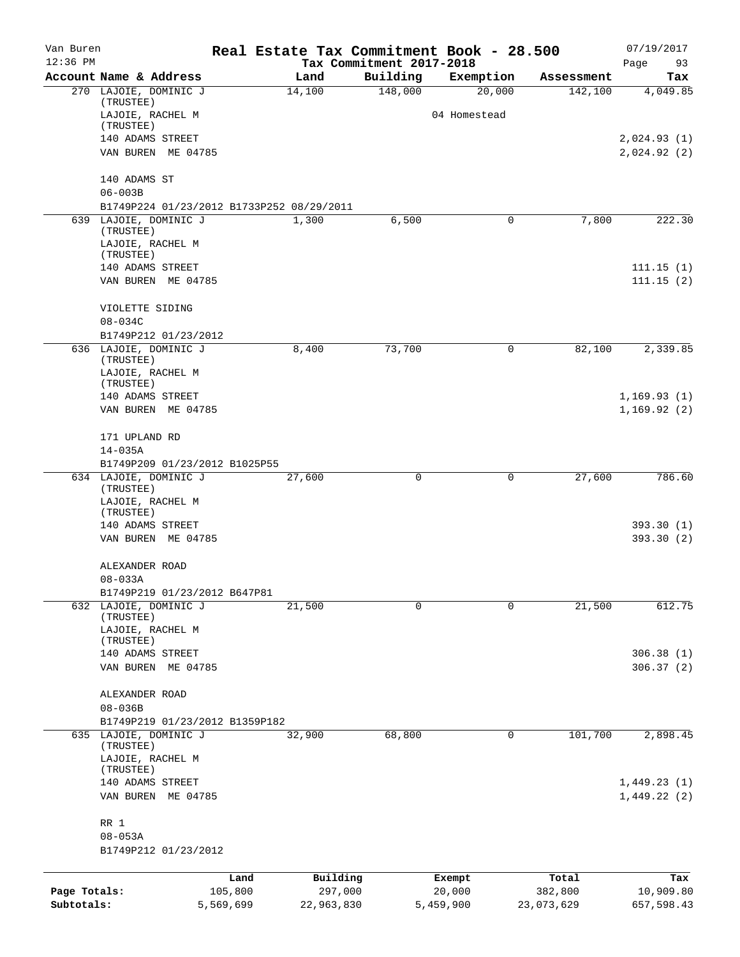| Van Buren    |                                              | Real Estate Tax Commitment Book - 28.500 |                                      |                  |                  | 07/19/2017                 |
|--------------|----------------------------------------------|------------------------------------------|--------------------------------------|------------------|------------------|----------------------------|
| $12:36$ PM   | Account Name & Address                       | Land                                     | Tax Commitment 2017-2018<br>Building | Exemption        | Assessment       | Page<br>93<br>Tax          |
|              | 270 LAJOIE, DOMINIC J                        | 14,100                                   | 148,000                              | 20,000           | 142,100          | 4,049.85                   |
|              | (TRUSTEE)                                    |                                          |                                      |                  |                  |                            |
|              | LAJOIE, RACHEL M<br>(TRUSTEE)                |                                          |                                      | 04 Homestead     |                  |                            |
|              | 140 ADAMS STREET                             |                                          |                                      |                  |                  | 2,024.93(1)                |
|              | VAN BUREN ME 04785                           |                                          |                                      |                  |                  | 2,024.92 (2)               |
|              | 140 ADAMS ST                                 |                                          |                                      |                  |                  |                            |
|              | $06 - 003B$                                  |                                          |                                      |                  |                  |                            |
|              | B1749P224 01/23/2012 B1733P252 08/29/2011    |                                          |                                      |                  |                  |                            |
|              | 639 LAJOIE, DOMINIC J                        | 1,300                                    | 6,500                                | 0                | 7,800            | 222.30                     |
|              | (TRUSTEE)<br>LAJOIE, RACHEL M                |                                          |                                      |                  |                  |                            |
|              | (TRUSTEE)                                    |                                          |                                      |                  |                  |                            |
|              | 140 ADAMS STREET                             |                                          |                                      |                  |                  | 111.15(1)                  |
|              | VAN BUREN ME 04785                           |                                          |                                      |                  |                  | 111.15(2)                  |
|              | VIOLETTE SIDING                              |                                          |                                      |                  |                  |                            |
|              | $08 - 034C$                                  |                                          |                                      |                  |                  |                            |
|              | B1749P212 01/23/2012                         |                                          |                                      |                  |                  |                            |
|              | 636 LAJOIE, DOMINIC J<br>$(\textsc{TRUE})$   | 8,400                                    | 73,700                               | 0                | 82,100           | 2,339.85                   |
|              | LAJOIE, RACHEL M                             |                                          |                                      |                  |                  |                            |
|              | (TRUSTEE)                                    |                                          |                                      |                  |                  |                            |
|              | 140 ADAMS STREET<br>VAN BUREN ME 04785       |                                          |                                      |                  |                  | 1,169.93(1)<br>1,169.92(2) |
|              |                                              |                                          |                                      |                  |                  |                            |
|              | 171 UPLAND RD                                |                                          |                                      |                  |                  |                            |
|              | $14 - 035A$<br>B1749P209 01/23/2012 B1025P55 |                                          |                                      |                  |                  |                            |
|              | 634 LAJOIE, DOMINIC J                        | 27,600                                   | 0                                    | 0                | 27,600           | 786.60                     |
|              | (TRUSTEE)<br>LAJOIE, RACHEL M                |                                          |                                      |                  |                  |                            |
|              | (TRUSTEE)                                    |                                          |                                      |                  |                  |                            |
|              | 140 ADAMS STREET                             |                                          |                                      |                  |                  | 393.30 (1)                 |
|              | VAN BUREN ME 04785                           |                                          |                                      |                  |                  | 393.30 (2)                 |
|              | ALEXANDER ROAD                               |                                          |                                      |                  |                  |                            |
|              | $08 - 033A$                                  |                                          |                                      |                  |                  |                            |
|              | B1749P219 01/23/2012 B647P81                 |                                          |                                      |                  |                  |                            |
|              | 632 LAJOIE, DOMINIC J<br>(TRUSTEE)           | 21,500                                   | 0                                    | $\mathbf 0$      | 21,500           | 612.75                     |
|              | LAJOIE, RACHEL M                             |                                          |                                      |                  |                  |                            |
|              | (TRUSTEE)                                    |                                          |                                      |                  |                  |                            |
|              | 140 ADAMS STREET<br>VAN BUREN<br>ME 04785    |                                          |                                      |                  |                  | 306.38(1)<br>306.37(2)     |
|              |                                              |                                          |                                      |                  |                  |                            |
|              | ALEXANDER ROAD                               |                                          |                                      |                  |                  |                            |
|              | $08 - 036B$                                  |                                          |                                      |                  |                  |                            |
|              | B1749P219 01/23/2012 B1359P182               |                                          |                                      | 0                |                  |                            |
|              | 635 LAJOIE, DOMINIC J<br>(TRUSTEE)           | 32,900                                   | 68,800                               |                  | 101,700          | 2,898.45                   |
|              | LAJOIE, RACHEL M                             |                                          |                                      |                  |                  |                            |
|              | (TRUSTEE)                                    |                                          |                                      |                  |                  |                            |
|              | 140 ADAMS STREET<br>VAN BUREN<br>ME 04785    |                                          |                                      |                  |                  | 1,449.23(1)<br>1,449.22(2) |
|              |                                              |                                          |                                      |                  |                  |                            |
|              | RR 1<br>$08 - 053A$                          |                                          |                                      |                  |                  |                            |
|              | B1749P212 01/23/2012                         |                                          |                                      |                  |                  |                            |
|              |                                              |                                          |                                      |                  |                  |                            |
| Page Totals: | Land<br>105,800                              | Building<br>297,000                      |                                      | Exempt<br>20,000 | Total<br>382,800 | Tax<br>10,909.80           |
| Subtotals:   | 5,569,699                                    | 22,963,830                               |                                      | 5,459,900        | 23,073,629       | 657,598.43                 |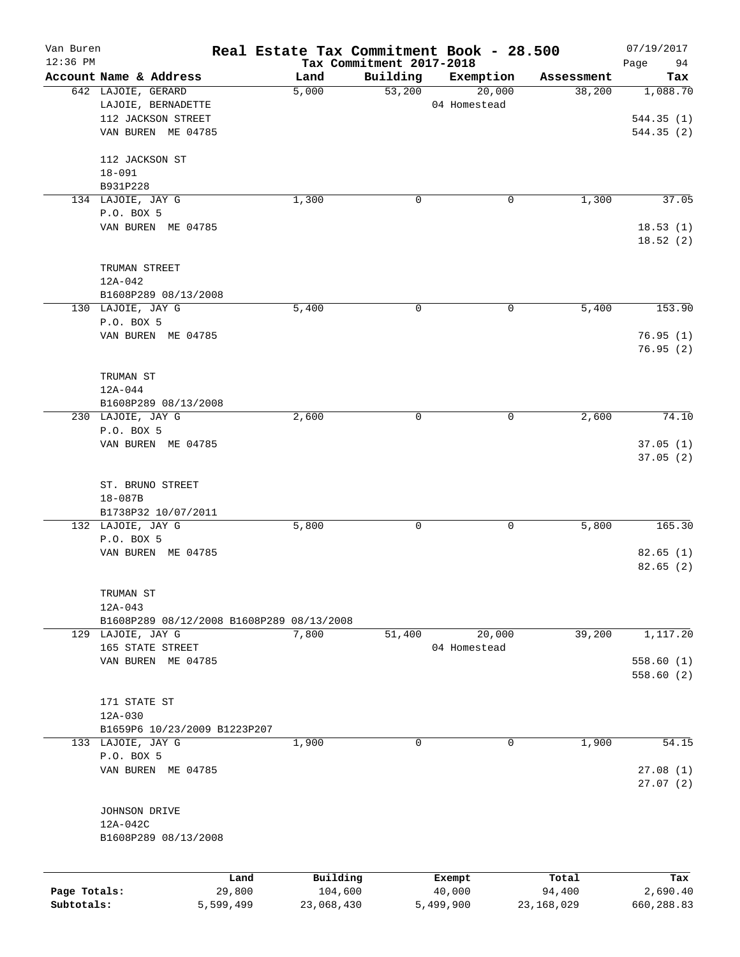| Van Buren<br>$12:36$ PM |                                           |                | Real Estate Tax Commitment Book - 28.500<br>Tax Commitment 2017-2018 |          |                  |                 | 07/19/2017<br>94     |
|-------------------------|-------------------------------------------|----------------|----------------------------------------------------------------------|----------|------------------|-----------------|----------------------|
|                         | Account Name & Address                    |                | Land                                                                 | Building | Exemption        | Assessment      | Page<br>Tax          |
|                         | 642 LAJOIE, GERARD                        |                | 5,000                                                                | 53,200   | 20,000           | 38,200          | 1,088.70             |
|                         | LAJOIE, BERNADETTE                        |                |                                                                      |          | 04 Homestead     |                 |                      |
|                         | 112 JACKSON STREET                        |                |                                                                      |          |                  |                 | 544.35(1)            |
|                         | VAN BUREN ME 04785                        |                |                                                                      |          |                  |                 | 544.35 (2)           |
|                         | 112 JACKSON ST                            |                |                                                                      |          |                  |                 |                      |
|                         | $18 - 091$                                |                |                                                                      |          |                  |                 |                      |
|                         | B931P228                                  |                |                                                                      |          |                  |                 |                      |
|                         | 134 LAJOIE, JAY G                         |                | 1,300                                                                | 0        | 0                | 1,300           | 37.05                |
|                         | P.O. BOX 5                                |                |                                                                      |          |                  |                 |                      |
|                         | VAN BUREN ME 04785                        |                |                                                                      |          |                  |                 | 18.53(1)<br>18.52(2) |
|                         | TRUMAN STREET                             |                |                                                                      |          |                  |                 |                      |
|                         | 12A-042                                   |                |                                                                      |          |                  |                 |                      |
|                         | B1608P289 08/13/2008                      |                |                                                                      |          |                  |                 |                      |
|                         | 130 LAJOIE, JAY G                         |                | 5,400                                                                | 0        | 0                | 5,400           | 153.90               |
|                         | P.O. BOX 5                                |                |                                                                      |          |                  |                 |                      |
|                         | VAN BUREN ME 04785                        |                |                                                                      |          |                  |                 | 76.95(1)             |
|                         |                                           |                |                                                                      |          |                  |                 | 76.95(2)             |
|                         |                                           |                |                                                                      |          |                  |                 |                      |
|                         | TRUMAN ST                                 |                |                                                                      |          |                  |                 |                      |
|                         | $12A - 044$                               |                |                                                                      |          |                  |                 |                      |
|                         | B1608P289 08/13/2008                      |                |                                                                      |          |                  |                 |                      |
|                         | 230 LAJOIE, JAY G                         |                | 2,600                                                                | 0        | 0                | 2,600           | 74.10                |
|                         | P.O. BOX 5                                |                |                                                                      |          |                  |                 |                      |
|                         | VAN BUREN ME 04785                        |                |                                                                      |          |                  |                 | 37.05(1)<br>37.05(2) |
|                         |                                           |                |                                                                      |          |                  |                 |                      |
|                         | ST. BRUNO STREET<br>18-087B               |                |                                                                      |          |                  |                 |                      |
|                         | B1738P32 10/07/2011                       |                |                                                                      |          |                  |                 |                      |
|                         | 132 LAJOIE, JAY G                         |                | 5,800                                                                | 0        | 0                | 5,800           | 165.30               |
|                         | P.O. BOX 5                                |                |                                                                      |          |                  |                 |                      |
|                         | VAN BUREN ME 04785                        |                |                                                                      |          |                  |                 | 82.65(1)             |
|                         |                                           |                |                                                                      |          |                  |                 | 82.65(2)             |
|                         | TRUMAN ST                                 |                |                                                                      |          |                  |                 |                      |
|                         | $12A - 043$                               |                |                                                                      |          |                  |                 |                      |
|                         | B1608P289 08/12/2008 B1608P289 08/13/2008 |                |                                                                      |          |                  |                 |                      |
|                         | 129 LAJOIE, JAY G                         |                | 7,800                                                                | 51,400   | 20,000           | 39,200          | 1,117.20             |
|                         | 165 STATE STREET                          |                |                                                                      |          | 04 Homestead     |                 |                      |
|                         | VAN BUREN ME 04785                        |                |                                                                      |          |                  |                 | 558.60(1)            |
|                         |                                           |                |                                                                      |          |                  |                 | 558.60(2)            |
|                         |                                           |                |                                                                      |          |                  |                 |                      |
|                         | 171 STATE ST                              |                |                                                                      |          |                  |                 |                      |
|                         | $12A - 030$                               |                |                                                                      |          |                  |                 |                      |
|                         | B1659P6 10/23/2009 B1223P207              |                |                                                                      |          |                  |                 |                      |
|                         | 133 LAJOIE, JAY G                         |                | 1,900                                                                | 0        | 0                | 1,900           | 54.15                |
|                         | P.O. BOX 5<br>VAN BUREN ME 04785          |                |                                                                      |          |                  |                 |                      |
|                         |                                           |                |                                                                      |          |                  |                 | 27.08(1)<br>27.07(2) |
|                         | JOHNSON DRIVE                             |                |                                                                      |          |                  |                 |                      |
|                         | 12A-042C                                  |                |                                                                      |          |                  |                 |                      |
|                         | B1608P289 08/13/2008                      |                |                                                                      |          |                  |                 |                      |
|                         |                                           |                |                                                                      |          |                  |                 |                      |
| Page Totals:            |                                           | Land<br>29,800 | Building<br>104,600                                                  |          | Exempt<br>40,000 | Total<br>94,400 | Tax<br>2,690.40      |
| Subtotals:              |                                           | 5,599,499      | 23,068,430                                                           |          | 5,499,900        | 23, 168, 029    | 660,288.83           |
|                         |                                           |                |                                                                      |          |                  |                 |                      |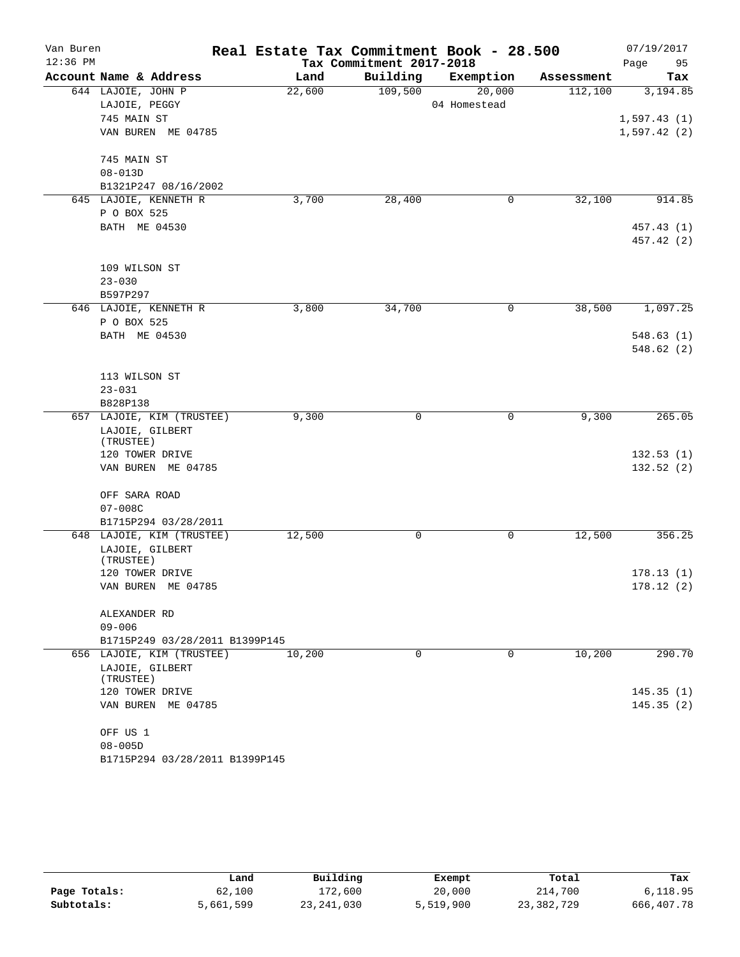| Van Buren  |                                | Real Estate Tax Commitment Book - 28.500 |                          |              |            | 07/19/2017  |
|------------|--------------------------------|------------------------------------------|--------------------------|--------------|------------|-------------|
| $12:36$ PM |                                |                                          | Tax Commitment 2017-2018 |              |            | Page<br>95  |
|            | Account Name & Address         | Land                                     | Building                 | Exemption    | Assessment | Tax         |
|            | 644 LAJOIE, JOHN P             | 22,600                                   | 109,500                  | 20,000       | 112,100    | 3,194.85    |
|            | LAJOIE, PEGGY                  |                                          |                          | 04 Homestead |            |             |
|            | 745 MAIN ST                    |                                          |                          |              |            | 1,597.43(1) |
|            | VAN BUREN ME 04785             |                                          |                          |              |            | 1,597.42(2) |
|            | 745 MAIN ST                    |                                          |                          |              |            |             |
|            | $08 - 013D$                    |                                          |                          |              |            |             |
|            | B1321P247 08/16/2002           |                                          |                          |              |            |             |
|            | 645 LAJOIE, KENNETH R          | 3,700                                    | 28,400                   | 0            | 32,100     | 914.85      |
|            | P O BOX 525                    |                                          |                          |              |            |             |
|            | BATH ME 04530                  |                                          |                          |              |            | 457.43 (1)  |
|            |                                |                                          |                          |              |            | 457.42 (2)  |
|            | 109 WILSON ST                  |                                          |                          |              |            |             |
|            | $23 - 030$                     |                                          |                          |              |            |             |
|            | B597P297                       |                                          |                          |              |            |             |
|            | 646 LAJOIE, KENNETH R          | 3,800                                    | 34,700                   | 0            | 38,500     | 1,097.25    |
|            | P O BOX 525                    |                                          |                          |              |            |             |
|            | BATH ME 04530                  |                                          |                          |              |            | 548.63(1)   |
|            |                                |                                          |                          |              |            | 548.62(2)   |
|            | 113 WILSON ST                  |                                          |                          |              |            |             |
|            | $23 - 031$                     |                                          |                          |              |            |             |
|            | B828P138                       |                                          |                          |              |            |             |
| 657        | LAJOIE, KIM (TRUSTEE)          | 9,300                                    | 0                        | 0            | 9,300      | 265.05      |
|            | LAJOIE, GILBERT                |                                          |                          |              |            |             |
|            | (TRUSTEE)                      |                                          |                          |              |            |             |
|            | 120 TOWER DRIVE                |                                          |                          |              |            | 132.53(1)   |
|            | VAN BUREN ME 04785             |                                          |                          |              |            | 132.52(2)   |
|            | OFF SARA ROAD                  |                                          |                          |              |            |             |
|            | $07 - 008C$                    |                                          |                          |              |            |             |
|            | B1715P294 03/28/2011           |                                          |                          |              |            |             |
|            | 648 LAJOIE, KIM (TRUSTEE)      | 12,500                                   | 0                        | 0            | 12,500     | 356.25      |
|            | LAJOIE, GILBERT                |                                          |                          |              |            |             |
|            | (TRUSTEE)                      |                                          |                          |              |            |             |
|            | 120 TOWER DRIVE                |                                          |                          |              |            | 178.13(1)   |
|            | VAN BUREN ME 04785             |                                          |                          |              |            | 178.12(2)   |
|            | ALEXANDER RD                   |                                          |                          |              |            |             |
|            | $09 - 006$                     |                                          |                          |              |            |             |
|            | B1715P249 03/28/2011 B1399P145 |                                          |                          |              |            |             |
|            | 656 LAJOIE, KIM (TRUSTEE)      | 10,200                                   | $\Omega$                 | 0            | 10,200     | 290.70      |
|            | LAJOIE, GILBERT                |                                          |                          |              |            |             |
|            | (TRUSTEE)                      |                                          |                          |              |            |             |
|            | 120 TOWER DRIVE                |                                          |                          |              |            | 145.35(1)   |
|            | VAN BUREN ME 04785             |                                          |                          |              |            | 145.35(2)   |
|            | OFF US 1                       |                                          |                          |              |            |             |
|            | $08 - 005D$                    |                                          |                          |              |            |             |
|            | B1715P294 03/28/2011 B1399P145 |                                          |                          |              |            |             |

|              | Land      | Building     | Exempt    | Total      | Tax        |
|--------------|-----------|--------------|-----------|------------|------------|
| Page Totals: | 62,100    | 172,600      | 20,000    | 214,700    | 6,118.95   |
| Subtotals:   | 5,661,599 | 23, 241, 030 | 5,519,900 | 23,382,729 | 666,407.78 |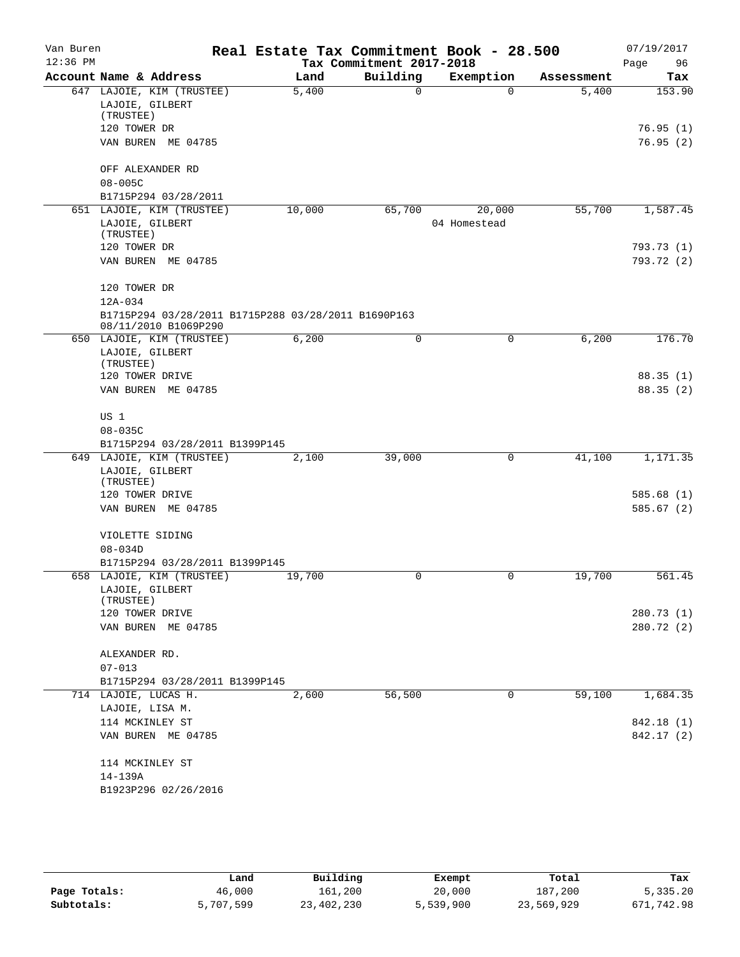| Van Buren  |                                                        |        | Real Estate Tax Commitment Book - 28.500 |              |            | 07/19/2017 |
|------------|--------------------------------------------------------|--------|------------------------------------------|--------------|------------|------------|
| $12:36$ PM |                                                        |        | Tax Commitment 2017-2018                 |              |            | Page<br>96 |
|            | Account Name & Address                                 | Land   | Building                                 | Exemption    | Assessment | Tax        |
|            | 647 LAJOIE, KIM (TRUSTEE)                              | 5,400  | $\Omega$                                 | $\Omega$     | 5,400      | 153.90     |
|            | LAJOIE, GILBERT<br>(TRUSTEE)                           |        |                                          |              |            |            |
|            | 120 TOWER DR                                           |        |                                          |              |            | 76.95(1)   |
|            | VAN BUREN ME 04785                                     |        |                                          |              |            | 76.95(2)   |
|            |                                                        |        |                                          |              |            |            |
|            | OFF ALEXANDER RD                                       |        |                                          |              |            |            |
|            | $08 - 005C$                                            |        |                                          |              |            |            |
|            | B1715P294 03/28/2011                                   |        |                                          |              |            |            |
|            | 651 LAJOIE, KIM (TRUSTEE)                              | 10,000 | 65,700                                   | 20,000       | 55,700     | 1,587.45   |
|            | LAJOIE, GILBERT                                        |        |                                          | 04 Homestead |            |            |
|            | (TRUSTEE)                                              |        |                                          |              |            |            |
|            | 120 TOWER DR                                           |        |                                          |              |            | 793.73 (1) |
|            | VAN BUREN ME 04785                                     |        |                                          |              |            | 793.72 (2) |
|            | 120 TOWER DR                                           |        |                                          |              |            |            |
|            | 12A-034                                                |        |                                          |              |            |            |
|            | B1715P294 03/28/2011 B1715P288 03/28/2011 B1690P163    |        |                                          |              |            |            |
|            | 08/11/2010 B1069P290                                   |        |                                          |              |            |            |
|            | 650 LAJOIE, KIM (TRUSTEE)                              | 6,200  | 0                                        | 0            | 6,200      | 176.70     |
|            | LAJOIE, GILBERT                                        |        |                                          |              |            |            |
|            | (TRUSTEE)                                              |        |                                          |              |            |            |
|            | 120 TOWER DRIVE                                        |        |                                          |              |            | 88.35(1)   |
|            | VAN BUREN ME 04785                                     |        |                                          |              |            | 88.35(2)   |
|            | US 1                                                   |        |                                          |              |            |            |
|            | $08 - 035C$                                            |        |                                          |              |            |            |
|            | B1715P294 03/28/2011 B1399P145                         |        |                                          |              |            |            |
|            | 649 LAJOIE, KIM (TRUSTEE)                              | 2,100  | 39,000                                   | 0            | 41,100     | 1,171.35   |
|            | LAJOIE, GILBERT                                        |        |                                          |              |            |            |
|            | (TRUSTEE)                                              |        |                                          |              |            |            |
|            | 120 TOWER DRIVE                                        |        |                                          |              |            | 585.68(1)  |
|            | VAN BUREN ME 04785                                     |        |                                          |              |            | 585.67(2)  |
|            |                                                        |        |                                          |              |            |            |
|            | VIOLETTE SIDING<br>$08 - 034D$                         |        |                                          |              |            |            |
|            | B1715P294 03/28/2011 B1399P145                         |        |                                          |              |            |            |
|            | 658 LAJOIE, KIM (TRUSTEE)                              | 19,700 | 0                                        | 0            | 19,700     | 561.45     |
|            | LAJOIE, GILBERT                                        |        |                                          |              |            |            |
|            | (TRUSTEE)                                              |        |                                          |              |            |            |
|            | 120 TOWER DRIVE                                        |        |                                          |              |            | 280.73 (1) |
|            | VAN BUREN ME 04785                                     |        |                                          |              |            | 280.72 (2) |
|            |                                                        |        |                                          |              |            |            |
|            | ALEXANDER RD.                                          |        |                                          |              |            |            |
|            | $07 - 013$                                             |        |                                          |              |            |            |
|            | B1715P294 03/28/2011 B1399P145<br>714 LAJOIE, LUCAS H. | 2,600  | 56,500                                   | 0            | 59,100     | 1,684.35   |
|            | LAJOIE, LISA M.                                        |        |                                          |              |            |            |
|            | 114 MCKINLEY ST                                        |        |                                          |              |            | 842.18 (1) |
|            | VAN BUREN ME 04785                                     |        |                                          |              |            | 842.17 (2) |
|            |                                                        |        |                                          |              |            |            |
|            | 114 MCKINLEY ST                                        |        |                                          |              |            |            |
|            | 14-139A                                                |        |                                          |              |            |            |
|            | B1923P296 02/26/2016                                   |        |                                          |              |            |            |
|            |                                                        |        |                                          |              |            |            |

|              | Land      | Building   | Exempt    | Total      | Tax        |
|--------------|-----------|------------|-----------|------------|------------|
| Page Totals: | 46,000    | 161,200    | 20,000    | 187,200    | 5,335.20   |
| Subtotals:   | 5,707,599 | 23,402,230 | 5,539,900 | 23,569,929 | 671,742.98 |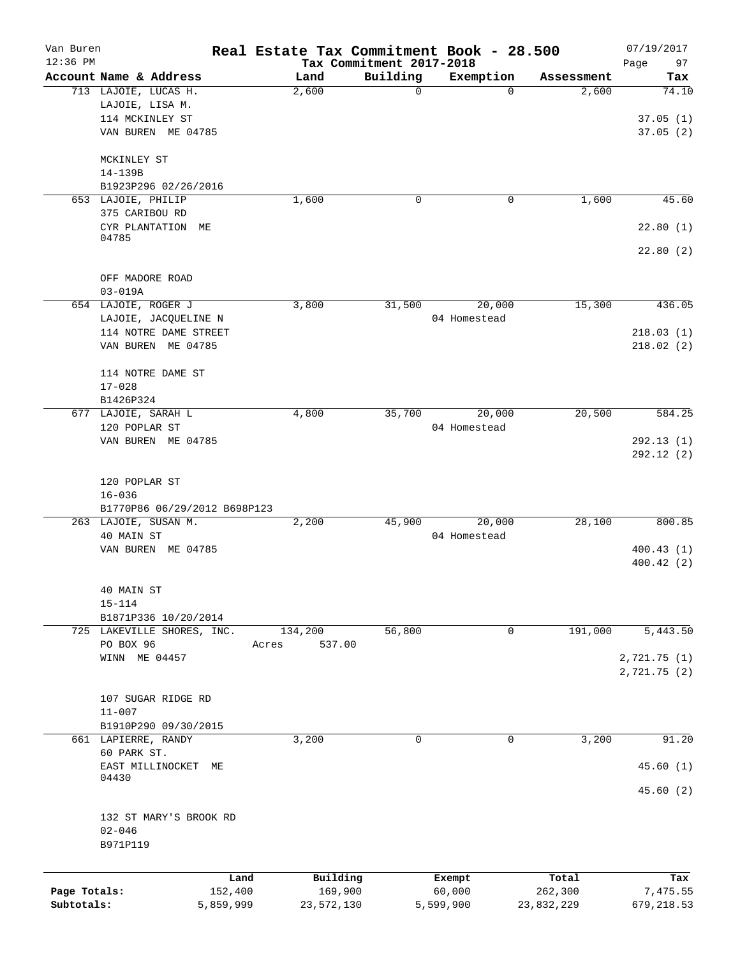| Van Buren<br>$12:36$ PM |                                            |                 |                     | Tax Commitment 2017-2018 | Real Estate Tax Commitment Book - 28.500 |                  | 07/19/2017<br>97<br>Page |
|-------------------------|--------------------------------------------|-----------------|---------------------|--------------------------|------------------------------------------|------------------|--------------------------|
|                         | Account Name & Address                     |                 | Land                | Building                 | Exemption                                | Assessment       | Tax                      |
|                         | 713 LAJOIE, LUCAS H.                       |                 | 2,600               | 0                        | $\Omega$                                 | 2,600            | 74.10                    |
|                         | LAJOIE, LISA M.                            |                 |                     |                          |                                          |                  |                          |
|                         | 114 MCKINLEY ST                            |                 |                     |                          |                                          |                  | 37.05(1)                 |
|                         | VAN BUREN ME 04785                         |                 |                     |                          |                                          |                  | 37.05(2)                 |
|                         | MCKINLEY ST                                |                 |                     |                          |                                          |                  |                          |
|                         | 14-139B                                    |                 |                     |                          |                                          |                  |                          |
|                         | B1923P296 02/26/2016                       |                 |                     |                          |                                          |                  |                          |
|                         | 653 LAJOIE, PHILIP                         |                 | 1,600               | 0                        | 0                                        | 1,600            | 45.60                    |
|                         | 375 CARIBOU RD                             |                 |                     |                          |                                          |                  |                          |
|                         | CYR PLANTATION<br>МE<br>04785              |                 |                     |                          |                                          |                  | 22.80(1)                 |
|                         |                                            |                 |                     |                          |                                          |                  | 22.80(2)                 |
|                         | OFF MADORE ROAD                            |                 |                     |                          |                                          |                  |                          |
|                         | $03 - 019A$                                |                 |                     |                          |                                          |                  |                          |
|                         | 654 LAJOIE, ROGER J                        |                 | 3,800               | 31,500                   | 20,000                                   | 15,300           | 436.05                   |
|                         | LAJOIE, JACQUELINE N                       |                 |                     |                          | 04 Homestead                             |                  |                          |
|                         | 114 NOTRE DAME STREET                      |                 |                     |                          |                                          |                  | 218.03(1)                |
|                         | VAN BUREN ME 04785                         |                 |                     |                          |                                          |                  | 218.02(2)                |
|                         | 114 NOTRE DAME ST                          |                 |                     |                          |                                          |                  |                          |
|                         | $17 - 028$                                 |                 |                     |                          |                                          |                  |                          |
|                         | B1426P324                                  |                 |                     |                          |                                          |                  |                          |
|                         | 677 LAJOIE, SARAH L                        |                 | 4,800               | 35,700                   | 20,000                                   | 20,500           | 584.25                   |
|                         | 120 POPLAR ST                              |                 |                     |                          | 04 Homestead                             |                  |                          |
|                         | VAN BUREN ME 04785                         |                 |                     |                          |                                          |                  | 292.13(1)<br>292.12(2)   |
|                         |                                            |                 |                     |                          |                                          |                  |                          |
|                         | 120 POPLAR ST                              |                 |                     |                          |                                          |                  |                          |
|                         | $16 - 036$<br>B1770P86 06/29/2012 B698P123 |                 |                     |                          |                                          |                  |                          |
|                         | 263 LAJOIE, SUSAN M.                       |                 | 2,200               | 45,900                   | 20,000                                   | 28,100           | 800.85                   |
|                         | 40 MAIN ST                                 |                 |                     |                          | 04 Homestead                             |                  |                          |
|                         | VAN BUREN ME 04785                         |                 |                     |                          |                                          |                  | 400.43(1)                |
|                         |                                            |                 |                     |                          |                                          |                  | 400.42(2)                |
|                         | 40 MAIN ST                                 |                 |                     |                          |                                          |                  |                          |
|                         | $15 - 114$                                 |                 |                     |                          |                                          |                  |                          |
|                         | B1871P336 10/20/2014                       |                 |                     |                          |                                          |                  |                          |
|                         | 725 LAKEVILLE SHORES, INC.                 |                 | 134,200             | 56,800                   | 0                                        | 191,000          | 5,443.50                 |
|                         | PO BOX 96                                  |                 | 537.00<br>Acres     |                          |                                          |                  |                          |
|                         | WINN ME 04457                              |                 |                     |                          |                                          |                  | 2,721.75 (1)             |
|                         |                                            |                 |                     |                          |                                          |                  | 2,721.75(2)              |
|                         |                                            |                 |                     |                          |                                          |                  |                          |
|                         | 107 SUGAR RIDGE RD                         |                 |                     |                          |                                          |                  |                          |
|                         | $11 - 007$                                 |                 |                     |                          |                                          |                  |                          |
|                         | B1910P290 09/30/2015                       |                 |                     | 0                        | $\mathbf 0$                              |                  | 91.20                    |
|                         | 661 LAPIERRE, RANDY<br>60 PARK ST.         |                 | 3,200               |                          |                                          | 3,200            |                          |
|                         | EAST MILLINOCKET                           | ME              |                     |                          |                                          |                  | 45.60(1)                 |
|                         | 04430                                      |                 |                     |                          |                                          |                  |                          |
|                         |                                            |                 |                     |                          |                                          |                  | 45.60(2)                 |
|                         | 132 ST MARY'S BROOK RD                     |                 |                     |                          |                                          |                  |                          |
|                         | $02 - 046$                                 |                 |                     |                          |                                          |                  |                          |
|                         | B971P119                                   |                 |                     |                          |                                          |                  |                          |
|                         |                                            |                 |                     |                          |                                          |                  |                          |
| Page Totals:            |                                            | Land<br>152,400 | Building<br>169,900 |                          | Exempt<br>60,000                         | Total<br>262,300 | Tax<br>7,475.55          |
| Subtotals:              |                                            | 5,859,999       | 23,572,130          |                          | 5,599,900                                | 23,832,229       | 679,218.53               |
|                         |                                            |                 |                     |                          |                                          |                  |                          |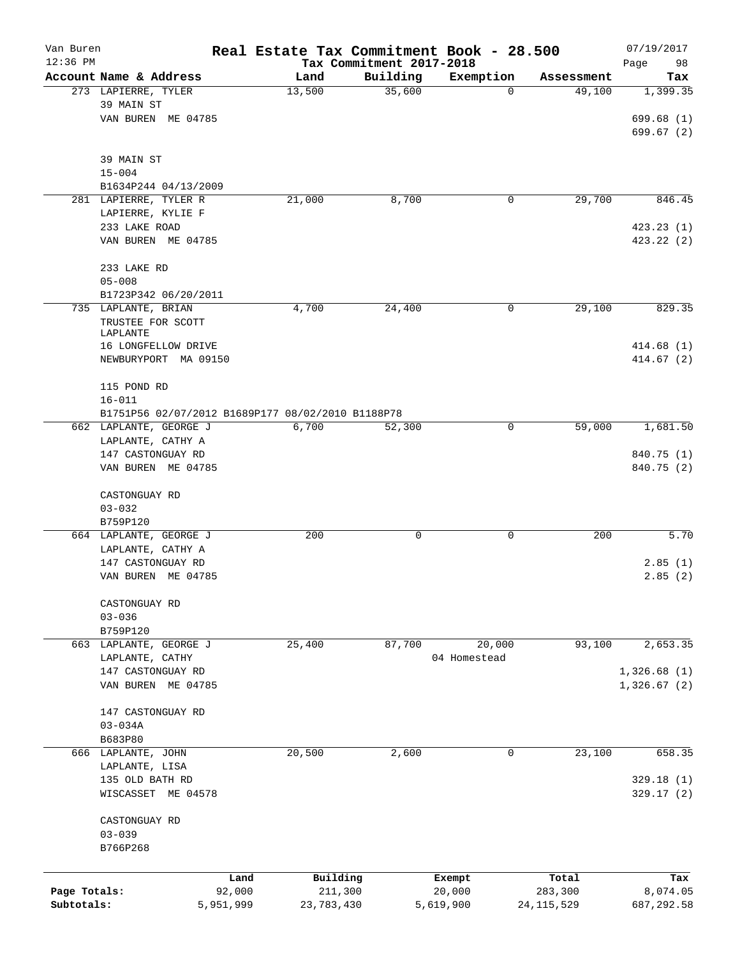| Van Buren<br>$12:36$ PM |                                                   | Real Estate Tax Commitment Book - 28.500 | Tax Commitment 2017-2018 |              |              | 07/19/2017<br>Page<br>98 |
|-------------------------|---------------------------------------------------|------------------------------------------|--------------------------|--------------|--------------|--------------------------|
|                         | Account Name & Address                            | Land                                     | Building                 | Exemption    | Assessment   | Tax                      |
|                         | 273 LAPIERRE, TYLER                               | 13,500                                   | 35,600                   | 0            | 49,100       | 1,399.35                 |
|                         | 39 MAIN ST                                        |                                          |                          |              |              |                          |
|                         | VAN BUREN ME 04785                                |                                          |                          |              |              | 699.68(1)                |
|                         |                                                   |                                          |                          |              |              | 699.67(2)                |
|                         | 39 MAIN ST                                        |                                          |                          |              |              |                          |
|                         | $15 - 004$                                        |                                          |                          |              |              |                          |
|                         | B1634P244 04/13/2009                              |                                          |                          |              |              |                          |
|                         | 281 LAPIERRE, TYLER R                             | 21,000                                   | 8,700                    | 0            | 29,700       | 846.45                   |
|                         | LAPIERRE, KYLIE F                                 |                                          |                          |              |              |                          |
|                         | 233 LAKE ROAD<br>VAN BUREN ME 04785               |                                          |                          |              |              | 423.23(1)<br>423.22 (2)  |
|                         |                                                   |                                          |                          |              |              |                          |
|                         | 233 LAKE RD                                       |                                          |                          |              |              |                          |
|                         | $05 - 008$                                        |                                          |                          |              |              |                          |
|                         | B1723P342 06/20/2011                              |                                          |                          |              |              |                          |
|                         | 735 LAPLANTE, BRIAN                               | 4,700                                    | 24,400                   | 0            | 29,100       | 829.35                   |
|                         | TRUSTEE FOR SCOTT                                 |                                          |                          |              |              |                          |
|                         | LAPLANTE                                          |                                          |                          |              |              |                          |
|                         | 16 LONGFELLOW DRIVE<br>NEWBURYPORT MA 09150       |                                          |                          |              |              | 414.68(1)<br>414.67(2)   |
|                         |                                                   |                                          |                          |              |              |                          |
|                         | 115 POND RD                                       |                                          |                          |              |              |                          |
|                         | $16 - 011$                                        |                                          |                          |              |              |                          |
|                         | B1751P56 02/07/2012 B1689P177 08/02/2010 B1188P78 |                                          |                          |              |              |                          |
|                         | 662 LAPLANTE, GEORGE J                            | 6,700                                    | 52,300                   | 0            | 59,000       | 1,681.50                 |
|                         | LAPLANTE, CATHY A                                 |                                          |                          |              |              |                          |
|                         | 147 CASTONGUAY RD                                 |                                          |                          |              |              | 840.75 (1)               |
|                         | VAN BUREN ME 04785                                |                                          |                          |              |              | 840.75 (2)               |
|                         | CASTONGUAY RD                                     |                                          |                          |              |              |                          |
|                         | $03 - 032$                                        |                                          |                          |              |              |                          |
|                         | B759P120                                          |                                          |                          |              |              |                          |
|                         | 664 LAPLANTE, GEORGE J                            | 200                                      | 0                        | 0            | 200          | 5.70                     |
|                         | LAPLANTE, CATHY A                                 |                                          |                          |              |              |                          |
|                         | 147 CASTONGUAY RD                                 |                                          |                          |              |              | 2.85(1)                  |
|                         | VAN BUREN ME 04785                                |                                          |                          |              |              | 2.85(2)                  |
|                         | CASTONGUAY RD                                     |                                          |                          |              |              |                          |
|                         | $03 - 036$                                        |                                          |                          |              |              |                          |
|                         | B759P120                                          |                                          |                          |              |              |                          |
|                         | 663 LAPLANTE, GEORGE J                            | 25,400                                   | 87,700                   | 20,000       | 93,100       | 2,653.35                 |
|                         | LAPLANTE, CATHY                                   |                                          |                          | 04 Homestead |              |                          |
|                         | 147 CASTONGUAY RD                                 |                                          |                          |              |              | 1,326.68(1)              |
|                         | VAN BUREN ME 04785                                |                                          |                          |              |              | 1,326.67(2)              |
|                         | 147 CASTONGUAY RD                                 |                                          |                          |              |              |                          |
|                         | $03 - 034A$                                       |                                          |                          |              |              |                          |
|                         | B683P80                                           |                                          |                          |              |              |                          |
|                         | 666 LAPLANTE, JOHN                                | 20,500                                   | 2,600                    | $\mathbf 0$  | 23,100       | 658.35                   |
|                         | LAPLANTE, LISA                                    |                                          |                          |              |              |                          |
|                         | 135 OLD BATH RD                                   |                                          |                          |              |              | 329.18(1)                |
|                         | WISCASSET ME 04578                                |                                          |                          |              |              | 329.17(2)                |
|                         |                                                   |                                          |                          |              |              |                          |
|                         | CASTONGUAY RD<br>$03 - 039$                       |                                          |                          |              |              |                          |
|                         | B766P268                                          |                                          |                          |              |              |                          |
|                         |                                                   |                                          |                          |              |              |                          |
|                         |                                                   | Land                                     | Building                 | Exempt       | Total        | Tax                      |
| Page Totals:            |                                                   | 92,000                                   | 211,300                  | 20,000       | 283,300      | 8,074.05                 |
| Subtotals:              | 5,951,999                                         |                                          | 23,783,430               | 5,619,900    | 24, 115, 529 | 687,292.58               |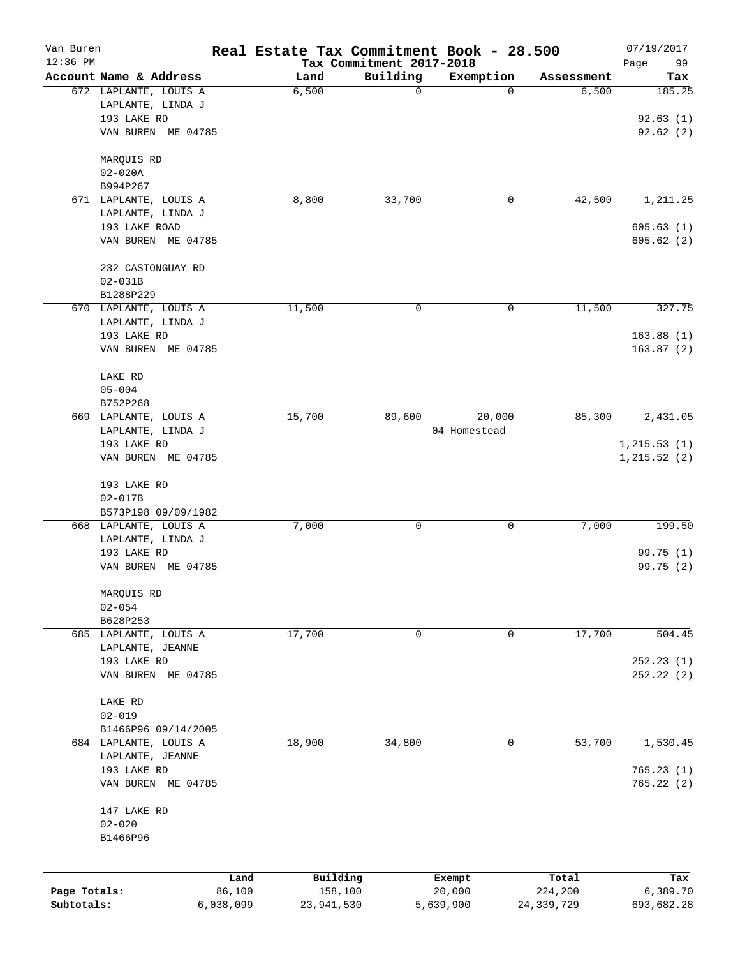| Van Buren<br>$12:36$ PM    |                                   |                         | Real Estate Tax Commitment Book - 28.500<br>Tax Commitment 2017-2018 |              |                         | 07/19/2017             |
|----------------------------|-----------------------------------|-------------------------|----------------------------------------------------------------------|--------------|-------------------------|------------------------|
|                            | Account Name & Address            | Land                    | Building                                                             | Exemption    | Assessment              | Page<br>99<br>Tax      |
|                            | 672 LAPLANTE, LOUIS A             | 6,500                   | 0                                                                    | 0            | 6,500                   | 185.25                 |
|                            | LAPLANTE, LINDA J                 |                         |                                                                      |              |                         |                        |
|                            | 193 LAKE RD                       |                         |                                                                      |              |                         | 92.63(1)               |
|                            | VAN BUREN ME 04785                |                         |                                                                      |              |                         | 92.62(2)               |
|                            | MARQUIS RD                        |                         |                                                                      |              |                         |                        |
|                            | $02 - 020A$                       |                         |                                                                      |              |                         |                        |
|                            | B994P267                          |                         |                                                                      |              |                         |                        |
|                            | 671 LAPLANTE, LOUIS A             | 8,800                   | 33,700                                                               | 0            | 42,500                  | 1,211.25               |
|                            | LAPLANTE, LINDA J                 |                         |                                                                      |              |                         |                        |
|                            | 193 LAKE ROAD                     |                         |                                                                      |              |                         | 605.63(1)              |
|                            | VAN BUREN ME 04785                |                         |                                                                      |              |                         | 605.62(2)              |
|                            | 232 CASTONGUAY RD                 |                         |                                                                      |              |                         |                        |
|                            | $02 - 031B$                       |                         |                                                                      |              |                         |                        |
|                            | B1288P229                         |                         |                                                                      |              |                         |                        |
|                            | 670 LAPLANTE, LOUIS A             | 11,500                  | 0                                                                    | 0            | 11,500                  | 327.75                 |
|                            | LAPLANTE, LINDA J                 |                         |                                                                      |              |                         | 163.88(1)              |
|                            | 193 LAKE RD<br>VAN BUREN ME 04785 |                         |                                                                      |              |                         | 163.87(2)              |
|                            |                                   |                         |                                                                      |              |                         |                        |
|                            | LAKE RD                           |                         |                                                                      |              |                         |                        |
|                            | $05 - 004$                        |                         |                                                                      |              |                         |                        |
|                            | B752P268                          |                         |                                                                      |              |                         |                        |
|                            | 669 LAPLANTE, LOUIS A             | 15,700                  | 89,600                                                               | 20,000       | 85,300                  | 2,431.05               |
|                            | LAPLANTE, LINDA J                 |                         |                                                                      | 04 Homestead |                         |                        |
|                            | 193 LAKE RD                       |                         |                                                                      |              |                         | 1, 215.53(1)           |
|                            | VAN BUREN ME 04785                |                         |                                                                      |              |                         | 1, 215.52(2)           |
|                            | 193 LAKE RD                       |                         |                                                                      |              |                         |                        |
|                            | $02 - 017B$                       |                         |                                                                      |              |                         |                        |
|                            | B573P198 09/09/1982               |                         |                                                                      |              |                         |                        |
|                            | 668 LAPLANTE, LOUIS A             | 7,000                   | 0                                                                    | 0            | 7,000                   | 199.50                 |
|                            | LAPLANTE, LINDA J                 |                         |                                                                      |              |                         |                        |
|                            | 193 LAKE RD                       |                         |                                                                      |              |                         | 99.75 (1)              |
|                            | VAN BUREN ME 04785                |                         |                                                                      |              |                         | 99.75 (2)              |
|                            | MARQUIS RD                        |                         |                                                                      |              |                         |                        |
|                            | $02 - 054$                        |                         |                                                                      |              |                         |                        |
|                            | B628P253                          |                         |                                                                      |              |                         |                        |
|                            | 685 LAPLANTE, LOUIS A             | 17,700                  | 0                                                                    | 0            | 17,700                  | 504.45                 |
|                            | LAPLANTE, JEANNE                  |                         |                                                                      |              |                         |                        |
|                            | 193 LAKE RD                       |                         |                                                                      |              |                         | 252.23(1)              |
|                            | VAN BUREN ME 04785                |                         |                                                                      |              |                         | 252.22(2)              |
|                            | LAKE RD                           |                         |                                                                      |              |                         |                        |
|                            | $02 - 019$                        |                         |                                                                      |              |                         |                        |
|                            | B1466P96 09/14/2005               |                         |                                                                      |              |                         |                        |
|                            | 684 LAPLANTE, LOUIS A             | 18,900                  | 34,800                                                               | 0            | 53,700                  | 1,530.45               |
|                            | LAPLANTE, JEANNE                  |                         |                                                                      |              |                         |                        |
|                            | 193 LAKE RD                       |                         |                                                                      |              |                         | 765.23(1)              |
|                            | VAN BUREN ME 04785                |                         |                                                                      |              |                         | 765.22(2)              |
|                            | 147 LAKE RD                       |                         |                                                                      |              |                         |                        |
|                            | $02 - 020$                        |                         |                                                                      |              |                         |                        |
|                            | B1466P96                          |                         |                                                                      |              |                         |                        |
|                            |                                   |                         |                                                                      |              |                         |                        |
|                            | Land                              | Building                | Exempt                                                               |              | Total                   | Tax                    |
| Page Totals:<br>Subtotals: | 86,100<br>6,038,099               | 158,100<br>23, 941, 530 | 20,000<br>5,639,900                                                  |              | 224,200<br>24, 339, 729 | 6,389.70<br>693,682.28 |
|                            |                                   |                         |                                                                      |              |                         |                        |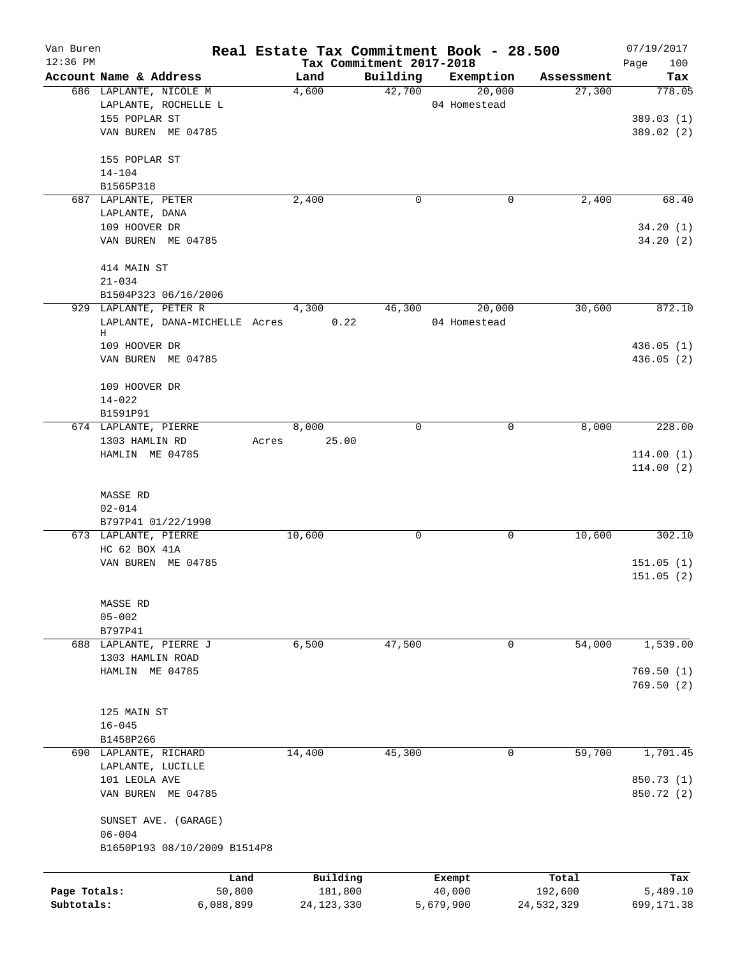| Van Buren    |                               |        |              |                          | Real Estate Tax Commitment Book - 28.500 |            | 07/19/2017  |
|--------------|-------------------------------|--------|--------------|--------------------------|------------------------------------------|------------|-------------|
| $12:36$ PM   |                               |        |              | Tax Commitment 2017-2018 |                                          |            | 100<br>Page |
|              | Account Name & Address        |        | Land         | Building                 | Exemption                                | Assessment | Tax         |
|              | 686 LAPLANTE, NICOLE M        | 4,600  |              | 42,700                   | 20,000                                   | 27,300     | 778.05      |
|              | LAPLANTE, ROCHELLE L          |        |              |                          | 04 Homestead                             |            |             |
|              | 155 POPLAR ST                 |        |              |                          |                                          |            | 389.03(1)   |
|              | VAN BUREN ME 04785            |        |              |                          |                                          |            | 389.02 (2)  |
|              | 155 POPLAR ST                 |        |              |                          |                                          |            |             |
|              | $14 - 104$                    |        |              |                          |                                          |            |             |
|              | B1565P318                     |        |              |                          |                                          |            |             |
|              | 687 LAPLANTE, PETER           | 2,400  |              | 0                        | 0                                        | 2,400      | 68.40       |
|              | LAPLANTE, DANA                |        |              |                          |                                          |            |             |
|              | 109 HOOVER DR                 |        |              |                          |                                          |            | 34.20(1)    |
|              | VAN BUREN ME 04785            |        |              |                          |                                          |            | 34.20(2)    |
|              | 414 MAIN ST                   |        |              |                          |                                          |            |             |
|              | $21 - 034$                    |        |              |                          |                                          |            |             |
|              | B1504P323 06/16/2006          |        |              |                          |                                          |            |             |
|              | 929 LAPLANTE, PETER R         |        | 4,300        | 46,300                   | 20,000                                   | 30,600     | 872.10      |
|              | LAPLANTE, DANA-MICHELLE Acres |        | 0.22         |                          | 04 Homestead                             |            |             |
|              | Н                             |        |              |                          |                                          |            |             |
|              | 109 HOOVER DR                 |        |              |                          |                                          |            | 436.05(1)   |
|              | VAN BUREN ME 04785            |        |              |                          |                                          |            | 436.05(2)   |
|              | 109 HOOVER DR                 |        |              |                          |                                          |            |             |
|              | $14 - 022$                    |        |              |                          |                                          |            |             |
|              | B1591P91                      |        |              |                          |                                          |            |             |
|              | 674 LAPLANTE, PIERRE          |        | 8,000        | 0                        | 0                                        | 8,000      | 228.00      |
|              | 1303 HAMLIN RD                | Acres  | 25.00        |                          |                                          |            |             |
|              | HAMLIN ME 04785               |        |              |                          |                                          |            | 114.00(1)   |
|              |                               |        |              |                          |                                          |            | 114.00(2)   |
|              |                               |        |              |                          |                                          |            |             |
|              | MASSE RD                      |        |              |                          |                                          |            |             |
|              | $02 - 014$                    |        |              |                          |                                          |            |             |
|              | B797P41 01/22/1990            |        |              |                          |                                          |            |             |
|              | 673 LAPLANTE, PIERRE          | 10,600 |              | 0                        | 0                                        | 10,600     | 302.10      |
|              | HC 62 BOX 41A                 |        |              |                          |                                          |            |             |
|              | VAN BUREN ME 04785            |        |              |                          |                                          |            | 151.05(1)   |
|              |                               |        |              |                          |                                          |            | 151.05(2)   |
|              | MASSE RD                      |        |              |                          |                                          |            |             |
|              | $05 - 002$                    |        |              |                          |                                          |            |             |
|              | B797P41                       |        |              |                          |                                          |            |             |
|              | 688 LAPLANTE, PIERRE J        |        | 6,500        | 47,500                   | 0                                        | 54,000     | 1,539.00    |
|              | 1303 HAMLIN ROAD              |        |              |                          |                                          |            |             |
|              | HAMLIN ME 04785               |        |              |                          |                                          |            | 769.50(1)   |
|              |                               |        |              |                          |                                          |            | 769.50(2)   |
|              |                               |        |              |                          |                                          |            |             |
|              | 125 MAIN ST                   |        |              |                          |                                          |            |             |
|              | $16 - 045$                    |        |              |                          |                                          |            |             |
|              | B1458P266                     |        |              |                          |                                          |            |             |
|              | 690 LAPLANTE, RICHARD         | 14,400 |              | 45,300                   | $\mathbf 0$                              | 59,700     | 1,701.45    |
|              | LAPLANTE, LUCILLE             |        |              |                          |                                          |            |             |
|              | 101 LEOLA AVE                 |        |              |                          |                                          |            | 850.73 (1)  |
|              | VAN BUREN ME 04785            |        |              |                          |                                          |            | 850.72 (2)  |
|              | SUNSET AVE. (GARAGE)          |        |              |                          |                                          |            |             |
|              | $06 - 004$                    |        |              |                          |                                          |            |             |
|              | B1650P193 08/10/2009 B1514P8  |        |              |                          |                                          |            |             |
|              |                               |        |              |                          |                                          |            |             |
|              |                               | Land   | Building     |                          | Exempt                                   | Total      | Tax         |
| Page Totals: |                               | 50,800 | 181,800      |                          | 40,000                                   | 192,600    | 5,489.10    |
| Subtotals:   | 6,088,899                     |        | 24, 123, 330 |                          | 5,679,900                                | 24,532,329 | 699,171.38  |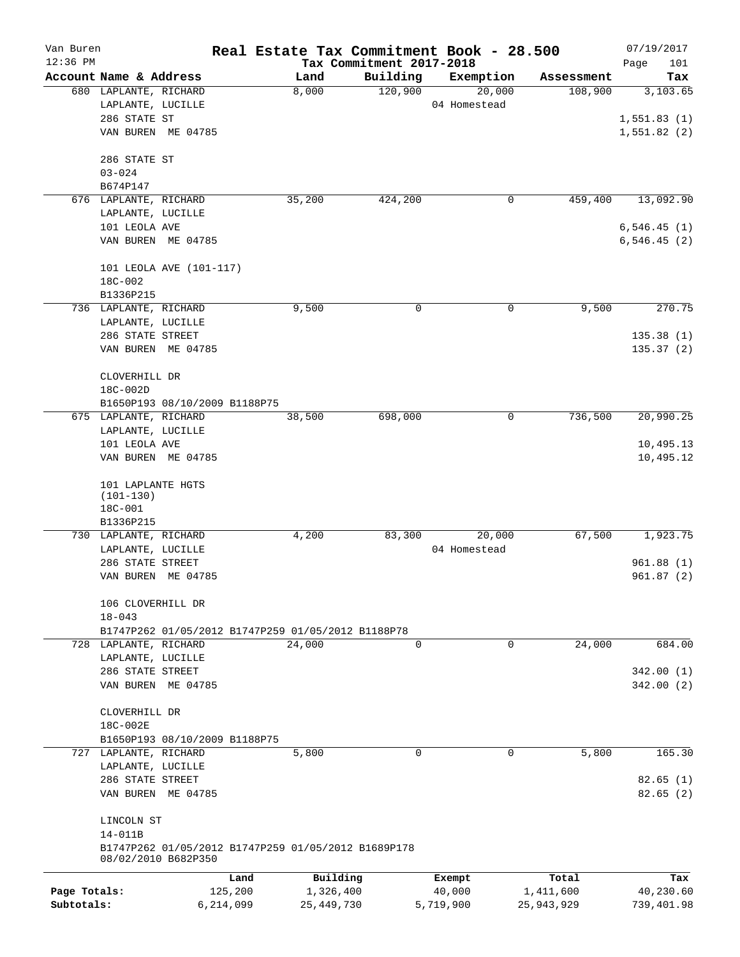| Van Buren    |                                                          |                                                    |           |              |                                                     | Real Estate Tax Commitment Book - 28.500 |            | 07/19/2017    |
|--------------|----------------------------------------------------------|----------------------------------------------------|-----------|--------------|-----------------------------------------------------|------------------------------------------|------------|---------------|
| $12:36$ PM   |                                                          |                                                    |           |              | Tax Commitment 2017-2018                            |                                          |            | Page<br>101   |
|              | Account Name & Address                                   |                                                    |           | Land         | Building                                            | Exemption                                | Assessment | Tax           |
|              | 680 LAPLANTE, RICHARD                                    |                                                    |           | 8,000        | 120,900                                             | 20,000                                   | 108,900    | 3,103.65      |
|              | LAPLANTE, LUCILLE                                        |                                                    |           |              |                                                     | 04 Homestead                             |            |               |
|              | 286 STATE ST                                             |                                                    |           |              |                                                     |                                          |            | 1,551.83(1)   |
|              |                                                          | VAN BUREN ME 04785                                 |           |              |                                                     |                                          |            | 1,551.82(2)   |
|              | 286 STATE ST                                             |                                                    |           |              |                                                     |                                          |            |               |
|              | $03 - 024$                                               |                                                    |           |              |                                                     |                                          |            |               |
|              | B674P147                                                 |                                                    |           |              |                                                     |                                          |            |               |
|              | 676 LAPLANTE, RICHARD                                    |                                                    |           | 35,200       | 424,200                                             | 0                                        | 459,400    | 13,092.90     |
|              | LAPLANTE, LUCILLE                                        |                                                    |           |              |                                                     |                                          |            |               |
|              | 101 LEOLA AVE                                            |                                                    |           |              |                                                     |                                          |            | 6,546.45(1)   |
|              |                                                          | VAN BUREN ME 04785                                 |           |              |                                                     |                                          |            | 6, 546.45 (2) |
|              |                                                          |                                                    |           |              |                                                     |                                          |            |               |
|              |                                                          | 101 LEOLA AVE (101-117)                            |           |              |                                                     |                                          |            |               |
|              | 18C-002                                                  |                                                    |           |              |                                                     |                                          |            |               |
|              | B1336P215                                                |                                                    |           |              |                                                     |                                          |            |               |
|              | 736 LAPLANTE, RICHARD                                    |                                                    |           | 9,500        | 0                                                   | 0                                        | 9,500      | 270.75        |
|              | LAPLANTE, LUCILLE                                        |                                                    |           |              |                                                     |                                          |            |               |
|              | 286 STATE STREET                                         |                                                    |           |              |                                                     |                                          |            | 135.38(1)     |
|              |                                                          | VAN BUREN ME 04785                                 |           |              |                                                     |                                          |            | 135.37(2)     |
|              |                                                          |                                                    |           |              |                                                     |                                          |            |               |
|              | CLOVERHILL DR                                            |                                                    |           |              |                                                     |                                          |            |               |
|              | 18C-002D                                                 |                                                    |           |              |                                                     |                                          |            |               |
|              |                                                          | B1650P193 08/10/2009 B1188P75                      |           |              |                                                     |                                          |            |               |
|              | 675 LAPLANTE, RICHARD                                    |                                                    |           | 38,500       | 698,000                                             | 0                                        | 736,500    | 20,990.25     |
|              | LAPLANTE, LUCILLE                                        |                                                    |           |              |                                                     |                                          |            |               |
|              | 101 LEOLA AVE                                            |                                                    |           |              |                                                     |                                          |            | 10,495.13     |
|              |                                                          | VAN BUREN ME 04785                                 |           |              |                                                     |                                          |            | 10,495.12     |
|              | 101 LAPLANTE HGTS<br>$(101-130)$<br>18C-001<br>B1336P215 |                                                    |           |              |                                                     |                                          |            |               |
|              | 730 LAPLANTE, RICHARD                                    |                                                    |           | 4,200        | 83,300                                              | 20,000                                   | 67,500     | 1,923.75      |
|              | LAPLANTE, LUCILLE                                        |                                                    |           |              |                                                     | 04 Homestead                             |            |               |
|              | 286 STATE STREET                                         |                                                    |           |              |                                                     |                                          |            | 961.88(1)     |
|              |                                                          | VAN BUREN ME 04785                                 |           |              |                                                     |                                          |            | 961.87(2)     |
|              |                                                          |                                                    |           |              |                                                     |                                          |            |               |
|              | 106 CLOVERHILL DR<br>$18 - 043$                          |                                                    |           |              |                                                     |                                          |            |               |
|              |                                                          | B1747P262 01/05/2012 B1747P259 01/05/2012 B1188P78 |           |              |                                                     |                                          |            |               |
|              | 728 LAPLANTE, RICHARD                                    |                                                    |           | 24,000       | $\Omega$                                            | 0                                        | 24,000     | 684.00        |
|              | LAPLANTE, LUCILLE                                        |                                                    |           |              |                                                     |                                          |            |               |
|              | 286 STATE STREET                                         |                                                    |           |              |                                                     |                                          |            | 342.00(1)     |
|              |                                                          | VAN BUREN ME 04785                                 |           |              |                                                     |                                          |            | 342.00(2)     |
|              |                                                          |                                                    |           |              |                                                     |                                          |            |               |
|              | CLOVERHILL DR                                            |                                                    |           |              |                                                     |                                          |            |               |
|              | 18C-002E                                                 |                                                    |           |              |                                                     |                                          |            |               |
|              |                                                          | B1650P193 08/10/2009 B1188P75                      |           |              |                                                     |                                          |            |               |
|              | 727 LAPLANTE, RICHARD                                    |                                                    |           | 5,800        | $\Omega$                                            | 0                                        | 5,800      | 165.30        |
|              | LAPLANTE, LUCILLE                                        |                                                    |           |              |                                                     |                                          |            |               |
|              | 286 STATE STREET                                         |                                                    |           |              |                                                     |                                          |            | 82.65(1)      |
|              |                                                          | VAN BUREN ME 04785                                 |           |              |                                                     |                                          |            | 82.65(2)      |
|              | LINCOLN ST                                               |                                                    |           |              |                                                     |                                          |            |               |
|              | $14 - 011B$                                              |                                                    |           |              |                                                     |                                          |            |               |
|              |                                                          |                                                    |           |              | B1747P262 01/05/2012 B1747P259 01/05/2012 B1689P178 |                                          |            |               |
|              |                                                          | 08/02/2010 B682P350                                |           |              |                                                     |                                          |            |               |
|              |                                                          |                                                    | Land      | Building     |                                                     | Exempt                                   | Total      | Tax           |
| Page Totals: |                                                          |                                                    | 125,200   | 1,326,400    |                                                     | 40,000                                   | 1,411,600  | 40,230.60     |
| Subtotals:   |                                                          |                                                    | 6,214,099 | 25, 449, 730 |                                                     | 5,719,900                                | 25,943,929 | 739,401.98    |
|              |                                                          |                                                    |           |              |                                                     |                                          |            |               |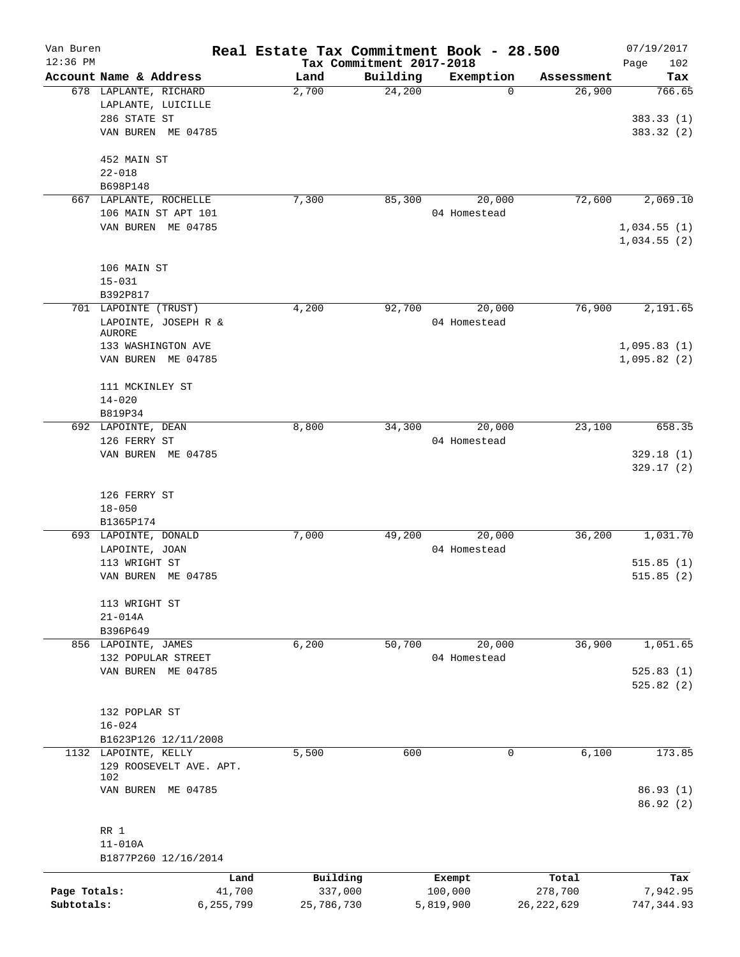| Van Buren    |                                             | Real Estate Tax Commitment Book - 28.500 |                          |              |              | 07/19/2017  |
|--------------|---------------------------------------------|------------------------------------------|--------------------------|--------------|--------------|-------------|
| $12:36$ PM   |                                             |                                          | Tax Commitment 2017-2018 |              |              | 102<br>Page |
|              | Account Name & Address                      | Land                                     | Building                 | Exemption    | Assessment   | Tax         |
|              | 678 LAPLANTE, RICHARD<br>LAPLANTE, LUICILLE | 2,700                                    | 24,200                   | $\Omega$     | 26,900       | 766.65      |
|              | 286 STATE ST                                |                                          |                          |              |              | 383.33(1)   |
|              | VAN BUREN ME 04785                          |                                          |                          |              |              | 383.32 (2)  |
|              |                                             |                                          |                          |              |              |             |
|              | 452 MAIN ST                                 |                                          |                          |              |              |             |
|              | $22 - 018$                                  |                                          |                          |              |              |             |
|              | B698P148                                    |                                          |                          |              |              |             |
|              | 667 LAPLANTE, ROCHELLE                      | 7,300                                    | 85,300                   | 20,000       | 72,600       | 2,069.10    |
|              | 106 MAIN ST APT 101                         |                                          |                          | 04 Homestead |              |             |
|              | VAN BUREN ME 04785                          |                                          |                          |              |              | 1,034.55(1) |
|              |                                             |                                          |                          |              |              | 1,034.55(2) |
|              |                                             |                                          |                          |              |              |             |
|              | 106 MAIN ST                                 |                                          |                          |              |              |             |
|              | $15 - 031$                                  |                                          |                          |              |              |             |
|              | B392P817<br>701 LAPOINTE (TRUST)            |                                          |                          |              | 76,900       |             |
|              |                                             | 4,200                                    | 92,700                   | 20,000       |              | 2,191.65    |
|              | LAPOINTE, JOSEPH R &<br><b>AURORE</b>       |                                          |                          | 04 Homestead |              |             |
|              | 133 WASHINGTON AVE                          |                                          |                          |              |              | 1,095.83(1) |
|              | VAN BUREN ME 04785                          |                                          |                          |              |              | 1,095.82(2) |
|              |                                             |                                          |                          |              |              |             |
|              | 111 MCKINLEY ST                             |                                          |                          |              |              |             |
|              | $14 - 020$                                  |                                          |                          |              |              |             |
|              | B819P34                                     |                                          |                          |              |              |             |
|              | 692 LAPOINTE, DEAN                          | 8,800                                    | 34,300                   | 20,000       | 23,100       | 658.35      |
|              | 126 FERRY ST                                |                                          |                          | 04 Homestead |              |             |
|              | VAN BUREN ME 04785                          |                                          |                          |              |              | 329.18(1)   |
|              |                                             |                                          |                          |              |              | 329.17(2)   |
|              | 126 FERRY ST                                |                                          |                          |              |              |             |
|              | $18 - 050$                                  |                                          |                          |              |              |             |
|              | B1365P174                                   |                                          |                          |              |              |             |
|              | 693 LAPOINTE, DONALD                        | 7,000                                    | 49,200                   | 20,000       | 36,200       | 1,031.70    |
|              | LAPOINTE, JOAN                              |                                          |                          | 04 Homestead |              |             |
|              | 113 WRIGHT ST                               |                                          |                          |              |              | 515.85(1)   |
|              | VAN BUREN ME 04785                          |                                          |                          |              |              | 515.85(2)   |
|              |                                             |                                          |                          |              |              |             |
|              | 113 WRIGHT ST                               |                                          |                          |              |              |             |
|              | $21 - 014A$                                 |                                          |                          |              |              |             |
|              | B396P649                                    |                                          |                          |              |              |             |
|              | 856 LAPOINTE, JAMES                         | 6,200                                    | 50,700                   | 20,000       | 36,900       | 1,051.65    |
|              | 132 POPULAR STREET                          |                                          |                          | 04 Homestead |              |             |
|              | VAN BUREN ME 04785                          |                                          |                          |              |              | 525.83(1)   |
|              |                                             |                                          |                          |              |              | 525.82(2)   |
|              |                                             |                                          |                          |              |              |             |
|              | 132 POPLAR ST                               |                                          |                          |              |              |             |
|              | $16 - 024$                                  |                                          |                          |              |              |             |
|              | B1623P126 12/11/2008                        |                                          |                          | $\mathbf 0$  |              |             |
|              | 1132 LAPOINTE, KELLY                        | 5,500                                    | 600                      |              | 6,100        | 173.85      |
|              | 129 ROOSEVELT AVE. APT.<br>102              |                                          |                          |              |              |             |
|              | VAN BUREN ME 04785                          |                                          |                          |              |              | 86.93(1)    |
|              |                                             |                                          |                          |              |              | 86.92(2)    |
|              | RR 1                                        |                                          |                          |              |              |             |
|              | $11 - 010A$                                 |                                          |                          |              |              |             |
|              | B1877P260 12/16/2014                        |                                          |                          |              |              |             |
|              | Land                                        | Building                                 |                          | Exempt       | Total        | Tax         |
| Page Totals: | 41,700                                      | 337,000                                  |                          | 100,000      | 278,700      | 7,942.95    |
| Subtotals:   | 6,255,799                                   | 25,786,730                               |                          | 5,819,900    | 26, 222, 629 | 747, 344.93 |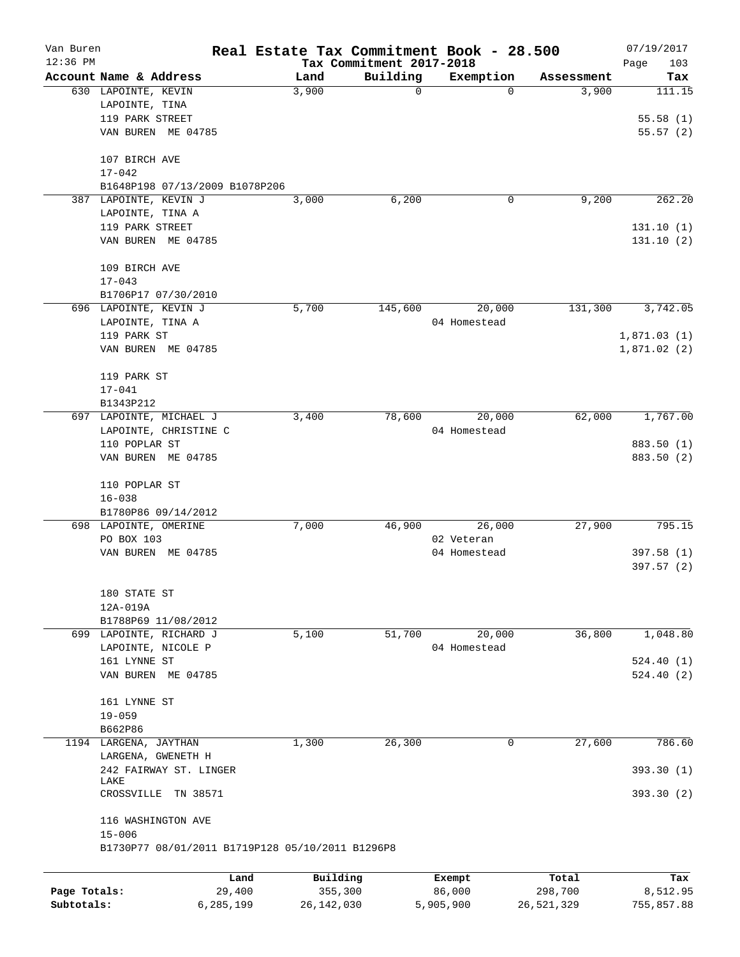| Van Buren    |                          |                                | Real Estate Tax Commitment Book - 28.500         |                                      |                       |                      | 07/19/2017         |
|--------------|--------------------------|--------------------------------|--------------------------------------------------|--------------------------------------|-----------------------|----------------------|--------------------|
| $12:36$ PM   | Account Name & Address   |                                | Land                                             | Tax Commitment 2017-2018<br>Building |                       |                      | Page<br>103<br>Tax |
|              | 630 LAPOINTE, KEVIN      |                                | 3,900                                            | $\mathbf 0$                          | Exemption<br>$\Omega$ | Assessment<br>3,900  | 111.15             |
|              | LAPOINTE, TINA           |                                |                                                  |                                      |                       |                      |                    |
|              | 119 PARK STREET          |                                |                                                  |                                      |                       |                      | 55.58(1)           |
|              |                          | VAN BUREN ME 04785             |                                                  |                                      |                       |                      | 55.57(2)           |
|              |                          |                                |                                                  |                                      |                       |                      |                    |
|              | 107 BIRCH AVE            |                                |                                                  |                                      |                       |                      |                    |
|              | $17 - 042$               |                                |                                                  |                                      |                       |                      |                    |
|              |                          | B1648P198 07/13/2009 B1078P206 |                                                  |                                      |                       |                      |                    |
|              | 387 LAPOINTE, KEVIN J    |                                | 3,000                                            | 6,200                                | 0                     | 9,200                | 262.20             |
|              | LAPOINTE, TINA A         |                                |                                                  |                                      |                       |                      |                    |
|              | 119 PARK STREET          |                                |                                                  |                                      |                       |                      | 131.10(1)          |
|              |                          | VAN BUREN ME 04785             |                                                  |                                      |                       |                      | 131.10(2)          |
|              | 109 BIRCH AVE            |                                |                                                  |                                      |                       |                      |                    |
|              | $17 - 043$               |                                |                                                  |                                      |                       |                      |                    |
|              |                          | B1706P17 07/30/2010            |                                                  |                                      |                       |                      |                    |
|              | 696 LAPOINTE, KEVIN J    |                                | 5,700                                            | 145,600                              | 20,000                | $1\overline{31,300}$ | 3,742.05           |
|              | LAPOINTE, TINA A         |                                |                                                  |                                      | 04 Homestead          |                      |                    |
|              | 119 PARK ST              |                                |                                                  |                                      |                       |                      | 1,871.03(1)        |
|              |                          | VAN BUREN ME 04785             |                                                  |                                      |                       |                      | 1,871.02(2)        |
|              |                          |                                |                                                  |                                      |                       |                      |                    |
|              | 119 PARK ST              |                                |                                                  |                                      |                       |                      |                    |
|              | $17 - 041$               |                                |                                                  |                                      |                       |                      |                    |
|              | B1343P212                |                                |                                                  |                                      |                       |                      |                    |
|              |                          | 697 LAPOINTE, MICHAEL J        | 3,400                                            | 78,600                               | 20,000                | 62,000               | 1,767.00           |
|              |                          | LAPOINTE, CHRISTINE C          |                                                  |                                      | 04 Homestead          |                      |                    |
|              | 110 POPLAR ST            |                                |                                                  |                                      |                       |                      | 883.50 (1)         |
|              |                          | VAN BUREN ME 04785             |                                                  |                                      |                       |                      | 883.50 (2)         |
|              | 110 POPLAR ST            |                                |                                                  |                                      |                       |                      |                    |
|              | $16 - 038$               |                                |                                                  |                                      |                       |                      |                    |
|              |                          | B1780P86 09/14/2012            |                                                  |                                      |                       |                      |                    |
|              | 698 LAPOINTE, OMERINE    |                                | 7,000                                            | 46,900                               | 26,000                | 27,900               | 795.15             |
|              | PO BOX 103               |                                |                                                  |                                      | 02 Veteran            |                      |                    |
|              |                          | VAN BUREN ME 04785             |                                                  |                                      | 04 Homestead          |                      | 397.58 (1)         |
|              |                          |                                |                                                  |                                      |                       |                      | 397.57(2)          |
|              |                          |                                |                                                  |                                      |                       |                      |                    |
|              | 180 STATE ST<br>12A-019A |                                |                                                  |                                      |                       |                      |                    |
|              |                          | B1788P69 11/08/2012            |                                                  |                                      |                       |                      |                    |
|              |                          | 699 LAPOINTE, RICHARD J        | 5,100                                            | 51,700                               | 20,000                | 36,800               | 1,048.80           |
|              |                          | LAPOINTE, NICOLE P             |                                                  |                                      | 04 Homestead          |                      |                    |
|              | 161 LYNNE ST             |                                |                                                  |                                      |                       |                      | 524.40(1)          |
|              |                          |                                |                                                  |                                      |                       |                      | 524.40(2)          |
|              |                          | VAN BUREN ME 04785             |                                                  |                                      |                       |                      |                    |
|              | 161 LYNNE ST             |                                |                                                  |                                      |                       |                      |                    |
|              | $19 - 059$               |                                |                                                  |                                      |                       |                      |                    |
|              | B662P86                  |                                |                                                  |                                      |                       |                      |                    |
|              | 1194 LARGENA, JAYTHAN    |                                | 1,300                                            | 26,300                               | $\mathbf 0$           | 27,600               | 786.60             |
|              |                          | LARGENA, GWENETH H             |                                                  |                                      |                       |                      |                    |
|              |                          | 242 FAIRWAY ST. LINGER         |                                                  |                                      |                       |                      | 393.30(1)          |
|              | LAKE<br>CROSSVILLE       | TN 38571                       |                                                  |                                      |                       |                      | 393.30 (2)         |
|              |                          |                                |                                                  |                                      |                       |                      |                    |
|              |                          | 116 WASHINGTON AVE             |                                                  |                                      |                       |                      |                    |
|              | $15 - 006$               |                                | B1730P77 08/01/2011 B1719P128 05/10/2011 B1296P8 |                                      |                       |                      |                    |
|              |                          |                                |                                                  |                                      |                       |                      |                    |
|              |                          | Land                           | Building                                         |                                      | Exempt                | Total                | Tax                |
| Page Totals: |                          | 29,400                         | 355,300                                          |                                      | 86,000                | 298,700              | 8,512.95           |
| Subtotals:   |                          | 6,285,199                      | 26, 142, 030                                     |                                      | 5,905,900             | 26,521,329           | 755,857.88         |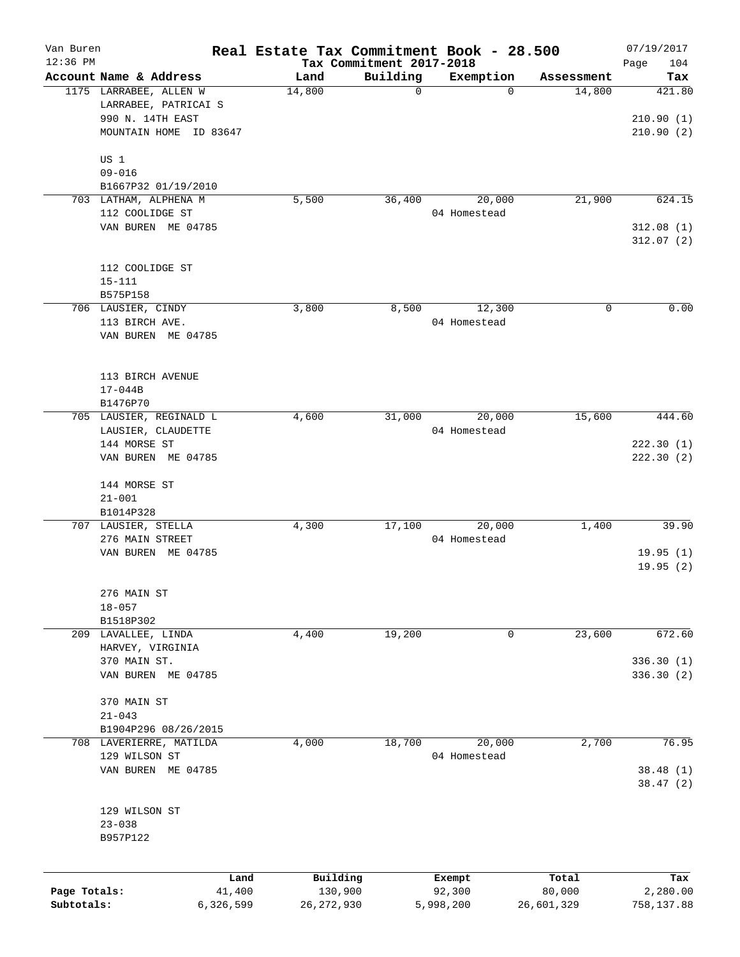| Van Buren    |                                                |           |              |                                      | Real Estate Tax Commitment Book - 28.500 |            | 07/19/2017             |
|--------------|------------------------------------------------|-----------|--------------|--------------------------------------|------------------------------------------|------------|------------------------|
| $12:36$ PM   | Account Name & Address                         |           | Land         | Tax Commitment 2017-2018<br>Building | Exemption                                | Assessment | Page<br>104<br>Tax     |
|              | 1175 LARRABEE, ALLEN W<br>LARRABEE, PATRICAI S |           | 14,800       | $\mathbf 0$                          | $\mathbf 0$                              | 14,800     | 421.80                 |
|              | 990 N. 14TH EAST<br>MOUNTAIN HOME ID 83647     |           |              |                                      |                                          |            | 210.90(1)<br>210.90(2) |
|              | US 1<br>$09 - 016$                             |           |              |                                      |                                          |            |                        |
|              | B1667P32 01/19/2010                            |           |              |                                      |                                          |            |                        |
|              | 703 LATHAM, ALPHENA M                          |           | 5,500        | 36,400                               | 20,000                                   | 21,900     | 624.15                 |
|              | 112 COOLIDGE ST                                |           |              |                                      | 04 Homestead                             |            |                        |
|              | VAN BUREN ME 04785                             |           |              |                                      |                                          |            | 312.08(1)<br>312.07(2) |
|              | 112 COOLIDGE ST<br>$15 - 111$                  |           |              |                                      |                                          |            |                        |
|              | B575P158                                       |           |              |                                      |                                          |            |                        |
|              | 706 LAUSIER, CINDY                             |           | 3,800        | 8,500                                | 12,300                                   | 0          | 0.00                   |
|              | 113 BIRCH AVE.<br>VAN BUREN ME 04785           |           |              |                                      | 04 Homestead                             |            |                        |
|              |                                                |           |              |                                      |                                          |            |                        |
|              | 113 BIRCH AVENUE                               |           |              |                                      |                                          |            |                        |
|              | $17 - 044B$<br>B1476P70                        |           |              |                                      |                                          |            |                        |
|              | 705 LAUSIER, REGINALD L                        |           | 4,600        | 31,000                               | 20,000                                   | 15,600     | 444.60                 |
|              | LAUSIER, CLAUDETTE                             |           |              |                                      | 04 Homestead                             |            |                        |
|              | 144 MORSE ST                                   |           |              |                                      |                                          |            | 222.30(1)              |
|              | VAN BUREN ME 04785                             |           |              |                                      |                                          |            | 222.30 (2)             |
|              | 144 MORSE ST                                   |           |              |                                      |                                          |            |                        |
|              | $21 - 001$                                     |           |              |                                      |                                          |            |                        |
|              | B1014P328<br>707 LAUSIER, STELLA               |           | 4,300        | 17,100                               | 20,000                                   | 1,400      | 39.90                  |
|              | 276 MAIN STREET                                |           |              |                                      | 04 Homestead                             |            |                        |
|              | VAN BUREN ME 04785                             |           |              |                                      |                                          |            | 19.95(1)               |
|              |                                                |           |              |                                      |                                          |            | 19.95(2)               |
|              | 276 MAIN ST                                    |           |              |                                      |                                          |            |                        |
|              | $18 - 057$                                     |           |              |                                      |                                          |            |                        |
|              | B1518P302                                      |           |              |                                      |                                          |            |                        |
|              | 209 LAVALLEE, LINDA                            |           | 4,400        | 19,200                               | 0                                        | 23,600     | 672.60                 |
|              | HARVEY, VIRGINIA<br>370 MAIN ST.               |           |              |                                      |                                          |            | 336.30 (1)             |
|              | VAN BUREN ME 04785                             |           |              |                                      |                                          |            | 336.30(2)              |
|              | 370 MAIN ST<br>$21 - 043$                      |           |              |                                      |                                          |            |                        |
|              | B1904P296 08/26/2015                           |           |              |                                      |                                          |            |                        |
|              | 708 LAVERIERRE, MATILDA                        |           | 4,000        | 18,700                               | 20,000                                   | 2,700      | 76.95                  |
|              | 129 WILSON ST                                  |           |              |                                      | 04 Homestead                             |            |                        |
|              | VAN BUREN ME 04785                             |           |              |                                      |                                          |            | 38.48 (1)<br>38.47(2)  |
|              | 129 WILSON ST                                  |           |              |                                      |                                          |            |                        |
|              | $23 - 038$<br>B957P122                         |           |              |                                      |                                          |            |                        |
|              |                                                | Land      | Building     |                                      | Exempt                                   | Total      | Tax                    |
| Page Totals: |                                                | 41,400    | 130,900      |                                      | 92,300                                   | 80,000     | 2,280.00               |
| Subtotals:   |                                                | 6,326,599 | 26, 272, 930 |                                      | 5,998,200                                | 26,601,329 | 758,137.88             |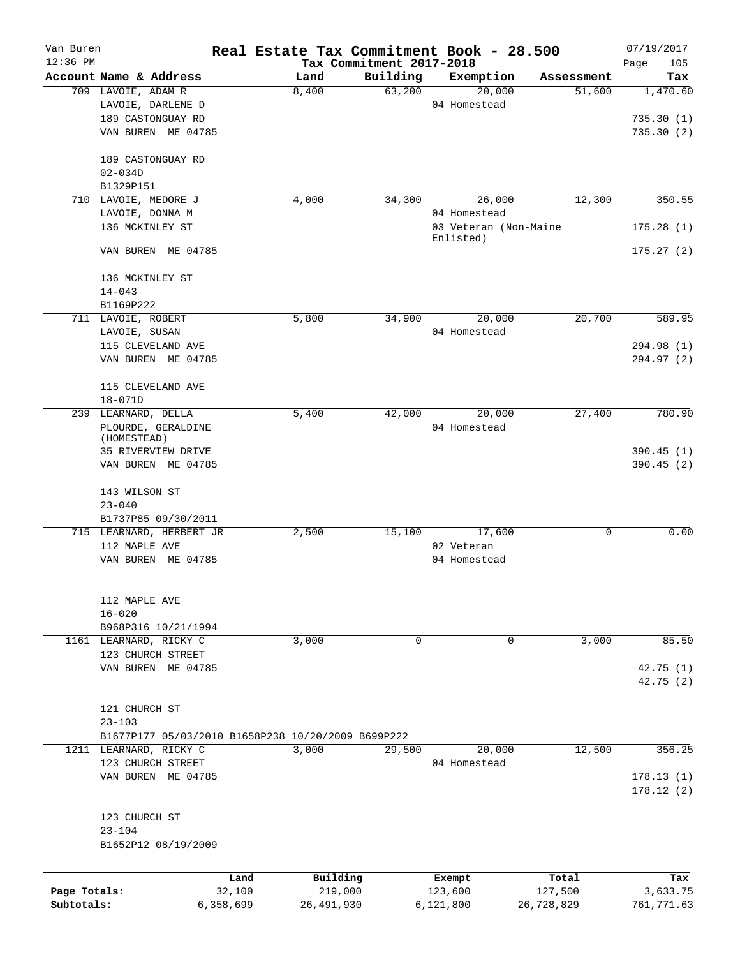| Van Buren<br>$12:36$ PM |                                                    |                | Real Estate Tax Commitment Book - 28.500 |                                      |                                    |            | 07/19/2017             |
|-------------------------|----------------------------------------------------|----------------|------------------------------------------|--------------------------------------|------------------------------------|------------|------------------------|
|                         | Account Name & Address                             |                | Land                                     | Tax Commitment 2017-2018<br>Building | Exemption                          | Assessment | Page<br>105<br>Tax     |
|                         | 709 LAVOIE, ADAM R                                 |                | 8,400                                    | 63,200                               | 20,000                             | 51,600     | 1,470.60               |
|                         | LAVOIE, DARLENE D                                  |                |                                          |                                      | 04 Homestead                       |            |                        |
|                         | 189 CASTONGUAY RD                                  |                |                                          |                                      |                                    |            | 735.30(1)              |
|                         | VAN BUREN ME 04785                                 |                |                                          |                                      |                                    |            | 735.30(2)              |
|                         | 189 CASTONGUAY RD                                  |                |                                          |                                      |                                    |            |                        |
|                         | $02 - 034D$                                        |                |                                          |                                      |                                    |            |                        |
|                         | B1329P151                                          |                |                                          |                                      |                                    |            |                        |
|                         | 710 LAVOIE, MEDORE J                               |                | 4,000                                    | 34,300                               | 26,000                             | 12,300     | 350.55                 |
|                         | LAVOIE, DONNA M                                    |                |                                          |                                      | 04 Homestead                       |            |                        |
|                         | 136 MCKINLEY ST                                    |                |                                          |                                      |                                    |            |                        |
|                         |                                                    |                |                                          |                                      | 03 Veteran (Non-Maine<br>Enlisted) |            | 175.28(1)              |
|                         | VAN BUREN ME 04785                                 |                |                                          |                                      |                                    |            | 175.27(2)              |
|                         | 136 MCKINLEY ST                                    |                |                                          |                                      |                                    |            |                        |
|                         | $14 - 043$                                         |                |                                          |                                      |                                    |            |                        |
|                         | B1169P222                                          |                |                                          |                                      |                                    |            |                        |
|                         | 711 LAVOIE, ROBERT                                 |                | 5,800                                    | 34,900                               | 20,000                             | 20,700     | 589.95                 |
|                         | LAVOIE, SUSAN                                      |                |                                          |                                      | 04 Homestead                       |            |                        |
|                         | 115 CLEVELAND AVE                                  |                |                                          |                                      |                                    |            | 294.98 (1)             |
|                         | VAN BUREN ME 04785                                 |                |                                          |                                      |                                    |            | 294.97 (2)             |
|                         | 115 CLEVELAND AVE                                  |                |                                          |                                      |                                    |            |                        |
|                         | $18 - 071D$                                        |                |                                          |                                      |                                    |            |                        |
|                         | 239 LEARNARD, DELLA                                |                | 5,400                                    | 42,000                               | 20,000                             | 27,400     | 780.90                 |
|                         | PLOURDE, GERALDINE                                 |                |                                          |                                      | 04 Homestead                       |            |                        |
|                         | (HOMESTEAD)                                        |                |                                          |                                      |                                    |            |                        |
|                         | 35 RIVERVIEW DRIVE                                 |                |                                          |                                      |                                    |            | 390.45(1)              |
|                         | VAN BUREN ME 04785                                 |                |                                          |                                      |                                    |            | 390.45(2)              |
|                         |                                                    |                |                                          |                                      |                                    |            |                        |
|                         | 143 WILSON ST                                      |                |                                          |                                      |                                    |            |                        |
|                         | $23 - 040$                                         |                |                                          |                                      |                                    |            |                        |
|                         | B1737P85 09/30/2011                                |                |                                          |                                      |                                    |            |                        |
|                         | 715 LEARNARD, HERBERT JR                           |                | 2,500                                    | 15,100                               | 17,600                             | 0          | 0.00                   |
|                         | 112 MAPLE AVE                                      |                |                                          |                                      | 02 Veteran                         |            |                        |
|                         | VAN BUREN ME 04785                                 |                |                                          |                                      | 04 Homestead                       |            |                        |
|                         |                                                    |                |                                          |                                      |                                    |            |                        |
|                         | 112 MAPLE AVE<br>$16 - 020$                        |                |                                          |                                      |                                    |            |                        |
|                         |                                                    |                |                                          |                                      |                                    |            |                        |
|                         | B968P316 10/21/1994                                |                |                                          |                                      |                                    |            |                        |
|                         | 1161 LEARNARD, RICKY C                             |                | 3,000                                    | $\Omega$                             | 0                                  | 3,000      | 85.50                  |
|                         | 123 CHURCH STREET                                  |                |                                          |                                      |                                    |            |                        |
|                         | VAN BUREN ME 04785                                 |                |                                          |                                      |                                    |            | 42.75(1)               |
|                         |                                                    |                |                                          |                                      |                                    |            | 42.75 (2)              |
|                         |                                                    |                |                                          |                                      |                                    |            |                        |
|                         | 121 CHURCH ST                                      |                |                                          |                                      |                                    |            |                        |
|                         | $23 - 103$                                         |                |                                          |                                      |                                    |            |                        |
|                         | B1677P177 05/03/2010 B1658P238 10/20/2009 B699P222 |                |                                          |                                      |                                    |            |                        |
|                         | 1211 LEARNARD, RICKY C                             |                | 3,000                                    | 29,500                               | 20,000                             | 12,500     | 356.25                 |
|                         | 123 CHURCH STREET                                  |                |                                          |                                      | 04 Homestead                       |            |                        |
|                         | VAN BUREN ME 04785                                 |                |                                          |                                      |                                    |            | 178.13(1)<br>178.12(2) |
|                         |                                                    |                |                                          |                                      |                                    |            |                        |
|                         | 123 CHURCH ST                                      |                |                                          |                                      |                                    |            |                        |
|                         | $23 - 104$                                         |                |                                          |                                      |                                    |            |                        |
|                         | B1652P12 08/19/2009                                |                |                                          |                                      |                                    |            |                        |
|                         |                                                    |                |                                          |                                      |                                    |            |                        |
| Page Totals:            |                                                    | Land<br>32,100 | Building<br>219,000                      |                                      | Exempt<br>123,600                  | Total      | Tax                    |
|                         |                                                    |                |                                          |                                      |                                    | 127,500    | 3,633.75               |
| Subtotals:              |                                                    | 6,358,699      | 26, 491, 930                             |                                      | 6,121,800                          | 26,728,829 | 761,771.63             |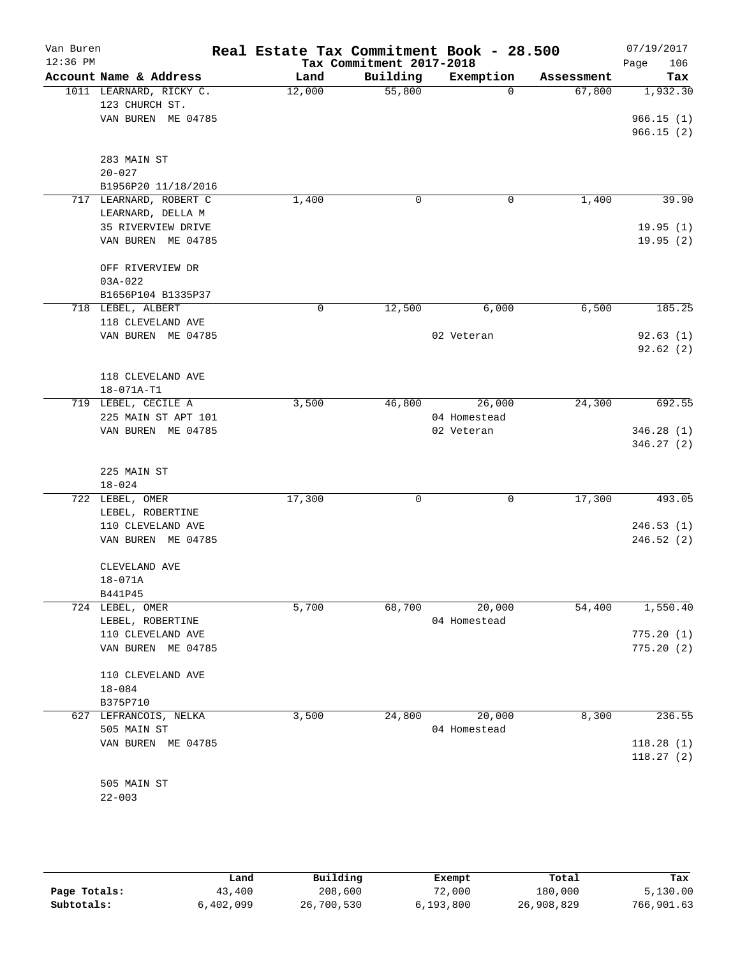| Van Buren<br>$12:36$ PM |                           | Real Estate Tax Commitment Book - 28.500 | Tax Commitment 2017-2018 |              |            | 07/19/2017<br>106<br>Page |
|-------------------------|---------------------------|------------------------------------------|--------------------------|--------------|------------|---------------------------|
|                         | Account Name & Address    | Land                                     | Building                 | Exemption    | Assessment | Tax                       |
|                         | 1011 LEARNARD, RICKY C.   | 12,000                                   | 55,800                   | $\Omega$     | 67,800     | 1,932.30                  |
|                         | 123 CHURCH ST.            |                                          |                          |              |            |                           |
|                         | VAN BUREN ME 04785        |                                          |                          |              |            | 966.15(1)                 |
|                         |                           |                                          |                          |              |            | 966.15(2)                 |
|                         |                           |                                          |                          |              |            |                           |
|                         | 283 MAIN ST<br>$20 - 027$ |                                          |                          |              |            |                           |
|                         | B1956P20 11/18/2016       |                                          |                          |              |            |                           |
|                         | 717 LEARNARD, ROBERT C    | 1,400                                    | 0                        | 0            | 1,400      | 39.90                     |
|                         | LEARNARD, DELLA M         |                                          |                          |              |            |                           |
|                         | 35 RIVERVIEW DRIVE        |                                          |                          |              |            | 19.95(1)                  |
|                         | VAN BUREN ME 04785        |                                          |                          |              |            | 19.95(2)                  |
|                         |                           |                                          |                          |              |            |                           |
|                         | OFF RIVERVIEW DR          |                                          |                          |              |            |                           |
|                         | $03A - 022$               |                                          |                          |              |            |                           |
|                         | B1656P104 B1335P37        |                                          |                          |              |            |                           |
|                         | 718 LEBEL, ALBERT         | 0                                        | 12,500                   | 6,000        | 6,500      | 185.25                    |
|                         | 118 CLEVELAND AVE         |                                          |                          |              |            |                           |
|                         | VAN BUREN ME 04785        |                                          |                          | 02 Veteran   |            | 92.63(1)                  |
|                         |                           |                                          |                          |              |            | 92.62(2)                  |
|                         |                           |                                          |                          |              |            |                           |
|                         | 118 CLEVELAND AVE         |                                          |                          |              |            |                           |
|                         | 18-071A-T1                |                                          |                          |              |            |                           |
|                         | 719 LEBEL, CECILE A       | 3,500                                    | 46,800                   | 26,000       | 24,300     | 692.55                    |
|                         | 225 MAIN ST APT 101       |                                          |                          | 04 Homestead |            |                           |
|                         | VAN BUREN ME 04785        |                                          |                          | 02 Veteran   |            | 346.28(1)<br>346.27(2)    |
|                         |                           |                                          |                          |              |            |                           |
|                         | 225 MAIN ST               |                                          |                          |              |            |                           |
|                         | $18 - 024$                |                                          |                          |              |            |                           |
|                         | 722 LEBEL, OMER           | 17,300                                   | $\Omega$                 | 0            | 17,300     | 493.05                    |
|                         | LEBEL, ROBERTINE          |                                          |                          |              |            |                           |
|                         | 110 CLEVELAND AVE         |                                          |                          |              |            | 246.53(1)                 |
|                         | VAN BUREN ME 04785        |                                          |                          |              |            | 246.52(2)                 |
|                         |                           |                                          |                          |              |            |                           |
|                         | CLEVELAND AVE             |                                          |                          |              |            |                           |
|                         | $18 - 071A$               |                                          |                          |              |            |                           |
|                         | B441P45                   |                                          |                          |              |            |                           |
|                         | 724 LEBEL, OMER           | 5,700                                    | 68,700                   | 20,000       | 54,400     | 1,550.40                  |
|                         | LEBEL, ROBERTINE          |                                          |                          | 04 Homestead |            |                           |
|                         | 110 CLEVELAND AVE         |                                          |                          |              |            | 775.20(1)                 |
|                         | VAN BUREN ME 04785        |                                          |                          |              |            | 775.20(2)                 |
|                         | 110 CLEVELAND AVE         |                                          |                          |              |            |                           |
|                         | $18 - 084$                |                                          |                          |              |            |                           |
|                         | B375P710                  |                                          |                          |              |            |                           |
|                         | 627 LEFRANCOIS, NELKA     | 3,500                                    | 24,800                   | 20,000       | 8,300      | 236.55                    |
|                         | 505 MAIN ST               |                                          |                          | 04 Homestead |            |                           |
|                         | VAN BUREN ME 04785        |                                          |                          |              |            | 118.28(1)                 |
|                         |                           |                                          |                          |              |            | 118.27(2)                 |
|                         |                           |                                          |                          |              |            |                           |
|                         | 505 MAIN ST               |                                          |                          |              |            |                           |
|                         | $22 - 003$                |                                          |                          |              |            |                           |
|                         |                           |                                          |                          |              |            |                           |

|              | Land      | Building   | Exempt      | Total      | Tax        |
|--------------|-----------|------------|-------------|------------|------------|
| Page Totals: | 43,400    | 208,600    | 72,000      | 180,000    | 5,130.00   |
| Subtotals:   | 6,402,099 | 26,700,530 | 6, 193, 800 | 26,908,829 | 766,901.63 |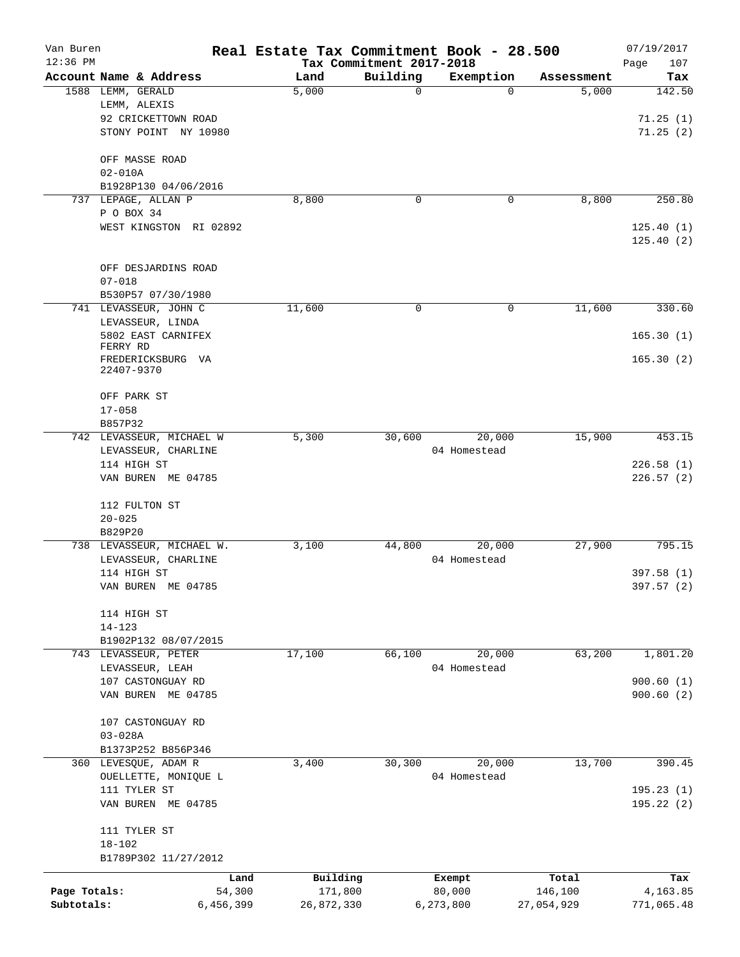| Van Buren    |                                             | Real Estate Tax Commitment Book - 28.500 |                          |                       |                     | 07/19/2017             |
|--------------|---------------------------------------------|------------------------------------------|--------------------------|-----------------------|---------------------|------------------------|
| $12:36$ PM   |                                             |                                          | Tax Commitment 2017-2018 |                       |                     | 107<br>Page            |
|              | Account Name & Address<br>1588 LEMM, GERALD | Land<br>5,000                            | Building<br>$\mathbf 0$  | Exemption<br>$\Omega$ | Assessment<br>5,000 | Tax<br>142.50          |
|              | LEMM, ALEXIS                                |                                          |                          |                       |                     |                        |
|              | 92 CRICKETTOWN ROAD                         |                                          |                          |                       |                     | 71.25(1)               |
|              | STONY POINT NY 10980                        |                                          |                          |                       |                     | 71.25(2)               |
|              |                                             |                                          |                          |                       |                     |                        |
|              | OFF MASSE ROAD                              |                                          |                          |                       |                     |                        |
|              | $02 - 010A$                                 |                                          |                          |                       |                     |                        |
|              | B1928P130 04/06/2016                        |                                          |                          |                       |                     |                        |
|              | 737 LEPAGE, ALLAN P<br>P O BOX 34           | 8,800                                    | $\mathbf 0$              | 0                     | 8,800               | 250.80                 |
|              | WEST KINGSTON RI 02892                      |                                          |                          |                       |                     | 125.40(1)              |
|              |                                             |                                          |                          |                       |                     | 125.40(2)              |
|              |                                             |                                          |                          |                       |                     |                        |
|              | OFF DESJARDINS ROAD                         |                                          |                          |                       |                     |                        |
|              | $07 - 018$                                  |                                          |                          |                       |                     |                        |
|              | B530P57 07/30/1980                          |                                          |                          |                       |                     |                        |
|              | 741 LEVASSEUR, JOHN C                       | 11,600                                   | 0                        | 0                     | 11,600              | 330.60                 |
|              | LEVASSEUR, LINDA                            |                                          |                          |                       |                     |                        |
|              | 5802 EAST CARNIFEX<br>FERRY RD              |                                          |                          |                       |                     | 165.30(1)              |
|              | FREDERICKSBURG VA                           |                                          |                          |                       |                     | 165.30(2)              |
|              | 22407-9370                                  |                                          |                          |                       |                     |                        |
|              | OFF PARK ST                                 |                                          |                          |                       |                     |                        |
|              | $17 - 058$                                  |                                          |                          |                       |                     |                        |
|              | B857P32                                     |                                          |                          |                       |                     |                        |
|              | 742 LEVASSEUR, MICHAEL W                    | 5,300                                    | 30,600                   | 20,000                | 15,900              | 453.15                 |
|              | LEVASSEUR, CHARLINE                         |                                          |                          | 04 Homestead          |                     |                        |
|              | 114 HIGH ST                                 |                                          |                          |                       |                     | 226.58(1)              |
|              | VAN BUREN ME 04785                          |                                          |                          |                       |                     | 226.57(2)              |
|              |                                             |                                          |                          |                       |                     |                        |
|              | 112 FULTON ST                               |                                          |                          |                       |                     |                        |
|              | $20 - 025$                                  |                                          |                          |                       |                     |                        |
|              | B829P20                                     |                                          |                          |                       |                     |                        |
|              | 738 LEVASSEUR, MICHAEL W.                   | 3,100                                    | 44,800                   | 20,000                | 27,900              | 795.15                 |
|              | LEVASSEUR, CHARLINE                         |                                          |                          | 04 Homestead          |                     |                        |
|              | 114 HIGH ST                                 |                                          |                          |                       |                     | 397.58 (1)             |
|              | VAN BUREN ME 04785                          |                                          |                          |                       |                     | 397.57 (2)             |
|              | 114 HIGH ST                                 |                                          |                          |                       |                     |                        |
|              | $14 - 123$                                  |                                          |                          |                       |                     |                        |
|              | B1902P132 08/07/2015                        |                                          |                          |                       |                     |                        |
|              | 743 LEVASSEUR, PETER                        | 17,100                                   | 66,100                   | 20,000                | 63,200              | 1,801.20               |
|              | LEVASSEUR, LEAH                             |                                          |                          | 04 Homestead          |                     |                        |
|              | 107 CASTONGUAY RD<br>VAN BUREN ME 04785     |                                          |                          |                       |                     | 900.60(1)<br>900.60(2) |
|              |                                             |                                          |                          |                       |                     |                        |
|              | 107 CASTONGUAY RD                           |                                          |                          |                       |                     |                        |
|              | $03 - 028A$                                 |                                          |                          |                       |                     |                        |
|              | B1373P252 B856P346                          |                                          |                          |                       |                     |                        |
|              | 360 LEVESQUE, ADAM R                        | 3,400                                    | 30,300                   | 20,000                | 13,700              | 390.45                 |
|              | OUELLETTE, MONIQUE L                        |                                          |                          | 04 Homestead          |                     |                        |
|              | 111 TYLER ST                                |                                          |                          |                       |                     | 195.23(1)              |
|              | VAN BUREN ME 04785                          |                                          |                          |                       |                     | 195.22 (2)             |
|              | 111 TYLER ST                                |                                          |                          |                       |                     |                        |
|              | $18 - 102$                                  |                                          |                          |                       |                     |                        |
|              | B1789P302 11/27/2012                        |                                          |                          |                       |                     |                        |
|              | Land                                        | Building                                 |                          | Exempt                | Total               | Tax                    |
| Page Totals: | 54,300                                      | 171,800                                  |                          | 80,000                | 146,100             | 4,163.85               |
| Subtotals:   | 6,456,399                                   | 26,872,330                               |                          | 6,273,800             | 27,054,929          | 771,065.48             |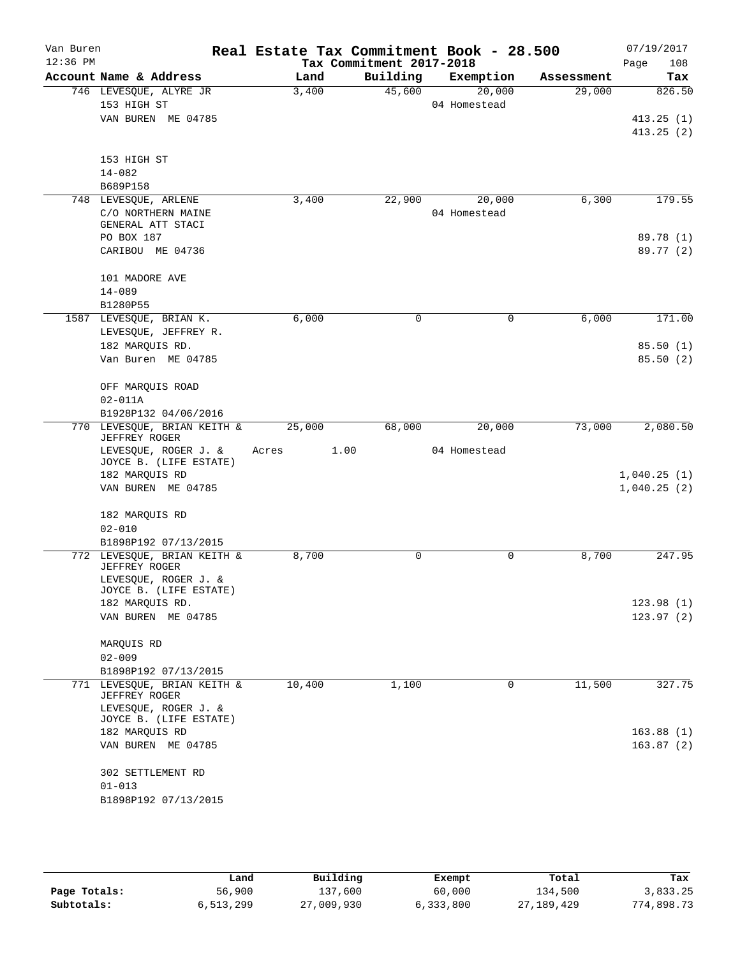| Van Buren  |                                                     |        | Real Estate Tax Commitment Book - 28.500 |                        |            | 07/19/2017  |
|------------|-----------------------------------------------------|--------|------------------------------------------|------------------------|------------|-------------|
| $12:36$ PM |                                                     |        | Tax Commitment 2017-2018                 |                        |            | 108<br>Page |
|            | Account Name & Address                              | Land   | Building                                 | Exemption              | Assessment | Tax         |
|            | 746 LEVESQUE, ALYRE JR<br>153 HIGH ST               | 3,400  | 45,600                                   | 20,000<br>04 Homestead | 29,000     | 826.50      |
|            | VAN BUREN ME 04785                                  |        |                                          |                        |            | 413.25(1)   |
|            |                                                     |        |                                          |                        |            | 413.25(2)   |
|            |                                                     |        |                                          |                        |            |             |
|            | 153 HIGH ST                                         |        |                                          |                        |            |             |
|            | $14 - 082$                                          |        |                                          |                        |            |             |
|            | B689P158                                            |        |                                          |                        |            |             |
|            | 748 LEVESQUE, ARLENE                                | 3,400  | 22,900                                   | 20,000                 | 6,300      | 179.55      |
|            | C/O NORTHERN MAINE                                  |        |                                          | 04 Homestead           |            |             |
|            | GENERAL ATT STACI<br>PO BOX 187                     |        |                                          |                        |            | 89.78 (1)   |
|            | CARIBOU ME 04736                                    |        |                                          |                        |            | 89.77 (2)   |
|            |                                                     |        |                                          |                        |            |             |
|            | 101 MADORE AVE                                      |        |                                          |                        |            |             |
|            | $14 - 089$                                          |        |                                          |                        |            |             |
|            | B1280P55                                            |        |                                          |                        |            |             |
|            | 1587 LEVESQUE, BRIAN K.                             | 6,000  | $\mathbf 0$                              | 0                      | 6,000      | 171.00      |
|            | LEVESQUE, JEFFREY R.                                |        |                                          |                        |            |             |
|            | 182 MARQUIS RD.                                     |        |                                          |                        |            | 85.50(1)    |
|            | Van Buren ME 04785                                  |        |                                          |                        |            | 85.50(2)    |
|            |                                                     |        |                                          |                        |            |             |
|            | OFF MARQUIS ROAD                                    |        |                                          |                        |            |             |
|            | $02 - 011A$                                         |        |                                          |                        |            |             |
|            | B1928P132 04/06/2016<br>770 LEVESQUE, BRIAN KEITH & |        | 68,000                                   | 20,000                 | 73,000     | 2,080.50    |
|            | <b>JEFFREY ROGER</b>                                | 25,000 |                                          |                        |            |             |
|            | LEVESQUE, ROGER J. &                                | Acres  | 1.00                                     | 04 Homestead           |            |             |
|            | JOYCE B. (LIFE ESTATE)                              |        |                                          |                        |            |             |
|            | 182 MARQUIS RD                                      |        |                                          |                        |            | 1,040.25(1) |
|            | VAN BUREN ME 04785                                  |        |                                          |                        |            | 1,040.25(2) |
|            |                                                     |        |                                          |                        |            |             |
|            | 182 MARQUIS RD<br>$02 - 010$                        |        |                                          |                        |            |             |
|            | B1898P192 07/13/2015                                |        |                                          |                        |            |             |
|            | 772 LEVESQUE, BRIAN KEITH &                         | 8,700  | $\Omega$                                 | 0                      | 8,700      | 247.95      |
|            | JEFFREY ROGER                                       |        |                                          |                        |            |             |
|            | LEVESQUE, ROGER J. &                                |        |                                          |                        |            |             |
|            | JOYCE B. (LIFE ESTATE)                              |        |                                          |                        |            |             |
|            | 182 MARQUIS RD.                                     |        |                                          |                        |            | 123.98(1)   |
|            | VAN BUREN ME 04785                                  |        |                                          |                        |            | 123.97(2)   |
|            | MARQUIS RD                                          |        |                                          |                        |            |             |
|            | $02 - 009$                                          |        |                                          |                        |            |             |
|            | B1898P192 07/13/2015                                |        |                                          |                        |            |             |
|            | 771 LEVESQUE, BRIAN KEITH &                         | 10,400 | 1,100                                    | 0                      | 11,500     | 327.75      |
|            | JEFFREY ROGER                                       |        |                                          |                        |            |             |
|            | LEVESQUE, ROGER J. &                                |        |                                          |                        |            |             |
|            | JOYCE B. (LIFE ESTATE)<br>182 MARQUIS RD            |        |                                          |                        |            | 163.88(1)   |
|            | VAN BUREN ME 04785                                  |        |                                          |                        |            | 163.87(2)   |
|            |                                                     |        |                                          |                        |            |             |
|            | 302 SETTLEMENT RD                                   |        |                                          |                        |            |             |
|            | $01 - 013$                                          |        |                                          |                        |            |             |
|            | B1898P192 07/13/2015                                |        |                                          |                        |            |             |
|            |                                                     |        |                                          |                        |            |             |
|            |                                                     |        |                                          |                        |            |             |

|              | Land      | Building   | Exempt    | Total        | Tax        |
|--------------|-----------|------------|-----------|--------------|------------|
| Page Totals: | 56,900    | 137,600    | 60,000    | 134,500      | 3,833.25   |
| Subtotals:   | 6,513,299 | 27,009,930 | 6,333,800 | 27, 189, 429 | 774,898.73 |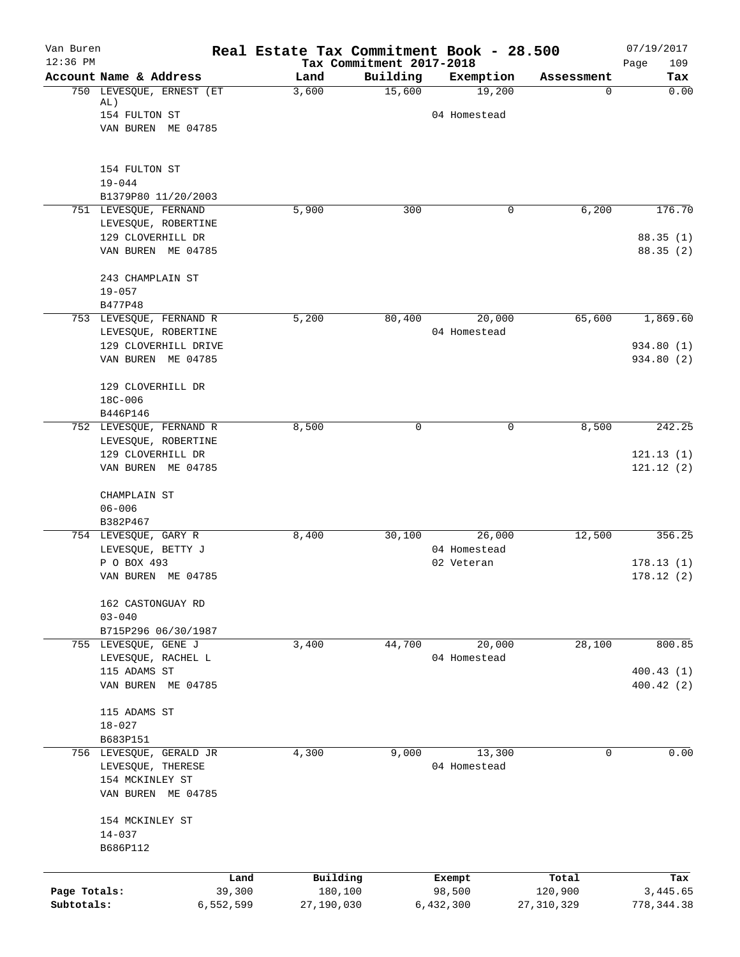| Van Buren    |                                                |           | Real Estate Tax Commitment Book - 28.500 |                                      |                            |              | 07/19/2017         |
|--------------|------------------------------------------------|-----------|------------------------------------------|--------------------------------------|----------------------------|--------------|--------------------|
| $12:36$ PM   | Account Name & Address                         |           | Land                                     | Tax Commitment 2017-2018<br>Building | Exemption                  | Assessment   | 109<br>Page<br>Tax |
|              | 750 LEVESQUE, ERNEST (ET<br>AL)                |           | 3,600                                    | 15,600                               | 19,200                     | 0            | 0.00               |
|              | 154 FULTON ST                                  |           |                                          |                                      | 04 Homestead               |              |                    |
|              | VAN BUREN ME 04785                             |           |                                          |                                      |                            |              |                    |
|              | 154 FULTON ST                                  |           |                                          |                                      |                            |              |                    |
|              | $19 - 044$                                     |           |                                          |                                      |                            |              |                    |
|              | B1379P80 11/20/2003<br>751 LEVESQUE, FERNAND   |           | 5,900                                    | 300                                  |                            | 6,200<br>0   | 176.70             |
|              | LEVESQUE, ROBERTINE                            |           |                                          |                                      |                            |              |                    |
|              | 129 CLOVERHILL DR                              |           |                                          |                                      |                            |              | 88.35(1)           |
|              | VAN BUREN ME 04785                             |           |                                          |                                      |                            |              | 88.35(2)           |
|              | 243 CHAMPLAIN ST                               |           |                                          |                                      |                            |              |                    |
|              | $19 - 057$                                     |           |                                          |                                      |                            |              |                    |
|              | B477P48                                        |           |                                          |                                      |                            | 65,600       |                    |
|              | 753 LEVESQUE, FERNAND R<br>LEVESQUE, ROBERTINE |           | 5,200                                    | 80,400                               | 20,000<br>04 Homestead     |              | 1,869.60           |
|              | 129 CLOVERHILL DRIVE                           |           |                                          |                                      |                            |              | 934.80(1)          |
|              | VAN BUREN ME 04785                             |           |                                          |                                      |                            |              | 934.80 (2)         |
|              | 129 CLOVERHILL DR                              |           |                                          |                                      |                            |              |                    |
|              | 18C-006                                        |           |                                          |                                      |                            |              |                    |
|              | B446P146                                       |           |                                          |                                      |                            |              |                    |
|              | 752 LEVESQUE, FERNAND R                        |           | 8,500                                    | 0                                    |                            | 0<br>8,500   | 242.25             |
|              | LEVESQUE, ROBERTINE<br>129 CLOVERHILL DR       |           |                                          |                                      |                            |              | 121.13(1)          |
|              | VAN BUREN ME 04785                             |           |                                          |                                      |                            |              | 121.12(2)          |
|              | CHAMPLAIN ST                                   |           |                                          |                                      |                            |              |                    |
|              | $06 - 006$                                     |           |                                          |                                      |                            |              |                    |
|              | B382P467                                       |           |                                          |                                      |                            |              |                    |
|              | 754 LEVESQUE, GARY R                           |           | 8,400                                    | 30,100                               | 26,000                     | 12,500       | 356.25             |
|              | LEVESQUE, BETTY J<br>P O BOX 493               |           |                                          |                                      | 04 Homestead<br>02 Veteran |              | 178.13(1)          |
|              | VAN BUREN ME 04785                             |           |                                          |                                      |                            |              | 178.12(2)          |
|              | 162 CASTONGUAY RD                              |           |                                          |                                      |                            |              |                    |
|              | $03 - 040$                                     |           |                                          |                                      |                            |              |                    |
|              | B715P296 06/30/1987                            |           |                                          |                                      |                            |              |                    |
|              | 755 LEVESQUE, GENE J                           |           | 3,400                                    | 44,700                               | 20,000                     | 28,100       | 800.85             |
|              | LEVESQUE, RACHEL L                             |           |                                          |                                      | 04 Homestead               |              |                    |
|              | 115 ADAMS ST                                   |           |                                          |                                      |                            |              | 400.43(1)          |
|              | VAN BUREN ME 04785                             |           |                                          |                                      |                            |              | 400.42(2)          |
|              | 115 ADAMS ST                                   |           |                                          |                                      |                            |              |                    |
|              | $18 - 027$                                     |           |                                          |                                      |                            |              |                    |
|              | B683P151                                       |           |                                          |                                      |                            |              |                    |
|              | 756 LEVESQUE, GERALD JR                        |           | 4,300                                    | 9,000                                | 13,300                     | 0            | 0.00               |
|              | LEVESQUE, THERESE                              |           |                                          |                                      | 04 Homestead               |              |                    |
|              | 154 MCKINLEY ST<br>VAN BUREN ME 04785          |           |                                          |                                      |                            |              |                    |
|              |                                                |           |                                          |                                      |                            |              |                    |
|              | 154 MCKINLEY ST                                |           |                                          |                                      |                            |              |                    |
|              | $14 - 037$                                     |           |                                          |                                      |                            |              |                    |
|              | B686P112                                       |           |                                          |                                      |                            |              |                    |
|              |                                                | Land      | Building                                 |                                      | Exempt                     | Total        | Tax                |
| Page Totals: |                                                | 39,300    | 180,100                                  |                                      | 98,500                     | 120,900      | 3,445.65           |
| Subtotals:   |                                                | 6,552,599 | 27,190,030                               |                                      | 6,432,300                  | 27, 310, 329 | 778, 344.38        |
|              |                                                |           |                                          |                                      |                            |              |                    |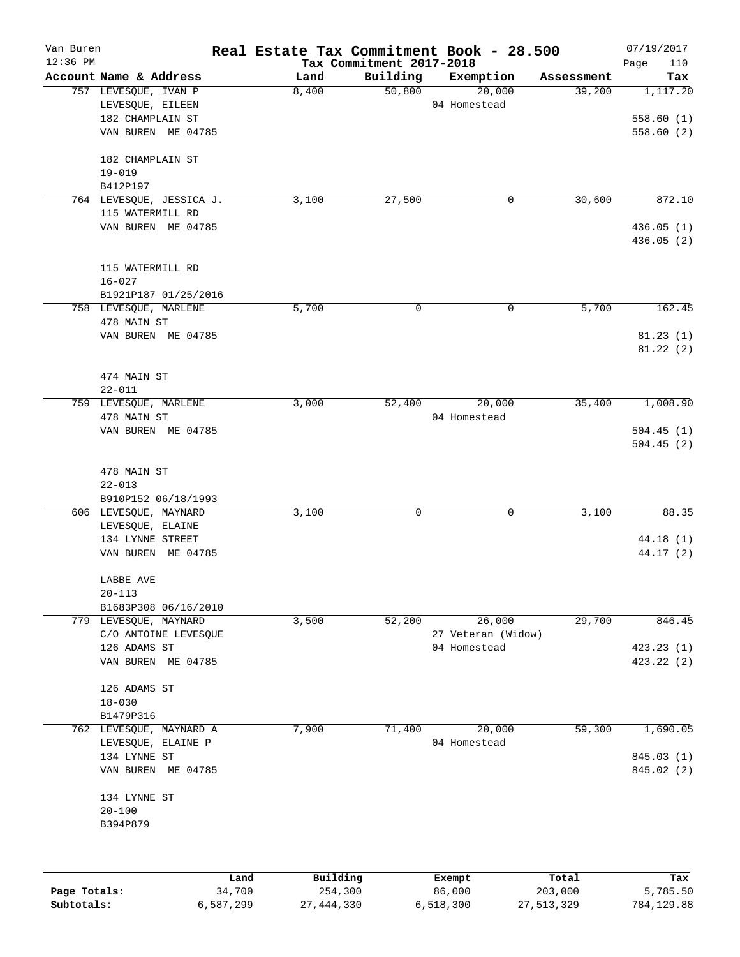| Van Buren<br>$12:36$ PM |                                              | Real Estate Tax Commitment Book - 28.500 | Tax Commitment 2017-2018 |                    |            | 07/19/2017<br>110<br>Page |
|-------------------------|----------------------------------------------|------------------------------------------|--------------------------|--------------------|------------|---------------------------|
|                         | Account Name & Address                       | Land                                     | Building                 | Exemption          | Assessment | Tax                       |
|                         | 757 LEVESQUE, IVAN P                         | 8,400                                    | 50,800                   | 20,000             | 39,200     | 1,117.20                  |
|                         | LEVESQUE, EILEEN                             |                                          |                          | 04 Homestead       |            |                           |
|                         | 182 CHAMPLAIN ST                             |                                          |                          |                    |            | 558.60(1)                 |
|                         | VAN BUREN ME 04785                           |                                          |                          |                    |            | 558.60(2)                 |
|                         | 182 CHAMPLAIN ST                             |                                          |                          |                    |            |                           |
|                         | $19 - 019$                                   |                                          |                          |                    |            |                           |
|                         | B412P197                                     |                                          | 27,500                   | 0                  | 30,600     | 872.10                    |
|                         | 764 LEVESQUE, JESSICA J.<br>115 WATERMILL RD | 3,100                                    |                          |                    |            |                           |
|                         | VAN BUREN ME 04785                           |                                          |                          |                    |            | 436.05(1)                 |
|                         |                                              |                                          |                          |                    |            | 436.05(2)                 |
|                         | 115 WATERMILL RD                             |                                          |                          |                    |            |                           |
|                         | $16 - 027$                                   |                                          |                          |                    |            |                           |
|                         | B1921P187 01/25/2016                         |                                          |                          |                    |            |                           |
|                         | 758 LEVESQUE, MARLENE                        | 5,700                                    | 0                        | $\mathbf 0$        | 5,700      | 162.45                    |
|                         | 478 MAIN ST                                  |                                          |                          |                    |            |                           |
|                         | VAN BUREN ME 04785                           |                                          |                          |                    |            | 81.23(1)                  |
|                         |                                              |                                          |                          |                    |            | 81.22(2)                  |
|                         | 474 MAIN ST                                  |                                          |                          |                    |            |                           |
|                         | $22 - 011$                                   |                                          |                          |                    |            |                           |
|                         | 759 LEVESQUE, MARLENE                        | 3,000                                    | 52,400                   | 20,000             | 35,400     | 1,008.90                  |
|                         | 478 MAIN ST                                  |                                          |                          | 04 Homestead       |            |                           |
|                         | VAN BUREN ME 04785                           |                                          |                          |                    |            | 504.45(1)                 |
|                         |                                              |                                          |                          |                    |            | 504.45(2)                 |
|                         |                                              |                                          |                          |                    |            |                           |
|                         | 478 MAIN ST                                  |                                          |                          |                    |            |                           |
|                         | $22 - 013$<br>B910P152 06/18/1993            |                                          |                          |                    |            |                           |
|                         | 606 LEVESQUE, MAYNARD                        | 3,100                                    | 0                        | $\mathbf 0$        | 3,100      | 88.35                     |
|                         | LEVESQUE, ELAINE                             |                                          |                          |                    |            |                           |
|                         | 134 LYNNE STREET                             |                                          |                          |                    |            | 44.18 (1)                 |
|                         | VAN BUREN ME 04785                           |                                          |                          |                    |            | 44.17 (2)                 |
|                         | LABBE AVE                                    |                                          |                          |                    |            |                           |
|                         | $20 - 113$                                   |                                          |                          |                    |            |                           |
|                         | B1683P308 06/16/2010                         |                                          |                          |                    |            |                           |
|                         | 779 LEVESQUE, MAYNARD                        | 3,500                                    | 52,200                   | 26,000             | 29,700     | 846.45                    |
|                         | C/O ANTOINE LEVESQUE                         |                                          |                          | 27 Veteran (Widow) |            |                           |
|                         | 126 ADAMS ST                                 |                                          |                          | 04 Homestead       |            | 423.23(1)                 |
|                         | VAN BUREN ME 04785                           |                                          |                          |                    |            | 423.22(2)                 |
|                         | 126 ADAMS ST                                 |                                          |                          |                    |            |                           |
|                         | $18 - 030$                                   |                                          |                          |                    |            |                           |
|                         | B1479P316                                    |                                          |                          |                    |            |                           |
|                         | 762 LEVESQUE, MAYNARD A                      | 7,900                                    | 71,400                   | 20,000             | 59,300     | 1,690.05                  |
|                         | LEVESQUE, ELAINE P                           |                                          |                          | 04 Homestead       |            |                           |
|                         | 134 LYNNE ST                                 |                                          |                          |                    |            | 845.03 (1)                |
|                         | VAN BUREN ME 04785                           |                                          |                          |                    |            | 845.02 (2)                |
|                         | 134 LYNNE ST                                 |                                          |                          |                    |            |                           |
|                         | $20 - 100$                                   |                                          |                          |                    |            |                           |
|                         | B394P879                                     |                                          |                          |                    |            |                           |
|                         |                                              |                                          |                          |                    |            |                           |
|                         | Land                                         | Building                                 |                          | Exempt             | Total      | Tax                       |
| Page Totals:            | 34,700                                       | 254,300                                  |                          | 86,000             | 203,000    | 5,785.50                  |

**Subtotals:** 6,587,299 27,444,330 6,518,300 27,513,329 784,129.88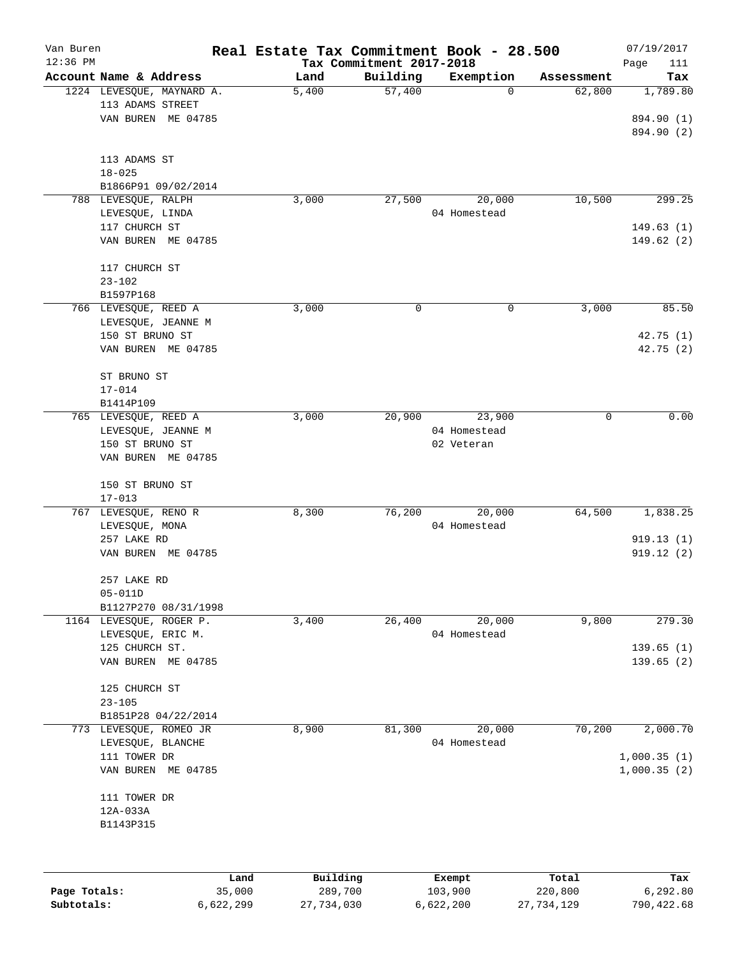| Van Buren  |                           | Real Estate Tax Commitment Book - 28.500 |                          |              |            | 07/19/2017  |
|------------|---------------------------|------------------------------------------|--------------------------|--------------|------------|-------------|
| $12:36$ PM |                           |                                          | Tax Commitment 2017-2018 |              |            | Page<br>111 |
|            | Account Name & Address    | Land                                     | Building                 | Exemption    | Assessment | Tax         |
|            | 1224 LEVESQUE, MAYNARD A. | 5,400                                    | 57,400                   | 0            | 62,800     | 1,789.80    |
|            | 113 ADAMS STREET          |                                          |                          |              |            |             |
|            | VAN BUREN ME 04785        |                                          |                          |              |            | 894.90 (1)  |
|            |                           |                                          |                          |              |            | 894.90 (2)  |
|            | 113 ADAMS ST              |                                          |                          |              |            |             |
|            | $18 - 025$                |                                          |                          |              |            |             |
|            | B1866P91 09/02/2014       |                                          |                          |              |            |             |
| 788        | LEVESQUE, RALPH           | 3,000                                    | 27,500                   | 20,000       | 10,500     | 299.25      |
|            | LEVESQUE, LINDA           |                                          |                          | 04 Homestead |            |             |
|            | 117 CHURCH ST             |                                          |                          |              |            | 149.63(1)   |
|            | VAN BUREN ME 04785        |                                          |                          |              |            | 149.62(2)   |
|            |                           |                                          |                          |              |            |             |
|            | 117 CHURCH ST             |                                          |                          |              |            |             |
|            | $23 - 102$                |                                          |                          |              |            |             |
|            | B1597P168                 |                                          |                          |              |            |             |
|            | 766 LEVESQUE, REED A      | 3,000                                    | 0                        | 0            | 3,000      | 85.50       |
|            | LEVESQUE, JEANNE M        |                                          |                          |              |            |             |
|            | 150 ST BRUNO ST           |                                          |                          |              |            | 42.75(1)    |
|            | VAN BUREN ME 04785        |                                          |                          |              |            | 42.75(2)    |
|            |                           |                                          |                          |              |            |             |
|            | ST BRUNO ST               |                                          |                          |              |            |             |
|            | $17 - 014$                |                                          |                          |              |            |             |
|            | B1414P109                 |                                          |                          |              |            |             |
| 765        | LEVESQUE, REED A          | 3,000                                    | 20,900                   | 23,900       | 0          | 0.00        |
|            | LEVESQUE, JEANNE M        |                                          |                          | 04 Homestead |            |             |
|            | 150 ST BRUNO ST           |                                          |                          | 02 Veteran   |            |             |
|            | VAN BUREN ME 04785        |                                          |                          |              |            |             |
|            |                           |                                          |                          |              |            |             |
|            | 150 ST BRUNO ST           |                                          |                          |              |            |             |
|            | $17 - 013$                |                                          |                          |              |            |             |
| 767        | LEVESQUE, RENO R          | 8,300                                    | 76,200                   | 20,000       | 64,500     | 1,838.25    |
|            | LEVESQUE, MONA            |                                          |                          | 04 Homestead |            |             |
|            | 257 LAKE RD               |                                          |                          |              |            | 919.13(1)   |
|            | VAN BUREN ME 04785        |                                          |                          |              |            | 919.12(2)   |
|            |                           |                                          |                          |              |            |             |
|            | 257 LAKE RD               |                                          |                          |              |            |             |
|            | $05 - 011D$               |                                          |                          |              |            |             |
|            | B1127P270 08/31/1998      |                                          |                          |              |            |             |
|            | 1164 LEVESQUE, ROGER P.   | 3,400                                    | 26,400                   | 20,000       | 9,800      | 279.30      |
|            | LEVESQUE, ERIC M.         |                                          |                          | 04 Homestead |            |             |
|            | 125 CHURCH ST.            |                                          |                          |              |            | 139.65(1)   |
|            | VAN BUREN ME 04785        |                                          |                          |              |            | 139.65(2)   |
|            |                           |                                          |                          |              |            |             |
|            | 125 CHURCH ST             |                                          |                          |              |            |             |
|            | $23 - 105$                |                                          |                          |              |            |             |
|            | B1851P28 04/22/2014       |                                          |                          |              |            |             |
| 773        | LEVESQUE, ROMEO JR        | 8,900                                    | 81,300                   | 20,000       | 70,200     | 2,000.70    |
|            | LEVESQUE, BLANCHE         |                                          |                          | 04 Homestead |            |             |
|            | 111 TOWER DR              |                                          |                          |              |            | 1,000.35(1) |
|            | VAN BUREN ME 04785        |                                          |                          |              |            | 1,000.35(2) |
|            |                           |                                          |                          |              |            |             |
|            | 111 TOWER DR              |                                          |                          |              |            |             |
|            | 12A-033A                  |                                          |                          |              |            |             |
|            | B1143P315                 |                                          |                          |              |            |             |
|            |                           |                                          |                          |              |            |             |
|            |                           |                                          |                          |              |            |             |
|            |                           | Building<br>Land.                        |                          | $F$ vemnt    | $T0+21$    | To:         |

|              | Land      | Building   | Exempt    | Total      | Tax        |
|--------------|-----------|------------|-----------|------------|------------|
| Page Totals: | 35,000    | 289,700    | 103,900   | 220,800    | 6,292.80   |
| Subtotals:   | 6,622,299 | 27,734,030 | 6,622,200 | 27,734,129 | 790,422.68 |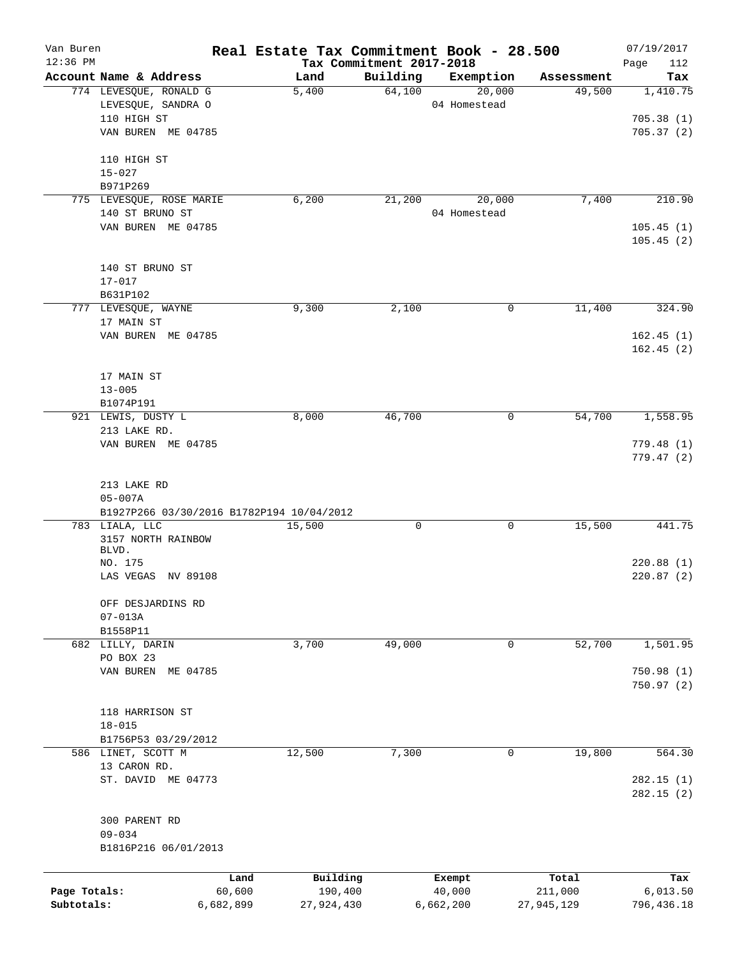| Van Buren    |                                           |           |            |                          | Real Estate Tax Commitment Book - 28.500 |            | 07/19/2017  |
|--------------|-------------------------------------------|-----------|------------|--------------------------|------------------------------------------|------------|-------------|
| $12:36$ PM   |                                           |           |            | Tax Commitment 2017-2018 |                                          |            | Page<br>112 |
|              | Account Name & Address                    |           | Land       | Building                 | Exemption                                | Assessment | Tax         |
|              | 774 LEVESQUE, RONALD G                    |           | 5,400      | 64,100                   | 20,000                                   | 49,500     | 1,410.75    |
|              | LEVESQUE, SANDRA O                        |           |            |                          | 04 Homestead                             |            |             |
|              | 110 HIGH ST                               |           |            |                          |                                          |            | 705.38(1)   |
|              | VAN BUREN ME 04785                        |           |            |                          |                                          |            | 705.37(2)   |
|              | 110 HIGH ST                               |           |            |                          |                                          |            |             |
|              | $15 - 027$                                |           |            |                          |                                          |            |             |
|              | B971P269                                  |           |            |                          |                                          |            |             |
|              | 775 LEVESQUE, ROSE MARIE                  |           | 6,200      | 21,200                   | 20,000                                   | 7,400      | 210.90      |
|              | 140 ST BRUNO ST                           |           |            |                          | 04 Homestead                             |            |             |
|              | VAN BUREN ME 04785                        |           |            |                          |                                          |            | 105.45(1)   |
|              |                                           |           |            |                          |                                          |            | 105.45(2)   |
|              | 140 ST BRUNO ST                           |           |            |                          |                                          |            |             |
|              | $17 - 017$                                |           |            |                          |                                          |            |             |
|              | B631P102                                  |           |            |                          |                                          |            |             |
|              |                                           |           |            |                          |                                          |            | 324.90      |
|              | 777 LEVESQUE, WAYNE                       |           | 9,300      | 2,100                    | 0                                        | 11,400     |             |
|              | 17 MAIN ST                                |           |            |                          |                                          |            |             |
|              | VAN BUREN ME 04785                        |           |            |                          |                                          |            | 162.45(1)   |
|              |                                           |           |            |                          |                                          |            | 162.45(2)   |
|              |                                           |           |            |                          |                                          |            |             |
|              | 17 MAIN ST                                |           |            |                          |                                          |            |             |
|              | $13 - 005$                                |           |            |                          |                                          |            |             |
|              | B1074P191                                 |           |            |                          |                                          |            |             |
|              |                                           |           |            |                          |                                          |            |             |
|              | 921 LEWIS, DUSTY L                        |           | 8,000      | 46,700                   | 0                                        | 54,700     | 1,558.95    |
|              | 213 LAKE RD.                              |           |            |                          |                                          |            |             |
|              | VAN BUREN ME 04785                        |           |            |                          |                                          |            | 779.48(1)   |
|              |                                           |           |            |                          |                                          |            | 779.47(2)   |
|              |                                           |           |            |                          |                                          |            |             |
|              | 213 LAKE RD                               |           |            |                          |                                          |            |             |
|              | $05 - 007A$                               |           |            |                          |                                          |            |             |
|              | B1927P266 03/30/2016 B1782P194 10/04/2012 |           |            |                          |                                          |            |             |
|              | 783 LIALA, LLC                            |           | 15,500     | 0                        | 0                                        | 15,500     | 441.75      |
|              | 3157 NORTH RAINBOW                        |           |            |                          |                                          |            |             |
|              | BLVD.                                     |           |            |                          |                                          |            |             |
|              | NO. 175                                   |           |            |                          |                                          |            | 220.88(1)   |
|              | LAS VEGAS NV 89108                        |           |            |                          |                                          |            | 220.87(2)   |
|              | OFF DESJARDINS RD                         |           |            |                          |                                          |            |             |
|              | $07 - 013A$                               |           |            |                          |                                          |            |             |
|              | B1558P11                                  |           |            |                          |                                          |            |             |
|              | 682 LILLY, DARIN                          |           | 3,700      | 49,000                   | 0                                        | 52,700     | 1,501.95    |
|              | PO BOX 23                                 |           |            |                          |                                          |            |             |
|              |                                           |           |            |                          |                                          |            |             |
|              | VAN BUREN ME 04785                        |           |            |                          |                                          |            | 750.98(1)   |
|              |                                           |           |            |                          |                                          |            | 750.97(2)   |
|              |                                           |           |            |                          |                                          |            |             |
|              | 118 HARRISON ST                           |           |            |                          |                                          |            |             |
|              | $18 - 015$                                |           |            |                          |                                          |            |             |
|              | B1756P53 03/29/2012                       |           |            |                          |                                          |            |             |
|              | 586 LINET, SCOTT M                        |           | 12,500     | 7,300                    | 0                                        | 19,800     | 564.30      |
|              | 13 CARON RD.                              |           |            |                          |                                          |            |             |
|              | ST. DAVID ME 04773                        |           |            |                          |                                          |            |             |
|              |                                           |           |            |                          |                                          |            | 282.15(1)   |
|              |                                           |           |            |                          |                                          |            | 282.15(2)   |
|              |                                           |           |            |                          |                                          |            |             |
|              | 300 PARENT RD                             |           |            |                          |                                          |            |             |
|              | $09 - 034$                                |           |            |                          |                                          |            |             |
|              | B1816P216 06/01/2013                      |           |            |                          |                                          |            |             |
|              |                                           |           |            |                          |                                          |            |             |
|              |                                           | Land      | Building   |                          | Exempt                                   | Total      | Tax         |
| Page Totals: |                                           | 60,600    | 190,400    |                          | 40,000                                   | 211,000    | 6,013.50    |
| Subtotals:   |                                           | 6,682,899 | 27,924,430 |                          | 6,662,200                                | 27,945,129 | 796,436.18  |
|              |                                           |           |            |                          |                                          |            |             |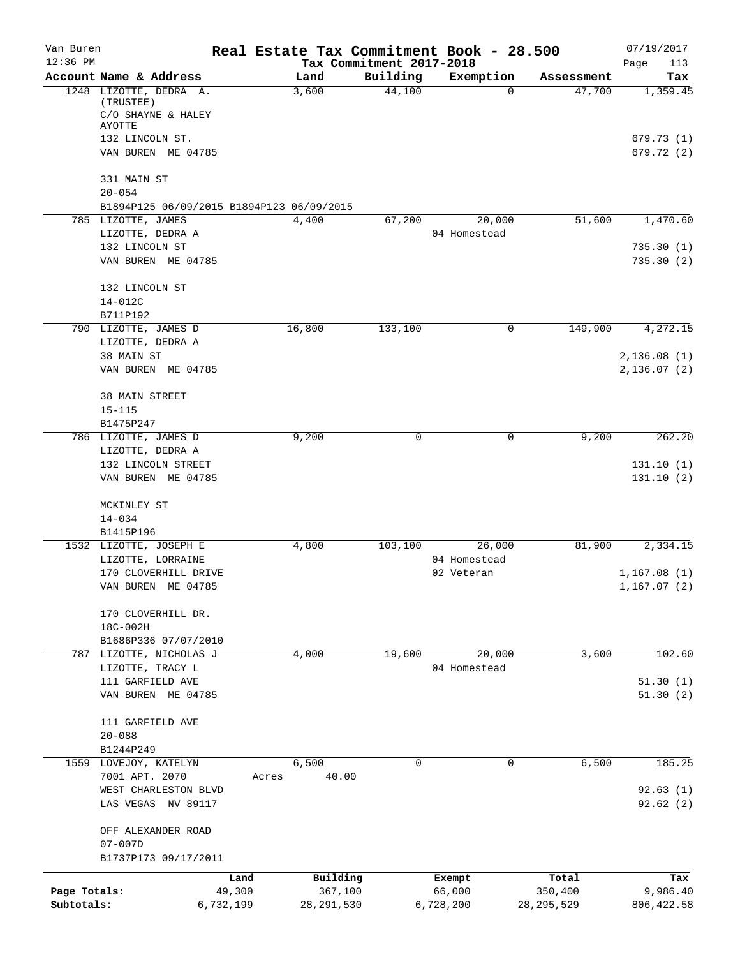| Van Buren    |                                                                 |           |              |                          | Real Estate Tax Commitment Book - 28.500 |              | 07/19/2017    |
|--------------|-----------------------------------------------------------------|-----------|--------------|--------------------------|------------------------------------------|--------------|---------------|
| $12:36$ PM   |                                                                 |           |              | Tax Commitment 2017-2018 |                                          |              | Page<br>113   |
|              | Account Name & Address                                          |           | Land         | Building                 | Exemption                                | Assessment   | Tax           |
|              | 1248 LIZOTTE, DEDRA A.<br>(TRUSTEE)                             |           | 3,600        | 44,100                   | $\Omega$                                 | 47,700       | 1,359.45      |
|              | C/O SHAYNE & HALEY                                              |           |              |                          |                                          |              |               |
|              | AYOTTE                                                          |           |              |                          |                                          |              |               |
|              | 132 LINCOLN ST.                                                 |           |              |                          |                                          |              | 679.73(1)     |
|              | VAN BUREN ME 04785                                              |           |              |                          |                                          |              | 679.72 (2)    |
|              | 331 MAIN ST                                                     |           |              |                          |                                          |              |               |
|              | $20 - 054$                                                      |           |              |                          |                                          |              |               |
|              | B1894P125 06/09/2015 B1894P123 06/09/2015<br>785 LIZOTTE, JAMES |           | 4,400        | 67,200                   | 20,000                                   | 51,600       | 1,470.60      |
|              | LIZOTTE, DEDRA A                                                |           |              |                          | 04 Homestead                             |              |               |
|              | 132 LINCOLN ST                                                  |           |              |                          |                                          |              | 735.30(1)     |
|              | VAN BUREN ME 04785                                              |           |              |                          |                                          |              | 735.30(2)     |
|              | 132 LINCOLN ST                                                  |           |              |                          |                                          |              |               |
|              | 14-012C                                                         |           |              |                          |                                          |              |               |
|              | B711P192                                                        |           |              |                          |                                          |              |               |
|              | 790 LIZOTTE, JAMES D                                            |           | 16,800       | 133,100                  | 0                                        | 149,900      | 4,272.15      |
|              | LIZOTTE, DEDRA A                                                |           |              |                          |                                          |              |               |
|              | 38 MAIN ST                                                      |           |              |                          |                                          |              | 2,136.08(1)   |
|              | VAN BUREN ME 04785                                              |           |              |                          |                                          |              | 2,136.07(2)   |
|              |                                                                 |           |              |                          |                                          |              |               |
|              | 38 MAIN STREET                                                  |           |              |                          |                                          |              |               |
|              | $15 - 115$                                                      |           |              |                          |                                          |              |               |
|              | B1475P247                                                       |           |              |                          |                                          |              |               |
|              | 786 LIZOTTE, JAMES D                                            |           | 9,200        | 0                        | 0                                        | 9,200        | 262.20        |
|              | LIZOTTE, DEDRA A                                                |           |              |                          |                                          |              |               |
|              | 132 LINCOLN STREET                                              |           |              |                          |                                          |              | 131.10(1)     |
|              | VAN BUREN ME 04785                                              |           |              |                          |                                          |              | 131.10(2)     |
|              | MCKINLEY ST                                                     |           |              |                          |                                          |              |               |
|              | $14 - 034$                                                      |           |              |                          |                                          |              |               |
|              | B1415P196                                                       |           |              |                          |                                          |              |               |
|              | 1532 LIZOTTE, JOSEPH E                                          |           | 4,800        | 103,100                  | 26,000                                   | 81,900       | 2,334.15      |
|              | LIZOTTE, LORRAINE                                               |           |              |                          | 04 Homestead                             |              |               |
|              | 170 CLOVERHILL DRIVE                                            |           |              |                          | 02 Veteran                               |              | 1,167.08(1)   |
|              | VAN BUREN ME 04785                                              |           |              |                          |                                          |              | 1, 167.07 (2) |
|              | 170 CLOVERHILL DR.                                              |           |              |                          |                                          |              |               |
|              | 18C-002H                                                        |           |              |                          |                                          |              |               |
|              | B1686P336 07/07/2010                                            |           |              |                          |                                          |              |               |
|              | 787 LIZOTTE, NICHOLAS J                                         |           | 4,000        | 19,600                   | 20,000                                   | 3,600        | 102.60        |
|              | LIZOTTE, TRACY L                                                |           |              |                          | 04 Homestead                             |              |               |
|              | 111 GARFIELD AVE                                                |           |              |                          |                                          |              | 51.30(1)      |
|              | VAN BUREN ME 04785                                              |           |              |                          |                                          |              | 51.30(2)      |
|              |                                                                 |           |              |                          |                                          |              |               |
|              | 111 GARFIELD AVE<br>$20 - 088$                                  |           |              |                          |                                          |              |               |
|              | B1244P249                                                       |           |              |                          |                                          |              |               |
|              | 1559 LOVEJOY, KATELYN                                           |           | 6,500        | 0                        | 0                                        | 6,500        | 185.25        |
|              | 7001 APT. 2070                                                  | Acres     | 40.00        |                          |                                          |              |               |
|              | WEST CHARLESTON BLVD                                            |           |              |                          |                                          |              | 92.63(1)      |
|              | LAS VEGAS NV 89117                                              |           |              |                          |                                          |              | 92.62(2)      |
|              |                                                                 |           |              |                          |                                          |              |               |
|              | OFF ALEXANDER ROAD                                              |           |              |                          |                                          |              |               |
|              | $07 - 007D$<br>B1737P173 09/17/2011                             |           |              |                          |                                          |              |               |
|              |                                                                 | Land      | Building     |                          | Exempt                                   | Total        | Tax           |
| Page Totals: |                                                                 | 49,300    | 367,100      |                          | 66,000                                   | 350,400      | 9,986.40      |
| Subtotals:   |                                                                 | 6,732,199 | 28, 291, 530 |                          | 6,728,200                                | 28, 295, 529 | 806, 422.58   |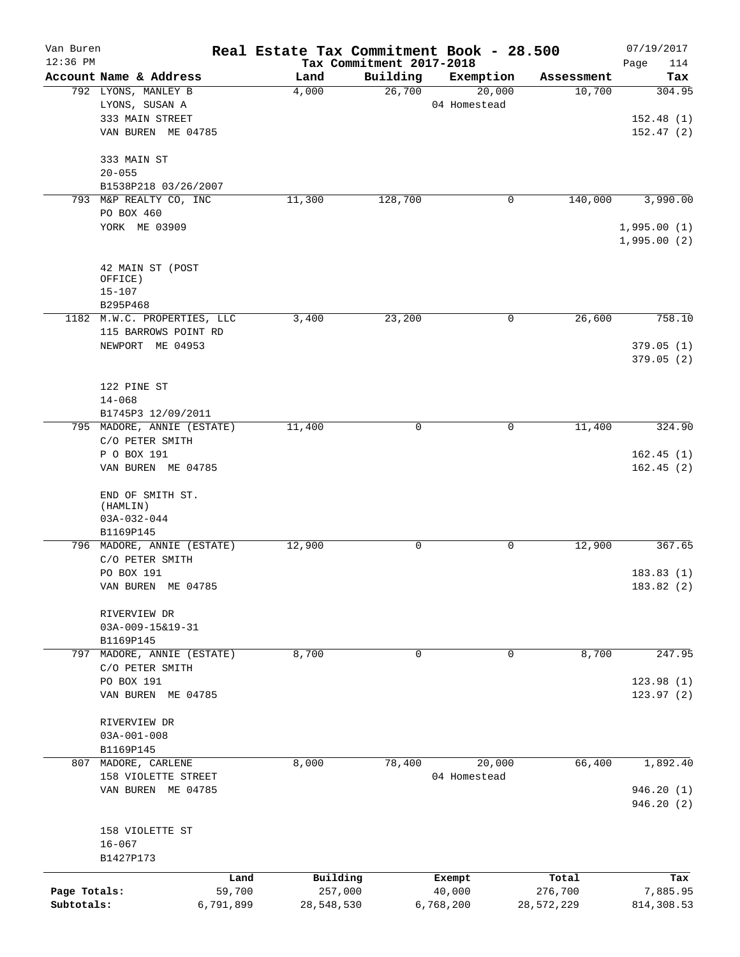| Van Buren    |                                               |           | Real Estate Tax Commitment Book - 28.500 |                                      |                     |                      | 07/19/2017                 |
|--------------|-----------------------------------------------|-----------|------------------------------------------|--------------------------------------|---------------------|----------------------|----------------------------|
| $12:36$ PM   | Account Name & Address                        |           |                                          | Tax Commitment 2017-2018<br>Building |                     |                      | Page<br>114                |
|              | 792 LYONS, MANLEY B                           |           | Land<br>4,000                            | 26,700                               | Exemption<br>20,000 | Assessment<br>10,700 | Tax<br>304.95              |
|              | LYONS, SUSAN A                                |           |                                          |                                      | 04 Homestead        |                      |                            |
|              | 333 MAIN STREET                               |           |                                          |                                      |                     |                      | 152.48(1)                  |
|              | VAN BUREN ME 04785                            |           |                                          |                                      |                     |                      | 152.47(2)                  |
|              | 333 MAIN ST                                   |           |                                          |                                      |                     |                      |                            |
|              | $20 - 055$                                    |           |                                          |                                      |                     |                      |                            |
|              | B1538P218 03/26/2007                          |           |                                          |                                      |                     |                      |                            |
|              | 793 M&P REALTY CO, INC                        |           | 11,300                                   | 128,700                              | 0                   | 140,000              | 3,990.00                   |
|              | PO BOX 460                                    |           |                                          |                                      |                     |                      |                            |
|              | YORK ME 03909                                 |           |                                          |                                      |                     |                      | 1,995.00(1)<br>1,995.00(2) |
|              |                                               |           |                                          |                                      |                     |                      |                            |
|              | 42 MAIN ST (POST                              |           |                                          |                                      |                     |                      |                            |
|              | OFFICE)                                       |           |                                          |                                      |                     |                      |                            |
|              | $15 - 107$                                    |           |                                          |                                      |                     |                      |                            |
|              | B295P468                                      |           |                                          |                                      | 0                   | 26,600               | 758.10                     |
|              | 1182 M.W.C. PROPERTIES, LLC                   |           | 3,400                                    | 23,200                               |                     |                      |                            |
|              | 115 BARROWS POINT RD<br>NEWPORT ME 04953      |           |                                          |                                      |                     |                      |                            |
|              |                                               |           |                                          |                                      |                     |                      | 379.05(1)<br>379.05(2)     |
|              | 122 PINE ST                                   |           |                                          |                                      |                     |                      |                            |
|              | $14 - 068$                                    |           |                                          |                                      |                     |                      |                            |
|              | B1745P3 12/09/2011                            |           |                                          |                                      |                     |                      |                            |
|              | 795 MADORE, ANNIE (ESTATE)<br>C/O PETER SMITH |           | 11,400                                   | $\Omega$                             | 0                   | 11,400               | 324.90                     |
|              | P O BOX 191                                   |           |                                          |                                      |                     |                      | 162.45(1)                  |
|              | VAN BUREN ME 04785                            |           |                                          |                                      |                     |                      | 162.45(2)                  |
|              | END OF SMITH ST.<br>(HAMLIN)<br>$03A-032-044$ |           |                                          |                                      |                     |                      |                            |
|              | B1169P145                                     |           |                                          |                                      |                     |                      |                            |
|              | 796 MADORE, ANNIE (ESTATE)                    |           | 12,900                                   | 0                                    | 0                   | 12,900               | 367.65                     |
|              | C/O PETER SMITH                               |           |                                          |                                      |                     |                      |                            |
|              | PO BOX 191                                    |           |                                          |                                      |                     |                      | 183.83(1)                  |
|              | VAN BUREN ME 04785                            |           |                                          |                                      |                     |                      | 183.82 (2)                 |
|              | RIVERVIEW DR                                  |           |                                          |                                      |                     |                      |                            |
|              | 03A-009-15&19-31                              |           |                                          |                                      |                     |                      |                            |
|              | B1169P145                                     |           |                                          |                                      |                     |                      |                            |
|              | 797 MADORE, ANNIE (ESTATE)<br>C/O PETER SMITH |           | 8,700                                    | 0                                    | $\Omega$            | 8,700                | 247.95                     |
|              | PO BOX 191                                    |           |                                          |                                      |                     |                      | 123.98(1)                  |
|              | VAN BUREN ME 04785                            |           |                                          |                                      |                     |                      | 123.97(2)                  |
|              | RIVERVIEW DR                                  |           |                                          |                                      |                     |                      |                            |
|              | $03A-001-008$                                 |           |                                          |                                      |                     |                      |                            |
|              | B1169P145                                     |           |                                          |                                      |                     |                      |                            |
|              | 807 MADORE, CARLENE                           |           | 8,000                                    | 78,400                               | 20,000              | 66,400               | 1,892.40                   |
|              | 158 VIOLETTE STREET                           |           |                                          |                                      | 04 Homestead        |                      |                            |
|              | VAN BUREN ME 04785                            |           |                                          |                                      |                     |                      | 946.20 (1)<br>946.20(2)    |
|              |                                               |           |                                          |                                      |                     |                      |                            |
|              | 158 VIOLETTE ST                               |           |                                          |                                      |                     |                      |                            |
|              | $16 - 067$<br>B1427P173                       |           |                                          |                                      |                     |                      |                            |
|              |                                               | Land      | Building                                 |                                      | Exempt              | Total                | Tax                        |
| Page Totals: |                                               | 59,700    | 257,000                                  |                                      | 40,000              | 276,700              | 7,885.95                   |
| Subtotals:   |                                               | 6,791,899 | 28,548,530                               |                                      | 6,768,200           | 28,572,229           | 814,308.53                 |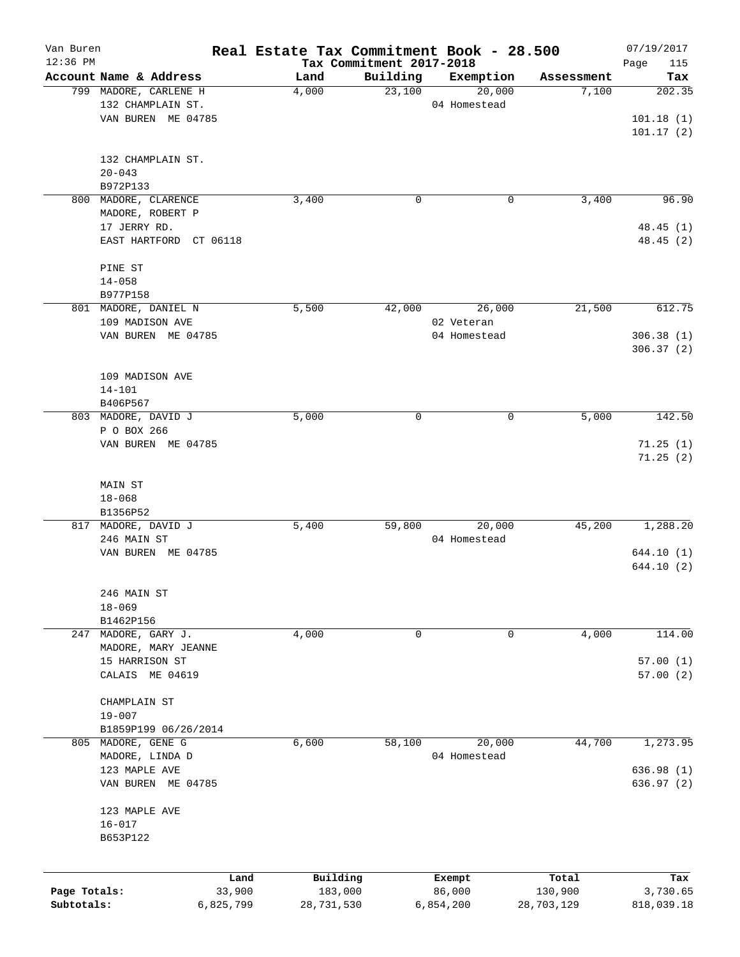| Van Buren<br>$12:36$ PM |                                            | Real Estate Tax Commitment Book - 28.500 |                                      |                        |            | 07/19/2017         |
|-------------------------|--------------------------------------------|------------------------------------------|--------------------------------------|------------------------|------------|--------------------|
|                         | Account Name & Address                     | Land                                     | Tax Commitment 2017-2018<br>Building | Exemption              | Assessment | Page<br>115<br>Tax |
|                         | 799 MADORE, CARLENE H                      | 4,000                                    | 23,100                               | 20,000                 | 7,100      | 202.35             |
|                         | 132 CHAMPLAIN ST.                          |                                          |                                      | 04 Homestead           |            |                    |
|                         | VAN BUREN ME 04785                         |                                          |                                      |                        |            | 101.18(1)          |
|                         |                                            |                                          |                                      |                        |            | 101.17(2)          |
|                         |                                            |                                          |                                      |                        |            |                    |
|                         | 132 CHAMPLAIN ST.                          |                                          |                                      |                        |            |                    |
|                         | $20 - 043$                                 |                                          |                                      |                        |            |                    |
|                         | B972P133                                   |                                          |                                      |                        |            |                    |
|                         | 800 MADORE, CLARENCE                       | 3,400                                    | $\mathbf 0$                          | 0                      | 3,400      | 96.90              |
|                         | MADORE, ROBERT P                           |                                          |                                      |                        |            |                    |
|                         | 17 JERRY RD.                               |                                          |                                      |                        |            | 48.45(1)           |
|                         | EAST HARTFORD CT 06118                     |                                          |                                      |                        |            | 48.45 (2)          |
|                         | PINE ST                                    |                                          |                                      |                        |            |                    |
|                         | $14 - 058$                                 |                                          |                                      |                        |            |                    |
|                         | B977P158                                   |                                          |                                      |                        |            |                    |
|                         | 801 MADORE, DANIEL N                       | 5,500                                    | 42,000                               | 26,000                 | 21,500     | 612.75             |
|                         | 109 MADISON AVE                            |                                          |                                      | 02 Veteran             |            |                    |
|                         | VAN BUREN ME 04785                         |                                          |                                      | 04 Homestead           |            | 306.38(1)          |
|                         |                                            |                                          |                                      |                        |            | 306.37(2)          |
|                         |                                            |                                          |                                      |                        |            |                    |
|                         | 109 MADISON AVE                            |                                          |                                      |                        |            |                    |
|                         | $14 - 101$                                 |                                          |                                      |                        |            |                    |
|                         | B406P567                                   |                                          |                                      |                        |            |                    |
|                         | 803 MADORE, DAVID J                        | 5,000                                    | 0                                    | 0                      | 5,000      | 142.50             |
|                         | P O BOX 266                                |                                          |                                      |                        |            |                    |
|                         | VAN BUREN ME 04785                         |                                          |                                      |                        |            | 71.25(1)           |
|                         |                                            |                                          |                                      |                        |            | 71.25(2)           |
|                         |                                            |                                          |                                      |                        |            |                    |
|                         | MAIN ST                                    |                                          |                                      |                        |            |                    |
|                         | $18 - 068$                                 |                                          |                                      |                        |            |                    |
|                         | B1356P52                                   |                                          |                                      |                        |            |                    |
|                         | 817 MADORE, DAVID J                        | 5,400                                    | 59,800                               | 20,000                 | 45,200     | 1,288.20           |
|                         | 246 MAIN ST                                |                                          |                                      | 04 Homestead           |            |                    |
|                         | VAN BUREN ME 04785                         |                                          |                                      |                        |            | 644.10(1)          |
|                         |                                            |                                          |                                      |                        |            | 644.10 (2)         |
|                         |                                            |                                          |                                      |                        |            |                    |
|                         | 246 MAIN ST                                |                                          |                                      |                        |            |                    |
|                         | $18 - 069$                                 |                                          |                                      |                        |            |                    |
|                         | B1462P156                                  |                                          |                                      |                        |            |                    |
| 247                     | MADORE, GARY J.                            | 4,000                                    | 0                                    | 0                      | 4,000      | 114.00             |
|                         | MADORE, MARY JEANNE                        |                                          |                                      |                        |            |                    |
|                         | 15 HARRISON ST                             |                                          |                                      |                        |            | 57.00(1)           |
|                         | CALAIS ME 04619                            |                                          |                                      |                        |            | 57.00(2)           |
|                         | CHAMPLAIN ST                               |                                          |                                      |                        |            |                    |
|                         |                                            |                                          |                                      |                        |            |                    |
|                         | $19 - 007$                                 |                                          |                                      |                        |            |                    |
|                         | B1859P199 06/26/2014<br>805 MADORE, GENE G |                                          |                                      |                        |            |                    |
|                         | MADORE, LINDA D                            | 6,600                                    | 58,100                               | 20,000<br>04 Homestead | 44,700     | 1,273.95           |
|                         | 123 MAPLE AVE                              |                                          |                                      |                        |            |                    |
|                         | VAN BUREN ME 04785                         |                                          |                                      |                        |            | 636.98 (1)         |
|                         |                                            |                                          |                                      |                        |            | 636.97 (2)         |
|                         | 123 MAPLE AVE                              |                                          |                                      |                        |            |                    |
|                         | $16 - 017$                                 |                                          |                                      |                        |            |                    |
|                         | B653P122                                   |                                          |                                      |                        |            |                    |
|                         |                                            |                                          |                                      |                        |            |                    |
|                         |                                            |                                          |                                      |                        |            |                    |
|                         | Land                                       | Building                                 |                                      | Exempt                 | Total      | Tax                |
| Page Totals:            | 33,900                                     | 183,000                                  |                                      | 86,000                 | 130,900    | 3,730.65           |
| Subtotals:              | 6,825,799                                  | 28,731,530                               |                                      | 6,854,200              | 28,703,129 | 818,039.18         |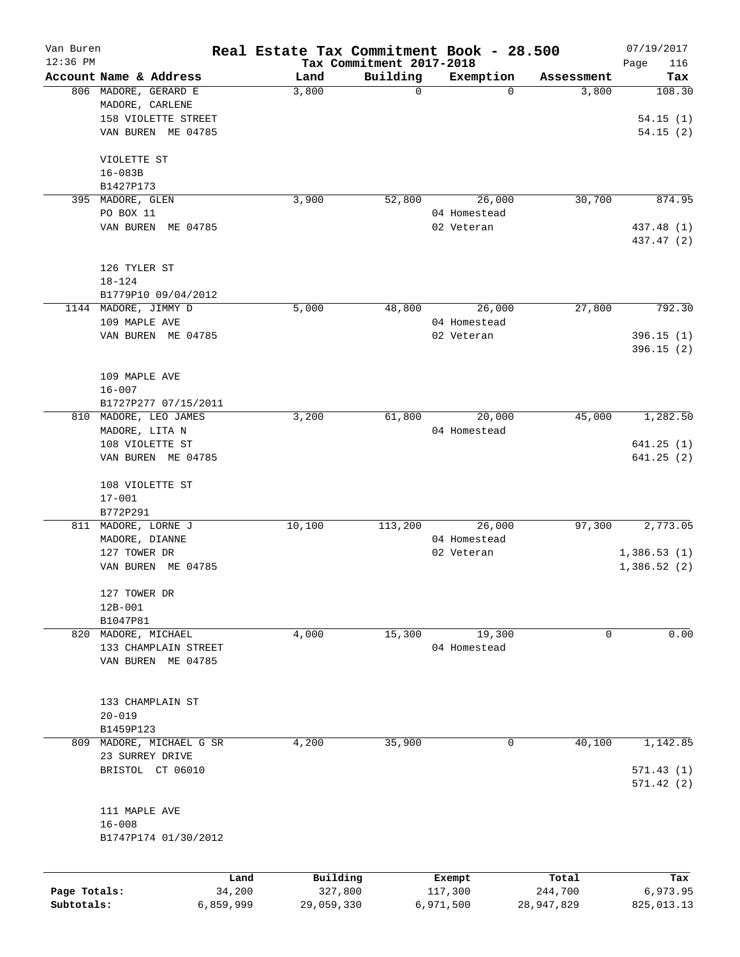| Van Buren    |                        |                | Real Estate Tax Commitment Book - 28.500 |                                      |                          |                     | 07/19/2017      |
|--------------|------------------------|----------------|------------------------------------------|--------------------------------------|--------------------------|---------------------|-----------------|
| $12:36$ PM   | Account Name & Address |                | Land                                     | Tax Commitment 2017-2018<br>Building |                          |                     | 116<br>Page     |
|              | 806 MADORE, GERARD E   |                | 3,800                                    | $\mathbf 0$                          | Exemption<br>$\mathbf 0$ | Assessment<br>3,800 | Tax<br>108.30   |
|              | MADORE, CARLENE        |                |                                          |                                      |                          |                     |                 |
|              | 158 VIOLETTE STREET    |                |                                          |                                      |                          |                     | 54.15(1)        |
|              | VAN BUREN ME 04785     |                |                                          |                                      |                          |                     | 54.15(2)        |
|              |                        |                |                                          |                                      |                          |                     |                 |
|              | VIOLETTE ST            |                |                                          |                                      |                          |                     |                 |
|              | $16 - 083B$            |                |                                          |                                      |                          |                     |                 |
|              | B1427P173              |                |                                          |                                      |                          |                     |                 |
| 395          | MADORE, GLEN           |                | 3,900                                    | 52,800                               | 26,000                   | 30,700              | 874.95          |
|              | PO BOX 11              |                |                                          |                                      | 04 Homestead             |                     |                 |
|              | VAN BUREN ME 04785     |                |                                          |                                      | 02 Veteran               |                     | 437.48 (1)      |
|              |                        |                |                                          |                                      |                          |                     | 437.47 (2)      |
|              |                        |                |                                          |                                      |                          |                     |                 |
|              | 126 TYLER ST           |                |                                          |                                      |                          |                     |                 |
|              | $18 - 124$             |                |                                          |                                      |                          |                     |                 |
|              | B1779P10 09/04/2012    |                |                                          |                                      |                          |                     |                 |
|              | 1144 MADORE, JIMMY D   |                | 5,000                                    | 48,800                               | 26,000                   | 27,800              | 792.30          |
|              | 109 MAPLE AVE          |                |                                          |                                      | 04 Homestead             |                     |                 |
|              | VAN BUREN ME 04785     |                |                                          |                                      | 02 Veteran               |                     | 396.15(1)       |
|              |                        |                |                                          |                                      |                          |                     | 396.15(2)       |
|              | 109 MAPLE AVE          |                |                                          |                                      |                          |                     |                 |
|              | $16 - 007$             |                |                                          |                                      |                          |                     |                 |
|              | B1727P277 07/15/2011   |                |                                          |                                      |                          |                     |                 |
| 810          | MADORE, LEO JAMES      |                | 3,200                                    | 61,800                               | 20,000                   | 45,000              | 1,282.50        |
|              | MADORE, LITA N         |                |                                          |                                      | 04 Homestead             |                     |                 |
|              | 108 VIOLETTE ST        |                |                                          |                                      |                          |                     | 641.25(1)       |
|              | VAN BUREN ME 04785     |                |                                          |                                      |                          |                     | 641.25(2)       |
|              |                        |                |                                          |                                      |                          |                     |                 |
|              | 108 VIOLETTE ST        |                |                                          |                                      |                          |                     |                 |
|              | $17 - 001$             |                |                                          |                                      |                          |                     |                 |
|              | B772P291               |                |                                          |                                      |                          |                     |                 |
|              | 811 MADORE, LORNE J    |                | 10,100                                   | 113,200                              | 26,000                   | 97,300              | 2,773.05        |
|              | MADORE, DIANNE         |                |                                          |                                      | 04 Homestead             |                     |                 |
|              | 127 TOWER DR           |                |                                          |                                      | 02 Veteran               |                     | 1,386.53(1)     |
|              | VAN BUREN ME 04785     |                |                                          |                                      |                          |                     | 1,386.52(2)     |
|              | 127 TOWER DR           |                |                                          |                                      |                          |                     |                 |
|              | $12B-001$              |                |                                          |                                      |                          |                     |                 |
|              | B1047P81               |                |                                          |                                      |                          |                     |                 |
|              | 820 MADORE, MICHAEL    |                | 4,000                                    | 15,300                               | 19,300                   | 0                   | 0.00            |
|              | 133 CHAMPLAIN STREET   |                |                                          |                                      | 04 Homestead             |                     |                 |
|              | VAN BUREN ME 04785     |                |                                          |                                      |                          |                     |                 |
|              |                        |                |                                          |                                      |                          |                     |                 |
|              | 133 CHAMPLAIN ST       |                |                                          |                                      |                          |                     |                 |
|              | $20 - 019$             |                |                                          |                                      |                          |                     |                 |
|              | B1459P123              |                |                                          |                                      |                          |                     |                 |
| 809          | MADORE, MICHAEL G SR   |                | 4,200                                    | 35,900                               | 0                        | 40,100              | 1,142.85        |
|              | 23 SURREY DRIVE        |                |                                          |                                      |                          |                     |                 |
|              | BRISTOL CT 06010       |                |                                          |                                      |                          |                     | 571.43(1)       |
|              |                        |                |                                          |                                      |                          |                     | 571.42(2)       |
|              |                        |                |                                          |                                      |                          |                     |                 |
|              | 111 MAPLE AVE          |                |                                          |                                      |                          |                     |                 |
|              | $16 - 008$             |                |                                          |                                      |                          |                     |                 |
|              | B1747P174 01/30/2012   |                |                                          |                                      |                          |                     |                 |
|              |                        |                |                                          |                                      |                          |                     |                 |
| Page Totals: |                        | Land<br>34,200 | Building<br>327,800                      |                                      | Exempt<br>117,300        | Total<br>244,700    | Tax<br>6,973.95 |
| Subtotals:   |                        | 6,859,999      | 29,059,330                               |                                      | 6,971,500                | 28,947,829          | 825, 013.13     |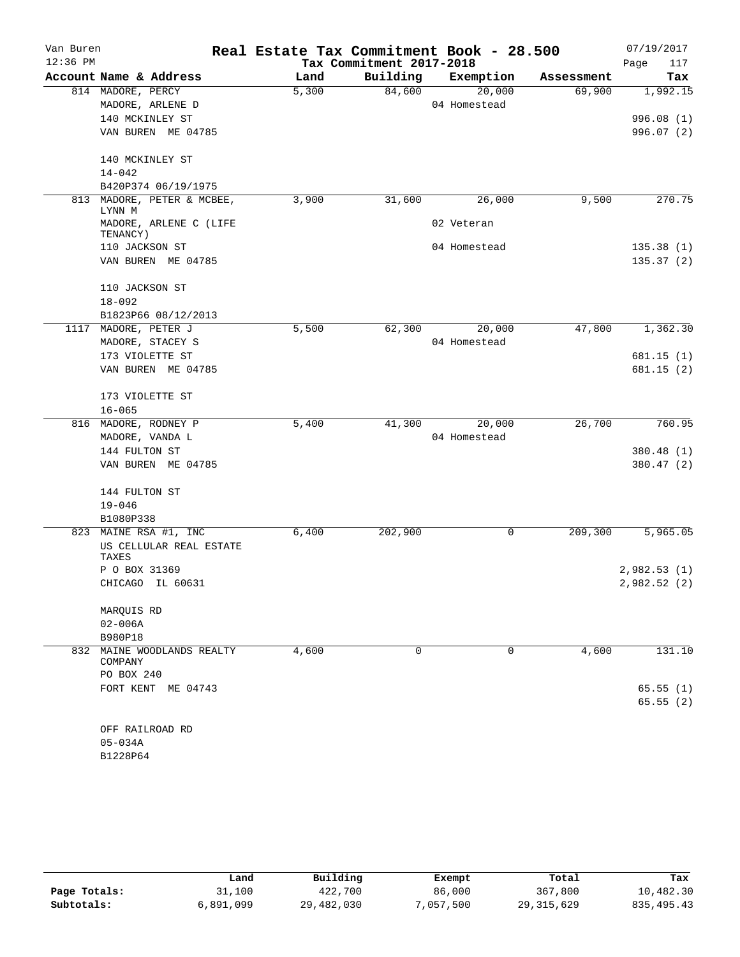| Van Buren  |                                    | Real Estate Tax Commitment Book - 28.500 |                          |              |            | 07/19/2017  |
|------------|------------------------------------|------------------------------------------|--------------------------|--------------|------------|-------------|
| $12:36$ PM |                                    |                                          | Tax Commitment 2017-2018 |              |            | Page<br>117 |
|            | Account Name & Address             | Land                                     | Building                 | Exemption    | Assessment | Tax         |
|            | 814 MADORE, PERCY                  | 5,300                                    | 84,600                   | 20,000       | 69,900     | 1,992.15    |
|            | MADORE, ARLENE D                   |                                          |                          | 04 Homestead |            |             |
|            | 140 MCKINLEY ST                    |                                          |                          |              |            | 996.08(1)   |
|            | VAN BUREN ME 04785                 |                                          |                          |              |            | 996.07(2)   |
|            | 140 MCKINLEY ST                    |                                          |                          |              |            |             |
|            | $14 - 042$                         |                                          |                          |              |            |             |
|            | B420P374 06/19/1975                |                                          |                          |              |            |             |
| 813        | MADORE, PETER & MCBEE,<br>LYNN M   | 3,900                                    | 31,600                   | 26,000       | 9,500      | 270.75      |
|            | MADORE, ARLENE C (LIFE<br>TENANCY) |                                          |                          | 02 Veteran   |            |             |
|            | 110 JACKSON ST                     |                                          |                          | 04 Homestead |            | 135.38(1)   |
|            | VAN BUREN ME 04785                 |                                          |                          |              |            | 135.37(2)   |
|            | 110 JACKSON ST                     |                                          |                          |              |            |             |
|            | $18 - 092$                         |                                          |                          |              |            |             |
|            | B1823P66 08/12/2013                |                                          |                          |              |            |             |
|            | 1117 MADORE, PETER J               | 5,500                                    | 62,300                   | 20,000       | 47,800     | 1,362.30    |
|            | MADORE, STACEY S                   |                                          |                          | 04 Homestead |            |             |
|            | 173 VIOLETTE ST                    |                                          |                          |              |            | 681.15(1)   |
|            | VAN BUREN ME 04785                 |                                          |                          |              |            | 681.15 (2)  |
|            | 173 VIOLETTE ST                    |                                          |                          |              |            |             |
|            | $16 - 065$                         |                                          |                          |              |            |             |
|            | 816 MADORE, RODNEY P               | 5,400                                    | 41,300                   | 20,000       | 26,700     | 760.95      |
|            | MADORE, VANDA L                    |                                          |                          | 04 Homestead |            |             |
|            | 144 FULTON ST                      |                                          |                          |              |            | 380.48(1)   |
|            | VAN BUREN ME 04785                 |                                          |                          |              |            | 380.47(2)   |
|            | 144 FULTON ST                      |                                          |                          |              |            |             |
|            | $19 - 046$                         |                                          |                          |              |            |             |
|            | B1080P338                          |                                          |                          |              |            |             |
|            | 823 MAINE RSA #1, INC              | 6,400                                    | 202,900                  | 0            | 209,300    | 5,965.05    |
|            | US CELLULAR REAL ESTATE<br>TAXES   |                                          |                          |              |            |             |
|            | P O BOX 31369                      |                                          |                          |              |            | 2,982.53(1) |
|            | CHICAGO IL 60631                   |                                          |                          |              |            | 2,982.52(2) |
|            | MARQUIS RD                         |                                          |                          |              |            |             |
|            | $02 - 006A$                        |                                          |                          |              |            |             |
|            | B980P18                            |                                          |                          |              |            |             |
| 832        | MAINE WOODLANDS REALTY<br>COMPANY  | 4,600                                    | $\Omega$                 | $\Omega$     | 4,600      | 131.10      |
|            | PO BOX 240                         |                                          |                          |              |            |             |
|            | FORT KENT ME 04743                 |                                          |                          |              |            | 65.55(1)    |
|            |                                    |                                          |                          |              |            | 65.55(2)    |
|            | OFF RAILROAD RD                    |                                          |                          |              |            |             |
|            | $05 - 034A$                        |                                          |                          |              |            |             |
|            | B1228P64                           |                                          |                          |              |            |             |

|              | Land      | Building   | Exempt    | Total        | Tax          |
|--------------|-----------|------------|-----------|--------------|--------------|
| Page Totals: | 31,100    | 422,700    | 86,000    | 367,800      | 10,482.30    |
| Subtotals:   | 6,891,099 | 29,482,030 | 7,057,500 | 29, 315, 629 | 835, 495. 43 |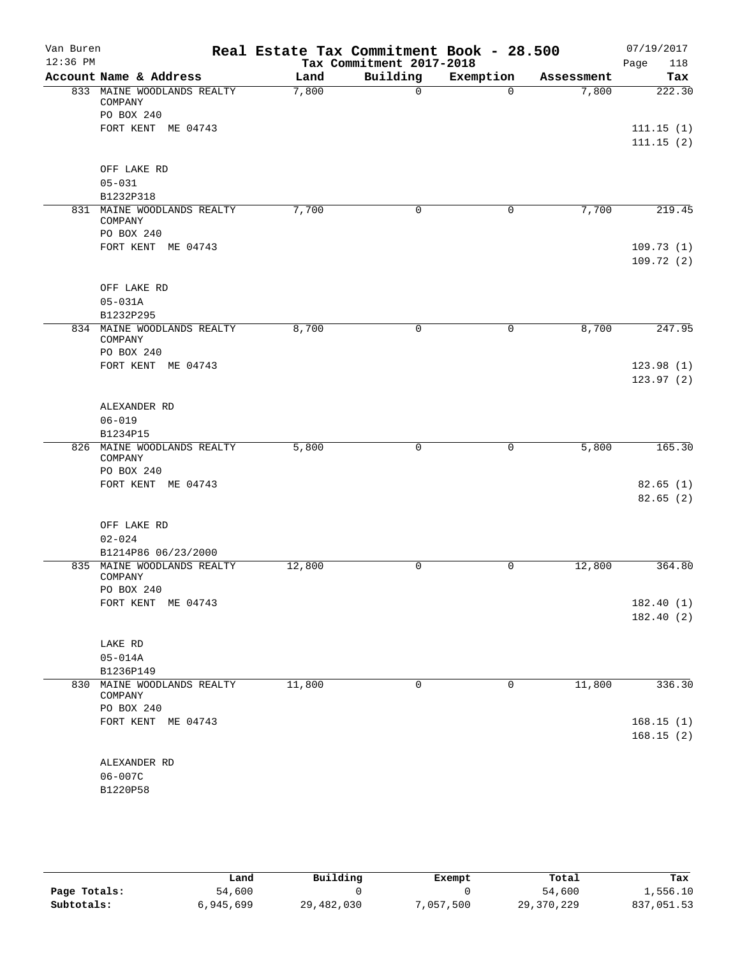| Van Buren<br>$12:36$ PM |                                       | Real Estate Tax Commitment Book - 28.500 | Tax Commitment 2017-2018 |           |            | 07/19/2017<br>118<br>Page |
|-------------------------|---------------------------------------|------------------------------------------|--------------------------|-----------|------------|---------------------------|
|                         | Account Name & Address                | Land                                     | Building                 | Exemption | Assessment | Tax                       |
|                         | 833 MAINE WOODLANDS REALTY<br>COMPANY | 7,800                                    | $\Omega$                 | $\Omega$  | 7,800      | 222.30                    |
|                         | PO BOX 240                            |                                          |                          |           |            |                           |
|                         | FORT KENT ME 04743                    |                                          |                          |           |            | 111.15(1)                 |
|                         |                                       |                                          |                          |           |            | 111.15(2)                 |
|                         | OFF LAKE RD                           |                                          |                          |           |            |                           |
|                         | $05 - 031$                            |                                          |                          |           |            |                           |
|                         | B1232P318                             |                                          |                          |           |            |                           |
|                         | 831 MAINE WOODLANDS REALTY<br>COMPANY | 7,700                                    | 0                        | 0         | 7,700      | 219.45                    |
|                         | PO BOX 240                            |                                          |                          |           |            |                           |
|                         | FORT KENT ME 04743                    |                                          |                          |           |            | 109.73(1)<br>109.72(2)    |
|                         | OFF LAKE RD                           |                                          |                          |           |            |                           |
|                         | $05 - 031A$                           |                                          |                          |           |            |                           |
|                         | B1232P295                             |                                          |                          |           |            |                           |
|                         | 834 MAINE WOODLANDS REALTY<br>COMPANY | 8,700                                    | $\mathsf{O}$             | 0         | 8,700      | 247.95                    |
|                         | PO BOX 240                            |                                          |                          |           |            |                           |
|                         | FORT KENT ME 04743                    |                                          |                          |           |            | 123.98(1)                 |
|                         |                                       |                                          |                          |           |            | 123.97(2)                 |
|                         | ALEXANDER RD                          |                                          |                          |           |            |                           |
|                         | $06 - 019$                            |                                          |                          |           |            |                           |
|                         | B1234P15                              |                                          |                          |           |            |                           |
|                         | 826 MAINE WOODLANDS REALTY            | 5,800                                    | 0                        | 0         | 5,800      | 165.30                    |
|                         | COMPANY<br>PO BOX 240                 |                                          |                          |           |            |                           |
|                         | FORT KENT ME 04743                    |                                          |                          |           |            | 82.65(1)                  |
|                         |                                       |                                          |                          |           |            | 82.65(2)                  |
|                         | OFF LAKE RD                           |                                          |                          |           |            |                           |
|                         | $02 - 024$                            |                                          |                          |           |            |                           |
|                         | B1214P86 06/23/2000                   |                                          |                          |           |            |                           |
|                         | 835 MAINE WOODLANDS REALTY<br>COMPANY | 12,800                                   | 0                        | 0         | 12,800     | 364.80                    |
|                         | PO BOX 240                            |                                          |                          |           |            |                           |
|                         | FORT KENT ME 04743                    |                                          |                          |           |            | 182.40(1)<br>182.40(2)    |
|                         |                                       |                                          |                          |           |            |                           |
|                         | LAKE RD                               |                                          |                          |           |            |                           |
|                         | $05 - 014A$                           |                                          |                          |           |            |                           |
|                         | B1236P149                             |                                          |                          |           |            |                           |
| 830                     | MAINE WOODLANDS REALTY<br>COMPANY     | 11,800                                   | $\mathbf 0$              | 0         | 11,800     | 336.30                    |
|                         | PO BOX 240                            |                                          |                          |           |            |                           |
|                         | FORT KENT ME 04743                    |                                          |                          |           |            | 168.15(1)                 |
|                         |                                       |                                          |                          |           |            | 168.15(2)                 |
|                         | ALEXANDER RD                          |                                          |                          |           |            |                           |
|                         | 06-007C                               |                                          |                          |           |            |                           |
|                         | B1220P58                              |                                          |                          |           |            |                           |
|                         |                                       |                                          |                          |           |            |                           |

|              | Land      | Building   | Exempt    | Total      | Tax        |
|--------------|-----------|------------|-----------|------------|------------|
| Page Totals: | 54,600    |            |           | 54,600     | 1,556.10   |
| Subtotals:   | 6,945,699 | 29,482,030 | 7,057,500 | 29,370,229 | 837,051.53 |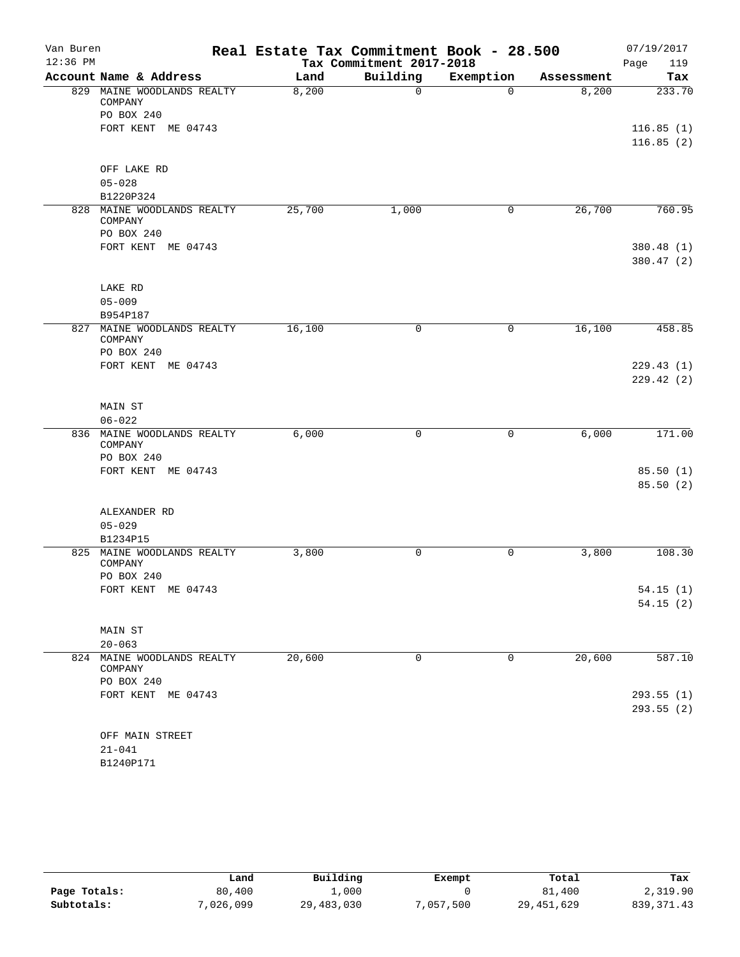| Van Buren  |                         |                            | Real Estate Tax Commitment Book - 28.500 |                          |             |            | 07/19/2017             |
|------------|-------------------------|----------------------------|------------------------------------------|--------------------------|-------------|------------|------------------------|
| $12:36$ PM |                         |                            |                                          | Tax Commitment 2017-2018 |             |            | 119<br>Page            |
|            |                         | Account Name & Address     | Land                                     | Building                 | Exemption   | Assessment | Tax                    |
|            | COMPANY                 | 829 MAINE WOODLANDS REALTY | 8,200                                    | $\Omega$                 | $\Omega$    | 8,200      | 233.70                 |
|            | PO BOX 240              |                            |                                          |                          |             |            |                        |
|            |                         | FORT KENT ME 04743         |                                          |                          |             |            | 116.85(1)<br>116.85(2) |
|            |                         |                            |                                          |                          |             |            |                        |
|            |                         | OFF LAKE RD                |                                          |                          |             |            |                        |
|            | $05 - 028$<br>B1220P324 |                            |                                          |                          |             |            |                        |
|            |                         | 828 MAINE WOODLANDS REALTY | 25,700                                   | 1,000                    | 0           | 26,700     | 760.95                 |
|            | COMPANY                 |                            |                                          |                          |             |            |                        |
|            | PO BOX 240              |                            |                                          |                          |             |            |                        |
|            |                         | FORT KENT ME 04743         |                                          |                          |             |            | 380.48(1)              |
|            |                         |                            |                                          |                          |             |            | 380.47 (2)             |
|            | LAKE RD                 |                            |                                          |                          |             |            |                        |
|            | $05 - 009$              |                            |                                          |                          |             |            |                        |
|            | B954P187                |                            |                                          |                          |             |            |                        |
|            | COMPANY                 | 827 MAINE WOODLANDS REALTY | 16,100                                   | 0                        | 0           | 16,100     | 458.85                 |
|            | PO BOX 240              |                            |                                          |                          |             |            |                        |
|            |                         | FORT KENT ME 04743         |                                          |                          |             |            | 229.43(1)              |
|            |                         |                            |                                          |                          |             |            | 229.42(2)              |
|            | MAIN ST                 |                            |                                          |                          |             |            |                        |
|            | $06 - 022$              |                            |                                          |                          |             |            |                        |
|            | COMPANY                 | 836 MAINE WOODLANDS REALTY | 6,000                                    | 0                        | 0           | 6,000      | 171.00                 |
|            | PO BOX 240              |                            |                                          |                          |             |            |                        |
|            |                         | FORT KENT ME 04743         |                                          |                          |             |            | 85.50 (1)              |
|            |                         |                            |                                          |                          |             |            | 85.50(2)               |
|            |                         | ALEXANDER RD               |                                          |                          |             |            |                        |
|            | $05 - 029$              |                            |                                          |                          |             |            |                        |
|            | B1234P15                |                            |                                          |                          |             |            |                        |
|            | COMPANY                 | 825 MAINE WOODLANDS REALTY | 3,800                                    | 0                        | 0           | 3,800      | 108.30                 |
|            | PO BOX 240              |                            |                                          |                          |             |            |                        |
|            |                         | FORT KENT ME 04743         |                                          |                          |             |            | 54.15(1)<br>54.15(2)   |
|            |                         |                            |                                          |                          |             |            |                        |
|            | MAIN ST                 |                            |                                          |                          |             |            |                        |
|            | $20 - 063$              |                            |                                          |                          |             |            |                        |
|            |                         | 824 MAINE WOODLANDS REALTY | 20,600                                   | 0                        | $\mathbf 0$ | 20,600     | 587.10                 |
|            | COMPANY                 |                            |                                          |                          |             |            |                        |
|            | PO BOX 240              | FORT KENT ME 04743         |                                          |                          |             |            | 293.55(1)              |
|            |                         |                            |                                          |                          |             |            | 293.55(2)              |
|            |                         |                            |                                          |                          |             |            |                        |
|            |                         | OFF MAIN STREET            |                                          |                          |             |            |                        |
|            | $21 - 041$              |                            |                                          |                          |             |            |                        |
|            | B1240P171               |                            |                                          |                          |             |            |                        |

|              | Land      | Building   | Exempt   | Total        | Tax         |
|--------------|-----------|------------|----------|--------------|-------------|
| Page Totals: | 80,400    | .,000      |          | 81,400       | 2,319.90    |
| Subtotals:   | 7,026,099 | 29,483,030 | ,057,500 | 29, 451, 629 | 839, 371.43 |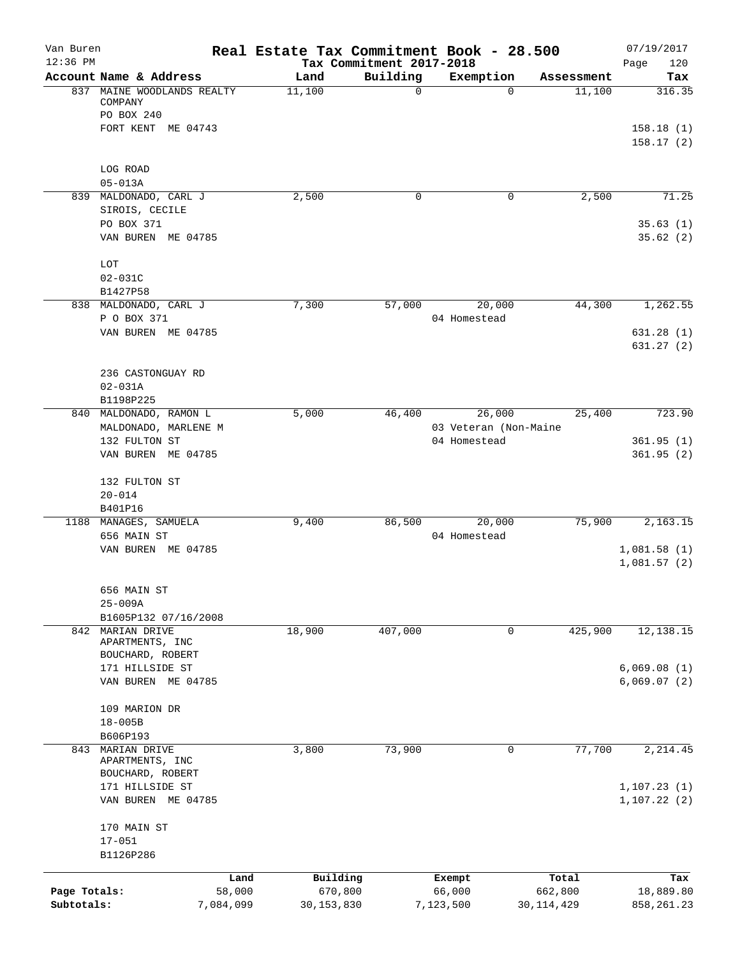| Van Buren<br>$12:36$ PM |                                       |           | Real Estate Tax Commitment Book - 28.500 | Tax Commitment 2017-2018 |                       |              | 07/19/2017<br>120<br>Page  |
|-------------------------|---------------------------------------|-----------|------------------------------------------|--------------------------|-----------------------|--------------|----------------------------|
|                         | Account Name & Address                |           | Land                                     | Building                 | Exemption             | Assessment   | Tax                        |
|                         | 837 MAINE WOODLANDS REALTY<br>COMPANY |           | 11,100                                   | $\mathbf 0$              | $\Omega$              | 11,100       | 316.35                     |
|                         | PO BOX 240                            |           |                                          |                          |                       |              |                            |
|                         | FORT KENT ME 04743                    |           |                                          |                          |                       |              | 158.18(1)<br>158.17(2)     |
|                         | LOG ROAD<br>$05 - 013A$               |           |                                          |                          |                       |              |                            |
|                         | 839 MALDONADO, CARL J                 |           | 2,500                                    | 0                        | 0                     | 2,500        | 71.25                      |
|                         | SIROIS, CECILE<br>PO BOX 371          |           |                                          |                          |                       |              | 35.63(1)                   |
|                         | VAN BUREN ME 04785                    |           |                                          |                          |                       |              | 35.62(2)                   |
|                         | LOT                                   |           |                                          |                          |                       |              |                            |
|                         | $02 - 031C$                           |           |                                          |                          |                       |              |                            |
|                         | B1427P58                              |           |                                          |                          |                       |              |                            |
|                         | 838 MALDONADO, CARL J                 |           | 7,300                                    | 57,000                   | 20,000                | 44,300       | 1,262.55                   |
|                         | P O BOX 371                           |           |                                          |                          | 04 Homestead          |              |                            |
|                         | VAN BUREN ME 04785                    |           |                                          |                          |                       |              | 631.28(1)<br>631.27(2)     |
|                         | 236 CASTONGUAY RD                     |           |                                          |                          |                       |              |                            |
|                         | $02 - 031A$                           |           |                                          |                          |                       |              |                            |
|                         | B1198P225                             |           |                                          |                          |                       |              |                            |
|                         | 840 MALDONADO, RAMON L                |           | 5,000                                    | 46,400                   | 26,000                | 25,400       | 723.90                     |
|                         | MALDONADO, MARLENE M                  |           |                                          |                          | 03 Veteran (Non-Maine |              |                            |
|                         | 132 FULTON ST                         |           |                                          |                          | 04 Homestead          |              | 361.95(1)                  |
|                         | VAN BUREN ME 04785                    |           |                                          |                          |                       |              | 361.95(2)                  |
|                         | 132 FULTON ST                         |           |                                          |                          |                       |              |                            |
|                         | $20 - 014$                            |           |                                          |                          |                       |              |                            |
|                         | B401P16                               |           |                                          |                          |                       |              |                            |
|                         | 1188 MANAGES, SAMUELA                 |           | 9,400                                    | 86,500                   | 20,000                | 75,900       | 2,163.15                   |
|                         | 656 MAIN ST                           |           |                                          |                          | 04 Homestead          |              |                            |
|                         | VAN BUREN ME 04785                    |           |                                          |                          |                       |              | 1,081.58(1)<br>1,081.57(2) |
|                         | 656 MAIN ST                           |           |                                          |                          |                       |              |                            |
|                         | 25-009A                               |           |                                          |                          |                       |              |                            |
|                         | B1605P132 07/16/2008                  |           |                                          |                          |                       |              |                            |
|                         | 842 MARIAN DRIVE<br>APARTMENTS, INC   |           | 18,900                                   | 407,000                  | 0                     | 425,900      | 12,138.15                  |
|                         | BOUCHARD, ROBERT<br>171 HILLSIDE ST   |           |                                          |                          |                       |              | 6,069.08(1)                |
|                         | VAN BUREN ME 04785                    |           |                                          |                          |                       |              | 6,069.07(2)                |
|                         | 109 MARION DR                         |           |                                          |                          |                       |              |                            |
|                         | $18 - 005B$                           |           |                                          |                          |                       |              |                            |
|                         | B606P193                              |           |                                          |                          |                       |              |                            |
| 843                     | MARIAN DRIVE<br>APARTMENTS, INC       |           | 3,800                                    | 73,900                   | 0                     | 77,700       | 2, 214.45                  |
|                         | BOUCHARD, ROBERT<br>171 HILLSIDE ST   |           |                                          |                          |                       |              | 1, 107.23(1)               |
|                         | VAN BUREN ME 04785                    |           |                                          |                          |                       |              | 1, 107.22(2)               |
|                         | 170 MAIN ST                           |           |                                          |                          |                       |              |                            |
|                         | $17 - 051$                            |           |                                          |                          |                       |              |                            |
|                         | B1126P286                             |           |                                          |                          |                       |              |                            |
|                         |                                       | Land      | Building                                 |                          | Exempt                | Total        | Tax                        |
| Page Totals:            |                                       | 58,000    | 670,800                                  |                          | 66,000                | 662,800      | 18,889.80                  |
| Subtotals:              |                                       | 7,084,099 | 30, 153, 830                             |                          | 7,123,500             | 30, 114, 429 | 858, 261.23                |
|                         |                                       |           |                                          |                          |                       |              |                            |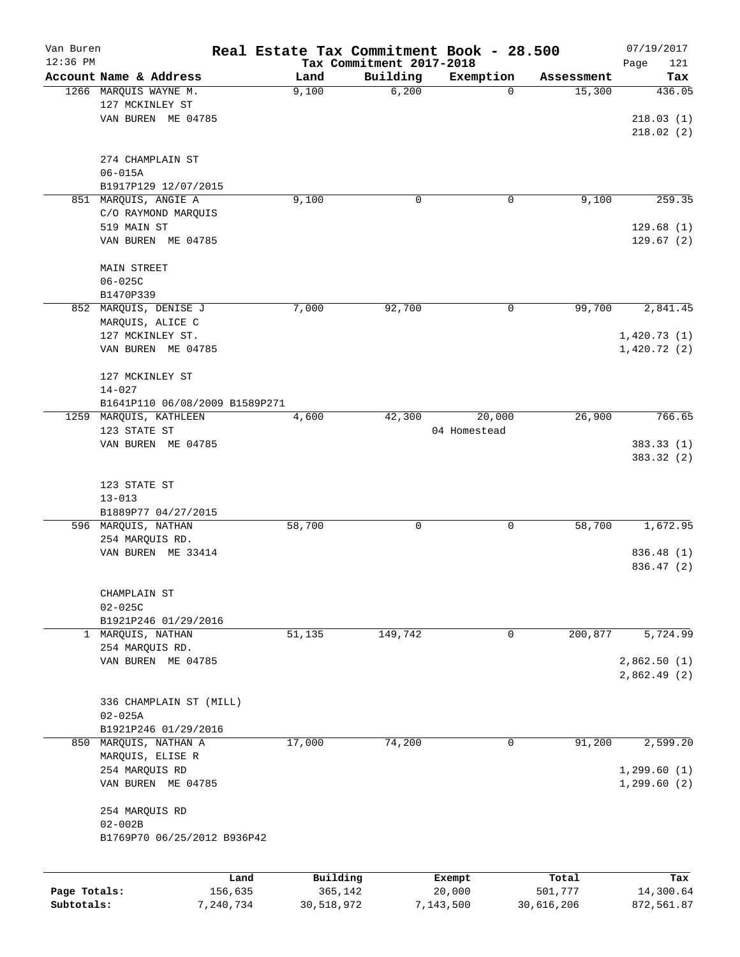| Van Buren    |                                            |           | Real Estate Tax Commitment Book - 28.500 |                                      |                |            | 07/19/2017         |
|--------------|--------------------------------------------|-----------|------------------------------------------|--------------------------------------|----------------|------------|--------------------|
| $12:36$ PM   | Account Name & Address                     |           | Land                                     | Tax Commitment 2017-2018<br>Building |                | Assessment | Page<br>121<br>Tax |
|              | 1266 MARQUIS WAYNE M.                      |           | 9,100                                    | 6,200                                | Exemption<br>0 | 15,300     | 436.05             |
|              | 127 MCKINLEY ST                            |           |                                          |                                      |                |            |                    |
|              | VAN BUREN ME 04785                         |           |                                          |                                      |                |            | 218.03(1)          |
|              |                                            |           |                                          |                                      |                |            | 218.02(2)          |
|              |                                            |           |                                          |                                      |                |            |                    |
|              | 274 CHAMPLAIN ST                           |           |                                          |                                      |                |            |                    |
|              | $06 - 015A$                                |           |                                          |                                      |                |            |                    |
|              | B1917P129 12/07/2015                       |           |                                          |                                      |                |            |                    |
|              | 851 MARQUIS, ANGIE A                       |           | 9,100                                    | 0                                    | 0              | 9,100      | 259.35             |
|              | C/O RAYMOND MARQUIS                        |           |                                          |                                      |                |            |                    |
|              | 519 MAIN ST                                |           |                                          |                                      |                |            | 129.68(1)          |
|              | VAN BUREN ME 04785                         |           |                                          |                                      |                |            | 129.67(2)          |
|              |                                            |           |                                          |                                      |                |            |                    |
|              | <b>MAIN STREET</b><br>$06 - 025C$          |           |                                          |                                      |                |            |                    |
|              | B1470P339                                  |           |                                          |                                      |                |            |                    |
|              | 852 MARQUIS, DENISE J                      |           | 7,000                                    | 92,700                               | 0              | 99,700     | 2,841.45           |
|              | MARQUIS, ALICE C                           |           |                                          |                                      |                |            |                    |
|              | 127 MCKINLEY ST.                           |           |                                          |                                      |                |            | 1,420.73(1)        |
|              | VAN BUREN ME 04785                         |           |                                          |                                      |                |            | 1,420.72(2)        |
|              |                                            |           |                                          |                                      |                |            |                    |
|              | 127 MCKINLEY ST                            |           |                                          |                                      |                |            |                    |
|              | $14 - 027$                                 |           |                                          |                                      |                |            |                    |
|              | B1641P110 06/08/2009 B1589P271             |           |                                          |                                      |                |            |                    |
| 1259         | MARQUIS, KATHLEEN                          |           | 4,600                                    | 42,300                               | 20,000         | 26,900     | 766.65             |
|              | 123 STATE ST                               |           |                                          |                                      | 04 Homestead   |            |                    |
|              | VAN BUREN ME 04785                         |           |                                          |                                      |                |            | 383.33 (1)         |
|              |                                            |           |                                          |                                      |                |            | 383.32 (2)         |
|              |                                            |           |                                          |                                      |                |            |                    |
|              | 123 STATE ST                               |           |                                          |                                      |                |            |                    |
|              | $13 - 013$                                 |           |                                          |                                      |                |            |                    |
|              | B1889P77 04/27/2015<br>596 MARQUIS, NATHAN |           | 58,700                                   | 0                                    | 0              | 58,700     | 1,672.95           |
|              | 254 MARQUIS RD.                            |           |                                          |                                      |                |            |                    |
|              | VAN BUREN ME 33414                         |           |                                          |                                      |                |            | 836.48 (1)         |
|              |                                            |           |                                          |                                      |                |            | 836.47 (2)         |
|              |                                            |           |                                          |                                      |                |            |                    |
|              | CHAMPLAIN ST                               |           |                                          |                                      |                |            |                    |
|              | $02 - 025C$                                |           |                                          |                                      |                |            |                    |
|              | B1921P246 01/29/2016                       |           |                                          |                                      |                |            |                    |
| $\mathbf{1}$ | MARQUIS, NATHAN                            |           | 51,135                                   | 149,742                              | 0              | 200,877    | 5,724.99           |
|              | 254 MARQUIS RD.                            |           |                                          |                                      |                |            |                    |
|              | VAN BUREN ME 04785                         |           |                                          |                                      |                |            | 2,862.50 (1)       |
|              |                                            |           |                                          |                                      |                |            | 2,862.49(2)        |
|              |                                            |           |                                          |                                      |                |            |                    |
|              | 336 CHAMPLAIN ST (MILL)                    |           |                                          |                                      |                |            |                    |
|              | $02 - 025A$                                |           |                                          |                                      |                |            |                    |
|              | B1921P246 01/29/2016                       |           |                                          |                                      |                |            |                    |
| 850          | MARQUIS, NATHAN A                          |           | 17,000                                   | 74,200                               | 0              | 91,200     | 2,599.20           |
|              | MARQUIS, ELISE R                           |           |                                          |                                      |                |            |                    |
|              | 254 MARQUIS RD                             |           |                                          |                                      |                |            | 1, 299.60(1)       |
|              | VAN BUREN ME 04785                         |           |                                          |                                      |                |            | 1, 299.60(2)       |
|              | 254 MARQUIS RD                             |           |                                          |                                      |                |            |                    |
|              | $02 - 002B$                                |           |                                          |                                      |                |            |                    |
|              | B1769P70 06/25/2012 B936P42                |           |                                          |                                      |                |            |                    |
|              |                                            |           |                                          |                                      |                |            |                    |
|              |                                            | Land      | Building                                 |                                      | Exempt         | Total      | Tax                |
| Page Totals: |                                            | 156,635   | 365,142                                  |                                      | 20,000         | 501,777    | 14,300.64          |
| Subtotals:   |                                            | 7,240,734 | 30,518,972                               |                                      | 7,143,500      | 30,616,206 | 872,561.87         |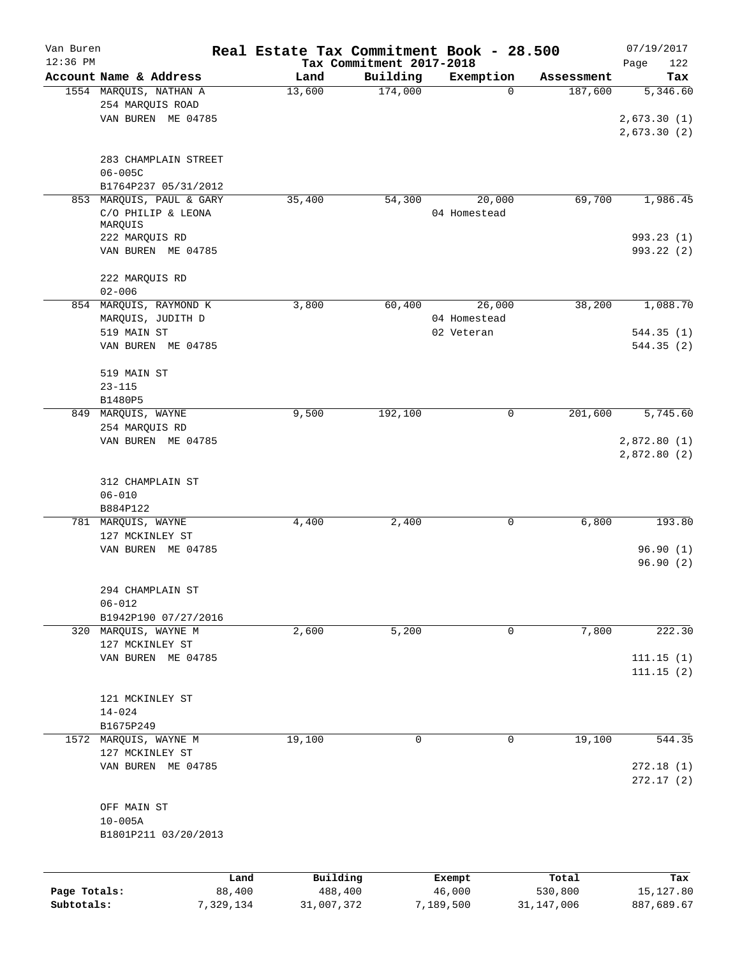| Van Buren    |                                    |           | Real Estate Tax Commitment Book - 28.500 |                                      |              |              | 07/19/2017         |
|--------------|------------------------------------|-----------|------------------------------------------|--------------------------------------|--------------|--------------|--------------------|
| $12:36$ PM   | Account Name & Address             |           | Land                                     | Tax Commitment 2017-2018<br>Building | Exemption    | Assessment   | Page<br>122<br>Tax |
|              | 1554 MARQUIS, NATHAN A             |           | 13,600                                   | 174,000                              | $\mathbf 0$  | 187,600      | 5,346.60           |
|              | 254 MARQUIS ROAD                   |           |                                          |                                      |              |              |                    |
|              | VAN BUREN ME 04785                 |           |                                          |                                      |              |              | 2,673.30(1)        |
|              |                                    |           |                                          |                                      |              |              | 2,673.30(2)        |
|              |                                    |           |                                          |                                      |              |              |                    |
|              | 283 CHAMPLAIN STREET               |           |                                          |                                      |              |              |                    |
|              | $06 - 005C$                        |           |                                          |                                      |              |              |                    |
|              | B1764P237 05/31/2012               |           |                                          |                                      |              |              |                    |
| 853          | MARQUIS, PAUL & GARY               |           | 35,400                                   | 54,300                               | 20,000       | 69,700       | 1,986.45           |
|              | C/O PHILIP & LEONA<br>MARQUIS      |           |                                          |                                      | 04 Homestead |              |                    |
|              | 222 MARQUIS RD                     |           |                                          |                                      |              |              | 993.23(1)          |
|              | VAN BUREN ME 04785                 |           |                                          |                                      |              |              | 993.22(2)          |
|              |                                    |           |                                          |                                      |              |              |                    |
|              | 222 MARQUIS RD                     |           |                                          |                                      |              |              |                    |
|              | $02 - 006$                         |           |                                          |                                      |              |              |                    |
|              | 854 MARQUIS, RAYMOND K             |           | 3,800                                    | 60,400                               | 26,000       | 38,200       | 1,088.70           |
|              | MARQUIS, JUDITH D                  |           |                                          |                                      | 04 Homestead |              |                    |
|              | 519 MAIN ST                        |           |                                          |                                      | 02 Veteran   |              | 544.35(1)          |
|              | VAN BUREN ME 04785                 |           |                                          |                                      |              |              | 544.35(2)          |
|              | 519 MAIN ST                        |           |                                          |                                      |              |              |                    |
|              | $23 - 115$                         |           |                                          |                                      |              |              |                    |
|              | B1480P5                            |           |                                          |                                      |              |              |                    |
|              | 849 MARQUIS, WAYNE                 |           | 9,500                                    | 192,100                              | $\mathbf 0$  | 201,600      | 5,745.60           |
|              | 254 MARQUIS RD                     |           |                                          |                                      |              |              |                    |
|              | VAN BUREN ME 04785                 |           |                                          |                                      |              |              | 2,872.80(1)        |
|              |                                    |           |                                          |                                      |              |              | 2,872.80 (2)       |
|              |                                    |           |                                          |                                      |              |              |                    |
|              | 312 CHAMPLAIN ST                   |           |                                          |                                      |              |              |                    |
|              | $06 - 010$                         |           |                                          |                                      |              |              |                    |
|              | B884P122                           |           |                                          |                                      |              |              |                    |
|              | 781 MARQUIS, WAYNE                 |           | 4,400                                    | 2,400                                | 0            | 6,800        | 193.80             |
|              | 127 MCKINLEY ST                    |           |                                          |                                      |              |              |                    |
|              | VAN BUREN ME 04785                 |           |                                          |                                      |              |              | 96.90(1)           |
|              |                                    |           |                                          |                                      |              |              | 96.90(2)           |
|              |                                    |           |                                          |                                      |              |              |                    |
|              | 294 CHAMPLAIN ST                   |           |                                          |                                      |              |              |                    |
|              | $06 - 012$<br>B1942P190 07/27/2016 |           |                                          |                                      |              |              |                    |
|              | 320 MARQUIS, WAYNE M               |           | 2,600                                    | 5,200                                | 0            | 7,800        | 222.30             |
|              | 127 MCKINLEY ST                    |           |                                          |                                      |              |              |                    |
|              | VAN BUREN ME 04785                 |           |                                          |                                      |              |              | 111.15(1)          |
|              |                                    |           |                                          |                                      |              |              | 111.15(2)          |
|              |                                    |           |                                          |                                      |              |              |                    |
|              | 121 MCKINLEY ST                    |           |                                          |                                      |              |              |                    |
|              | $14 - 024$                         |           |                                          |                                      |              |              |                    |
|              | B1675P249                          |           |                                          |                                      |              |              |                    |
|              | 1572 MARQUIS, WAYNE M              |           | 19,100                                   | 0                                    | 0            | 19,100       | 544.35             |
|              | 127 MCKINLEY ST                    |           |                                          |                                      |              |              |                    |
|              | VAN BUREN ME 04785                 |           |                                          |                                      |              |              | 272.18(1)          |
|              |                                    |           |                                          |                                      |              |              | 272.17(2)          |
|              |                                    |           |                                          |                                      |              |              |                    |
|              | OFF MAIN ST                        |           |                                          |                                      |              |              |                    |
|              | $10 - 005A$                        |           |                                          |                                      |              |              |                    |
|              | B1801P211 03/20/2013               |           |                                          |                                      |              |              |                    |
|              |                                    |           |                                          |                                      |              |              |                    |
|              |                                    | Land      | Building                                 |                                      | Exempt       | Total        | Tax                |
| Page Totals: |                                    | 88,400    | 488,400                                  |                                      | 46,000       | 530,800      | 15,127.80          |
| Subtotals:   |                                    | 7,329,134 | 31,007,372                               |                                      | 7,189,500    | 31, 147, 006 | 887,689.67         |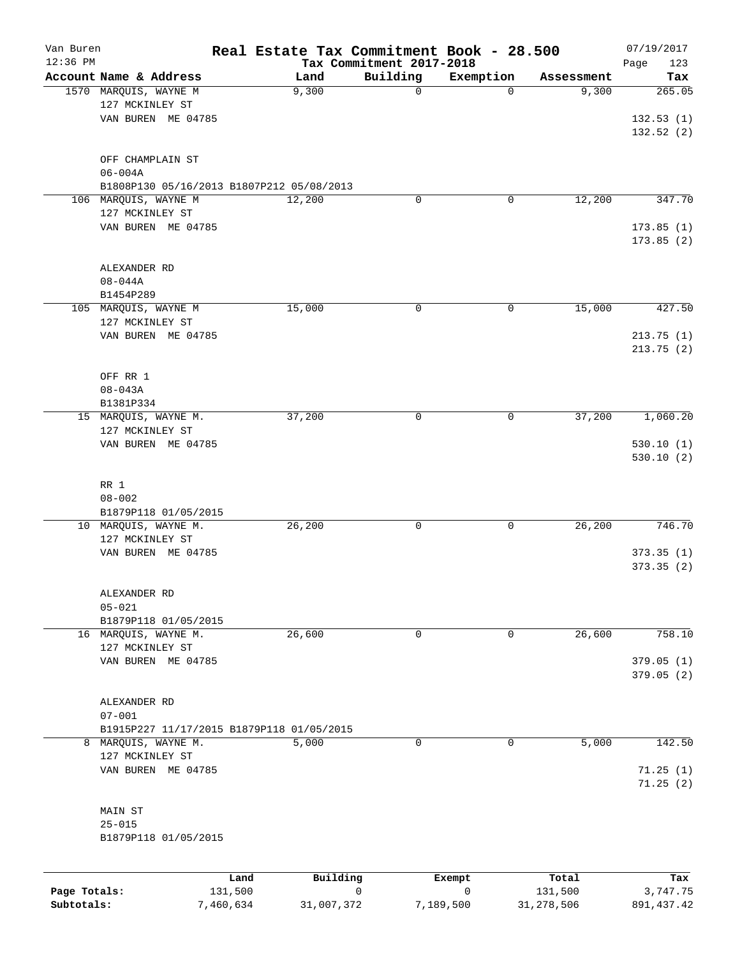| Van Buren<br>$12:36$ PM |                                           | Real Estate Tax Commitment Book - 28.500 |                                      |           |            | 07/19/2017           |
|-------------------------|-------------------------------------------|------------------------------------------|--------------------------------------|-----------|------------|----------------------|
|                         | Account Name & Address                    | Land                                     | Tax Commitment 2017-2018<br>Building | Exemption | Assessment | Page<br>123<br>Tax   |
|                         | 1570 MARQUIS, WAYNE M                     | 9,300                                    | 0                                    | $\Omega$  | 9,300      | 265.05               |
|                         | 127 MCKINLEY ST                           |                                          |                                      |           |            |                      |
|                         | VAN BUREN ME 04785                        |                                          |                                      |           |            | 132.53(1)            |
|                         |                                           |                                          |                                      |           |            | 132.52(2)            |
|                         | OFF CHAMPLAIN ST<br>$06 - 004A$           |                                          |                                      |           |            |                      |
|                         | B1808P130 05/16/2013 B1807P212 05/08/2013 |                                          |                                      |           |            |                      |
|                         | 106 MARQUIS, WAYNE M                      | 12,200                                   | 0                                    | 0         | 12,200     | 347.70               |
|                         | 127 MCKINLEY ST                           |                                          |                                      |           |            |                      |
|                         | VAN BUREN ME 04785                        |                                          |                                      |           |            | 173.85(1)            |
|                         |                                           |                                          |                                      |           |            | 173.85(2)            |
|                         | ALEXANDER RD                              |                                          |                                      |           |            |                      |
|                         | $08 - 044A$                               |                                          |                                      |           |            |                      |
|                         | B1454P289                                 |                                          |                                      |           |            |                      |
|                         | 105 MARQUIS, WAYNE M                      | 15,000                                   | 0                                    | 0         | 15,000     | 427.50               |
|                         | 127 MCKINLEY ST                           |                                          |                                      |           |            |                      |
|                         | VAN BUREN ME 04785                        |                                          |                                      |           |            | 213.75(1)            |
|                         |                                           |                                          |                                      |           |            | 213.75(2)            |
|                         |                                           |                                          |                                      |           |            |                      |
|                         | OFF RR 1                                  |                                          |                                      |           |            |                      |
|                         | $08 - 043A$                               |                                          |                                      |           |            |                      |
|                         | B1381P334<br>15 MARQUIS, WAYNE M.         | 37,200                                   | 0                                    | 0         | 37,200     | 1,060.20             |
|                         | 127 MCKINLEY ST                           |                                          |                                      |           |            |                      |
|                         | VAN BUREN ME 04785                        |                                          |                                      |           |            | 530.10(1)            |
|                         |                                           |                                          |                                      |           |            | 530.10(2)            |
|                         |                                           |                                          |                                      |           |            |                      |
|                         | RR 1                                      |                                          |                                      |           |            |                      |
|                         | $08 - 002$<br>B1879P118 01/05/2015        |                                          |                                      |           |            |                      |
|                         | 10 MARQUIS, WAYNE M.                      | 26,200                                   | 0                                    | 0         | 26,200     | 746.70               |
|                         | 127 MCKINLEY ST                           |                                          |                                      |           |            |                      |
|                         | VAN BUREN ME 04785                        |                                          |                                      |           |            | 373.35(1)            |
|                         |                                           |                                          |                                      |           |            | 373.35(2)            |
|                         |                                           |                                          |                                      |           |            |                      |
|                         | ALEXANDER RD<br>$05 - 021$                |                                          |                                      |           |            |                      |
|                         | B1879P118 01/05/2015                      |                                          |                                      |           |            |                      |
|                         | 16 MARQUIS, WAYNE M.                      | 26,600                                   | 0                                    | 0         | 26,600     | 758.10               |
|                         | 127 MCKINLEY ST                           |                                          |                                      |           |            |                      |
|                         | VAN BUREN ME 04785                        |                                          |                                      |           |            | 379.05(1)            |
|                         |                                           |                                          |                                      |           |            | 379.05 (2)           |
|                         | ALEXANDER RD                              |                                          |                                      |           |            |                      |
|                         | $07 - 001$                                |                                          |                                      |           |            |                      |
|                         | B1915P227 11/17/2015 B1879P118 01/05/2015 |                                          |                                      |           |            |                      |
| 8                       | MARQUIS, WAYNE M.                         | 5,000                                    | 0                                    | 0         | 5,000      | 142.50               |
|                         | 127 MCKINLEY ST                           |                                          |                                      |           |            |                      |
|                         | VAN BUREN ME 04785                        |                                          |                                      |           |            | 71.25(1)<br>71.25(2) |
|                         | MAIN ST                                   |                                          |                                      |           |            |                      |
|                         | $25 - 015$                                |                                          |                                      |           |            |                      |
|                         | B1879P118 01/05/2015                      |                                          |                                      |           |            |                      |
|                         |                                           |                                          |                                      |           |            |                      |
|                         |                                           | Building<br>Land                         |                                      | Exempt    | Total      | Tax                  |
| Page Totals:            | 131,500                                   |                                          | 0                                    | 0         | 131,500    | 3,747.75             |

**Subtotals:** 7,460,634 31,007,372 7,189,500 31,278,506 891,437.42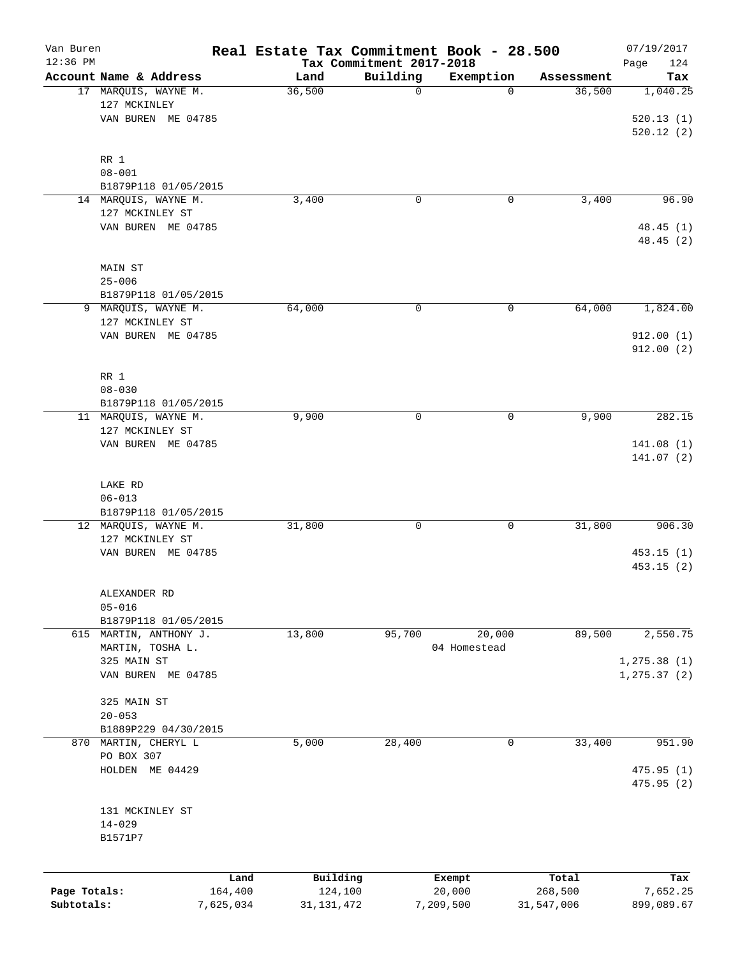| Van Buren<br>$12:36$ PM |                                              |           | Real Estate Tax Commitment Book - 28.500 | Tax Commitment 2017-2018 |              |            | 07/19/2017<br>Page<br>124 |
|-------------------------|----------------------------------------------|-----------|------------------------------------------|--------------------------|--------------|------------|---------------------------|
|                         | Account Name & Address                       |           | Land                                     | Building                 | Exemption    | Assessment | Tax                       |
|                         | 17 MARQUIS, WAYNE M.<br>127 MCKINLEY         |           | 36,500                                   | $\mathbf 0$              | 0            | 36,500     | 1,040.25                  |
|                         | VAN BUREN ME 04785                           |           |                                          |                          |              |            | 520.13(1)<br>520.12(2)    |
|                         | RR 1<br>$08 - 001$                           |           |                                          |                          |              |            |                           |
|                         | B1879P118 01/05/2015                         |           |                                          |                          |              |            |                           |
|                         | 14 MARQUIS, WAYNE M.                         |           | 3,400                                    | 0                        | 0            | 3,400      | 96.90                     |
|                         | 127 MCKINLEY ST<br>VAN BUREN ME 04785        |           |                                          |                          |              |            | 48.45(1)<br>48.45 (2)     |
|                         | MAIN ST<br>$25 - 006$                        |           |                                          |                          |              |            |                           |
|                         | B1879P118 01/05/2015                         |           |                                          |                          |              |            |                           |
| 9                       | MARQUIS, WAYNE M.<br>127 MCKINLEY ST         |           | 64,000                                   | 0                        | 0            | 64,000     | 1,824.00                  |
|                         | VAN BUREN ME 04785                           |           |                                          |                          |              |            | 912.00(1)<br>912.00(2)    |
|                         | RR 1                                         |           |                                          |                          |              |            |                           |
|                         | $08 - 030$                                   |           |                                          |                          |              |            |                           |
|                         | B1879P118 01/05/2015                         |           |                                          |                          |              |            |                           |
|                         | 11 MARQUIS, WAYNE M.<br>127 MCKINLEY ST      |           | 9,900                                    | 0                        | 0            | 9,900      | 282.15                    |
|                         | VAN BUREN ME 04785                           |           |                                          |                          |              |            | 141.08(1)<br>141.07(2)    |
|                         | LAKE RD                                      |           |                                          |                          |              |            |                           |
|                         | $06 - 013$                                   |           |                                          |                          |              |            |                           |
|                         | B1879P118 01/05/2015<br>12 MARQUIS, WAYNE M. |           | 31,800                                   | 0                        | 0            | 31,800     | 906.30                    |
|                         | 127 MCKINLEY ST                              |           |                                          |                          |              |            |                           |
|                         | VAN BUREN ME 04785                           |           |                                          |                          |              |            | 453.15(1)<br>453.15(2)    |
|                         | ALEXANDER RD                                 |           |                                          |                          |              |            |                           |
|                         | $05 - 016$<br>B1879P118 01/05/2015           |           |                                          |                          |              |            |                           |
|                         | 615 MARTIN, ANTHONY J.                       |           | 13,800                                   | 95,700                   | 20,000       | 89,500     | 2,550.75                  |
|                         | MARTIN, TOSHA L.<br>325 MAIN ST              |           |                                          |                          | 04 Homestead |            | 1, 275.38(1)              |
|                         | VAN BUREN ME 04785                           |           |                                          |                          |              |            | 1, 275.37(2)              |
|                         | 325 MAIN ST<br>$20 - 053$                    |           |                                          |                          |              |            |                           |
|                         | B1889P229 04/30/2015                         |           |                                          |                          |              |            |                           |
|                         | 870 MARTIN, CHERYL L<br>PO BOX 307           |           | 5,000                                    | 28,400                   | 0            | 33,400     | 951.90                    |
|                         | HOLDEN ME 04429                              |           |                                          |                          |              |            | 475.95(1)<br>475.95(2)    |
|                         | 131 MCKINLEY ST<br>$14 - 029$                |           |                                          |                          |              |            |                           |
|                         | B1571P7                                      |           |                                          |                          |              |            |                           |
|                         |                                              | Land      | Building                                 |                          | Exempt       | Total      | Tax                       |
| Page Totals:            |                                              | 164,400   | 124,100                                  |                          | 20,000       | 268,500    | 7,652.25                  |
| Subtotals:              |                                              | 7,625,034 | 31, 131, 472                             |                          | 7,209,500    | 31,547,006 | 899,089.67                |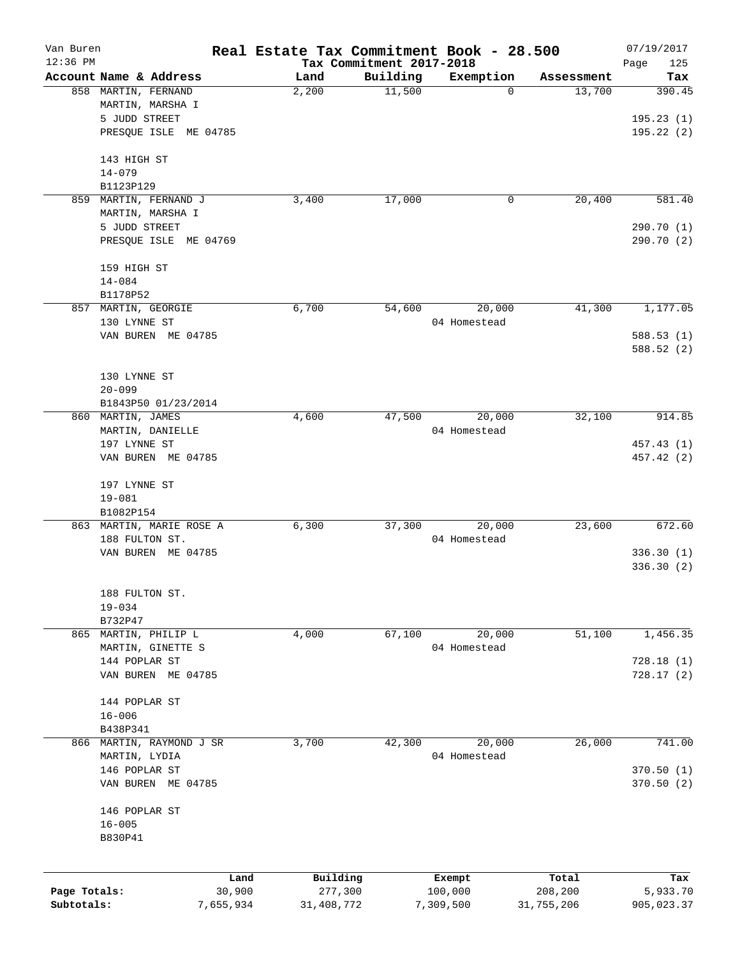| Van Buren    |                          |                | Real Estate Tax Commitment Book - 28.500 |                                      |                   |                  | 07/19/2017         |
|--------------|--------------------------|----------------|------------------------------------------|--------------------------------------|-------------------|------------------|--------------------|
| $12:36$ PM   | Account Name & Address   |                | Land                                     | Tax Commitment 2017-2018<br>Building | Exemption         | Assessment       | Page<br>125<br>Tax |
|              | 858 MARTIN, FERNAND      |                | 2,200                                    | 11,500                               | $\mathbf 0$       | 13,700           | 390.45             |
|              | MARTIN, MARSHA I         |                |                                          |                                      |                   |                  |                    |
|              | 5 JUDD STREET            |                |                                          |                                      |                   |                  | 195.23(1)          |
|              | PRESQUE ISLE ME 04785    |                |                                          |                                      |                   |                  | 195.22 (2)         |
|              | 143 HIGH ST              |                |                                          |                                      |                   |                  |                    |
|              | $14 - 079$               |                |                                          |                                      |                   |                  |                    |
|              | B1123P129                |                |                                          |                                      |                   |                  |                    |
| 859          | MARTIN, FERNAND J        |                | 3,400                                    | 17,000                               | 0                 | 20,400           | 581.40             |
|              | MARTIN, MARSHA I         |                |                                          |                                      |                   |                  |                    |
|              | 5 JUDD STREET            |                |                                          |                                      |                   |                  | 290.70 (1)         |
|              | PRESQUE ISLE ME 04769    |                |                                          |                                      |                   |                  | 290.70 (2)         |
|              | 159 HIGH ST              |                |                                          |                                      |                   |                  |                    |
|              | $14 - 084$               |                |                                          |                                      |                   |                  |                    |
|              | B1178P52                 |                |                                          |                                      |                   |                  |                    |
|              | 857 MARTIN, GEORGIE      |                | 6,700                                    | 54,600                               | 20,000            | 41,300           | 1,177.05           |
|              | 130 LYNNE ST             |                |                                          |                                      | 04 Homestead      |                  |                    |
|              | VAN BUREN ME 04785       |                |                                          |                                      |                   |                  | 588.53(1)          |
|              |                          |                |                                          |                                      |                   |                  | 588.52 (2)         |
|              | 130 LYNNE ST             |                |                                          |                                      |                   |                  |                    |
|              | $20 - 099$               |                |                                          |                                      |                   |                  |                    |
|              | B1843P50 01/23/2014      |                |                                          |                                      |                   |                  |                    |
|              | 860 MARTIN, JAMES        |                | 4,600                                    | 47,500                               | 20,000            | 32,100           | 914.85             |
|              | MARTIN, DANIELLE         |                |                                          |                                      | 04 Homestead      |                  |                    |
|              | 197 LYNNE ST             |                |                                          |                                      |                   |                  | 457.43 (1)         |
|              | VAN BUREN ME 04785       |                |                                          |                                      |                   |                  | 457.42 (2)         |
|              |                          |                |                                          |                                      |                   |                  |                    |
|              | 197 LYNNE ST             |                |                                          |                                      |                   |                  |                    |
|              | $19 - 081$               |                |                                          |                                      |                   |                  |                    |
|              | B1082P154                |                |                                          |                                      |                   |                  |                    |
|              | 863 MARTIN, MARIE ROSE A |                | 6,300                                    | 37,300                               | 20,000            | 23,600           | 672.60             |
|              | 188 FULTON ST.           |                |                                          |                                      | 04 Homestead      |                  |                    |
|              | VAN BUREN ME 04785       |                |                                          |                                      |                   |                  | 336.30(1)          |
|              |                          |                |                                          |                                      |                   |                  | 336.30(2)          |
|              | 188 FULTON ST.           |                |                                          |                                      |                   |                  |                    |
|              | $19 - 034$               |                |                                          |                                      |                   |                  |                    |
|              | B732P47                  |                |                                          |                                      |                   |                  |                    |
|              | 865 MARTIN, PHILIP L     |                | 4,000                                    | 67,100                               | 20,000            | 51,100           | 1,456.35           |
|              | MARTIN, GINETTE S        |                |                                          |                                      | 04 Homestead      |                  |                    |
|              | 144 POPLAR ST            |                |                                          |                                      |                   |                  | 728.18(1)          |
|              | VAN BUREN ME 04785       |                |                                          |                                      |                   |                  | 728.17(2)          |
|              | 144 POPLAR ST            |                |                                          |                                      |                   |                  |                    |
|              | $16 - 006$               |                |                                          |                                      |                   |                  |                    |
|              | B438P341                 |                |                                          |                                      |                   |                  |                    |
| 866          | MARTIN, RAYMOND J SR     |                | 3,700                                    | 42,300                               | 20,000            | 26,000           | 741.00             |
|              | MARTIN, LYDIA            |                |                                          |                                      | 04 Homestead      |                  |                    |
|              | 146 POPLAR ST            |                |                                          |                                      |                   |                  | 370.50 (1)         |
|              | VAN BUREN ME 04785       |                |                                          |                                      |                   |                  | 370.50(2)          |
|              | 146 POPLAR ST            |                |                                          |                                      |                   |                  |                    |
|              | $16 - 005$               |                |                                          |                                      |                   |                  |                    |
|              | B830P41                  |                |                                          |                                      |                   |                  |                    |
|              |                          |                |                                          |                                      |                   |                  |                    |
| Page Totals: |                          | Land<br>30,900 | Building<br>277,300                      |                                      | Exempt<br>100,000 | Total<br>208,200 | Tax<br>5,933.70    |
| Subtotals:   |                          | 7,655,934      | 31,408,772                               |                                      | 7,309,500         | 31,755,206       | 905,023.37         |
|              |                          |                |                                          |                                      |                   |                  |                    |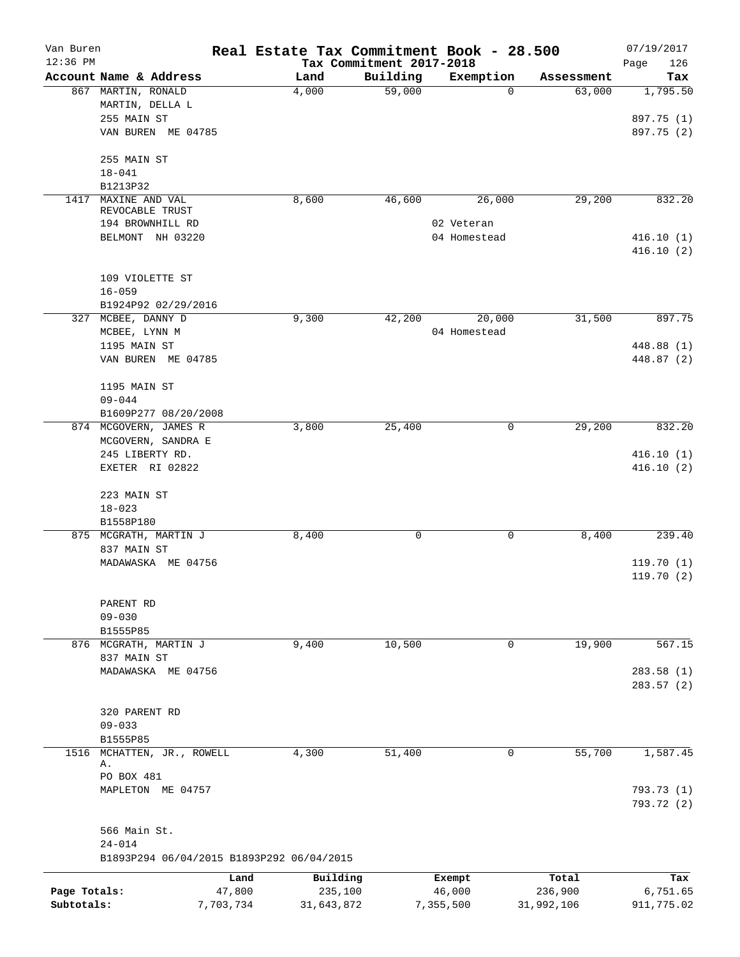| Van Buren<br>$12:36$ PM |                                                         |           | Real Estate Tax Commitment Book - 28.500 |                                      |                            |            | 07/19/2017             |
|-------------------------|---------------------------------------------------------|-----------|------------------------------------------|--------------------------------------|----------------------------|------------|------------------------|
|                         | Account Name & Address                                  |           | Land                                     | Tax Commitment 2017-2018<br>Building | Exemption                  | Assessment | Page<br>126<br>Tax     |
|                         | 867 MARTIN, RONALD                                      |           | 4,000                                    | 59,000                               | 0                          | 63,000     | 1,795.50               |
|                         | MARTIN, DELLA L                                         |           |                                          |                                      |                            |            |                        |
|                         | 255 MAIN ST                                             |           |                                          |                                      |                            |            | 897.75 (1)             |
|                         | VAN BUREN ME 04785                                      |           |                                          |                                      |                            |            | 897.75 (2)             |
|                         | 255 MAIN ST                                             |           |                                          |                                      |                            |            |                        |
|                         | $18 - 041$                                              |           |                                          |                                      |                            |            |                        |
|                         | B1213P32                                                |           |                                          |                                      |                            |            |                        |
| 1417                    | MAXINE AND VAL                                          |           | 8,600                                    | 46,600                               | 26,000                     | 29,200     | 832.20                 |
|                         | REVOCABLE TRUST                                         |           |                                          |                                      |                            |            |                        |
|                         | 194 BROWNHILL RD                                        |           |                                          |                                      | 02 Veteran<br>04 Homestead |            |                        |
|                         | BELMONT NH 03220                                        |           |                                          |                                      |                            |            | 416.10(1)<br>416.10(2) |
|                         | 109 VIOLETTE ST                                         |           |                                          |                                      |                            |            |                        |
|                         | $16 - 059$                                              |           |                                          |                                      |                            |            |                        |
|                         | B1924P92 02/29/2016                                     |           |                                          |                                      |                            |            |                        |
|                         | 327 MCBEE, DANNY D                                      |           | 9,300                                    | 42,200                               | 20,000                     | 31,500     | 897.75                 |
|                         | MCBEE, LYNN M                                           |           |                                          |                                      | 04 Homestead               |            |                        |
|                         | 1195 MAIN ST                                            |           |                                          |                                      |                            |            | 448.88 (1)             |
|                         | VAN BUREN ME 04785                                      |           |                                          |                                      |                            |            | 448.87 (2)             |
|                         | 1195 MAIN ST                                            |           |                                          |                                      |                            |            |                        |
|                         | $09 - 044$                                              |           |                                          |                                      |                            |            |                        |
|                         | B1609P277 08/20/2008<br>874 MCGOVERN, JAMES R           |           | 3,800                                    | 25,400                               | 0                          | 29,200     | 832.20                 |
|                         | MCGOVERN, SANDRA E                                      |           |                                          |                                      |                            |            |                        |
|                         | 245 LIBERTY RD.                                         |           |                                          |                                      |                            |            | 416.10(1)              |
|                         | EXETER RI 02822                                         |           |                                          |                                      |                            |            | 416.10(2)              |
|                         | 223 MAIN ST                                             |           |                                          |                                      |                            |            |                        |
|                         | $18 - 023$                                              |           |                                          |                                      |                            |            |                        |
|                         | B1558P180                                               |           |                                          |                                      |                            |            |                        |
|                         | 875 MCGRATH, MARTIN J                                   |           | 8,400                                    | 0                                    | 0                          | 8,400      | 239.40                 |
|                         | 837 MAIN ST                                             |           |                                          |                                      |                            |            |                        |
|                         | MADAWASKA ME 04756                                      |           |                                          |                                      |                            |            | 119.70(1)              |
|                         |                                                         |           |                                          |                                      |                            |            | 119.70(2)              |
|                         | PARENT RD                                               |           |                                          |                                      |                            |            |                        |
|                         | $09 - 030$                                              |           |                                          |                                      |                            |            |                        |
|                         | B1555P85                                                |           |                                          |                                      |                            |            |                        |
|                         | 876 MCGRATH, MARTIN J                                   |           | 9,400                                    | 10,500                               | 0                          | 19,900     | 567.15                 |
|                         | 837 MAIN ST                                             |           |                                          |                                      |                            |            |                        |
|                         | MADAWASKA ME 04756                                      |           |                                          |                                      |                            |            | 283.58(1)              |
|                         |                                                         |           |                                          |                                      |                            |            | 283.57(2)              |
|                         |                                                         |           |                                          |                                      |                            |            |                        |
|                         | 320 PARENT RD                                           |           |                                          |                                      |                            |            |                        |
|                         | $09 - 033$                                              |           |                                          |                                      |                            |            |                        |
|                         | B1555P85                                                |           |                                          |                                      |                            |            |                        |
|                         | 1516 MCHATTEN, JR., ROWELL<br>Α.                        |           | 4,300                                    | 51,400                               | $\mathbf{0}$               | 55,700     | 1,587.45               |
|                         | PO BOX 481                                              |           |                                          |                                      |                            |            |                        |
|                         | MAPLETON ME 04757                                       |           |                                          |                                      |                            |            | 793.73 (1)             |
|                         |                                                         |           |                                          |                                      |                            |            | 793.72 (2)             |
|                         | 566 Main St.                                            |           |                                          |                                      |                            |            |                        |
|                         | $24 - 014$<br>B1893P294 06/04/2015 B1893P292 06/04/2015 |           |                                          |                                      |                            |            |                        |
|                         |                                                         | Land      | Building                                 |                                      | Exempt                     | Total      | Tax                    |
| Page Totals:            |                                                         | 47,800    | 235,100                                  |                                      | 46,000                     | 236,900    | 6,751.65               |
| Subtotals:              |                                                         | 7,703,734 | 31,643,872                               |                                      | 7,355,500                  | 31,992,106 | 911,775.02             |
|                         |                                                         |           |                                          |                                      |                            |            |                        |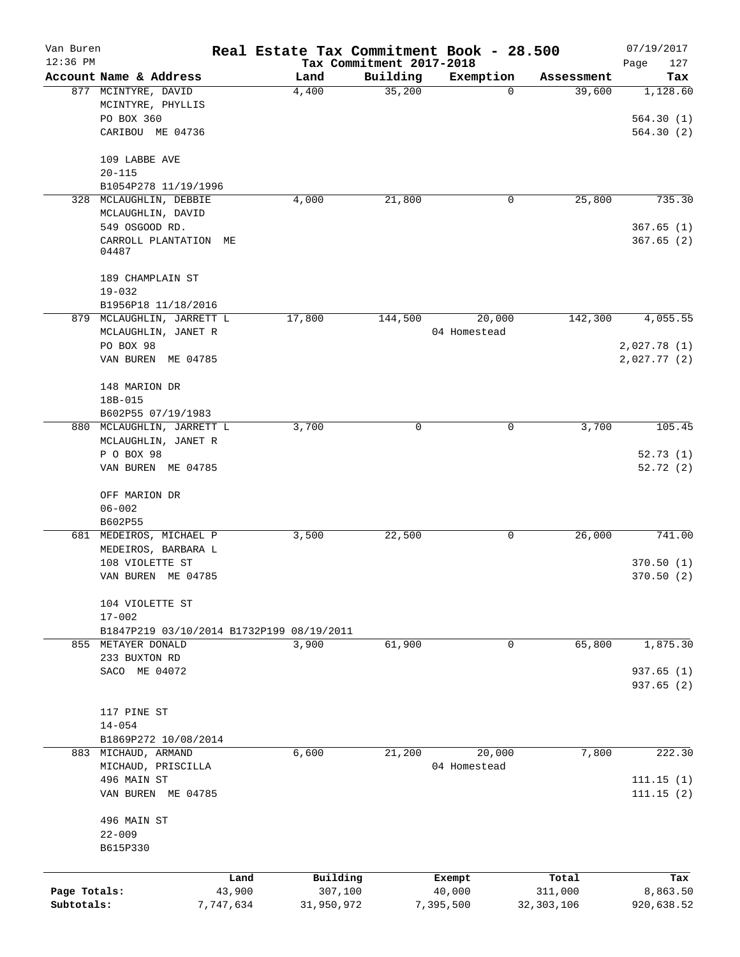| Van Buren    |                                             |           |            |                                      | Real Estate Tax Commitment Book - 28.500 |            | 07/19/2017         |
|--------------|---------------------------------------------|-----------|------------|--------------------------------------|------------------------------------------|------------|--------------------|
| $12:36$ PM   | Account Name & Address                      |           | Land       | Tax Commitment 2017-2018<br>Building | Exemption                                | Assessment | Page<br>127<br>Tax |
|              | 877 MCINTYRE, DAVID                         |           | 4,400      | 35,200                               | 0                                        | 39,600     | 1,128.60           |
|              | MCINTYRE, PHYLLIS                           |           |            |                                      |                                          |            |                    |
|              | PO BOX 360                                  |           |            |                                      |                                          |            | 564.30(1)          |
|              | CARIBOU ME 04736                            |           |            |                                      |                                          |            | 564.30(2)          |
|              | 109 LABBE AVE                               |           |            |                                      |                                          |            |                    |
|              | $20 - 115$                                  |           |            |                                      |                                          |            |                    |
|              | B1054P278 11/19/1996                        |           |            |                                      |                                          |            |                    |
| 328          | MCLAUGHLIN, DEBBIE                          |           | 4,000      | 21,800                               | 0                                        | 25,800     | 735.30             |
|              | MCLAUGHLIN, DAVID                           |           |            |                                      |                                          |            |                    |
|              | 549 OSGOOD RD.                              |           |            |                                      |                                          |            | 367.65(1)          |
|              | CARROLL PLANTATION<br>04487                 | МE        |            |                                      |                                          |            | 367.65(2)          |
|              | 189 CHAMPLAIN ST                            |           |            |                                      |                                          |            |                    |
|              | $19 - 032$                                  |           |            |                                      |                                          |            |                    |
|              | B1956P18 11/18/2016                         |           |            |                                      |                                          |            |                    |
|              | 879 MCLAUGHLIN, JARRETT L                   |           | 17,800     | 144,500                              | 20,000                                   | 142,300    | 4,055.55           |
|              | MCLAUGHLIN, JANET R                         |           |            |                                      | 04 Homestead                             |            |                    |
|              | PO BOX 98                                   |           |            |                                      |                                          |            | 2,027.78 (1)       |
|              | VAN BUREN ME 04785                          |           |            |                                      |                                          |            | 2,027.77(2)        |
|              | 148 MARION DR                               |           |            |                                      |                                          |            |                    |
|              | 18B-015                                     |           |            |                                      |                                          |            |                    |
|              | B602P55 07/19/1983                          |           |            |                                      |                                          |            |                    |
|              | 880 MCLAUGHLIN, JARRETT L                   |           | 3,700      | 0                                    | 0                                        | 3,700      | 105.45             |
|              | MCLAUGHLIN, JANET R                         |           |            |                                      |                                          |            |                    |
|              | P O BOX 98                                  |           |            |                                      |                                          |            | 52.73(1)           |
|              | VAN BUREN ME 04785                          |           |            |                                      |                                          |            | 52.72(2)           |
|              | OFF MARION DR                               |           |            |                                      |                                          |            |                    |
|              | $06 - 002$                                  |           |            |                                      |                                          |            |                    |
|              | B602P55                                     |           |            |                                      |                                          |            |                    |
|              | 681 MEDEIROS, MICHAEL P                     |           | 3,500      | 22,500                               | 0                                        | 26,000     | 741.00             |
|              | MEDEIROS, BARBARA L                         |           |            |                                      |                                          |            |                    |
|              | 108 VIOLETTE ST                             |           |            |                                      |                                          |            | 370.50(1)          |
|              | VAN BUREN ME 04785                          |           |            |                                      |                                          |            | 370.50(2)          |
|              | 104 VIOLETTE ST                             |           |            |                                      |                                          |            |                    |
|              | $17 - 002$                                  |           |            |                                      |                                          |            |                    |
|              | B1847P219 03/10/2014 B1732P199 08/19/2011   |           |            |                                      |                                          |            |                    |
|              | 855 METAYER DONALD                          |           | 3,900      | 61,900                               | 0                                        | 65,800     | 1,875.30           |
|              | 233 BUXTON RD                               |           |            |                                      |                                          |            |                    |
|              | SACO ME 04072                               |           |            |                                      |                                          |            | 937.65 (1)         |
|              |                                             |           |            |                                      |                                          |            | 937.65(2)          |
|              |                                             |           |            |                                      |                                          |            |                    |
|              | 117 PINE ST                                 |           |            |                                      |                                          |            |                    |
|              | $14 - 054$                                  |           |            |                                      |                                          |            |                    |
|              | B1869P272 10/08/2014<br>883 MICHAUD, ARMAND |           |            | 21,200                               | 20,000                                   |            | 222.30             |
|              |                                             |           | 6,600      |                                      |                                          | 7,800      |                    |
|              | MICHAUD, PRISCILLA<br>496 MAIN ST           |           |            |                                      | 04 Homestead                             |            | 111.15(1)          |
|              |                                             |           |            |                                      |                                          |            |                    |
|              | VAN BUREN ME 04785                          |           |            |                                      |                                          |            | 111.15(2)          |
|              | 496 MAIN ST                                 |           |            |                                      |                                          |            |                    |
|              | $22 - 009$                                  |           |            |                                      |                                          |            |                    |
|              | B615P330                                    |           |            |                                      |                                          |            |                    |
|              |                                             | Land      | Building   |                                      | Exempt                                   | Total      | Tax                |
| Page Totals: |                                             | 43,900    | 307,100    |                                      | 40,000                                   | 311,000    | 8,863.50           |
| Subtotals:   |                                             | 7,747,634 | 31,950,972 |                                      | 7,395,500                                | 32,303,106 | 920,638.52         |
|              |                                             |           |            |                                      |                                          |            |                    |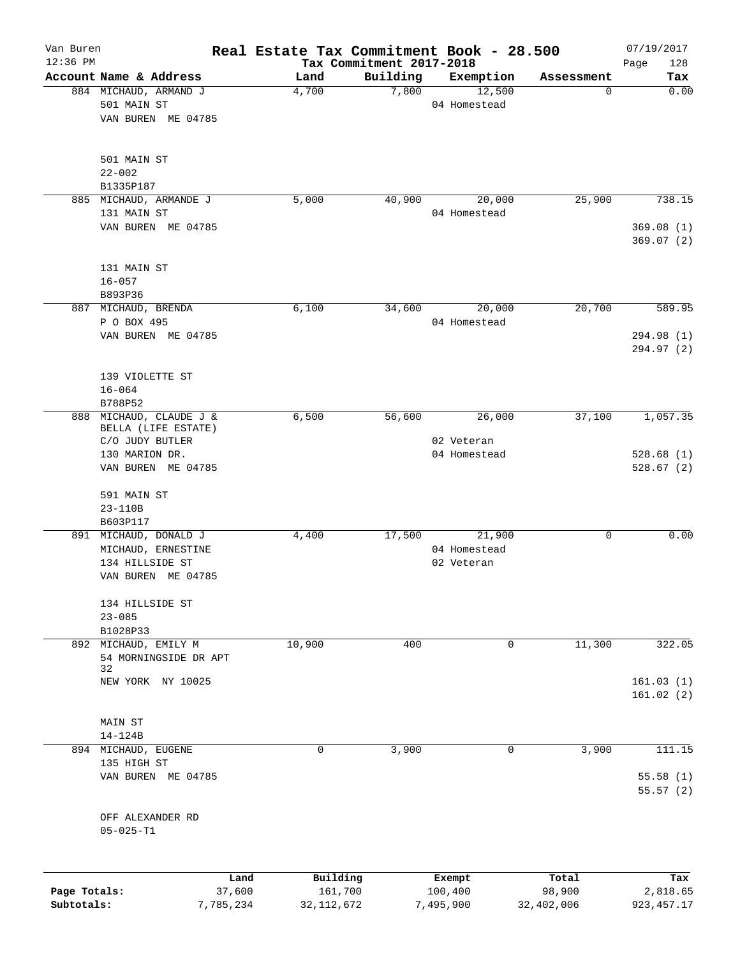| Van Buren    |                                       |           | Real Estate Tax Commitment Book - 28.500 |                                      |              |            | 07/19/2017             |
|--------------|---------------------------------------|-----------|------------------------------------------|--------------------------------------|--------------|------------|------------------------|
| $12:36$ PM   | Account Name & Address                |           | Land                                     | Tax Commitment 2017-2018<br>Building | Exemption    | Assessment | Page<br>128<br>Tax     |
|              | 884 MICHAUD, ARMAND J                 |           | 4,700                                    | 7,800                                | 12,500       | 0          | 0.00                   |
|              | 501 MAIN ST                           |           |                                          |                                      | 04 Homestead |            |                        |
|              | VAN BUREN ME 04785                    |           |                                          |                                      |              |            |                        |
|              |                                       |           |                                          |                                      |              |            |                        |
|              | 501 MAIN ST                           |           |                                          |                                      |              |            |                        |
|              | $22 - 002$                            |           |                                          |                                      |              |            |                        |
|              | B1335P187                             |           |                                          |                                      |              |            |                        |
|              | 885 MICHAUD, ARMANDE J<br>131 MAIN ST |           | 5,000                                    | 40,900                               | 20,000       | 25,900     | 738.15                 |
|              |                                       |           |                                          |                                      | 04 Homestead |            |                        |
|              | VAN BUREN ME 04785                    |           |                                          |                                      |              |            | 369.08(1)<br>369.07(2) |
|              | 131 MAIN ST                           |           |                                          |                                      |              |            |                        |
|              | $16 - 057$                            |           |                                          |                                      |              |            |                        |
|              | B893P36                               |           |                                          |                                      |              |            |                        |
|              | 887 MICHAUD, BRENDA                   |           | 6,100                                    | 34,600                               | 20,000       | 20,700     | 589.95                 |
|              | P O BOX 495                           |           |                                          |                                      | 04 Homestead |            |                        |
|              | VAN BUREN ME 04785                    |           |                                          |                                      |              |            | 294.98 (1)             |
|              |                                       |           |                                          |                                      |              |            | 294.97 (2)             |
|              | 139 VIOLETTE ST                       |           |                                          |                                      |              |            |                        |
|              | $16 - 064$                            |           |                                          |                                      |              |            |                        |
|              | B788P52                               |           |                                          |                                      |              |            |                        |
|              | 888 MICHAUD, CLAUDE J &               |           | 6,500                                    | 56,600                               | 26,000       | 37,100     | 1,057.35               |
|              | BELLA (LIFE ESTATE)                   |           |                                          |                                      |              |            |                        |
|              | C/O JUDY BUTLER                       |           |                                          |                                      | 02 Veteran   |            |                        |
|              | 130 MARION DR.<br>VAN BUREN ME 04785  |           |                                          |                                      | 04 Homestead |            | 528.68(1)<br>528.67(2) |
|              |                                       |           |                                          |                                      |              |            |                        |
|              | 591 MAIN ST                           |           |                                          |                                      |              |            |                        |
|              | 23-110B<br>B603P117                   |           |                                          |                                      |              |            |                        |
|              | 891 MICHAUD, DONALD J                 |           | 4,400                                    | 17,500                               | 21,900       | 0          | 0.00                   |
|              | MICHAUD, ERNESTINE                    |           |                                          |                                      | 04 Homestead |            |                        |
|              | 134 HILLSIDE ST                       |           |                                          |                                      | 02 Veteran   |            |                        |
|              | VAN BUREN ME 04785                    |           |                                          |                                      |              |            |                        |
|              |                                       |           |                                          |                                      |              |            |                        |
|              | 134 HILLSIDE ST                       |           |                                          |                                      |              |            |                        |
|              | $23 - 085$                            |           |                                          |                                      |              |            |                        |
|              | B1028P33                              |           |                                          |                                      |              |            |                        |
| 892          | MICHAUD, EMILY M                      |           | 10,900                                   | 400                                  | $\mathbf 0$  | 11,300     | 322.05                 |
|              | 54 MORNINGSIDE DR APT                 |           |                                          |                                      |              |            |                        |
|              | 32                                    |           |                                          |                                      |              |            |                        |
|              | NEW YORK NY 10025                     |           |                                          |                                      |              |            | 161.03(1)              |
|              |                                       |           |                                          |                                      |              |            | 161.02(2)              |
|              |                                       |           |                                          |                                      |              |            |                        |
|              | MAIN ST                               |           |                                          |                                      |              |            |                        |
|              | $14 - 124B$                           |           |                                          |                                      |              |            |                        |
|              | 894 MICHAUD, EUGENE                   |           | 0                                        | 3,900                                | 0            | 3,900      | 111.15                 |
|              | 135 HIGH ST                           |           |                                          |                                      |              |            |                        |
|              | VAN BUREN ME 04785                    |           |                                          |                                      |              |            | 55.58(1)<br>55.57(2)   |
|              |                                       |           |                                          |                                      |              |            |                        |
|              | OFF ALEXANDER RD                      |           |                                          |                                      |              |            |                        |
|              | $05 - 025 - T1$                       |           |                                          |                                      |              |            |                        |
|              |                                       |           |                                          |                                      |              |            |                        |
|              |                                       | Land      | Building                                 |                                      | Exempt       | Total      | Tax                    |
| Page Totals: |                                       | 37,600    | 161,700                                  |                                      | 100,400      | 98,900     | 2,818.65               |
| Subtotals:   |                                       | 7,785,234 | 32, 112, 672                             |                                      | 7,495,900    | 32,402,006 | 923, 457.17            |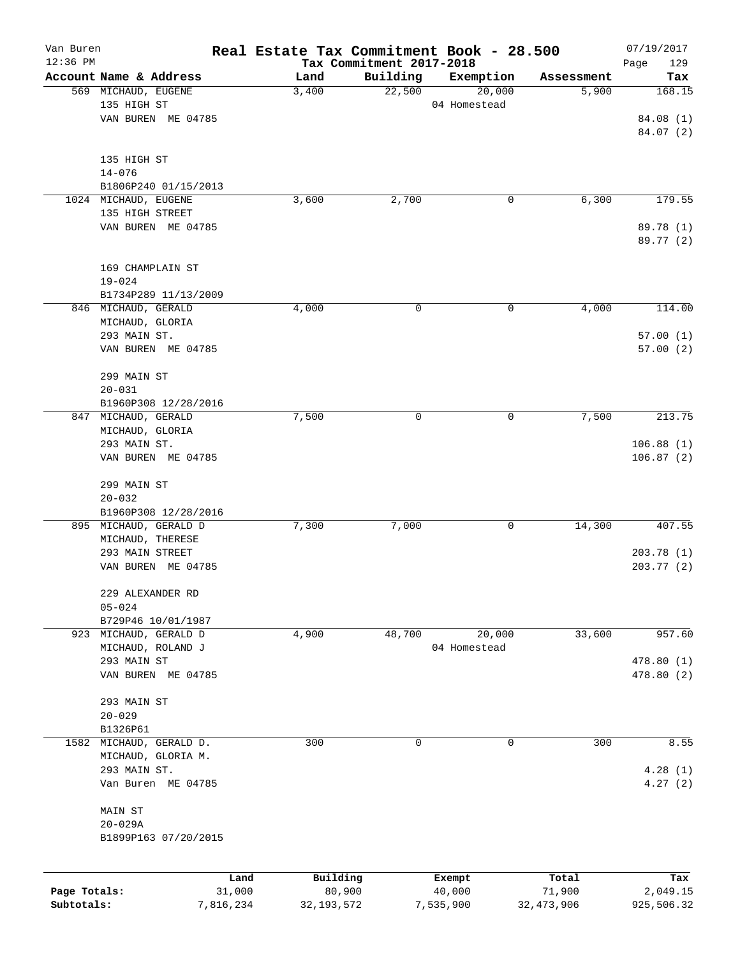| Van Buren<br>$12:36$ PM |                                               |           | Real Estate Tax Commitment Book - 28.500 | Tax Commitment 2017-2018 |              |              | 07/19/2017<br>129        |
|-------------------------|-----------------------------------------------|-----------|------------------------------------------|--------------------------|--------------|--------------|--------------------------|
|                         | Account Name & Address                        |           | Land                                     | Building                 | Exemption    | Assessment   | Page<br>Tax              |
|                         | 569 MICHAUD, EUGENE                           |           | 3,400                                    | 22,500                   | 20,000       | 5,900        | 168.15                   |
|                         | 135 HIGH ST                                   |           |                                          |                          | 04 Homestead |              |                          |
|                         | VAN BUREN ME 04785                            |           |                                          |                          |              |              | 84.08 (1)                |
|                         |                                               |           |                                          |                          |              |              | 84.07(2)                 |
|                         |                                               |           |                                          |                          |              |              |                          |
|                         | 135 HIGH ST                                   |           |                                          |                          |              |              |                          |
|                         | $14 - 076$                                    |           |                                          |                          |              |              |                          |
|                         | B1806P240 01/15/2013                          |           |                                          |                          |              |              |                          |
|                         | 1024 MICHAUD, EUGENE<br>135 HIGH STREET       |           | 3,600                                    | 2,700                    | 0            | 6,300        | 179.55                   |
|                         | VAN BUREN ME 04785                            |           |                                          |                          |              |              | 89.78 (1)                |
|                         |                                               |           |                                          |                          |              |              | 89.77 (2)                |
|                         |                                               |           |                                          |                          |              |              |                          |
|                         | 169 CHAMPLAIN ST                              |           |                                          |                          |              |              |                          |
|                         | $19 - 024$                                    |           |                                          |                          |              |              |                          |
|                         | B1734P289 11/13/2009                          |           |                                          |                          |              |              |                          |
|                         | 846 MICHAUD, GERALD                           |           | 4,000                                    | $\mathbf 0$              | 0            | 4,000        | 114.00                   |
|                         | MICHAUD, GLORIA                               |           |                                          |                          |              |              |                          |
|                         | 293 MAIN ST.                                  |           |                                          |                          |              |              | 57.00(1)                 |
|                         | VAN BUREN ME 04785                            |           |                                          |                          |              |              | 57.00(2)                 |
|                         | 299 MAIN ST                                   |           |                                          |                          |              |              |                          |
|                         | $20 - 031$                                    |           |                                          |                          |              |              |                          |
|                         | B1960P308 12/28/2016                          |           |                                          |                          |              |              |                          |
| 847                     | MICHAUD, GERALD                               |           | 7,500                                    | $\mathbf 0$              | 0            | 7,500        | 213.75                   |
|                         | MICHAUD, GLORIA                               |           |                                          |                          |              |              |                          |
|                         | 293 MAIN ST.                                  |           |                                          |                          |              |              | 106.88(1)                |
|                         | VAN BUREN ME 04785                            |           |                                          |                          |              |              | 106.87(2)                |
|                         |                                               |           |                                          |                          |              |              |                          |
|                         | 299 MAIN ST                                   |           |                                          |                          |              |              |                          |
|                         | $20 - 032$                                    |           |                                          |                          |              |              |                          |
|                         | B1960P308 12/28/2016<br>895 MICHAUD, GERALD D |           | 7,300                                    | 7,000                    | 0            | 14,300       | 407.55                   |
|                         | MICHAUD, THERESE                              |           |                                          |                          |              |              |                          |
|                         | 293 MAIN STREET                               |           |                                          |                          |              |              | 203.78(1)                |
|                         | VAN BUREN ME 04785                            |           |                                          |                          |              |              | 203.77(2)                |
|                         |                                               |           |                                          |                          |              |              |                          |
|                         | 229 ALEXANDER RD                              |           |                                          |                          |              |              |                          |
|                         | $05 - 024$                                    |           |                                          |                          |              |              |                          |
|                         | B729P46 10/01/1987                            |           |                                          |                          |              |              |                          |
|                         | 923 MICHAUD, GERALD D                         |           | 4,900                                    | 48,700                   | 20,000       | 33,600       | 957.60                   |
|                         | MICHAUD, ROLAND J<br>293 MAIN ST              |           |                                          |                          | 04 Homestead |              |                          |
|                         | VAN BUREN ME 04785                            |           |                                          |                          |              |              | 478.80 (1)<br>478.80 (2) |
|                         |                                               |           |                                          |                          |              |              |                          |
|                         | 293 MAIN ST                                   |           |                                          |                          |              |              |                          |
|                         | $20 - 029$                                    |           |                                          |                          |              |              |                          |
|                         | B1326P61                                      |           |                                          |                          |              |              |                          |
| 1582                    | MICHAUD, GERALD D.                            |           | 300                                      | 0                        | $\mathbf 0$  | 300          | 8.55                     |
|                         | MICHAUD, GLORIA M.                            |           |                                          |                          |              |              |                          |
|                         | 293 MAIN ST.                                  |           |                                          |                          |              |              | 4.28(1)                  |
|                         | Van Buren ME 04785                            |           |                                          |                          |              |              | 4.27(2)                  |
|                         |                                               |           |                                          |                          |              |              |                          |
|                         | MAIN ST<br>$20 - 029A$                        |           |                                          |                          |              |              |                          |
|                         | B1899P163 07/20/2015                          |           |                                          |                          |              |              |                          |
|                         |                                               |           |                                          |                          |              |              |                          |
|                         |                                               |           |                                          |                          |              |              |                          |
|                         |                                               | Land      | Building                                 |                          | Exempt       | Total        | Tax                      |
| Page Totals:            |                                               | 31,000    | 80,900                                   |                          | 40,000       | 71,900       | 2,049.15                 |
| Subtotals:              |                                               | 7,816,234 | 32, 193, 572                             |                          | 7,535,900    | 32, 473, 906 | 925,506.32               |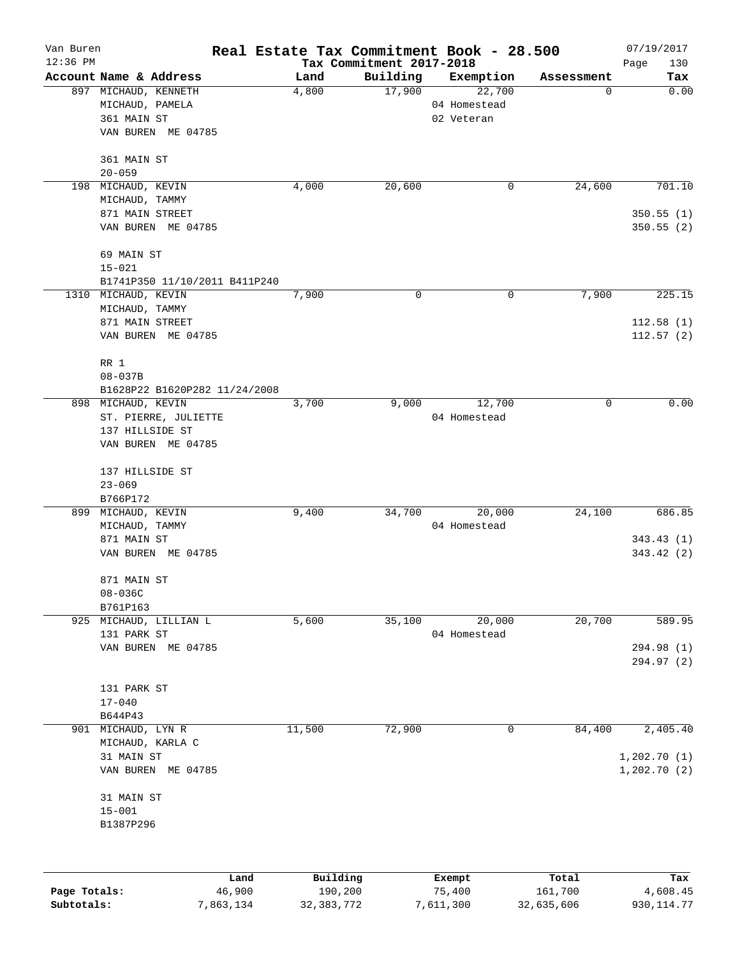| Van Buren<br>$12:36$ PM |                               |          | Tax Commitment 2017-2018 | Real Estate Tax Commitment Book - 28.500 |            | 07/19/2017         |
|-------------------------|-------------------------------|----------|--------------------------|------------------------------------------|------------|--------------------|
|                         | Account Name & Address        | Land     | Building                 | Exemption                                | Assessment | Page<br>130<br>Tax |
|                         | 897 MICHAUD, KENNETH          | 4,800    | 17,900                   | 22,700                                   | 0          | 0.00               |
|                         | MICHAUD, PAMELA               |          |                          | 04 Homestead                             |            |                    |
|                         | 361 MAIN ST                   |          |                          | 02 Veteran                               |            |                    |
|                         | VAN BUREN ME 04785            |          |                          |                                          |            |                    |
|                         | 361 MAIN ST                   |          |                          |                                          |            |                    |
|                         | $20 - 059$                    |          |                          |                                          |            |                    |
| 198                     | MICHAUD, KEVIN                | 4,000    | 20,600                   | 0                                        | 24,600     | 701.10             |
|                         | MICHAUD, TAMMY                |          |                          |                                          |            |                    |
|                         | 871 MAIN STREET               |          |                          |                                          |            | 350.55(1)          |
|                         | VAN BUREN ME 04785            |          |                          |                                          |            | 350.55(2)          |
|                         | 69 MAIN ST                    |          |                          |                                          |            |                    |
|                         | $15 - 021$                    |          |                          |                                          |            |                    |
|                         | B1741P350 11/10/2011 B411P240 |          |                          |                                          |            |                    |
| 1310                    | MICHAUD, KEVIN                | 7,900    | 0                        | 0                                        | 7,900      | 225.15             |
|                         | MICHAUD, TAMMY                |          |                          |                                          |            |                    |
|                         | 871 MAIN STREET               |          |                          |                                          |            | 112.58(1)          |
|                         | VAN BUREN ME 04785            |          |                          |                                          |            | 112.57(2)          |
|                         | RR 1                          |          |                          |                                          |            |                    |
|                         | $08 - 037B$                   |          |                          |                                          |            |                    |
|                         | B1628P22 B1620P282 11/24/2008 |          |                          |                                          |            |                    |
|                         | 898 MICHAUD, KEVIN            | 3,700    | 9,000                    | 12,700                                   | 0          | 0.00               |
|                         | ST. PIERRE, JULIETTE          |          |                          | 04 Homestead                             |            |                    |
|                         | 137 HILLSIDE ST               |          |                          |                                          |            |                    |
|                         | VAN BUREN ME 04785            |          |                          |                                          |            |                    |
|                         |                               |          |                          |                                          |            |                    |
|                         | 137 HILLSIDE ST               |          |                          |                                          |            |                    |
|                         | $23 - 069$                    |          |                          |                                          |            |                    |
|                         | B766P172                      |          |                          |                                          |            |                    |
|                         | 899 MICHAUD, KEVIN            | 9,400    | 34,700                   | 20,000                                   | 24,100     | 686.85             |
|                         | MICHAUD, TAMMY                |          |                          | 04 Homestead                             |            |                    |
|                         | 871 MAIN ST                   |          |                          |                                          |            | 343.43(1)          |
|                         | VAN BUREN ME 04785            |          |                          |                                          |            | 343.42(2)          |
|                         | 871 MAIN ST                   |          |                          |                                          |            |                    |
|                         | $08 - 036C$                   |          |                          |                                          |            |                    |
|                         | B761P163                      |          |                          |                                          |            |                    |
|                         | 925 MICHAUD, LILLIAN L        | 5,600    | 35,100                   | 20,000                                   | 20,700     | 589.95             |
|                         | 131 PARK ST                   |          |                          | 04 Homestead                             |            |                    |
|                         | VAN BUREN ME 04785            |          |                          |                                          |            | 294.98 (1)         |
|                         |                               |          |                          |                                          |            | 294.97 (2)         |
|                         | 131 PARK ST                   |          |                          |                                          |            |                    |
|                         | $17 - 040$                    |          |                          |                                          |            |                    |
|                         | B644P43                       |          |                          |                                          |            |                    |
| 901                     | MICHAUD, LYN R                | 11,500   | 72,900                   | 0                                        | 84,400     | 2,405.40           |
|                         | MICHAUD, KARLA C              |          |                          |                                          |            |                    |
|                         | 31 MAIN ST                    |          |                          |                                          |            | 1,202.70(1)        |
|                         | VAN BUREN ME 04785            |          |                          |                                          |            | 1,202.70(2)        |
|                         | 31 MAIN ST                    |          |                          |                                          |            |                    |
|                         | $15 - 001$                    |          |                          |                                          |            |                    |
|                         | B1387P296                     |          |                          |                                          |            |                    |
|                         |                               |          |                          |                                          |            |                    |
|                         |                               |          |                          |                                          |            |                    |
|                         | Land                          | Building |                          | Exempt                                   | Total      | Tax                |
| Page Totals:            | 46,900                        | 190,200  |                          | 75,400                                   | 161,700    | 4,608.45           |

**Subtotals:** 7,863,134 32,383,772 7,611,300 32,635,606 930,114.77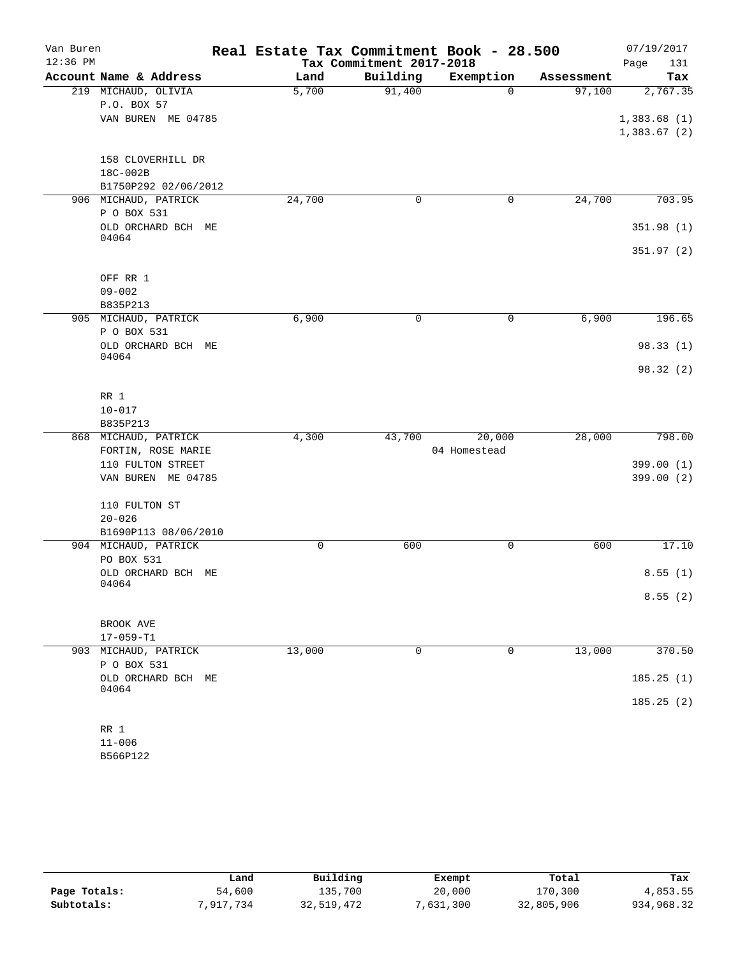| Van Buren  |                                     | Real Estate Tax Commitment Book - 28.500 |                          |              |            | 07/19/2017  |
|------------|-------------------------------------|------------------------------------------|--------------------------|--------------|------------|-------------|
| $12:36$ PM |                                     |                                          | Tax Commitment 2017-2018 |              |            | Page<br>131 |
|            | Account Name & Address              | Land                                     | Building                 | Exemption    | Assessment | Tax         |
|            | 219 MICHAUD, OLIVIA<br>P.O. BOX 57  | 5,700                                    | 91,400                   | 0            | 97,100     | 2,767.35    |
|            | VAN BUREN ME 04785                  |                                          |                          |              |            | 1,383.68(1) |
|            |                                     |                                          |                          |              |            | 1,383.67(2) |
|            | 158 CLOVERHILL DR                   |                                          |                          |              |            |             |
|            | 18C-002B                            |                                          |                          |              |            |             |
|            | B1750P292 02/06/2012                |                                          |                          |              |            |             |
|            | 906 MICHAUD, PATRICK                | 24,700                                   | 0                        | 0            | 24,700     | 703.95      |
|            | P O BOX 531                         |                                          |                          |              |            |             |
|            | OLD ORCHARD BCH ME                  |                                          |                          |              |            | 351.98(1)   |
|            | 04064                               |                                          |                          |              |            | 351.97 (2)  |
|            | OFF RR 1                            |                                          |                          |              |            |             |
|            | $09 - 002$                          |                                          |                          |              |            |             |
|            | B835P213                            |                                          |                          |              |            |             |
|            | 905 MICHAUD, PATRICK                | 6,900                                    | 0                        | 0            | 6,900      | 196.65      |
|            | P O BOX 531                         |                                          |                          |              |            |             |
|            | OLD ORCHARD BCH ME                  |                                          |                          |              |            | 98.33(1)    |
|            | 04064                               |                                          |                          |              |            | 98.32(2)    |
|            | RR 1                                |                                          |                          |              |            |             |
|            | $10 - 017$                          |                                          |                          |              |            |             |
|            | B835P213                            |                                          |                          |              |            |             |
|            | 868 MICHAUD, PATRICK                | 4,300                                    | 43,700                   | 20,000       | 28,000     | 798.00      |
|            | FORTIN, ROSE MARIE                  |                                          |                          | 04 Homestead |            |             |
|            | 110 FULTON STREET                   |                                          |                          |              |            | 399.00(1)   |
|            | VAN BUREN ME 04785                  |                                          |                          |              |            | 399.00 (2)  |
|            | 110 FULTON ST                       |                                          |                          |              |            |             |
|            | $20 - 026$                          |                                          |                          |              |            |             |
|            | B1690P113 08/06/2010                |                                          |                          |              |            |             |
|            | 904 MICHAUD, PATRICK                | 0                                        | 600                      | $\mathsf{O}$ | 600        | 17.10       |
|            | PO BOX 531                          |                                          |                          |              |            |             |
|            | OLD ORCHARD BCH ME<br>04064         |                                          |                          |              |            | 8.55(1)     |
|            |                                     |                                          |                          |              |            | 8.55(2)     |
|            | BROOK AVE                           |                                          |                          |              |            |             |
|            | $17 - 059 - T1$                     |                                          |                          |              |            |             |
|            | 903 MICHAUD, PATRICK<br>P O BOX 531 | 13,000                                   | $\mathbf 0$              | $\mathbf 0$  | 13,000     | 370.50      |
|            | OLD ORCHARD BCH ME                  |                                          |                          |              |            | 185.25(1)   |
|            | 04064                               |                                          |                          |              |            | 185.25(2)   |
|            | RR 1                                |                                          |                          |              |            |             |
|            | $11 - 006$                          |                                          |                          |              |            |             |
|            |                                     |                                          |                          |              |            |             |

B566P122

|              | Land      | Building   | Exempt    | Total      | Tax        |
|--------------|-----------|------------|-----------|------------|------------|
| Page Totals: | 54,600    | 135,700    | 20,000    | 170,300    | 4,853.55   |
| Subtotals:   | 7,917,734 | 32,519,472 | 7,631,300 | 32,805,906 | 934,968.32 |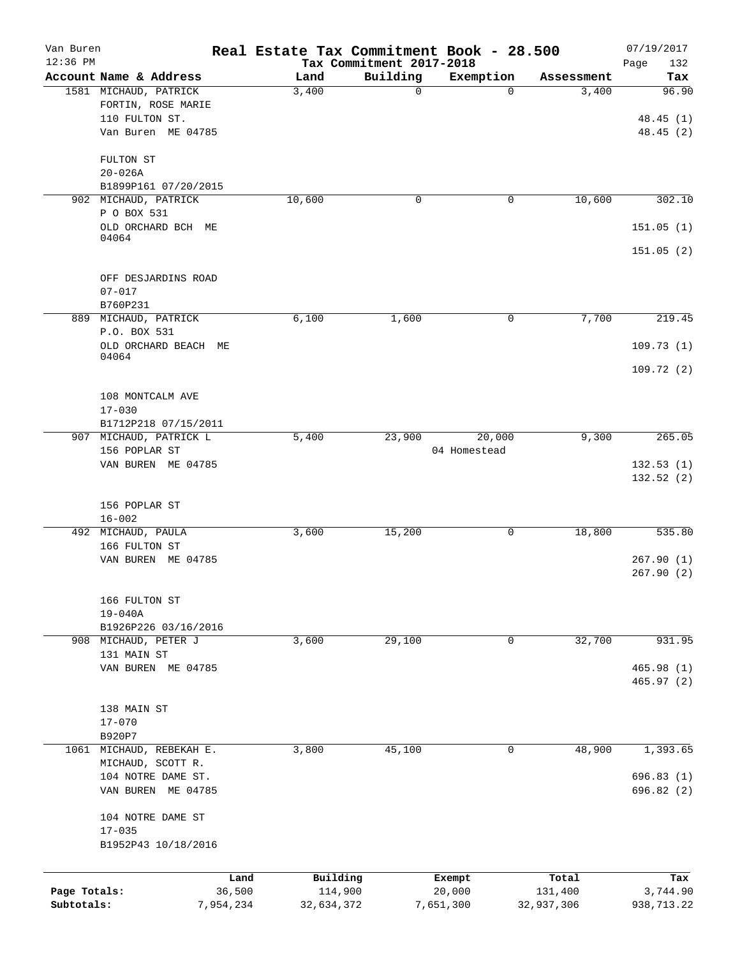| Van Buren    |                               |           | Real Estate Tax Commitment Book - 28.500 |                                      |              |            | 07/19/2017         |
|--------------|-------------------------------|-----------|------------------------------------------|--------------------------------------|--------------|------------|--------------------|
| $12:36$ PM   | Account Name & Address        |           | Land                                     | Tax Commitment 2017-2018<br>Building | Exemption    | Assessment | Page<br>132<br>Tax |
|              | 1581 MICHAUD, PATRICK         |           | 3,400                                    | 0                                    | $\Omega$     | 3,400      | 96.90              |
|              | FORTIN, ROSE MARIE            |           |                                          |                                      |              |            |                    |
|              | 110 FULTON ST.                |           |                                          |                                      |              |            | 48.45(1)           |
|              | Van Buren ME 04785            |           |                                          |                                      |              |            | 48.45 (2)          |
|              | FULTON ST                     |           |                                          |                                      |              |            |                    |
|              | $20 - 026A$                   |           |                                          |                                      |              |            |                    |
|              | B1899P161 07/20/2015          |           |                                          |                                      |              |            |                    |
| 902          | MICHAUD, PATRICK              |           | 10,600                                   | 0                                    | $\mathbf 0$  | 10,600     | 302.10             |
|              | P O BOX 531                   |           |                                          |                                      |              |            |                    |
|              | OLD ORCHARD BCH ME<br>04064   |           |                                          |                                      |              |            | 151.05(1)          |
|              |                               |           |                                          |                                      |              |            | 151.05(2)          |
|              | OFF DESJARDINS ROAD           |           |                                          |                                      |              |            |                    |
|              | $07 - 017$                    |           |                                          |                                      |              |            |                    |
|              | B760P231                      |           |                                          |                                      |              |            |                    |
|              | 889 MICHAUD, PATRICK          |           | 6,100                                    | 1,600                                | 0            | 7,700      | 219.45             |
|              | P.O. BOX 531                  |           |                                          |                                      |              |            |                    |
|              | OLD ORCHARD BEACH ME<br>04064 |           |                                          |                                      |              |            | 109.73(1)          |
|              |                               |           |                                          |                                      |              |            | 109.72(2)          |
|              | 108 MONTCALM AVE              |           |                                          |                                      |              |            |                    |
|              | $17 - 030$                    |           |                                          |                                      |              |            |                    |
|              | B1712P218 07/15/2011          |           |                                          |                                      |              |            |                    |
|              | 907 MICHAUD, PATRICK L        |           | 5,400                                    | 23,900                               | 20,000       | 9,300      | 265.05             |
|              | 156 POPLAR ST                 |           |                                          |                                      | 04 Homestead |            |                    |
|              | VAN BUREN ME 04785            |           |                                          |                                      |              |            | 132.53(1)          |
|              |                               |           |                                          |                                      |              |            | 132.52(2)          |
|              | 156 POPLAR ST<br>$16 - 002$   |           |                                          |                                      |              |            |                    |
|              | 492 MICHAUD, PAULA            |           | 3,600                                    | 15,200                               | $\mathsf{O}$ | 18,800     | 535.80             |
|              | 166 FULTON ST                 |           |                                          |                                      |              |            |                    |
|              | VAN BUREN ME 04785            |           |                                          |                                      |              |            | 267.90(1)          |
|              |                               |           |                                          |                                      |              |            | 267.90(2)          |
|              | 166 FULTON ST                 |           |                                          |                                      |              |            |                    |
|              | $19 - 040A$                   |           |                                          |                                      |              |            |                    |
|              | B1926P226 03/16/2016          |           |                                          |                                      |              |            |                    |
| 908          | MICHAUD, PETER J              |           | 3,600                                    | 29,100                               | 0            | 32,700     | 931.95             |
|              | 131 MAIN ST                   |           |                                          |                                      |              |            |                    |
|              | VAN BUREN ME 04785            |           |                                          |                                      |              |            | 465.98(1)          |
|              |                               |           |                                          |                                      |              |            | 465.97 (2)         |
|              | 138 MAIN ST                   |           |                                          |                                      |              |            |                    |
|              | $17 - 070$                    |           |                                          |                                      |              |            |                    |
|              | B920P7                        |           |                                          |                                      |              |            |                    |
|              | 1061 MICHAUD, REBEKAH E.      |           | 3,800                                    | 45,100                               | 0            | 48,900     | 1,393.65           |
|              | MICHAUD, SCOTT R.             |           |                                          |                                      |              |            |                    |
|              | 104 NOTRE DAME ST.            |           |                                          |                                      |              |            | 696.83 (1)         |
|              | VAN BUREN ME 04785            |           |                                          |                                      |              |            | 696.82 (2)         |
|              | 104 NOTRE DAME ST             |           |                                          |                                      |              |            |                    |
|              | $17 - 035$                    |           |                                          |                                      |              |            |                    |
|              | B1952P43 10/18/2016           |           |                                          |                                      |              |            |                    |
|              |                               | Land      | Building                                 |                                      | Exempt       | Total      | Tax                |
| Page Totals: |                               | 36,500    | 114,900                                  |                                      | 20,000       | 131,400    | 3,744.90           |
| Subtotals:   |                               | 7,954,234 | 32,634,372                               |                                      | 7,651,300    | 32,937,306 | 938,713.22         |
|              |                               |           |                                          |                                      |              |            |                    |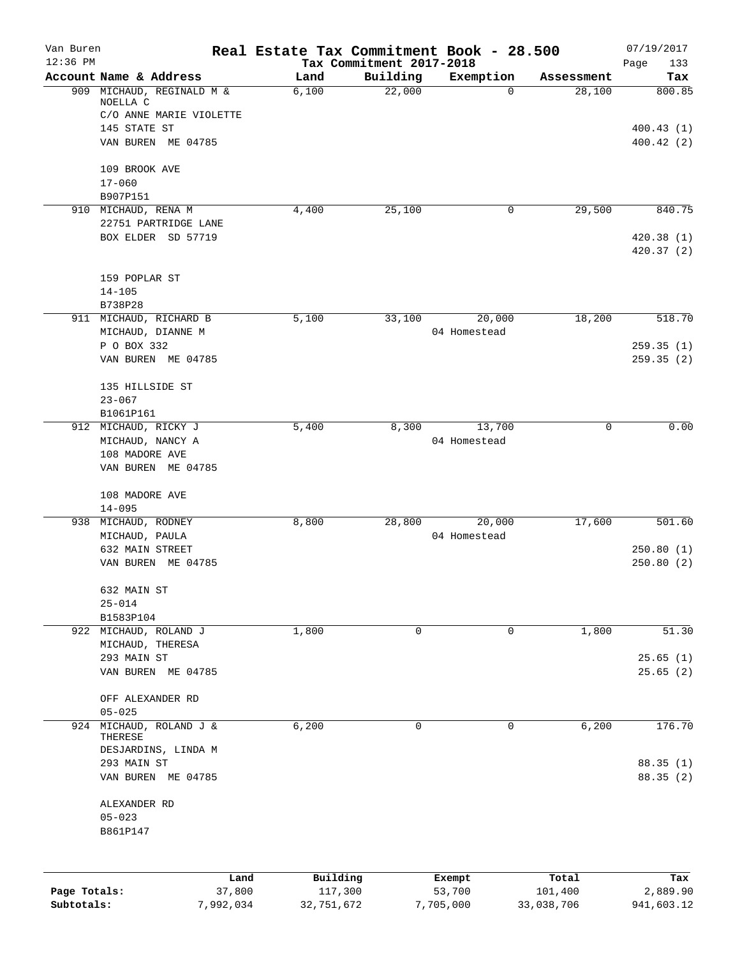| Van Buren<br>$12:36$ PM |                           | Real Estate Tax Commitment Book - 28.500 |                                      |                  |                  | 07/19/2017             |
|-------------------------|---------------------------|------------------------------------------|--------------------------------------|------------------|------------------|------------------------|
|                         | Account Name & Address    | Land                                     | Tax Commitment 2017-2018<br>Building | Exemption        | Assessment       | 133<br>Page<br>Tax     |
|                         | 909 MICHAUD, REGINALD M & | 6,100                                    | 22,000                               | $\Omega$         | 28,100           | 800.85                 |
|                         | NOELLA C                  |                                          |                                      |                  |                  |                        |
|                         | C/O ANNE MARIE VIOLETTE   |                                          |                                      |                  |                  |                        |
|                         | 145 STATE ST              |                                          |                                      |                  |                  | 400.43(1)              |
|                         | VAN BUREN ME 04785        |                                          |                                      |                  |                  | 400.42(2)              |
|                         | 109 BROOK AVE             |                                          |                                      |                  |                  |                        |
|                         | $17 - 060$                |                                          |                                      |                  |                  |                        |
|                         | B907P151                  |                                          |                                      |                  |                  |                        |
|                         | 910 MICHAUD, RENA M       | 4,400                                    | 25,100                               | 0                | 29,500           | 840.75                 |
|                         | 22751 PARTRIDGE LANE      |                                          |                                      |                  |                  |                        |
|                         | BOX ELDER SD 57719        |                                          |                                      |                  |                  | 420.38(1)<br>420.37(2) |
|                         | 159 POPLAR ST             |                                          |                                      |                  |                  |                        |
|                         | $14 - 105$                |                                          |                                      |                  |                  |                        |
|                         | B738P28                   |                                          |                                      |                  |                  |                        |
|                         | 911 MICHAUD, RICHARD B    | 5,100                                    | 33,100                               | 20,000           | 18,200           | 518.70                 |
|                         | MICHAUD, DIANNE M         |                                          |                                      | 04 Homestead     |                  |                        |
|                         | P O BOX 332               |                                          |                                      |                  |                  | 259.35(1)              |
|                         | VAN BUREN ME 04785        |                                          |                                      |                  |                  | 259.35(2)              |
|                         | 135 HILLSIDE ST           |                                          |                                      |                  |                  |                        |
|                         | $23 - 067$                |                                          |                                      |                  |                  |                        |
|                         | B1061P161                 |                                          |                                      |                  |                  |                        |
|                         | 912 MICHAUD, RICKY J      | 5,400                                    | 8,300                                | 13,700           | $\mathbf 0$      | 0.00                   |
|                         | MICHAUD, NANCY A          |                                          |                                      | 04 Homestead     |                  |                        |
|                         | 108 MADORE AVE            |                                          |                                      |                  |                  |                        |
|                         | VAN BUREN ME 04785        |                                          |                                      |                  |                  |                        |
|                         | 108 MADORE AVE            |                                          |                                      |                  |                  |                        |
|                         | $14 - 095$                |                                          |                                      |                  |                  |                        |
|                         | 938 MICHAUD, RODNEY       | 8,800                                    | 28,800                               | 20,000           | 17,600           | 501.60                 |
|                         | MICHAUD, PAULA            |                                          |                                      | 04 Homestead     |                  |                        |
|                         | 632 MAIN STREET           |                                          |                                      |                  |                  | 250.80(1)              |
|                         | VAN BUREN ME 04785        |                                          |                                      |                  |                  | 250.80(2)              |
|                         | 632 MAIN ST               |                                          |                                      |                  |                  |                        |
|                         | $25 - 014$                |                                          |                                      |                  |                  |                        |
|                         | B1583P104                 |                                          |                                      |                  |                  |                        |
|                         | 922 MICHAUD, ROLAND J     | 1,800                                    | 0                                    | 0                | 1,800            | 51.30                  |
|                         | MICHAUD, THERESA          |                                          |                                      |                  |                  |                        |
|                         | 293 MAIN ST               |                                          |                                      |                  |                  | 25.65(1)               |
|                         | VAN BUREN ME 04785        |                                          |                                      |                  |                  | 25.65(2)               |
|                         | OFF ALEXANDER RD          |                                          |                                      |                  |                  |                        |
|                         | $05 - 025$                |                                          |                                      |                  |                  |                        |
|                         | 924 MICHAUD, ROLAND J &   | 6,200                                    | 0                                    | 0                | 6,200            | 176.70                 |
|                         | THERESE                   |                                          |                                      |                  |                  |                        |
|                         | DESJARDINS, LINDA M       |                                          |                                      |                  |                  |                        |
|                         | 293 MAIN ST               |                                          |                                      |                  |                  | 88.35(1)               |
|                         | VAN BUREN ME 04785        |                                          |                                      |                  |                  | 88.35 (2)              |
|                         | ALEXANDER RD              |                                          |                                      |                  |                  |                        |
|                         | $05 - 023$                |                                          |                                      |                  |                  |                        |
|                         | B861P147                  |                                          |                                      |                  |                  |                        |
|                         |                           |                                          |                                      |                  |                  |                        |
| Page Totals:            | 37,800                    | Building<br>Land<br>117,300              |                                      | Exempt<br>53,700 | Total<br>101,400 | Tax<br>2,889.90        |
|                         |                           |                                          |                                      |                  |                  |                        |

**Subtotals:** 7,992,034 32,751,672 7,705,000 33,038,706 941,603.12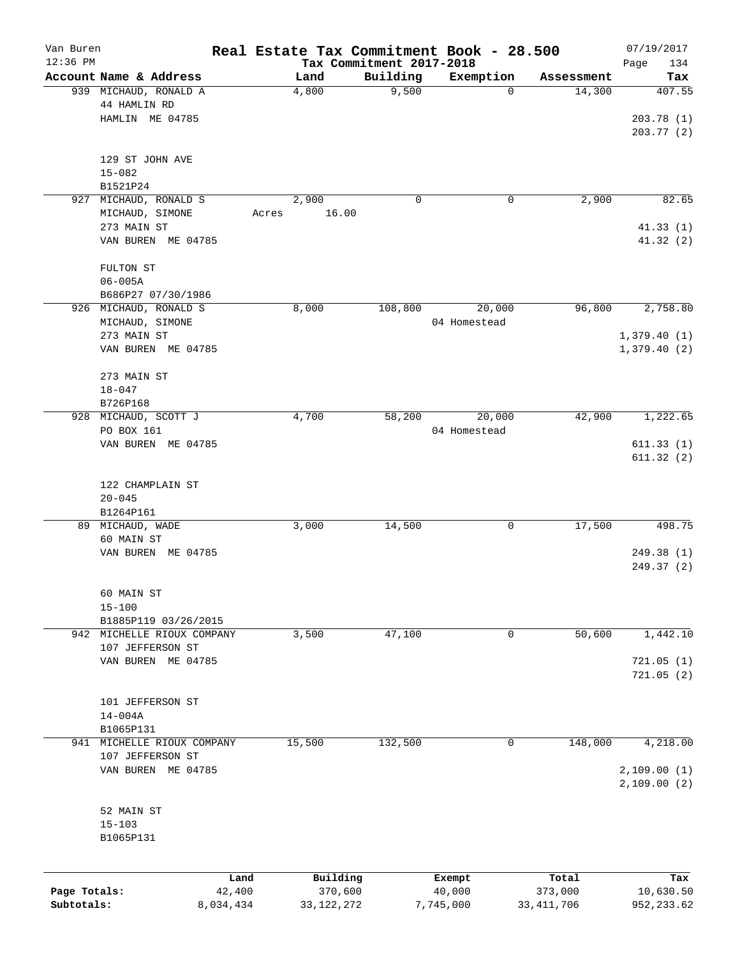| Van Buren    |                                                 |       |                     |                          | Real Estate Tax Commitment Book - 28.500 |                      | 07/19/2017       |
|--------------|-------------------------------------------------|-------|---------------------|--------------------------|------------------------------------------|----------------------|------------------|
| $12:36$ PM   |                                                 |       |                     | Tax Commitment 2017-2018 |                                          |                      | Page<br>134      |
|              | Account Name & Address<br>939 MICHAUD, RONALD A |       | Land                | Building<br>9,500        | Exemption<br>0                           | Assessment<br>14,300 | Tax<br>407.55    |
|              | 44 HAMLIN RD                                    |       | 4,800               |                          |                                          |                      |                  |
|              | HAMLIN ME 04785                                 |       |                     |                          |                                          |                      | 203.78(1)        |
|              |                                                 |       |                     |                          |                                          |                      | 203.77 (2)       |
|              |                                                 |       |                     |                          |                                          |                      |                  |
|              | 129 ST JOHN AVE                                 |       |                     |                          |                                          |                      |                  |
|              | $15 - 082$                                      |       |                     |                          |                                          |                      |                  |
|              | B1521P24                                        |       |                     |                          |                                          |                      |                  |
| 927          | MICHAUD, RONALD S                               |       | 2,900               | 0                        | 0                                        | 2,900                | 82.65            |
|              | MICHAUD, SIMONE                                 | Acres | 16.00               |                          |                                          |                      |                  |
|              | 273 MAIN ST                                     |       |                     |                          |                                          |                      | 41.33(1)         |
|              | VAN BUREN ME 04785                              |       |                     |                          |                                          |                      | 41.32 (2)        |
|              |                                                 |       |                     |                          |                                          |                      |                  |
|              | FULTON ST                                       |       |                     |                          |                                          |                      |                  |
|              | $06 - 005A$                                     |       |                     |                          |                                          |                      |                  |
|              | B686P27 07/30/1986                              |       |                     |                          |                                          |                      |                  |
|              | 926 MICHAUD, RONALD S                           |       | 8,000               | 108,800                  | 20,000                                   | 96,800               | 2,758.80         |
|              | MICHAUD, SIMONE                                 |       |                     |                          | 04 Homestead                             |                      |                  |
|              | 273 MAIN ST                                     |       |                     |                          |                                          |                      | 1,379.40(1)      |
|              | VAN BUREN ME 04785                              |       |                     |                          |                                          |                      | 1,379.40(2)      |
|              |                                                 |       |                     |                          |                                          |                      |                  |
|              | 273 MAIN ST                                     |       |                     |                          |                                          |                      |                  |
|              | $18 - 047$                                      |       |                     |                          |                                          |                      |                  |
|              | B726P168                                        |       |                     |                          |                                          |                      |                  |
|              | 928 MICHAUD, SCOTT J                            |       | 4,700               | 58,200                   | 20,000                                   | 42,900               | 1,222.65         |
|              | PO BOX 161                                      |       |                     |                          | 04 Homestead                             |                      |                  |
|              | VAN BUREN ME 04785                              |       |                     |                          |                                          |                      | 611.33(1)        |
|              |                                                 |       |                     |                          |                                          |                      | 611.32(2)        |
|              |                                                 |       |                     |                          |                                          |                      |                  |
|              | 122 CHAMPLAIN ST                                |       |                     |                          |                                          |                      |                  |
|              | $20 - 045$                                      |       |                     |                          |                                          |                      |                  |
|              | B1264P161                                       |       |                     |                          |                                          |                      |                  |
|              | 89 MICHAUD, WADE                                |       | 3,000               | 14,500                   | 0                                        | 17,500               | 498.75           |
|              | 60 MAIN ST<br>VAN BUREN ME 04785                |       |                     |                          |                                          |                      | 249.38(1)        |
|              |                                                 |       |                     |                          |                                          |                      | 249.37 (2)       |
|              |                                                 |       |                     |                          |                                          |                      |                  |
|              | 60 MAIN ST                                      |       |                     |                          |                                          |                      |                  |
|              | $15 - 100$                                      |       |                     |                          |                                          |                      |                  |
|              | B1885P119 03/26/2015                            |       |                     |                          |                                          |                      |                  |
|              | 942 MICHELLE RIOUX COMPANY                      |       | 3,500               | 47,100                   | 0                                        | 50,600               | 1,442.10         |
|              | 107 JEFFERSON ST                                |       |                     |                          |                                          |                      |                  |
|              | VAN BUREN ME 04785                              |       |                     |                          |                                          |                      | 721.05(1)        |
|              |                                                 |       |                     |                          |                                          |                      | 721.05(2)        |
|              |                                                 |       |                     |                          |                                          |                      |                  |
|              | 101 JEFFERSON ST                                |       |                     |                          |                                          |                      |                  |
|              | $14 - 004A$                                     |       |                     |                          |                                          |                      |                  |
|              | B1065P131                                       |       |                     |                          |                                          |                      |                  |
|              | 941 MICHELLE RIOUX COMPANY                      |       | 15,500              | 132,500                  | 0                                        | 148,000              | 4,218.00         |
|              | 107 JEFFERSON ST                                |       |                     |                          |                                          |                      |                  |
|              | VAN BUREN ME 04785                              |       |                     |                          |                                          |                      | 2,109.00(1)      |
|              |                                                 |       |                     |                          |                                          |                      | 2,109.00(2)      |
|              |                                                 |       |                     |                          |                                          |                      |                  |
|              | 52 MAIN ST                                      |       |                     |                          |                                          |                      |                  |
|              | $15 - 103$                                      |       |                     |                          |                                          |                      |                  |
|              | B1065P131                                       |       |                     |                          |                                          |                      |                  |
|              |                                                 |       |                     |                          |                                          |                      |                  |
|              |                                                 |       |                     |                          |                                          |                      |                  |
| Page Totals: | Land<br>42,400                                  |       | Building<br>370,600 |                          | Exempt<br>40,000                         | Total<br>373,000     | Tax<br>10,630.50 |
| Subtotals:   | 8,034,434                                       |       | 33, 122, 272        |                          | 7,745,000                                | 33, 411, 706         | 952, 233.62      |
|              |                                                 |       |                     |                          |                                          |                      |                  |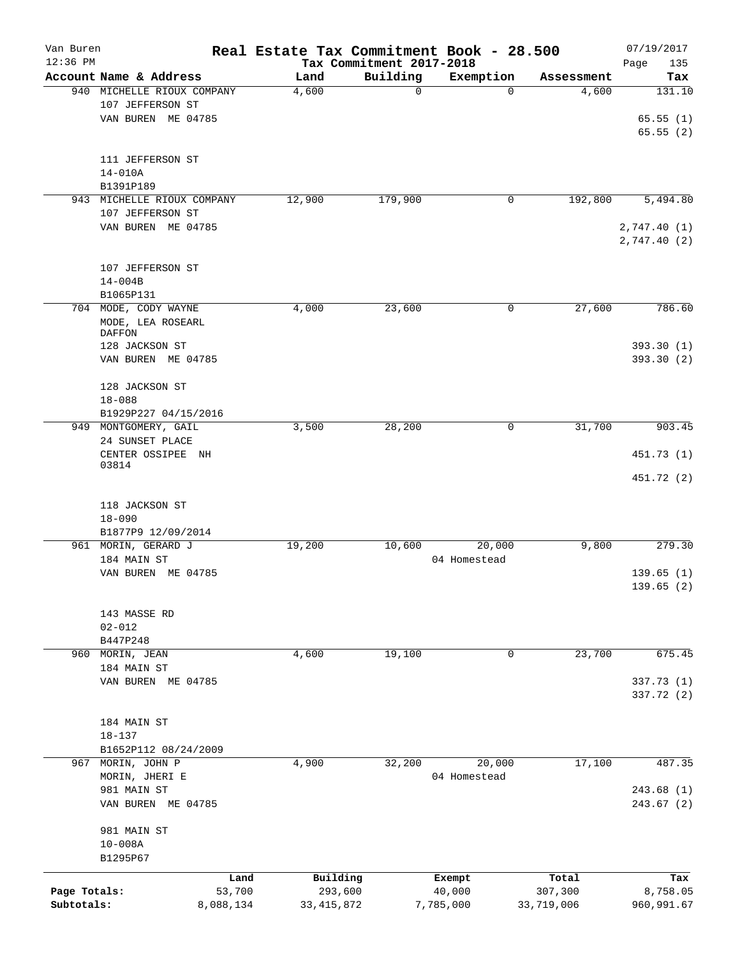| Van Buren<br>$12:36$ PM    |                                                                  |                     | Real Estate Tax Commitment Book - 28.500 |                                      |                        |                       | 07/19/2017                  |
|----------------------------|------------------------------------------------------------------|---------------------|------------------------------------------|--------------------------------------|------------------------|-----------------------|-----------------------------|
|                            | Account Name & Address                                           |                     | Land                                     | Tax Commitment 2017-2018<br>Building | Exemption              | Assessment            | 135<br>Page<br>Tax          |
|                            | 940 MICHELLE RIOUX COMPANY<br>107 JEFFERSON ST                   |                     | 4,600                                    | $\mathbf 0$                          | $\Omega$               | 4,600                 | 131.10                      |
|                            | VAN BUREN ME 04785                                               |                     |                                          |                                      |                        |                       | 65.55(1)<br>65.55(2)        |
|                            | 111 JEFFERSON ST<br>$14 - 010A$                                  |                     |                                          |                                      |                        |                       |                             |
|                            | B1391P189                                                        |                     |                                          |                                      |                        |                       |                             |
| 943                        | MICHELLE RIOUX COMPANY<br>107 JEFFERSON ST<br>VAN BUREN ME 04785 |                     | 12,900                                   | 179,900                              | 0                      | 192,800               | 5,494.80                    |
|                            |                                                                  |                     |                                          |                                      |                        |                       | 2,747.40 (1)<br>2,747.40(2) |
|                            | 107 JEFFERSON ST<br>$14 - 004B$                                  |                     |                                          |                                      |                        |                       |                             |
|                            | B1065P131                                                        |                     |                                          |                                      |                        |                       |                             |
|                            | 704 MODE, CODY WAYNE<br>MODE, LEA ROSEARL<br>DAFFON              |                     | 4,000                                    | 23,600                               | 0                      | 27,600                | 786.60                      |
|                            | 128 JACKSON ST<br>VAN BUREN ME 04785                             |                     |                                          |                                      |                        |                       | 393.30 (1)<br>393.30 (2)    |
|                            | 128 JACKSON ST<br>$18 - 088$                                     |                     |                                          |                                      |                        |                       |                             |
|                            | B1929P227 04/15/2016                                             |                     |                                          |                                      |                        |                       |                             |
|                            | 949 MONTGOMERY, GAIL<br>24 SUNSET PLACE                          |                     | 3,500                                    | 28,200                               | 0                      | 31,700                | 903.45                      |
|                            | CENTER OSSIPEE NH<br>03814                                       |                     |                                          |                                      |                        |                       | 451.73 (1)<br>451.72 (2)    |
|                            | 118 JACKSON ST                                                   |                     |                                          |                                      |                        |                       |                             |
|                            | $18 - 090$                                                       |                     |                                          |                                      |                        |                       |                             |
|                            | B1877P9 12/09/2014<br>961 MORIN, GERARD J                        |                     | 19,200                                   | 10,600                               | 20,000                 | 9,800                 | 279.30                      |
|                            | 184 MAIN ST                                                      |                     |                                          |                                      | 04 Homestead           |                       |                             |
|                            | VAN BUREN ME 04785                                               |                     |                                          |                                      |                        |                       | 139.65(1)<br>139.65 (2)     |
|                            | 143 MASSE RD<br>$02 - 012$                                       |                     |                                          |                                      |                        |                       |                             |
|                            | B447P248                                                         |                     |                                          |                                      |                        |                       |                             |
| 960                        | MORIN, JEAN                                                      |                     | 4,600                                    | 19,100                               | 0                      | 23,700                | 675.45                      |
|                            | 184 MAIN ST                                                      |                     |                                          |                                      |                        |                       |                             |
|                            | VAN BUREN ME 04785                                               |                     |                                          |                                      |                        |                       | 337.73 (1)<br>337.72 (2)    |
|                            | 184 MAIN ST<br>$18 - 137$                                        |                     |                                          |                                      |                        |                       |                             |
|                            | B1652P112 08/24/2009                                             |                     |                                          |                                      |                        |                       |                             |
| 967                        | MORIN, JOHN P<br>MORIN, JHERI E                                  |                     | 4,900                                    | 32,200                               | 20,000<br>04 Homestead | 17,100                | 487.35                      |
|                            | 981 MAIN ST<br>VAN BUREN ME 04785                                |                     |                                          |                                      |                        |                       | 243.68(1)<br>243.67(2)      |
|                            | 981 MAIN ST<br>$10 - 008A$<br>B1295P67                           |                     |                                          |                                      |                        |                       |                             |
|                            |                                                                  |                     |                                          |                                      |                        |                       |                             |
|                            |                                                                  | Land                | Building                                 |                                      | Exempt                 | Total                 | Tax                         |
| Page Totals:<br>Subtotals: |                                                                  | 53,700<br>8,088,134 | 293,600<br>33, 415, 872                  |                                      | 40,000<br>7,785,000    | 307,300<br>33,719,006 | 8,758.05<br>960,991.67      |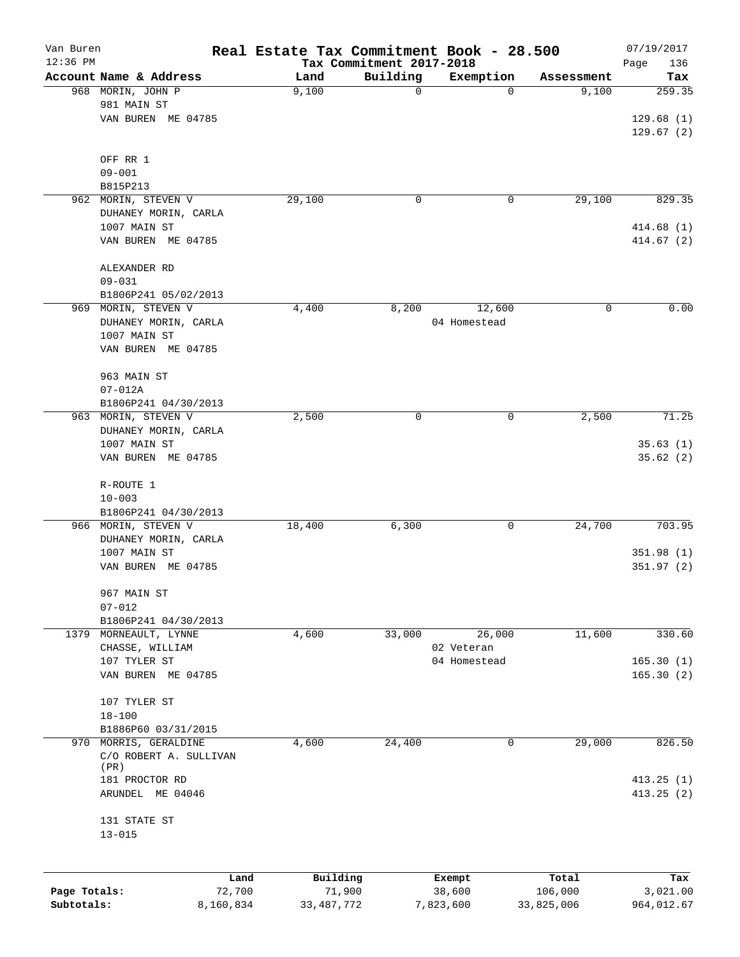| Van Buren<br>$12:36$ PM |                            | Real Estate Tax Commitment Book - 28.500 | Tax Commitment 2017-2018 |              |            | 07/19/2017<br>Page<br>136 |
|-------------------------|----------------------------|------------------------------------------|--------------------------|--------------|------------|---------------------------|
|                         | Account Name & Address     | Land                                     | Building                 | Exemption    | Assessment | Tax                       |
|                         | 968 MORIN, JOHN P          | 9,100                                    | 0                        | $\Omega$     | 9,100      | 259.35                    |
|                         | 981 MAIN ST                |                                          |                          |              |            |                           |
|                         | VAN BUREN ME 04785         |                                          |                          |              |            | 129.68(1)                 |
|                         |                            |                                          |                          |              |            | 129.67(2)                 |
|                         |                            |                                          |                          |              |            |                           |
|                         | OFF RR 1                   |                                          |                          |              |            |                           |
|                         | $09 - 001$<br>B815P213     |                                          |                          |              |            |                           |
| 962                     | MORIN, STEVEN V            | 29,100                                   | 0                        | 0            | 29,100     | 829.35                    |
|                         | DUHANEY MORIN, CARLA       |                                          |                          |              |            |                           |
|                         | 1007 MAIN ST               |                                          |                          |              |            | 414.68(1)                 |
|                         | VAN BUREN ME 04785         |                                          |                          |              |            | 414.67(2)                 |
|                         |                            |                                          |                          |              |            |                           |
|                         | ALEXANDER RD               |                                          |                          |              |            |                           |
|                         | $09 - 031$                 |                                          |                          |              |            |                           |
|                         | B1806P241 05/02/2013       |                                          |                          |              |            |                           |
| 969                     | MORIN, STEVEN V            | 4,400                                    | 8,200                    | 12,600       | 0          | 0.00                      |
|                         | DUHANEY MORIN, CARLA       |                                          |                          | 04 Homestead |            |                           |
|                         | 1007 MAIN ST               |                                          |                          |              |            |                           |
|                         | VAN BUREN ME 04785         |                                          |                          |              |            |                           |
|                         |                            |                                          |                          |              |            |                           |
|                         | 963 MAIN ST<br>$07 - 012A$ |                                          |                          |              |            |                           |
|                         | B1806P241 04/30/2013       |                                          |                          |              |            |                           |
| 963                     | MORIN, STEVEN V            | 2,500                                    | 0                        | 0            | 2,500      | 71.25                     |
|                         | DUHANEY MORIN, CARLA       |                                          |                          |              |            |                           |
|                         | 1007 MAIN ST               |                                          |                          |              |            | 35.63(1)                  |
|                         | VAN BUREN ME 04785         |                                          |                          |              |            | 35.62(2)                  |
|                         |                            |                                          |                          |              |            |                           |
|                         | R-ROUTE 1                  |                                          |                          |              |            |                           |
|                         | $10 - 003$                 |                                          |                          |              |            |                           |
|                         | B1806P241 04/30/2013       |                                          |                          |              |            |                           |
|                         | 966 MORIN, STEVEN V        | 18,400                                   | 6,300                    | 0            | 24,700     | 703.95                    |
|                         | DUHANEY MORIN, CARLA       |                                          |                          |              |            |                           |
|                         | 1007 MAIN ST               |                                          |                          |              |            | 351.98(1)                 |
|                         | VAN BUREN ME 04785         |                                          |                          |              |            | 351.97(2)                 |
|                         |                            |                                          |                          |              |            |                           |
|                         | 967 MAIN ST                |                                          |                          |              |            |                           |
|                         | $07 - 012$                 |                                          |                          |              |            |                           |
|                         | B1806P241 04/30/2013       |                                          |                          |              |            |                           |
|                         | 1379 MORNEAULT, LYNNE      | 4,600                                    | 33,000                   | 26,000       | 11,600     | 330.60                    |
|                         | CHASSE, WILLIAM            |                                          |                          | 02 Veteran   |            |                           |
|                         | 107 TYLER ST               |                                          |                          | 04 Homestead |            | 165.30(1)                 |
|                         | VAN BUREN ME 04785         |                                          |                          |              |            | 165.30(2)                 |
|                         | 107 TYLER ST               |                                          |                          |              |            |                           |
|                         | $18 - 100$                 |                                          |                          |              |            |                           |
|                         | B1886P60 03/31/2015        |                                          |                          |              |            |                           |
| 970                     | MORRIS, GERALDINE          | 4,600                                    | 24,400                   | 0            | 29,000     | 826.50                    |
|                         | C/O ROBERT A. SULLIVAN     |                                          |                          |              |            |                           |
|                         | (PR)                       |                                          |                          |              |            |                           |
|                         | 181 PROCTOR RD             |                                          |                          |              |            | 413.25(1)                 |
|                         | ARUNDEL ME 04046           |                                          |                          |              |            | 413.25(2)                 |
|                         |                            |                                          |                          |              |            |                           |
|                         | 131 STATE ST               |                                          |                          |              |            |                           |
|                         | $13 - 015$                 |                                          |                          |              |            |                           |
|                         |                            |                                          |                          |              |            |                           |
|                         | Land                       | Building                                 |                          | Exempt       | Total      | Tax                       |
| Page Totals:            | 72,700                     | 71,900                                   |                          | 38,600       | 106,000    | 3,021.00                  |

**Subtotals:** 8,160,834 33,487,772 7,823,600 33,825,006 964,012.67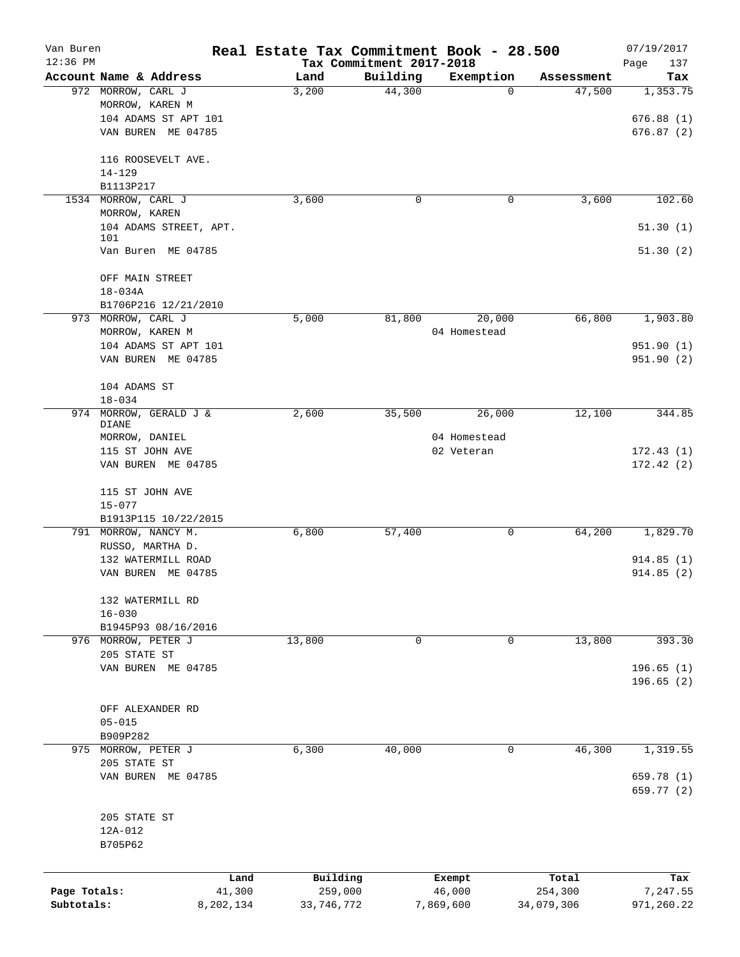| Van Buren<br>$12:36$ PM |                                                       |           | Real Estate Tax Commitment Book - 28.500 | Tax Commitment 2017-2018 |                            |            | 07/19/2017               |
|-------------------------|-------------------------------------------------------|-----------|------------------------------------------|--------------------------|----------------------------|------------|--------------------------|
|                         | Account Name & Address                                |           | Land                                     | Building                 | Exemption                  | Assessment | Page<br>137<br>Tax       |
|                         | 972 MORROW, CARL J<br>MORROW, KAREN M                 |           | 3,200                                    | 44,300                   | 0                          | 47,500     | 1,353.75                 |
|                         | 104 ADAMS ST APT 101                                  |           |                                          |                          |                            |            | 676.88(1)                |
|                         | VAN BUREN ME 04785                                    |           |                                          |                          |                            |            | 676.87(2)                |
|                         | 116 ROOSEVELT AVE.<br>$14 - 129$                      |           |                                          |                          |                            |            |                          |
|                         | B1113P217                                             |           |                                          |                          |                            |            |                          |
| 1534                    | MORROW, CARL J                                        |           | 3,600                                    | 0                        | $\mathbf 0$                | 3,600      | 102.60                   |
|                         | MORROW, KAREN                                         |           |                                          |                          |                            |            |                          |
|                         | 104 ADAMS STREET, APT.                                |           |                                          |                          |                            |            | 51.30(1)                 |
|                         | 101<br>Van Buren ME 04785                             |           |                                          |                          |                            |            | 51.30(2)                 |
|                         | OFF MAIN STREET                                       |           |                                          |                          |                            |            |                          |
|                         | $18 - 034A$                                           |           |                                          |                          |                            |            |                          |
|                         | B1706P216 12/21/2010                                  |           |                                          |                          |                            |            |                          |
|                         | 973 MORROW, CARL J                                    |           | 5,000                                    | 81,800                   | 20,000                     | 66,800     | 1,903.80                 |
|                         | MORROW, KAREN M                                       |           |                                          |                          | 04 Homestead               |            |                          |
|                         | 104 ADAMS ST APT 101<br>VAN BUREN ME 04785            |           |                                          |                          |                            |            | 951.90 (1)<br>951.90 (2) |
|                         |                                                       |           |                                          |                          |                            |            |                          |
|                         | 104 ADAMS ST                                          |           |                                          |                          |                            |            |                          |
|                         | $18 - 034$                                            |           |                                          |                          |                            |            |                          |
| 974                     | MORROW, GERALD J &                                    |           | 2,600                                    | 35,500                   | 26,000                     | 12,100     | 344.85                   |
|                         | DIANE                                                 |           |                                          |                          |                            |            |                          |
|                         | MORROW, DANIEL<br>115 ST JOHN AVE                     |           |                                          |                          | 04 Homestead<br>02 Veteran |            | 172.43(1)                |
|                         | VAN BUREN ME 04785                                    |           |                                          |                          |                            |            | 172.42(2)                |
|                         | 115 ST JOHN AVE<br>$15 - 077$<br>B1913P115 10/22/2015 |           |                                          |                          |                            |            |                          |
|                         | 791 MORROW, NANCY M.                                  |           | 6,800                                    | 57,400                   | 0                          | 64,200     | 1,829.70                 |
|                         | RUSSO, MARTHA D.                                      |           |                                          |                          |                            |            |                          |
|                         | 132 WATERMILL ROAD<br>VAN BUREN ME 04785              |           |                                          |                          |                            |            | 914.85(1)<br>914.85(2)   |
|                         |                                                       |           |                                          |                          |                            |            |                          |
|                         | 132 WATERMILL RD                                      |           |                                          |                          |                            |            |                          |
|                         | $16 - 030$                                            |           |                                          |                          |                            |            |                          |
|                         | B1945P93 08/16/2016                                   |           |                                          |                          |                            |            |                          |
|                         | 976 MORROW, PETER J                                   |           | 13,800                                   | $\mathbf 0$              | 0                          | 13,800     | 393.30                   |
|                         | 205 STATE ST                                          |           |                                          |                          |                            |            |                          |
|                         | VAN BUREN ME 04785                                    |           |                                          |                          |                            |            | 196.65(1)<br>196.65(2)   |
|                         |                                                       |           |                                          |                          |                            |            |                          |
|                         | OFF ALEXANDER RD                                      |           |                                          |                          |                            |            |                          |
|                         | $05 - 015$                                            |           |                                          |                          |                            |            |                          |
|                         | B909P282                                              |           |                                          |                          |                            |            |                          |
|                         | 975 MORROW, PETER J                                   |           | 6,300                                    | 40,000                   | 0                          | 46,300     | 1,319.55                 |
|                         | 205 STATE ST                                          |           |                                          |                          |                            |            |                          |
|                         | VAN BUREN ME 04785                                    |           |                                          |                          |                            |            | 659.78 (1)               |
|                         |                                                       |           |                                          |                          |                            |            | 659.77 (2)               |
|                         | 205 STATE ST                                          |           |                                          |                          |                            |            |                          |
|                         | 12A-012                                               |           |                                          |                          |                            |            |                          |
|                         | B705P62                                               |           |                                          |                          |                            |            |                          |
|                         |                                                       |           |                                          |                          |                            |            |                          |
|                         |                                                       | Land      | Building                                 |                          | Exempt                     | Total      | Tax                      |
| Page Totals:            |                                                       | 41,300    | 259,000                                  |                          | 46,000                     | 254,300    | 7,247.55                 |
| Subtotals:              |                                                       | 8,202,134 | 33, 746, 772                             |                          | 7,869,600                  | 34,079,306 | 971,260.22               |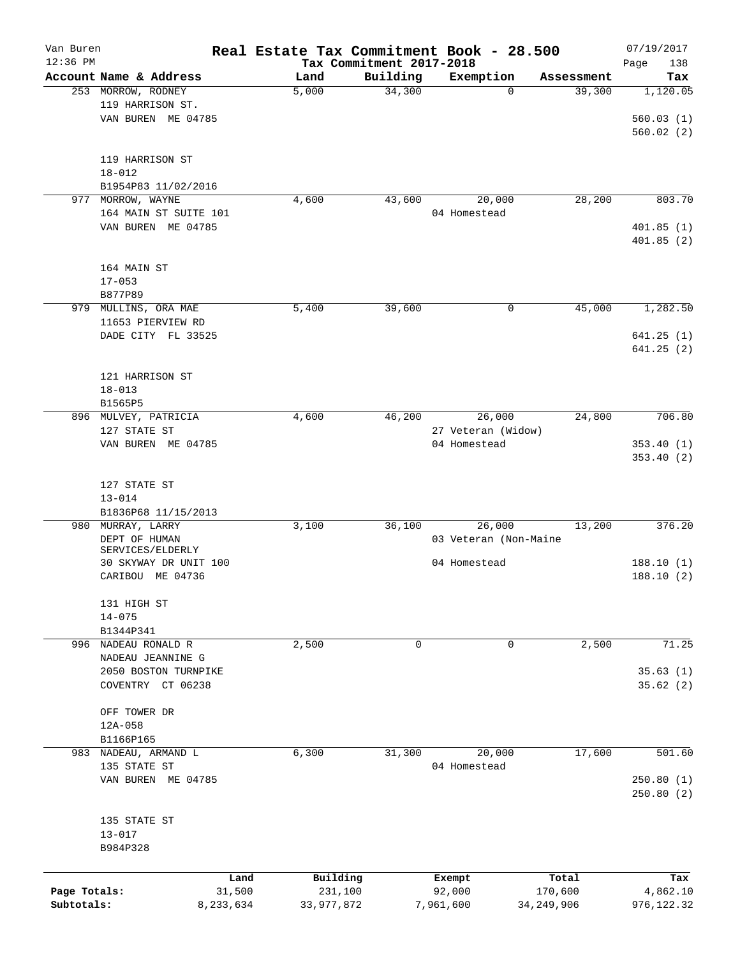| Van Buren<br>$12:36$ PM |                        |           | Real Estate Tax Commitment Book - 28.500 | Tax Commitment 2017-2018 |                       |              | 07/19/2017<br>Page<br>138 |
|-------------------------|------------------------|-----------|------------------------------------------|--------------------------|-----------------------|--------------|---------------------------|
|                         | Account Name & Address |           | Land                                     | Building                 | Exemption             | Assessment   | Tax                       |
|                         | 253 MORROW, RODNEY     |           | 5,000                                    | 34,300                   | 0                     | 39,300       | 1,120.05                  |
|                         | 119 HARRISON ST.       |           |                                          |                          |                       |              |                           |
|                         | VAN BUREN ME 04785     |           |                                          |                          |                       |              | 560.03(1)                 |
|                         |                        |           |                                          |                          |                       |              | 560.02(2)                 |
|                         |                        |           |                                          |                          |                       |              |                           |
|                         | 119 HARRISON ST        |           |                                          |                          |                       |              |                           |
|                         | $18 - 012$             |           |                                          |                          |                       |              |                           |
|                         | B1954P83 11/02/2016    |           |                                          |                          |                       |              |                           |
| 977                     | MORROW, WAYNE          |           | 4,600                                    | 43,600                   | 20,000                | 28,200       | 803.70                    |
|                         | 164 MAIN ST SUITE 101  |           |                                          |                          | 04 Homestead          |              |                           |
|                         | VAN BUREN ME 04785     |           |                                          |                          |                       |              | 401.85(1)                 |
|                         |                        |           |                                          |                          |                       |              | 401.85(2)                 |
|                         |                        |           |                                          |                          |                       |              |                           |
|                         | 164 MAIN ST            |           |                                          |                          |                       |              |                           |
|                         | $17 - 053$             |           |                                          |                          |                       |              |                           |
|                         | B877P89                |           |                                          |                          |                       |              |                           |
|                         | 979 MULLINS, ORA MAE   |           | 5,400                                    | 39,600                   | 0                     | 45,000       | 1,282.50                  |
|                         | 11653 PIERVIEW RD      |           |                                          |                          |                       |              |                           |
|                         | DADE CITY FL 33525     |           |                                          |                          |                       |              | 641.25(1)                 |
|                         |                        |           |                                          |                          |                       |              | 641.25(2)                 |
|                         |                        |           |                                          |                          |                       |              |                           |
|                         | 121 HARRISON ST        |           |                                          |                          |                       |              |                           |
|                         | $18 - 013$             |           |                                          |                          |                       |              |                           |
|                         | B1565P5                |           |                                          |                          |                       |              |                           |
|                         | 896 MULVEY, PATRICIA   |           | 4,600                                    | 46,200                   | 26,000                | 24,800       | 706.80                    |
|                         | 127 STATE ST           |           |                                          |                          | 27 Veteran (Widow)    |              |                           |
|                         | VAN BUREN ME 04785     |           |                                          |                          | 04 Homestead          |              | 353.40(1)                 |
|                         |                        |           |                                          |                          |                       |              | 353.40(2)                 |
|                         |                        |           |                                          |                          |                       |              |                           |
|                         | 127 STATE ST           |           |                                          |                          |                       |              |                           |
|                         | $13 - 014$             |           |                                          |                          |                       |              |                           |
|                         | B1836P68 11/15/2013    |           |                                          |                          |                       |              |                           |
| 980                     | MURRAY, LARRY          |           | 3,100                                    | 36,100                   | 26,000                | 13,200       | 376.20                    |
|                         | DEPT OF HUMAN          |           |                                          |                          | 03 Veteran (Non-Maine |              |                           |
|                         | SERVICES/ELDERLY       |           |                                          |                          |                       |              |                           |
|                         | 30 SKYWAY DR UNIT 100  |           |                                          |                          | 04 Homestead          |              | 188.10(1)                 |
|                         | CARIBOU ME 04736       |           |                                          |                          |                       |              | 188.10(2)                 |
|                         |                        |           |                                          |                          |                       |              |                           |
|                         | 131 HIGH ST            |           |                                          |                          |                       |              |                           |
|                         | $14 - 075$             |           |                                          |                          |                       |              |                           |
|                         | B1344P341              |           |                                          |                          |                       |              |                           |
|                         | 996 NADEAU RONALD R    |           | 2,500                                    | 0                        | 0                     | 2,500        | 71.25                     |
|                         | NADEAU JEANNINE G      |           |                                          |                          |                       |              |                           |
|                         | 2050 BOSTON TURNPIKE   |           |                                          |                          |                       |              | 35.63(1)                  |
|                         | COVENTRY CT 06238      |           |                                          |                          |                       |              | 35.62(2)                  |
|                         |                        |           |                                          |                          |                       |              |                           |
|                         | OFF TOWER DR           |           |                                          |                          |                       |              |                           |
|                         | $12A - 058$            |           |                                          |                          |                       |              |                           |
|                         | B1166P165              |           |                                          |                          |                       |              |                           |
|                         | 983 NADEAU, ARMAND L   |           | 6,300                                    | 31,300                   | 20,000                | 17,600       | 501.60                    |
|                         | 135 STATE ST           |           |                                          |                          | 04 Homestead          |              |                           |
|                         | VAN BUREN ME 04785     |           |                                          |                          |                       |              | 250.80(1)                 |
|                         |                        |           |                                          |                          |                       |              | 250.80(2)                 |
|                         |                        |           |                                          |                          |                       |              |                           |
|                         | 135 STATE ST           |           |                                          |                          |                       |              |                           |
|                         | $13 - 017$             |           |                                          |                          |                       |              |                           |
|                         | B984P328               |           |                                          |                          |                       |              |                           |
|                         |                        |           |                                          |                          |                       |              |                           |
|                         |                        | Land      | Building                                 |                          | Exempt                | Total        | Tax                       |
| Page Totals:            |                        | 31,500    | 231,100                                  |                          | 92,000                | 170,600      | 4,862.10                  |
| Subtotals:              |                        | 8,233,634 | 33,977,872                               |                          | 7,961,600             | 34, 249, 906 | 976,122.32                |
|                         |                        |           |                                          |                          |                       |              |                           |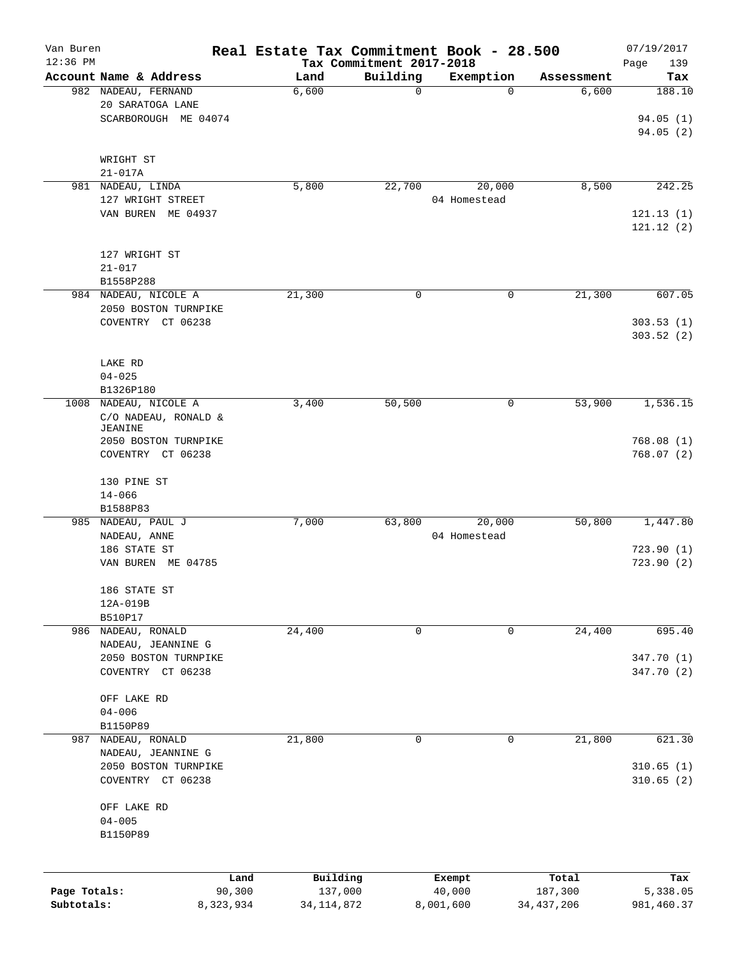| Van Buren                  |                                                                 | Real Estate Tax Commitment Book - 28.500 |                                      |                        |                         | 07/19/2017               |
|----------------------------|-----------------------------------------------------------------|------------------------------------------|--------------------------------------|------------------------|-------------------------|--------------------------|
| $12:36$ PM                 | Account Name & Address                                          | Land                                     | Tax Commitment 2017-2018<br>Building | Exemption              | Assessment              | Page<br>139<br>Tax       |
|                            | 982 NADEAU, FERNAND<br>20 SARATOGA LANE<br>SCARBOROUGH ME 04074 | 6,600                                    | $\mathbf 0$                          | 0                      | 6,600                   | 188.10<br>94.05(1)       |
|                            | WRIGHT ST                                                       |                                          |                                      |                        |                         | 94.05(2)                 |
|                            | $21 - 017A$<br>981 NADEAU, LINDA                                | 5,800                                    | 22,700                               | 20,000                 | 8,500                   | 242.25                   |
|                            | 127 WRIGHT STREET                                               |                                          |                                      | 04 Homestead           |                         |                          |
|                            | VAN BUREN ME 04937                                              |                                          |                                      |                        |                         | 121.13(1)<br>121.12(2)   |
|                            | 127 WRIGHT ST<br>$21 - 017$                                     |                                          |                                      |                        |                         |                          |
|                            | B1558P288<br>984 NADEAU, NICOLE A                               | 21,300                                   | 0                                    | 0                      | 21,300                  | 607.05                   |
|                            | 2050 BOSTON TURNPIKE                                            |                                          |                                      |                        |                         |                          |
|                            | COVENTRY CT 06238                                               |                                          |                                      |                        |                         | 303.53(1)<br>303.52(2)   |
|                            | LAKE RD<br>$04 - 025$                                           |                                          |                                      |                        |                         |                          |
|                            | B1326P180                                                       |                                          |                                      |                        |                         |                          |
|                            | 1008 NADEAU, NICOLE A<br>C/O NADEAU, RONALD &<br><b>JEANINE</b> | 3,400                                    | 50,500                               | 0                      | 53,900                  | 1,536.15                 |
|                            | 2050 BOSTON TURNPIKE<br>COVENTRY CT 06238                       |                                          |                                      |                        |                         | 768.08(1)<br>768.07(2)   |
|                            | 130 PINE ST<br>$14 - 066$                                       |                                          |                                      |                        |                         |                          |
|                            | B1588P83                                                        |                                          |                                      |                        |                         |                          |
|                            | 985 NADEAU, PAUL J<br>NADEAU, ANNE<br>186 STATE ST              | 7,000                                    | 63,800                               | 20,000<br>04 Homestead | 50,800                  | 1,447.80<br>723.90(1)    |
|                            | VAN BUREN ME 04785                                              |                                          |                                      |                        |                         | 723.90(2)                |
|                            | 186 STATE ST<br>12A-019B                                        |                                          |                                      |                        |                         |                          |
|                            | B510P17<br>986 NADEAU, RONALD                                   |                                          | 0                                    | 0                      |                         | 695.40                   |
|                            | NADEAU, JEANNINE G                                              | 24,400                                   |                                      |                        | 24,400                  |                          |
|                            | 2050 BOSTON TURNPIKE<br>COVENTRY CT 06238                       |                                          |                                      |                        |                         | 347.70 (1)<br>347.70 (2) |
|                            | OFF LAKE RD<br>$04 - 006$                                       |                                          |                                      |                        |                         |                          |
|                            | B1150P89<br>987 NADEAU, RONALD                                  | 21,800                                   | 0                                    | 0                      | 21,800                  | 621.30                   |
|                            | NADEAU, JEANNINE G                                              |                                          |                                      |                        |                         |                          |
|                            | 2050 BOSTON TURNPIKE<br>COVENTRY CT 06238                       |                                          |                                      |                        |                         | 310.65(1)<br>310.65(2)   |
|                            | OFF LAKE RD<br>$04 - 005$                                       |                                          |                                      |                        |                         |                          |
|                            | B1150P89                                                        |                                          |                                      |                        |                         |                          |
|                            |                                                                 | Building<br>Land                         |                                      | Exempt                 | Total                   | Tax                      |
| Page Totals:<br>Subtotals: | 90,300<br>8,323,934                                             | 137,000<br>34, 114, 872                  |                                      | 40,000<br>8,001,600    | 187,300<br>34, 437, 206 | 5,338.05<br>981,460.37   |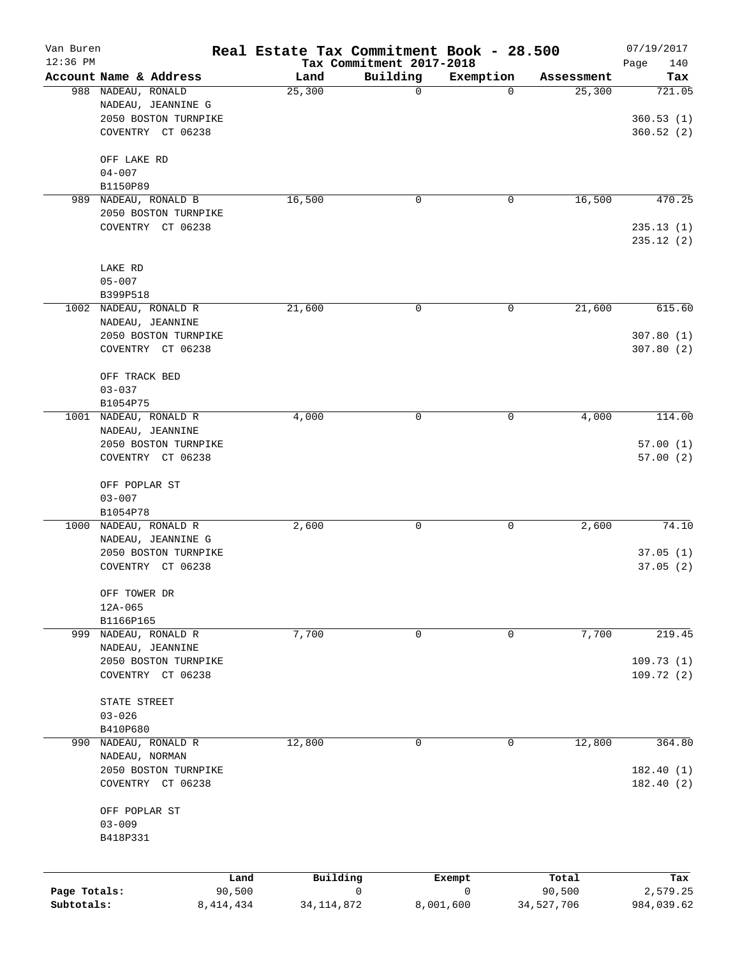| Van Buren<br>12:36 PM      |                                                                     |                       |              | Real Estate Tax Commitment Book - 28.500<br>Tax Commitment 2017-2018 |                |                      | 07/19/2017<br>140       |
|----------------------------|---------------------------------------------------------------------|-----------------------|--------------|----------------------------------------------------------------------|----------------|----------------------|-------------------------|
|                            | Account Name & Address                                              |                       | Land         | Building                                                             | Exemption      | Assessment           | Page<br>Tax             |
|                            | 988 NADEAU, RONALD<br>NADEAU, JEANNINE G                            |                       | 25,300       | 0                                                                    | $\mathbf 0$    | 25,300               | 721.05                  |
|                            | 2050 BOSTON TURNPIKE<br>COVENTRY CT 06238                           |                       |              |                                                                      |                |                      | 360.53(1)<br>360.52(2)  |
|                            | OFF LAKE RD<br>$04 - 007$                                           |                       |              |                                                                      |                |                      |                         |
|                            | B1150P89                                                            |                       |              |                                                                      |                |                      |                         |
|                            | 989 NADEAU, RONALD B                                                |                       | 16,500       | 0                                                                    | 0              | 16,500               | 470.25                  |
|                            | 2050 BOSTON TURNPIKE<br>COVENTRY CT 06238                           |                       |              |                                                                      |                |                      | 235.13(1)<br>235.12 (2) |
|                            | LAKE RD<br>$05 - 007$                                               |                       |              |                                                                      |                |                      |                         |
|                            | B399P518                                                            |                       |              |                                                                      |                |                      |                         |
|                            | 1002 NADEAU, RONALD R<br>NADEAU, JEANNINE                           |                       | 21,600       | 0                                                                    | 0              | 21,600               | 615.60                  |
|                            | 2050 BOSTON TURNPIKE<br>COVENTRY CT 06238                           |                       |              |                                                                      |                |                      | 307.80(1)<br>307.80 (2) |
|                            | OFF TRACK BED<br>$03 - 037$                                         |                       |              |                                                                      |                |                      |                         |
|                            | B1054P75                                                            |                       |              |                                                                      |                |                      |                         |
|                            | 1001 NADEAU, RONALD R<br>NADEAU, JEANNINE                           |                       | 4,000        | 0                                                                    | 0              | 4,000                | 114.00                  |
|                            | 2050 BOSTON TURNPIKE<br>COVENTRY CT 06238                           |                       |              |                                                                      |                |                      | 57.00(1)<br>57.00(2)    |
|                            | OFF POPLAR ST<br>$03 - 007$                                         |                       |              |                                                                      |                |                      |                         |
|                            | B1054P78                                                            |                       |              |                                                                      |                |                      |                         |
|                            | 1000 NADEAU, RONALD R<br>NADEAU, JEANNINE G<br>2050 BOSTON TURNPIKE |                       | 2,600        | 0                                                                    | 0              | 2,600                | 74.10<br>37.05(1)       |
|                            | COVENTRY CT 06238                                                   |                       |              |                                                                      |                |                      | 37.05(2)                |
|                            | OFF TOWER DR<br>$12A - 065$<br>B1166P165                            |                       |              |                                                                      |                |                      |                         |
|                            | 999 NADEAU, RONALD R                                                |                       | 7,700        | 0                                                                    | 0              | 7,700                | 219.45                  |
|                            | NADEAU, JEANNINE<br>2050 BOSTON TURNPIKE                            |                       |              |                                                                      |                |                      | 109.73(1)               |
|                            | COVENTRY CT 06238<br>STATE STREET                                   |                       |              |                                                                      |                |                      | 109.72(2)               |
|                            | $03 - 026$                                                          |                       |              |                                                                      |                |                      |                         |
|                            | B410P680                                                            |                       |              |                                                                      |                |                      |                         |
| 990                        | NADEAU, RONALD R<br>NADEAU, NORMAN                                  |                       | 12,800       | 0                                                                    | 0              | 12,800               | 364.80                  |
|                            | 2050 BOSTON TURNPIKE<br>COVENTRY CT 06238                           |                       |              |                                                                      |                |                      | 182.40 (1)<br>182.40(2) |
|                            | OFF POPLAR ST<br>$03 - 009$<br>B418P331                             |                       |              |                                                                      |                |                      |                         |
|                            |                                                                     |                       |              |                                                                      |                |                      |                         |
|                            |                                                                     | Land                  | Building     |                                                                      | Exempt         | Total                | Tax                     |
| Page Totals:<br>Subtotals: |                                                                     | 90,500<br>8, 414, 434 | 34, 114, 872 | 0                                                                    | 0<br>8,001,600 | 90,500<br>34,527,706 | 2,579.25<br>984,039.62  |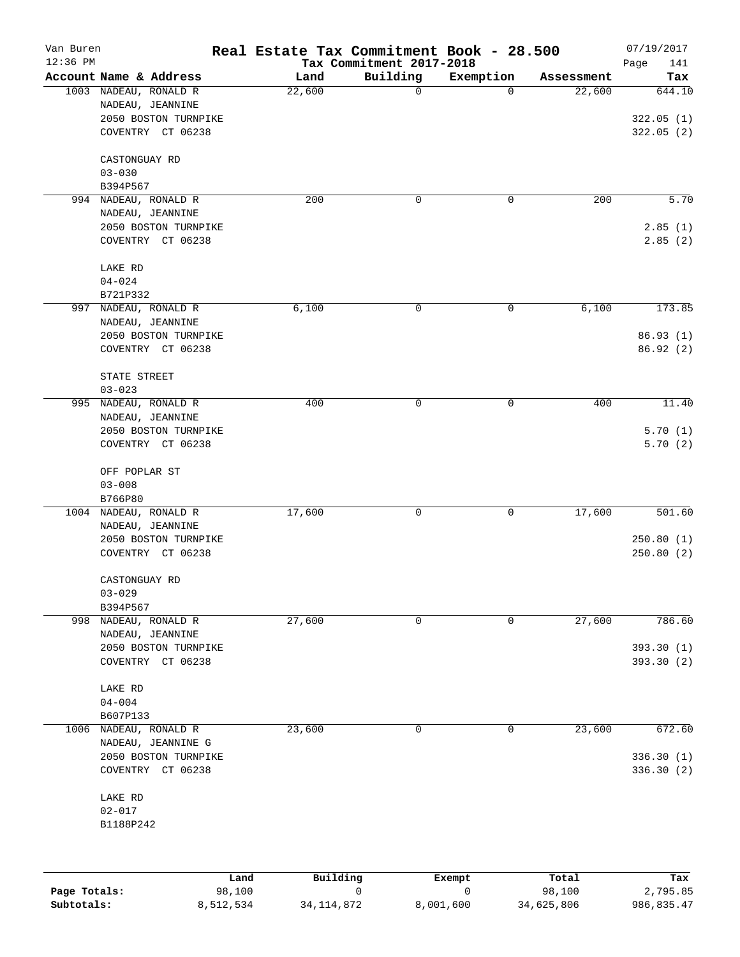| Van Buren<br>$12:36$ PM |                                                                                                            |        | Real Estate Tax Commitment Book - 28.500<br>Tax Commitment 2017-2018 |             |            | 07/19/2017<br>Page<br>141         |
|-------------------------|------------------------------------------------------------------------------------------------------------|--------|----------------------------------------------------------------------|-------------|------------|-----------------------------------|
|                         | Account Name & Address                                                                                     | Land   | Building                                                             | Exemption   | Assessment | Tax                               |
|                         | 1003 NADEAU, RONALD R<br>NADEAU, JEANNINE<br>2050 BOSTON TURNPIKE<br>COVENTRY CT 06238                     | 22,600 | 0                                                                    | $\Omega$    | 22,600     | 644.10<br>322.05(1)<br>322.05(2)  |
|                         | CASTONGUAY RD<br>$03 - 030$<br>B394P567                                                                    |        |                                                                      |             |            |                                   |
| 994                     | NADEAU, RONALD R<br>NADEAU, JEANNINE<br>2050 BOSTON TURNPIKE<br>COVENTRY CT 06238                          | 200    | 0                                                                    | 0           | 200        | 5.70<br>2.85(1)<br>2.85(2)        |
|                         | LAKE RD<br>$04 - 024$<br>B721P332                                                                          |        |                                                                      |             |            |                                   |
| 997                     | NADEAU, RONALD R<br>NADEAU, JEANNINE<br>2050 BOSTON TURNPIKE<br>COVENTRY CT 06238<br>STATE STREET          | 6,100  | 0                                                                    | 0           | 6,100      | 173.85<br>86.93(1)<br>86.92(2)    |
| 995                     | $03 - 023$<br>NADEAU, RONALD R<br>NADEAU, JEANNINE<br>2050 BOSTON TURNPIKE<br>COVENTRY CT 06238            | 400    | 0                                                                    | 0           | 400        | 11.40<br>5.70(1)<br>5.70(2)       |
|                         | OFF POPLAR ST<br>$03 - 008$<br>B766P80                                                                     |        |                                                                      |             |            |                                   |
| 1004                    | NADEAU, RONALD R<br>NADEAU, JEANNINE<br>2050 BOSTON TURNPIKE<br>COVENTRY CT 06238                          | 17,600 | 0                                                                    | 0           | 17,600     | 501.60<br>250.80(1)<br>250.80(2)  |
|                         | CASTONGUAY RD<br>$03 - 029$<br>B394P567                                                                    |        |                                                                      |             |            |                                   |
| 998                     | NADEAU, RONALD R<br>NADEAU, JEANNINE<br>2050 BOSTON TURNPIKE<br>COVENTRY CT 06238<br>LAKE RD<br>$04 - 004$ | 27,600 | 0                                                                    | $\mathbf 0$ | 27,600     | 786.60<br>393.30(1)<br>393.30 (2) |
| 1006                    | B607P133<br>NADEAU, RONALD R<br>NADEAU, JEANNINE G<br>2050 BOSTON TURNPIKE<br>COVENTRY CT 06238            | 23,600 | 0                                                                    | 0           | 23,600     | 672.60<br>336.30(1)<br>336.30 (2) |
|                         | LAKE RD<br>$02 - 017$<br>B1188P242                                                                         |        |                                                                      |             |            |                                   |

|              | Land      | Building     | Exempt    | Total      | Tax        |
|--------------|-----------|--------------|-----------|------------|------------|
| Page Totals: | 98,100    |              |           | 98,100     | 2,795.85   |
| Subtotals:   | 8,512,534 | 34, 114, 872 | 8,001,600 | 34,625,806 | 986,835.47 |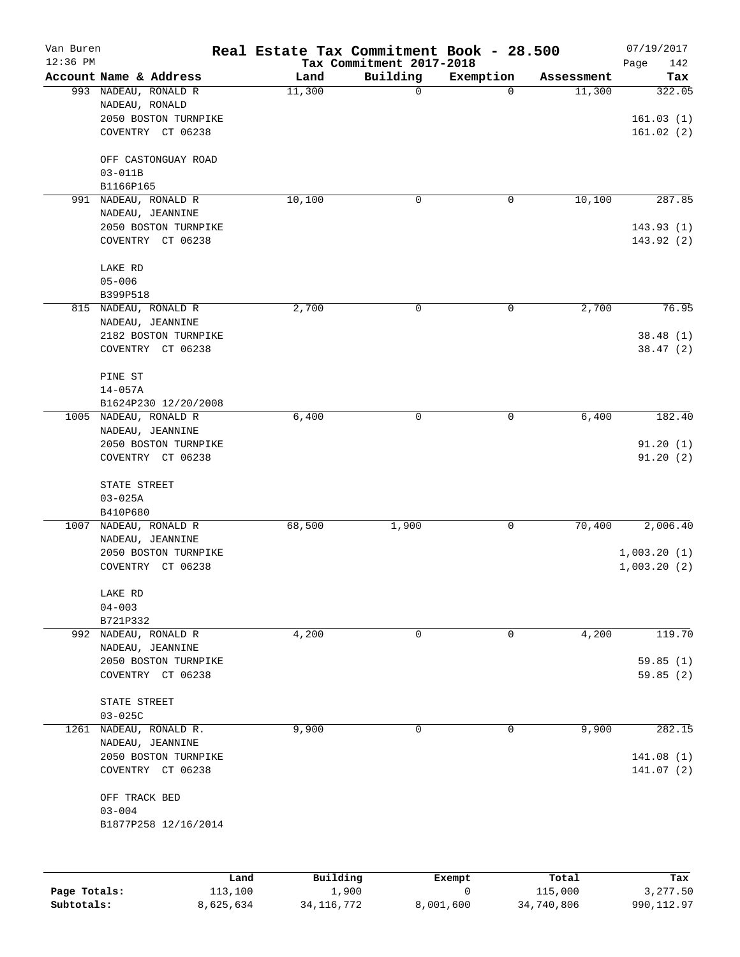| Van Buren<br>$12:36$ PM |                                                                                       | Real Estate Tax Commitment Book - 28.500 | Tax Commitment 2017-2018 |             |            | 07/19/2017<br>Page<br>142              |
|-------------------------|---------------------------------------------------------------------------------------|------------------------------------------|--------------------------|-------------|------------|----------------------------------------|
|                         | Account Name & Address                                                                | Land                                     | Building                 | Exemption   | Assessment | Tax                                    |
|                         | 993 NADEAU, RONALD R<br>NADEAU, RONALD<br>2050 BOSTON TURNPIKE<br>COVENTRY CT 06238   | 11,300                                   | 0                        | $\Omega$    | 11,300     | 322.05<br>161.03(1)<br>161.02(2)       |
|                         | OFF CASTONGUAY ROAD<br>$03 - 011B$                                                    |                                          |                          |             |            |                                        |
|                         | B1166P165                                                                             |                                          |                          |             |            |                                        |
| 991                     | NADEAU, RONALD R<br>NADEAU, JEANNINE<br>2050 BOSTON TURNPIKE<br>COVENTRY CT 06238     | 10,100                                   | 0                        | 0           | 10,100     | 287.85<br>143.93(1)<br>143.92 (2)      |
|                         | LAKE RD<br>$05 - 006$<br>B399P518                                                     |                                          |                          |             |            |                                        |
|                         | 815 NADEAU, RONALD R<br>NADEAU, JEANNINE<br>2182 BOSTON TURNPIKE<br>COVENTRY CT 06238 | 2,700                                    | 0                        | 0           | 2,700      | 76.95<br>38.48(1)<br>38.47(2)          |
|                         | PINE ST<br>$14 - 057A$<br>B1624P230 12/20/2008                                        |                                          |                          |             |            |                                        |
|                         | 1005 NADEAU, RONALD R                                                                 | 6,400                                    | 0                        | 0           | 6,400      | 182.40                                 |
|                         | NADEAU, JEANNINE<br>2050 BOSTON TURNPIKE<br>COVENTRY CT 06238                         |                                          |                          |             |            | 91.20(1)<br>91.20(2)                   |
|                         | STATE STREET<br>$03 - 025A$<br>B410P680                                               |                                          |                          |             |            |                                        |
| 1007                    | NADEAU, RONALD R<br>NADEAU, JEANNINE<br>2050 BOSTON TURNPIKE<br>COVENTRY CT 06238     | 68,500                                   | 1,900                    | 0           | 70,400     | 2,006.40<br>1,003.20(1)<br>1,003.20(2) |
|                         | LAKE RD<br>$04 - 003$<br>B721P332                                                     |                                          |                          |             |            |                                        |
|                         | 992 NADEAU, RONALD R                                                                  | 4,200                                    | 0                        | 0           | 4,200      | 119.70                                 |
|                         | NADEAU, JEANNINE<br>2050 BOSTON TURNPIKE<br>COVENTRY CT 06238                         |                                          |                          |             |            | 59.85(1)<br>59.85(2)                   |
|                         | STATE STREET                                                                          |                                          |                          |             |            |                                        |
| 1261                    | $03 - 025C$<br>NADEAU, RONALD R.                                                      | 9,900                                    | 0                        | $\mathbf 0$ | 9,900      | 282.15                                 |
|                         | NADEAU, JEANNINE<br>2050 BOSTON TURNPIKE<br>COVENTRY CT 06238                         |                                          |                          |             |            | 141.08(1)<br>141.07 (2)                |
|                         | OFF TRACK BED<br>$03 - 004$<br>B1877P258 12/16/2014                                   |                                          |                          |             |            |                                        |
|                         |                                                                                       | Building<br>Land                         |                          | Exempt      | Total      | Tax                                    |
| Page Totals:            | 113,100                                                                               |                                          | 1,900                    | 0           | 115,000    | 3,277.50                               |

**Subtotals:** 8,625,634 34,116,772 8,001,600 34,740,806 990,112.97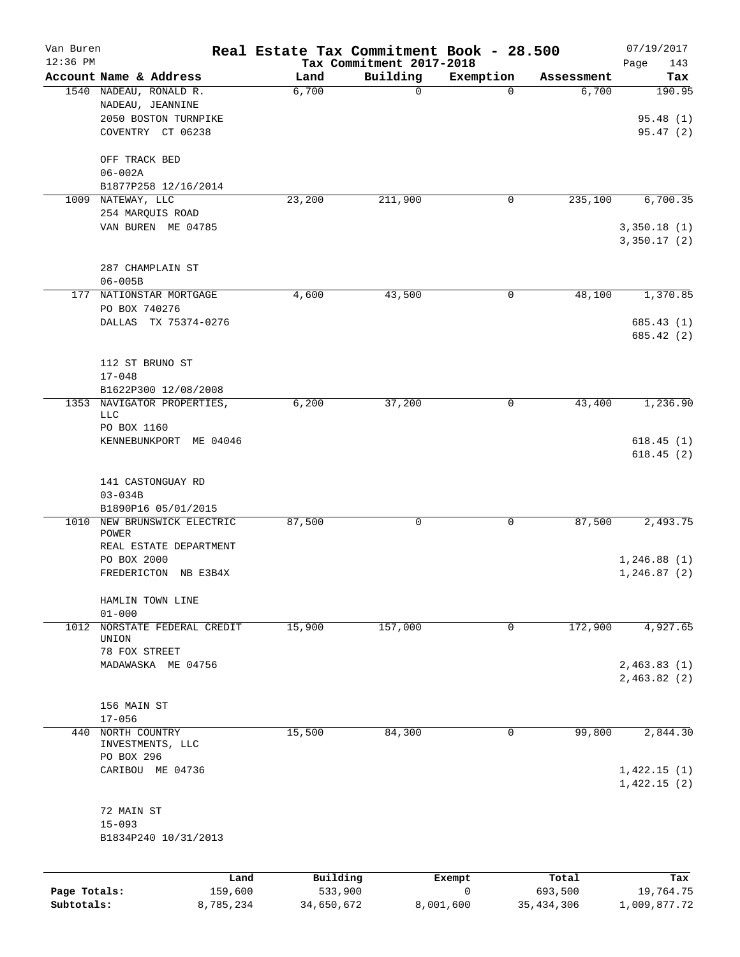| Van Buren<br>$12:36$ PM |                                                                    | Real Estate Tax Commitment Book - 28.500 | Tax Commitment 2017-2018 |             |              | 07/19/2017<br>143<br>Page  |
|-------------------------|--------------------------------------------------------------------|------------------------------------------|--------------------------|-------------|--------------|----------------------------|
|                         | Account Name & Address                                             | Land                                     | Building                 | Exemption   | Assessment   | Tax                        |
|                         | 1540 NADEAU, RONALD R.<br>NADEAU, JEANNINE<br>2050 BOSTON TURNPIKE | 6,700                                    | 0                        | $\Omega$    | 6,700        | 190.95<br>95.48(1)         |
|                         | COVENTRY CT 06238                                                  |                                          |                          |             |              | 95.47(2)                   |
|                         | OFF TRACK BED<br>$06 - 002A$                                       |                                          |                          |             |              |                            |
|                         | B1877P258 12/16/2014                                               |                                          |                          |             |              |                            |
| 1009                    | NATEWAY, LLC<br>254 MARQUIS ROAD                                   | 23,200                                   | 211,900                  | 0           | 235,100      | 6,700.35                   |
|                         | VAN BUREN ME 04785                                                 |                                          |                          |             |              | 3,350.18(1)<br>3,350.17(2) |
|                         | 287 CHAMPLAIN ST                                                   |                                          |                          |             |              |                            |
|                         | $06 - 005B$                                                        |                                          |                          |             |              |                            |
| 177                     | NATIONSTAR MORTGAGE                                                | 4,600                                    | 43,500                   | 0           | 48,100       | 1,370.85                   |
|                         | PO BOX 740276<br>DALLAS                                            |                                          |                          |             |              | 685.43 (1)                 |
|                         | TX 75374-0276                                                      |                                          |                          |             |              | 685.42 (2)                 |
|                         | 112 ST BRUNO ST                                                    |                                          |                          |             |              |                            |
|                         | $17 - 048$                                                         |                                          |                          |             |              |                            |
| 1353                    | B1622P300 12/08/2008<br>NAVIGATOR PROPERTIES,<br><b>LLC</b>        | 6,200                                    | 37,200                   | 0           | 43,400       | 1,236.90                   |
|                         | PO BOX 1160                                                        |                                          |                          |             |              |                            |
|                         | KENNEBUNKPORT ME 04046                                             |                                          |                          |             |              | 618.45(1)                  |
|                         |                                                                    |                                          |                          |             |              | 618.45(2)                  |
|                         | 141 CASTONGUAY RD<br>$03 - 034B$                                   |                                          |                          |             |              |                            |
|                         | B1890P16 05/01/2015                                                |                                          |                          |             |              |                            |
| 1010                    | NEW BRUNSWICK ELECTRIC<br>POWER<br>REAL ESTATE DEPARTMENT          | 87,500                                   | 0                        | 0           | 87,500       | 2,493.75                   |
|                         | PO BOX 2000                                                        |                                          |                          |             |              | 1,246.88(1)                |
|                         | FREDERICTON NB E3B4X                                               |                                          |                          |             |              | 1, 246.87(2)               |
|                         | HAMLIN TOWN LINE<br>$01 - 000$<br>NORSTATE FEDERAL CREDIT          | 15,900                                   | 157,000                  | 0           | 172,900      | 4,927.65                   |
| 1012                    | UNION<br>78 FOX STREET                                             |                                          |                          |             |              |                            |
|                         | MADAWASKA ME 04756                                                 |                                          |                          |             |              | 2,463.83(1)                |
|                         |                                                                    |                                          |                          |             |              | 2,463.82(2)                |
|                         | 156 MAIN ST<br>$17 - 056$                                          |                                          |                          |             |              |                            |
| 440                     | NORTH COUNTRY<br>INVESTMENTS, LLC                                  | 15,500                                   | 84,300                   | 0           | 99,800       | 2,844.30                   |
|                         | PO BOX 296<br>CARIBOU ME 04736                                     |                                          |                          |             |              | 1,422.15(1)<br>1,422.15(2) |
|                         | 72 MAIN ST                                                         |                                          |                          |             |              |                            |
|                         | $15 - 093$<br>B1834P240 10/31/2013                                 |                                          |                          |             |              |                            |
|                         | Land                                                               | Building                                 |                          | Exempt      | Total        | Tax                        |
| Page Totals:            | 159,600                                                            | 533,900                                  |                          | $\mathbf 0$ | 693,500      | 19,764.75                  |
| Subtotals:              | 8,785,234                                                          | 34,650,672                               |                          | 8,001,600   | 35, 434, 306 | 1,009,877.72               |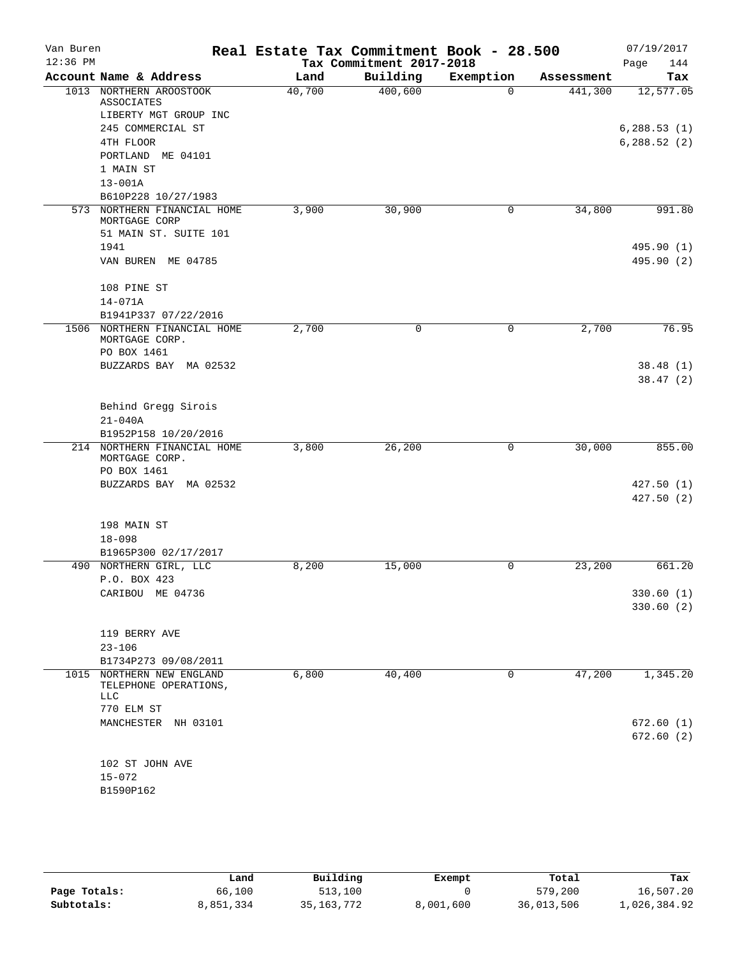| Van Buren<br>$12:36$ PM |                                                | Real Estate Tax Commitment Book - 28.500 |                                      |           |            | 07/19/2017         |
|-------------------------|------------------------------------------------|------------------------------------------|--------------------------------------|-----------|------------|--------------------|
|                         | Account Name & Address                         | Land                                     | Tax Commitment 2017-2018<br>Building | Exemption | Assessment | Page<br>144<br>Tax |
|                         | 1013 NORTHERN AROOSTOOK                        | 40,700                                   | 400,600                              | $\Omega$  | 441,300    | 12,577.05          |
|                         | ASSOCIATES                                     |                                          |                                      |           |            |                    |
|                         | LIBERTY MGT GROUP INC                          |                                          |                                      |           |            |                    |
|                         | 245 COMMERCIAL ST                              |                                          |                                      |           |            | 6, 288.53(1)       |
|                         | 4TH FLOOR                                      |                                          |                                      |           |            | 6, 288.52(2)       |
|                         | PORTLAND ME 04101                              |                                          |                                      |           |            |                    |
|                         | 1 MAIN ST                                      |                                          |                                      |           |            |                    |
|                         | $13 - 001A$                                    |                                          |                                      |           |            |                    |
| 573                     | B610P228 10/27/1983<br>NORTHERN FINANCIAL HOME | 3,900                                    | 30,900                               | 0         | 34,800     | 991.80             |
|                         | MORTGAGE CORP                                  |                                          |                                      |           |            |                    |
|                         | 51 MAIN ST. SUITE 101                          |                                          |                                      |           |            |                    |
|                         | 1941                                           |                                          |                                      |           |            | 495.90 (1)         |
|                         | VAN BUREN ME 04785                             |                                          |                                      |           |            | 495.90 (2)         |
|                         | 108 PINE ST                                    |                                          |                                      |           |            |                    |
|                         | $14 - 071A$                                    |                                          |                                      |           |            |                    |
|                         | B1941P337 07/22/2016                           |                                          |                                      |           |            |                    |
| 1506                    | NORTHERN FINANCIAL HOME<br>MORTGAGE CORP.      | 2,700                                    | 0                                    | 0         | 2,700      | 76.95              |
|                         | PO BOX 1461                                    |                                          |                                      |           |            |                    |
|                         | BUZZARDS BAY MA 02532                          |                                          |                                      |           |            | 38.48(1)           |
|                         |                                                |                                          |                                      |           |            | 38.47(2)           |
|                         | Behind Gregg Sirois                            |                                          |                                      |           |            |                    |
|                         | $21 - 040A$                                    |                                          |                                      |           |            |                    |
|                         | B1952P158 10/20/2016                           |                                          |                                      |           |            |                    |
|                         | 214 NORTHERN FINANCIAL HOME                    | 3,800                                    | 26,200                               | 0         | 30,000     | 855.00             |
|                         | MORTGAGE CORP.                                 |                                          |                                      |           |            |                    |
|                         | PO BOX 1461<br>BUZZARDS BAY MA 02532           |                                          |                                      |           |            | 427.50(1)          |
|                         |                                                |                                          |                                      |           |            | 427.50(2)          |
|                         |                                                |                                          |                                      |           |            |                    |
|                         | 198 MAIN ST                                    |                                          |                                      |           |            |                    |
|                         | $18 - 098$                                     |                                          |                                      |           |            |                    |
|                         | B1965P300 02/17/2017                           |                                          |                                      |           |            |                    |
|                         | 490 NORTHERN GIRL, LLC                         | 8,200                                    | 15,000                               | 0         | 23,200     | 661.20             |
|                         | P.O. BOX 423                                   |                                          |                                      |           |            |                    |
|                         | CARIBOU ME 04736                               |                                          |                                      |           |            | 330.60 (1)         |
|                         |                                                |                                          |                                      |           |            | 330.60(2)          |
|                         | 119 BERRY AVE                                  |                                          |                                      |           |            |                    |
|                         | $23 - 106$                                     |                                          |                                      |           |            |                    |
|                         | B1734P273 09/08/2011                           |                                          |                                      |           |            |                    |
| 1015                    | NORTHERN NEW ENGLAND                           | 6,800                                    | 40,400                               | 0         | 47,200     | 1,345.20           |
|                         | TELEPHONE OPERATIONS,<br>LLC                   |                                          |                                      |           |            |                    |
|                         | 770 ELM ST                                     |                                          |                                      |           |            |                    |
|                         | MANCHESTER NH 03101                            |                                          |                                      |           |            | 672.60 (1)         |
|                         |                                                |                                          |                                      |           |            | 672.60 (2)         |
|                         | 102 ST JOHN AVE                                |                                          |                                      |           |            |                    |
|                         | $15 - 072$                                     |                                          |                                      |           |            |                    |
|                         | B1590P162                                      |                                          |                                      |           |            |                    |
|                         |                                                |                                          |                                      |           |            |                    |

|              | Land      | Building     | Exempt    | Total      | Tax          |
|--------------|-----------|--------------|-----------|------------|--------------|
| Page Totals: | 66,100    | 513,100      |           | 579,200    | 16,507.20    |
| Subtotals:   | 8,851,334 | 35, 163, 772 | 8,001,600 | 36,013,506 | 1,026,384.92 |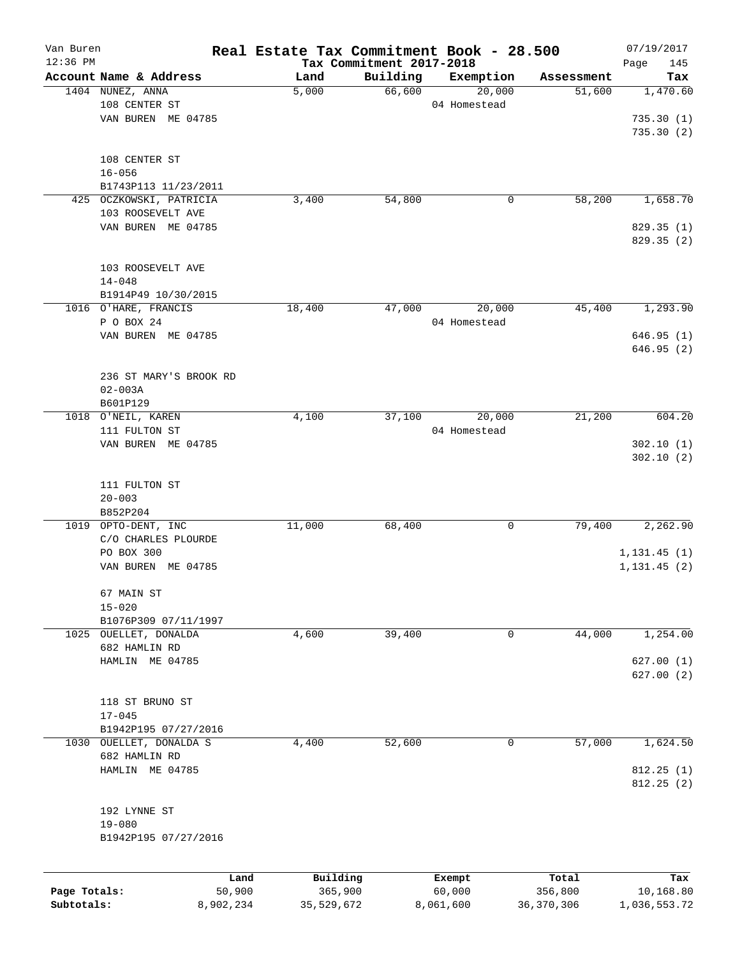| Van Buren    |                         |           | Real Estate Tax Commitment Book - 28.500 |                          |              |              | 07/19/2017   |
|--------------|-------------------------|-----------|------------------------------------------|--------------------------|--------------|--------------|--------------|
| $12:36$ PM   |                         |           |                                          | Tax Commitment 2017-2018 |              |              | Page<br>145  |
|              | Account Name & Address  |           | Land                                     | Building                 | Exemption    | Assessment   | Tax          |
|              | 1404 NUNEZ, ANNA        |           | 5,000                                    | 66,600                   | 20,000       | 51,600       | 1,470.60     |
|              | 108 CENTER ST           |           |                                          |                          | 04 Homestead |              |              |
|              | VAN BUREN ME 04785      |           |                                          |                          |              |              | 735.30(1)    |
|              |                         |           |                                          |                          |              |              | 735.30(2)    |
|              |                         |           |                                          |                          |              |              |              |
|              | 108 CENTER ST           |           |                                          |                          |              |              |              |
|              | $16 - 056$              |           |                                          |                          |              |              |              |
|              | B1743P113 11/23/2011    |           |                                          |                          |              |              |              |
|              | 425 OCZKOWSKI, PATRICIA |           | 3,400                                    | 54,800                   | 0            | 58,200       | 1,658.70     |
|              | 103 ROOSEVELT AVE       |           |                                          |                          |              |              |              |
|              | VAN BUREN ME 04785      |           |                                          |                          |              |              | 829.35 (1)   |
|              |                         |           |                                          |                          |              |              | 829.35 (2)   |
|              |                         |           |                                          |                          |              |              |              |
|              | 103 ROOSEVELT AVE       |           |                                          |                          |              |              |              |
|              | $14 - 048$              |           |                                          |                          |              |              |              |
|              | B1914P49 10/30/2015     |           |                                          |                          |              |              |              |
|              | 1016 O'HARE, FRANCIS    |           | 18,400                                   | 47,000                   | 20,000       | 45,400       | 1, 293.90    |
|              | P O BOX 24              |           |                                          |                          | 04 Homestead |              |              |
|              | VAN BUREN ME 04785      |           |                                          |                          |              |              | 646.95 (1)   |
|              |                         |           |                                          |                          |              |              | 646.95 (2)   |
|              |                         |           |                                          |                          |              |              |              |
|              | 236 ST MARY'S BROOK RD  |           |                                          |                          |              |              |              |
|              | $02 - 003A$             |           |                                          |                          |              |              |              |
|              | B601P129                |           |                                          |                          |              |              |              |
|              | 1018 O'NEIL, KAREN      |           | 4,100                                    | 37,100                   | 20,000       | 21,200       | 604.20       |
|              | 111 FULTON ST           |           |                                          |                          | 04 Homestead |              |              |
|              | VAN BUREN ME 04785      |           |                                          |                          |              |              | 302.10(1)    |
|              |                         |           |                                          |                          |              |              | 302.10(2)    |
|              |                         |           |                                          |                          |              |              |              |
|              | 111 FULTON ST           |           |                                          |                          |              |              |              |
|              | $20 - 003$              |           |                                          |                          |              |              |              |
|              | B852P204                |           |                                          |                          |              |              |              |
| 1019         | OPTO-DENT, INC          |           | 11,000                                   | 68,400                   | 0            | 79,400       | 2,262.90     |
|              | C/O CHARLES PLOURDE     |           |                                          |                          |              |              |              |
|              |                         |           |                                          |                          |              |              |              |
|              | PO BOX 300              |           |                                          |                          |              |              | 1, 131.45(1) |
|              | VAN BUREN ME 04785      |           |                                          |                          |              |              | 1, 131.45(2) |
|              |                         |           |                                          |                          |              |              |              |
|              | 67 MAIN ST              |           |                                          |                          |              |              |              |
|              | $15 - 020$              |           |                                          |                          |              |              |              |
|              | B1076P309 07/11/1997    |           |                                          |                          |              |              |              |
| 1025         | OUELLET, DONALDA        |           | 4,600                                    | 39,400                   | 0            | 44,000       | 1,254.00     |
|              | 682 HAMLIN RD           |           |                                          |                          |              |              |              |
|              | HAMLIN ME 04785         |           |                                          |                          |              |              | 627.00 (1)   |
|              |                         |           |                                          |                          |              |              | 627.00(2)    |
|              |                         |           |                                          |                          |              |              |              |
|              | 118 ST BRUNO ST         |           |                                          |                          |              |              |              |
|              | $17 - 045$              |           |                                          |                          |              |              |              |
|              | B1942P195 07/27/2016    |           |                                          |                          |              |              |              |
| 1030         | OUELLET, DONALDA S      |           | 4,400                                    | 52,600                   | 0            | 57,000       | 1,624.50     |
|              | 682 HAMLIN RD           |           |                                          |                          |              |              |              |
|              | HAMLIN ME 04785         |           |                                          |                          |              |              | 812.25 (1)   |
|              |                         |           |                                          |                          |              |              | 812.25(2)    |
|              |                         |           |                                          |                          |              |              |              |
|              | 192 LYNNE ST            |           |                                          |                          |              |              |              |
|              | $19 - 080$              |           |                                          |                          |              |              |              |
|              | B1942P195 07/27/2016    |           |                                          |                          |              |              |              |
|              |                         |           |                                          |                          |              |              |              |
|              |                         |           |                                          |                          |              |              |              |
|              |                         | Land      | Building                                 |                          | Exempt       | Total        | Tax          |
| Page Totals: |                         | 50,900    | 365,900                                  |                          | 60,000       | 356,800      | 10,168.80    |
| Subtotals:   |                         | 8,902,234 | 35,529,672                               |                          | 8,061,600    | 36, 370, 306 | 1,036,553.72 |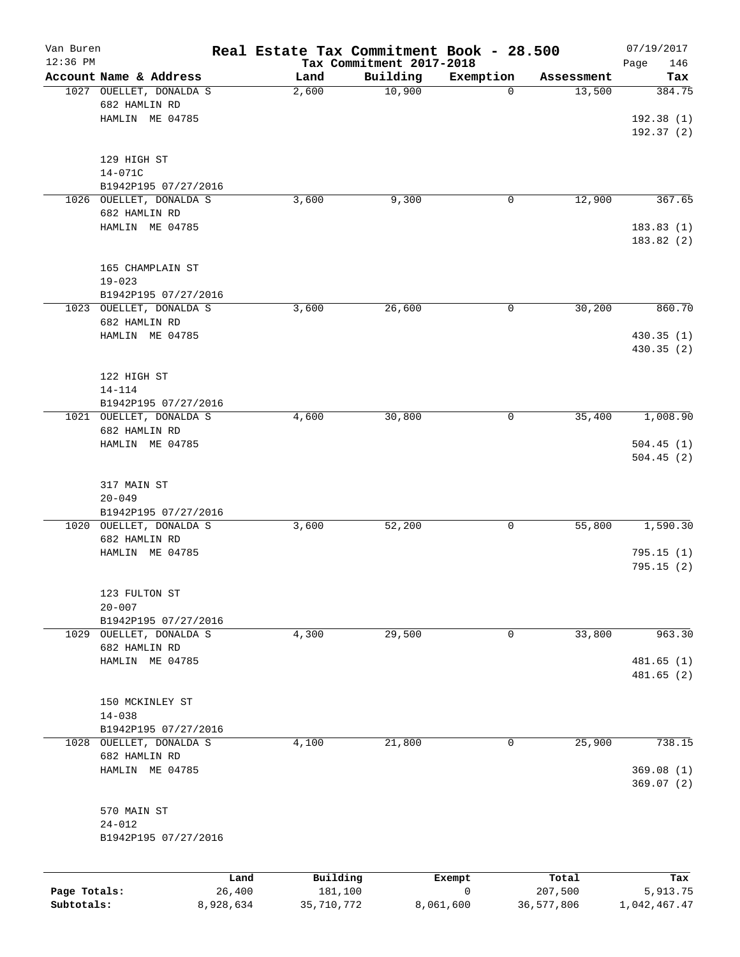| Van Buren    |                                          |           | Real Estate Tax Commitment Book - 28.500 |                          |                |                      | 07/19/2017    |
|--------------|------------------------------------------|-----------|------------------------------------------|--------------------------|----------------|----------------------|---------------|
| $12:36$ PM   | Account Name & Address                   |           |                                          | Tax Commitment 2017-2018 |                |                      | 146<br>Page   |
|              | 1027 OUELLET, DONALDA S                  |           | Land<br>2,600                            | Building<br>10,900       | Exemption<br>0 | Assessment<br>13,500 | Tax<br>384.75 |
|              | 682 HAMLIN RD                            |           |                                          |                          |                |                      |               |
|              |                                          |           |                                          |                          |                |                      |               |
|              | HAMLIN ME 04785                          |           |                                          |                          |                |                      | 192.38(1)     |
|              |                                          |           |                                          |                          |                |                      | 192.37(2)     |
|              | 129 HIGH ST                              |           |                                          |                          |                |                      |               |
| $14 - 071C$  |                                          |           |                                          |                          |                |                      |               |
|              | B1942P195 07/27/2016                     |           |                                          |                          |                |                      |               |
|              | 1026 OUELLET, DONALDA S                  |           | 3,600                                    | 9,300                    | 0              | 12,900               | 367.65        |
|              | 682 HAMLIN RD                            |           |                                          |                          |                |                      |               |
|              | HAMLIN ME 04785                          |           |                                          |                          |                |                      | 183.83(1)     |
|              |                                          |           |                                          |                          |                |                      | 183.82 (2)    |
|              |                                          |           |                                          |                          |                |                      |               |
|              | 165 CHAMPLAIN ST                         |           |                                          |                          |                |                      |               |
|              | $19 - 023$                               |           |                                          |                          |                |                      |               |
|              | B1942P195 07/27/2016                     |           |                                          |                          |                |                      |               |
|              | 1023 OUELLET, DONALDA S                  |           | 3,600                                    | 26,600                   | 0              | 30,200               | 860.70        |
|              | 682 HAMLIN RD                            |           |                                          |                          |                |                      |               |
|              | HAMLIN ME 04785                          |           |                                          |                          |                |                      | 430.35(1)     |
|              |                                          |           |                                          |                          |                |                      | 430.35(2)     |
|              |                                          |           |                                          |                          |                |                      |               |
|              | 122 HIGH ST                              |           |                                          |                          |                |                      |               |
|              | $14 - 114$                               |           |                                          |                          |                |                      |               |
|              | B1942P195 07/27/2016                     |           | 4,600                                    |                          | 0              | 35,400               | 1,008.90      |
|              | 1021 OUELLET, DONALDA S<br>682 HAMLIN RD |           |                                          | 30,800                   |                |                      |               |
|              |                                          |           |                                          |                          |                |                      |               |
|              | HAMLIN ME 04785                          |           |                                          |                          |                |                      | 504.45(1)     |
|              |                                          |           |                                          |                          |                |                      | 504.45(2)     |
|              | 317 MAIN ST                              |           |                                          |                          |                |                      |               |
|              | $20 - 049$                               |           |                                          |                          |                |                      |               |
|              | B1942P195 07/27/2016                     |           |                                          |                          |                |                      |               |
|              | 1020 OUELLET, DONALDA S                  |           | 3,600                                    | 52,200                   | 0              | 55,800               | 1,590.30      |
|              | 682 HAMLIN RD                            |           |                                          |                          |                |                      |               |
|              | HAMLIN ME 04785                          |           |                                          |                          |                |                      | 795.15(1)     |
|              |                                          |           |                                          |                          |                |                      | 795.15(2)     |
|              |                                          |           |                                          |                          |                |                      |               |
|              | 123 FULTON ST                            |           |                                          |                          |                |                      |               |
|              | $20 - 007$                               |           |                                          |                          |                |                      |               |
|              | B1942P195 07/27/2016                     |           |                                          |                          |                |                      |               |
|              | 1029 OUELLET, DONALDA S                  |           | 4,300                                    | 29,500                   | 0              | 33,800               | 963.30        |
|              | 682 HAMLIN RD                            |           |                                          |                          |                |                      |               |
|              | HAMLIN ME 04785                          |           |                                          |                          |                |                      | 481.65(1)     |
|              |                                          |           |                                          |                          |                |                      | 481.65 (2)    |
|              |                                          |           |                                          |                          |                |                      |               |
|              | 150 MCKINLEY ST                          |           |                                          |                          |                |                      |               |
|              | $14 - 038$                               |           |                                          |                          |                |                      |               |
|              | B1942P195 07/27/2016                     |           |                                          |                          |                |                      |               |
|              | 1028 OUELLET, DONALDA S                  |           | 4,100                                    | 21,800                   | 0              | 25,900               | 738.15        |
|              | 682 HAMLIN RD                            |           |                                          |                          |                |                      |               |
|              | HAMLIN ME 04785                          |           |                                          |                          |                |                      | 369.08(1)     |
|              |                                          |           |                                          |                          |                |                      | 369.07(2)     |
|              |                                          |           |                                          |                          |                |                      |               |
|              | 570 MAIN ST                              |           |                                          |                          |                |                      |               |
|              | $24 - 012$                               |           |                                          |                          |                |                      |               |
|              | B1942P195 07/27/2016                     |           |                                          |                          |                |                      |               |
|              |                                          |           |                                          |                          |                |                      |               |
|              |                                          | Land      | Building                                 |                          | Exempt         | Total                | Tax           |
| Page Totals: |                                          | 26,400    | 181,100                                  |                          | $\mathbf 0$    | 207,500              | 5,913.75      |
| Subtotals:   |                                          | 8,928,634 | 35,710,772                               |                          | 8,061,600      | 36,577,806           | 1,042,467.47  |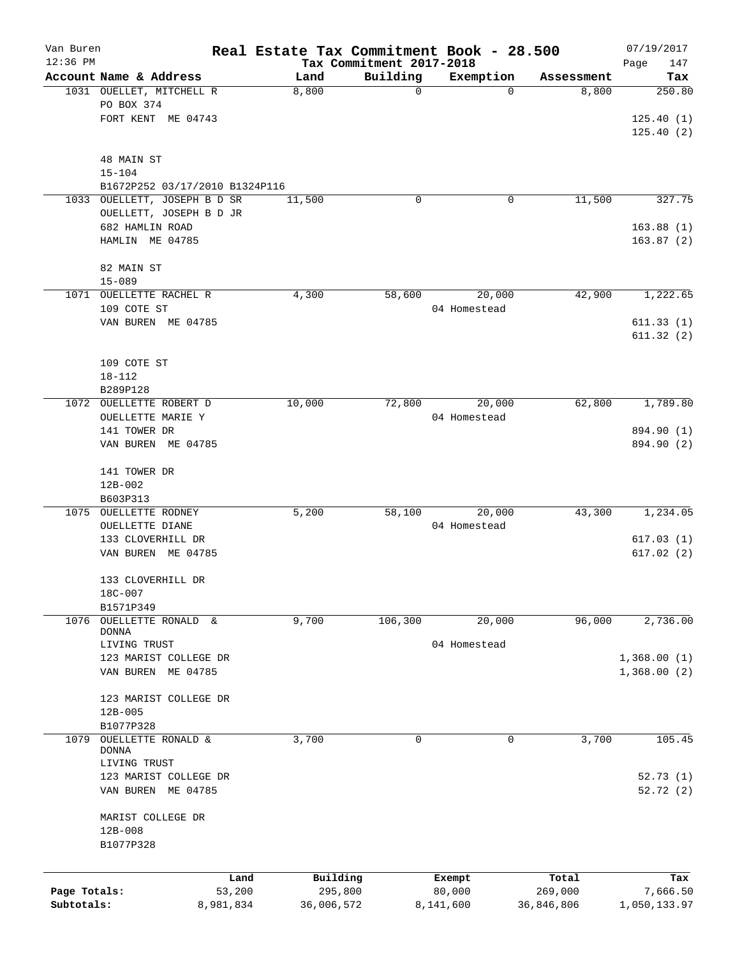| Van Buren<br>$12:36$ PM |                                    |                |            | Tax Commitment 2017-2018 | Real Estate Tax Commitment Book - 28.500 |            | 07/19/2017<br>Page<br>147 |
|-------------------------|------------------------------------|----------------|------------|--------------------------|------------------------------------------|------------|---------------------------|
|                         | Account Name & Address             |                | Land       | Building                 | Exemption                                | Assessment | Tax                       |
|                         | 1031 OUELLET, MITCHELL R           |                | 8,800      | $\mathbf 0$              | $\Omega$                                 | 8,800      | 250.80                    |
|                         | PO BOX 374                         |                |            |                          |                                          |            |                           |
|                         | FORT KENT ME 04743                 |                |            |                          |                                          |            | 125.40(1)                 |
|                         |                                    |                |            |                          |                                          |            | 125.40(2)                 |
|                         |                                    |                |            |                          |                                          |            |                           |
|                         | 48 MAIN ST                         |                |            |                          |                                          |            |                           |
|                         | $15 - 104$                         |                |            |                          |                                          |            |                           |
|                         | B1672P252 03/17/2010 B1324P116     |                |            |                          |                                          |            |                           |
| 1033                    | OUELLETT, JOSEPH B D SR            |                | 11,500     | 0                        | 0                                        | 11,500     | 327.75                    |
|                         | OUELLETT, JOSEPH B D JR            |                |            |                          |                                          |            |                           |
|                         | 682 HAMLIN ROAD<br>HAMLIN ME 04785 |                |            |                          |                                          |            | 163.88(1)<br>163.87(2)    |
|                         |                                    |                |            |                          |                                          |            |                           |
|                         | 82 MAIN ST                         |                |            |                          |                                          |            |                           |
|                         | $15 - 089$                         |                |            |                          |                                          |            |                           |
| 1071                    | OUELLETTE RACHEL R                 |                | 4,300      | 58,600                   | 20,000                                   | 42,900     | 1,222.65                  |
|                         | 109 COTE ST                        |                |            |                          | 04 Homestead                             |            |                           |
|                         | VAN BUREN ME 04785                 |                |            |                          |                                          |            | 611.33(1)                 |
|                         |                                    |                |            |                          |                                          |            | 611.32(2)                 |
|                         |                                    |                |            |                          |                                          |            |                           |
|                         | 109 COTE ST                        |                |            |                          |                                          |            |                           |
|                         | $18 - 112$                         |                |            |                          |                                          |            |                           |
|                         | B289P128                           |                |            |                          |                                          |            |                           |
| 1072                    | OUELLETTE ROBERT D                 |                | 10,000     | 72,800                   | 20,000                                   | 62,800     | 1,789.80                  |
|                         | OUELLETTE MARIE Y                  |                |            |                          | 04 Homestead                             |            |                           |
|                         | 141 TOWER DR                       |                |            |                          |                                          |            | 894.90 (1)                |
|                         | VAN BUREN ME 04785                 |                |            |                          |                                          |            | 894.90 (2)                |
|                         |                                    |                |            |                          |                                          |            |                           |
|                         | 141 TOWER DR                       |                |            |                          |                                          |            |                           |
|                         | 12B-002                            |                |            |                          |                                          |            |                           |
| 1075                    | B603P313<br>OUELLETTE RODNEY       |                | 5,200      | 58,100                   | 20,000                                   | 43,300     | 1,234.05                  |
|                         | <b>OUELLETTE DIANE</b>             |                |            |                          | 04 Homestead                             |            |                           |
|                         | 133 CLOVERHILL DR                  |                |            |                          |                                          |            | 617.03(1)                 |
|                         | VAN BUREN ME 04785                 |                |            |                          |                                          |            | 617.02(2)                 |
|                         |                                    |                |            |                          |                                          |            |                           |
|                         | 133 CLOVERHILL DR                  |                |            |                          |                                          |            |                           |
|                         | 18C-007                            |                |            |                          |                                          |            |                           |
|                         | B1571P349                          |                |            |                          |                                          |            |                           |
| 1076                    | OUELLETTE RONALD &                 |                | 9,700      | 106,300                  | 20,000                                   | 96,000     | 2,736.00                  |
|                         | <b>DONNA</b>                       |                |            |                          |                                          |            |                           |
|                         | LIVING TRUST                       |                |            |                          | 04 Homestead                             |            |                           |
|                         | 123 MARIST COLLEGE DR              |                |            |                          |                                          |            | 1,368.00(1)               |
|                         | VAN BUREN<br>ME 04785              |                |            |                          |                                          |            | 1,368.00(2)               |
|                         | 123 MARIST COLLEGE DR              |                |            |                          |                                          |            |                           |
|                         | $12B - 005$                        |                |            |                          |                                          |            |                           |
|                         | B1077P328                          |                |            |                          |                                          |            |                           |
| 1079                    | OUELLETTE RONALD &                 |                | 3,700      | 0                        | 0                                        | 3,700      | 105.45                    |
|                         | <b>DONNA</b>                       |                |            |                          |                                          |            |                           |
|                         | LIVING TRUST                       |                |            |                          |                                          |            |                           |
|                         | 123 MARIST COLLEGE DR              |                |            |                          |                                          |            | 52.73(1)                  |
|                         | VAN BUREN ME 04785                 |                |            |                          |                                          |            | 52.72(2)                  |
|                         |                                    |                |            |                          |                                          |            |                           |
|                         | MARIST COLLEGE DR                  |                |            |                          |                                          |            |                           |
|                         | $12B - 008$                        |                |            |                          |                                          |            |                           |
|                         | B1077P328                          |                |            |                          |                                          |            |                           |
|                         |                                    |                | Building   |                          |                                          | Total      |                           |
| Page Totals:            |                                    | Land<br>53,200 |            | 295,800                  | Exempt<br>80,000                         | 269,000    | Tax<br>7,666.50           |
| Subtotals:              |                                    | 8,981,834      | 36,006,572 |                          | 8,141,600                                | 36,846,806 | 1,050,133.97              |
|                         |                                    |                |            |                          |                                          |            |                           |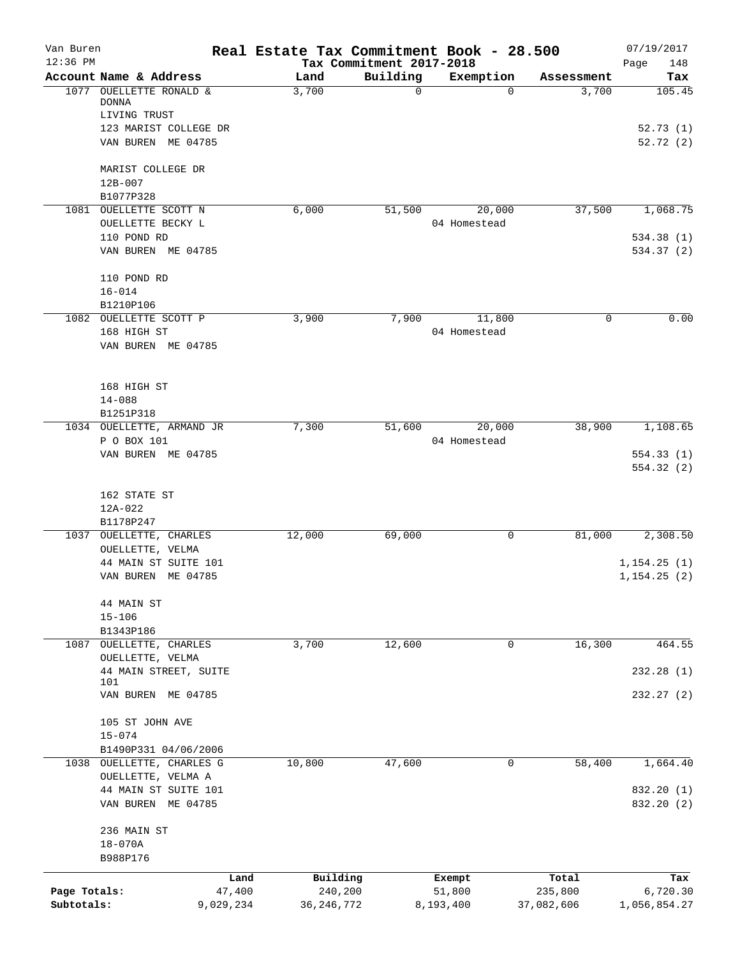| Van Buren<br>$12:36$ PM    |                                                                    | Real Estate Tax Commitment Book - 28.500 | Tax Commitment 2017-2018 |                               |                                | 07/19/2017<br>Page<br>148       |
|----------------------------|--------------------------------------------------------------------|------------------------------------------|--------------------------|-------------------------------|--------------------------------|---------------------------------|
|                            | Account Name & Address                                             | Land                                     | Building                 | Exemption                     | Assessment                     | Tax                             |
|                            | 1077 OUELLETTE RONALD &<br><b>DONNA</b><br>LIVING TRUST            | 3,700                                    | $\Omega$                 | $\Omega$                      | 3,700                          | 105.45                          |
|                            | 123 MARIST COLLEGE DR<br>VAN BUREN ME 04785                        |                                          |                          |                               |                                | 52.73(1)<br>52.72(2)            |
|                            | MARIST COLLEGE DR<br>$12B - 007$<br>B1077P328                      |                                          |                          |                               |                                |                                 |
| 1081                       | OUELLETTE SCOTT N<br>OUELLETTE BECKY L                             | 6,000                                    | 51,500                   | 20,000<br>04 Homestead        | 37,500                         | 1,068.75                        |
|                            | 110 POND RD<br>VAN BUREN ME 04785                                  |                                          |                          |                               |                                | 534.38(1)<br>534.37(2)          |
|                            | 110 POND RD<br>$16 - 014$                                          |                                          |                          |                               |                                |                                 |
|                            | B1210P106<br>1082 OUELLETTE SCOTT P<br>168 HIGH ST                 | 3,900                                    | 7,900                    | 11,800<br>04 Homestead        | $\mathsf{O}$                   | 0.00                            |
|                            | VAN BUREN ME 04785<br>168 HIGH ST                                  |                                          |                          |                               |                                |                                 |
|                            | $14 - 088$<br>B1251P318                                            |                                          |                          |                               |                                |                                 |
|                            | 1034 OUELLETTE, ARMAND JR<br>P O BOX 101                           | 7,300                                    | 51,600                   | 20,000<br>04 Homestead        | 38,900                         | 1,108.65                        |
|                            | VAN BUREN ME 04785                                                 |                                          |                          |                               |                                | 554.33(1)<br>554.32 (2)         |
|                            | 162 STATE ST<br>12A-022<br>B1178P247                               |                                          |                          |                               |                                |                                 |
|                            | 1037 OUELLETTE, CHARLES<br>OUELLETTE, VELMA                        | 12,000                                   | 69,000                   | $\mathbf 0$                   | 81,000                         | 2,308.50                        |
|                            | 44 MAIN ST SUITE 101<br>VAN BUREN ME 04785                         |                                          |                          |                               |                                | 1, 154.25(1)<br>1, 154.25(2)    |
|                            | 44 MAIN ST<br>$15 - 106$<br>B1343P186                              |                                          |                          |                               |                                |                                 |
|                            | 1087 OUELLETTE, CHARLES<br>OUELLETTE, VELMA                        | 3,700                                    | 12,600                   | 0                             | 16,300                         | 464.55                          |
|                            | 44 MAIN STREET, SUITE<br>101                                       |                                          |                          |                               |                                | 232.28(1)                       |
|                            | VAN BUREN ME 04785                                                 |                                          |                          |                               |                                | 232.27(2)                       |
|                            | 105 ST JOHN AVE<br>$15 - 074$                                      |                                          |                          |                               |                                |                                 |
| 1038                       | B1490P331 04/06/2006<br>OUELLETTE, CHARLES G<br>OUELLETTE, VELMA A | 10,800                                   | 47,600                   | 0                             | 58,400                         | 1,664.40                        |
|                            | 44 MAIN ST SUITE 101<br>VAN BUREN ME 04785                         |                                          |                          |                               |                                | 832.20 (1)<br>832.20 (2)        |
|                            | 236 MAIN ST<br>$18 - 070A$<br>B988P176                             |                                          |                          |                               |                                |                                 |
|                            |                                                                    |                                          |                          |                               |                                |                                 |
| Page Totals:<br>Subtotals: | Land<br>47,400<br>9,029,234                                        | Building<br>240,200<br>36, 246, 772      |                          | Exempt<br>51,800<br>8,193,400 | Total<br>235,800<br>37,082,606 | Tax<br>6,720.30<br>1,056,854.27 |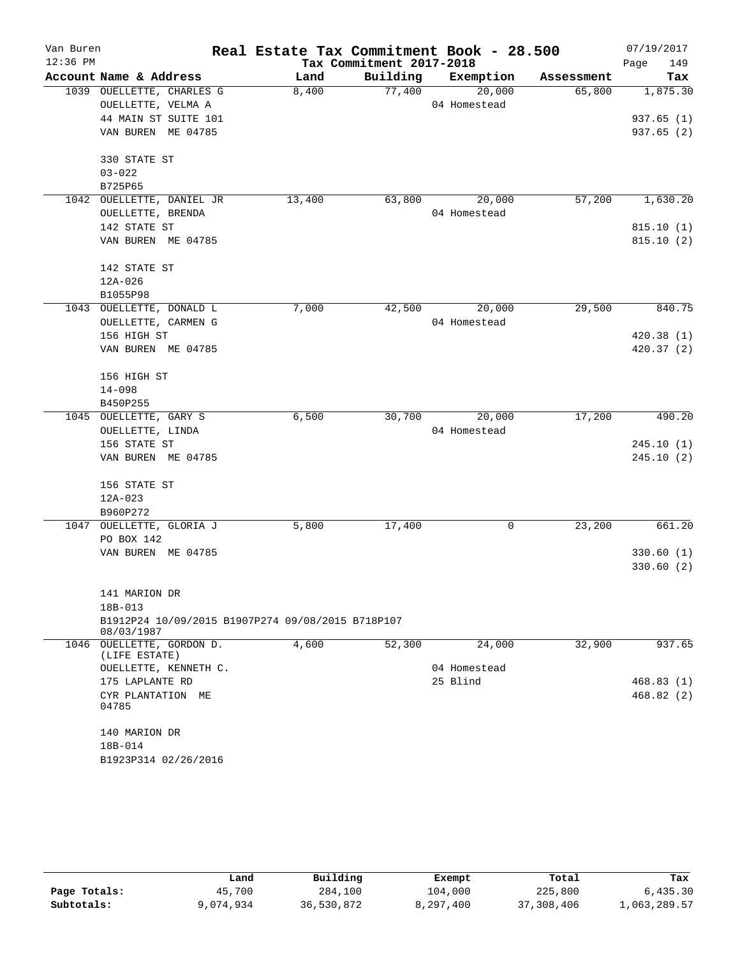| Van Buren<br>$12:36$ PM |                                                   | Real Estate Tax Commitment Book - 28.500 | Tax Commitment 2017-2018 |              |            | 07/19/2017<br>Page<br>149 |
|-------------------------|---------------------------------------------------|------------------------------------------|--------------------------|--------------|------------|---------------------------|
|                         | Account Name & Address                            | Land                                     | Building                 | Exemption    | Assessment | Tax                       |
|                         | 1039 OUELLETTE, CHARLES G                         | 8,400                                    | 77,400                   | 20,000       | 65,800     | 1,875.30                  |
|                         | OUELLETTE, VELMA A                                |                                          |                          | 04 Homestead |            |                           |
|                         | 44 MAIN ST SUITE 101                              |                                          |                          |              |            | 937.65(1)                 |
|                         | VAN BUREN ME 04785                                |                                          |                          |              |            | 937.65(2)                 |
|                         | 330 STATE ST                                      |                                          |                          |              |            |                           |
|                         | $03 - 022$                                        |                                          |                          |              |            |                           |
|                         | B725P65                                           |                                          |                          |              |            |                           |
|                         | 1042 OUELLETTE, DANIEL JR                         | 13,400                                   | 63,800                   | 20,000       | 57,200     | 1,630.20                  |
|                         | OUELLETTE, BRENDA                                 |                                          |                          | 04 Homestead |            |                           |
|                         | 142 STATE ST                                      |                                          |                          |              |            | 815.10(1)                 |
|                         | VAN BUREN ME 04785                                |                                          |                          |              |            | 815.10(2)                 |
|                         | 142 STATE ST                                      |                                          |                          |              |            |                           |
|                         | $12A-026$                                         |                                          |                          |              |            |                           |
|                         | B1055P98                                          |                                          |                          |              |            |                           |
|                         | 1043 OUELLETTE, DONALD L                          | 7,000                                    | 42,500                   | 20,000       | 29,500     | 840.75                    |
|                         | OUELLETTE, CARMEN G                               |                                          |                          | 04 Homestead |            |                           |
|                         | 156 HIGH ST                                       |                                          |                          |              |            | 420.38(1)                 |
|                         | VAN BUREN ME 04785                                |                                          |                          |              |            | 420.37(2)                 |
|                         | 156 HIGH ST                                       |                                          |                          |              |            |                           |
|                         | $14 - 098$                                        |                                          |                          |              |            |                           |
|                         | B450P255                                          |                                          |                          |              |            |                           |
|                         | 1045 OUELLETTE, GARY S                            | 6,500                                    | 30,700                   | 20,000       | 17,200     | 490.20                    |
|                         | OUELLETTE, LINDA                                  |                                          |                          | 04 Homestead |            |                           |
|                         | 156 STATE ST                                      |                                          |                          |              |            | 245.10(1)                 |
|                         | VAN BUREN ME 04785                                |                                          |                          |              |            | 245.10(2)                 |
|                         | 156 STATE ST                                      |                                          |                          |              |            |                           |
|                         | $12A - 023$                                       |                                          |                          |              |            |                           |
|                         | B960P272                                          |                                          |                          |              |            |                           |
|                         | 1047 OUELLETTE, GLORIA J                          | 5,800                                    | 17,400                   | 0            | 23,200     | 661.20                    |
|                         | PO BOX 142                                        |                                          |                          |              |            | 330.60(1)                 |
|                         | VAN BUREN ME 04785                                |                                          |                          |              |            | 330.60(2)                 |
|                         |                                                   |                                          |                          |              |            |                           |
|                         | 141 MARION DR                                     |                                          |                          |              |            |                           |
|                         | 18B-013                                           |                                          |                          |              |            |                           |
|                         | B1912P24 10/09/2015 B1907P274 09/08/2015 B718P107 |                                          |                          |              |            |                           |
|                         | 08/03/1987                                        |                                          |                          |              |            |                           |
|                         | 1046 OUELLETTE, GORDON D.<br>(LIFE ESTATE)        | 4,600                                    | 52,300                   | 24,000       | 32,900     | 937.65                    |
|                         | OUELLETTE, KENNETH C.                             |                                          |                          | 04 Homestead |            |                           |
|                         | 175 LAPLANTE RD                                   |                                          |                          | 25 Blind     |            | 468.83(1)                 |
|                         | CYR PLANTATION ME                                 |                                          |                          |              |            | 468.82(2)                 |
|                         | 04785                                             |                                          |                          |              |            |                           |
|                         | 140 MARION DR                                     |                                          |                          |              |            |                           |
|                         | 18B-014                                           |                                          |                          |              |            |                           |
|                         | B1923P314 02/26/2016                              |                                          |                          |              |            |                           |

|              | Land      | Building   | Exempt    | Total      | Tax          |
|--------------|-----------|------------|-----------|------------|--------------|
| Page Totals: | 45,700    | 284,100    | 104,000   | 225,800    | 6,435.30     |
| Subtotals:   | 9,074,934 | 36,530,872 | 8,297,400 | 37,308,406 | 1,063,289.57 |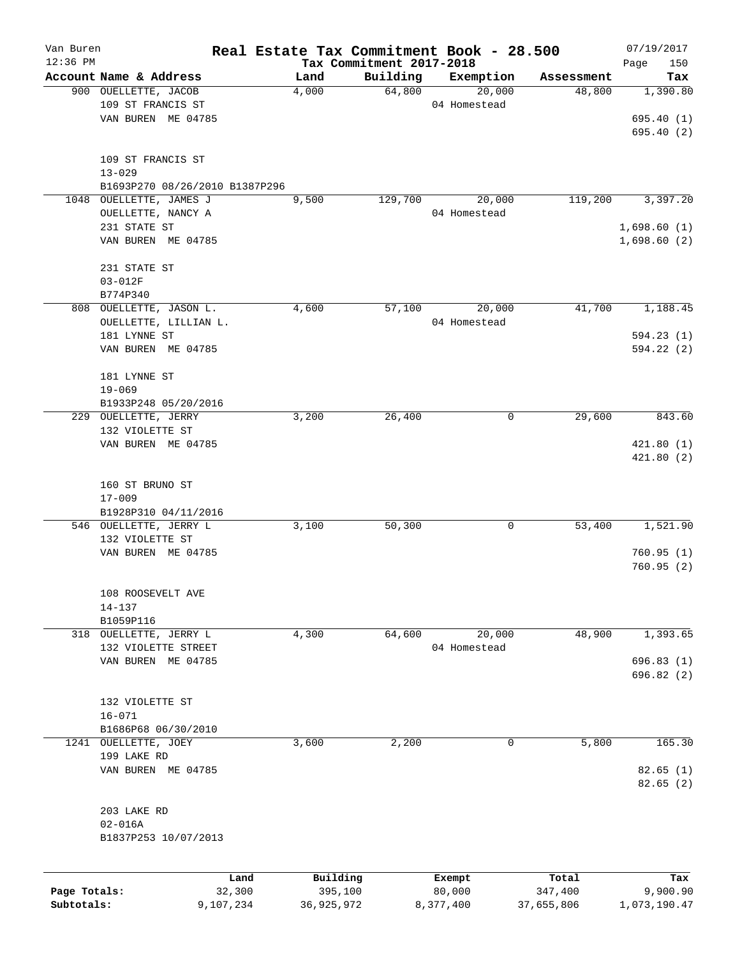| Van Buren                  |                                |                     | Real Estate Tax Commitment Book - 28.500 |                                      |                     |                       | 07/19/2017               |
|----------------------------|--------------------------------|---------------------|------------------------------------------|--------------------------------------|---------------------|-----------------------|--------------------------|
| $12:36$ PM                 | Account Name & Address         |                     | Land                                     | Tax Commitment 2017-2018<br>Building |                     |                       | Page<br>150              |
|                            | 900 OUELLETTE, JACOB           |                     | 4,000                                    | 64,800                               | Exemption<br>20,000 | Assessment<br>48,800  | Tax<br>1,390.80          |
|                            | 109 ST FRANCIS ST              |                     |                                          |                                      | 04 Homestead        |                       |                          |
|                            | VAN BUREN ME 04785             |                     |                                          |                                      |                     |                       | 695.40(1)                |
|                            |                                |                     |                                          |                                      |                     |                       | 695.40(2)                |
|                            |                                |                     |                                          |                                      |                     |                       |                          |
|                            | 109 ST FRANCIS ST              |                     |                                          |                                      |                     |                       |                          |
|                            | $13 - 029$                     |                     |                                          |                                      |                     |                       |                          |
|                            | B1693P270 08/26/2010 B1387P296 |                     |                                          |                                      |                     |                       |                          |
|                            | 1048 OUELLETTE, JAMES J        |                     | 9,500                                    | 129,700                              | 20,000              | 119,200               | 3,397.20                 |
|                            | OUELLETTE, NANCY A             |                     |                                          |                                      | 04 Homestead        |                       |                          |
|                            | 231 STATE ST                   |                     |                                          |                                      |                     |                       | 1,698.60(1)              |
|                            | VAN BUREN ME 04785             |                     |                                          |                                      |                     |                       | 1,698.60(2)              |
|                            |                                |                     |                                          |                                      |                     |                       |                          |
|                            | 231 STATE ST                   |                     |                                          |                                      |                     |                       |                          |
|                            | $03 - 012F$                    |                     |                                          |                                      |                     |                       |                          |
|                            | B774P340                       |                     |                                          |                                      |                     |                       |                          |
|                            | 808 OUELLETTE, JASON L.        |                     | 4,600                                    | 57,100                               | 20,000              | 41,700                | 1,188.45                 |
|                            | OUELLETTE, LILLIAN L.          |                     |                                          |                                      | 04 Homestead        |                       |                          |
|                            | 181 LYNNE ST                   |                     |                                          |                                      |                     |                       | 594.23(1)                |
|                            | VAN BUREN ME 04785             |                     |                                          |                                      |                     |                       | 594.22(2)                |
|                            |                                |                     |                                          |                                      |                     |                       |                          |
|                            | 181 LYNNE ST                   |                     |                                          |                                      |                     |                       |                          |
|                            | $19 - 069$                     |                     |                                          |                                      |                     |                       |                          |
|                            | B1933P248 05/20/2016           |                     |                                          |                                      |                     |                       |                          |
|                            | 229 OUELLETTE, JERRY           |                     | 3,200                                    | 26,400                               | 0                   | 29,600                | 843.60                   |
|                            | 132 VIOLETTE ST                |                     |                                          |                                      |                     |                       |                          |
|                            | VAN BUREN ME 04785             |                     |                                          |                                      |                     |                       | 421.80(1)                |
|                            |                                |                     |                                          |                                      |                     |                       | 421.80(2)                |
|                            |                                |                     |                                          |                                      |                     |                       |                          |
|                            | 160 ST BRUNO ST                |                     |                                          |                                      |                     |                       |                          |
|                            | $17 - 009$                     |                     |                                          |                                      |                     |                       |                          |
|                            | B1928P310 04/11/2016           |                     |                                          |                                      |                     |                       |                          |
|                            | 546 OUELLETTE, JERRY L         |                     | 3,100                                    | 50,300                               | 0                   | 53,400                | 1,521.90                 |
|                            | 132 VIOLETTE ST                |                     |                                          |                                      |                     |                       |                          |
|                            | VAN BUREN ME 04785             |                     |                                          |                                      |                     |                       | 760.95(1)                |
|                            |                                |                     |                                          |                                      |                     |                       | 760.95(2)                |
|                            |                                |                     |                                          |                                      |                     |                       |                          |
|                            | 108 ROOSEVELT AVE              |                     |                                          |                                      |                     |                       |                          |
|                            | $14 - 137$<br>B1059P116        |                     |                                          |                                      |                     |                       |                          |
|                            | 318 OUELLETTE, JERRY L         |                     | 4,300                                    | 64,600                               | 20,000              | 48,900                | 1,393.65                 |
|                            | 132 VIOLETTE STREET            |                     |                                          |                                      | 04 Homestead        |                       |                          |
|                            | VAN BUREN ME 04785             |                     |                                          |                                      |                     |                       | 696.83(1)                |
|                            |                                |                     |                                          |                                      |                     |                       | 696.82(2)                |
|                            |                                |                     |                                          |                                      |                     |                       |                          |
|                            | 132 VIOLETTE ST                |                     |                                          |                                      |                     |                       |                          |
|                            | $16 - 071$                     |                     |                                          |                                      |                     |                       |                          |
|                            | B1686P68 06/30/2010            |                     |                                          |                                      |                     |                       |                          |
| 1241                       | OUELLETTE, JOEY                |                     | 3,600                                    | 2,200                                | 0                   | 5,800                 | 165.30                   |
|                            | 199 LAKE RD                    |                     |                                          |                                      |                     |                       |                          |
|                            | VAN BUREN ME 04785             |                     |                                          |                                      |                     |                       | 82.65(1)                 |
|                            |                                |                     |                                          |                                      |                     |                       | 82.65(2)                 |
|                            |                                |                     |                                          |                                      |                     |                       |                          |
|                            | 203 LAKE RD                    |                     |                                          |                                      |                     |                       |                          |
|                            | $02 - 016A$                    |                     |                                          |                                      |                     |                       |                          |
|                            | B1837P253 10/07/2013           |                     |                                          |                                      |                     |                       |                          |
|                            |                                |                     |                                          |                                      |                     |                       |                          |
|                            |                                |                     |                                          |                                      |                     |                       |                          |
|                            |                                | Land                | Building                                 |                                      | Exempt              | Total                 | Tax                      |
| Page Totals:<br>Subtotals: |                                | 32,300<br>9,107,234 | 395,100<br>36,925,972                    |                                      | 80,000<br>8,377,400 | 347,400<br>37,655,806 | 9,900.90<br>1,073,190.47 |
|                            |                                |                     |                                          |                                      |                     |                       |                          |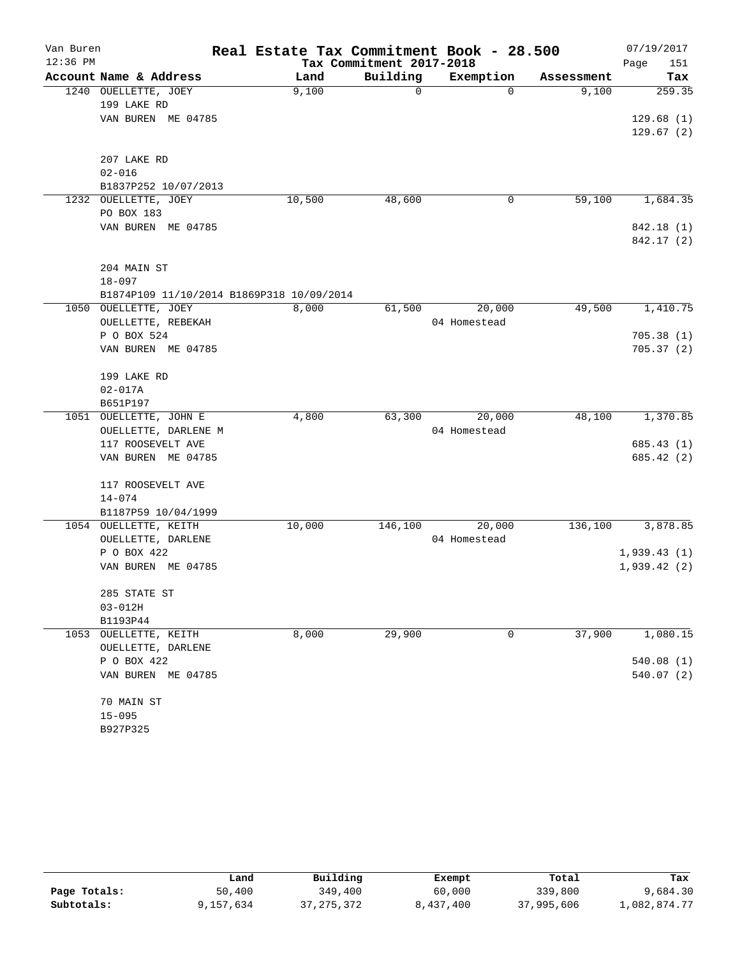| Van Buren  |                                           | Real Estate Tax Commitment Book - 28.500 |                          |                        |            | 07/19/2017  |
|------------|-------------------------------------------|------------------------------------------|--------------------------|------------------------|------------|-------------|
| $12:36$ PM |                                           |                                          | Tax Commitment 2017-2018 |                        |            | Page<br>151 |
|            | Account Name & Address                    | Land                                     | Building                 | Exemption              | Assessment | Tax         |
|            | 1240 OUELLETTE, JOEY                      | 9,100                                    | 0                        | $\Omega$               | 9,100      | 259.35      |
|            | 199 LAKE RD                               |                                          |                          |                        |            |             |
|            | VAN BUREN ME 04785                        |                                          |                          |                        |            | 129.68(1)   |
|            |                                           |                                          |                          |                        |            | 129.67(2)   |
|            |                                           |                                          |                          |                        |            |             |
|            | 207 LAKE RD                               |                                          |                          |                        |            |             |
|            | $02 - 016$                                |                                          |                          |                        |            |             |
|            | B1837P252 10/07/2013                      |                                          |                          | 0                      | 59,100     |             |
| 1232       | OUELLETTE, JOEY<br>PO BOX 183             | 10,500                                   | 48,600                   |                        |            | 1,684.35    |
|            | VAN BUREN ME 04785                        |                                          |                          |                        |            | 842.18 (1)  |
|            |                                           |                                          |                          |                        |            | 842.17 (2)  |
|            |                                           |                                          |                          |                        |            |             |
|            | 204 MAIN ST                               |                                          |                          |                        |            |             |
|            | $18 - 097$                                |                                          |                          |                        |            |             |
|            | B1874P109 11/10/2014 B1869P318 10/09/2014 |                                          |                          |                        |            |             |
|            | 1050 OUELLETTE, JOEY                      | 8,000                                    | 61,500                   | 20,000                 | 49,500     | 1,410.75    |
|            | OUELLETTE, REBEKAH                        |                                          |                          | 04 Homestead           |            |             |
|            | P O BOX 524                               |                                          |                          |                        |            | 705.38(1)   |
|            | VAN BUREN ME 04785                        |                                          |                          |                        |            | 705.37(2)   |
|            |                                           |                                          |                          |                        |            |             |
|            | 199 LAKE RD                               |                                          |                          |                        |            |             |
|            | $02 - 017A$                               |                                          |                          |                        |            |             |
|            | B651P197                                  |                                          |                          |                        |            |             |
| 1051       | OUELLETTE, JOHN E                         | 4,800                                    | 63,300                   | 20,000                 | 48,100     | 1,370.85    |
|            | OUELLETTE, DARLENE M                      |                                          |                          | 04 Homestead           |            |             |
|            | 117 ROOSEVELT AVE                         |                                          |                          |                        |            | 685.43(1)   |
|            | VAN BUREN ME 04785                        |                                          |                          |                        |            | 685.42 (2)  |
|            |                                           |                                          |                          |                        |            |             |
|            | 117 ROOSEVELT AVE                         |                                          |                          |                        |            |             |
|            | $14 - 074$                                |                                          |                          |                        |            |             |
|            | B1187P59 10/04/1999                       | 10,000                                   |                          |                        |            |             |
|            | 1054 OUELLETTE, KEITH                     |                                          | 146,100                  | 20,000<br>04 Homestead | 136,100    | 3,878.85    |
|            | OUELLETTE, DARLENE<br>P O BOX 422         |                                          |                          |                        |            | 1,939.43(1) |
|            | VAN BUREN ME 04785                        |                                          |                          |                        |            | 1,939.42(2) |
|            |                                           |                                          |                          |                        |            |             |
|            | 285 STATE ST                              |                                          |                          |                        |            |             |
|            | $03 - 012H$                               |                                          |                          |                        |            |             |
|            | B1193P44                                  |                                          |                          |                        |            |             |
|            | 1053 OUELLETTE, KEITH                     | 8,000                                    | 29,900                   | 0                      | 37,900     | 1,080.15    |
|            | OUELLETTE, DARLENE                        |                                          |                          |                        |            |             |
|            | P O BOX 422                               |                                          |                          |                        |            | 540.08(1)   |
|            | VAN BUREN ME 04785                        |                                          |                          |                        |            | 540.07(2)   |
|            |                                           |                                          |                          |                        |            |             |
|            | 70 MAIN ST                                |                                          |                          |                        |            |             |
|            | $15 - 095$                                |                                          |                          |                        |            |             |
|            | B927P325                                  |                                          |                          |                        |            |             |

|              | Land      | Building   | Exempt    | Total      | Tax          |
|--------------|-----------|------------|-----------|------------|--------------|
| Page Totals: | 50,400    | 349,400    | 60,000    | 339,800    | 9,684.30     |
| Subtotals:   | 9,157,634 | 37,275,372 | 8,437,400 | 37,995,606 | 1,082,874.77 |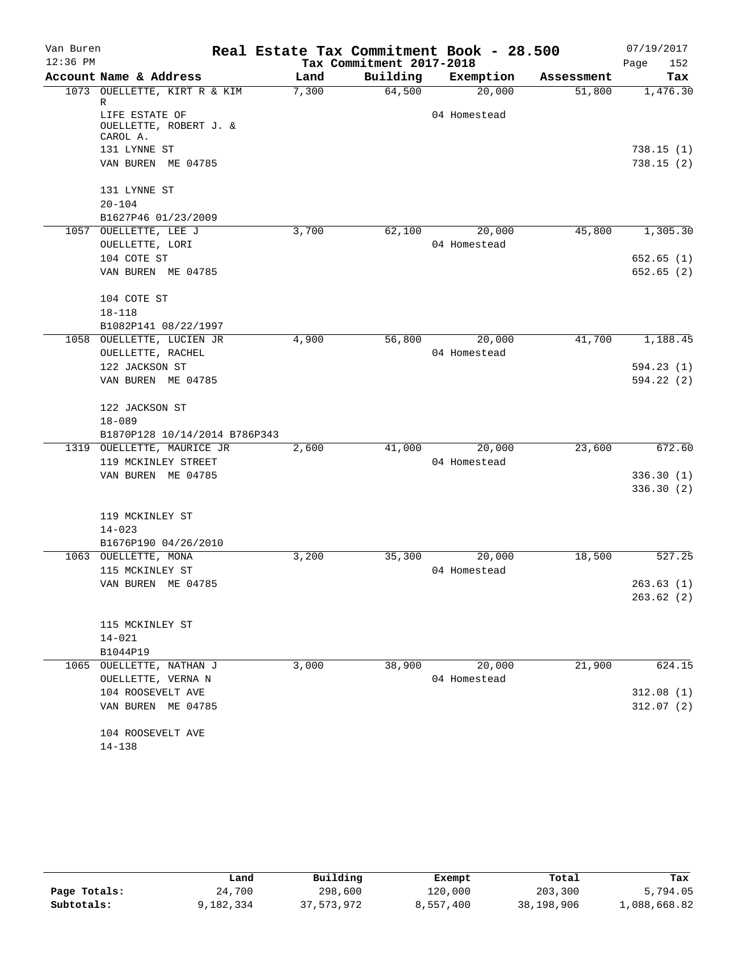| Van Buren  |                               |       |                          | Real Estate Tax Commitment Book - 28.500 |            | 07/19/2017  |
|------------|-------------------------------|-------|--------------------------|------------------------------------------|------------|-------------|
| $12:36$ PM |                               |       | Tax Commitment 2017-2018 |                                          |            | Page<br>152 |
|            | Account Name & Address        | Land  | Building                 | Exemption                                | Assessment | Tax         |
|            | 1073 OUELLETTE, KIRT R & KIM  | 7,300 | 64,500                   | 20,000                                   | 51,800     | 1,476.30    |
|            | R<br>LIFE ESTATE OF           |       |                          | 04 Homestead                             |            |             |
|            | OUELLETTE, ROBERT J. &        |       |                          |                                          |            |             |
|            | CAROL A.                      |       |                          |                                          |            |             |
|            | 131 LYNNE ST                  |       |                          |                                          |            | 738.15(1)   |
|            | VAN BUREN ME 04785            |       |                          |                                          |            | 738.15(2)   |
|            | 131 LYNNE ST                  |       |                          |                                          |            |             |
|            | $20 - 104$                    |       |                          |                                          |            |             |
|            | B1627P46 01/23/2009           |       |                          |                                          |            |             |
|            | 1057 OUELLETTE, LEE J         | 3,700 | 62,100                   | 20,000                                   | 45,800     | 1,305.30    |
|            | OUELLETTE, LORI               |       |                          | 04 Homestead                             |            |             |
|            | 104 COTE ST                   |       |                          |                                          |            | 652.65(1)   |
|            | VAN BUREN ME 04785            |       |                          |                                          |            | 652.65(2)   |
|            | 104 COTE ST                   |       |                          |                                          |            |             |
|            | $18 - 118$                    |       |                          |                                          |            |             |
|            | B1082P141 08/22/1997          |       |                          |                                          |            |             |
|            | 1058 OUELLETTE, LUCIEN JR     | 4,900 | 56,800                   | 20,000                                   | 41,700     | 1,188.45    |
|            | OUELLETTE, RACHEL             |       |                          | 04 Homestead                             |            |             |
|            | 122 JACKSON ST                |       |                          |                                          |            | 594.23(1)   |
|            | VAN BUREN ME 04785            |       |                          |                                          |            | 594.22 (2)  |
|            | 122 JACKSON ST                |       |                          |                                          |            |             |
|            | $18 - 089$                    |       |                          |                                          |            |             |
|            | B1870P128 10/14/2014 B786P343 |       |                          |                                          |            |             |
|            | 1319 OUELLETTE, MAURICE JR    | 2,600 | 41,000                   | 20,000                                   | 23,600     | 672.60      |
|            | 119 MCKINLEY STREET           |       |                          | 04 Homestead                             |            |             |
|            | VAN BUREN ME 04785            |       |                          |                                          |            | 336.30(1)   |
|            |                               |       |                          |                                          |            | 336.30(2)   |
|            | 119 MCKINLEY ST               |       |                          |                                          |            |             |
|            | $14 - 023$                    |       |                          |                                          |            |             |
|            | B1676P190 04/26/2010          |       |                          |                                          |            |             |
|            | 1063 OUELLETTE, MONA          | 3,200 | 35,300                   | 20,000                                   | 18,500     | 527.25      |
|            | 115 MCKINLEY ST               |       |                          | 04 Homestead                             |            |             |
|            | VAN BUREN ME 04785            |       |                          |                                          |            | 263.63(1)   |
|            |                               |       |                          |                                          |            | 263.62(2)   |
|            | 115 MCKINLEY ST               |       |                          |                                          |            |             |
|            | $14 - 021$                    |       |                          |                                          |            |             |
|            | B1044P19                      |       |                          |                                          |            |             |
|            | 1065 OUELLETTE, NATHAN J      | 3,000 | 38,900                   | 20,000                                   | 21,900     | 624.15      |
|            | OUELLETTE, VERNA N            |       |                          | 04 Homestead                             |            |             |
|            | 104 ROOSEVELT AVE             |       |                          |                                          |            | 312.08(1)   |
|            | VAN BUREN ME 04785            |       |                          |                                          |            | 312.07(2)   |
|            | 104 ROOSEVELT AVE             |       |                          |                                          |            |             |
|            | $14 - 138$                    |       |                          |                                          |            |             |

|              | Land      | Building   | Exempt    | Total      | Tax          |
|--------------|-----------|------------|-----------|------------|--------------|
| Page Totals: | 24,700    | 298,600    | 120,000   | 203,300    | 5,794.05     |
| Subtotals:   | 9,182,334 | 37,573,972 | 8,557,400 | 38,198,906 | 1,088,668.82 |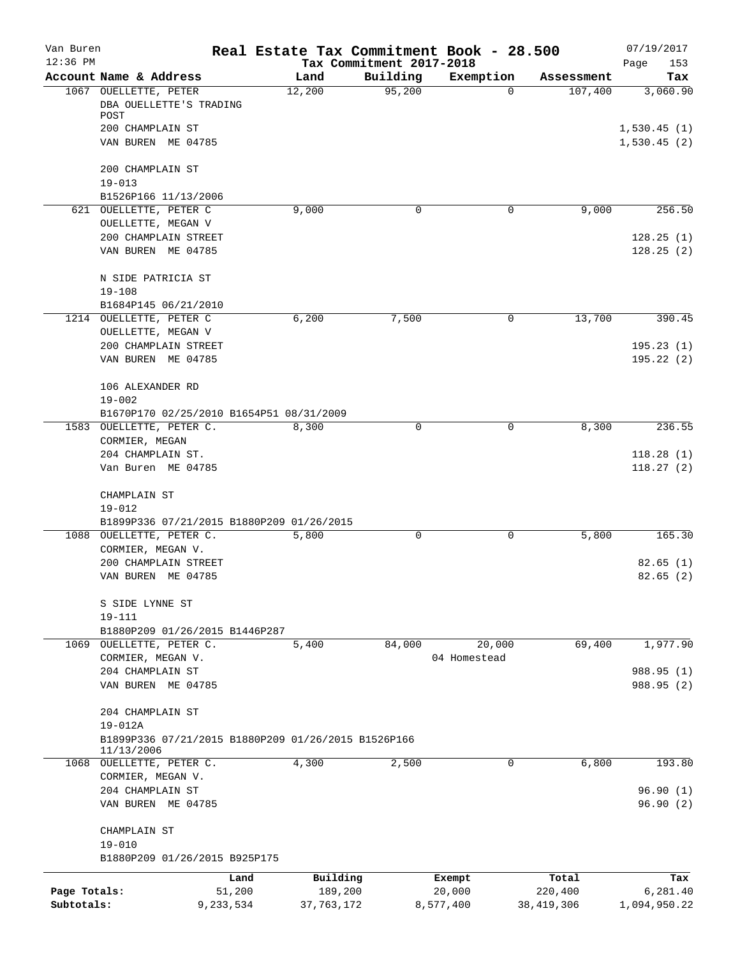| Van Buren                  |                                                                   |                     |                         |                          | Real Estate Tax Commitment Book - 28.500 |                         | 07/19/2017               |
|----------------------------|-------------------------------------------------------------------|---------------------|-------------------------|--------------------------|------------------------------------------|-------------------------|--------------------------|
| $12:36$ PM                 |                                                                   |                     |                         | Tax Commitment 2017-2018 |                                          |                         | Page<br>153              |
|                            | Account Name & Address<br>1067 OUELLETTE, PETER                   |                     | Land<br>12,200          | Building<br>95,200       | Exemption<br>$\Omega$                    | Assessment<br>107,400   | Tax<br>3,060.90          |
|                            | DBA OUELLETTE'S TRADING<br>POST                                   |                     |                         |                          |                                          |                         |                          |
|                            | 200 CHAMPLAIN ST                                                  |                     |                         |                          |                                          |                         | 1,530.45(1)              |
|                            | VAN BUREN ME 04785                                                |                     |                         |                          |                                          |                         | 1,530.45(2)              |
|                            | 200 CHAMPLAIN ST                                                  |                     |                         |                          |                                          |                         |                          |
|                            | $19 - 013$<br>B1526P166 11/13/2006                                |                     |                         |                          |                                          |                         |                          |
|                            | 621 OUELLETTE, PETER C                                            |                     | 9,000                   | 0                        | 0                                        | 9,000                   | 256.50                   |
|                            | OUELLETTE, MEGAN V                                                |                     |                         |                          |                                          |                         |                          |
|                            | 200 CHAMPLAIN STREET                                              |                     |                         |                          |                                          |                         | 128.25(1)                |
|                            | VAN BUREN ME 04785                                                |                     |                         |                          |                                          |                         | 128.25(2)                |
|                            | N SIDE PATRICIA ST                                                |                     |                         |                          |                                          |                         |                          |
|                            | $19 - 108$                                                        |                     |                         |                          |                                          |                         |                          |
|                            | B1684P145 06/21/2010                                              |                     |                         |                          |                                          |                         |                          |
|                            | 1214 OUELLETTE, PETER C                                           |                     | 6,200                   | 7,500                    | 0                                        | 13,700                  | 390.45                   |
|                            | OUELLETTE, MEGAN V<br>200 CHAMPLAIN STREET                        |                     |                         |                          |                                          |                         | 195.23(1)                |
|                            | VAN BUREN ME 04785                                                |                     |                         |                          |                                          |                         | 195.22(2)                |
|                            | 106 ALEXANDER RD                                                  |                     |                         |                          |                                          |                         |                          |
|                            | $19 - 002$                                                        |                     |                         |                          |                                          |                         |                          |
|                            | B1670P170 02/25/2010 B1654P51 08/31/2009                          |                     |                         |                          |                                          |                         |                          |
|                            | 1583 OUELLETTE, PETER C.<br>CORMIER, MEGAN                        |                     | 8,300                   | $\Omega$                 | 0                                        | 8,300                   | 236.55                   |
|                            | 204 CHAMPLAIN ST.                                                 |                     |                         |                          |                                          |                         | 118.28(1)                |
|                            | Van Buren ME 04785                                                |                     |                         |                          |                                          |                         | 118.27(2)                |
|                            | CHAMPLAIN ST                                                      |                     |                         |                          |                                          |                         |                          |
|                            | $19 - 012$                                                        |                     |                         |                          |                                          |                         |                          |
|                            | B1899P336 07/21/2015 B1880P209 01/26/2015                         |                     |                         |                          |                                          |                         |                          |
|                            | 1088 OUELLETTE, PETER C.<br>CORMIER, MEGAN V.                     |                     | 5,800                   | 0                        | 0                                        | 5,800                   | 165.30                   |
|                            | 200 CHAMPLAIN STREET                                              |                     |                         |                          |                                          |                         | 82.65(1)                 |
|                            | VAN BUREN ME 04785                                                |                     |                         |                          |                                          |                         | 82.65(2)                 |
|                            | S SIDE LYNNE ST                                                   |                     |                         |                          |                                          |                         |                          |
|                            | $19 - 111$                                                        |                     |                         |                          |                                          |                         |                          |
|                            | B1880P209 01/26/2015 B1446P287                                    |                     |                         |                          |                                          |                         |                          |
|                            | 1069 OUELLETTE, PETER C.<br>CORMIER, MEGAN V.                     |                     | 5,400                   | 84,000                   | 20,000<br>04 Homestead                   | 69,400                  | 1,977.90                 |
|                            | 204 CHAMPLAIN ST                                                  |                     |                         |                          |                                          |                         | 988.95 (1)               |
|                            | VAN BUREN ME 04785                                                |                     |                         |                          |                                          |                         | 988.95 (2)               |
|                            | 204 CHAMPLAIN ST                                                  |                     |                         |                          |                                          |                         |                          |
|                            | $19 - 012A$                                                       |                     |                         |                          |                                          |                         |                          |
|                            | B1899P336 07/21/2015 B1880P209 01/26/2015 B1526P166<br>11/13/2006 |                     |                         |                          |                                          |                         |                          |
|                            | 1068 OUELLETTE, PETER C.                                          |                     | 4,300                   | 2,500                    | 0                                        | 6,800                   | 193.80                   |
|                            | CORMIER, MEGAN V.                                                 |                     |                         |                          |                                          |                         | 96.90(1)                 |
|                            | 204 CHAMPLAIN ST<br>VAN BUREN ME 04785                            |                     |                         |                          |                                          |                         | 96.90(2)                 |
|                            | CHAMPLAIN ST                                                      |                     |                         |                          |                                          |                         |                          |
|                            | $19 - 010$                                                        |                     |                         |                          |                                          |                         |                          |
|                            | B1880P209 01/26/2015 B925P175                                     |                     |                         |                          |                                          |                         |                          |
|                            |                                                                   | Land                | Building                |                          | Exempt                                   | Total                   | Tax                      |
| Page Totals:<br>Subtotals: |                                                                   | 51,200<br>9,233,534 | 189,200<br>37, 763, 172 |                          | 20,000<br>8,577,400                      | 220,400<br>38, 419, 306 | 6,281.40<br>1,094,950.22 |
|                            |                                                                   |                     |                         |                          |                                          |                         |                          |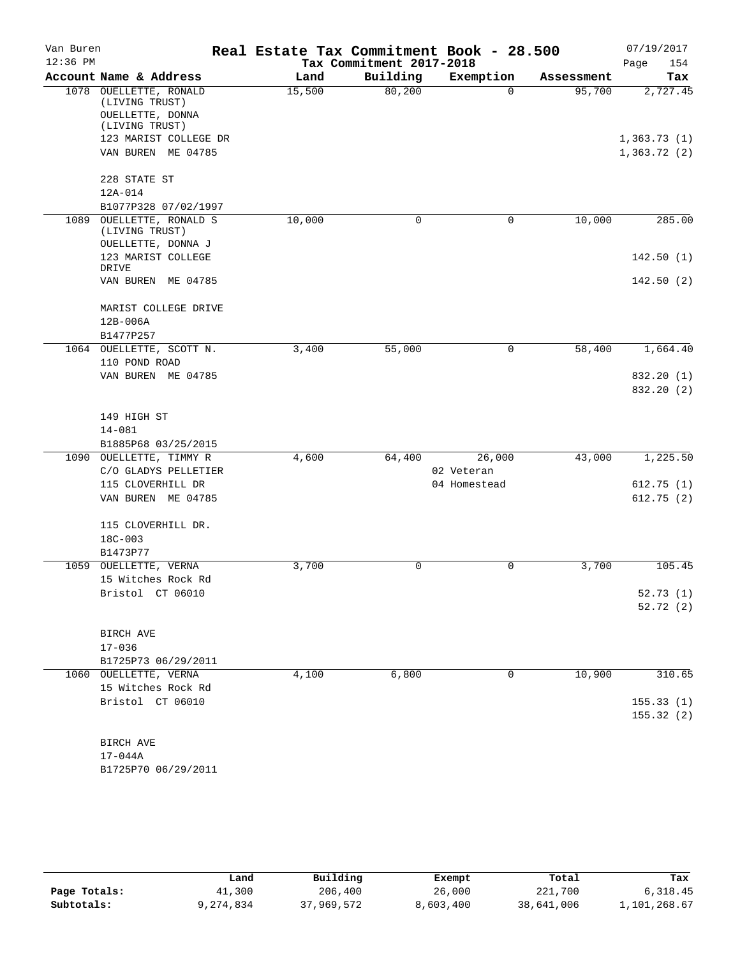| Van Buren<br>$12:36$ PM |                                                              | Real Estate Tax Commitment Book - 28.500<br>Tax Commitment 2017-2018 |          |              |            |                            |  |  |
|-------------------------|--------------------------------------------------------------|----------------------------------------------------------------------|----------|--------------|------------|----------------------------|--|--|
|                         | Account Name & Address                                       | Land                                                                 | Building | Exemption    | Assessment | Page<br>154<br>Tax         |  |  |
|                         | 1078 OUELLETTE, RONALD<br>(LIVING TRUST)<br>OUELLETTE, DONNA | 15,500                                                               | 80,200   | $\Omega$     | 95,700     | 2,727.45                   |  |  |
|                         | (LIVING TRUST)                                               |                                                                      |          |              |            |                            |  |  |
|                         | 123 MARIST COLLEGE DR<br>VAN BUREN ME 04785                  |                                                                      |          |              |            | 1,363.73(1)<br>1,363.72(2) |  |  |
|                         | 228 STATE ST                                                 |                                                                      |          |              |            |                            |  |  |
|                         | 12A-014                                                      |                                                                      |          |              |            |                            |  |  |
| 1089                    | B1077P328 07/02/1997                                         |                                                                      | 0        | $\mathbf 0$  |            | 285.00                     |  |  |
|                         | OUELLETTE, RONALD S<br>(LIVING TRUST)<br>OUELLETTE, DONNA J  | 10,000                                                               |          |              | 10,000     |                            |  |  |
|                         | 123 MARIST COLLEGE<br>DRIVE                                  |                                                                      |          |              |            | 142.50(1)                  |  |  |
|                         | VAN BUREN ME 04785                                           |                                                                      |          |              |            | 142.50(2)                  |  |  |
|                         | MARIST COLLEGE DRIVE<br>12B-006A                             |                                                                      |          |              |            |                            |  |  |
|                         | B1477P257                                                    |                                                                      |          |              |            |                            |  |  |
|                         | 1064 OUELLETTE, SCOTT N.                                     | 3,400                                                                | 55,000   | $\mathbf 0$  | 58,400     | 1,664.40                   |  |  |
|                         | 110 POND ROAD                                                |                                                                      |          |              |            |                            |  |  |
|                         | VAN BUREN ME 04785                                           |                                                                      |          |              |            | 832.20 (1)<br>832.20 (2)   |  |  |
|                         | 149 HIGH ST                                                  |                                                                      |          |              |            |                            |  |  |
|                         | $14 - 081$<br>B1885P68 03/25/2015                            |                                                                      |          |              |            |                            |  |  |
|                         | 1090 OUELLETTE, TIMMY R                                      | 4,600                                                                | 64,400   | 26,000       | 43,000     | 1,225.50                   |  |  |
|                         | C/O GLADYS PELLETIER                                         |                                                                      |          | 02 Veteran   |            |                            |  |  |
|                         | 115 CLOVERHILL DR                                            |                                                                      |          | 04 Homestead |            | 612.75(1)                  |  |  |
|                         | VAN BUREN ME 04785                                           |                                                                      |          |              |            | 612.75(2)                  |  |  |
|                         | 115 CLOVERHILL DR.                                           |                                                                      |          |              |            |                            |  |  |
|                         | $18C - 003$<br>B1473P77                                      |                                                                      |          |              |            |                            |  |  |
|                         | 1059 OUELLETTE, VERNA                                        | 3,700                                                                | 0        | 0            | 3,700      | 105.45                     |  |  |
|                         | 15 Witches Rock Rd                                           |                                                                      |          |              |            |                            |  |  |
|                         | Bristol CT 06010                                             |                                                                      |          |              |            | 52.73(1)                   |  |  |
|                         |                                                              |                                                                      |          |              |            | 52.72(2)                   |  |  |
|                         | BIRCH AVE                                                    |                                                                      |          |              |            |                            |  |  |
|                         | $17 - 036$                                                   |                                                                      |          |              |            |                            |  |  |
|                         | B1725P73 06/29/2011                                          |                                                                      |          |              |            |                            |  |  |
|                         | 1060 OUELLETTE, VERNA                                        | 4,100                                                                | 6,800    | 0            | 10,900     | 310.65                     |  |  |
|                         | 15 Witches Rock Rd                                           |                                                                      |          |              |            |                            |  |  |
|                         | Bristol CT 06010                                             |                                                                      |          |              |            | 155.33(1)<br>155.32(2)     |  |  |
|                         | BIRCH AVE                                                    |                                                                      |          |              |            |                            |  |  |
|                         | $17 - 044A$                                                  |                                                                      |          |              |            |                            |  |  |
|                         | B1725P70 06/29/2011                                          |                                                                      |          |              |            |                            |  |  |

|              | Land      | Building   | Exempt    | Total      | Tax          |
|--------------|-----------|------------|-----------|------------|--------------|
| Page Totals: | 41,300    | 206,400    | 26,000    | 221,700    | 6.318.45     |
| Subtotals:   | 9,274,834 | 37,969,572 | 8,603,400 | 38,641,006 | 1,101,268.67 |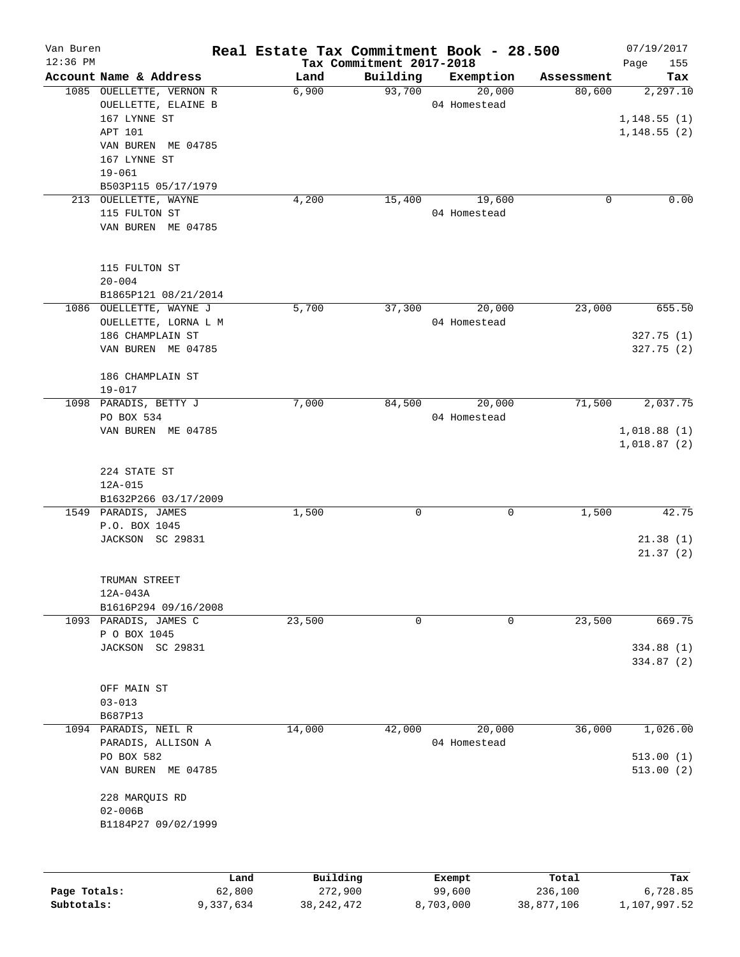| Van Buren                  |                          |                     | Real Estate Tax Commitment Book - 28.500 |                                      |           |                     |                       | 07/19/2017               |
|----------------------------|--------------------------|---------------------|------------------------------------------|--------------------------------------|-----------|---------------------|-----------------------|--------------------------|
| $12:36$ PM                 | Account Name & Address   |                     | Land                                     | Tax Commitment 2017-2018<br>Building |           |                     |                       | Page<br>155              |
|                            | 1085 OUELLETTE, VERNON R |                     | 6,900                                    | 93,700                               |           | Exemption<br>20,000 | Assessment<br>80,600  | Tax                      |
|                            | OUELLETTE, ELAINE B      |                     |                                          |                                      |           | 04 Homestead        |                       | 2,297.10                 |
|                            | 167 LYNNE ST             |                     |                                          |                                      |           |                     |                       |                          |
|                            |                          |                     |                                          |                                      |           |                     |                       | 1,148.55(1)              |
|                            | APT 101                  |                     |                                          |                                      |           |                     |                       | 1,148.55(2)              |
|                            | VAN BUREN ME 04785       |                     |                                          |                                      |           |                     |                       |                          |
|                            | 167 LYNNE ST             |                     |                                          |                                      |           |                     |                       |                          |
|                            | $19 - 061$               |                     |                                          |                                      |           |                     |                       |                          |
|                            | B503P115 05/17/1979      |                     |                                          |                                      |           |                     |                       |                          |
|                            | 213 OUELLETTE, WAYNE     |                     | 4,200                                    | 15,400                               |           | 19,600              | 0                     | 0.00                     |
|                            | 115 FULTON ST            |                     |                                          |                                      |           | 04 Homestead        |                       |                          |
|                            | VAN BUREN ME 04785       |                     |                                          |                                      |           |                     |                       |                          |
|                            | 115 FULTON ST            |                     |                                          |                                      |           |                     |                       |                          |
|                            | $20 - 004$               |                     |                                          |                                      |           |                     |                       |                          |
|                            | B1865P121 08/21/2014     |                     |                                          |                                      |           |                     |                       |                          |
|                            | 1086 OUELLETTE, WAYNE J  |                     | 5,700                                    | 37,300                               |           | 20,000              | 23,000                | 655.50                   |
|                            | OUELLETTE, LORNA L M     |                     |                                          |                                      |           | 04 Homestead        |                       |                          |
|                            | 186 CHAMPLAIN ST         |                     |                                          |                                      |           |                     |                       | 327.75(1)                |
|                            | VAN BUREN ME 04785       |                     |                                          |                                      |           |                     |                       | 327.75(2)                |
|                            |                          |                     |                                          |                                      |           |                     |                       |                          |
|                            | 186 CHAMPLAIN ST         |                     |                                          |                                      |           |                     |                       |                          |
|                            | $19 - 017$               |                     |                                          |                                      |           |                     |                       |                          |
|                            | 1098 PARADIS, BETTY J    |                     | 7,000                                    | 84,500                               |           | 20,000              | 71,500                | 2,037.75                 |
|                            | PO BOX 534               |                     |                                          |                                      |           | 04 Homestead        |                       |                          |
|                            | VAN BUREN ME 04785       |                     |                                          |                                      |           |                     |                       | 1,018.88(1)              |
|                            |                          |                     |                                          |                                      |           |                     |                       | 1,018.87(2)              |
|                            |                          |                     |                                          |                                      |           |                     |                       |                          |
|                            | 224 STATE ST             |                     |                                          |                                      |           |                     |                       |                          |
|                            | 12A-015                  |                     |                                          |                                      |           |                     |                       |                          |
|                            | B1632P266 03/17/2009     |                     |                                          |                                      |           |                     |                       |                          |
|                            | 1549 PARADIS, JAMES      |                     | 1,500                                    | 0                                    |           | 0                   | 1,500                 | 42.75                    |
|                            | P.O. BOX 1045            |                     |                                          |                                      |           |                     |                       |                          |
|                            | JACKSON SC 29831         |                     |                                          |                                      |           |                     |                       | 21.38(1)                 |
|                            |                          |                     |                                          |                                      |           |                     |                       | 21.37(2)                 |
|                            | TRUMAN STREET            |                     |                                          |                                      |           |                     |                       |                          |
|                            | 12A-043A                 |                     |                                          |                                      |           |                     |                       |                          |
|                            | B1616P294 09/16/2008     |                     |                                          |                                      |           |                     |                       |                          |
|                            | 1093 PARADIS, JAMES C    |                     | 23,500                                   | 0                                    |           | $\mathbf 0$         | 23,500                | 669.75                   |
|                            | P O BOX 1045             |                     |                                          |                                      |           |                     |                       |                          |
|                            | JACKSON SC 29831         |                     |                                          |                                      |           |                     |                       | 334.88 (1)               |
|                            |                          |                     |                                          |                                      |           |                     |                       | 334.87(2)                |
|                            |                          |                     |                                          |                                      |           |                     |                       |                          |
|                            | OFF MAIN ST              |                     |                                          |                                      |           |                     |                       |                          |
|                            | $03 - 013$               |                     |                                          |                                      |           |                     |                       |                          |
|                            | B687P13                  |                     |                                          |                                      |           |                     |                       |                          |
|                            | 1094 PARADIS, NEIL R     |                     | 14,000                                   | 42,000                               |           | 20,000              | 36,000                | 1,026.00                 |
|                            | PARADIS, ALLISON A       |                     |                                          |                                      |           | 04 Homestead        |                       |                          |
|                            | PO BOX 582               |                     |                                          |                                      |           |                     |                       | 513.00(1)                |
|                            | VAN BUREN ME 04785       |                     |                                          |                                      |           |                     |                       | 513.00(2)                |
|                            |                          |                     |                                          |                                      |           |                     |                       |                          |
|                            | 228 MARQUIS RD           |                     |                                          |                                      |           |                     |                       |                          |
|                            | $02 - 006B$              |                     |                                          |                                      |           |                     |                       |                          |
|                            | B1184P27 09/02/1999      |                     |                                          |                                      |           |                     |                       |                          |
|                            |                          |                     |                                          |                                      |           |                     |                       |                          |
|                            |                          |                     |                                          |                                      |           |                     |                       |                          |
|                            |                          | Land                | Building                                 |                                      |           | Exempt              | Total                 | Tax                      |
| Page Totals:<br>Subtotals: |                          | 62,800<br>9,337,634 | 272,900<br>38, 242, 472                  |                                      | 8,703,000 | 99,600              | 236,100<br>38,877,106 | 6,728.85<br>1,107,997.52 |
|                            |                          |                     |                                          |                                      |           |                     |                       |                          |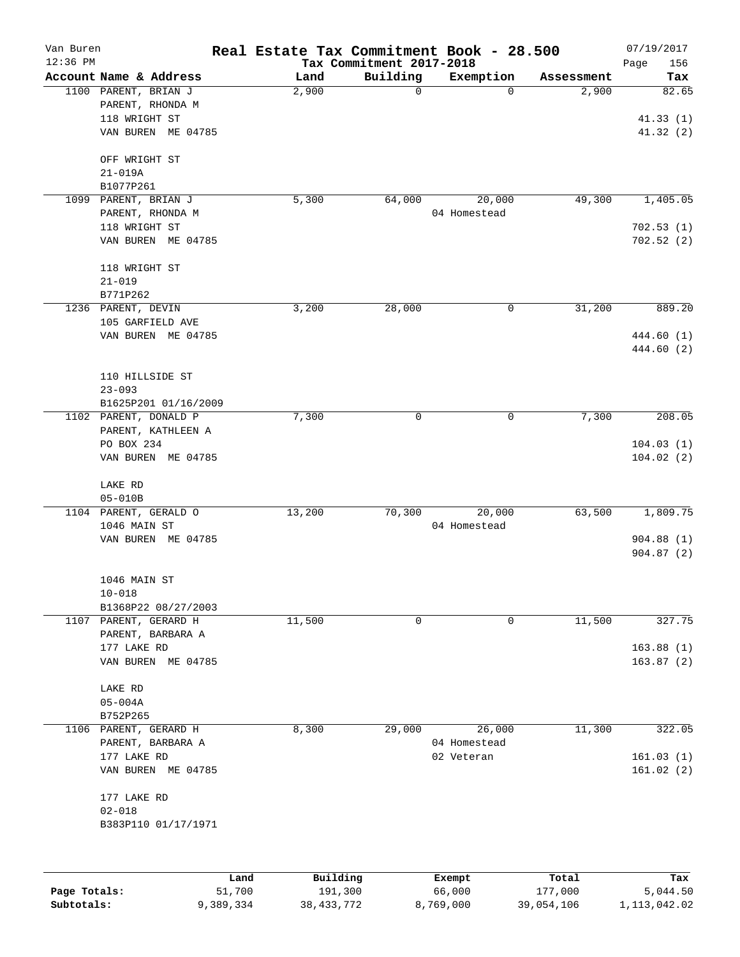| Van Buren    |                                  |        |          |                                      | Real Estate Tax Commitment Book - 28.500 |            | 07/19/2017             |
|--------------|----------------------------------|--------|----------|--------------------------------------|------------------------------------------|------------|------------------------|
| $12:36$ PM   | Account Name & Address           |        | Land     | Tax Commitment 2017-2018<br>Building | Exemption                                | Assessment | 156<br>Page<br>Tax     |
|              | 1100 PARENT, BRIAN J             |        | 2,900    | 0                                    | $\Omega$                                 | 2,900      | 82.65                  |
|              | PARENT, RHONDA M                 |        |          |                                      |                                          |            |                        |
|              | 118 WRIGHT ST                    |        |          |                                      |                                          |            | 41.33(1)               |
|              | VAN BUREN ME 04785               |        |          |                                      |                                          |            | 41.32 (2)              |
|              |                                  |        |          |                                      |                                          |            |                        |
|              | OFF WRIGHT ST                    |        |          |                                      |                                          |            |                        |
|              | $21 - 019A$                      |        |          |                                      |                                          |            |                        |
|              | B1077P261                        |        |          |                                      |                                          |            |                        |
| 1099         | PARENT, BRIAN J                  |        | 5,300    | 64,000                               | 20,000                                   | 49,300     | 1,405.05               |
|              | PARENT, RHONDA M                 |        |          |                                      | 04 Homestead                             |            |                        |
|              | 118 WRIGHT ST                    |        |          |                                      |                                          |            | 702.53(1)              |
|              | VAN BUREN ME 04785               |        |          |                                      |                                          |            | 702.52(2)              |
|              | 118 WRIGHT ST                    |        |          |                                      |                                          |            |                        |
|              | $21 - 019$                       |        |          |                                      |                                          |            |                        |
|              | B771P262                         |        |          |                                      |                                          |            |                        |
|              | 1236 PARENT, DEVIN               |        | 3,200    | 28,000                               | 0                                        | 31,200     | 889.20                 |
|              | 105 GARFIELD AVE                 |        |          |                                      |                                          |            |                        |
|              | VAN BUREN ME 04785               |        |          |                                      |                                          |            | 444.60 (1)             |
|              |                                  |        |          |                                      |                                          |            | 444.60 (2)             |
|              |                                  |        |          |                                      |                                          |            |                        |
|              | 110 HILLSIDE ST                  |        |          |                                      |                                          |            |                        |
|              | $23 - 093$                       |        |          |                                      |                                          |            |                        |
|              | B1625P201 01/16/2009             |        |          |                                      |                                          |            |                        |
|              | 1102 PARENT, DONALD P            |        | 7,300    | 0                                    | 0                                        | 7,300      | 208.05                 |
|              | PARENT, KATHLEEN A               |        |          |                                      |                                          |            |                        |
|              | PO BOX 234                       |        |          |                                      |                                          |            | 104.03(1)              |
|              | VAN BUREN ME 04785               |        |          |                                      |                                          |            | 104.02(2)              |
|              | LAKE RD                          |        |          |                                      |                                          |            |                        |
|              | $05 - 010B$                      |        |          |                                      |                                          |            |                        |
|              | 1104 PARENT, GERALD O            |        | 13,200   | 70,300                               | 20,000                                   | 63,500     | 1,809.75               |
|              | 1046 MAIN ST                     |        |          |                                      | 04 Homestead                             |            |                        |
|              | VAN BUREN ME 04785               |        |          |                                      |                                          |            | 904.88(1)              |
|              |                                  |        |          |                                      |                                          |            | 904.87(2)              |
|              |                                  |        |          |                                      |                                          |            |                        |
|              | 1046 MAIN ST                     |        |          |                                      |                                          |            |                        |
|              | $10 - 018$                       |        |          |                                      |                                          |            |                        |
|              | B1368P22 08/27/2003              |        |          |                                      |                                          |            |                        |
|              | 1107 PARENT, GERARD H            |        | 11,500   | $\mathsf{O}$                         | 0                                        | 11,500     | 327.75                 |
|              | PARENT, BARBARA A<br>177 LAKE RD |        |          |                                      |                                          |            |                        |
|              | VAN BUREN ME 04785               |        |          |                                      |                                          |            | 163.88(1)<br>163.87(2) |
|              |                                  |        |          |                                      |                                          |            |                        |
|              | LAKE RD                          |        |          |                                      |                                          |            |                        |
|              | $05 - 004A$                      |        |          |                                      |                                          |            |                        |
|              | B752P265                         |        |          |                                      |                                          |            |                        |
|              | 1106 PARENT, GERARD H            |        | 8,300    | 29,000                               | 26,000                                   | 11,300     | 322.05                 |
|              | PARENT, BARBARA A                |        |          |                                      | 04 Homestead                             |            |                        |
|              | 177 LAKE RD                      |        |          |                                      | 02 Veteran                               |            | 161.03(1)              |
|              | VAN BUREN ME 04785               |        |          |                                      |                                          |            | 161.02(2)              |
|              |                                  |        |          |                                      |                                          |            |                        |
|              | 177 LAKE RD                      |        |          |                                      |                                          |            |                        |
|              | $02 - 018$                       |        |          |                                      |                                          |            |                        |
|              | B383P110 01/17/1971              |        |          |                                      |                                          |            |                        |
|              |                                  |        |          |                                      |                                          |            |                        |
|              |                                  | Land   | Building |                                      | Exempt                                   | Total      | Tax                    |
| Page Totals: |                                  | 51,700 | 191,300  |                                      | 66,000                                   | 177,000    | 5,044.50               |

**Subtotals:** 9,389,334 38,433,772 8,769,000 39,054,106 1,113,042.02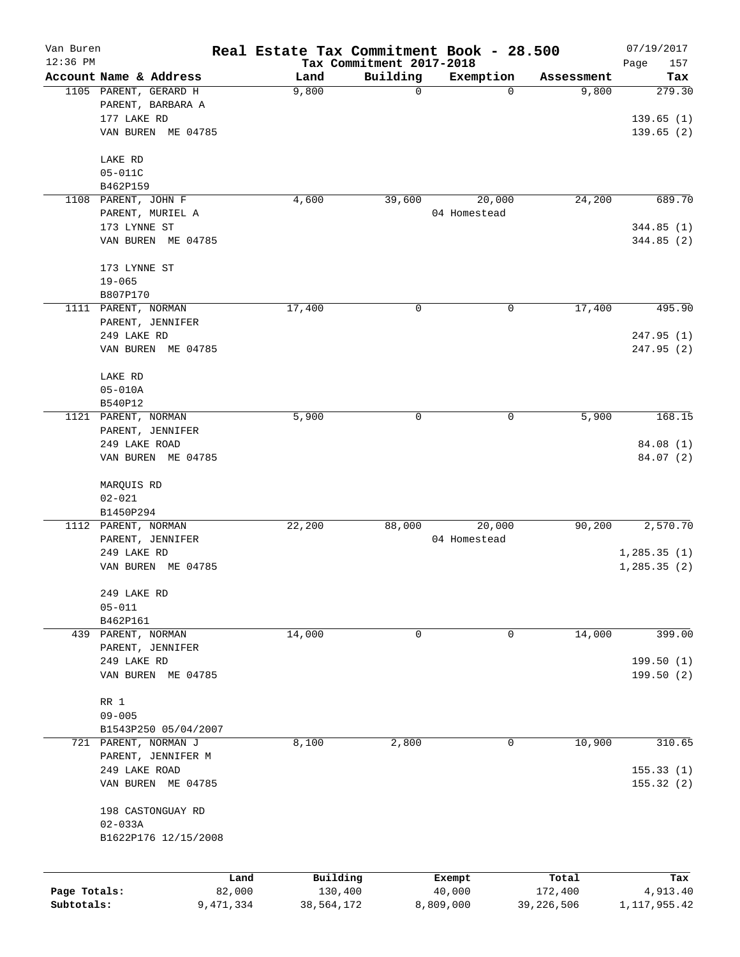| Van Buren    |                        | Real Estate Tax Commitment Book - 28.500 |                                      |           |              |            | 07/19/2017         |
|--------------|------------------------|------------------------------------------|--------------------------------------|-----------|--------------|------------|--------------------|
| $12:36$ PM   | Account Name & Address | Land                                     | Tax Commitment 2017-2018<br>Building |           | Exemption    | Assessment | Page<br>157<br>Tax |
|              | 1105 PARENT, GERARD H  | 9,800                                    |                                      | 0         | 0            | 9,800      | 279.30             |
|              | PARENT, BARBARA A      |                                          |                                      |           |              |            |                    |
|              | 177 LAKE RD            |                                          |                                      |           |              |            | 139.65(1)          |
|              | VAN BUREN ME 04785     |                                          |                                      |           |              |            | 139.65(2)          |
|              | LAKE RD                |                                          |                                      |           |              |            |                    |
|              | $05 - 011C$            |                                          |                                      |           |              |            |                    |
|              | B462P159               |                                          |                                      |           |              |            |                    |
|              | 1108 PARENT, JOHN F    | 4,600                                    |                                      | 39,600    | 20,000       | 24,200     | 689.70             |
|              | PARENT, MURIEL A       |                                          |                                      |           | 04 Homestead |            |                    |
|              | 173 LYNNE ST           |                                          |                                      |           |              |            | 344.85(1)          |
|              | VAN BUREN ME 04785     |                                          |                                      |           |              |            | 344.85 (2)         |
|              | 173 LYNNE ST           |                                          |                                      |           |              |            |                    |
|              | $19 - 065$             |                                          |                                      |           |              |            |                    |
|              | B807P170               |                                          |                                      |           |              |            |                    |
|              | 1111 PARENT, NORMAN    | 17,400                                   |                                      | 0         | 0            | 17,400     | 495.90             |
|              | PARENT, JENNIFER       |                                          |                                      |           |              |            |                    |
|              | 249 LAKE RD            |                                          |                                      |           |              |            | 247.95 (1)         |
|              | VAN BUREN ME 04785     |                                          |                                      |           |              |            | 247.95 (2)         |
|              | LAKE RD                |                                          |                                      |           |              |            |                    |
|              | $05 - 010A$            |                                          |                                      |           |              |            |                    |
|              | B540P12                |                                          |                                      |           |              |            |                    |
|              | 1121 PARENT, NORMAN    | 5,900                                    |                                      | 0         | 0            | 5,900      | 168.15             |
|              | PARENT, JENNIFER       |                                          |                                      |           |              |            |                    |
|              | 249 LAKE ROAD          |                                          |                                      |           |              |            | 84.08 (1)          |
|              | VAN BUREN ME 04785     |                                          |                                      |           |              |            | 84.07 (2)          |
|              | MARQUIS RD             |                                          |                                      |           |              |            |                    |
|              | $02 - 021$             |                                          |                                      |           |              |            |                    |
|              | B1450P294              |                                          |                                      |           |              |            |                    |
|              | 1112 PARENT, NORMAN    | 22,200                                   |                                      | 88,000    | 20,000       | 90,200     | 2,570.70           |
|              | PARENT, JENNIFER       |                                          |                                      |           | 04 Homestead |            |                    |
|              | 249 LAKE RD            |                                          |                                      |           |              |            | 1, 285.35(1)       |
|              | VAN BUREN ME 04785     |                                          |                                      |           |              |            | 1, 285.35(2)       |
|              | 249 LAKE RD            |                                          |                                      |           |              |            |                    |
|              | $05 - 011$             |                                          |                                      |           |              |            |                    |
|              | B462P161               |                                          |                                      |           |              |            |                    |
|              | 439 PARENT, NORMAN     | 14,000                                   |                                      | 0         | 0            | 14,000     | 399.00             |
|              | PARENT, JENNIFER       |                                          |                                      |           |              |            |                    |
|              | 249 LAKE RD            |                                          |                                      |           |              |            | 199.50(1)          |
|              | VAN BUREN ME 04785     |                                          |                                      |           |              |            | 199.50(2)          |
|              | RR 1                   |                                          |                                      |           |              |            |                    |
|              | $09 - 005$             |                                          |                                      |           |              |            |                    |
|              | B1543P250 05/04/2007   |                                          |                                      |           |              |            |                    |
|              | 721 PARENT, NORMAN J   | 8,100                                    |                                      | 2,800     | 0            | 10,900     | 310.65             |
|              | PARENT, JENNIFER M     |                                          |                                      |           |              |            |                    |
|              | 249 LAKE ROAD          |                                          |                                      |           |              |            | 155.33(1)          |
|              | VAN BUREN ME 04785     |                                          |                                      |           |              |            | 155.32(2)          |
|              | 198 CASTONGUAY RD      |                                          |                                      |           |              |            |                    |
|              | $02 - 033A$            |                                          |                                      |           |              |            |                    |
|              | B1622P176 12/15/2008   |                                          |                                      |           |              |            |                    |
|              |                        |                                          |                                      |           |              |            |                    |
|              |                        | Land                                     | Building                             |           | Exempt       | Total      | Tax                |
| Page Totals: |                        | 82,000                                   | 130,400                              |           | 40,000       | 172,400    | 4,913.40           |
| Subtotals:   | 9,471,334              |                                          | 38,564,172                           | 8,809,000 |              | 39,226,506 | 1,117,955.42       |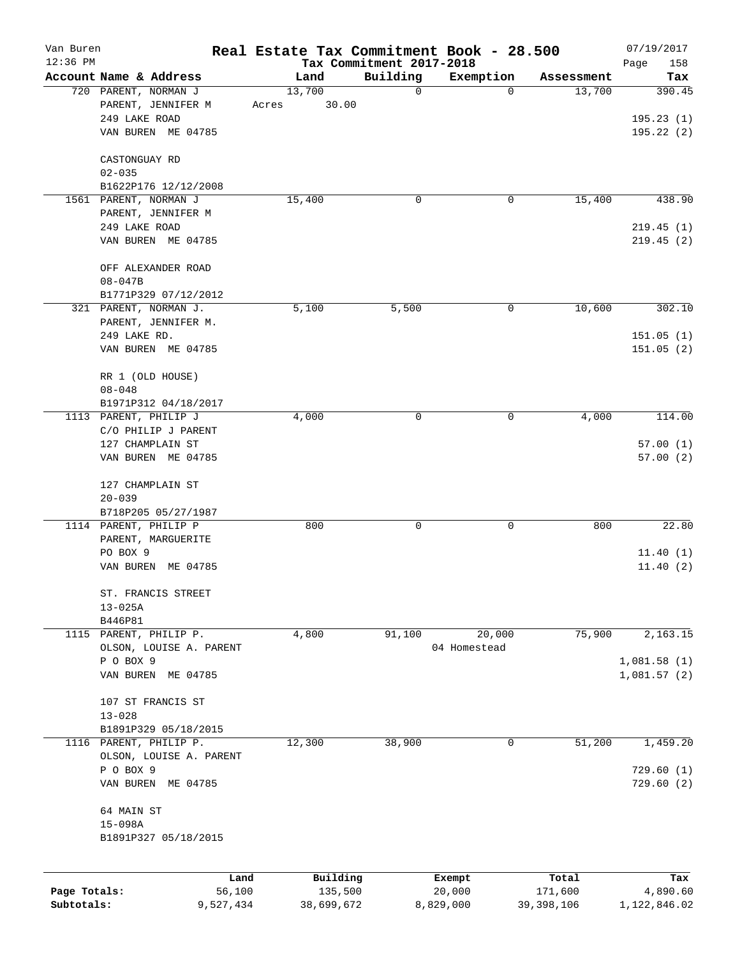| Van Buren    |                                        |           | Real Estate Tax Commitment Book - 28.500 |                                      |                |                      | 07/19/2017           |
|--------------|----------------------------------------|-----------|------------------------------------------|--------------------------------------|----------------|----------------------|----------------------|
| $12:36$ PM   | Account Name & Address                 |           | Land                                     | Tax Commitment 2017-2018<br>Building |                |                      | Page<br>158          |
|              | 720 PARENT, NORMAN J                   |           | 13,700                                   | $\mathbf 0$                          | Exemption<br>0 | Assessment<br>13,700 | Tax<br>390.45        |
|              | PARENT, JENNIFER M                     |           | 30.00<br>Acres                           |                                      |                |                      |                      |
|              | 249 LAKE ROAD                          |           |                                          |                                      |                |                      | 195.23(1)            |
|              | VAN BUREN ME 04785                     |           |                                          |                                      |                |                      | 195.22(2)            |
|              |                                        |           |                                          |                                      |                |                      |                      |
|              | CASTONGUAY RD                          |           |                                          |                                      |                |                      |                      |
|              | $02 - 035$                             |           |                                          |                                      |                |                      |                      |
|              | B1622P176 12/12/2008                   |           |                                          |                                      |                |                      |                      |
|              | 1561 PARENT, NORMAN J                  |           | 15,400                                   | 0                                    | 0              | 15,400               | 438.90               |
|              | PARENT, JENNIFER M                     |           |                                          |                                      |                |                      |                      |
|              | 249 LAKE ROAD                          |           |                                          |                                      |                |                      | 219.45(1)            |
|              | VAN BUREN ME 04785                     |           |                                          |                                      |                |                      | 219.45(2)            |
|              | OFF ALEXANDER ROAD                     |           |                                          |                                      |                |                      |                      |
|              | $08 - 047B$                            |           |                                          |                                      |                |                      |                      |
|              | B1771P329 07/12/2012                   |           |                                          |                                      |                |                      |                      |
|              | 321 PARENT, NORMAN J.                  |           | 5,100                                    | 5,500                                | 0              | 10,600               | 302.10               |
|              | PARENT, JENNIFER M.                    |           |                                          |                                      |                |                      |                      |
|              | 249 LAKE RD.                           |           |                                          |                                      |                |                      | 151.05(1)            |
|              | VAN BUREN ME 04785                     |           |                                          |                                      |                |                      | 151.05(2)            |
|              |                                        |           |                                          |                                      |                |                      |                      |
|              | RR 1 (OLD HOUSE)                       |           |                                          |                                      |                |                      |                      |
|              | $08 - 048$                             |           |                                          |                                      |                |                      |                      |
|              | B1971P312 04/18/2017                   |           |                                          |                                      |                |                      |                      |
|              | 1113 PARENT, PHILIP J                  |           | 4,000                                    | 0                                    | 0              | 4,000                | 114.00               |
|              | C/O PHILIP J PARENT                    |           |                                          |                                      |                |                      |                      |
|              | 127 CHAMPLAIN ST<br>VAN BUREN ME 04785 |           |                                          |                                      |                |                      | 57.00(1)<br>57.00(2) |
|              |                                        |           |                                          |                                      |                |                      |                      |
|              | 127 CHAMPLAIN ST                       |           |                                          |                                      |                |                      |                      |
|              | $20 - 039$                             |           |                                          |                                      |                |                      |                      |
|              | B718P205 05/27/1987                    |           |                                          |                                      |                |                      |                      |
|              | 1114 PARENT, PHILIP P                  |           | 800                                      | 0                                    | 0              | 800                  | 22.80                |
|              | PARENT, MARGUERITE                     |           |                                          |                                      |                |                      |                      |
|              | PO BOX 9                               |           |                                          |                                      |                |                      | 11.40(1)             |
|              | VAN BUREN<br>ME 04785                  |           |                                          |                                      |                |                      | 11.40(2)             |
|              | ST. FRANCIS STREET                     |           |                                          |                                      |                |                      |                      |
|              | $13 - 025A$                            |           |                                          |                                      |                |                      |                      |
|              | B446P81                                |           |                                          |                                      |                |                      |                      |
|              | 1115 PARENT, PHILIP P.                 |           | 4,800                                    | 91,100                               | 20,000         | 75,900               | 2,163.15             |
|              | OLSON, LOUISE A. PARENT                |           |                                          |                                      | 04 Homestead   |                      |                      |
|              | P O BOX 9                              |           |                                          |                                      |                |                      | 1,081.58(1)          |
|              | VAN BUREN ME 04785                     |           |                                          |                                      |                |                      | 1,081.57(2)          |
|              |                                        |           |                                          |                                      |                |                      |                      |
|              | 107 ST FRANCIS ST<br>$13 - 028$        |           |                                          |                                      |                |                      |                      |
|              | B1891P329 05/18/2015                   |           |                                          |                                      |                |                      |                      |
|              | 1116 PARENT, PHILIP P.                 |           | 12,300                                   | 38,900                               | 0              | 51,200               | 1,459.20             |
|              | OLSON, LOUISE A. PARENT                |           |                                          |                                      |                |                      |                      |
|              | P O BOX 9                              |           |                                          |                                      |                |                      | 729.60(1)            |
|              | VAN BUREN ME 04785                     |           |                                          |                                      |                |                      | 729.60(2)            |
|              |                                        |           |                                          |                                      |                |                      |                      |
|              | 64 MAIN ST                             |           |                                          |                                      |                |                      |                      |
|              | $15 - 098A$                            |           |                                          |                                      |                |                      |                      |
|              | B1891P327 05/18/2015                   |           |                                          |                                      |                |                      |                      |
|              |                                        |           |                                          |                                      |                |                      |                      |
|              |                                        | Land      | Building                                 |                                      | Exempt         | Total                | Tax                  |
| Page Totals: |                                        | 56,100    | 135,500                                  |                                      | 20,000         | 171,600              | 4,890.60             |
| Subtotals:   |                                        | 9,527,434 | 38,699,672                               |                                      | 8,829,000      | 39, 398, 106         | 1,122,846.02         |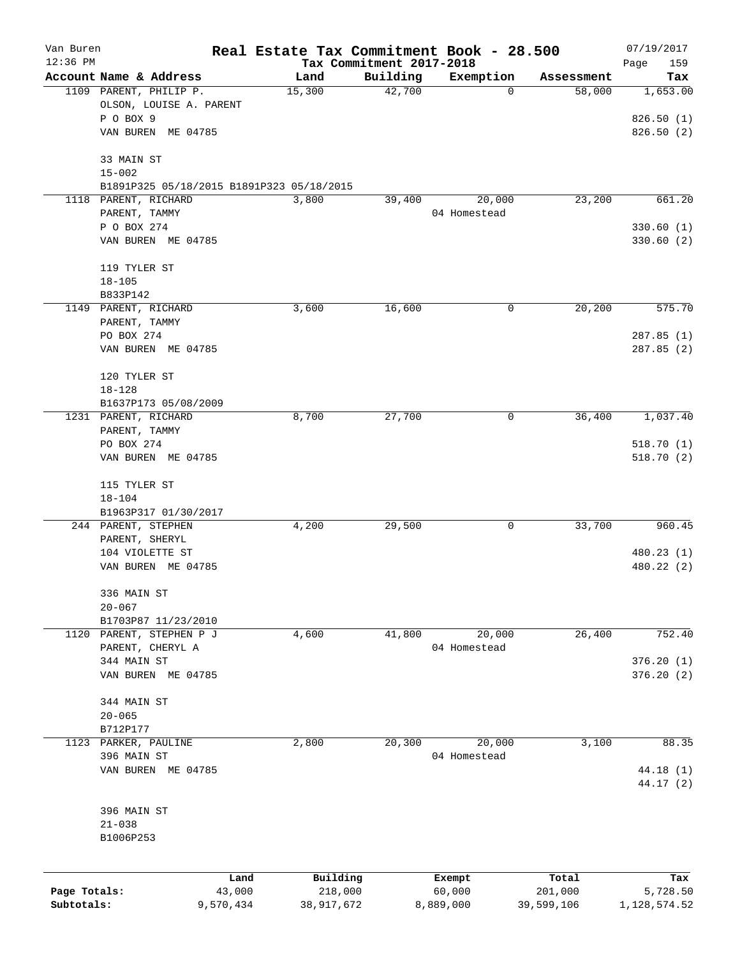| Van Buren    |                                                         | Real Estate Tax Commitment Book - 28.500 |                                      |                  |                  | 07/19/2017         |
|--------------|---------------------------------------------------------|------------------------------------------|--------------------------------------|------------------|------------------|--------------------|
| $12:36$ PM   | Account Name & Address                                  | Land                                     | Tax Commitment 2017-2018<br>Building | Exemption        | Assessment       | Page<br>159<br>Tax |
|              | 1109 PARENT, PHILIP P.<br>OLSON, LOUISE A. PARENT       | 15,300                                   | 42,700                               | 0                | 58,000           | 1,653.00           |
|              | P O BOX 9                                               |                                          |                                      |                  |                  | 826.50(1)          |
|              | VAN BUREN ME 04785                                      |                                          |                                      |                  |                  | 826.50(2)          |
|              | 33 MAIN ST                                              |                                          |                                      |                  |                  |                    |
|              | $15 - 002$<br>B1891P325 05/18/2015 B1891P323 05/18/2015 |                                          |                                      |                  |                  |                    |
|              | 1118 PARENT, RICHARD                                    | 3,800                                    | 39,400                               | 20,000           | 23,200           | 661.20             |
|              | PARENT, TAMMY                                           |                                          |                                      | 04 Homestead     |                  |                    |
|              | P O BOX 274                                             |                                          |                                      |                  |                  | 330.60(1)          |
|              | VAN BUREN ME 04785                                      |                                          |                                      |                  |                  | 330.60(2)          |
|              | 119 TYLER ST                                            |                                          |                                      |                  |                  |                    |
|              | $18 - 105$<br>B833P142                                  |                                          |                                      |                  |                  |                    |
|              | 1149 PARENT, RICHARD                                    | 3,600                                    | 16,600                               | 0                | 20,200           | 575.70             |
|              | PARENT, TAMMY                                           |                                          |                                      |                  |                  |                    |
|              | PO BOX 274                                              |                                          |                                      |                  |                  | 287.85(1)          |
|              | VAN BUREN ME 04785                                      |                                          |                                      |                  |                  | 287.85(2)          |
|              | 120 TYLER ST                                            |                                          |                                      |                  |                  |                    |
|              | $18 - 128$                                              |                                          |                                      |                  |                  |                    |
|              | B1637P173 05/08/2009                                    |                                          |                                      |                  |                  |                    |
|              | 1231 PARENT, RICHARD<br>PARENT, TAMMY                   | 8,700                                    | 27,700                               | 0                | 36,400           | 1,037.40           |
|              | PO BOX 274                                              |                                          |                                      |                  |                  | 518.70(1)          |
|              | VAN BUREN ME 04785                                      |                                          |                                      |                  |                  | 518.70(2)          |
|              | 115 TYLER ST                                            |                                          |                                      |                  |                  |                    |
|              | $18 - 104$                                              |                                          |                                      |                  |                  |                    |
|              | B1963P317 01/30/2017                                    |                                          |                                      |                  |                  |                    |
|              | 244 PARENT, STEPHEN                                     | 4,200                                    | 29,500                               | 0                | 33,700           | 960.45             |
|              | PARENT, SHERYL                                          |                                          |                                      |                  |                  |                    |
|              | 104 VIOLETTE ST                                         |                                          |                                      |                  |                  | 480.23 (1)         |
|              | VAN BUREN ME 04785                                      |                                          |                                      |                  |                  | 480.22 (2)         |
|              | 336 MAIN ST                                             |                                          |                                      |                  |                  |                    |
|              | $20 - 067$                                              |                                          |                                      |                  |                  |                    |
| 1120         | B1703P87 11/23/2010<br>PARENT, STEPHEN P J              | 4,600                                    | 41,800                               | 20,000           | 26,400           | 752.40             |
|              | PARENT, CHERYL A                                        |                                          |                                      | 04 Homestead     |                  |                    |
|              | 344 MAIN ST                                             |                                          |                                      |                  |                  | 376.20(1)          |
|              | VAN BUREN ME 04785                                      |                                          |                                      |                  |                  | 376.20 (2)         |
|              | 344 MAIN ST                                             |                                          |                                      |                  |                  |                    |
|              | $20 - 065$                                              |                                          |                                      |                  |                  |                    |
|              | B712P177                                                |                                          |                                      |                  |                  |                    |
| 1123         | PARKER, PAULINE                                         | 2,800                                    | 20,300                               | 20,000           | 3,100            | 88.35              |
|              | 396 MAIN ST<br>VAN BUREN ME 04785                       |                                          |                                      | 04 Homestead     |                  | 44.18 (1)          |
|              |                                                         |                                          |                                      |                  |                  | 44.17 (2)          |
|              | 396 MAIN ST                                             |                                          |                                      |                  |                  |                    |
|              | $21 - 038$                                              |                                          |                                      |                  |                  |                    |
|              | B1006P253                                               |                                          |                                      |                  |                  |                    |
|              |                                                         |                                          |                                      |                  |                  |                    |
| Page Totals: | Land<br>43,000                                          | Building<br>218,000                      |                                      | Exempt<br>60,000 | Total<br>201,000 | Tax<br>5,728.50    |
| Subtotals:   | 9,570,434                                               | 38,917,672                               |                                      | 8,889,000        | 39,599,106       | 1,128,574.52       |
|              |                                                         |                                          |                                      |                  |                  |                    |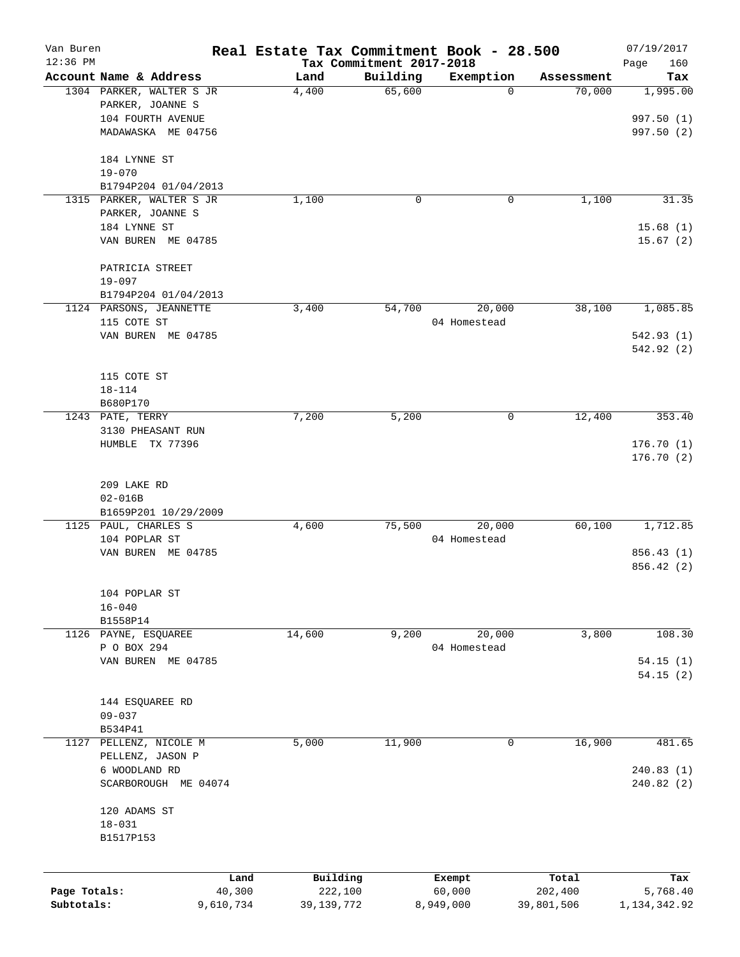| Van Buren    |                          |           | Real Estate Tax Commitment Book - 28.500 |                                      |              |            | 07/19/2017         |
|--------------|--------------------------|-----------|------------------------------------------|--------------------------------------|--------------|------------|--------------------|
| $12:36$ PM   | Account Name & Address   |           | Land                                     | Tax Commitment 2017-2018<br>Building | Exemption    | Assessment | Page<br>160<br>Tax |
|              | 1304 PARKER, WALTER S JR |           | 4,400                                    | 65,600                               | $\mathbf 0$  | 70,000     | 1,995.00           |
|              | PARKER, JOANNE S         |           |                                          |                                      |              |            |                    |
|              | 104 FOURTH AVENUE        |           |                                          |                                      |              |            | 997.50 (1)         |
|              | MADAWASKA ME 04756       |           |                                          |                                      |              |            | 997.50 (2)         |
|              | 184 LYNNE ST             |           |                                          |                                      |              |            |                    |
|              | $19 - 070$               |           |                                          |                                      |              |            |                    |
|              | B1794P204 01/04/2013     |           |                                          |                                      |              |            |                    |
|              | 1315 PARKER, WALTER S JR |           | 1,100                                    | 0                                    | 0            | 1,100      | 31.35              |
|              | PARKER, JOANNE S         |           |                                          |                                      |              |            |                    |
|              | 184 LYNNE ST             |           |                                          |                                      |              |            | 15.68(1)           |
|              | VAN BUREN ME 04785       |           |                                          |                                      |              |            | 15.67(2)           |
|              | PATRICIA STREET          |           |                                          |                                      |              |            |                    |
|              | $19 - 097$               |           |                                          |                                      |              |            |                    |
|              | B1794P204 01/04/2013     |           |                                          |                                      |              |            |                    |
|              | 1124 PARSONS, JEANNETTE  |           | 3,400                                    | 54,700                               | 20,000       | 38,100     | 1,085.85           |
|              | 115 COTE ST              |           |                                          |                                      | 04 Homestead |            |                    |
|              | VAN BUREN ME 04785       |           |                                          |                                      |              |            | 542.93 (1)         |
|              |                          |           |                                          |                                      |              |            | 542.92(2)          |
|              | 115 COTE ST              |           |                                          |                                      |              |            |                    |
|              | $18 - 114$               |           |                                          |                                      |              |            |                    |
|              | B680P170                 |           |                                          |                                      |              |            |                    |
|              | 1243 PATE, TERRY         |           | 7,200                                    | 5,200                                | 0            | 12,400     | 353.40             |
|              | 3130 PHEASANT RUN        |           |                                          |                                      |              |            |                    |
|              | HUMBLE TX 77396          |           |                                          |                                      |              |            | 176.70(1)          |
|              |                          |           |                                          |                                      |              |            | 176.70(2)          |
|              |                          |           |                                          |                                      |              |            |                    |
|              | 209 LAKE RD              |           |                                          |                                      |              |            |                    |
|              | $02 - 016B$              |           |                                          |                                      |              |            |                    |
|              | B1659P201 10/29/2009     |           |                                          |                                      |              |            |                    |
|              | 1125 PAUL, CHARLES S     |           | 4,600                                    | 75,500                               | 20,000       | 60,100     | 1,712.85           |
|              | 104 POPLAR ST            |           |                                          |                                      | 04 Homestead |            |                    |
|              | VAN BUREN ME 04785       |           |                                          |                                      |              |            | 856.43 (1)         |
|              |                          |           |                                          |                                      |              |            | 856.42 (2)         |
|              | 104 POPLAR ST            |           |                                          |                                      |              |            |                    |
|              | $16 - 040$               |           |                                          |                                      |              |            |                    |
|              | B1558P14                 |           |                                          |                                      |              |            |                    |
|              | 1126 PAYNE, ESQUAREE     |           | 14,600                                   | 9,200                                | 20,000       | 3,800      | 108.30             |
|              | P O BOX 294              |           |                                          |                                      | 04 Homestead |            |                    |
|              | VAN BUREN ME 04785       |           |                                          |                                      |              |            | 54.15(1)           |
|              |                          |           |                                          |                                      |              |            | 54.15(2)           |
|              | 144 ESQUAREE RD          |           |                                          |                                      |              |            |                    |
|              | $09 - 037$               |           |                                          |                                      |              |            |                    |
|              | B534P41                  |           |                                          |                                      |              |            |                    |
| 1127         | PELLENZ, NICOLE M        |           | 5,000                                    | 11,900                               | 0            | 16,900     | 481.65             |
|              | PELLENZ, JASON P         |           |                                          |                                      |              |            |                    |
|              | 6 WOODLAND RD            |           |                                          |                                      |              |            | 240.83 (1)         |
|              | SCARBOROUGH ME 04074     |           |                                          |                                      |              |            | 240.82 (2)         |
|              | 120 ADAMS ST             |           |                                          |                                      |              |            |                    |
|              | $18 - 031$               |           |                                          |                                      |              |            |                    |
|              | B1517P153                |           |                                          |                                      |              |            |                    |
|              |                          |           |                                          |                                      |              |            |                    |
|              |                          | Land      | Building                                 |                                      | Exempt       | Total      | Tax                |
| Page Totals: |                          | 40,300    | 222,100                                  |                                      | 60,000       | 202,400    | 5,768.40           |
| Subtotals:   |                          | 9,610,734 | 39, 139, 772                             |                                      | 8,949,000    | 39,801,506 | 1,134,342.92       |
|              |                          |           |                                          |                                      |              |            |                    |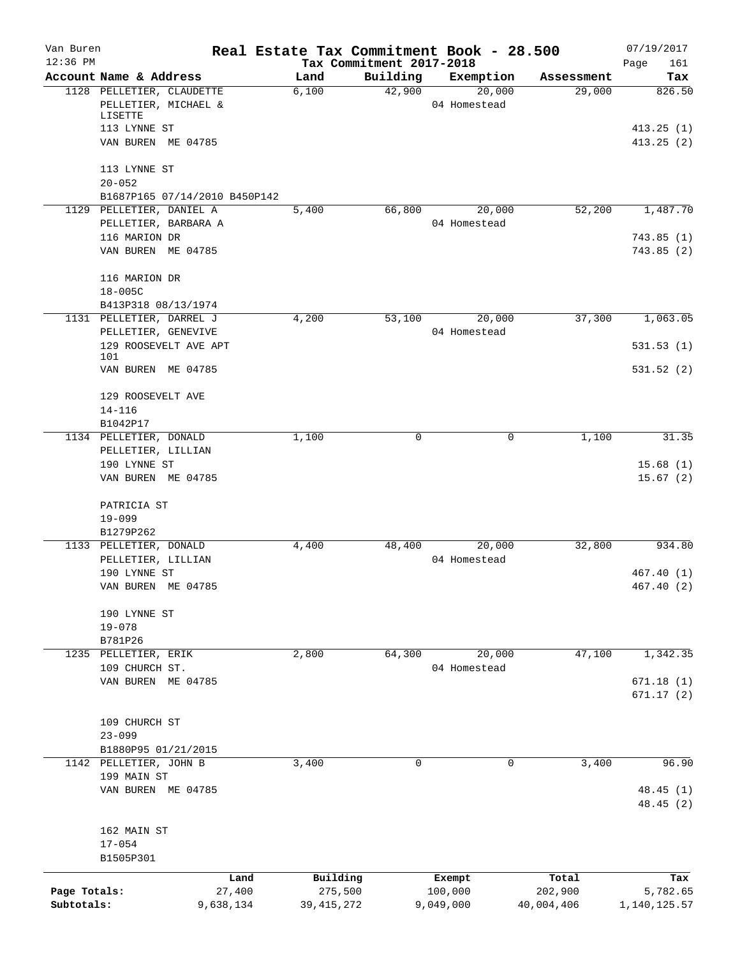| Van Buren<br>$12:36$ PM |                                                  |           | Real Estate Tax Commitment Book - 28.500 | Tax Commitment 2017-2018 |                        |            | 07/19/2017<br>161<br>Page |
|-------------------------|--------------------------------------------------|-----------|------------------------------------------|--------------------------|------------------------|------------|---------------------------|
|                         | Account Name & Address                           |           | Land                                     | Building                 | Exemption              | Assessment | Tax                       |
|                         | 1128 PELLETIER, CLAUDETTE                        |           | 6,100                                    | 42,900                   | 20,000                 | 29,000     | 826.50                    |
|                         | PELLETIER, MICHAEL &<br>LISETTE                  |           |                                          |                          | 04 Homestead           |            |                           |
|                         | 113 LYNNE ST                                     |           |                                          |                          |                        |            | 413.25(1)                 |
|                         | VAN BUREN ME 04785                               |           |                                          |                          |                        |            | 413.25(2)                 |
|                         | 113 LYNNE ST                                     |           |                                          |                          |                        |            |                           |
|                         | $20 - 052$                                       |           |                                          |                          |                        |            |                           |
|                         | B1687P165 07/14/2010 B450P142                    |           |                                          |                          |                        |            |                           |
|                         | 1129 PELLETIER, DANIEL A<br>PELLETIER, BARBARA A |           | 5,400                                    | 66,800                   | 20,000<br>04 Homestead | 52,200     | 1,487.70                  |
|                         | 116 MARION DR                                    |           |                                          |                          |                        |            | 743.85(1)                 |
|                         | VAN BUREN ME 04785                               |           |                                          |                          |                        |            | 743.85(2)                 |
|                         | 116 MARION DR                                    |           |                                          |                          |                        |            |                           |
|                         | $18 - 005C$                                      |           |                                          |                          |                        |            |                           |
|                         | B413P318 08/13/1974                              |           |                                          |                          |                        |            |                           |
|                         | 1131 PELLETIER, DARREL J                         |           | 4,200                                    | 53,100                   | 20,000<br>04 Homestead | 37,300     | 1,063.05                  |
|                         | PELLETIER, GENEVIVE<br>129 ROOSEVELT AVE APT     |           |                                          |                          |                        |            | 531.53(1)                 |
|                         | 101<br>VAN BUREN ME 04785                        |           |                                          |                          |                        |            | 531.52(2)                 |
|                         | 129 ROOSEVELT AVE                                |           |                                          |                          |                        |            |                           |
|                         | $14 - 116$                                       |           |                                          |                          |                        |            |                           |
|                         | B1042P17                                         |           |                                          |                          |                        |            |                           |
|                         | 1134 PELLETIER, DONALD                           |           | 1,100                                    | $\mathbf 0$              |                        | 0<br>1,100 | 31.35                     |
|                         | PELLETIER, LILLIAN                               |           |                                          |                          |                        |            |                           |
|                         | 190 LYNNE ST<br>VAN BUREN ME 04785               |           |                                          |                          |                        |            | 15.68(1)<br>15.67(2)      |
|                         | PATRICIA ST                                      |           |                                          |                          |                        |            |                           |
|                         | $19 - 099$                                       |           |                                          |                          |                        |            |                           |
|                         | B1279P262                                        |           |                                          |                          |                        |            |                           |
|                         | 1133 PELLETIER, DONALD                           |           | 4,400                                    | 48,400                   | 20,000                 | 32,800     | 934.80                    |
|                         | PELLETIER, LILLIAN                               |           |                                          |                          | 04 Homestead           |            |                           |
|                         | 190 LYNNE ST                                     |           |                                          |                          |                        |            | 467.40(1)                 |
|                         | VAN BUREN ME 04785                               |           |                                          |                          |                        |            | 467.40(2)                 |
|                         | 190 LYNNE ST                                     |           |                                          |                          |                        |            |                           |
|                         | $19 - 078$                                       |           |                                          |                          |                        |            |                           |
|                         | B781P26                                          |           |                                          |                          |                        |            |                           |
|                         | 1235 PELLETIER, ERIK<br>109 CHURCH ST.           |           | 2,800                                    | 64,300                   | 20,000<br>04 Homestead | 47,100     | 1,342.35                  |
|                         | VAN BUREN ME 04785                               |           |                                          |                          |                        |            | 671.18(1)                 |
|                         |                                                  |           |                                          |                          |                        |            | 671.17(2)                 |
|                         | 109 CHURCH ST                                    |           |                                          |                          |                        |            |                           |
|                         | $23 - 099$                                       |           |                                          |                          |                        |            |                           |
|                         | B1880P95 01/21/2015                              |           |                                          |                          |                        |            |                           |
|                         | 1142 PELLETIER, JOHN B                           |           | 3,400                                    | 0                        |                        | 3,400<br>0 | 96.90                     |
|                         | 199 MAIN ST<br>VAN BUREN ME 04785                |           |                                          |                          |                        |            | 48.45(1)                  |
|                         |                                                  |           |                                          |                          |                        |            | 48.45(2)                  |
|                         | 162 MAIN ST                                      |           |                                          |                          |                        |            |                           |
|                         | $17 - 054$                                       |           |                                          |                          |                        |            |                           |
|                         | B1505P301                                        |           |                                          |                          |                        |            |                           |
|                         |                                                  | Land      | Building                                 |                          | Exempt                 | Total      | Tax                       |
| Page Totals:            |                                                  | 27,400    | 275,500                                  |                          | 100,000                | 202,900    | 5,782.65                  |
| Subtotals:              |                                                  | 9,638,134 | 39, 415, 272                             |                          | 9,049,000              | 40,004,406 | 1,140,125.57              |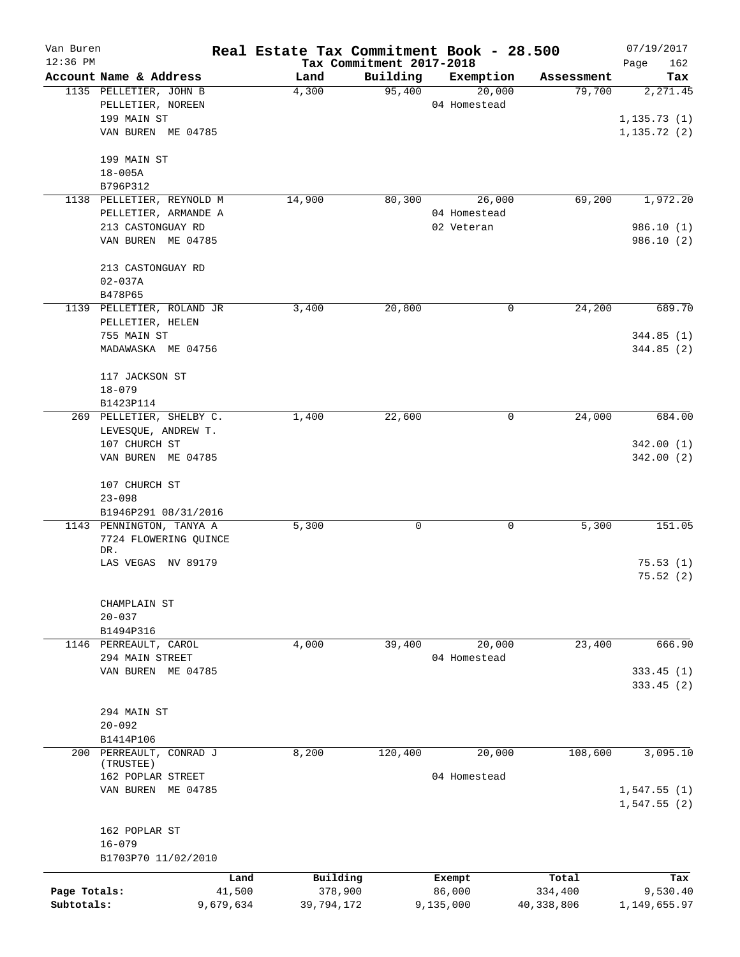| Van Buren    |                                      | Real Estate Tax Commitment Book - 28.500 |                                      |                     |                      | 07/19/2017                 |
|--------------|--------------------------------------|------------------------------------------|--------------------------------------|---------------------|----------------------|----------------------------|
| $12:36$ PM   | Account Name & Address               | Land                                     | Tax Commitment 2017-2018<br>Building |                     |                      | Page<br>162                |
|              | 1135 PELLETIER, JOHN B               | 4,300                                    | 95,400                               | Exemption<br>20,000 | Assessment<br>79,700 | Tax<br>2,271.45            |
|              | PELLETIER, NOREEN                    |                                          |                                      | 04 Homestead        |                      |                            |
|              | 199 MAIN ST                          |                                          |                                      |                     |                      | 1, 135.73(1)               |
|              | VAN BUREN ME 04785                   |                                          |                                      |                     |                      | 1, 135.72(2)               |
|              | 199 MAIN ST                          |                                          |                                      |                     |                      |                            |
|              | $18 - 005A$                          |                                          |                                      |                     |                      |                            |
|              | B796P312                             |                                          |                                      |                     |                      |                            |
|              | 1138 PELLETIER, REYNOLD M            | 14,900                                   | 80,300                               | 26,000              | 69,200               | 1,972.20                   |
|              | PELLETIER, ARMANDE A                 |                                          |                                      | 04 Homestead        |                      |                            |
|              | 213 CASTONGUAY RD                    |                                          |                                      | 02 Veteran          |                      | 986.10(1)                  |
|              | VAN BUREN ME 04785                   |                                          |                                      |                     |                      | 986.10(2)                  |
|              | 213 CASTONGUAY RD                    |                                          |                                      |                     |                      |                            |
|              | $02 - 037A$                          |                                          |                                      |                     |                      |                            |
|              | B478P65                              |                                          |                                      |                     |                      |                            |
|              | 1139 PELLETIER, ROLAND JR            | 3,400                                    | 20,800                               | 0                   | 24,200               | 689.70                     |
|              | PELLETIER, HELEN                     |                                          |                                      |                     |                      |                            |
|              | 755 MAIN ST                          |                                          |                                      |                     |                      | 344.85(1)                  |
|              | MADAWASKA ME 04756                   |                                          |                                      |                     |                      | 344.85(2)                  |
|              | 117 JACKSON ST                       |                                          |                                      |                     |                      |                            |
|              | $18 - 079$                           |                                          |                                      |                     |                      |                            |
|              | B1423P114                            |                                          |                                      |                     |                      |                            |
|              | 269 PELLETIER, SHELBY C.             | 1,400                                    | 22,600                               | 0                   | 24,000               | 684.00                     |
|              | LEVESQUE, ANDREW T.                  |                                          |                                      |                     |                      |                            |
|              | 107 CHURCH ST                        |                                          |                                      |                     |                      | 342.00(1)                  |
|              | VAN BUREN ME 04785                   |                                          |                                      |                     |                      | 342.00(2)                  |
|              | 107 CHURCH ST                        |                                          |                                      |                     |                      |                            |
|              | $23 - 098$                           |                                          |                                      |                     |                      |                            |
|              | B1946P291 08/31/2016                 |                                          |                                      |                     |                      |                            |
|              | 1143 PENNINGTON, TANYA A             | 5,300                                    | 0                                    | 0                   | 5,300                | 151.05                     |
|              | 7724 FLOWERING QUINCE<br>DR.         |                                          |                                      |                     |                      |                            |
|              | LAS VEGAS NV 89179                   |                                          |                                      |                     |                      | 75.53(1)                   |
|              |                                      |                                          |                                      |                     |                      | 75.52(2)                   |
|              | CHAMPLAIN ST                         |                                          |                                      |                     |                      |                            |
|              | $20 - 037$                           |                                          |                                      |                     |                      |                            |
|              | B1494P316                            |                                          |                                      |                     |                      |                            |
|              | 1146 PERREAULT, CAROL                | 4,000                                    | 39,400                               | 20,000              | 23,400               | 666.90                     |
|              | 294 MAIN STREET                      |                                          |                                      | 04 Homestead        |                      |                            |
|              | VAN BUREN ME 04785                   |                                          |                                      |                     |                      | 333.45(1)                  |
|              |                                      |                                          |                                      |                     |                      | 333.45(2)                  |
|              |                                      |                                          |                                      |                     |                      |                            |
|              | 294 MAIN ST                          |                                          |                                      |                     |                      |                            |
|              | $20 - 092$                           |                                          |                                      |                     |                      |                            |
|              | B1414P106                            |                                          |                                      |                     |                      |                            |
|              | 200 PERREAULT, CONRAD J<br>(TRUSTEE) | 8,200                                    | 120,400                              | 20,000              | 108,600              | 3,095.10                   |
|              | 162 POPLAR STREET                    |                                          |                                      | 04 Homestead        |                      |                            |
|              | VAN BUREN ME 04785                   |                                          |                                      |                     |                      | 1,547.55(1)<br>1,547.55(2) |
|              | 162 POPLAR ST                        |                                          |                                      |                     |                      |                            |
|              | $16 - 079$                           |                                          |                                      |                     |                      |                            |
|              | B1703P70 11/02/2010                  |                                          |                                      |                     |                      |                            |
|              | Land                                 | Building                                 |                                      | Exempt              | Total                | Tax                        |
| Page Totals: | 41,500                               | 378,900                                  |                                      | 86,000              | 334,400              | 9,530.40                   |
| Subtotals:   | 9,679,634                            | 39,794,172                               |                                      | 9,135,000           | 40,338,806           | 1,149,655.97               |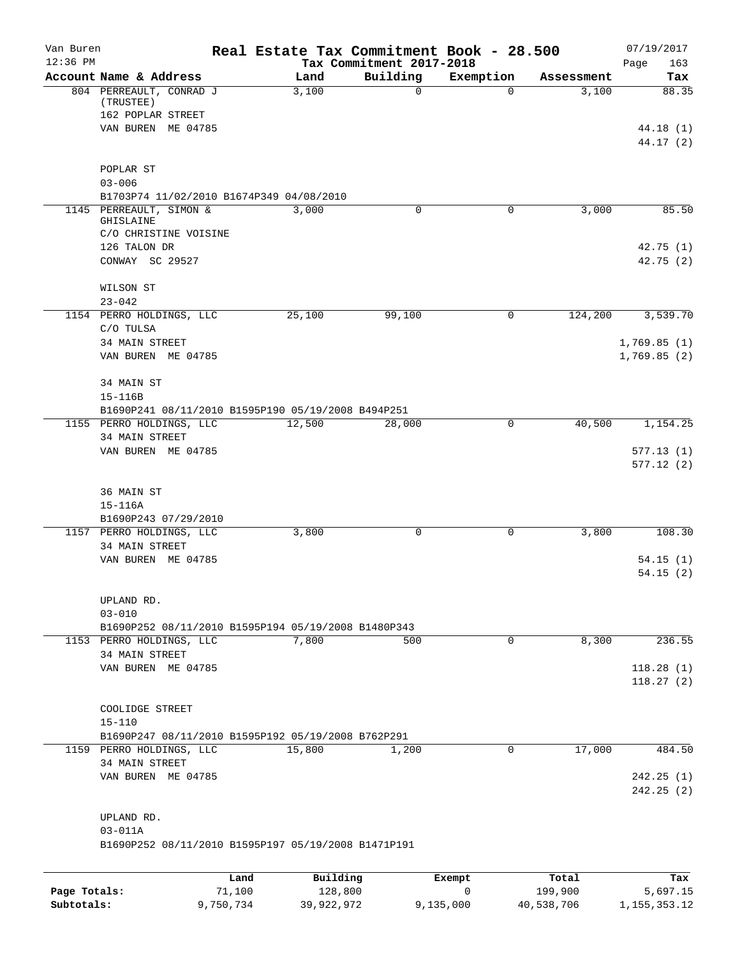| Van Buren<br>$12:36$ PM |                                                        |        |            | Tax Commitment 2017-2018 |          | Real Estate Tax Commitment Book - 28.500 |            | 07/19/2017<br>163<br>Page |
|-------------------------|--------------------------------------------------------|--------|------------|--------------------------|----------|------------------------------------------|------------|---------------------------|
|                         | Account Name & Address                                 |        | Land       |                          | Building | Exemption                                | Assessment | Tax                       |
|                         | 804 PERREAULT, CONRAD J<br>(TRUSTEE)                   |        | 3,100      |                          | 0        | $\Omega$                                 | 3,100      | 88.35                     |
|                         | 162 POPLAR STREET<br>VAN BUREN ME 04785                |        |            |                          |          |                                          |            | 44.18(1)                  |
|                         |                                                        |        |            |                          |          |                                          |            | 44.17(2)                  |
|                         | POPLAR ST                                              |        |            |                          |          |                                          |            |                           |
|                         | $03 - 006$<br>B1703P74 11/02/2010 B1674P349 04/08/2010 |        |            |                          |          |                                          |            |                           |
|                         | 1145 PERREAULT, SIMON &                                |        | 3,000      |                          | 0        | 0                                        | 3,000      | 85.50                     |
|                         | <b>GHISLAINE</b>                                       |        |            |                          |          |                                          |            |                           |
|                         | C/O CHRISTINE VOISINE                                  |        |            |                          |          |                                          |            |                           |
|                         | 126 TALON DR                                           |        |            |                          |          |                                          |            | 42.75 (1)                 |
|                         | CONWAY SC 29527                                        |        |            |                          |          |                                          |            | 42.75(2)                  |
|                         | WILSON ST                                              |        |            |                          |          |                                          |            |                           |
|                         | $23 - 042$                                             |        |            |                          |          |                                          |            |                           |
|                         | 1154 PERRO HOLDINGS, LLC                               |        | 25,100     |                          | 99,100   | 0                                        | 124,200    | 3,539.70                  |
|                         | C/O TULSA                                              |        |            |                          |          |                                          |            |                           |
|                         | 34 MAIN STREET                                         |        |            |                          |          |                                          |            | 1,769.85(1)               |
|                         | VAN BUREN ME 04785                                     |        |            |                          |          |                                          |            | 1,769.85(2)               |
|                         | 34 MAIN ST                                             |        |            |                          |          |                                          |            |                           |
|                         | 15-116B                                                |        |            |                          |          |                                          |            |                           |
|                         | B1690P241 08/11/2010 B1595P190 05/19/2008 B494P251     |        |            |                          |          |                                          |            |                           |
|                         | 1155 PERRO HOLDINGS, LLC                               |        | 12,500     |                          | 28,000   | 0                                        | 40,500     | 1,154.25                  |
|                         | 34 MAIN STREET                                         |        |            |                          |          |                                          |            |                           |
|                         | VAN BUREN ME 04785                                     |        |            |                          |          |                                          |            | 577.13(1)                 |
|                         |                                                        |        |            |                          |          |                                          |            | 577.12(2)                 |
|                         | 36 MAIN ST                                             |        |            |                          |          |                                          |            |                           |
|                         | $15 - 116A$                                            |        |            |                          |          |                                          |            |                           |
|                         | B1690P243 07/29/2010                                   |        |            |                          |          |                                          |            |                           |
|                         | 1157 PERRO HOLDINGS, LLC                               |        | 3,800      |                          | 0        | 0                                        | 3,800      | 108.30                    |
|                         | 34 MAIN STREET                                         |        |            |                          |          |                                          |            |                           |
|                         | VAN BUREN ME 04785                                     |        |            |                          |          |                                          |            | 54.15(1)                  |
|                         |                                                        |        |            |                          |          |                                          |            | 54.15 (2)                 |
|                         | UPLAND RD.                                             |        |            |                          |          |                                          |            |                           |
|                         | $03 - 010$                                             |        |            |                          |          |                                          |            |                           |
|                         | B1690P252 08/11/2010 B1595P194 05/19/2008 B1480P343    |        |            |                          |          |                                          |            |                           |
|                         | 1153 PERRO HOLDINGS, LLC                               |        | 7,800      |                          | 500      | $\mathbf 0$                              | 8,300      | 236.55                    |
|                         | 34 MAIN STREET                                         |        |            |                          |          |                                          |            |                           |
|                         | VAN BUREN ME 04785                                     |        |            |                          |          |                                          |            | 118.28(1)                 |
|                         |                                                        |        |            |                          |          |                                          |            | 118.27(2)                 |
|                         | COOLIDGE STREET                                        |        |            |                          |          |                                          |            |                           |
|                         | $15 - 110$                                             |        |            |                          |          |                                          |            |                           |
|                         | B1690P247 08/11/2010 B1595P192 05/19/2008 B762P291     |        |            |                          |          |                                          |            |                           |
|                         | 1159 PERRO HOLDINGS, LLC                               |        | 15,800     |                          | 1,200    | 0                                        | 17,000     | 484.50                    |
|                         | 34 MAIN STREET                                         |        |            |                          |          |                                          |            |                           |
|                         | VAN BUREN ME 04785                                     |        |            |                          |          |                                          |            | 242.25(1)                 |
|                         |                                                        |        |            |                          |          |                                          |            | 242.25(2)                 |
|                         | UPLAND RD.                                             |        |            |                          |          |                                          |            |                           |
|                         | $03 - 011A$                                            |        |            |                          |          |                                          |            |                           |
|                         | B1690P252 08/11/2010 B1595P197 05/19/2008 B1471P191    |        |            |                          |          |                                          |            |                           |
|                         |                                                        |        |            |                          |          |                                          |            |                           |
|                         |                                                        | Land   | Building   |                          |          | Exempt                                   | Total      | Tax                       |
| Page Totals:            |                                                        | 71,100 | 128,800    |                          |          | $\mathbf 0$                              | 199,900    | 5,697.15                  |
| Subtotals:              | 9,750,734                                              |        | 39,922,972 |                          |          | 9,135,000                                | 40,538,706 | 1, 155, 353. 12           |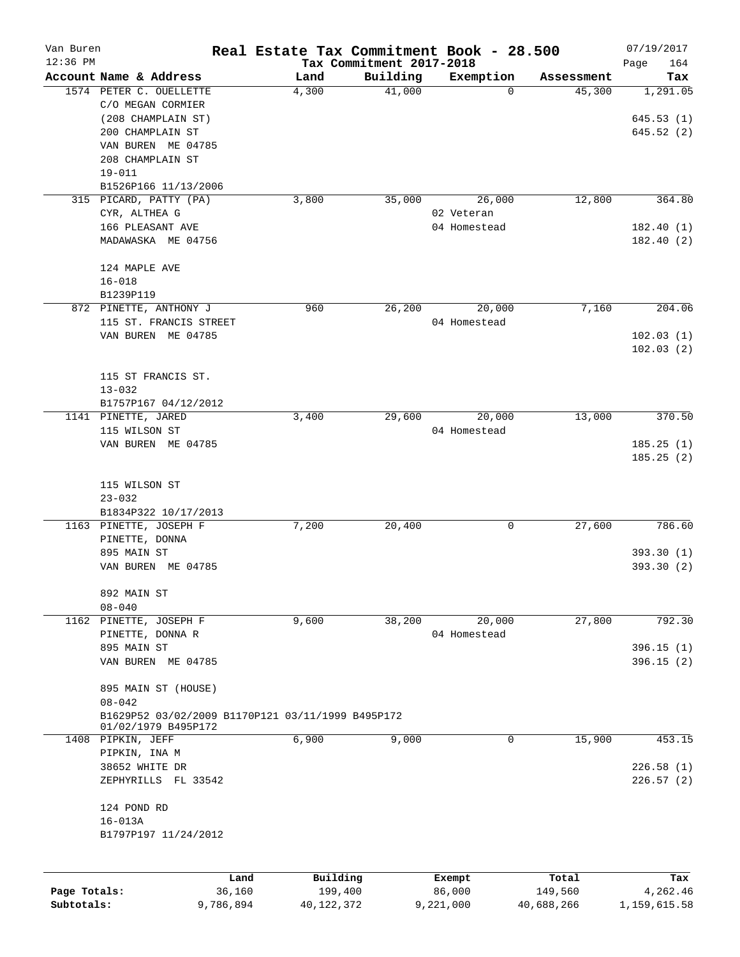| Van Buren    |                                                   |                | Real Estate Tax Commitment Book - 28.500 |                                      |                  |                  | 07/19/2017         |
|--------------|---------------------------------------------------|----------------|------------------------------------------|--------------------------------------|------------------|------------------|--------------------|
| $12:36$ PM   | Account Name & Address                            |                | Land                                     | Tax Commitment 2017-2018<br>Building | Exemption        | Assessment       | Page<br>164<br>Tax |
|              | 1574 PETER C. OUELLETTE                           |                | 4,300                                    | 41,000                               | 0                | 45,300           | 1,291.05           |
|              | C/O MEGAN CORMIER                                 |                |                                          |                                      |                  |                  |                    |
|              | (208 CHAMPLAIN ST)                                |                |                                          |                                      |                  |                  | 645.53(1)          |
|              | 200 CHAMPLAIN ST                                  |                |                                          |                                      |                  |                  | 645.52(2)          |
|              | VAN BUREN ME 04785                                |                |                                          |                                      |                  |                  |                    |
|              | 208 CHAMPLAIN ST                                  |                |                                          |                                      |                  |                  |                    |
|              | $19 - 011$                                        |                |                                          |                                      |                  |                  |                    |
|              | B1526P166 11/13/2006                              |                |                                          |                                      |                  |                  |                    |
|              | 315 PICARD, PATTY (PA)                            |                | 3,800                                    | 35,000                               | 26,000           | 12,800           | 364.80             |
|              | CYR, ALTHEA G                                     |                |                                          |                                      | 02 Veteran       |                  |                    |
|              | 166 PLEASANT AVE                                  |                |                                          |                                      | 04 Homestead     |                  | 182.40(1)          |
|              | MADAWASKA ME 04756                                |                |                                          |                                      |                  |                  | 182.40(2)          |
|              |                                                   |                |                                          |                                      |                  |                  |                    |
|              | 124 MAPLE AVE                                     |                |                                          |                                      |                  |                  |                    |
|              | $16 - 018$                                        |                |                                          |                                      |                  |                  |                    |
|              | B1239P119                                         |                |                                          |                                      |                  |                  |                    |
|              | 872 PINETTE, ANTHONY J                            |                | 960                                      | 26,200                               | 20,000           | 7,160            | 204.06             |
|              | 115 ST. FRANCIS STREET                            |                |                                          |                                      | 04 Homestead     |                  |                    |
|              | VAN BUREN ME 04785                                |                |                                          |                                      |                  |                  | 102.03(1)          |
|              |                                                   |                |                                          |                                      |                  |                  | 102.03(2)          |
|              |                                                   |                |                                          |                                      |                  |                  |                    |
|              | 115 ST FRANCIS ST.                                |                |                                          |                                      |                  |                  |                    |
|              | $13 - 032$                                        |                |                                          |                                      |                  |                  |                    |
|              | B1757P167 04/12/2012                              |                |                                          |                                      |                  |                  |                    |
|              | 1141 PINETTE, JARED                               |                | 3,400                                    | 29,600                               | 20,000           | 13,000           | 370.50             |
|              | 115 WILSON ST                                     |                |                                          |                                      | 04 Homestead     |                  |                    |
|              | VAN BUREN ME 04785                                |                |                                          |                                      |                  |                  | 185.25(1)          |
|              |                                                   |                |                                          |                                      |                  |                  | 185.25(2)          |
|              |                                                   |                |                                          |                                      |                  |                  |                    |
|              | 115 WILSON ST                                     |                |                                          |                                      |                  |                  |                    |
|              | $23 - 032$                                        |                |                                          |                                      |                  |                  |                    |
|              | B1834P322 10/17/2013                              |                |                                          |                                      |                  | 27,600           |                    |
|              | 1163 PINETTE, JOSEPH F                            |                | 7,200                                    | 20,400                               | 0                |                  | 786.60             |
|              | PINETTE, DONNA                                    |                |                                          |                                      |                  |                  |                    |
|              | 895 MAIN ST                                       |                |                                          |                                      |                  |                  | 393.30(1)          |
|              | VAN BUREN ME 04785                                |                |                                          |                                      |                  |                  | 393.30 (2)         |
|              | 892 MAIN ST                                       |                |                                          |                                      |                  |                  |                    |
|              | $08 - 040$                                        |                |                                          |                                      |                  |                  |                    |
|              | 1162 PINETTE, JOSEPH F                            |                | 9,600                                    | 38,200                               | 20,000           | 27,800           | 792.30             |
|              | PINETTE, DONNA R                                  |                |                                          |                                      | 04 Homestead     |                  |                    |
|              | 895 MAIN ST                                       |                |                                          |                                      |                  |                  | 396.15(1)          |
|              | VAN BUREN ME 04785                                |                |                                          |                                      |                  |                  | 396.15(2)          |
|              | 895 MAIN ST (HOUSE)                               |                |                                          |                                      |                  |                  |                    |
|              | $08 - 042$                                        |                |                                          |                                      |                  |                  |                    |
|              | B1629P52 03/02/2009 B1170P121 03/11/1999 B495P172 |                |                                          |                                      |                  |                  |                    |
|              | 01/02/1979 B495P172<br>1408 PIPKIN, JEFF          |                | 6,900                                    | 9,000                                | 0                | 15,900           | 453.15             |
|              | PIPKIN, INA M                                     |                |                                          |                                      |                  |                  |                    |
|              | 38652 WHITE DR                                    |                |                                          |                                      |                  |                  | 226.58(1)          |
|              | ZEPHYRILLS FL 33542                               |                |                                          |                                      |                  |                  | 226.57(2)          |
|              |                                                   |                |                                          |                                      |                  |                  |                    |
|              | 124 POND RD                                       |                |                                          |                                      |                  |                  |                    |
|              | $16 - 013A$                                       |                |                                          |                                      |                  |                  |                    |
|              | B1797P197 11/24/2012                              |                |                                          |                                      |                  |                  |                    |
|              |                                                   |                |                                          |                                      |                  |                  |                    |
| Page Totals: |                                                   | Land<br>36,160 | Building<br>199,400                      |                                      | Exempt<br>86,000 | Total<br>149,560 | Tax<br>4,262.46    |
| Subtotals:   |                                                   | 9,786,894      | 40,122,372                               |                                      | 9,221,000        | 40,688,266       | 1,159,615.58       |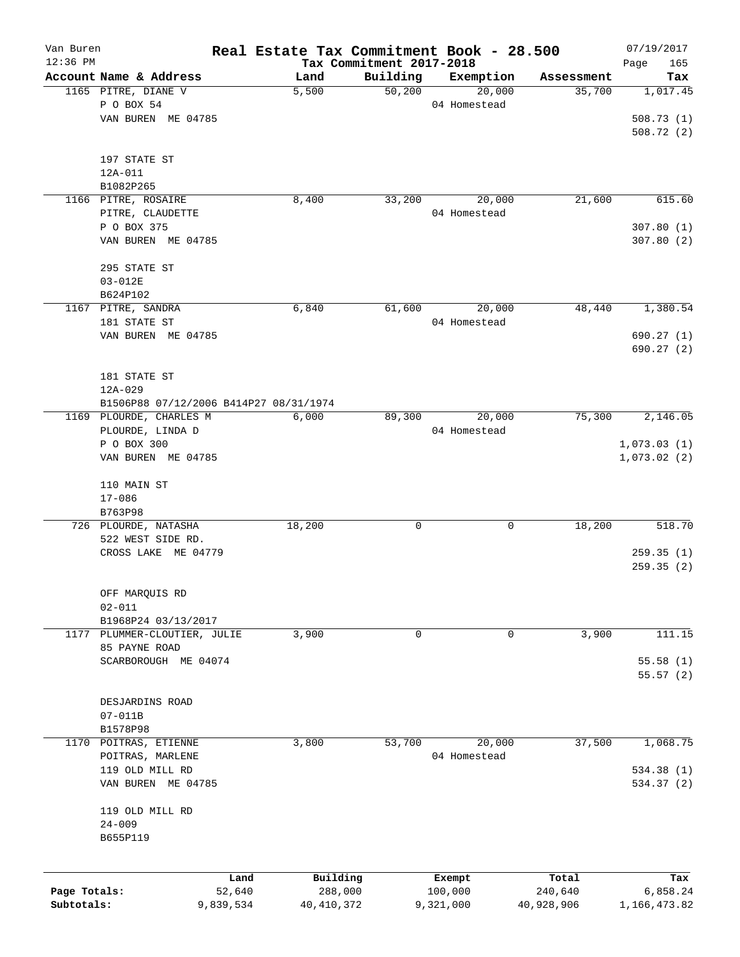| Van Buren    |                                        | Real Estate Tax Commitment Book - 28.500 |          |              |            | 07/19/2017         |
|--------------|----------------------------------------|------------------------------------------|----------|--------------|------------|--------------------|
| 12:36 PM     | Account Name & Address                 | Tax Commitment 2017-2018<br>Land         | Building | Exemption    | Assessment | Page<br>165<br>Tax |
|              | 1165 PITRE, DIANE V                    | 5,500                                    | 50,200   | 20,000       | 35,700     | 1,017.45           |
|              | P O BOX 54                             |                                          |          | 04 Homestead |            |                    |
|              | VAN BUREN ME 04785                     |                                          |          |              |            | 508.73(1)          |
|              |                                        |                                          |          |              |            | 508.72(2)          |
|              |                                        |                                          |          |              |            |                    |
|              | 197 STATE ST                           |                                          |          |              |            |                    |
|              | 12A-011                                |                                          |          |              |            |                    |
|              | B1082P265                              |                                          |          |              |            |                    |
|              | 1166 PITRE, ROSAIRE                    | 8,400                                    | 33,200   | 20,000       | 21,600     | 615.60             |
|              | PITRE, CLAUDETTE                       |                                          |          | 04 Homestead |            |                    |
|              | P O BOX 375                            |                                          |          |              |            | 307.80(1)          |
|              | VAN BUREN ME 04785                     |                                          |          |              |            | 307.80(2)          |
|              |                                        |                                          |          |              |            |                    |
|              | 295 STATE ST                           |                                          |          |              |            |                    |
|              | $03 - 012E$                            |                                          |          |              |            |                    |
|              | B624P102                               |                                          |          |              |            |                    |
|              | 1167 PITRE, SANDRA                     | 6,840                                    | 61,600   | 20,000       | 48,440     | 1,380.54           |
|              | 181 STATE ST                           |                                          |          | 04 Homestead |            |                    |
|              | VAN BUREN ME 04785                     |                                          |          |              |            | 690.27(1)          |
|              |                                        |                                          |          |              |            | 690.27 (2)         |
|              |                                        |                                          |          |              |            |                    |
|              | 181 STATE ST                           |                                          |          |              |            |                    |
|              | $12A - 029$                            |                                          |          |              |            |                    |
|              | B1506P88 07/12/2006 B414P27 08/31/1974 |                                          |          |              |            |                    |
|              | 1169 PLOURDE, CHARLES M                | 6,000                                    | 89,300   | 20,000       | 75,300     | 2,146.05           |
|              | PLOURDE, LINDA D                       |                                          |          | 04 Homestead |            |                    |
|              | P O BOX 300                            |                                          |          |              |            | 1,073.03(1)        |
|              | VAN BUREN ME 04785                     |                                          |          |              |            | 1,073.02(2)        |
|              | 110 MAIN ST                            |                                          |          |              |            |                    |
|              | $17 - 086$                             |                                          |          |              |            |                    |
|              | B763P98                                |                                          |          |              |            |                    |
|              | 726 PLOURDE, NATASHA                   | 18,200                                   | 0        | 0            | 18,200     | 518.70             |
|              | 522 WEST SIDE RD.                      |                                          |          |              |            |                    |
|              | CROSS LAKE ME 04779                    |                                          |          |              |            | 259.35(1)          |
|              |                                        |                                          |          |              |            | 259.35(2)          |
|              |                                        |                                          |          |              |            |                    |
|              | OFF MARQUIS RD                         |                                          |          |              |            |                    |
|              | $02 - 011$                             |                                          |          |              |            |                    |
|              | B1968P24 03/13/2017                    |                                          |          |              |            |                    |
| 1177         | PLUMMER-CLOUTIER, JULIE                | 3,900                                    | 0        | 0            | 3,900      | 111.15             |
|              | 85 PAYNE ROAD                          |                                          |          |              |            |                    |
|              | SCARBOROUGH ME 04074                   |                                          |          |              |            | 55.58(1)           |
|              |                                        |                                          |          |              |            | 55.57(2)           |
|              |                                        |                                          |          |              |            |                    |
|              | DESJARDINS ROAD                        |                                          |          |              |            |                    |
|              | $07 - 011B$                            |                                          |          |              |            |                    |
|              | B1578P98                               |                                          |          |              |            |                    |
| 1170         | POITRAS, ETIENNE                       | 3,800                                    | 53,700   | 20,000       | 37,500     | 1,068.75           |
|              | POITRAS, MARLENE                       |                                          |          | 04 Homestead |            |                    |
|              | 119 OLD MILL RD                        |                                          |          |              |            | 534.38 (1)         |
|              | VAN BUREN ME 04785                     |                                          |          |              |            | 534.37 (2)         |
|              |                                        |                                          |          |              |            |                    |
|              | 119 OLD MILL RD                        |                                          |          |              |            |                    |
|              | $24 - 009$                             |                                          |          |              |            |                    |
|              | B655P119                               |                                          |          |              |            |                    |
|              |                                        |                                          |          |              |            |                    |
|              | Land                                   | Building                                 |          | Exempt       | Total      | Tax                |
| Page Totals: | 52,640                                 | 288,000                                  |          | 100,000      | 240,640    | 6,858.24           |
| Subtotals:   | 9,839,534                              | 40,410,372                               |          | 9,321,000    | 40,928,906 | 1,166,473.82       |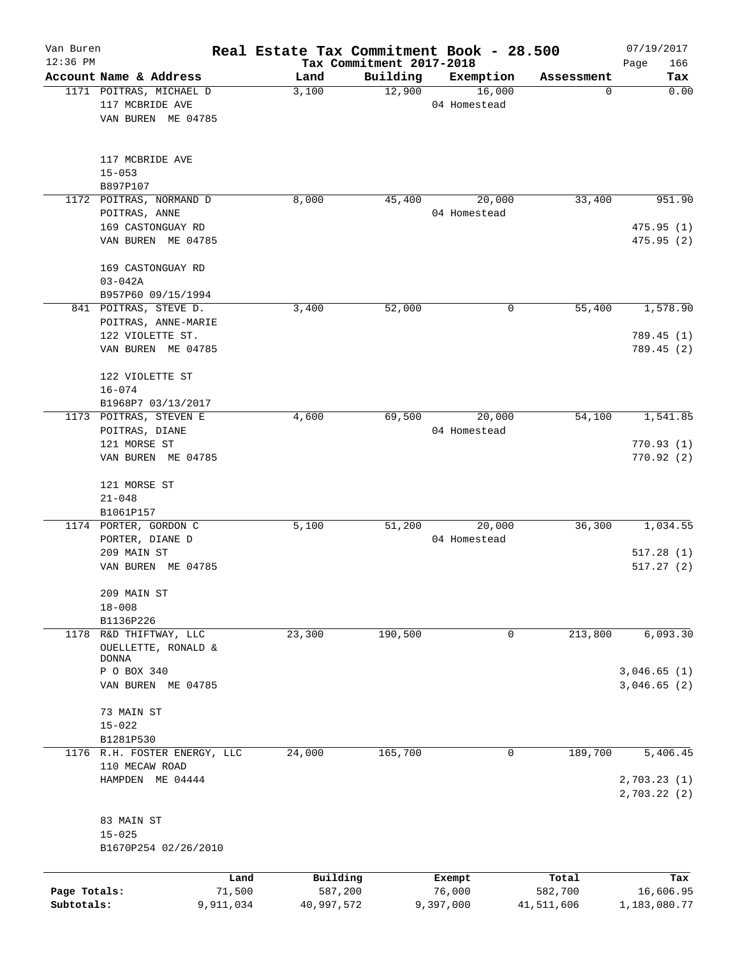| Van Buren<br>$12:36$ PM |                                             |           | Real Estate Tax Commitment Book - 28.500<br>Tax Commitment 2017-2018 |          |                        |            | 07/19/2017<br>Page<br>166  |
|-------------------------|---------------------------------------------|-----------|----------------------------------------------------------------------|----------|------------------------|------------|----------------------------|
|                         | Account Name & Address                      |           | Land                                                                 | Building | Exemption              | Assessment | Tax                        |
|                         | 1171 POITRAS, MICHAEL D                     |           | 3,100                                                                | 12,900   | 16,000                 | 0          | 0.00                       |
|                         | 117 MCBRIDE AVE                             |           |                                                                      |          | 04 Homestead           |            |                            |
|                         | VAN BUREN ME 04785                          |           |                                                                      |          |                        |            |                            |
|                         | 117 MCBRIDE AVE                             |           |                                                                      |          |                        |            |                            |
|                         | $15 - 053$                                  |           |                                                                      |          |                        |            |                            |
|                         | B897P107<br>1172 POITRAS, NORMAND D         |           |                                                                      |          |                        |            | 951.90                     |
|                         | POITRAS, ANNE                               |           | 8,000                                                                | 45,400   | 20,000<br>04 Homestead | 33,400     |                            |
|                         | 169 CASTONGUAY RD                           |           |                                                                      |          |                        |            | 475.95(1)                  |
|                         | VAN BUREN ME 04785                          |           |                                                                      |          |                        |            | 475.95(2)                  |
|                         | 169 CASTONGUAY RD                           |           |                                                                      |          |                        |            |                            |
|                         | $03 - 042A$                                 |           |                                                                      |          |                        |            |                            |
|                         | B957P60 09/15/1994<br>841 POITRAS, STEVE D. |           | 3,400                                                                | 52,000   | 0                      | 55,400     | 1,578.90                   |
|                         | POITRAS, ANNE-MARIE                         |           |                                                                      |          |                        |            |                            |
|                         | 122 VIOLETTE ST.                            |           |                                                                      |          |                        |            | 789.45 (1)                 |
|                         | VAN BUREN ME 04785                          |           |                                                                      |          |                        |            | 789.45(2)                  |
|                         | 122 VIOLETTE ST                             |           |                                                                      |          |                        |            |                            |
|                         | $16 - 074$                                  |           |                                                                      |          |                        |            |                            |
|                         | B1968P7 03/13/2017                          |           | 4,600                                                                |          |                        | 54,100     | 1,541.85                   |
|                         | 1173 POITRAS, STEVEN E<br>POITRAS, DIANE    |           |                                                                      | 69,500   | 20,000<br>04 Homestead |            |                            |
|                         | 121 MORSE ST                                |           |                                                                      |          |                        |            | 770.93(1)                  |
|                         | VAN BUREN ME 04785                          |           |                                                                      |          |                        |            | 770.92(2)                  |
|                         | 121 MORSE ST                                |           |                                                                      |          |                        |            |                            |
|                         | $21 - 048$                                  |           |                                                                      |          |                        |            |                            |
|                         | B1061P157<br>1174 PORTER, GORDON C          |           | 5,100                                                                | 51,200   | 20,000                 | 36,300     | 1,034.55                   |
|                         | PORTER, DIANE D                             |           |                                                                      |          | 04 Homestead           |            |                            |
|                         | 209 MAIN ST                                 |           |                                                                      |          |                        |            | 517.28(1)                  |
|                         | VAN BUREN ME 04785                          |           |                                                                      |          |                        |            | 517.27(2)                  |
|                         | 209 MAIN ST                                 |           |                                                                      |          |                        |            |                            |
|                         | $18 - 008$                                  |           |                                                                      |          |                        |            |                            |
| 1178                    | B1136P226<br>R&D THIFTWAY, LLC              |           |                                                                      | 190,500  |                        |            | 6,093.30                   |
|                         | OUELLETTE, RONALD &                         |           | 23,300                                                               |          | 0                      | 213,800    |                            |
|                         | <b>DONNA</b>                                |           |                                                                      |          |                        |            |                            |
|                         | P O BOX 340                                 |           |                                                                      |          |                        |            | 3,046.65(1)                |
|                         | VAN BUREN ME 04785                          |           |                                                                      |          |                        |            | 3,046.65(2)                |
|                         | 73 MAIN ST                                  |           |                                                                      |          |                        |            |                            |
|                         | $15 - 022$<br>B1281P530                     |           |                                                                      |          |                        |            |                            |
|                         | 1176 R.H. FOSTER ENERGY, LLC                |           | 24,000                                                               | 165,700  | $\mathbf 0$            | 189,700    | 5,406.45                   |
|                         | 110 MECAW ROAD                              |           |                                                                      |          |                        |            |                            |
|                         | HAMPDEN ME 04444                            |           |                                                                      |          |                        |            | 2,703.23(1)<br>2,703.22(2) |
|                         | 83 MAIN ST                                  |           |                                                                      |          |                        |            |                            |
|                         | $15 - 025$                                  |           |                                                                      |          |                        |            |                            |
|                         | B1670P254 02/26/2010                        |           |                                                                      |          |                        |            |                            |
|                         |                                             | Land      | Building                                                             |          | Exempt                 | Total      | Tax                        |
| Page Totals:            |                                             | 71,500    | 587,200                                                              |          | 76,000                 | 582,700    | 16,606.95                  |
| Subtotals:              |                                             | 9,911,034 | 40,997,572                                                           |          | 9,397,000              | 41,511,606 | 1,183,080.77               |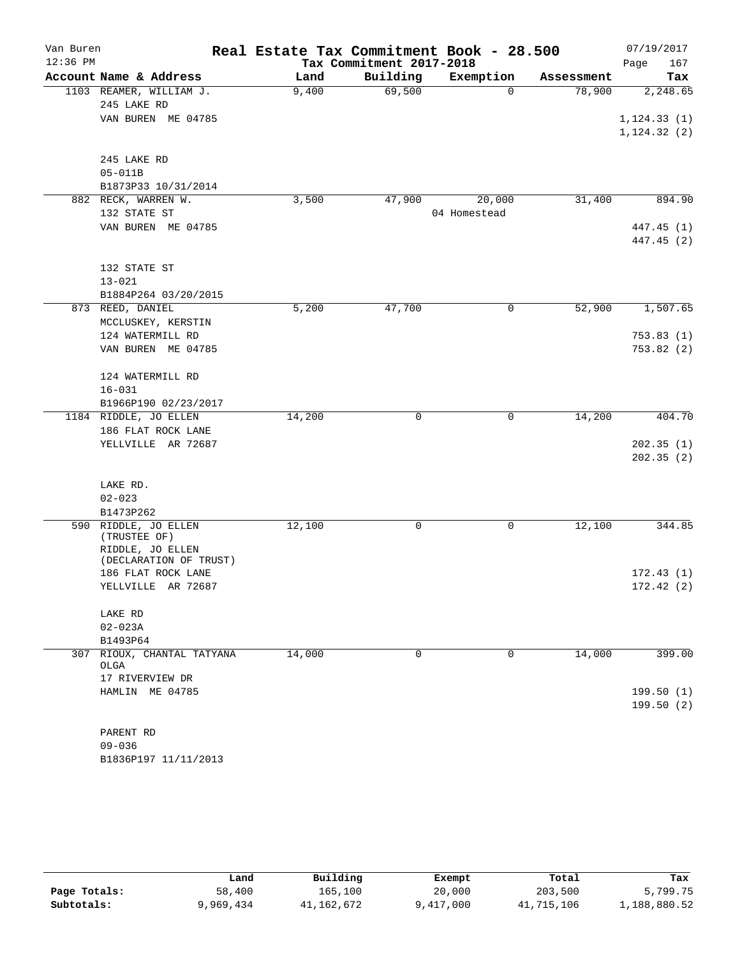| Van Buren  |                               |        | Real Estate Tax Commitment Book - 28.500 |              |            |              |
|------------|-------------------------------|--------|------------------------------------------|--------------|------------|--------------|
| $12:36$ PM |                               |        | Tax Commitment 2017-2018                 |              |            | Page<br>167  |
|            | Account Name & Address        | Land   | Building                                 | Exemption    | Assessment | Tax          |
|            | 1103 REAMER, WILLIAM J.       | 9,400  | 69,500                                   | $\Omega$     | 78,900     | 2,248.65     |
|            | 245 LAKE RD                   |        |                                          |              |            |              |
|            | VAN BUREN ME 04785            |        |                                          |              |            | 1, 124.33(1) |
|            |                               |        |                                          |              |            | 1, 124.32(2) |
|            | 245 LAKE RD                   |        |                                          |              |            |              |
|            | $05 - 011B$                   |        |                                          |              |            |              |
|            | B1873P33 10/31/2014           |        |                                          |              |            |              |
| 882        | RECK, WARREN W.               | 3,500  | 47,900                                   | 20,000       | 31,400     | 894.90       |
|            | 132 STATE ST                  |        |                                          | 04 Homestead |            |              |
|            | VAN BUREN ME 04785            |        |                                          |              |            | 447.45 (1)   |
|            |                               |        |                                          |              |            | 447.45 (2)   |
|            |                               |        |                                          |              |            |              |
|            | 132 STATE ST                  |        |                                          |              |            |              |
|            | $13 - 021$                    |        |                                          |              |            |              |
|            | B1884P264 03/20/2015          |        |                                          |              |            |              |
|            | 873 REED, DANIEL              | 5,200  | 47,700                                   | 0            | 52,900     | 1,507.65     |
|            | MCCLUSKEY, KERSTIN            |        |                                          |              |            |              |
|            | 124 WATERMILL RD              |        |                                          |              |            | 753.83(1)    |
|            | VAN BUREN ME 04785            |        |                                          |              |            | 753.82(2)    |
|            | 124 WATERMILL RD              |        |                                          |              |            |              |
|            | $16 - 031$                    |        |                                          |              |            |              |
|            | B1966P190 02/23/2017          |        |                                          |              |            |              |
|            | 1184 RIDDLE, JO ELLEN         | 14,200 | 0                                        | 0            | 14,200     | 404.70       |
|            | 186 FLAT ROCK LANE            |        |                                          |              |            |              |
|            | YELLVILLE AR 72687            |        |                                          |              |            | 202.35(1)    |
|            |                               |        |                                          |              |            | 202.35(2)    |
|            |                               |        |                                          |              |            |              |
|            | LAKE RD.                      |        |                                          |              |            |              |
|            | $02 - 023$                    |        |                                          |              |            |              |
| 590        | B1473P262<br>RIDDLE, JO ELLEN | 12,100 | 0                                        | 0            | 12,100     | 344.85       |
|            | (TRUSTEE OF)                  |        |                                          |              |            |              |
|            | RIDDLE, JO ELLEN              |        |                                          |              |            |              |
|            | (DECLARATION OF TRUST)        |        |                                          |              |            |              |
|            | 186 FLAT ROCK LANE            |        |                                          |              |            | 172.43(1)    |
|            | YELLVILLE AR 72687            |        |                                          |              |            | 172.42(2)    |
|            | LAKE RD                       |        |                                          |              |            |              |
|            | $02 - 023A$                   |        |                                          |              |            |              |
|            | B1493P64                      |        |                                          |              |            |              |
|            | 307 RIOUX, CHANTAL TATYANA    | 14,000 | $\Omega$                                 | 0            | 14,000     | 399.00       |
|            | OLGA                          |        |                                          |              |            |              |
|            | 17 RIVERVIEW DR               |        |                                          |              |            |              |
|            | HAMLIN ME 04785               |        |                                          |              |            | 199.50(1)    |
|            |                               |        |                                          |              |            | 199.50(2)    |
|            |                               |        |                                          |              |            |              |
|            | PARENT RD<br>$09 - 036$       |        |                                          |              |            |              |
|            | B1836P197 11/11/2013          |        |                                          |              |            |              |
|            |                               |        |                                          |              |            |              |

|              | Land      | Building   | Exempt    | Total      | Tax          |
|--------------|-----------|------------|-----------|------------|--------------|
| Page Totals: | 58,400    | 165,100    | 20,000    | 203,500    | 5,799.75     |
| Subtotals:   | 9,969,434 | 41,162,672 | 9,417,000 | 41,715,106 | 1,188,880.52 |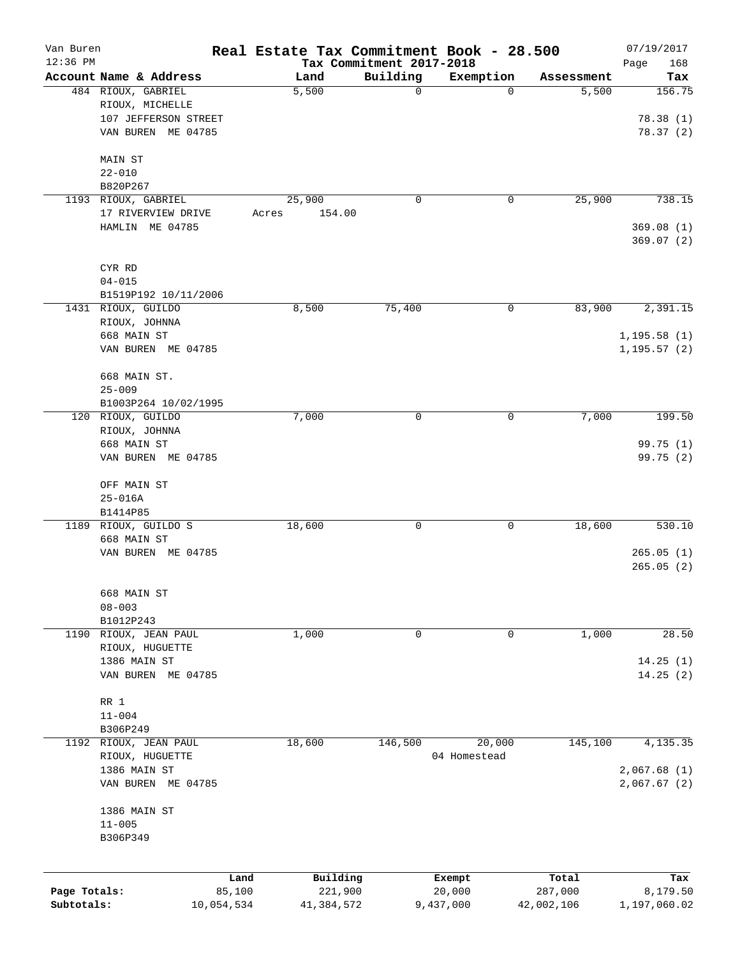| Van Buren    |                            |            | Real Estate Tax Commitment Book - 28.500 |                                      |              |            | 07/19/2017         |
|--------------|----------------------------|------------|------------------------------------------|--------------------------------------|--------------|------------|--------------------|
| $12:36$ PM   | Account Name & Address     |            | Land                                     | Tax Commitment 2017-2018<br>Building | Exemption    | Assessment | Page<br>168<br>Tax |
|              | 484 RIOUX, GABRIEL         |            | 5,500                                    | $\mathbf 0$                          | 0            | 5,500      | 156.75             |
|              | RIOUX, MICHELLE            |            |                                          |                                      |              |            |                    |
|              | 107 JEFFERSON STREET       |            |                                          |                                      |              |            | 78.38(1)           |
|              | VAN BUREN ME 04785         |            |                                          |                                      |              |            | 78.37 (2)          |
|              |                            |            |                                          |                                      |              |            |                    |
|              | MAIN ST                    |            |                                          |                                      |              |            |                    |
|              | $22 - 010$                 |            |                                          |                                      |              |            |                    |
|              | B820P267                   |            |                                          |                                      |              |            |                    |
|              | 1193 RIOUX, GABRIEL        |            | 25,900                                   | 0                                    | 0            | 25,900     | 738.15             |
|              | 17 RIVERVIEW DRIVE         |            | 154.00<br>Acres                          |                                      |              |            |                    |
|              | HAMLIN ME 04785            |            |                                          |                                      |              |            | 369.08(1)          |
|              |                            |            |                                          |                                      |              |            | 369.07(2)          |
|              | CYR RD                     |            |                                          |                                      |              |            |                    |
|              | $04 - 015$                 |            |                                          |                                      |              |            |                    |
|              | B1519P192 10/11/2006       |            |                                          |                                      |              |            |                    |
|              | 1431 RIOUX, GUILDO         |            | 8,500                                    | 75,400                               | 0            | 83,900     | 2,391.15           |
|              | RIOUX, JOHNNA              |            |                                          |                                      |              |            |                    |
|              | 668 MAIN ST                |            |                                          |                                      |              |            | 1, 195.58(1)       |
|              | VAN BUREN ME 04785         |            |                                          |                                      |              |            | 1, 195.57(2)       |
|              | 668 MAIN ST.               |            |                                          |                                      |              |            |                    |
|              | $25 - 009$                 |            |                                          |                                      |              |            |                    |
|              | B1003P264 10/02/1995       |            |                                          |                                      |              |            |                    |
|              | 120 RIOUX, GUILDO          |            | 7,000                                    | 0                                    | 0            | 7,000      | 199.50             |
|              | RIOUX, JOHNNA              |            |                                          |                                      |              |            |                    |
|              | 668 MAIN ST                |            |                                          |                                      |              |            | 99.75 (1)          |
|              | VAN BUREN ME 04785         |            |                                          |                                      |              |            | 99.75 (2)          |
|              |                            |            |                                          |                                      |              |            |                    |
|              | OFF MAIN ST<br>$25 - 016A$ |            |                                          |                                      |              |            |                    |
|              | B1414P85                   |            |                                          |                                      |              |            |                    |
|              | 1189 RIOUX, GUILDO S       |            | 18,600                                   | 0                                    | 0            | 18,600     | 530.10             |
|              | 668 MAIN ST                |            |                                          |                                      |              |            |                    |
|              | VAN BUREN ME 04785         |            |                                          |                                      |              |            | 265.05(1)          |
|              |                            |            |                                          |                                      |              |            | 265.05(2)          |
|              |                            |            |                                          |                                      |              |            |                    |
|              | 668 MAIN ST<br>$08 - 003$  |            |                                          |                                      |              |            |                    |
|              | B1012P243                  |            |                                          |                                      |              |            |                    |
|              | 1190 RIOUX, JEAN PAUL      |            | 1,000                                    | 0                                    | 0            | 1,000      | 28.50              |
|              | RIOUX, HUGUETTE            |            |                                          |                                      |              |            |                    |
|              | 1386 MAIN ST               |            |                                          |                                      |              |            | 14.25(1)           |
|              | VAN BUREN ME 04785         |            |                                          |                                      |              |            | 14.25(2)           |
|              |                            |            |                                          |                                      |              |            |                    |
|              | RR 1                       |            |                                          |                                      |              |            |                    |
|              | $11 - 004$                 |            |                                          |                                      |              |            |                    |
|              | B306P249                   |            |                                          |                                      |              |            |                    |
|              | 1192 RIOUX, JEAN PAUL      |            | 18,600                                   | 146,500                              | 20,000       | 145,100    | 4,135.35           |
|              | RIOUX, HUGUETTE            |            |                                          |                                      | 04 Homestead |            |                    |
|              | 1386 MAIN ST               |            |                                          |                                      |              |            | 2,067.68(1)        |
|              | VAN BUREN ME 04785         |            |                                          |                                      |              |            | 2,067.67(2)        |
|              | 1386 MAIN ST               |            |                                          |                                      |              |            |                    |
|              | $11 - 005$                 |            |                                          |                                      |              |            |                    |
|              | B306P349                   |            |                                          |                                      |              |            |                    |
|              |                            |            |                                          |                                      |              |            |                    |
|              |                            | Land       | Building                                 |                                      | Exempt       | Total      | Tax                |
| Page Totals: |                            | 85,100     | 221,900                                  |                                      | 20,000       | 287,000    | 8,179.50           |
| Subtotals:   |                            | 10,054,534 | 41,384,572                               |                                      | 9,437,000    | 42,002,106 | 1,197,060.02       |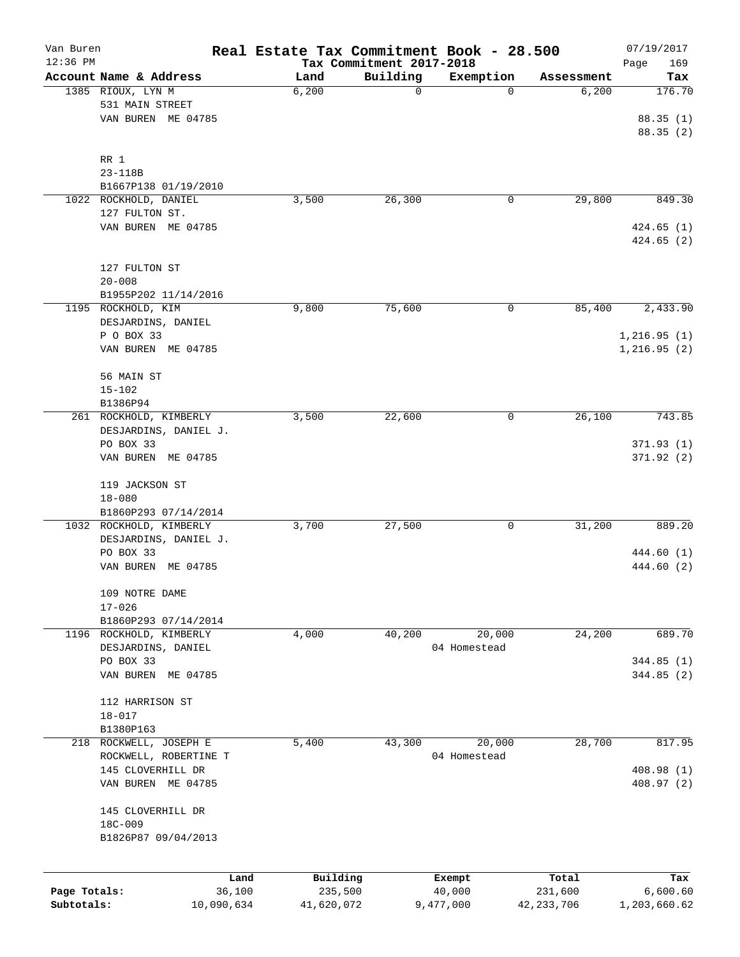| Van Buren<br>$12:36$ PM |                                               |            | Real Estate Tax Commitment Book - 28.500 |                                      |              |              | 07/19/2017                  |
|-------------------------|-----------------------------------------------|------------|------------------------------------------|--------------------------------------|--------------|--------------|-----------------------------|
|                         | Account Name & Address                        |            | Land                                     | Tax Commitment 2017-2018<br>Building | Exemption    | Assessment   | Page<br>169<br>Tax          |
|                         | 1385 RIOUX, LYN M                             |            | 6,200                                    | 0                                    | 0            | 6,200        | 176.70                      |
|                         | 531 MAIN STREET                               |            |                                          |                                      |              |              |                             |
|                         | VAN BUREN ME 04785                            |            |                                          |                                      |              |              | 88.35(1)<br>88.35 (2)       |
|                         |                                               |            |                                          |                                      |              |              |                             |
|                         | RR 1                                          |            |                                          |                                      |              |              |                             |
|                         | 23-118B                                       |            |                                          |                                      |              |              |                             |
|                         | B1667P138 01/19/2010<br>1022 ROCKHOLD, DANIEL |            | 3,500                                    | 26,300                               | 0            | 29,800       | 849.30                      |
|                         | 127 FULTON ST.                                |            |                                          |                                      |              |              |                             |
|                         | VAN BUREN ME 04785                            |            |                                          |                                      |              |              | 424.65(1)                   |
|                         |                                               |            |                                          |                                      |              |              | 424.65(2)                   |
|                         | 127 FULTON ST                                 |            |                                          |                                      |              |              |                             |
|                         | $20 - 008$                                    |            |                                          |                                      |              |              |                             |
|                         | B1955P202 11/14/2016                          |            |                                          |                                      |              |              |                             |
|                         | 1195 ROCKHOLD, KIM                            |            | 9,800                                    | 75,600                               | 0            | 85,400       | 2,433.90                    |
|                         | DESJARDINS, DANIEL<br>P O BOX 33              |            |                                          |                                      |              |              |                             |
|                         | VAN BUREN ME 04785                            |            |                                          |                                      |              |              | 1,216.95(1)<br>1, 216.95(2) |
|                         |                                               |            |                                          |                                      |              |              |                             |
|                         | 56 MAIN ST                                    |            |                                          |                                      |              |              |                             |
|                         | $15 - 102$                                    |            |                                          |                                      |              |              |                             |
|                         | B1386P94                                      |            |                                          |                                      |              |              |                             |
|                         | 261 ROCKHOLD, KIMBERLY                        |            | 3,500                                    | 22,600                               | 0            | 26,100       | 743.85                      |
|                         | DESJARDINS, DANIEL J.<br>PO BOX 33            |            |                                          |                                      |              |              |                             |
|                         | VAN BUREN ME 04785                            |            |                                          |                                      |              |              | 371.93(1)<br>371.92 (2)     |
|                         |                                               |            |                                          |                                      |              |              |                             |
|                         | 119 JACKSON ST                                |            |                                          |                                      |              |              |                             |
|                         | $18 - 080$                                    |            |                                          |                                      |              |              |                             |
|                         | B1860P293 07/14/2014                          |            |                                          |                                      |              |              |                             |
|                         | 1032 ROCKHOLD, KIMBERLY                       |            | 3,700                                    | 27,500                               | 0            | 31,200       | 889.20                      |
|                         | DESJARDINS, DANIEL J.                         |            |                                          |                                      |              |              | 444.60 (1)                  |
|                         | PO BOX 33<br>VAN BUREN<br>ME 04785            |            |                                          |                                      |              |              | 444.60 (2)                  |
|                         |                                               |            |                                          |                                      |              |              |                             |
|                         | 109 NOTRE DAME                                |            |                                          |                                      |              |              |                             |
|                         | $17 - 026$<br>B1860P293 07/14/2014            |            |                                          |                                      |              |              |                             |
|                         | 1196 ROCKHOLD, KIMBERLY                       |            | 4,000                                    | 40,200                               | 20,000       | 24,200       | 689.70                      |
|                         | DESJARDINS, DANIEL                            |            |                                          |                                      | 04 Homestead |              |                             |
|                         | PO BOX 33                                     |            |                                          |                                      |              |              | 344.85(1)                   |
|                         | VAN BUREN ME 04785                            |            |                                          |                                      |              |              | 344.85(2)                   |
|                         |                                               |            |                                          |                                      |              |              |                             |
|                         | 112 HARRISON ST                               |            |                                          |                                      |              |              |                             |
|                         | $18 - 017$                                    |            |                                          |                                      |              |              |                             |
|                         | B1380P163                                     |            |                                          |                                      |              |              |                             |
| 218                     | ROCKWELL, JOSEPH E                            |            | 5,400                                    | 43,300                               | 20,000       | 28,700       | 817.95                      |
|                         | ROCKWELL, ROBERTINE T<br>145 CLOVERHILL DR    |            |                                          |                                      | 04 Homestead |              | 408.98 (1)                  |
|                         | VAN BUREN ME 04785                            |            |                                          |                                      |              |              | 408.97 (2)                  |
|                         |                                               |            |                                          |                                      |              |              |                             |
|                         | 145 CLOVERHILL DR                             |            |                                          |                                      |              |              |                             |
|                         | 18C-009                                       |            |                                          |                                      |              |              |                             |
|                         | B1826P87 09/04/2013                           |            |                                          |                                      |              |              |                             |
|                         |                                               | Land       | Building                                 |                                      | Exempt       | Total        | Tax                         |
| Page Totals:            |                                               | 36,100     | 235,500                                  |                                      | 40,000       | 231,600      | 6,600.60                    |
| Subtotals:              |                                               | 10,090,634 | 41,620,072                               |                                      | 9,477,000    | 42, 233, 706 | 1,203,660.62                |
|                         |                                               |            |                                          |                                      |              |              |                             |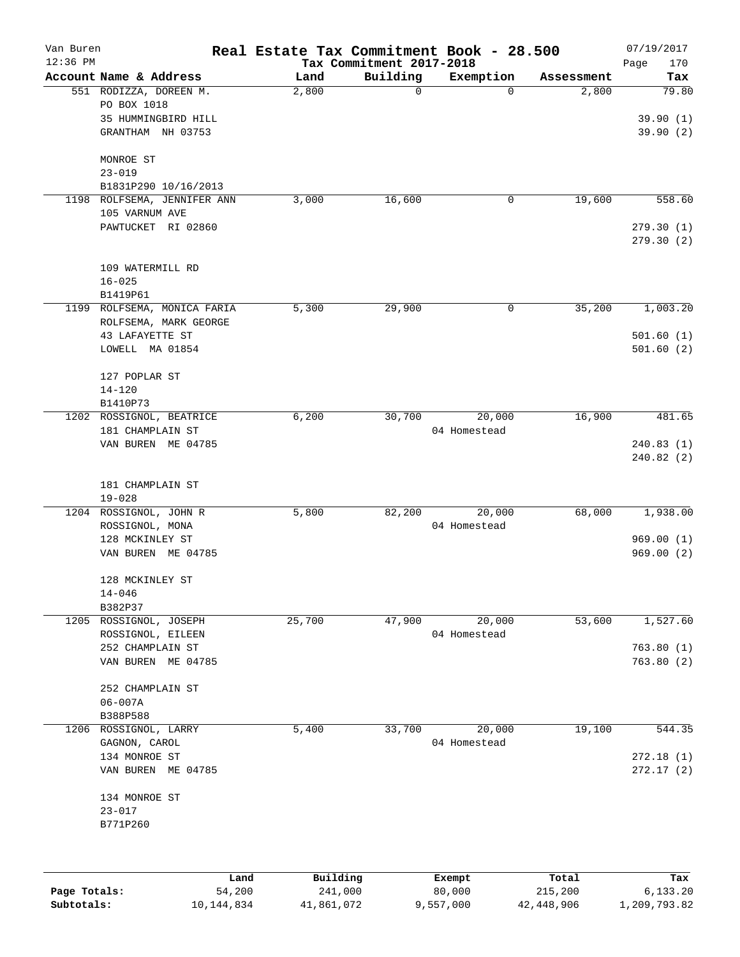| Van Buren    |                                       | Real Estate Tax Commitment Book - 28.500 |                          |              |            | 07/19/2017  |
|--------------|---------------------------------------|------------------------------------------|--------------------------|--------------|------------|-------------|
| $12:36$ PM   |                                       |                                          | Tax Commitment 2017-2018 |              |            | Page<br>170 |
|              | Account Name & Address                | Land                                     | Building                 | Exemption    | Assessment | Tax         |
|              | 551 RODIZZA, DOREEN M.<br>PO BOX 1018 | 2,800                                    | 0                        | $\Omega$     | 2,800      | 79.80       |
|              | 35 HUMMINGBIRD HILL                   |                                          |                          |              |            |             |
|              |                                       |                                          |                          |              |            | 39.90(1)    |
|              | GRANTHAM NH 03753                     |                                          |                          |              |            | 39.90(2)    |
|              | MONROE ST                             |                                          |                          |              |            |             |
|              | $23 - 019$                            |                                          |                          |              |            |             |
|              | B1831P290 10/16/2013                  |                                          |                          |              |            |             |
| 1198         | ROLFSEMA, JENNIFER ANN                | 3,000                                    | 16,600                   | 0            | 19,600     | 558.60      |
|              | 105 VARNUM AVE                        |                                          |                          |              |            |             |
|              | PAWTUCKET RI 02860                    |                                          |                          |              |            | 279.30(1)   |
|              |                                       |                                          |                          |              |            | 279.30(2)   |
|              | 109 WATERMILL RD                      |                                          |                          |              |            |             |
|              | $16 - 025$                            |                                          |                          |              |            |             |
|              | B1419P61                              |                                          |                          |              |            |             |
| 1199         | ROLFSEMA, MONICA FARIA                | 5,300                                    | 29,900                   | 0            | 35,200     | 1,003.20    |
|              | ROLFSEMA, MARK GEORGE                 |                                          |                          |              |            |             |
|              | 43 LAFAYETTE ST                       |                                          |                          |              |            | 501.60(1)   |
|              | LOWELL MA 01854                       |                                          |                          |              |            | 501.60(2)   |
|              |                                       |                                          |                          |              |            |             |
|              | 127 POPLAR ST                         |                                          |                          |              |            |             |
|              | $14 - 120$                            |                                          |                          |              |            |             |
|              | B1410P73                              |                                          |                          |              |            |             |
| 1202         | ROSSIGNOL, BEATRICE                   | 6,200                                    | 30,700                   | 20,000       | 16,900     | 481.65      |
|              | 181 CHAMPLAIN ST                      |                                          |                          | 04 Homestead |            |             |
|              | VAN BUREN ME 04785                    |                                          |                          |              |            | 240.83(1)   |
|              |                                       |                                          |                          |              |            | 240.82(2)   |
|              | 181 CHAMPLAIN ST                      |                                          |                          |              |            |             |
|              | $19 - 028$                            |                                          |                          |              |            |             |
|              | 1204 ROSSIGNOL, JOHN R                | 5,800                                    | 82,200                   | 20,000       | 68,000     | 1,938.00    |
|              | ROSSIGNOL, MONA                       |                                          |                          | 04 Homestead |            |             |
|              | 128 MCKINLEY ST                       |                                          |                          |              |            | 969.00(1)   |
|              | VAN BUREN ME 04785                    |                                          |                          |              |            | 969.00(2)   |
|              | 128 MCKINLEY ST                       |                                          |                          |              |            |             |
|              | $14 - 046$                            |                                          |                          |              |            |             |
|              | B382P37                               |                                          |                          |              |            |             |
|              | 1205 ROSSIGNOL, JOSEPH                | 25,700                                   | 47,900                   | 20,000       | 53,600     | 1,527.60    |
|              | ROSSIGNOL, EILEEN                     |                                          |                          | 04 Homestead |            |             |
|              | 252 CHAMPLAIN ST                      |                                          |                          |              |            | 763.80(1)   |
|              | VAN BUREN ME 04785                    |                                          |                          |              |            | 763.80(2)   |
|              |                                       |                                          |                          |              |            |             |
|              | 252 CHAMPLAIN ST                      |                                          |                          |              |            |             |
|              | $06 - 007A$                           |                                          |                          |              |            |             |
|              | B388P588                              |                                          |                          |              |            |             |
| 1206         | ROSSIGNOL, LARRY                      | 5,400                                    | 33,700                   | 20,000       | 19,100     | 544.35      |
|              | GAGNON, CAROL                         |                                          |                          | 04 Homestead |            |             |
|              | 134 MONROE ST                         |                                          |                          |              |            | 272.18(1)   |
|              | VAN BUREN ME 04785                    |                                          |                          |              |            | 272.17(2)   |
|              | 134 MONROE ST                         |                                          |                          |              |            |             |
|              | $23 - 017$                            |                                          |                          |              |            |             |
|              | B771P260                              |                                          |                          |              |            |             |
|              |                                       |                                          |                          |              |            |             |
|              | Land                                  | Building                                 |                          | Exempt       | Total      | Tax         |
| Page Totals: | 54,200                                | 241,000                                  |                          | 80,000       | 215,200    | 6, 133.20   |

**Subtotals:** 10,144,834 41,861,072 9,557,000 42,448,906 1,209,793.82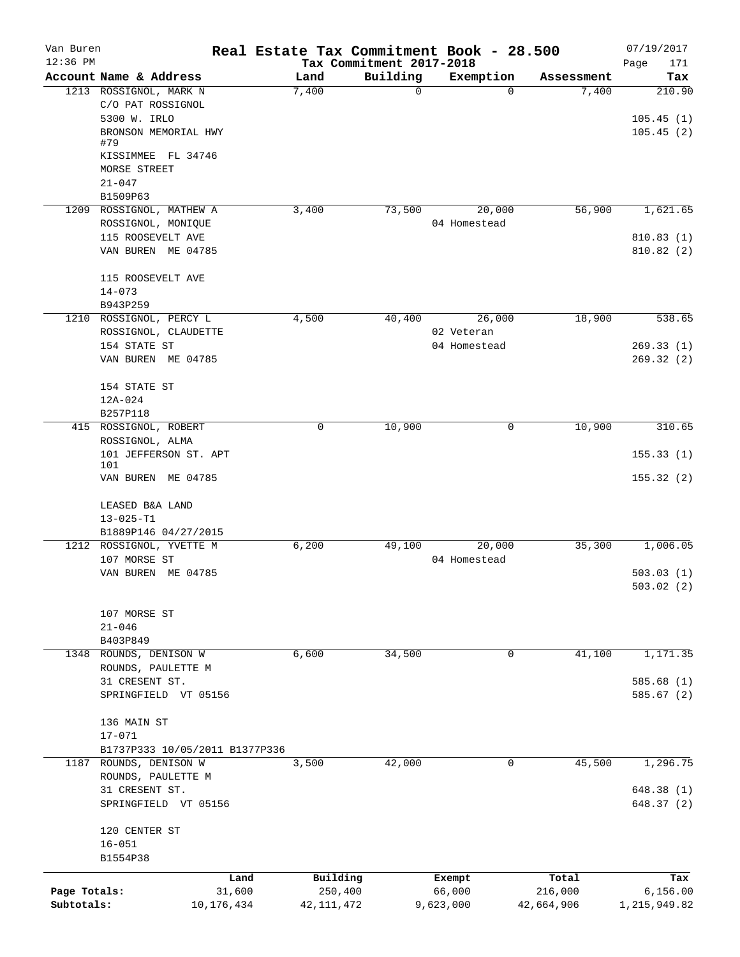| Van Buren    |                                                | Real Estate Tax Commitment Book - 28.500 |                          |                        |            | 07/19/2017              |
|--------------|------------------------------------------------|------------------------------------------|--------------------------|------------------------|------------|-------------------------|
| $12:36$ PM   |                                                |                                          | Tax Commitment 2017-2018 |                        |            | 171<br>Page             |
|              | Account Name & Address                         | Land                                     | Building<br>$\mathbf 0$  | Exemption<br>$\Omega$  | Assessment | Tax                     |
|              | 1213 ROSSIGNOL, MARK N<br>C/O PAT ROSSIGNOL    | 7,400                                    |                          |                        | 7,400      | 210.90                  |
|              | 5300 W. IRLO                                   |                                          |                          |                        |            | 105.45(1)               |
|              | BRONSON MEMORIAL HWY                           |                                          |                          |                        |            | 105.45(2)               |
|              | #79                                            |                                          |                          |                        |            |                         |
|              | KISSIMMEE FL 34746                             |                                          |                          |                        |            |                         |
|              | MORSE STREET                                   |                                          |                          |                        |            |                         |
|              | $21 - 047$                                     |                                          |                          |                        |            |                         |
|              | B1509P63                                       |                                          |                          |                        |            |                         |
|              | 1209 ROSSIGNOL, MATHEW A<br>ROSSIGNOL, MONIQUE | 3,400                                    | 73,500                   | 20,000<br>04 Homestead | 56,900     | 1,621.65                |
|              | 115 ROOSEVELT AVE                              |                                          |                          |                        |            | 810.83(1)               |
|              | VAN BUREN ME 04785                             |                                          |                          |                        |            | 810.82 (2)              |
|              |                                                |                                          |                          |                        |            |                         |
|              | 115 ROOSEVELT AVE                              |                                          |                          |                        |            |                         |
|              | $14 - 073$                                     |                                          |                          |                        |            |                         |
|              | B943P259                                       |                                          |                          |                        |            |                         |
|              | 1210 ROSSIGNOL, PERCY L                        | 4,500                                    | 40,400                   | 26,000                 | 18,900     | 538.65                  |
|              | ROSSIGNOL, CLAUDETTE                           |                                          |                          | 02 Veteran             |            |                         |
|              | 154 STATE ST                                   |                                          |                          | 04 Homestead           |            | 269.33(1)               |
|              | VAN BUREN ME 04785                             |                                          |                          |                        |            | 269.32(2)               |
|              |                                                |                                          |                          |                        |            |                         |
|              | 154 STATE ST                                   |                                          |                          |                        |            |                         |
|              | 12A-024<br>B257P118                            |                                          |                          |                        |            |                         |
|              | 415 ROSSIGNOL, ROBERT                          | 0                                        | 10,900                   | $\mathbf 0$            | 10,900     | 310.65                  |
|              | ROSSIGNOL, ALMA                                |                                          |                          |                        |            |                         |
|              | 101 JEFFERSON ST. APT                          |                                          |                          |                        |            | 155.33(1)               |
|              | 101                                            |                                          |                          |                        |            |                         |
|              | VAN BUREN ME 04785                             |                                          |                          |                        |            | 155.32(2)               |
|              |                                                |                                          |                          |                        |            |                         |
|              | LEASED B&A LAND                                |                                          |                          |                        |            |                         |
|              | $13 - 025 - T1$<br>B1889P146 04/27/2015        |                                          |                          |                        |            |                         |
|              | 1212 ROSSIGNOL, YVETTE M                       | 6,200                                    | 49,100                   | 20,000                 | 35,300     | 1,006.05                |
|              | 107 MORSE ST                                   |                                          |                          | 04 Homestead           |            |                         |
|              | VAN BUREN ME 04785                             |                                          |                          |                        |            | 503.03(1)               |
|              |                                                |                                          |                          |                        |            | 503.02(2)               |
|              |                                                |                                          |                          |                        |            |                         |
|              | 107 MORSE ST                                   |                                          |                          |                        |            |                         |
|              | $21 - 046$                                     |                                          |                          |                        |            |                         |
|              | B403P849                                       |                                          |                          |                        |            |                         |
| 1348         | ROUNDS, DENISON W                              | 6,600                                    | 34,500                   | $\mathbf 0$            | 41,100     | 1,171.35                |
|              | ROUNDS, PAULETTE M                             |                                          |                          |                        |            |                         |
|              | 31 CRESENT ST.<br>SPRINGFIELD VT 05156         |                                          |                          |                        |            | 585.68(1)<br>585.67 (2) |
|              |                                                |                                          |                          |                        |            |                         |
|              | 136 MAIN ST                                    |                                          |                          |                        |            |                         |
|              | $17 - 071$                                     |                                          |                          |                        |            |                         |
|              | B1737P333 10/05/2011 B1377P336                 |                                          |                          |                        |            |                         |
|              | 1187 ROUNDS, DENISON W                         | 3,500                                    | 42,000                   | 0                      | 45,500     | 1,296.75                |
|              | ROUNDS, PAULETTE M                             |                                          |                          |                        |            |                         |
|              | 31 CRESENT ST.                                 |                                          |                          |                        |            | 648.38(1)               |
|              | SPRINGFIELD VT 05156                           |                                          |                          |                        |            | 648.37(2)               |
|              |                                                |                                          |                          |                        |            |                         |
|              | 120 CENTER ST                                  |                                          |                          |                        |            |                         |
|              | $16 - 051$<br>B1554P38                         |                                          |                          |                        |            |                         |
|              |                                                |                                          |                          |                        |            |                         |
|              | Land                                           | Building                                 |                          | Exempt                 | Total      | Tax                     |
| Page Totals: | 31,600                                         | 250,400                                  |                          | 66,000                 | 216,000    | 6, 156.00               |
| Subtotals:   | 10, 176, 434                                   | 42, 111, 472                             |                          | 9,623,000              | 42,664,906 | 1,215,949.82            |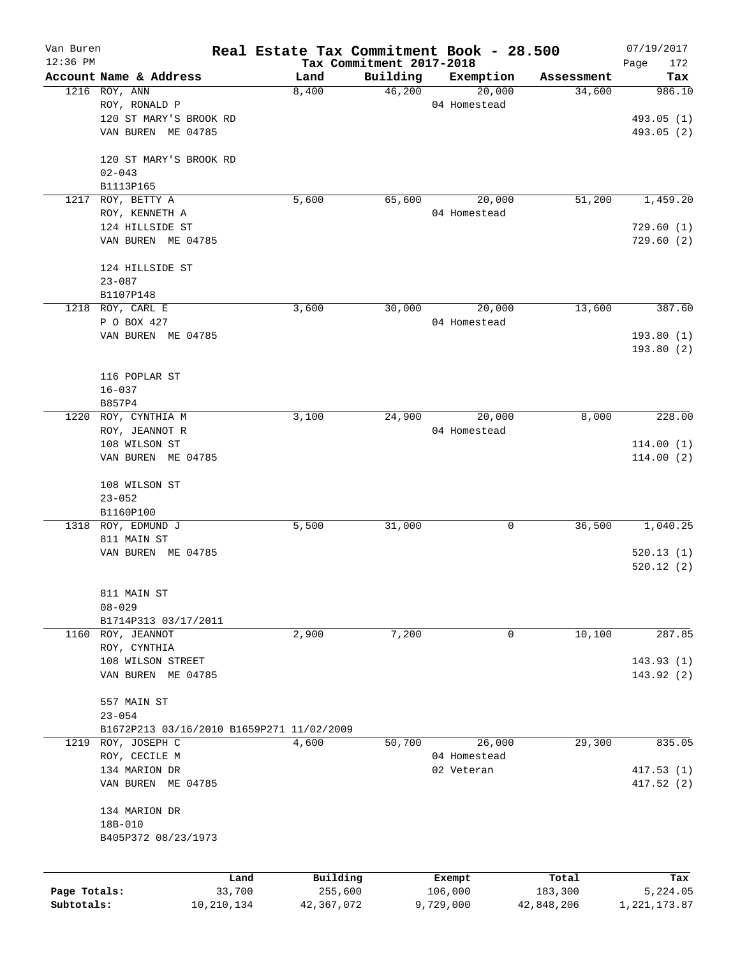| Van Buren    |                                           |                | Real Estate Tax Commitment Book - 28.500 |                                      |                   |                  | 07/19/2017         |
|--------------|-------------------------------------------|----------------|------------------------------------------|--------------------------------------|-------------------|------------------|--------------------|
| 12:36 PM     | Account Name & Address                    |                | Land                                     | Tax Commitment 2017-2018<br>Building | Exemption         | Assessment       | Page<br>172<br>Tax |
|              | 1216 ROY, ANN                             |                | 8,400                                    | 46,200                               | 20,000            | 34,600           | 986.10             |
|              | ROY, RONALD P                             |                |                                          |                                      | 04 Homestead      |                  |                    |
|              | 120 ST MARY'S BROOK RD                    |                |                                          |                                      |                   |                  | 493.05 (1)         |
|              | VAN BUREN ME 04785                        |                |                                          |                                      |                   |                  | 493.05 (2)         |
|              | 120 ST MARY'S BROOK RD                    |                |                                          |                                      |                   |                  |                    |
|              | $02 - 043$                                |                |                                          |                                      |                   |                  |                    |
|              | B1113P165                                 |                |                                          |                                      |                   |                  |                    |
| 1217         | ROY, BETTY A                              |                | 5,600                                    | 65,600                               | 20,000            | 51,200           | 1,459.20           |
|              | ROY, KENNETH A                            |                |                                          |                                      | 04 Homestead      |                  |                    |
|              | 124 HILLSIDE ST                           |                |                                          |                                      |                   |                  | 729.60(1)          |
|              | VAN BUREN ME 04785                        |                |                                          |                                      |                   |                  | 729.60(2)          |
|              | 124 HILLSIDE ST                           |                |                                          |                                      |                   |                  |                    |
|              | $23 - 087$                                |                |                                          |                                      |                   |                  |                    |
|              | B1107P148                                 |                |                                          |                                      |                   |                  |                    |
|              | 1218 ROY, CARL E                          |                | 3,600                                    | 30,000                               | 20,000            | 13,600           | 387.60             |
|              | P O BOX 427                               |                |                                          |                                      | 04 Homestead      |                  |                    |
|              | VAN BUREN ME 04785                        |                |                                          |                                      |                   |                  | 193.80(1)          |
|              |                                           |                |                                          |                                      |                   |                  | 193.80(2)          |
|              |                                           |                |                                          |                                      |                   |                  |                    |
|              | 116 POPLAR ST                             |                |                                          |                                      |                   |                  |                    |
|              | $16 - 037$                                |                |                                          |                                      |                   |                  |                    |
| 1220         | B857P4                                    |                |                                          | 24,900                               | 20,000            | 8,000            | 228.00             |
|              | ROY, CYNTHIA M<br>ROY, JEANNOT R          |                | 3,100                                    |                                      | 04 Homestead      |                  |                    |
|              | 108 WILSON ST                             |                |                                          |                                      |                   |                  | 114.00(1)          |
|              | VAN BUREN ME 04785                        |                |                                          |                                      |                   |                  | 114.00(2)          |
|              |                                           |                |                                          |                                      |                   |                  |                    |
|              | 108 WILSON ST                             |                |                                          |                                      |                   |                  |                    |
|              | $23 - 052$                                |                |                                          |                                      |                   |                  |                    |
|              | B1160P100                                 |                |                                          |                                      |                   |                  |                    |
|              | 1318 ROY, EDMUND J                        |                | 5,500                                    | 31,000                               | 0                 | 36,500           | 1,040.25           |
|              | 811 MAIN ST                               |                |                                          |                                      |                   |                  |                    |
|              | VAN BUREN ME 04785                        |                |                                          |                                      |                   |                  | 520.13(1)          |
|              |                                           |                |                                          |                                      |                   |                  | 520.12(2)          |
|              | 811 MAIN ST                               |                |                                          |                                      |                   |                  |                    |
|              | $08 - 029$                                |                |                                          |                                      |                   |                  |                    |
|              | B1714P313 03/17/2011                      |                |                                          |                                      |                   |                  |                    |
|              | 1160 ROY, JEANNOT                         |                | 2,900                                    | 7,200                                | 0                 | 10,100           | 287.85             |
|              | ROY, CYNTHIA                              |                |                                          |                                      |                   |                  |                    |
|              | 108 WILSON STREET                         |                |                                          |                                      |                   |                  | 143.93(1)          |
|              | VAN BUREN ME 04785                        |                |                                          |                                      |                   |                  | 143.92 (2)         |
|              | 557 MAIN ST                               |                |                                          |                                      |                   |                  |                    |
|              | $23 - 054$                                |                |                                          |                                      |                   |                  |                    |
|              | B1672P213 03/16/2010 B1659P271 11/02/2009 |                |                                          |                                      |                   |                  |                    |
| 1219         | ROY, JOSEPH C                             |                | 4,600                                    | 50,700                               | 26,000            | 29,300           | 835.05             |
|              | ROY, CECILE M                             |                |                                          |                                      | 04 Homestead      |                  |                    |
|              | 134 MARION DR                             |                |                                          |                                      | 02 Veteran        |                  | 417.53(1)          |
|              | VAN BUREN ME 04785                        |                |                                          |                                      |                   |                  | 417.52 (2)         |
|              | 134 MARION DR                             |                |                                          |                                      |                   |                  |                    |
|              | 18B-010                                   |                |                                          |                                      |                   |                  |                    |
|              | B405P372 08/23/1973                       |                |                                          |                                      |                   |                  |                    |
|              |                                           |                |                                          |                                      |                   |                  |                    |
| Page Totals: |                                           | Land<br>33,700 | Building<br>255,600                      |                                      | Exempt<br>106,000 | Total<br>183,300 | Tax<br>5,224.05    |
| Subtotals:   |                                           | 10,210,134     | 42,367,072                               |                                      | 9,729,000         | 42,848,206       | 1, 221, 173.87     |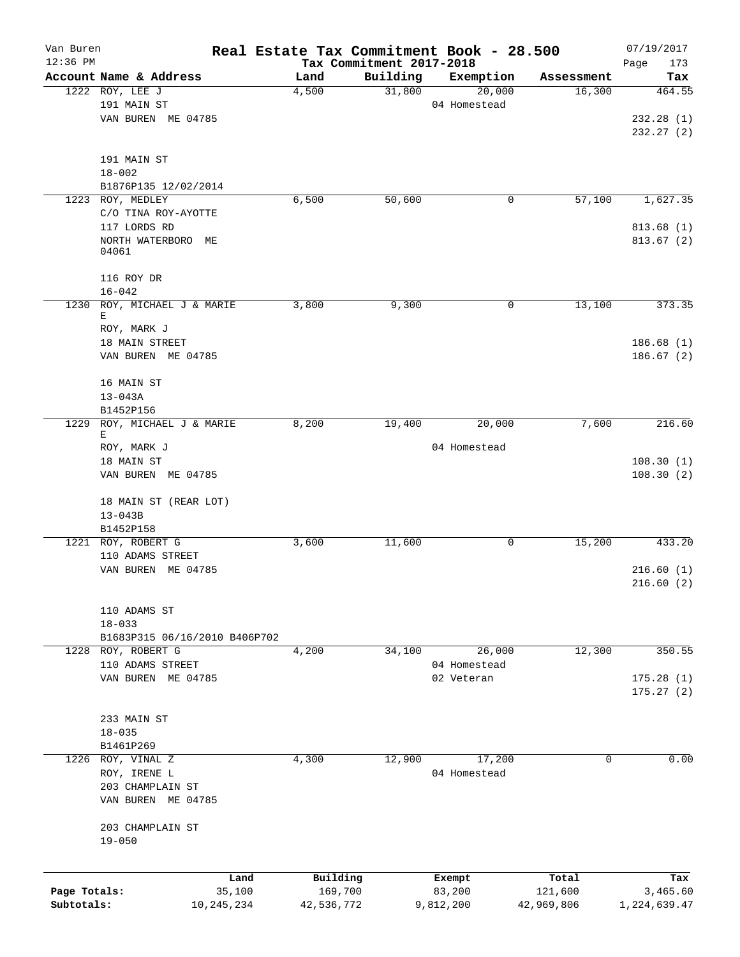| Van Buren                  |                                | Real Estate Tax Commitment Book - 28.500 |                                      |                     |                      | 07/19/2017             |
|----------------------------|--------------------------------|------------------------------------------|--------------------------------------|---------------------|----------------------|------------------------|
| $12:36$ PM                 | Account Name & Address         |                                          | Tax Commitment 2017-2018<br>Building |                     |                      | Page<br>173            |
|                            | 1222 ROY, LEE J                | Land<br>4,500                            | 31,800                               | Exemption<br>20,000 | Assessment<br>16,300 | Tax<br>464.55          |
|                            | 191 MAIN ST                    |                                          |                                      | 04 Homestead        |                      |                        |
|                            | VAN BUREN ME 04785             |                                          |                                      |                     |                      | 232.28(1)              |
|                            |                                |                                          |                                      |                     |                      | 232.27(2)              |
|                            |                                |                                          |                                      |                     |                      |                        |
|                            | 191 MAIN ST                    |                                          |                                      |                     |                      |                        |
|                            | $18 - 002$                     |                                          |                                      |                     |                      |                        |
|                            | B1876P135 12/02/2014           |                                          |                                      |                     |                      |                        |
|                            | 1223 ROY, MEDLEY               | 6,500                                    | 50,600                               | 0                   | 57,100               | 1,627.35               |
|                            | C/O TINA ROY-AYOTTE            |                                          |                                      |                     |                      |                        |
|                            | 117 LORDS RD                   |                                          |                                      |                     |                      | 813.68(1)              |
|                            | NORTH WATERBORO ME<br>04061    |                                          |                                      |                     |                      | 813.67(2)              |
|                            | 116 ROY DR                     |                                          |                                      |                     |                      |                        |
|                            | $16 - 042$                     |                                          |                                      |                     |                      |                        |
| 1230                       | ROY, MICHAEL J & MARIE         | 3,800                                    | 9,300                                | 0                   | 13,100               | 373.35                 |
|                            | Е                              |                                          |                                      |                     |                      |                        |
|                            | ROY, MARK J                    |                                          |                                      |                     |                      |                        |
|                            | 18 MAIN STREET                 |                                          |                                      |                     |                      | 186.68(1)              |
|                            | VAN BUREN ME 04785             |                                          |                                      |                     |                      | 186.67 (2)             |
|                            | 16 MAIN ST                     |                                          |                                      |                     |                      |                        |
|                            | $13 - 043A$                    |                                          |                                      |                     |                      |                        |
|                            | B1452P156                      |                                          |                                      |                     |                      |                        |
| 1229                       | ROY, MICHAEL J & MARIE         | 8,200                                    | 19,400                               | 20,000              | 7,600                | 216.60                 |
|                            | Е                              |                                          |                                      |                     |                      |                        |
|                            | ROY, MARK J<br>18 MAIN ST      |                                          |                                      | 04 Homestead        |                      | 108.30(1)              |
|                            | VAN BUREN ME 04785             |                                          |                                      |                     |                      | 108.30(2)              |
|                            | 18 MAIN ST (REAR LOT)          |                                          |                                      |                     |                      |                        |
|                            | $13 - 043B$                    |                                          |                                      |                     |                      |                        |
|                            | B1452P158                      |                                          |                                      |                     |                      |                        |
|                            | 1221 ROY, ROBERT G             | 3,600                                    | 11,600                               | 0                   | 15,200               | 433.20                 |
|                            | 110 ADAMS STREET               |                                          |                                      |                     |                      |                        |
|                            | VAN BUREN ME 04785             |                                          |                                      |                     |                      | 216.60(1)<br>216.60(2) |
|                            | 110 ADAMS ST                   |                                          |                                      |                     |                      |                        |
|                            | $18 - 033$                     |                                          |                                      |                     |                      |                        |
|                            | B1683P315 06/16/2010 B406P702  |                                          |                                      |                     |                      |                        |
|                            | 1228 ROY, ROBERT G             | 4,200                                    | 34,100                               | 26,000              | 12,300               | 350.55                 |
|                            | 110 ADAMS STREET               |                                          |                                      | 04 Homestead        |                      |                        |
|                            | VAN BUREN ME 04785             |                                          |                                      | 02 Veteran          |                      | 175.28(1)              |
|                            |                                |                                          |                                      |                     |                      | 175.27(2)              |
|                            | 233 MAIN ST                    |                                          |                                      |                     |                      |                        |
|                            | $18 - 035$                     |                                          |                                      |                     |                      |                        |
|                            | B1461P269                      |                                          |                                      |                     |                      |                        |
|                            | 1226 ROY, VINAL Z              | 4,300                                    | 12,900                               | 17,200              | 0                    | 0.00                   |
|                            | ROY, IRENE L                   |                                          |                                      | 04 Homestead        |                      |                        |
|                            | 203 CHAMPLAIN ST               |                                          |                                      |                     |                      |                        |
|                            | VAN BUREN ME 04785             |                                          |                                      |                     |                      |                        |
|                            | 203 CHAMPLAIN ST<br>$19 - 050$ |                                          |                                      |                     |                      |                        |
|                            |                                |                                          |                                      |                     |                      |                        |
|                            |                                | Building<br>Land                         |                                      | Exempt              | Total                | Tax                    |
| Page Totals:<br>Subtotals: | 35,100                         |                                          | 169,700                              | 83,200              | 121,600              | 3,465.60               |
|                            | 10, 245, 234                   | 42,536,772                               |                                      | 9,812,200           | 42,969,806           | 1,224,639.47           |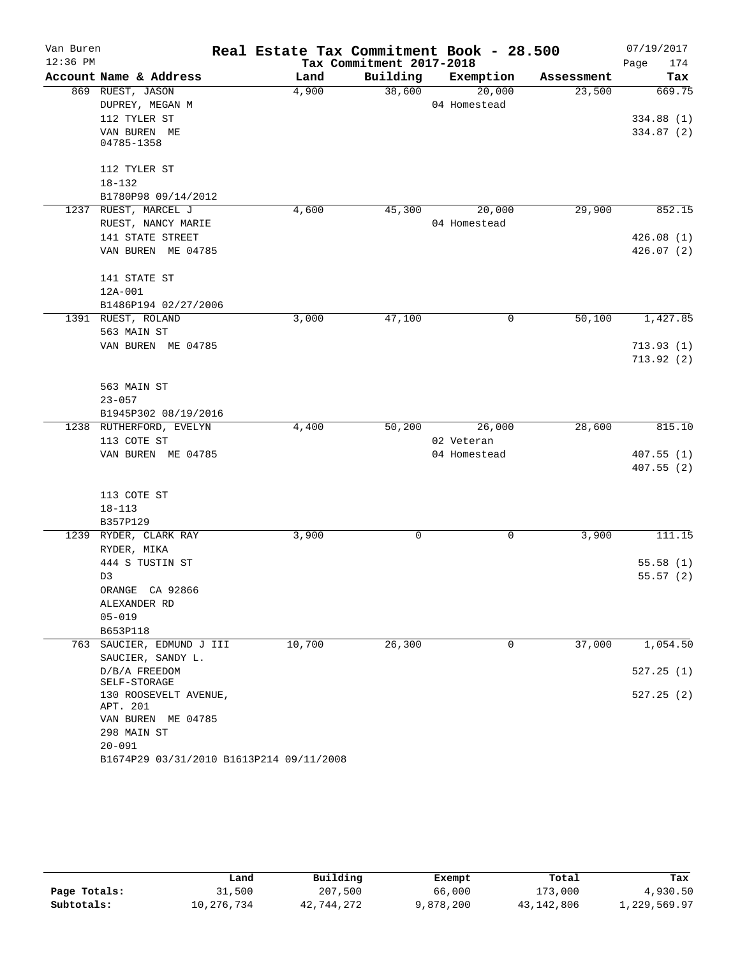| Van Buren  |                                          | Real Estate Tax Commitment Book - 28.500 |                          |                            |            | 07/19/2017  |
|------------|------------------------------------------|------------------------------------------|--------------------------|----------------------------|------------|-------------|
| $12:36$ PM |                                          |                                          | Tax Commitment 2017-2018 |                            |            | Page<br>174 |
|            | Account Name & Address                   | Land                                     | Building                 | Exemption                  | Assessment | Tax         |
|            | 869 RUEST, JASON                         | 4,900                                    | 38,600                   | 20,000                     | 23,500     | 669.75      |
|            | DUPREY, MEGAN M                          |                                          |                          | 04 Homestead               |            |             |
|            | 112 TYLER ST                             |                                          |                          |                            |            | 334.88(1)   |
|            | VAN BUREN ME<br>04785-1358               |                                          |                          |                            |            | 334.87 (2)  |
|            |                                          |                                          |                          |                            |            |             |
|            | 112 TYLER ST                             |                                          |                          |                            |            |             |
|            | $18 - 132$                               |                                          |                          |                            |            |             |
|            | B1780P98 09/14/2012                      |                                          |                          |                            |            |             |
|            | 1237 RUEST, MARCEL J                     | 4,600                                    | 45,300                   | 20,000                     | 29,900     | 852.15      |
|            | RUEST, NANCY MARIE                       |                                          |                          | 04 Homestead               |            |             |
|            | 141 STATE STREET                         |                                          |                          |                            |            | 426.08(1)   |
|            | VAN BUREN ME 04785                       |                                          |                          |                            |            | 426.07(2)   |
|            |                                          |                                          |                          |                            |            |             |
|            | 141 STATE ST                             |                                          |                          |                            |            |             |
|            | 12A-001                                  |                                          |                          |                            |            |             |
|            | B1486P194 02/27/2006                     |                                          |                          |                            |            |             |
|            | 1391 RUEST, ROLAND                       | 3,000                                    | 47,100                   | 0                          | 50,100     | 1,427.85    |
|            | 563 MAIN ST                              |                                          |                          |                            |            |             |
|            | VAN BUREN ME 04785                       |                                          |                          |                            |            | 713.93(1)   |
|            |                                          |                                          |                          |                            |            | 713.92(2)   |
|            |                                          |                                          |                          |                            |            |             |
|            | 563 MAIN ST                              |                                          |                          |                            |            |             |
|            | $23 - 057$                               |                                          |                          |                            |            |             |
|            | B1945P302 08/19/2016                     |                                          |                          |                            |            |             |
|            | 1238 RUTHERFORD, EVELYN                  | 4,400                                    | 50,200                   | 26,000                     | 28,600     | 815.10      |
|            | 113 COTE ST<br>VAN BUREN ME 04785        |                                          |                          | 02 Veteran<br>04 Homestead |            | 407.55(1)   |
|            |                                          |                                          |                          |                            |            | 407.55(2)   |
|            |                                          |                                          |                          |                            |            |             |
|            | 113 COTE ST                              |                                          |                          |                            |            |             |
|            | $18 - 113$                               |                                          |                          |                            |            |             |
|            | B357P129                                 |                                          |                          |                            |            |             |
|            | 1239 RYDER, CLARK RAY                    | 3,900                                    | 0                        | 0                          | 3,900      | 111.15      |
|            | RYDER, MIKA                              |                                          |                          |                            |            |             |
|            | 444 S TUSTIN ST                          |                                          |                          |                            |            | 55.58(1)    |
|            | D3                                       |                                          |                          |                            |            | 55.57(2)    |
|            | ORANGE CA 92866                          |                                          |                          |                            |            |             |
|            | ALEXANDER RD                             |                                          |                          |                            |            |             |
|            | $05 - 019$                               |                                          |                          |                            |            |             |
|            | B653P118                                 |                                          |                          |                            |            |             |
|            | 763 SAUCIER, EDMUND J III                | 10,700                                   | 26,300                   | 0                          | 37,000     | 1,054.50    |
|            | SAUCIER, SANDY L.                        |                                          |                          |                            |            |             |
|            | D/B/A FREEDOM<br>SELF-STORAGE            |                                          |                          |                            |            | 527.25(1)   |
|            | 130 ROOSEVELT AVENUE,<br>APT. 201        |                                          |                          |                            |            | 527.25(2)   |
|            | VAN BUREN ME 04785                       |                                          |                          |                            |            |             |
|            | 298 MAIN ST                              |                                          |                          |                            |            |             |
|            | $20 - 091$                               |                                          |                          |                            |            |             |
|            | B1674P29 03/31/2010 B1613P214 09/11/2008 |                                          |                          |                            |            |             |

|              | Land       | Building   | Exempt    | Total        | Tax          |
|--------------|------------|------------|-----------|--------------|--------------|
| Page Totals: | 31,500     | 207,500    | 66,000    | 173,000      | 4,930.50     |
| Subtotals:   | 10,276,734 | 42,744,272 | 9,878,200 | 43, 142, 806 | 1,229,569.97 |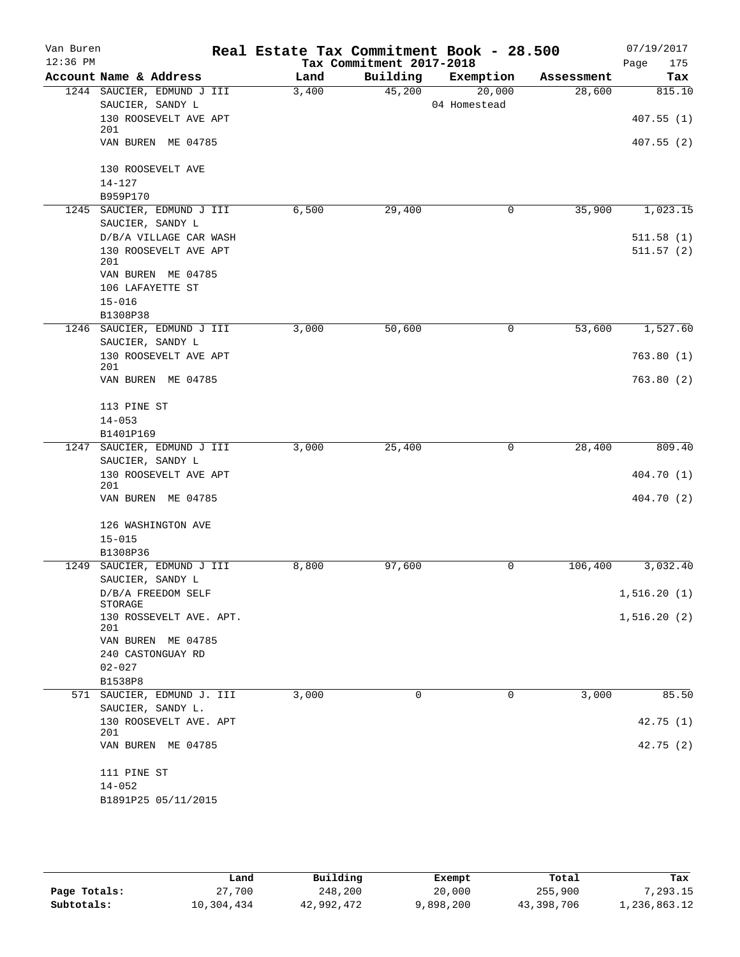| Van Buren  |                                                 | Real Estate Tax Commitment Book - 28.500 |                          |                        |            | 07/19/2017  |
|------------|-------------------------------------------------|------------------------------------------|--------------------------|------------------------|------------|-------------|
| $12:36$ PM |                                                 |                                          | Tax Commitment 2017-2018 |                        |            | Page<br>175 |
|            | Account Name & Address                          | Land                                     | Building                 | Exemption              | Assessment | Tax         |
|            | 1244 SAUCIER, EDMUND J III<br>SAUCIER, SANDY L  | 3,400                                    | 45,200                   | 20,000<br>04 Homestead | 28,600     | 815.10      |
|            | 130 ROOSEVELT AVE APT                           |                                          |                          |                        |            | 407.55(1)   |
|            | 201<br>VAN BUREN ME 04785                       |                                          |                          |                        |            | 407.55(2)   |
|            |                                                 |                                          |                          |                        |            |             |
|            | 130 ROOSEVELT AVE                               |                                          |                          |                        |            |             |
|            | $14 - 127$                                      |                                          |                          |                        |            |             |
|            | B959P170                                        |                                          |                          |                        |            |             |
|            | 1245 SAUCIER, EDMUND J III                      | 6,500                                    | 29,400                   | 0                      | 35,900     | 1,023.15    |
|            | SAUCIER, SANDY L<br>D/B/A VILLAGE CAR WASH      |                                          |                          |                        |            | 511.58(1)   |
|            | 130 ROOSEVELT AVE APT                           |                                          |                          |                        |            | 511.57(2)   |
|            | 201                                             |                                          |                          |                        |            |             |
|            | VAN BUREN ME 04785                              |                                          |                          |                        |            |             |
|            | 106 LAFAYETTE ST                                |                                          |                          |                        |            |             |
|            | $15 - 016$                                      |                                          |                          |                        |            |             |
|            | B1308P38                                        |                                          |                          |                        | 53,600     |             |
| 1246       | SAUCIER, EDMUND J III<br>SAUCIER, SANDY L       | 3,000                                    | 50,600                   | 0                      |            | 1,527.60    |
|            | 130 ROOSEVELT AVE APT                           |                                          |                          |                        |            | 763.80(1)   |
|            | 201                                             |                                          |                          |                        |            |             |
|            | VAN BUREN ME 04785                              |                                          |                          |                        |            | 763.80(2)   |
|            | 113 PINE ST                                     |                                          |                          |                        |            |             |
|            | $14 - 053$                                      |                                          |                          |                        |            |             |
|            | B1401P169                                       |                                          |                          |                        |            |             |
|            | 1247 SAUCIER, EDMUND J III                      | 3,000                                    | 25,400                   | 0                      | 28,400     | 809.40      |
|            | SAUCIER, SANDY L<br>130 ROOSEVELT AVE APT       |                                          |                          |                        |            | 404.70 (1)  |
|            | 201                                             |                                          |                          |                        |            |             |
|            | VAN BUREN ME 04785                              |                                          |                          |                        |            | 404.70 (2)  |
|            | 126 WASHINGTON AVE                              |                                          |                          |                        |            |             |
|            | $15 - 015$                                      |                                          |                          |                        |            |             |
|            | B1308P36                                        |                                          |                          |                        |            |             |
| 1249       | SAUCIER, EDMUND J III<br>SAUCIER, SANDY L       | 8,800                                    | 97,600                   | 0                      | 106,400    | 3,032.40    |
|            | D/B/A FREEDOM SELF                              |                                          |                          |                        |            | 1,516.20(1) |
|            | STORAGE                                         |                                          |                          |                        |            |             |
|            | 130 ROSSEVELT AVE. APT.<br>201                  |                                          |                          |                        |            | 1,516.20(2) |
|            | VAN BUREN ME 04785                              |                                          |                          |                        |            |             |
|            | 240 CASTONGUAY RD                               |                                          |                          |                        |            |             |
|            | $02 - 027$                                      |                                          |                          |                        |            |             |
|            | B1538P8                                         |                                          |                          |                        |            |             |
|            | 571 SAUCIER, EDMUND J. III<br>SAUCIER, SANDY L. | 3,000                                    | 0                        | 0                      | 3,000      | 85.50       |
|            | 130 ROOSEVELT AVE. APT<br>201                   |                                          |                          |                        |            | 42.75(1)    |
|            | VAN BUREN ME 04785                              |                                          |                          |                        |            | 42.75(2)    |
|            | 111 PINE ST                                     |                                          |                          |                        |            |             |
|            | $14 - 052$                                      |                                          |                          |                        |            |             |
|            | B1891P25 05/11/2015                             |                                          |                          |                        |            |             |

|              | Land       | Building   | Exempt    | Total      | Tax          |
|--------------|------------|------------|-----------|------------|--------------|
| Page Totals: | 27,700     | 248,200    | 20,000    | 255,900    | 7,293.15     |
| Subtotals:   | 10,304,434 | 42,992,472 | 9,898,200 | 43,398,706 | 1,236,863.12 |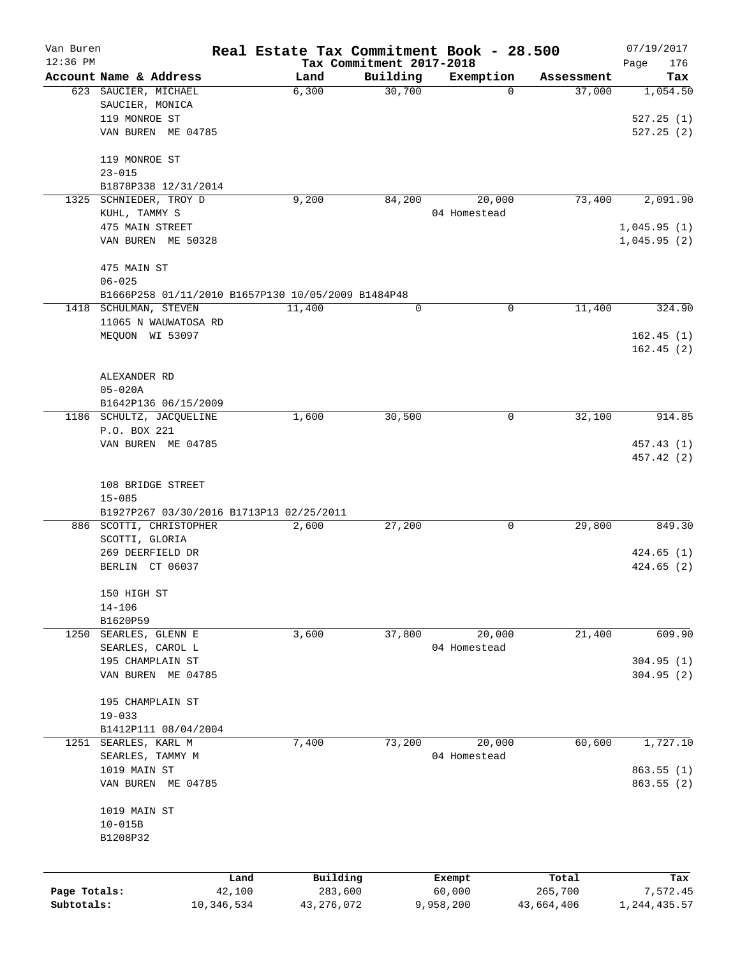| Van Buren    |                                                    | Real Estate Tax Commitment Book - 28.500 |          |              |            | 07/19/2017                 |
|--------------|----------------------------------------------------|------------------------------------------|----------|--------------|------------|----------------------------|
| $12:36$ PM   | Account Name & Address                             | Tax Commitment 2017-2018<br>Land         | Building | Exemption    | Assessment | Page<br>176<br>Tax         |
|              | 623 SAUCIER, MICHAEL                               | 6,300                                    | 30,700   | 0            | 37,000     | 1,054.50                   |
|              | SAUCIER, MONICA                                    |                                          |          |              |            |                            |
|              | 119 MONROE ST                                      |                                          |          |              |            | 527.25(1)                  |
|              | VAN BUREN ME 04785                                 |                                          |          |              |            | 527.25(2)                  |
|              |                                                    |                                          |          |              |            |                            |
|              | 119 MONROE ST                                      |                                          |          |              |            |                            |
|              | $23 - 015$                                         |                                          |          |              |            |                            |
|              | B1878P338 12/31/2014                               |                                          |          |              |            |                            |
| 1325         | SCHNIEDER, TROY D                                  | 9,200                                    | 84,200   | 20,000       | 73,400     | 2,091.90                   |
|              | KUHL, TAMMY S<br>475 MAIN STREET                   |                                          |          | 04 Homestead |            |                            |
|              | VAN BUREN ME 50328                                 |                                          |          |              |            | 1,045.95(1)<br>1,045.95(2) |
|              |                                                    |                                          |          |              |            |                            |
|              | 475 MAIN ST                                        |                                          |          |              |            |                            |
|              | $06 - 025$                                         |                                          |          |              |            |                            |
|              | B1666P258 01/11/2010 B1657P130 10/05/2009 B1484P48 |                                          |          |              |            |                            |
|              | 1418 SCHULMAN, STEVEN                              | 11,400                                   | 0        | 0            | 11,400     | 324.90                     |
|              | 11065 N WAUWATOSA RD                               |                                          |          |              |            |                            |
|              | MEQUON WI 53097                                    |                                          |          |              |            | 162.45(1)                  |
|              |                                                    |                                          |          |              |            | 162.45(2)                  |
|              | ALEXANDER RD                                       |                                          |          |              |            |                            |
|              | $05 - 020A$                                        |                                          |          |              |            |                            |
|              | B1642P136 06/15/2009                               |                                          |          |              |            |                            |
|              | 1186 SCHULTZ, JACQUELINE                           | 1,600                                    | 30,500   | 0            | 32,100     | 914.85                     |
|              | P.O. BOX 221                                       |                                          |          |              |            |                            |
|              | VAN BUREN ME 04785                                 |                                          |          |              |            | 457.43 (1)                 |
|              |                                                    |                                          |          |              |            | 457.42 (2)                 |
|              | 108 BRIDGE STREET                                  |                                          |          |              |            |                            |
|              | $15 - 085$                                         |                                          |          |              |            |                            |
|              | B1927P267 03/30/2016 B1713P13 02/25/2011           |                                          |          |              |            |                            |
|              | 886 SCOTTI, CHRISTOPHER                            | 2,600                                    | 27,200   | 0            | 29,800     | 849.30                     |
|              | SCOTTI, GLORIA                                     |                                          |          |              |            |                            |
|              | 269 DEERFIELD DR                                   |                                          |          |              |            | 424.65(1)                  |
|              | BERLIN CT 06037                                    |                                          |          |              |            | 424.65(2)                  |
|              |                                                    |                                          |          |              |            |                            |
|              | 150 HIGH ST<br>$14 - 106$                          |                                          |          |              |            |                            |
|              | B1620P59                                           |                                          |          |              |            |                            |
| 1250         | SEARLES, GLENN E                                   | 3,600                                    | 37,800   | 20,000       | 21,400     | 609.90                     |
|              | SEARLES, CAROL L                                   |                                          |          | 04 Homestead |            |                            |
|              | 195 CHAMPLAIN ST                                   |                                          |          |              |            | 304.95(1)                  |
|              | VAN BUREN ME 04785                                 |                                          |          |              |            | 304.95(2)                  |
|              |                                                    |                                          |          |              |            |                            |
|              | 195 CHAMPLAIN ST                                   |                                          |          |              |            |                            |
|              | $19 - 033$                                         |                                          |          |              |            |                            |
| 1251         | B1412P111 08/04/2004<br>SEARLES, KARL M            |                                          | 73,200   | 20,000       | 60,600     |                            |
|              | SEARLES, TAMMY M                                   | 7,400                                    |          | 04 Homestead |            | 1,727.10                   |
|              | 1019 MAIN ST                                       |                                          |          |              |            | 863.55(1)                  |
|              | VAN BUREN ME 04785                                 |                                          |          |              |            | 863.55(2)                  |
|              |                                                    |                                          |          |              |            |                            |
|              | 1019 MAIN ST                                       |                                          |          |              |            |                            |
|              | $10 - 015B$                                        |                                          |          |              |            |                            |
|              | B1208P32                                           |                                          |          |              |            |                            |
|              |                                                    |                                          |          |              |            |                            |
|              | Land                                               | Building                                 |          | Exempt       | Total      | Tax                        |
| Page Totals: | 42,100                                             | 283,600                                  |          | 60,000       | 265,700    | 7,572.45                   |
| Subtotals:   | 10,346,534                                         | 43, 276, 072                             |          | 9,958,200    | 43,664,406 | 1,244,435.57               |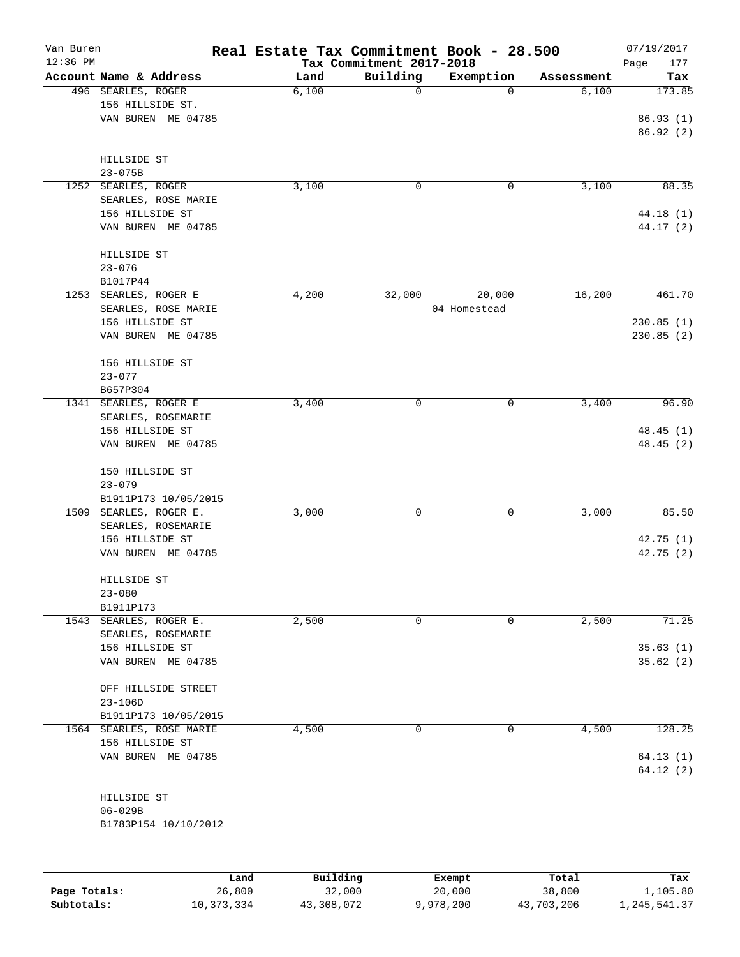| Van Buren    |                                       | Real Estate Tax Commitment Book - 28.500 |                                      |              |                     | 07/19/2017             |
|--------------|---------------------------------------|------------------------------------------|--------------------------------------|--------------|---------------------|------------------------|
| $12:36$ PM   | Account Name & Address                | Land                                     | Tax Commitment 2017-2018<br>Building | Exemption    |                     | Page<br>177            |
|              | 496 SEARLES, ROGER                    | 6,100                                    | $\mathbf 0$                          | $\Omega$     | Assessment<br>6,100 | Tax<br>173.85          |
|              | 156 HILLSIDE ST.                      |                                          |                                      |              |                     |                        |
|              | VAN BUREN ME 04785                    |                                          |                                      |              |                     | 86.93(1)               |
|              |                                       |                                          |                                      |              |                     | 86.92(2)               |
|              |                                       |                                          |                                      |              |                     |                        |
|              | HILLSIDE ST                           |                                          |                                      |              |                     |                        |
|              | $23 - 075B$                           |                                          |                                      |              |                     |                        |
|              | 1252 SEARLES, ROGER                   | 3,100                                    | 0                                    | 0            | 3,100               | 88.35                  |
|              | SEARLES, ROSE MARIE                   |                                          |                                      |              |                     |                        |
|              | 156 HILLSIDE ST<br>VAN BUREN ME 04785 |                                          |                                      |              |                     | 44.18 (1)<br>44.17 (2) |
|              |                                       |                                          |                                      |              |                     |                        |
|              | HILLSIDE ST                           |                                          |                                      |              |                     |                        |
|              | $23 - 076$                            |                                          |                                      |              |                     |                        |
|              | B1017P44                              |                                          |                                      |              |                     |                        |
|              | 1253 SEARLES, ROGER E                 | 4,200                                    | 32,000                               | 20,000       | 16,200              | 461.70                 |
|              | SEARLES, ROSE MARIE                   |                                          |                                      | 04 Homestead |                     |                        |
|              | 156 HILLSIDE ST                       |                                          |                                      |              |                     | 230.85(1)              |
|              | VAN BUREN ME 04785                    |                                          |                                      |              |                     | 230.85(2)              |
|              |                                       |                                          |                                      |              |                     |                        |
|              | 156 HILLSIDE ST                       |                                          |                                      |              |                     |                        |
|              | $23 - 077$                            |                                          |                                      |              |                     |                        |
|              | B657P304<br>1341 SEARLES, ROGER E     | 3,400                                    | 0                                    | 0            | 3,400               | 96.90                  |
|              | SEARLES, ROSEMARIE                    |                                          |                                      |              |                     |                        |
|              | 156 HILLSIDE ST                       |                                          |                                      |              |                     | 48.45(1)               |
|              | VAN BUREN ME 04785                    |                                          |                                      |              |                     | 48.45(2)               |
|              |                                       |                                          |                                      |              |                     |                        |
|              | 150 HILLSIDE ST                       |                                          |                                      |              |                     |                        |
|              | $23 - 079$                            |                                          |                                      |              |                     |                        |
|              | B1911P173 10/05/2015                  |                                          |                                      |              |                     |                        |
| 1509         | SEARLES, ROGER E.                     | 3,000                                    | $\mathbf 0$                          | 0            | 3,000               | 85.50                  |
|              | SEARLES, ROSEMARIE                    |                                          |                                      |              |                     |                        |
|              | 156 HILLSIDE ST                       |                                          |                                      |              |                     | 42.75(1)               |
|              | VAN BUREN ME 04785                    |                                          |                                      |              |                     | 42.75 (2)              |
|              |                                       |                                          |                                      |              |                     |                        |
|              | HILLSIDE ST<br>$23 - 080$             |                                          |                                      |              |                     |                        |
|              | B1911P173                             |                                          |                                      |              |                     |                        |
|              | 1543 SEARLES, ROGER E.                | 2,500                                    | $\mathbf 0$                          | 0            | 2,500               | 71.25                  |
|              | SEARLES, ROSEMARIE                    |                                          |                                      |              |                     |                        |
|              | 156 HILLSIDE ST                       |                                          |                                      |              |                     | 35.63(1)               |
|              | VAN BUREN ME 04785                    |                                          |                                      |              |                     | 35.62(2)               |
|              |                                       |                                          |                                      |              |                     |                        |
|              | OFF HILLSIDE STREET                   |                                          |                                      |              |                     |                        |
|              | $23 - 106D$                           |                                          |                                      |              |                     |                        |
|              | B1911P173 10/05/2015                  |                                          |                                      |              |                     |                        |
|              | 1564 SEARLES, ROSE MARIE              | 4,500                                    | $\mathbf 0$                          | $\mathbf 0$  | 4,500               | 128.25                 |
|              | 156 HILLSIDE ST<br>VAN BUREN ME 04785 |                                          |                                      |              |                     | 64.13(1)               |
|              |                                       |                                          |                                      |              |                     | 64.12(2)               |
|              |                                       |                                          |                                      |              |                     |                        |
|              | HILLSIDE ST                           |                                          |                                      |              |                     |                        |
|              | $06 - 029B$                           |                                          |                                      |              |                     |                        |
|              | B1783P154 10/10/2012                  |                                          |                                      |              |                     |                        |
|              |                                       |                                          |                                      |              |                     |                        |
|              |                                       |                                          |                                      |              |                     |                        |
|              |                                       |                                          |                                      |              |                     |                        |
|              |                                       | Building<br>Land                         |                                      | Exempt       | Total               | Tax                    |
| Page Totals: | 26,800                                | 32,000                                   |                                      | 20,000       | 38,800              | 1,105.80               |

**Subtotals:** 10,373,334 43,308,072 9,978,200 43,703,206 1,245,541.37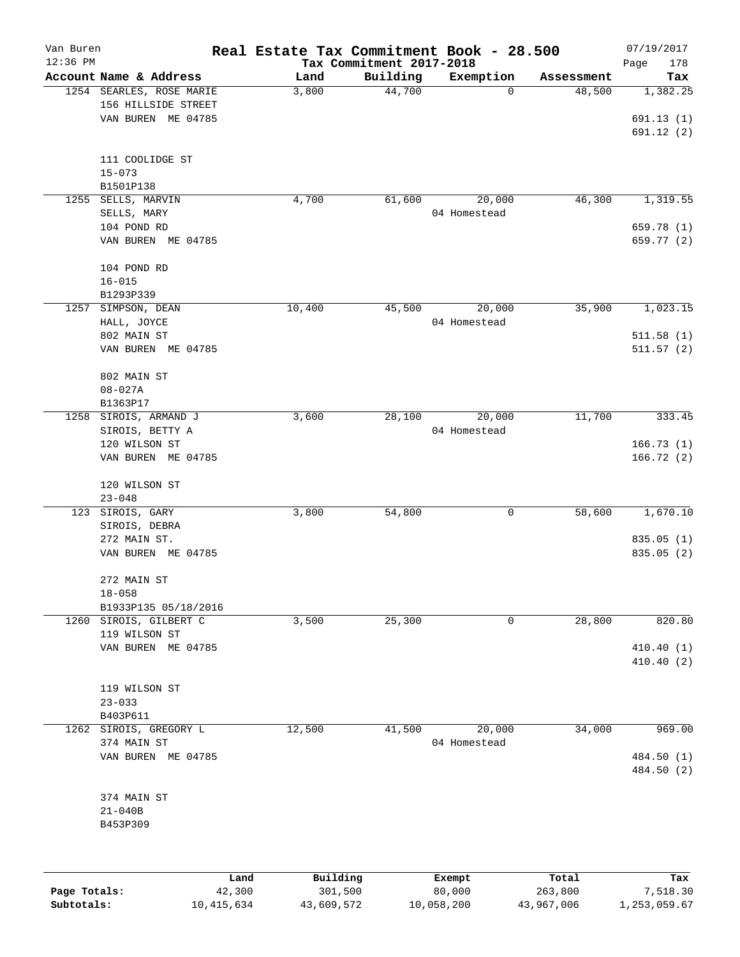| Van Buren    |                          |        | Real Estate Tax Commitment Book - 28.500 |                                      |                          |                      | 07/19/2017      |
|--------------|--------------------------|--------|------------------------------------------|--------------------------------------|--------------------------|----------------------|-----------------|
| 12:36 PM     | Account Name & Address   |        |                                          | Tax Commitment 2017-2018<br>Building |                          |                      | Page<br>178     |
|              | 1254 SEARLES, ROSE MARIE |        | Land<br>3,800                            | 44,700                               | Exemption<br>$\mathbf 0$ | Assessment<br>48,500 | Tax<br>1,382.25 |
|              | 156 HILLSIDE STREET      |        |                                          |                                      |                          |                      |                 |
|              | VAN BUREN ME 04785       |        |                                          |                                      |                          |                      | 691.13(1)       |
|              |                          |        |                                          |                                      |                          |                      |                 |
|              |                          |        |                                          |                                      |                          |                      | 691.12 (2)      |
|              | 111 COOLIDGE ST          |        |                                          |                                      |                          |                      |                 |
|              | $15 - 073$               |        |                                          |                                      |                          |                      |                 |
|              | B1501P138                |        |                                          |                                      |                          |                      |                 |
| 1255         | SELLS, MARVIN            |        | 4,700                                    | 61,600                               | 20,000                   | 46,300               | 1,319.55        |
|              |                          |        |                                          |                                      | 04 Homestead             |                      |                 |
|              | SELLS, MARY              |        |                                          |                                      |                          |                      |                 |
|              | 104 POND RD              |        |                                          |                                      |                          |                      | 659.78 (1)      |
|              | VAN BUREN ME 04785       |        |                                          |                                      |                          |                      | 659.77 (2)      |
|              |                          |        |                                          |                                      |                          |                      |                 |
|              | 104 POND RD              |        |                                          |                                      |                          |                      |                 |
|              | $16 - 015$               |        |                                          |                                      |                          |                      |                 |
|              | B1293P339                |        |                                          |                                      |                          |                      |                 |
| 1257         | SIMPSON, DEAN            |        | 10,400                                   | 45,500                               | 20,000                   | 35,900               | 1,023.15        |
|              | HALL, JOYCE              |        |                                          |                                      | 04 Homestead             |                      |                 |
|              | 802 MAIN ST              |        |                                          |                                      |                          |                      | 511.58(1)       |
|              | VAN BUREN ME 04785       |        |                                          |                                      |                          |                      | 511.57(2)       |
|              |                          |        |                                          |                                      |                          |                      |                 |
|              | 802 MAIN ST              |        |                                          |                                      |                          |                      |                 |
|              | $08 - 027A$              |        |                                          |                                      |                          |                      |                 |
|              | B1363P17                 |        |                                          |                                      |                          |                      |                 |
| 1258         | SIROIS, ARMAND J         |        | 3,600                                    | 28,100                               | 20,000                   | 11,700               | 333.45          |
|              | SIROIS, BETTY A          |        |                                          |                                      | 04 Homestead             |                      |                 |
|              | 120 WILSON ST            |        |                                          |                                      |                          |                      | 166.73(1)       |
|              | VAN BUREN ME 04785       |        |                                          |                                      |                          |                      | 166.72(2)       |
|              |                          |        |                                          |                                      |                          |                      |                 |
|              | 120 WILSON ST            |        |                                          |                                      |                          |                      |                 |
|              | $23 - 048$               |        |                                          |                                      |                          |                      |                 |
| 123          | SIROIS, GARY             |        | 3,800                                    | 54,800                               | 0                        | 58,600               | 1,670.10        |
|              | SIROIS, DEBRA            |        |                                          |                                      |                          |                      |                 |
|              | 272 MAIN ST.             |        |                                          |                                      |                          |                      | 835.05 (1)      |
|              | VAN BUREN ME 04785       |        |                                          |                                      |                          |                      | 835.05 (2)      |
|              |                          |        |                                          |                                      |                          |                      |                 |
|              | 272 MAIN ST              |        |                                          |                                      |                          |                      |                 |
|              | $18 - 058$               |        |                                          |                                      |                          |                      |                 |
|              | B1933P135 05/18/2016     |        |                                          |                                      |                          |                      |                 |
| 1260         | SIROIS, GILBERT C        |        | 3,500                                    | 25,300                               | 0                        | 28,800               | 820.80          |
|              | 119 WILSON ST            |        |                                          |                                      |                          |                      |                 |
|              | VAN BUREN ME 04785       |        |                                          |                                      |                          |                      | 410.40(1)       |
|              |                          |        |                                          |                                      |                          |                      | 410.40 (2)      |
|              |                          |        |                                          |                                      |                          |                      |                 |
|              | 119 WILSON ST            |        |                                          |                                      |                          |                      |                 |
|              | $23 - 033$               |        |                                          |                                      |                          |                      |                 |
|              | B403P611                 |        |                                          |                                      |                          |                      |                 |
| 1262         | SIROIS, GREGORY L        |        | 12,500                                   | 41,500                               | 20,000                   | 34,000               | 969.00          |
|              | 374 MAIN ST              |        |                                          |                                      | 04 Homestead             |                      |                 |
|              | VAN BUREN ME 04785       |        |                                          |                                      |                          |                      | 484.50 (1)      |
|              |                          |        |                                          |                                      |                          |                      | 484.50 (2)      |
|              |                          |        |                                          |                                      |                          |                      |                 |
|              | 374 MAIN ST              |        |                                          |                                      |                          |                      |                 |
|              | $21 - 040B$              |        |                                          |                                      |                          |                      |                 |
|              | B453P309                 |        |                                          |                                      |                          |                      |                 |
|              |                          |        |                                          |                                      |                          |                      |                 |
|              |                          |        |                                          |                                      |                          |                      |                 |
|              |                          | Land   | Building                                 |                                      | Exempt                   | Total                | Tax             |
| Page Totals: |                          | 42,300 | 301,500                                  |                                      | 80,000                   | 263,800              | 7,518.30        |

**Subtotals:** 10,415,634 43,609,572 10,058,200 43,967,006 1,253,059.67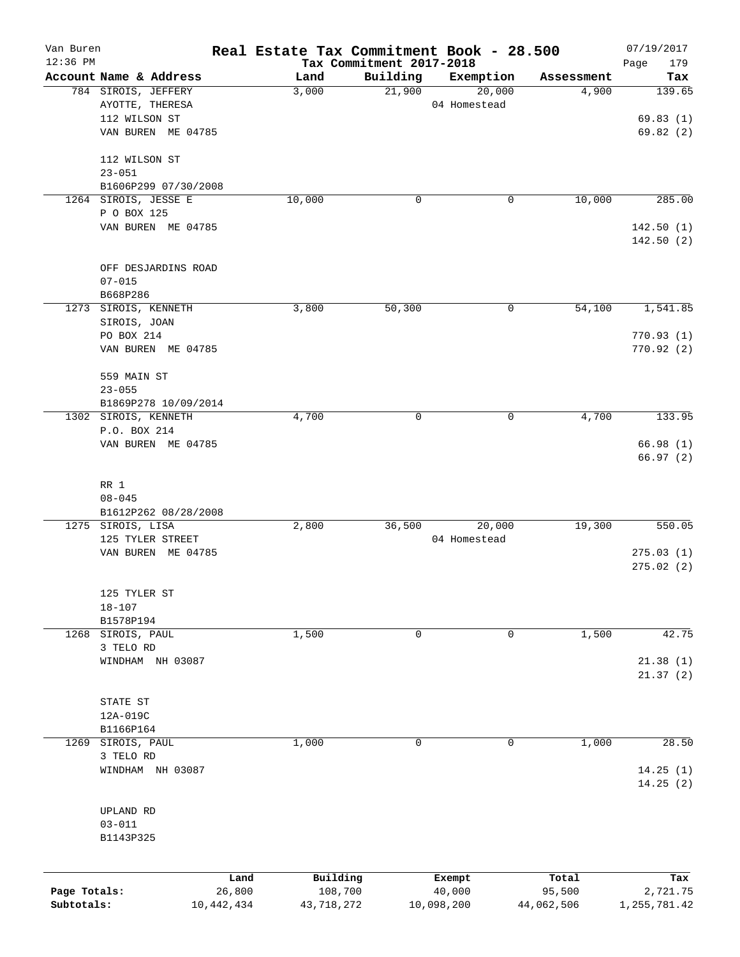| Van Buren    |                        |        | Real Estate Tax Commitment Book - 28.500 |              |            | 07/19/2017             |
|--------------|------------------------|--------|------------------------------------------|--------------|------------|------------------------|
| $12:36$ PM   | Account Name & Address | Land   | Tax Commitment 2017-2018<br>Building     | Exemption    | Assessment | Page<br>179<br>Tax     |
|              | 784 SIROIS, JEFFERY    | 3,000  | 21,900                                   | 20,000       | 4,900      | 139.65                 |
|              | AYOTTE, THERESA        |        |                                          | 04 Homestead |            |                        |
|              | 112 WILSON ST          |        |                                          |              |            | 69.83(1)               |
|              | VAN BUREN ME 04785     |        |                                          |              |            | 69.82(2)               |
|              | 112 WILSON ST          |        |                                          |              |            |                        |
|              | $23 - 051$             |        |                                          |              |            |                        |
|              | B1606P299 07/30/2008   |        |                                          |              |            |                        |
|              | 1264 SIROIS, JESSE E   | 10,000 | 0                                        | 0            | 10,000     | 285.00                 |
|              | P O BOX 125            |        |                                          |              |            |                        |
|              | VAN BUREN ME 04785     |        |                                          |              |            | 142.50(1)<br>142.50(2) |
|              | OFF DESJARDINS ROAD    |        |                                          |              |            |                        |
|              | $07 - 015$             |        |                                          |              |            |                        |
|              | B668P286               |        |                                          |              |            |                        |
|              | 1273 SIROIS, KENNETH   | 3,800  | 50,300                                   | 0            | 54,100     | 1,541.85               |
|              | SIROIS, JOAN           |        |                                          |              |            |                        |
|              | PO BOX 214             |        |                                          |              |            | 770.93(1)              |
|              | VAN BUREN ME 04785     |        |                                          |              |            | 770.92(2)              |
|              | 559 MAIN ST            |        |                                          |              |            |                        |
|              | $23 - 055$             |        |                                          |              |            |                        |
|              | B1869P278 10/09/2014   |        |                                          |              |            |                        |
|              | 1302 SIROIS, KENNETH   | 4,700  | 0                                        | $\mathsf{O}$ | 4,700      | 133.95                 |
|              | P.O. BOX 214           |        |                                          |              |            |                        |
|              | VAN BUREN ME 04785     |        |                                          |              |            | 66.98(1)<br>66.97(2)   |
|              |                        |        |                                          |              |            |                        |
|              | RR 1                   |        |                                          |              |            |                        |
|              | $08 - 045$             |        |                                          |              |            |                        |
|              | B1612P262 08/28/2008   |        |                                          |              |            |                        |
|              | 1275 SIROIS, LISA      | 2,800  | 36,500                                   | 20,000       | 19,300     | 550.05                 |
|              | 125 TYLER STREET       |        |                                          | 04 Homestead |            |                        |
|              | VAN BUREN ME 04785     |        |                                          |              |            | 275.03(1)              |
|              |                        |        |                                          |              |            | 275.02(2)              |
|              | 125 TYLER ST           |        |                                          |              |            |                        |
|              | $18 - 107$             |        |                                          |              |            |                        |
|              | B1578P194              |        |                                          |              |            |                        |
| 1268         | SIROIS, PAUL           | 1,500  | 0                                        | 0            | 1,500      | 42.75                  |
|              | 3 TELO RD              |        |                                          |              |            |                        |
|              | WINDHAM NH 03087       |        |                                          |              |            | 21.38(1)               |
|              |                        |        |                                          |              |            | 21.37(2)               |
|              | STATE ST               |        |                                          |              |            |                        |
|              | 12A-019C               |        |                                          |              |            |                        |
|              | B1166P164              |        |                                          |              |            |                        |
| 1269         | SIROIS, PAUL           | 1,000  | 0                                        | 0            | 1,000      | 28.50                  |
|              | 3 TELO RD              |        |                                          |              |            |                        |
|              | WINDHAM NH 03087       |        |                                          |              |            | 14.25(1)               |
|              |                        |        |                                          |              |            | 14.25(2)               |
|              | UPLAND RD              |        |                                          |              |            |                        |
|              | $03 - 011$             |        |                                          |              |            |                        |
|              | B1143P325              |        |                                          |              |            |                        |
|              |                        |        |                                          |              |            |                        |
|              |                        | Land   | Building                                 | Exempt       | Total      | Tax                    |
| Page Totals: |                        | 26,800 | 108,700                                  | 40,000       | 95,500     | 2,721.75               |
| Subtotals:   | 10,442,434             |        | 43,718,272                               | 10,098,200   | 44,062,506 | 1,255,781.42           |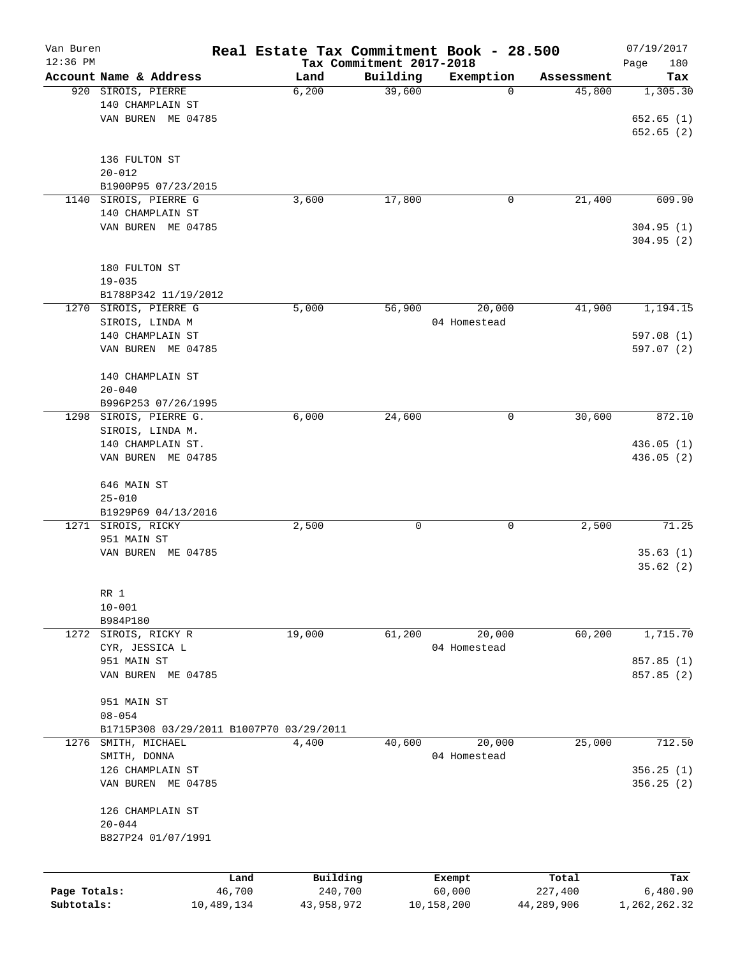| Van Buren                  |                                          |                      | Real Estate Tax Commitment Book - 28.500 |                                      |                      |                       | 07/19/2017               |
|----------------------------|------------------------------------------|----------------------|------------------------------------------|--------------------------------------|----------------------|-----------------------|--------------------------|
| 12:36 PM                   | Account Name & Address                   |                      | Land                                     | Tax Commitment 2017-2018<br>Building | Exemption            | Assessment            | Page<br>180<br>Tax       |
|                            | 920 SIROIS, PIERRE                       |                      | 6,200                                    | 39,600                               | 0                    | 45,800                | 1,305.30                 |
|                            | 140 CHAMPLAIN ST                         |                      |                                          |                                      |                      |                       |                          |
|                            | VAN BUREN ME 04785                       |                      |                                          |                                      |                      |                       | 652.65(1)                |
|                            |                                          |                      |                                          |                                      |                      |                       | 652.65(2)                |
|                            |                                          |                      |                                          |                                      |                      |                       |                          |
|                            | 136 FULTON ST                            |                      |                                          |                                      |                      |                       |                          |
|                            | $20 - 012$                               |                      |                                          |                                      |                      |                       |                          |
|                            | B1900P95 07/23/2015                      |                      |                                          |                                      |                      |                       |                          |
|                            | 1140 SIROIS, PIERRE G                    |                      | 3,600                                    | 17,800                               | 0                    | 21,400                | 609.90                   |
|                            | 140 CHAMPLAIN ST                         |                      |                                          |                                      |                      |                       |                          |
|                            | VAN BUREN ME 04785                       |                      |                                          |                                      |                      |                       | 304.95(1)                |
|                            |                                          |                      |                                          |                                      |                      |                       | 304.95 (2)               |
|                            |                                          |                      |                                          |                                      |                      |                       |                          |
|                            | 180 FULTON ST<br>$19 - 035$              |                      |                                          |                                      |                      |                       |                          |
|                            | B1788P342 11/19/2012                     |                      |                                          |                                      |                      |                       |                          |
|                            | 1270 SIROIS, PIERRE G                    |                      | 5,000                                    | 56,900                               | 20,000               | 41,900                | 1,194.15                 |
|                            | SIROIS, LINDA M                          |                      |                                          |                                      | 04 Homestead         |                       |                          |
|                            | 140 CHAMPLAIN ST                         |                      |                                          |                                      |                      |                       | 597.08 (1)               |
|                            | VAN BUREN ME 04785                       |                      |                                          |                                      |                      |                       | 597.07 (2)               |
|                            |                                          |                      |                                          |                                      |                      |                       |                          |
|                            | 140 CHAMPLAIN ST                         |                      |                                          |                                      |                      |                       |                          |
|                            | $20 - 040$                               |                      |                                          |                                      |                      |                       |                          |
|                            | B996P253 07/26/1995                      |                      |                                          |                                      |                      |                       |                          |
|                            | 1298 SIROIS, PIERRE G.                   |                      | 6,000                                    | 24,600                               | 0                    | 30,600                | 872.10                   |
|                            | SIROIS, LINDA M.                         |                      |                                          |                                      |                      |                       |                          |
|                            | 140 CHAMPLAIN ST.                        |                      |                                          |                                      |                      |                       | 436.05(1)                |
|                            | VAN BUREN ME 04785                       |                      |                                          |                                      |                      |                       | 436.05 (2)               |
|                            |                                          |                      |                                          |                                      |                      |                       |                          |
|                            | 646 MAIN ST                              |                      |                                          |                                      |                      |                       |                          |
|                            | $25 - 010$                               |                      |                                          |                                      |                      |                       |                          |
|                            | B1929P69 04/13/2016                      |                      |                                          |                                      |                      |                       |                          |
|                            | 1271 SIROIS, RICKY                       |                      | 2,500                                    | 0                                    | 0                    | 2,500                 | 71.25                    |
|                            | 951 MAIN ST                              |                      |                                          |                                      |                      |                       |                          |
|                            | VAN BUREN ME 04785                       |                      |                                          |                                      |                      |                       | 35.63(1)<br>35.62(2)     |
|                            |                                          |                      |                                          |                                      |                      |                       |                          |
|                            | RR 1                                     |                      |                                          |                                      |                      |                       |                          |
|                            | $10 - 001$                               |                      |                                          |                                      |                      |                       |                          |
|                            | B984P180                                 |                      |                                          |                                      |                      |                       |                          |
| 1272                       | SIROIS, RICKY R                          |                      | 19,000                                   | 61,200                               | 20,000               | 60,200                | 1,715.70                 |
|                            | CYR, JESSICA L                           |                      |                                          |                                      | 04 Homestead         |                       |                          |
|                            | 951 MAIN ST                              |                      |                                          |                                      |                      |                       | 857.85 (1)               |
|                            | VAN BUREN ME 04785                       |                      |                                          |                                      |                      |                       | 857.85 (2)               |
|                            |                                          |                      |                                          |                                      |                      |                       |                          |
|                            | 951 MAIN ST                              |                      |                                          |                                      |                      |                       |                          |
|                            | $08 - 054$                               |                      |                                          |                                      |                      |                       |                          |
|                            | B1715P308 03/29/2011 B1007P70 03/29/2011 |                      |                                          |                                      |                      |                       |                          |
| 1276                       | SMITH, MICHAEL                           |                      | 4,400                                    | 40,600                               | 20,000               | 25,000                | 712.50                   |
|                            | SMITH, DONNA                             |                      |                                          |                                      | 04 Homestead         |                       |                          |
|                            | 126 CHAMPLAIN ST                         |                      |                                          |                                      |                      |                       | 356.25 (1)               |
|                            | VAN BUREN ME 04785                       |                      |                                          |                                      |                      |                       | 356.25(2)                |
|                            | 126 CHAMPLAIN ST                         |                      |                                          |                                      |                      |                       |                          |
|                            | $20 - 044$                               |                      |                                          |                                      |                      |                       |                          |
|                            | B827P24 01/07/1991                       |                      |                                          |                                      |                      |                       |                          |
|                            |                                          |                      |                                          |                                      |                      |                       |                          |
|                            |                                          |                      |                                          |                                      |                      |                       |                          |
|                            |                                          | Land                 | Building                                 |                                      | Exempt               | Total                 | Tax                      |
| Page Totals:<br>Subtotals: |                                          | 46,700<br>10,489,134 | 240,700<br>43,958,972                    |                                      | 60,000<br>10,158,200 | 227,400<br>44,289,906 | 6,480.90<br>1,262,262.32 |
|                            |                                          |                      |                                          |                                      |                      |                       |                          |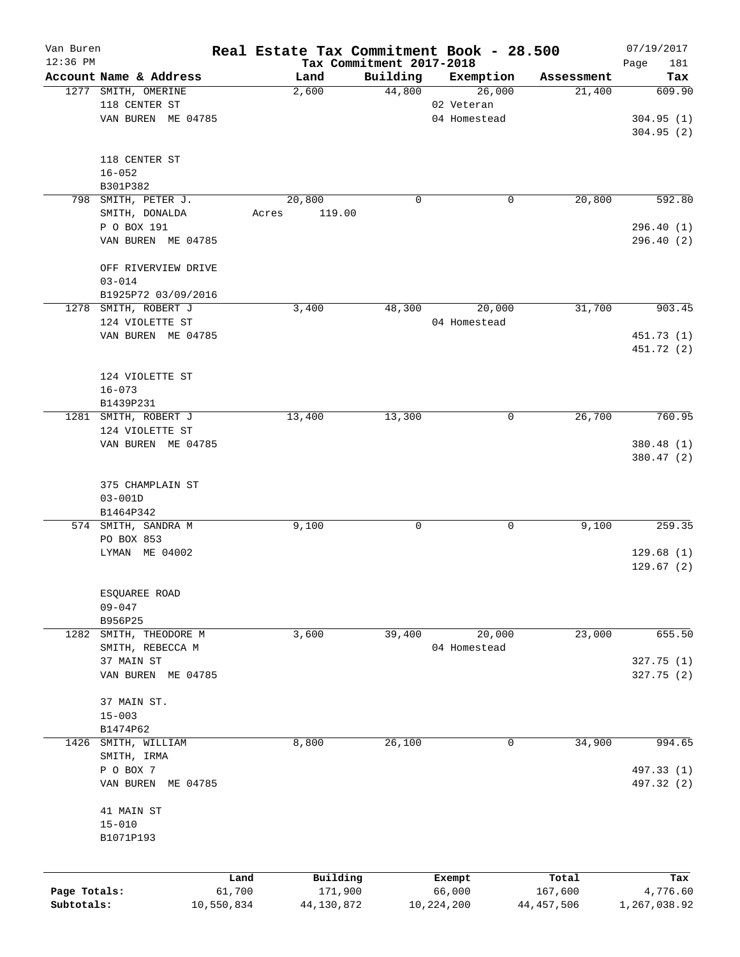| Van Buren    |                                 |            | Real Estate Tax Commitment Book - 28.500 |                                      |              |              | 07/19/2017         |
|--------------|---------------------------------|------------|------------------------------------------|--------------------------------------|--------------|--------------|--------------------|
| $12:36$ PM   | Account Name & Address          |            | Land                                     | Tax Commitment 2017-2018<br>Building | Exemption    | Assessment   | Page<br>181<br>Tax |
|              | 1277 SMITH, OMERINE             |            | 2,600                                    | 44,800                               | 26,000       | 21,400       | 609.90             |
|              | 118 CENTER ST                   |            |                                          |                                      | 02 Veteran   |              |                    |
|              | VAN BUREN ME 04785              |            |                                          |                                      | 04 Homestead |              | 304.95(1)          |
|              |                                 |            |                                          |                                      |              |              | 304.95(2)          |
|              | 118 CENTER ST                   |            |                                          |                                      |              |              |                    |
|              | $16 - 052$                      |            |                                          |                                      |              |              |                    |
|              | B301P382                        |            |                                          |                                      |              |              |                    |
|              | 798 SMITH, PETER J.             |            | 20,800                                   | 0                                    |              | 20,800<br>0  | 592.80             |
|              | SMITH, DONALDA                  |            | 119.00<br>Acres                          |                                      |              |              |                    |
|              | P O BOX 191                     |            |                                          |                                      |              |              | 296.40 (1)         |
|              | VAN BUREN ME 04785              |            |                                          |                                      |              |              | 296.40 (2)         |
|              | OFF RIVERVIEW DRIVE             |            |                                          |                                      |              |              |                    |
|              | $03 - 014$                      |            |                                          |                                      |              |              |                    |
|              | B1925P72 03/09/2016             |            |                                          |                                      |              |              |                    |
|              | 1278 SMITH, ROBERT J            |            | 3,400                                    | 48,300                               | 20,000       | 31,700       | 903.45             |
|              | 124 VIOLETTE ST                 |            |                                          |                                      | 04 Homestead |              |                    |
|              | VAN BUREN ME 04785              |            |                                          |                                      |              |              | 451.73 (1)         |
|              |                                 |            |                                          |                                      |              |              | 451.72 (2)         |
|              | 124 VIOLETTE ST                 |            |                                          |                                      |              |              |                    |
|              | $16 - 073$                      |            |                                          |                                      |              |              |                    |
|              | B1439P231                       |            |                                          |                                      |              |              |                    |
|              | 1281 SMITH, ROBERT J            |            | 13,400                                   | 13,300                               |              | 26,700<br>0  | 760.95             |
|              | 124 VIOLETTE ST                 |            |                                          |                                      |              |              |                    |
|              | VAN BUREN ME 04785              |            |                                          |                                      |              |              | 380.48 (1)         |
|              |                                 |            |                                          |                                      |              |              | 380.47 (2)         |
|              |                                 |            |                                          |                                      |              |              |                    |
|              | 375 CHAMPLAIN ST<br>$03 - 001D$ |            |                                          |                                      |              |              |                    |
|              | B1464P342                       |            |                                          |                                      |              |              |                    |
|              | 574 SMITH, SANDRA M             |            | 9,100                                    | 0                                    |              | 9,100<br>0   | 259.35             |
|              | PO BOX 853                      |            |                                          |                                      |              |              |                    |
|              | LYMAN ME 04002                  |            |                                          |                                      |              |              | 129.68(1)          |
|              |                                 |            |                                          |                                      |              |              | 129.67(2)          |
|              |                                 |            |                                          |                                      |              |              |                    |
|              | ESQUAREE ROAD                   |            |                                          |                                      |              |              |                    |
|              | $09 - 047$                      |            |                                          |                                      |              |              |                    |
|              | B956P25                         |            |                                          |                                      |              |              |                    |
| 1282         | SMITH, THEODORE M               |            | 3,600                                    | 39,400                               | 20,000       | 23,000       | 655.50             |
|              | SMITH, REBECCA M                |            |                                          |                                      | 04 Homestead |              |                    |
|              | 37 MAIN ST                      |            |                                          |                                      |              |              | 327.75 (1)         |
|              | VAN BUREN ME 04785              |            |                                          |                                      |              |              | 327.75(2)          |
|              | 37 MAIN ST.                     |            |                                          |                                      |              |              |                    |
|              | $15 - 003$                      |            |                                          |                                      |              |              |                    |
|              | B1474P62                        |            |                                          |                                      |              |              |                    |
| 1426         | SMITH, WILLIAM                  |            | 8,800                                    | 26,100                               |              | 34,900<br>0  | 994.65             |
|              | SMITH, IRMA                     |            |                                          |                                      |              |              |                    |
|              | P O BOX 7                       |            |                                          |                                      |              |              | 497.33 (1)         |
|              | VAN BUREN ME 04785              |            |                                          |                                      |              |              | 497.32 (2)         |
|              | 41 MAIN ST                      |            |                                          |                                      |              |              |                    |
|              | $15 - 010$                      |            |                                          |                                      |              |              |                    |
|              | B1071P193                       |            |                                          |                                      |              |              |                    |
|              |                                 |            |                                          |                                      |              |              |                    |
|              |                                 | Land       | Building                                 |                                      | Exempt       | Total        | Tax                |
| Page Totals: |                                 | 61,700     | 171,900                                  |                                      | 66,000       | 167,600      | 4,776.60           |
| Subtotals:   |                                 | 10,550,834 | 44,130,872                               |                                      | 10,224,200   | 44, 457, 506 | 1,267,038.92       |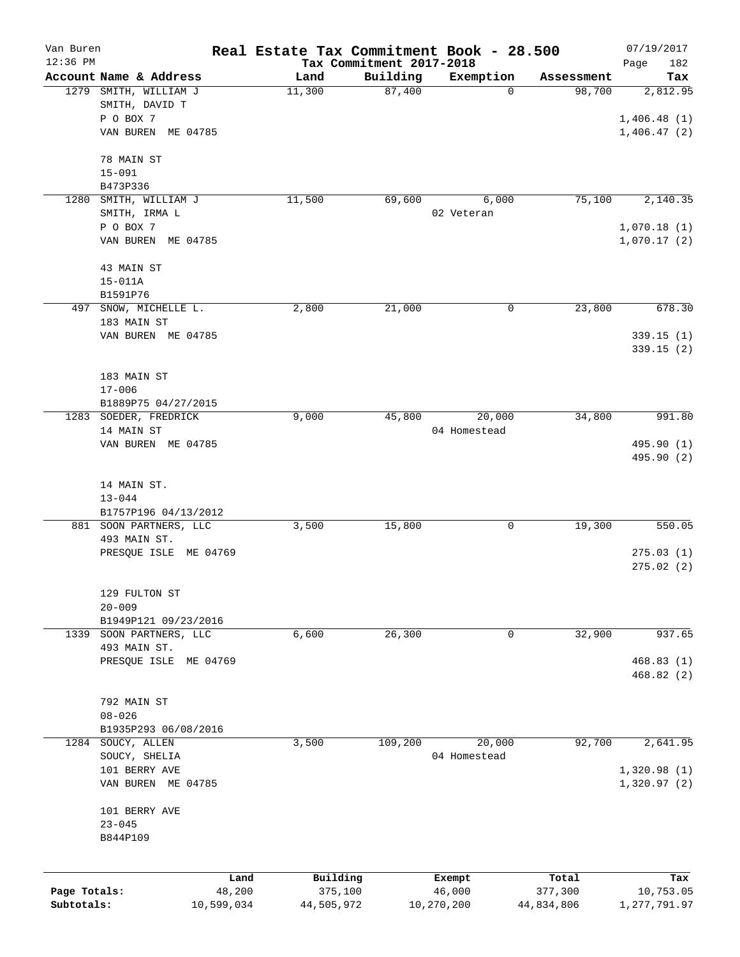| Van Buren                  |                                       |                      | Real Estate Tax Commitment Book - 28.500 |                                      |                        |                       | 07/19/2017                  |
|----------------------------|---------------------------------------|----------------------|------------------------------------------|--------------------------------------|------------------------|-----------------------|-----------------------------|
| $12:36$ PM                 | Account Name & Address                |                      | Land                                     | Tax Commitment 2017-2018<br>Building | Exemption              | Assessment            | Page<br>182<br>Tax          |
|                            | 1279 SMITH, WILLIAM J                 |                      | 11,300                                   | 87,400                               | $\mathbf 0$            | 98,700                | 2,812.95                    |
|                            | SMITH, DAVID T                        |                      |                                          |                                      |                        |                       |                             |
|                            | P O BOX 7                             |                      |                                          |                                      |                        |                       | 1,406.48(1)                 |
|                            | VAN BUREN ME 04785                    |                      |                                          |                                      |                        |                       | 1,406.47(2)                 |
|                            | 78 MAIN ST                            |                      |                                          |                                      |                        |                       |                             |
|                            | $15 - 091$                            |                      |                                          |                                      |                        |                       |                             |
|                            | B473P336                              |                      |                                          |                                      |                        |                       |                             |
| 1280                       | SMITH, WILLIAM J                      |                      | 11,500                                   | 69,600                               | 6,000                  | 75,100                | 2,140.35                    |
|                            | SMITH, IRMA L                         |                      |                                          |                                      | 02 Veteran             |                       |                             |
|                            | P O BOX 7                             |                      |                                          |                                      |                        |                       | 1,070.18(1)                 |
|                            | VAN BUREN ME 04785                    |                      |                                          |                                      |                        |                       | 1,070.17(2)                 |
|                            | 43 MAIN ST                            |                      |                                          |                                      |                        |                       |                             |
|                            | $15 - 011A$                           |                      |                                          |                                      |                        |                       |                             |
|                            | B1591P76                              |                      |                                          |                                      |                        |                       |                             |
| 497                        | SNOW, MICHELLE L.                     |                      | 2,800                                    | 21,000                               | 0                      | 23,800                | 678.30                      |
|                            | 183 MAIN ST                           |                      |                                          |                                      |                        |                       |                             |
|                            | VAN BUREN ME 04785                    |                      |                                          |                                      |                        |                       | 339.15 (1)                  |
|                            |                                       |                      |                                          |                                      |                        |                       | 339.15 (2)                  |
|                            | 183 MAIN ST                           |                      |                                          |                                      |                        |                       |                             |
|                            | $17 - 006$                            |                      |                                          |                                      |                        |                       |                             |
|                            | B1889P75 04/27/2015                   |                      |                                          |                                      |                        |                       |                             |
| 1283                       | SOEDER, FREDRICK                      |                      | 9,000                                    | 45,800                               | 20,000                 | 34,800                | 991.80                      |
|                            | 14 MAIN ST                            |                      |                                          |                                      | 04 Homestead           |                       |                             |
|                            | VAN BUREN ME 04785                    |                      |                                          |                                      |                        |                       | 495.90 (1)<br>495.90 (2)    |
|                            |                                       |                      |                                          |                                      |                        |                       |                             |
|                            | 14 MAIN ST.                           |                      |                                          |                                      |                        |                       |                             |
|                            | $13 - 044$                            |                      |                                          |                                      |                        |                       |                             |
|                            | B1757P196 04/13/2012                  |                      |                                          |                                      |                        |                       |                             |
|                            | 881 SOON PARTNERS, LLC                |                      | 3,500                                    | 15,800                               | 0                      | 19,300                | 550.05                      |
|                            | 493 MAIN ST.                          |                      |                                          |                                      |                        |                       |                             |
|                            | PRESQUE ISLE ME 04769                 |                      |                                          |                                      |                        |                       | 275.03(1)<br>275.02(2)      |
|                            |                                       |                      |                                          |                                      |                        |                       |                             |
|                            | 129 FULTON ST                         |                      |                                          |                                      |                        |                       |                             |
|                            | $20 - 009$                            |                      |                                          |                                      |                        |                       |                             |
|                            | B1949P121 09/23/2016                  |                      |                                          |                                      |                        |                       |                             |
| 1339                       | SOON PARTNERS, LLC                    |                      | 6,600                                    | 26,300                               | 0                      | 32,900                | 937.65                      |
|                            | 493 MAIN ST.<br>PRESQUE ISLE ME 04769 |                      |                                          |                                      |                        |                       | 468.83(1)                   |
|                            |                                       |                      |                                          |                                      |                        |                       | 468.82(2)                   |
|                            |                                       |                      |                                          |                                      |                        |                       |                             |
|                            | 792 MAIN ST                           |                      |                                          |                                      |                        |                       |                             |
|                            | $08 - 026$                            |                      |                                          |                                      |                        |                       |                             |
|                            | B1935P293 06/08/2016                  |                      |                                          |                                      |                        |                       |                             |
| 1284                       | SOUCY, ALLEN<br>SOUCY, SHELIA         |                      | 3,500                                    | 109,200                              | 20,000<br>04 Homestead | 92,700                | 2,641.95                    |
|                            | 101 BERRY AVE                         |                      |                                          |                                      |                        |                       | 1,320.98(1)                 |
|                            | VAN BUREN ME 04785                    |                      |                                          |                                      |                        |                       | 1,320.97(2)                 |
|                            |                                       |                      |                                          |                                      |                        |                       |                             |
|                            | 101 BERRY AVE                         |                      |                                          |                                      |                        |                       |                             |
|                            | $23 - 045$                            |                      |                                          |                                      |                        |                       |                             |
|                            | B844P109                              |                      |                                          |                                      |                        |                       |                             |
|                            |                                       |                      |                                          |                                      |                        |                       |                             |
|                            |                                       | Land                 | Building                                 |                                      | Exempt                 | Total                 | Tax                         |
| Page Totals:<br>Subtotals: |                                       | 48,200<br>10,599,034 | 375,100<br>44,505,972                    |                                      | 46,000<br>10,270,200   | 377,300<br>44,834,806 | 10,753.05<br>1, 277, 791.97 |
|                            |                                       |                      |                                          |                                      |                        |                       |                             |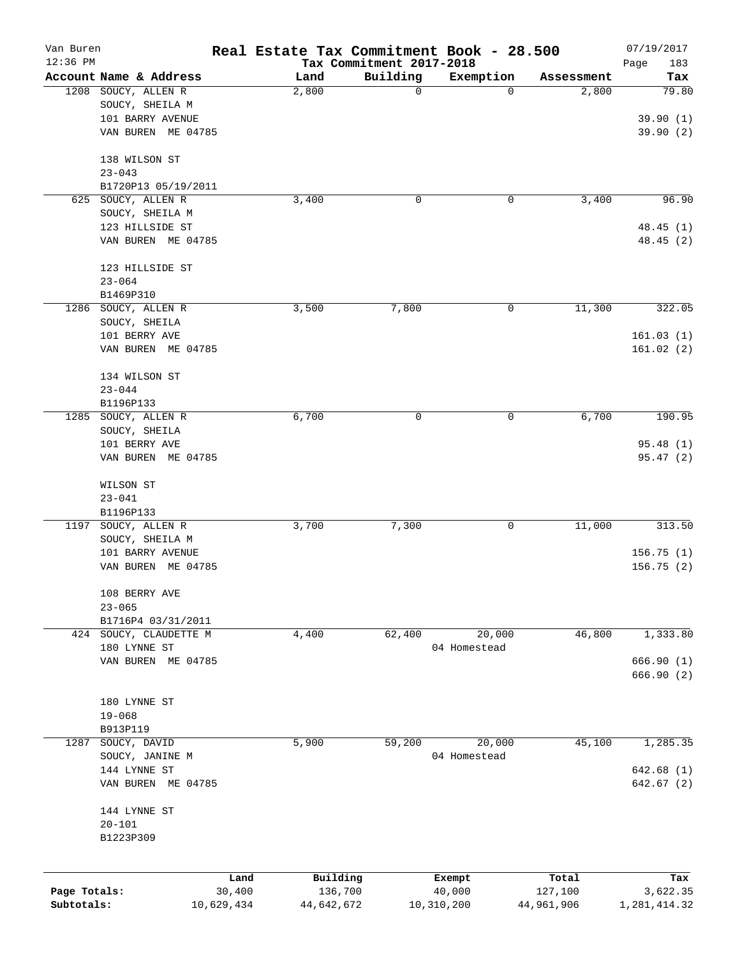| Van Buren<br>12:36 PM |                        |            | Real Estate Tax Commitment Book - 28.500 | Tax Commitment 2017-2018 |              |            | 07/19/2017<br>Page<br>183 |
|-----------------------|------------------------|------------|------------------------------------------|--------------------------|--------------|------------|---------------------------|
|                       | Account Name & Address |            | Land                                     | Building                 | Exemption    | Assessment | Tax                       |
|                       | 1208 SOUCY, ALLEN R    |            | 2,800                                    | 0                        | 0            | 2,800      | 79.80                     |
|                       | SOUCY, SHEILA M        |            |                                          |                          |              |            |                           |
|                       | 101 BARRY AVENUE       |            |                                          |                          |              |            | 39.90(1)                  |
|                       | VAN BUREN ME 04785     |            |                                          |                          |              |            | 39.90(2)                  |
|                       | 138 WILSON ST          |            |                                          |                          |              |            |                           |
|                       | $23 - 043$             |            |                                          |                          |              |            |                           |
|                       | B1720P13 05/19/2011    |            |                                          |                          |              |            |                           |
|                       | 625 SOUCY, ALLEN R     |            | 3,400                                    | 0                        | 0            | 3,400      | 96.90                     |
|                       | SOUCY, SHEILA M        |            |                                          |                          |              |            |                           |
|                       | 123 HILLSIDE ST        |            |                                          |                          |              |            | 48.45(1)                  |
|                       | VAN BUREN ME 04785     |            |                                          |                          |              |            | 48.45 (2)                 |
|                       | 123 HILLSIDE ST        |            |                                          |                          |              |            |                           |
|                       | $23 - 064$             |            |                                          |                          |              |            |                           |
|                       | B1469P310              |            |                                          |                          |              |            |                           |
|                       | 1286 SOUCY, ALLEN R    |            | 3,500                                    | 7,800                    | 0            | 11,300     | 322.05                    |
|                       | SOUCY, SHEILA          |            |                                          |                          |              |            |                           |
|                       | 101 BERRY AVE          |            |                                          |                          |              |            | 161.03(1)                 |
|                       | VAN BUREN ME 04785     |            |                                          |                          |              |            | 161.02(2)                 |
|                       | 134 WILSON ST          |            |                                          |                          |              |            |                           |
|                       | $23 - 044$             |            |                                          |                          |              |            |                           |
|                       | B1196P133              |            |                                          |                          |              |            |                           |
| 1285                  | SOUCY, ALLEN R         |            | 6,700                                    | 0                        | 0            | 6,700      | 190.95                    |
|                       | SOUCY, SHEILA          |            |                                          |                          |              |            |                           |
|                       | 101 BERRY AVE          |            |                                          |                          |              |            | 95.48(1)                  |
|                       | VAN BUREN ME 04785     |            |                                          |                          |              |            | 95.47(2)                  |
|                       | WILSON ST              |            |                                          |                          |              |            |                           |
|                       | $23 - 041$             |            |                                          |                          |              |            |                           |
|                       | B1196P133              |            |                                          |                          |              |            |                           |
| 1197                  | SOUCY, ALLEN R         |            | 3,700                                    | 7,300                    | 0            | 11,000     | 313.50                    |
|                       | SOUCY, SHEILA M        |            |                                          |                          |              |            |                           |
|                       | 101 BARRY AVENUE       |            |                                          |                          |              |            | 156.75(1)                 |
|                       | VAN BUREN ME 04785     |            |                                          |                          |              |            | 156.75 (2)                |
|                       | 108 BERRY AVE          |            |                                          |                          |              |            |                           |
|                       | $23 - 065$             |            |                                          |                          |              |            |                           |
|                       | B1716P4 03/31/2011     |            |                                          |                          |              |            |                           |
|                       | 424 SOUCY, CLAUDETTE M |            | 4,400                                    | 62,400                   | 20,000       | 46,800     | 1,333.80                  |
|                       | 180 LYNNE ST           |            |                                          |                          | 04 Homestead |            |                           |
|                       | VAN BUREN ME 04785     |            |                                          |                          |              |            | 666.90(1)                 |
|                       |                        |            |                                          |                          |              |            | 666.90(2)                 |
|                       | 180 LYNNE ST           |            |                                          |                          |              |            |                           |
|                       | $19 - 068$             |            |                                          |                          |              |            |                           |
|                       | B913P119               |            |                                          |                          |              |            |                           |
| 1287                  | SOUCY, DAVID           |            | 5,900                                    | 59,200                   | 20,000       | 45,100     | 1,285.35                  |
|                       | SOUCY, JANINE M        |            |                                          |                          | 04 Homestead |            |                           |
|                       | 144 LYNNE ST           |            |                                          |                          |              |            | 642.68(1)                 |
|                       | VAN BUREN ME 04785     |            |                                          |                          |              |            | 642.67(2)                 |
|                       | 144 LYNNE ST           |            |                                          |                          |              |            |                           |
|                       | $20 - 101$             |            |                                          |                          |              |            |                           |
|                       | B1223P309              |            |                                          |                          |              |            |                           |
|                       |                        |            |                                          |                          |              |            |                           |
|                       |                        | Land       | Building                                 |                          | Exempt       | Total      | Tax                       |
| Page Totals:          |                        | 30,400     | 136,700                                  |                          | 40,000       | 127,100    | 3,622.35                  |
| Subtotals:            |                        | 10,629,434 | 44,642,672                               |                          | 10,310,200   | 44,961,906 | 1,281,414.32              |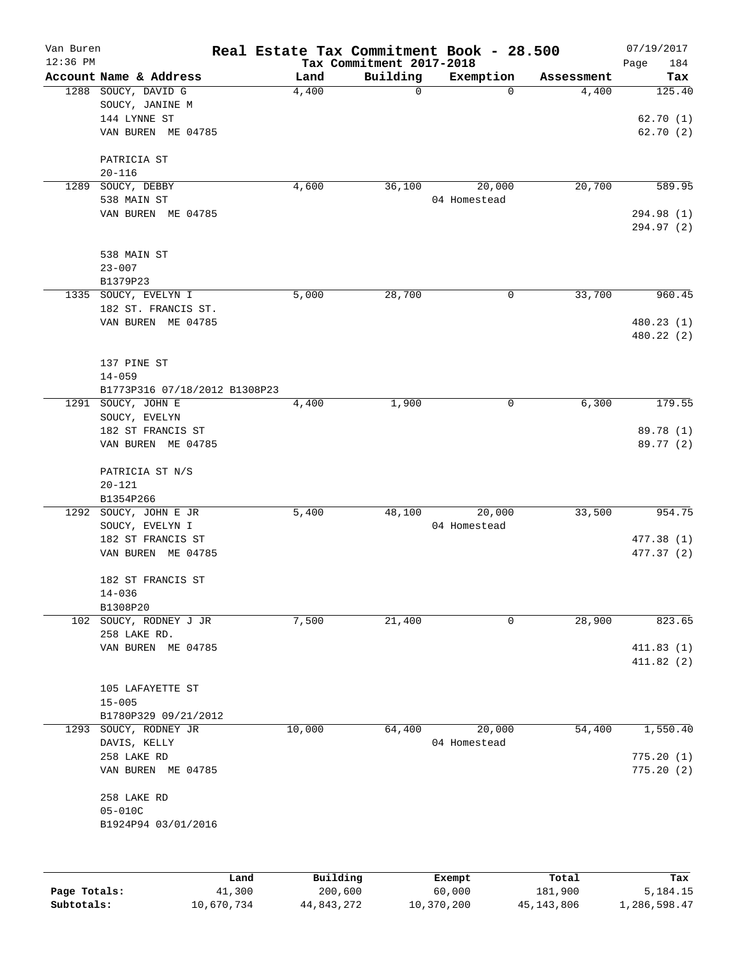| Van Buren    |                               | Real Estate Tax Commitment Book - 28.500 |                                      |              |            | 07/19/2017               |
|--------------|-------------------------------|------------------------------------------|--------------------------------------|--------------|------------|--------------------------|
| $12:36$ PM   | Account Name & Address        | Land                                     | Tax Commitment 2017-2018<br>Building | Exemption    | Assessment | Page<br>184<br>Tax       |
|              | 1288 SOUCY, DAVID G           | 4,400                                    | 0                                    | $\Omega$     | 4,400      | 125.40                   |
|              | SOUCY, JANINE M               |                                          |                                      |              |            |                          |
|              | 144 LYNNE ST                  |                                          |                                      |              |            | 62.70(1)                 |
|              | VAN BUREN ME 04785            |                                          |                                      |              |            | 62.70(2)                 |
|              | PATRICIA ST                   |                                          |                                      |              |            |                          |
|              | $20 - 116$                    |                                          |                                      |              |            |                          |
| 1289         | SOUCY, DEBBY                  | 4,600                                    | 36,100                               | 20,000       | 20,700     | 589.95                   |
|              | 538 MAIN ST                   |                                          |                                      | 04 Homestead |            |                          |
|              | VAN BUREN ME 04785            |                                          |                                      |              |            | 294.98 (1)<br>294.97 (2) |
|              |                               |                                          |                                      |              |            |                          |
|              | 538 MAIN ST                   |                                          |                                      |              |            |                          |
|              | $23 - 007$                    |                                          |                                      |              |            |                          |
| 1335         | B1379P23<br>SOUCY, EVELYN I   | 5,000                                    | 28,700                               | 0            | 33,700     | 960.45                   |
|              | 182 ST. FRANCIS ST.           |                                          |                                      |              |            |                          |
|              | VAN BUREN ME 04785            |                                          |                                      |              |            | 480.23 (1)               |
|              |                               |                                          |                                      |              |            | 480.22 (2)               |
|              | 137 PINE ST                   |                                          |                                      |              |            |                          |
|              | $14 - 059$                    |                                          |                                      |              |            |                          |
|              | B1773P316 07/18/2012 B1308P23 |                                          |                                      |              |            |                          |
| 1291         | SOUCY, JOHN E                 | 4,400                                    | 1,900                                | 0            | 6,300      | 179.55                   |
|              | SOUCY, EVELYN                 |                                          |                                      |              |            |                          |
|              | 182 ST FRANCIS ST             |                                          |                                      |              |            | 89.78 (1)                |
|              | VAN BUREN ME 04785            |                                          |                                      |              |            | 89.77 (2)                |
|              | PATRICIA ST N/S               |                                          |                                      |              |            |                          |
|              | $20 - 121$                    |                                          |                                      |              |            |                          |
|              | B1354P266                     |                                          |                                      |              |            |                          |
| 1292         | SOUCY, JOHN E JR              | 5,400                                    | 48,100                               | 20,000       | 33,500     | 954.75                   |
|              | SOUCY, EVELYN I               |                                          |                                      | 04 Homestead |            |                          |
|              | 182 ST FRANCIS ST             |                                          |                                      |              |            | 477.38 (1)               |
|              | VAN BUREN ME 04785            |                                          |                                      |              |            | 477.37 (2)               |
|              | 182 ST FRANCIS ST             |                                          |                                      |              |            |                          |
|              | $14 - 036$                    |                                          |                                      |              |            |                          |
|              | B1308P20                      |                                          |                                      |              |            |                          |
|              | 102 SOUCY, RODNEY J JR        | 7,500                                    | 21,400                               | 0            | 28,900     | 823.65                   |
|              | 258 LAKE RD.                  |                                          |                                      |              |            |                          |
|              | VAN BUREN ME 04785            |                                          |                                      |              |            | 411.83(1)                |
|              |                               |                                          |                                      |              |            | 411.82(2)                |
|              | 105 LAFAYETTE ST              |                                          |                                      |              |            |                          |
|              | $15 - 005$                    |                                          |                                      |              |            |                          |
|              | B1780P329 09/21/2012          |                                          |                                      |              |            |                          |
| 1293         | SOUCY, RODNEY JR              | 10,000                                   | 64,400                               | 20,000       | 54,400     | 1,550.40                 |
|              | DAVIS, KELLY                  |                                          |                                      | 04 Homestead |            |                          |
|              | 258 LAKE RD                   |                                          |                                      |              |            | 775.20(1)                |
|              | VAN BUREN ME 04785            |                                          |                                      |              |            | 775.20(2)                |
|              | 258 LAKE RD                   |                                          |                                      |              |            |                          |
|              | $05 - 010C$                   |                                          |                                      |              |            |                          |
|              | B1924P94 03/01/2016           |                                          |                                      |              |            |                          |
|              |                               |                                          |                                      |              |            |                          |
|              |                               | Building<br>Land                         |                                      | Exempt       | Total      | Tax                      |
| Page Totals: |                               | 41,300                                   | 200,600                              | 60,000       | 181,900    | 5,184.15                 |

**Subtotals:** 10,670,734 44,843,272 10,370,200 45,143,806 1,286,598.47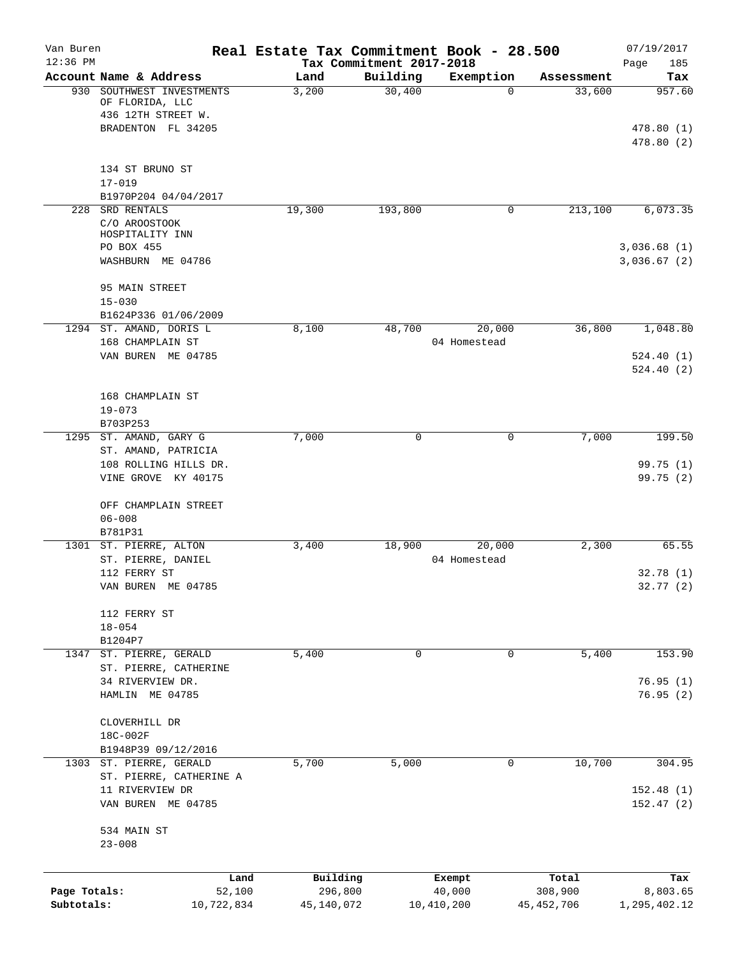| Van Buren<br>$12:36$ PM    |                                                                | Real Estate Tax Commitment Book - 28.500 | Tax Commitment 2017-2018 |                        |                         | 07/19/2017<br>185<br>Page  |
|----------------------------|----------------------------------------------------------------|------------------------------------------|--------------------------|------------------------|-------------------------|----------------------------|
|                            | Account Name & Address                                         | Land                                     | Building                 | Exemption              | Assessment              | Tax                        |
| 930                        | SOUTHWEST INVESTMENTS<br>OF FLORIDA, LLC<br>436 12TH STREET W. | 3,200                                    | 30,400                   | 0                      | 33,600                  | 957.60                     |
|                            | BRADENTON FL 34205                                             |                                          |                          |                        |                         | 478.80 (1)<br>478.80(2)    |
|                            | 134 ST BRUNO ST<br>$17 - 019$                                  |                                          |                          |                        |                         |                            |
|                            | B1970P204 04/04/2017                                           |                                          |                          |                        |                         |                            |
| 228                        | SRD RENTALS<br>C/O AROOSTOOK<br>HOSPITALITY INN                | 19,300                                   | 193,800                  | 0                      | 213,100                 | 6,073.35                   |
|                            | PO BOX 455<br>WASHBURN ME 04786                                |                                          |                          |                        |                         | 3,036.68(1)<br>3,036.67(2) |
|                            | 95 MAIN STREET<br>$15 - 030$<br>B1624P336 01/06/2009           |                                          |                          |                        |                         |                            |
|                            | 1294 ST. AMAND, DORIS L<br>168 CHAMPLAIN ST                    | 8,100                                    | 48,700                   | 20,000<br>04 Homestead | 36,800                  | 1,048.80                   |
|                            | VAN BUREN ME 04785                                             |                                          |                          |                        |                         | 524.40(1)<br>524.40(2)     |
|                            | 168 CHAMPLAIN ST<br>$19 - 073$<br>B703P253                     |                                          |                          |                        |                         |                            |
| 1295                       | ST. AMAND, GARY G<br>ST. AMAND, PATRICIA                       | 7,000                                    | $\mathbf 0$              | 0                      | 7,000                   | 199.50                     |
|                            | 108 ROLLING HILLS DR.<br>VINE GROVE KY 40175                   |                                          |                          |                        |                         | 99.75 (1)<br>99.75(2)      |
|                            | OFF CHAMPLAIN STREET<br>$06 - 008$<br>B781P31                  |                                          |                          |                        |                         |                            |
|                            | 1301 ST. PIERRE, ALTON<br>ST. PIERRE, DANIEL                   | 3,400                                    | 18,900                   | 20,000<br>04 Homestead | 2,300                   | 65.55                      |
|                            | 112 FERRY ST<br>VAN BUREN ME 04785                             |                                          |                          |                        |                         | 32.78(1)<br>32.77 (2)      |
|                            | 112 FERRY ST<br>$18 - 054$                                     |                                          |                          |                        |                         |                            |
| 1347                       | B1204P7<br>ST. PIERRE, GERALD<br>ST. PIERRE, CATHERINE         | 5,400                                    | $\Omega$                 | 0                      | 5,400                   | 153.90                     |
|                            | 34 RIVERVIEW DR.<br>HAMLIN ME 04785                            |                                          |                          |                        |                         | 76.95(1)<br>76.95(2)       |
|                            | CLOVERHILL DR<br>18C-002F                                      |                                          |                          |                        |                         |                            |
|                            | B1948P39 09/12/2016<br>1303 ST. PIERRE, GERALD                 | 5,700                                    | 5,000                    | 0                      | 10,700                  | 304.95                     |
|                            | ST. PIERRE, CATHERINE A<br>11 RIVERVIEW DR                     |                                          |                          |                        |                         | 152.48(1)                  |
|                            | VAN BUREN ME 04785                                             |                                          |                          |                        |                         | 152.47(2)                  |
|                            | 534 MAIN ST<br>$23 - 008$                                      |                                          |                          |                        |                         |                            |
|                            | Land                                                           | Building                                 |                          | Exempt                 | Total                   | Tax                        |
| Page Totals:<br>Subtotals: | 52,100<br>10,722,834                                           | 296,800<br>45,140,072                    |                          | 40,000<br>10,410,200   | 308,900<br>45, 452, 706 | 8,803.65<br>1,295,402.12   |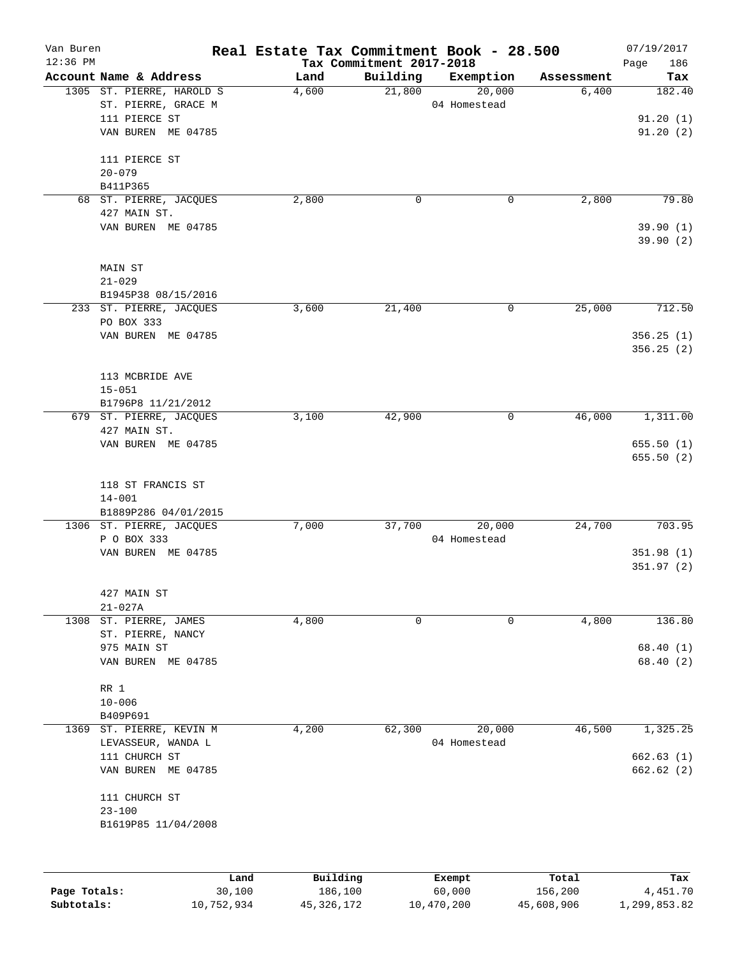| Van Buren    |                                           | Real Estate Tax Commitment Book - 28.500 |                                      |                        |                     | 07/19/2017             |
|--------------|-------------------------------------------|------------------------------------------|--------------------------------------|------------------------|---------------------|------------------------|
| $12:36$ PM   | Account Name & Address                    |                                          | Tax Commitment 2017-2018<br>Building |                        |                     | 186<br>Page            |
|              | 1305 ST. PIERRE, HAROLD S                 | Land<br>4,600                            | 21,800                               | Exemption<br>20,000    | Assessment<br>6,400 | Tax<br>182.40          |
|              | ST. PIERRE, GRACE M                       |                                          |                                      | 04 Homestead           |                     |                        |
|              | 111 PIERCE ST                             |                                          |                                      |                        |                     | 91.20(1)               |
|              | VAN BUREN ME 04785                        |                                          |                                      |                        |                     | 91.20(2)               |
|              | 111 PIERCE ST                             |                                          |                                      |                        |                     |                        |
|              | $20 - 079$                                |                                          |                                      |                        |                     |                        |
|              | B411P365                                  |                                          |                                      |                        |                     |                        |
|              | 68 ST. PIERRE, JACQUES                    | 2,800                                    | 0                                    | 0                      | 2,800               | 79.80                  |
|              | 427 MAIN ST.                              |                                          |                                      |                        |                     |                        |
|              | VAN BUREN ME 04785                        |                                          |                                      |                        |                     | 39.90(1)<br>39.90(2)   |
|              | MAIN ST                                   |                                          |                                      |                        |                     |                        |
|              | $21 - 029$                                |                                          |                                      |                        |                     |                        |
|              | B1945P38 08/15/2016                       |                                          |                                      |                        |                     |                        |
|              | 233 ST. PIERRE, JACQUES                   | 3,600                                    | 21,400                               | 0                      | 25,000              | 712.50                 |
|              | PO BOX 333                                |                                          |                                      |                        |                     |                        |
|              | VAN BUREN ME 04785                        |                                          |                                      |                        |                     | 356.25(1)<br>356.25(2) |
|              | 113 MCBRIDE AVE                           |                                          |                                      |                        |                     |                        |
|              | $15 - 051$                                |                                          |                                      |                        |                     |                        |
|              | B1796P8 11/21/2012                        |                                          |                                      |                        |                     |                        |
| 679          | ST. PIERRE, JACQUES<br>427 MAIN ST.       | 3,100                                    | 42,900                               | 0                      | 46,000              | 1,311.00               |
|              | VAN BUREN ME 04785                        |                                          |                                      |                        |                     | 655.50(1)              |
|              |                                           |                                          |                                      |                        |                     | 655.50(2)              |
|              | 118 ST FRANCIS ST                         |                                          |                                      |                        |                     |                        |
|              | $14 - 001$                                |                                          |                                      |                        |                     |                        |
|              | B1889P286 04/01/2015                      |                                          |                                      |                        |                     |                        |
|              | 1306 ST. PIERRE, JACQUES                  | 7,000                                    | 37,700                               | 20,000                 | 24,700              | 703.95                 |
|              | P O BOX 333                               |                                          |                                      | 04 Homestead           |                     |                        |
|              | VAN BUREN ME 04785                        |                                          |                                      |                        |                     | 351.98(1)              |
|              |                                           |                                          |                                      |                        |                     | 351.97(2)              |
|              | 427 MAIN ST                               |                                          |                                      |                        |                     |                        |
|              | $21 - 027A$                               |                                          |                                      |                        |                     |                        |
| 1308         | ST. PIERRE, JAMES                         | 4,800                                    | $\mathbf 0$                          | 0                      | 4,800               | 136.80                 |
|              | ST. PIERRE, NANCY                         |                                          |                                      |                        |                     |                        |
|              | 975 MAIN ST                               |                                          |                                      |                        |                     | 68.40(1)               |
|              | VAN BUREN ME 04785                        |                                          |                                      |                        |                     | 68.40(2)               |
|              |                                           |                                          |                                      |                        |                     |                        |
|              | RR 1                                      |                                          |                                      |                        |                     |                        |
|              | $10 - 006$                                |                                          |                                      |                        |                     |                        |
|              | B409P691                                  |                                          |                                      |                        |                     |                        |
| 1369         | ST. PIERRE, KEVIN M<br>LEVASSEUR, WANDA L | 4,200                                    | 62,300                               | 20,000<br>04 Homestead | 46,500              | 1,325.25               |
|              | 111 CHURCH ST                             |                                          |                                      |                        |                     | 662.63(1)              |
|              | VAN BUREN ME 04785                        |                                          |                                      |                        |                     | 662.62(2)              |
|              |                                           |                                          |                                      |                        |                     |                        |
|              | 111 CHURCH ST                             |                                          |                                      |                        |                     |                        |
|              | $23 - 100$                                |                                          |                                      |                        |                     |                        |
|              | B1619P85 11/04/2008                       |                                          |                                      |                        |                     |                        |
|              |                                           |                                          |                                      |                        |                     |                        |
|              |                                           | Building<br>Land                         |                                      | Exempt                 | Total               | Tax                    |
| Page Totals: | 30,100                                    | 186,100                                  |                                      | 60,000                 | 156,200             | 4,451.70               |

**Subtotals:** 10,752,934 45,326,172 10,470,200 45,608,906 1,299,853.82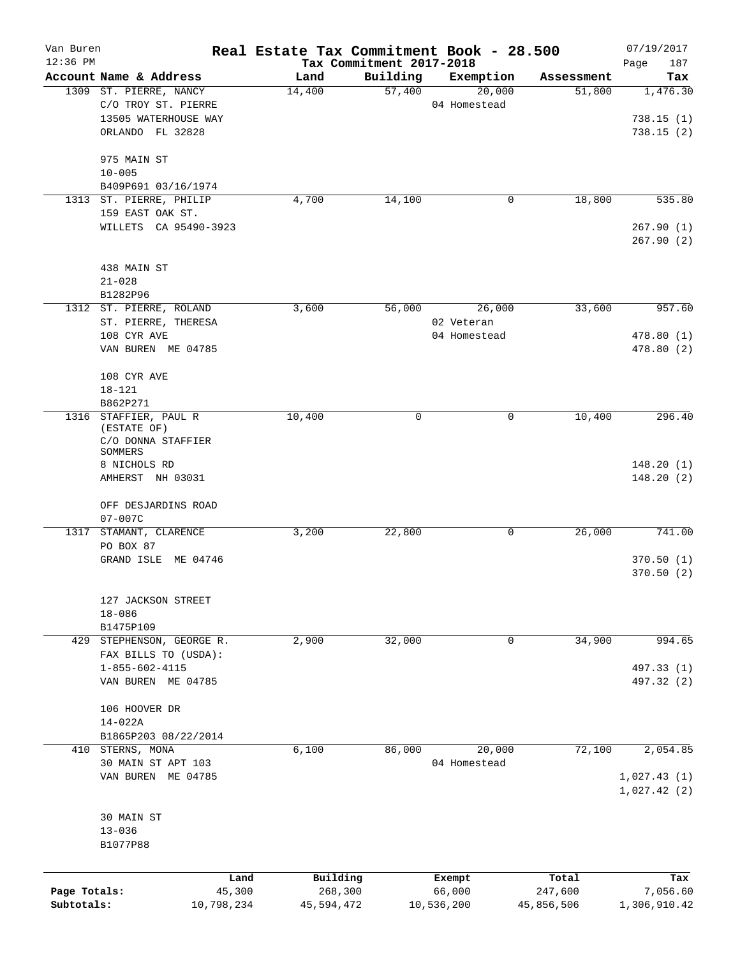| Van Buren<br>$12:36$ PM |                                 |            | Real Estate Tax Commitment Book - 28.500 | Tax Commitment 2017-2018 |              |            | 07/19/2017<br>Page<br>187 |
|-------------------------|---------------------------------|------------|------------------------------------------|--------------------------|--------------|------------|---------------------------|
|                         | Account Name & Address          |            | Land                                     | Building                 | Exemption    | Assessment | Tax                       |
|                         | 1309 ST. PIERRE, NANCY          |            | 14,400                                   | 57,400                   | 20,000       | 51,800     | 1,476.30                  |
|                         | C/O TROY ST. PIERRE             |            |                                          |                          | 04 Homestead |            |                           |
|                         | 13505 WATERHOUSE WAY            |            |                                          |                          |              |            | 738.15(1)                 |
|                         | ORLANDO FL 32828                |            |                                          |                          |              |            | 738.15(2)                 |
|                         |                                 |            |                                          |                          |              |            |                           |
|                         | 975 MAIN ST                     |            |                                          |                          |              |            |                           |
|                         | $10 - 005$                      |            |                                          |                          |              |            |                           |
|                         | B409P691 03/16/1974             |            |                                          |                          |              |            |                           |
| 1313                    | ST. PIERRE, PHILIP              |            | 4,700                                    | 14,100                   | 0            | 18,800     | 535.80                    |
|                         | 159 EAST OAK ST.                |            |                                          |                          |              |            |                           |
|                         | WILLETS CA 95490-3923           |            |                                          |                          |              |            | 267.90(1)                 |
|                         |                                 |            |                                          |                          |              |            | 267.90(2)                 |
|                         | 438 MAIN ST                     |            |                                          |                          |              |            |                           |
|                         | $21 - 028$                      |            |                                          |                          |              |            |                           |
|                         | B1282P96                        |            |                                          |                          |              |            |                           |
|                         | 1312 ST. PIERRE, ROLAND         |            | 3,600                                    | 56,000                   | 26,000       | 33,600     | 957.60                    |
|                         | ST. PIERRE, THERESA             |            |                                          |                          | 02 Veteran   |            |                           |
|                         | 108 CYR AVE                     |            |                                          |                          | 04 Homestead |            | 478.80(1)                 |
|                         | VAN BUREN ME 04785              |            |                                          |                          |              |            | 478.80(2)                 |
|                         |                                 |            |                                          |                          |              |            |                           |
|                         | 108 CYR AVE                     |            |                                          |                          |              |            |                           |
|                         | $18 - 121$                      |            |                                          |                          |              |            |                           |
|                         | B862P271                        |            |                                          |                          |              |            |                           |
| 1316                    | STAFFIER, PAUL R                |            | 10,400                                   | 0                        | 0            | 10,400     | 296.40                    |
|                         | (ESTATE OF)                     |            |                                          |                          |              |            |                           |
|                         | C/O DONNA STAFFIER              |            |                                          |                          |              |            |                           |
|                         | SOMMERS<br>8 NICHOLS RD         |            |                                          |                          |              |            | 148.20(1)                 |
|                         | AMHERST NH 03031                |            |                                          |                          |              |            | 148.20(2)                 |
|                         |                                 |            |                                          |                          |              |            |                           |
|                         | OFF DESJARDINS ROAD             |            |                                          |                          |              |            |                           |
|                         | $07 - 007C$                     |            |                                          |                          |              |            |                           |
| 1317                    | STAMANT, CLARENCE               |            | 3,200                                    | 22,800                   | 0            | 26,000     | 741.00                    |
|                         | PO BOX 87                       |            |                                          |                          |              |            |                           |
|                         | GRAND ISLE ME 04746             |            |                                          |                          |              |            | 370.50(1)                 |
|                         |                                 |            |                                          |                          |              |            | 370.50 (2)                |
|                         |                                 |            |                                          |                          |              |            |                           |
|                         | 127 JACKSON STREET              |            |                                          |                          |              |            |                           |
|                         | $18 - 086$                      |            |                                          |                          |              |            |                           |
|                         | B1475P109                       |            |                                          |                          |              |            |                           |
|                         | 429 STEPHENSON, GEORGE R.       |            | 2,900                                    | 32,000                   | 0            | 34,900     | 994.65                    |
|                         | FAX BILLS TO (USDA):            |            |                                          |                          |              |            |                           |
|                         | $1 - 855 - 602 - 4115$          |            |                                          |                          |              |            | 497.33 (1)                |
|                         | VAN BUREN ME 04785              |            |                                          |                          |              |            | 497.32 (2)                |
|                         | 106 HOOVER DR                   |            |                                          |                          |              |            |                           |
|                         |                                 |            |                                          |                          |              |            |                           |
|                         | 14-022A<br>B1865P203 08/22/2014 |            |                                          |                          |              |            |                           |
|                         | 410 STERNS, MONA                |            | 6,100                                    | 86,000                   | 20,000       | 72,100     | 2,054.85                  |
|                         | 30 MAIN ST APT 103              |            |                                          |                          | 04 Homestead |            |                           |
|                         | VAN BUREN ME 04785              |            |                                          |                          |              |            | 1,027.43(1)               |
|                         |                                 |            |                                          |                          |              |            | 1,027.42(2)               |
|                         |                                 |            |                                          |                          |              |            |                           |
|                         | 30 MAIN ST                      |            |                                          |                          |              |            |                           |
|                         | $13 - 036$                      |            |                                          |                          |              |            |                           |
|                         | B1077P88                        |            |                                          |                          |              |            |                           |
|                         |                                 |            |                                          |                          |              |            |                           |
|                         |                                 | Land       | Building                                 |                          | Exempt       | Total      | Tax                       |
| Page Totals:            |                                 | 45,300     | 268,300                                  |                          | 66,000       | 247,600    | 7,056.60                  |
| Subtotals:              |                                 | 10,798,234 | 45,594,472                               |                          | 10,536,200   | 45,856,506 | 1,306,910.42              |
|                         |                                 |            |                                          |                          |              |            |                           |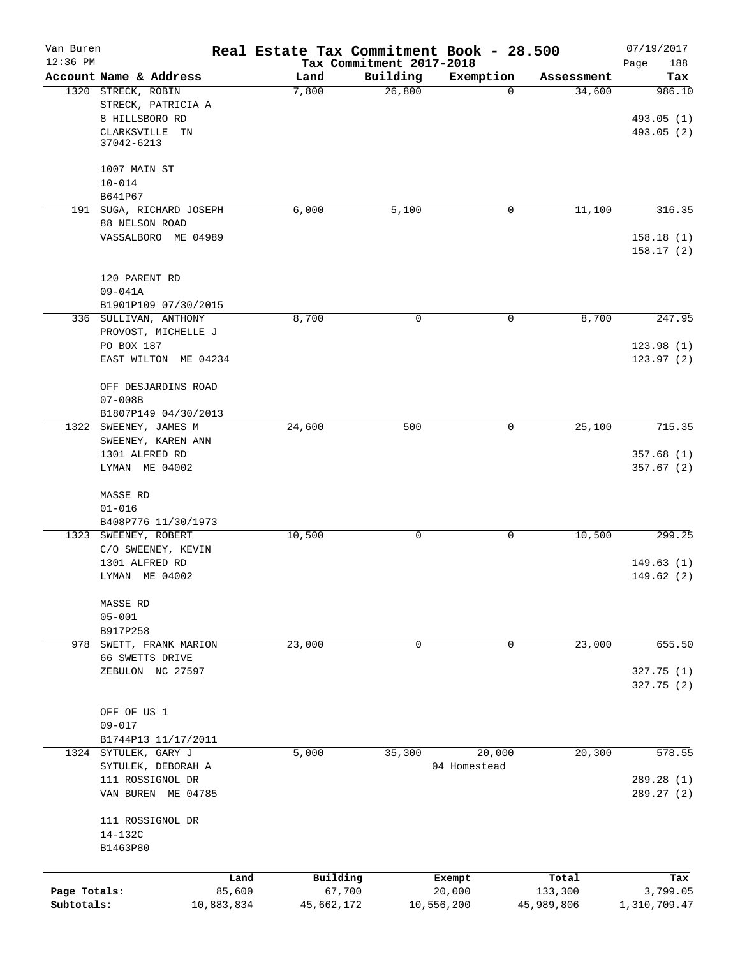| Van Buren<br>$12:36$ PM |                                                            | Real Estate Tax Commitment Book - 28.500 | Tax Commitment 2017-2018 |              |            | 07/19/2017<br>188<br>Page |
|-------------------------|------------------------------------------------------------|------------------------------------------|--------------------------|--------------|------------|---------------------------|
|                         | Account Name & Address                                     | Land                                     | Building                 | Exemption    | Assessment | Tax                       |
|                         | 1320 STRECK, ROBIN<br>STRECK, PATRICIA A<br>8 HILLSBORO RD | 7,800                                    | 26,800                   | $\Omega$     | 34,600     | 986.10<br>493.05 (1)      |
|                         | CLARKSVILLE TN<br>37042-6213                               |                                          |                          |              |            | 493.05 (2)                |
|                         | 1007 MAIN ST                                               |                                          |                          |              |            |                           |
|                         | $10 - 014$                                                 |                                          |                          |              |            |                           |
|                         | B641P67<br>191 SUGA, RICHARD JOSEPH                        | 6,000                                    | 5,100                    | 0            | 11,100     | 316.35                    |
|                         | 88 NELSON ROAD                                             |                                          |                          |              |            |                           |
|                         | VASSALBORO ME 04989                                        |                                          |                          |              |            | 158.18(1)<br>158.17(2)    |
|                         | 120 PARENT RD                                              |                                          |                          |              |            |                           |
|                         | $09 - 041A$                                                |                                          |                          |              |            |                           |
|                         | B1901P109 07/30/2015                                       |                                          |                          |              |            |                           |
|                         | 336 SULLIVAN, ANTHONY                                      | 8,700                                    | $\mathsf{O}$             | 0            | 8,700      | 247.95                    |
|                         | PROVOST, MICHELLE J<br>PO BOX 187                          |                                          |                          |              |            | 123.98(1)                 |
|                         | EAST WILTON ME 04234                                       |                                          |                          |              |            | 123.97(2)                 |
|                         |                                                            |                                          |                          |              |            |                           |
|                         | OFF DESJARDINS ROAD                                        |                                          |                          |              |            |                           |
|                         | $07 - 008B$                                                |                                          |                          |              |            |                           |
|                         | B1807P149 04/30/2013                                       |                                          |                          |              |            |                           |
|                         | 1322 SWEENEY, JAMES M<br>SWEENEY, KAREN ANN                | 24,600                                   | 500                      | 0            | 25,100     | 715.35                    |
|                         | 1301 ALFRED RD                                             |                                          |                          |              |            | 357.68(1)                 |
|                         | LYMAN ME 04002                                             |                                          |                          |              |            | 357.67(2)                 |
|                         | MASSE RD                                                   |                                          |                          |              |            |                           |
|                         | $01 - 016$                                                 |                                          |                          |              |            |                           |
|                         | B408P776 11/30/1973                                        |                                          |                          |              |            |                           |
|                         | 1323 SWEENEY, ROBERT                                       | 10,500                                   | 0                        | 0            | 10,500     | 299.25                    |
|                         | C/O SWEENEY, KEVIN<br>1301 ALFRED RD                       |                                          |                          |              |            | 149.63(1)                 |
|                         | LYMAN ME 04002                                             |                                          |                          |              |            | 149.62(2)                 |
|                         |                                                            |                                          |                          |              |            |                           |
|                         | MASSE RD                                                   |                                          |                          |              |            |                           |
|                         | $05 - 001$                                                 |                                          |                          |              |            |                           |
|                         | B917P258                                                   |                                          | 0                        |              | 23,000     | 655.50                    |
|                         | 978 SWETT, FRANK MARION<br>66 SWETTS DRIVE                 | 23,000                                   |                          | 0            |            |                           |
|                         | ZEBULON NC 27597                                           |                                          |                          |              |            | 327.75 (1)                |
|                         |                                                            |                                          |                          |              |            | 327.75 (2)                |
|                         |                                                            |                                          |                          |              |            |                           |
|                         | OFF OF US 1                                                |                                          |                          |              |            |                           |
|                         | $09 - 017$                                                 |                                          |                          |              |            |                           |
|                         | B1744P13 11/17/2011<br>1324 SYTULEK, GARY J                | 5,000                                    | 35,300                   | 20,000       | 20,300     | 578.55                    |
|                         | SYTULEK, DEBORAH A                                         |                                          |                          | 04 Homestead |            |                           |
|                         | 111 ROSSIGNOL DR                                           |                                          |                          |              |            | 289.28 (1)                |
|                         | VAN BUREN ME 04785                                         |                                          |                          |              |            | 289.27 (2)                |
|                         | 111 ROSSIGNOL DR                                           |                                          |                          |              |            |                           |
|                         | 14-132C                                                    |                                          |                          |              |            |                           |
|                         | B1463P80                                                   |                                          |                          |              |            |                           |
|                         |                                                            | Land                                     | Building                 | Exempt       | Total      | Tax                       |
| Page Totals:            |                                                            | 85,600                                   | 67,700                   | 20,000       | 133,300    | 3,799.05                  |
| Subtotals:              | 10,883,834                                                 |                                          | 45,662,172               | 10,556,200   | 45,989,806 | 1,310,709.47              |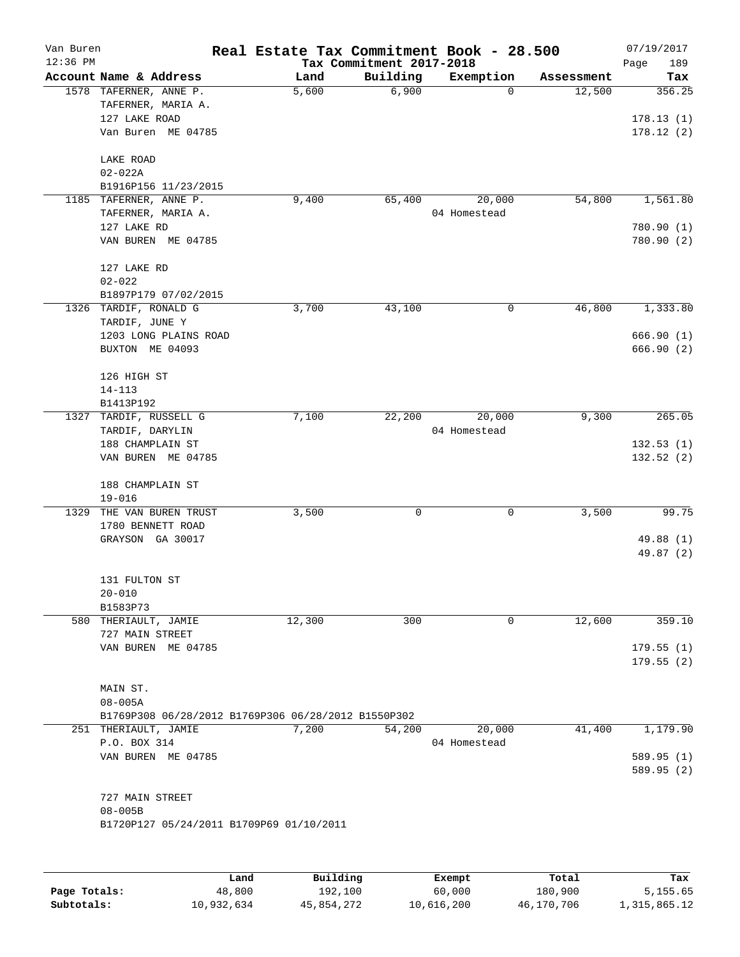| Van Buren<br>$12:36$ PM |                                                               | Real Estate Tax Commitment Book - 28.500 | Tax Commitment 2017-2018 |              |            | 07/19/2017<br>Page<br>189 |
|-------------------------|---------------------------------------------------------------|------------------------------------------|--------------------------|--------------|------------|---------------------------|
|                         | Account Name & Address                                        | Land                                     | Building                 | Exemption    | Assessment | Tax                       |
|                         | 1578 TAFERNER, ANNE P.<br>TAFERNER, MARIA A.<br>127 LAKE ROAD | 5,600                                    | 6,900                    | 0            | 12,500     | 356.25<br>178.13(1)       |
|                         | Van Buren ME 04785                                            |                                          |                          |              |            | 178.12(2)                 |
|                         | LAKE ROAD                                                     |                                          |                          |              |            |                           |
|                         | $02 - 022A$<br>B1916P156 11/23/2015                           |                                          |                          |              |            |                           |
|                         | 1185 TAFERNER, ANNE P.                                        | 9,400                                    | 65,400                   | 20,000       | 54,800     | 1,561.80                  |
|                         | TAFERNER, MARIA A.                                            |                                          |                          | 04 Homestead |            |                           |
|                         | 127 LAKE RD                                                   |                                          |                          |              |            | 780.90 (1)                |
|                         | VAN BUREN ME 04785                                            |                                          |                          |              |            | 780.90(2)                 |
|                         | 127 LAKE RD                                                   |                                          |                          |              |            |                           |
|                         | $02 - 022$                                                    |                                          |                          |              |            |                           |
|                         | B1897P179 07/02/2015<br>1326 TARDIF, RONALD G                 | 3,700                                    | 43,100                   | 0            | 46,800     | 1,333.80                  |
|                         | TARDIF, JUNE Y                                                |                                          |                          |              |            |                           |
|                         | 1203 LONG PLAINS ROAD                                         |                                          |                          |              |            | 666.90 (1)                |
|                         | BUXTON ME 04093                                               |                                          |                          |              |            | 666.90(2)                 |
|                         | 126 HIGH ST                                                   |                                          |                          |              |            |                           |
|                         | $14 - 113$                                                    |                                          |                          |              |            |                           |
|                         | B1413P192                                                     |                                          | 22,200                   | 20,000       | 9,300      | 265.05                    |
| 1327                    | TARDIF, RUSSELL G<br>TARDIF, DARYLIN                          | 7,100                                    |                          | 04 Homestead |            |                           |
|                         | 188 CHAMPLAIN ST                                              |                                          |                          |              |            | 132.53(1)                 |
|                         | VAN BUREN ME 04785                                            |                                          |                          |              |            | 132.52(2)                 |
|                         | 188 CHAMPLAIN ST                                              |                                          |                          |              |            |                           |
|                         | $19 - 016$                                                    |                                          |                          |              |            |                           |
| 1329                    | THE VAN BUREN TRUST                                           | 3,500                                    | 0                        | 0            | 3,500      | 99.75                     |
|                         | 1780 BENNETT ROAD                                             |                                          |                          |              |            |                           |
|                         | GRAYSON GA 30017                                              |                                          |                          |              |            | 49.88 (1)<br>49.87 (2)    |
|                         | 131 FULTON ST                                                 |                                          |                          |              |            |                           |
|                         | $20 - 010$                                                    |                                          |                          |              |            |                           |
|                         | B1583P73                                                      |                                          |                          |              |            |                           |
|                         | 580 THERIAULT, JAMIE                                          | 12,300                                   | 300                      | 0            | 12,600     | 359.10                    |
|                         | 727 MAIN STREET<br>VAN BUREN ME 04785                         |                                          |                          |              |            | 179.55(1)                 |
|                         |                                                               |                                          |                          |              |            | 179.55(2)                 |
|                         | MAIN ST.                                                      |                                          |                          |              |            |                           |
|                         | $08 - 005A$                                                   |                                          |                          |              |            |                           |
|                         | B1769P308 06/28/2012 B1769P306 06/28/2012 B1550P302           |                                          |                          |              |            |                           |
|                         | 251 THERIAULT, JAMIE                                          | 7,200                                    | 54,200                   | 20,000       | 41,400     | 1,179.90                  |
|                         | P.O. BOX 314<br>VAN BUREN ME 04785                            |                                          |                          | 04 Homestead |            | 589.95 (1)                |
|                         |                                                               |                                          |                          |              |            | 589.95 (2)                |
|                         | 727 MAIN STREET                                               |                                          |                          |              |            |                           |
|                         | $08 - 005B$                                                   |                                          |                          |              |            |                           |
|                         | B1720P127 05/24/2011 B1709P69 01/10/2011                      |                                          |                          |              |            |                           |
|                         |                                                               |                                          |                          |              |            |                           |
|                         |                                                               |                                          |                          |              |            |                           |

|              | Land       | Building   | Exempt     | Total      | Tax          |
|--------------|------------|------------|------------|------------|--------------|
| Page Totals: | 48,800     | 192,100    | 60,000     | 180,900    | 5,155.65     |
| Subtotals:   | 10,932,634 | 45,854,272 | 10,616,200 | 46,170,706 | 1,315,865.12 |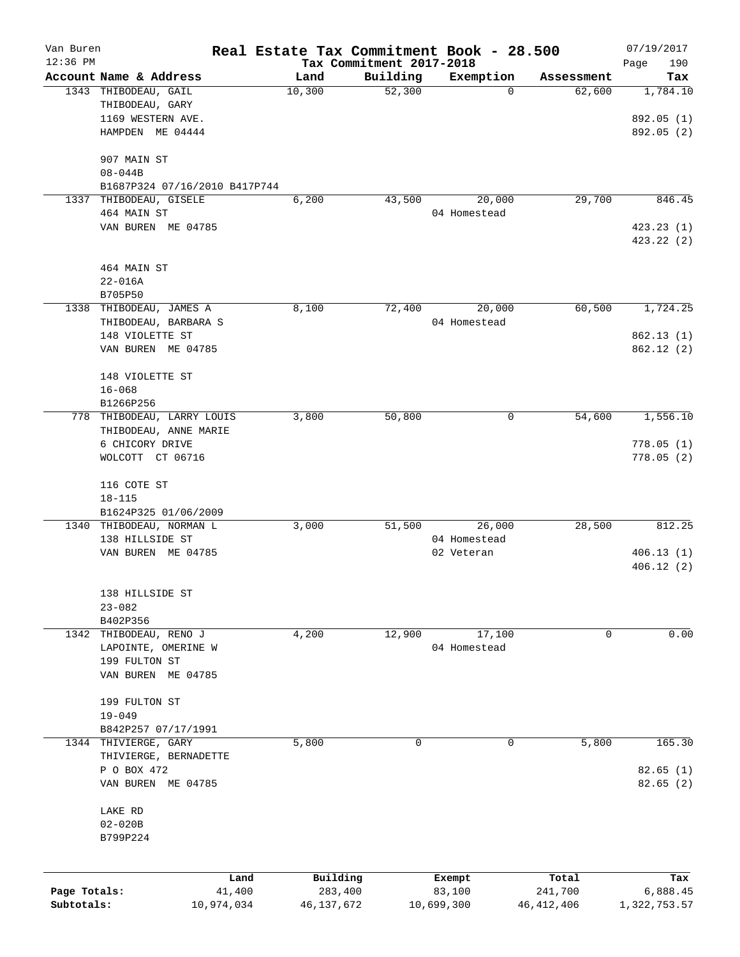| Van Buren    |                               |            | Real Estate Tax Commitment Book - 28.500 |                                      |              |            | 07/19/2017         |
|--------------|-------------------------------|------------|------------------------------------------|--------------------------------------|--------------|------------|--------------------|
| $12:36$ PM   | Account Name & Address        |            | Land                                     | Tax Commitment 2017-2018<br>Building | Exemption    | Assessment | 190<br>Page<br>Tax |
|              | 1343 THIBODEAU, GAIL          |            | 10,300                                   | 52,300                               | 0            | 62,600     | 1,784.10           |
|              | THIBODEAU, GARY               |            |                                          |                                      |              |            |                    |
|              | 1169 WESTERN AVE.             |            |                                          |                                      |              |            | 892.05 (1)         |
|              | HAMPDEN ME 04444              |            |                                          |                                      |              |            | 892.05 (2)         |
|              | 907 MAIN ST                   |            |                                          |                                      |              |            |                    |
|              | $08 - 044B$                   |            |                                          |                                      |              |            |                    |
|              | B1687P324 07/16/2010 B417P744 |            |                                          |                                      |              |            |                    |
|              | 1337 THIBODEAU, GISELE        |            | 6,200                                    | 43,500                               | 20,000       | 29,700     | 846.45             |
|              | 464 MAIN ST                   |            |                                          |                                      | 04 Homestead |            |                    |
|              | VAN BUREN ME 04785            |            |                                          |                                      |              |            | 423.23(1)          |
|              |                               |            |                                          |                                      |              |            | 423.22 (2)         |
|              | 464 MAIN ST                   |            |                                          |                                      |              |            |                    |
|              | $22 - 016A$                   |            |                                          |                                      |              |            |                    |
|              | B705P50                       |            |                                          |                                      |              |            |                    |
|              | 1338 THIBODEAU, JAMES A       |            | 8,100                                    | 72,400                               | 20,000       | 60,500     | 1,724.25           |
|              | THIBODEAU, BARBARA S          |            |                                          |                                      | 04 Homestead |            |                    |
|              | 148 VIOLETTE ST               |            |                                          |                                      |              |            | 862.13 (1)         |
|              | VAN BUREN ME 04785            |            |                                          |                                      |              |            | 862.12(2)          |
|              | 148 VIOLETTE ST               |            |                                          |                                      |              |            |                    |
|              | $16 - 068$                    |            |                                          |                                      |              |            |                    |
|              | B1266P256                     |            |                                          |                                      |              |            |                    |
|              | 778 THIBODEAU, LARRY LOUIS    |            | 3,800                                    | 50,800                               | 0            | 54,600     | 1,556.10           |
|              | THIBODEAU, ANNE MARIE         |            |                                          |                                      |              |            |                    |
|              | 6 CHICORY DRIVE               |            |                                          |                                      |              |            | 778.05(1)          |
|              | WOLCOTT CT 06716              |            |                                          |                                      |              |            | 778.05(2)          |
|              | 116 COTE ST                   |            |                                          |                                      |              |            |                    |
|              | $18 - 115$                    |            |                                          |                                      |              |            |                    |
|              | B1624P325 01/06/2009          |            |                                          |                                      |              |            |                    |
|              | 1340 THIBODEAU, NORMAN L      |            | 3,000                                    | 51,500                               | 26,000       | 28,500     | 812.25             |
|              | 138 HILLSIDE ST               |            |                                          |                                      | 04 Homestead |            |                    |
|              | VAN BUREN ME 04785            |            |                                          |                                      | 02 Veteran   |            | 406.13(1)          |
|              |                               |            |                                          |                                      |              |            | 406.12(2)          |
|              | 138 HILLSIDE ST               |            |                                          |                                      |              |            |                    |
|              | $23 - 082$                    |            |                                          |                                      |              |            |                    |
|              | B402P356                      |            |                                          |                                      |              |            |                    |
|              | 1342 THIBODEAU, RENO J        |            | 4,200                                    | 12,900                               | 17,100       | 0          | 0.00               |
|              | LAPOINTE, OMERINE W           |            |                                          |                                      | 04 Homestead |            |                    |
|              | 199 FULTON ST                 |            |                                          |                                      |              |            |                    |
|              | VAN BUREN ME 04785            |            |                                          |                                      |              |            |                    |
|              | 199 FULTON ST                 |            |                                          |                                      |              |            |                    |
|              | $19 - 049$                    |            |                                          |                                      |              |            |                    |
|              | B842P257 07/17/1991           |            |                                          |                                      |              |            |                    |
| 1344         | THIVIERGE, GARY               |            | 5,800                                    | 0                                    | 0            | 5,800      | 165.30             |
|              | THIVIERGE, BERNADETTE         |            |                                          |                                      |              |            |                    |
|              | P O BOX 472                   |            |                                          |                                      |              |            | 82.65(1)           |
|              | VAN BUREN ME 04785            |            |                                          |                                      |              |            | 82.65(2)           |
|              | LAKE RD                       |            |                                          |                                      |              |            |                    |
|              | $02 - 020B$                   |            |                                          |                                      |              |            |                    |
|              | B799P224                      |            |                                          |                                      |              |            |                    |
|              |                               |            |                                          |                                      |              |            |                    |
|              |                               | Land       | Building                                 |                                      | Exempt       | Total      | Tax                |
| Page Totals: |                               | 41,400     | 283,400                                  |                                      | 83,100       | 241,700    | 6,888.45           |
| Subtotals:   |                               | 10,974,034 | 46,137,672                               |                                      | 10,699,300   | 46,412,406 | 1,322,753.57       |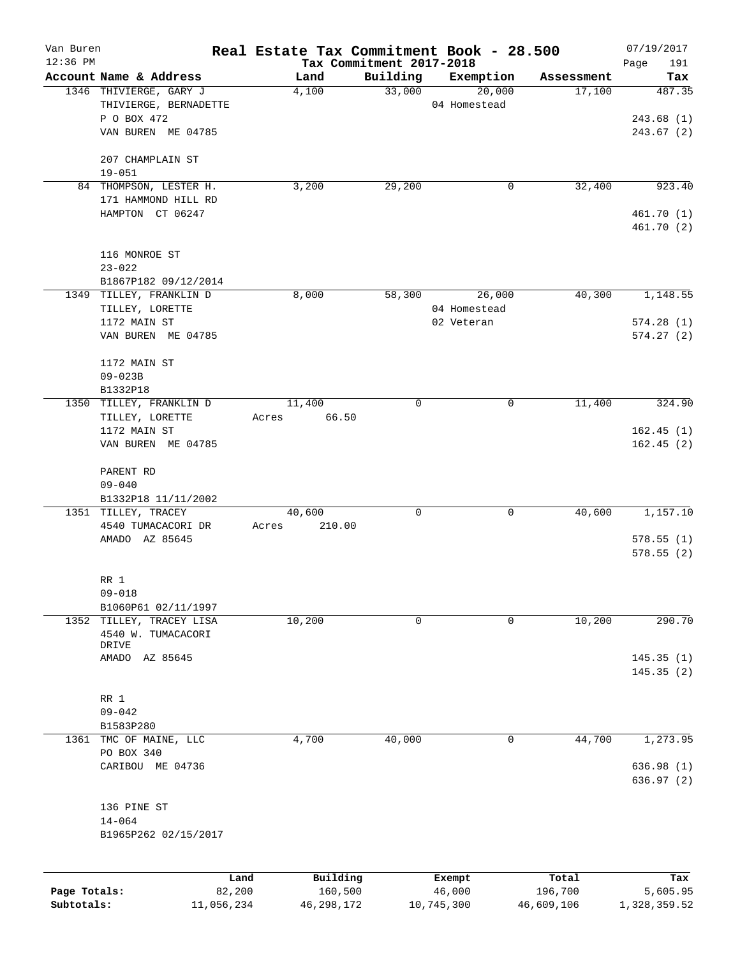| Van Buren    |                                                 |        |          |                                      | Real Estate Tax Commitment Book - 28.500 |                      | 07/19/2017    |
|--------------|-------------------------------------------------|--------|----------|--------------------------------------|------------------------------------------|----------------------|---------------|
| 12:36 PM     | Account Name & Address                          |        | Land     | Tax Commitment 2017-2018<br>Building |                                          |                      | Page<br>191   |
|              | 1346 THIVIERGE, GARY J                          |        | 4,100    | 33,000                               | Exemption<br>20,000                      | Assessment<br>17,100 | Tax<br>487.35 |
|              | THIVIERGE, BERNADETTE                           |        |          |                                      | 04 Homestead                             |                      |               |
|              | P O BOX 472                                     |        |          |                                      |                                          |                      | 243.68(1)     |
|              | VAN BUREN ME 04785                              |        |          |                                      |                                          |                      | 243.67(2)     |
|              | 207 CHAMPLAIN ST                                |        |          |                                      |                                          |                      |               |
|              | $19 - 051$                                      |        |          |                                      |                                          |                      |               |
|              | 84 THOMPSON, LESTER H.                          |        | 3,200    | 29,200                               | 0                                        | 32,400               | 923.40        |
|              | 171 HAMMOND HILL RD                             |        |          |                                      |                                          |                      |               |
|              | HAMPTON CT 06247                                |        |          |                                      |                                          |                      | 461.70 (1)    |
|              |                                                 |        |          |                                      |                                          |                      | 461.70 (2)    |
|              | 116 MONROE ST                                   |        |          |                                      |                                          |                      |               |
|              | $23 - 022$                                      |        |          |                                      |                                          |                      |               |
|              | B1867P182 09/12/2014                            |        |          |                                      |                                          |                      |               |
|              | 1349 TILLEY, FRANKLIN D                         |        | 8,000    | 58,300                               | 26,000                                   | 40,300               | 1,148.55      |
|              | TILLEY, LORETTE                                 |        |          |                                      | 04 Homestead                             |                      |               |
|              | 1172 MAIN ST                                    |        |          |                                      | 02 Veteran                               |                      | 574.28(1)     |
|              | VAN BUREN ME 04785                              |        |          |                                      |                                          |                      | 574.27(2)     |
|              | 1172 MAIN ST                                    |        |          |                                      |                                          |                      |               |
|              | $09 - 023B$                                     |        |          |                                      |                                          |                      |               |
|              | B1332P18                                        |        |          |                                      |                                          |                      |               |
|              | 1350 TILLEY, FRANKLIN D                         |        | 11,400   | $\mathbf 0$                          | 0                                        | 11,400               | 324.90        |
|              | TILLEY, LORETTE                                 | Acres  | 66.50    |                                      |                                          |                      |               |
|              | 1172 MAIN ST                                    |        |          |                                      |                                          |                      | 162.45(1)     |
|              | VAN BUREN ME 04785                              |        |          |                                      |                                          |                      | 162.45(2)     |
|              | PARENT RD                                       |        |          |                                      |                                          |                      |               |
|              | $09 - 040$                                      |        |          |                                      |                                          |                      |               |
|              | B1332P18 11/11/2002                             |        |          |                                      |                                          |                      |               |
|              | 1351 TILLEY, TRACEY                             |        | 40,600   | 0                                    | 0                                        | 40,600               | 1,157.10      |
|              | 4540 TUMACACORI DR                              | Acres  | 210.00   |                                      |                                          |                      |               |
|              | AMADO AZ 85645                                  |        |          |                                      |                                          |                      | 578.55(1)     |
|              |                                                 |        |          |                                      |                                          |                      | 578.55(2)     |
|              | RR 1                                            |        |          |                                      |                                          |                      |               |
|              | $09 - 018$                                      |        |          |                                      |                                          |                      |               |
|              |                                                 |        |          |                                      |                                          |                      |               |
|              | B1060P61 02/11/1997<br>1352 TILLEY, TRACEY LISA |        | 10,200   | 0                                    | 0                                        | 10,200               | 290.70        |
|              | 4540 W. TUMACACORI                              |        |          |                                      |                                          |                      |               |
|              | DRIVE                                           |        |          |                                      |                                          |                      |               |
|              | AMADO AZ 85645                                  |        |          |                                      |                                          |                      | 145.35(1)     |
|              |                                                 |        |          |                                      |                                          |                      | 145.35(2)     |
|              | RR 1                                            |        |          |                                      |                                          |                      |               |
|              | $09 - 042$                                      |        |          |                                      |                                          |                      |               |
|              | B1583P280                                       |        |          |                                      |                                          |                      |               |
|              | 1361 TMC OF MAINE, LLC                          |        | 4,700    | 40,000                               | 0                                        | 44,700               | 1,273.95      |
|              | PO BOX 340                                      |        |          |                                      |                                          |                      |               |
|              | CARIBOU ME 04736                                |        |          |                                      |                                          |                      | 636.98 (1)    |
|              |                                                 |        |          |                                      |                                          |                      | 636.97(2)     |
|              | 136 PINE ST                                     |        |          |                                      |                                          |                      |               |
|              | $14 - 064$                                      |        |          |                                      |                                          |                      |               |
|              | B1965P262 02/15/2017                            |        |          |                                      |                                          |                      |               |
|              |                                                 |        |          |                                      |                                          |                      |               |
|              |                                                 | Land   | Building |                                      | Exempt                                   | Total                | Tax           |
| Page Totals: |                                                 | 82,200 | 160,500  |                                      | 46,000                                   | 196,700              | 5,605.95      |

**Subtotals:** 11,056,234 46,298,172 10,745,300 46,609,106 1,328,359.52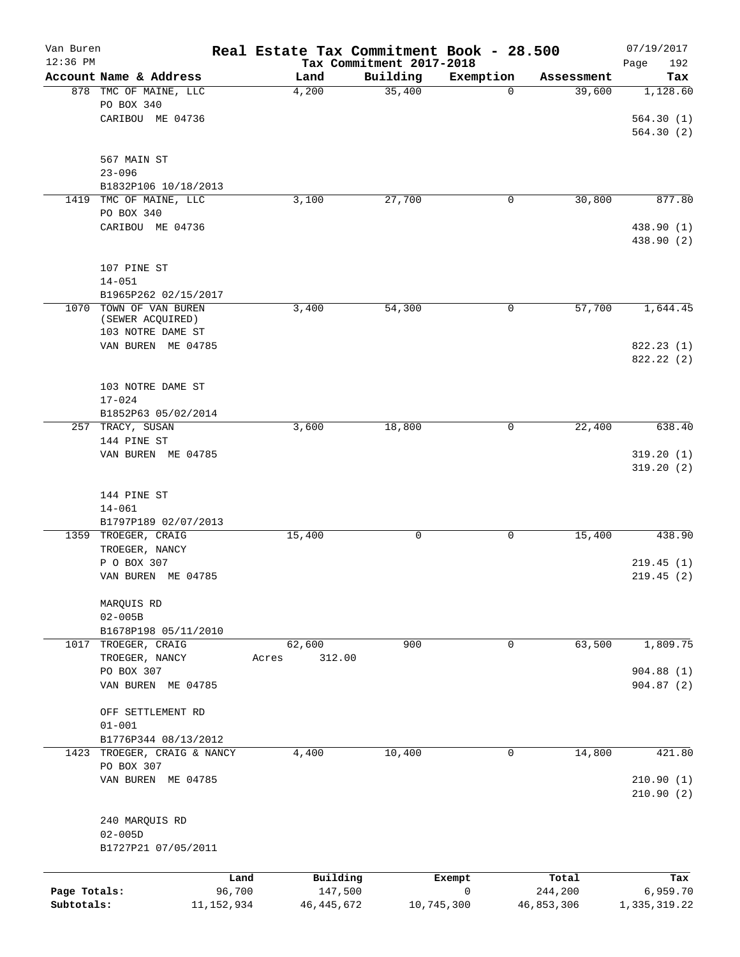| Van Buren<br>$12:36$ PM |                                   |        | Real Estate Tax Commitment Book - 28.500 | Tax Commitment 2017-2018 |            |   |            | 07/19/2017<br>Page<br>192 |
|-------------------------|-----------------------------------|--------|------------------------------------------|--------------------------|------------|---|------------|---------------------------|
|                         | Account Name & Address            |        | Land                                     | Building                 | Exemption  |   | Assessment | Tax                       |
|                         | 878 TMC OF MAINE, LLC             |        | 4,200                                    | 35,400                   |            | 0 | 39,600     | 1,128.60                  |
|                         | PO BOX 340                        |        |                                          |                          |            |   |            |                           |
|                         | CARIBOU ME 04736                  |        |                                          |                          |            |   |            | 564.30(1)                 |
|                         |                                   |        |                                          |                          |            |   |            | 564.30 (2)                |
|                         |                                   |        |                                          |                          |            |   |            |                           |
|                         | 567 MAIN ST                       |        |                                          |                          |            |   |            |                           |
|                         | $23 - 096$                        |        |                                          |                          |            |   |            |                           |
|                         | B1832P106 10/18/2013              |        |                                          |                          |            |   |            |                           |
| 1419                    | TMC OF MAINE, LLC                 |        | 3,100                                    | 27,700                   |            | 0 | 30,800     | 877.80                    |
|                         | PO BOX 340                        |        |                                          |                          |            |   |            |                           |
|                         | CARIBOU ME 04736                  |        |                                          |                          |            |   |            | 438.90 (1)                |
|                         |                                   |        |                                          |                          |            |   |            | 438.90 (2)                |
|                         |                                   |        |                                          |                          |            |   |            |                           |
|                         | 107 PINE ST                       |        |                                          |                          |            |   |            |                           |
|                         | $14 - 051$                        |        |                                          |                          |            |   |            |                           |
|                         | B1965P262 02/15/2017              |        |                                          |                          |            |   |            |                           |
|                         | 1070 TOWN OF VAN BUREN            |        | 3,400                                    | 54,300                   |            | 0 | 57,700     | 1,644.45                  |
|                         | (SEWER ACQUIRED)                  |        |                                          |                          |            |   |            |                           |
|                         | 103 NOTRE DAME ST                 |        |                                          |                          |            |   |            |                           |
|                         | VAN BUREN ME 04785                |        |                                          |                          |            |   |            | 822.23 (1)                |
|                         |                                   |        |                                          |                          |            |   |            | 822.22(2)                 |
|                         |                                   |        |                                          |                          |            |   |            |                           |
|                         | 103 NOTRE DAME ST                 |        |                                          |                          |            |   |            |                           |
|                         | $17 - 024$                        |        |                                          |                          |            |   |            |                           |
|                         | B1852P63 05/02/2014               |        |                                          |                          |            |   |            |                           |
|                         | 257 TRACY, SUSAN                  |        | 3,600                                    | 18,800                   |            | 0 | 22,400     | 638.40                    |
|                         | 144 PINE ST<br>VAN BUREN ME 04785 |        |                                          |                          |            |   |            | 319.20(1)                 |
|                         |                                   |        |                                          |                          |            |   |            | 319.20(2)                 |
|                         |                                   |        |                                          |                          |            |   |            |                           |
|                         | 144 PINE ST                       |        |                                          |                          |            |   |            |                           |
|                         | $14 - 061$                        |        |                                          |                          |            |   |            |                           |
|                         | B1797P189 02/07/2013              |        |                                          |                          |            |   |            |                           |
|                         | 1359 TROEGER, CRAIG               |        | 15,400                                   | 0                        |            | 0 | 15,400     | 438.90                    |
|                         | TROEGER, NANCY                    |        |                                          |                          |            |   |            |                           |
|                         | P O BOX 307                       |        |                                          |                          |            |   |            | 219.45(1)                 |
|                         | VAN BUREN ME 04785                |        |                                          |                          |            |   |            | 219.45(2)                 |
|                         |                                   |        |                                          |                          |            |   |            |                           |
|                         | MARQUIS RD                        |        |                                          |                          |            |   |            |                           |
|                         | $02 - 005B$                       |        |                                          |                          |            |   |            |                           |
|                         | B1678P198 05/11/2010              |        |                                          |                          |            |   |            |                           |
|                         | 1017 TROEGER, CRAIG               |        | 62,600                                   | 900                      |            | 0 | 63,500     | 1,809.75                  |
|                         | TROEGER, NANCY                    |        | 312.00<br>Acres                          |                          |            |   |            |                           |
|                         | PO BOX 307                        |        |                                          |                          |            |   |            | 904.88(1)                 |
|                         | VAN BUREN ME 04785                |        |                                          |                          |            |   |            | 904.87(2)                 |
|                         |                                   |        |                                          |                          |            |   |            |                           |
|                         | OFF SETTLEMENT RD                 |        |                                          |                          |            |   |            |                           |
|                         | $01 - 001$                        |        |                                          |                          |            |   |            |                           |
|                         | B1776P344 08/13/2012              |        |                                          |                          |            |   |            |                           |
|                         | 1423 TROEGER, CRAIG & NANCY       |        | 4,400                                    | 10,400                   |            | 0 | 14,800     | 421.80                    |
|                         | PO BOX 307                        |        |                                          |                          |            |   |            |                           |
|                         | VAN BUREN ME 04785                |        |                                          |                          |            |   |            | 210.90(1)                 |
|                         |                                   |        |                                          |                          |            |   |            | 210.90(2)                 |
|                         |                                   |        |                                          |                          |            |   |            |                           |
|                         | 240 MARQUIS RD                    |        |                                          |                          |            |   |            |                           |
|                         | $02 - 005D$                       |        |                                          |                          |            |   |            |                           |
|                         | B1727P21 07/05/2011               |        |                                          |                          |            |   |            |                           |
|                         |                                   |        |                                          |                          |            |   |            |                           |
|                         |                                   | Land   | Building                                 |                          | Exempt     |   | Total      | Tax                       |
| Page Totals:            |                                   | 96,700 | 147,500                                  |                          | 0          |   | 244,200    | 6,959.70                  |
| Subtotals:              | 11, 152, 934                      |        | 46, 445, 672                             |                          | 10,745,300 |   | 46,853,306 | 1,335,319.22              |
|                         |                                   |        |                                          |                          |            |   |            |                           |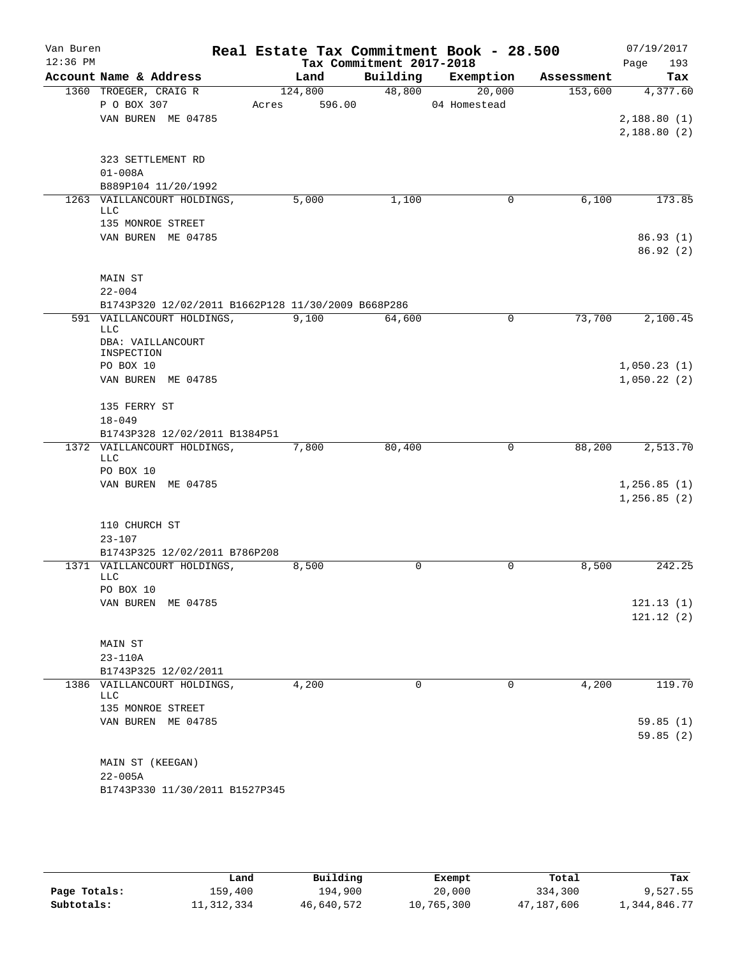| Van Buren<br>$12:36$ PM |                                                    |                 | Tax Commitment 2017-2018 | Real Estate Tax Commitment Book - 28.500 |            | 07/19/2017<br>193<br>Page |
|-------------------------|----------------------------------------------------|-----------------|--------------------------|------------------------------------------|------------|---------------------------|
|                         | Account Name & Address                             | Land            | Building                 | Exemption                                | Assessment | Tax                       |
|                         | 1360 TROEGER, CRAIG R                              | 124,800         | 48,800                   | 20,000                                   | 153,600    | 4,377.60                  |
|                         | P O BOX 307                                        | 596.00<br>Acres |                          | 04 Homestead                             |            |                           |
|                         | VAN BUREN ME 04785                                 |                 |                          |                                          |            | 2,188.80(1)               |
|                         |                                                    |                 |                          |                                          |            | 2,188.80(2)               |
|                         | 323 SETTLEMENT RD                                  |                 |                          |                                          |            |                           |
|                         | $01 - 008A$                                        |                 |                          |                                          |            |                           |
|                         | B889P104 11/20/1992                                |                 |                          |                                          |            |                           |
|                         | 1263 VAILLANCOURT HOLDINGS,<br><b>LLC</b>          | 5,000           | 1,100                    | $\mathbf 0$                              | 6,100      | 173.85                    |
|                         | 135 MONROE STREET                                  |                 |                          |                                          |            |                           |
|                         | VAN BUREN ME 04785                                 |                 |                          |                                          |            | 86.93(1)                  |
|                         |                                                    |                 |                          |                                          |            | 86.92(2)                  |
|                         | MAIN ST                                            |                 |                          |                                          |            |                           |
|                         | $22 - 004$                                         |                 |                          |                                          |            |                           |
|                         | B1743P320 12/02/2011 B1662P128 11/30/2009 B668P286 |                 |                          |                                          |            |                           |
|                         | 591 VAILLANCOURT HOLDINGS,<br><b>LLC</b>           | 9,100           | 64,600                   | 0                                        | 73,700     | 2,100.45                  |
|                         | DBA: VAILLANCOURT<br>INSPECTION                    |                 |                          |                                          |            |                           |
|                         | PO BOX 10                                          |                 |                          |                                          |            | 1,050.23(1)               |
|                         | VAN BUREN ME 04785                                 |                 |                          |                                          |            | 1,050.22(2)               |
|                         | 135 FERRY ST                                       |                 |                          |                                          |            |                           |
|                         | $18 - 049$                                         |                 |                          |                                          |            |                           |
|                         | B1743P328 12/02/2011 B1384P51                      |                 |                          |                                          |            |                           |
|                         | 1372 VAILLANCOURT HOLDINGS,<br><b>LLC</b>          | 7,800           | 80,400                   | 0                                        | 88,200     | 2,513.70                  |
|                         | PO BOX 10                                          |                 |                          |                                          |            |                           |
|                         | VAN BUREN ME 04785                                 |                 |                          |                                          |            | 1, 256.85(1)              |
|                         |                                                    |                 |                          |                                          |            | 1,256.85(2)               |
|                         | 110 CHURCH ST                                      |                 |                          |                                          |            |                           |
|                         | $23 - 107$                                         |                 |                          |                                          |            |                           |
|                         | B1743P325 12/02/2011 B786P208                      |                 |                          |                                          |            |                           |
|                         | 1371 VAILLANCOURT HOLDINGS,                        | 8,500           | 0                        | $\mathbf 0$                              | 8,500      | 242.25                    |
|                         | <b>LLC</b>                                         |                 |                          |                                          |            |                           |
|                         | PO BOX 10                                          |                 |                          |                                          |            |                           |
|                         | VAN BUREN ME 04785                                 |                 |                          |                                          |            | 121.13(1)<br>121.12(2)    |
|                         |                                                    |                 |                          |                                          |            |                           |
|                         | MAIN ST                                            |                 |                          |                                          |            |                           |
|                         | $23 - 110A$                                        |                 |                          |                                          |            |                           |
|                         | B1743P325 12/02/2011                               |                 |                          |                                          |            |                           |
|                         | 1386 VAILLANCOURT HOLDINGS,<br><b>LLC</b>          | 4,200           | 0                        | 0                                        | 4,200      | 119.70                    |
|                         | 135 MONROE STREET                                  |                 |                          |                                          |            |                           |
|                         | VAN BUREN ME 04785                                 |                 |                          |                                          |            | 59.85(1)                  |
|                         |                                                    |                 |                          |                                          |            | 59.85(2)                  |
|                         | MAIN ST (KEEGAN)                                   |                 |                          |                                          |            |                           |
|                         | $22 - 005A$                                        |                 |                          |                                          |            |                           |
|                         | B1743P330 11/30/2011 B1527P345                     |                 |                          |                                          |            |                           |

|              | Land       | Building   | Exempt     | Total      | Tax          |
|--------------|------------|------------|------------|------------|--------------|
| Page Totals: | 159,400    | 194,900    | 20,000     | 334,300    | 9,527.55     |
| Subtotals:   | 11,312,334 | 46,640,572 | 10,765,300 | 47,187,606 | 1,344,846.77 |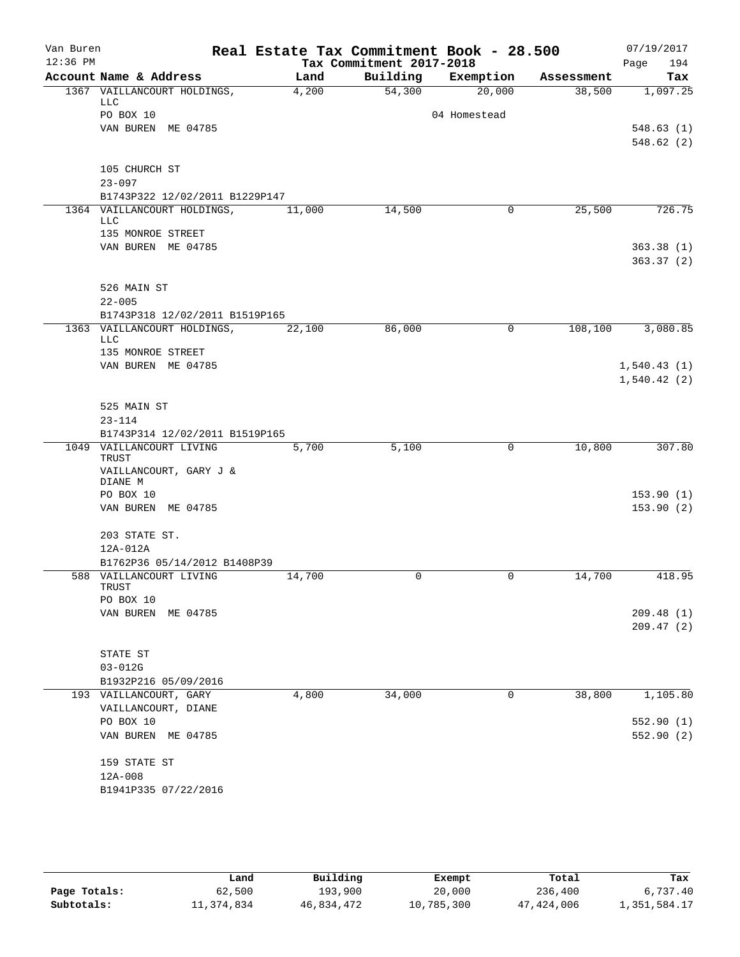| Van Buren  |                                           | Real Estate Tax Commitment Book - 28.500 |                          |              |            | 07/19/2017             |
|------------|-------------------------------------------|------------------------------------------|--------------------------|--------------|------------|------------------------|
| $12:36$ PM |                                           |                                          | Tax Commitment 2017-2018 |              |            | Page<br>194            |
|            | Account Name & Address                    | Land                                     | Building                 | Exemption    | Assessment | Tax                    |
|            | 1367 VAILLANCOURT HOLDINGS,<br><b>LLC</b> | 4,200                                    | 54,300                   | 20,000       | 38,500     | 1,097.25               |
|            | PO BOX 10                                 |                                          |                          | 04 Homestead |            |                        |
|            | VAN BUREN ME 04785                        |                                          |                          |              |            | 548.63(1)              |
|            |                                           |                                          |                          |              |            | 548.62(2)              |
|            | 105 CHURCH ST                             |                                          |                          |              |            |                        |
|            | $23 - 097$                                |                                          |                          |              |            |                        |
|            | B1743P322 12/02/2011 B1229P147            |                                          |                          |              |            |                        |
|            | 1364 VAILLANCOURT HOLDINGS,               | 11,000                                   | 14,500                   | $\mathbf 0$  | 25,500     | 726.75                 |
|            | LLC                                       |                                          |                          |              |            |                        |
|            | 135 MONROE STREET                         |                                          |                          |              |            |                        |
|            | VAN BUREN ME 04785                        |                                          |                          |              |            | 363.38(1)<br>363.37(2) |
|            | 526 MAIN ST                               |                                          |                          |              |            |                        |
|            | $22 - 005$                                |                                          |                          |              |            |                        |
|            | B1743P318 12/02/2011 B1519P165            |                                          |                          |              |            |                        |
|            | 1363 VAILLANCOURT HOLDINGS,               | 22,100                                   | 86,000                   | 0            | 108,100    | 3,080.85               |
|            | <b>LLC</b><br>135 MONROE STREET           |                                          |                          |              |            |                        |
|            | VAN BUREN ME 04785                        |                                          |                          |              |            | 1,540.43(1)            |
|            |                                           |                                          |                          |              |            | 1,540.42(2)            |
|            |                                           |                                          |                          |              |            |                        |
|            | 525 MAIN ST                               |                                          |                          |              |            |                        |
|            | $23 - 114$                                |                                          |                          |              |            |                        |
|            | B1743P314 12/02/2011 B1519P165            |                                          |                          |              |            |                        |
|            | 1049 VAILLANCOURT LIVING<br>TRUST         | 5,700                                    | 5,100                    | 0            | 10,800     | 307.80                 |
|            | VAILLANCOURT, GARY J &                    |                                          |                          |              |            |                        |
|            | DIANE M                                   |                                          |                          |              |            |                        |
|            | PO BOX 10<br>VAN BUREN ME 04785           |                                          |                          |              |            | 153.90(1)<br>153.90(2) |
|            |                                           |                                          |                          |              |            |                        |
|            | 203 STATE ST.                             |                                          |                          |              |            |                        |
|            | 12A-012A                                  |                                          |                          |              |            |                        |
|            | B1762P36 05/14/2012 B1408P39              |                                          |                          |              |            |                        |
|            | 588 VAILLANCOURT LIVING                   | 14,700                                   | 0                        | 0            | 14,700     | 418.95                 |
|            | TRUST<br>PO BOX 10                        |                                          |                          |              |            |                        |
|            | VAN BUREN ME 04785                        |                                          |                          |              |            | 209.48(1)              |
|            |                                           |                                          |                          |              |            | 209.47(2)              |
|            |                                           |                                          |                          |              |            |                        |
|            | STATE ST                                  |                                          |                          |              |            |                        |
|            | $03 - 012G$                               |                                          |                          |              |            |                        |
|            | B1932P216 05/09/2016                      |                                          |                          |              |            |                        |
|            | 193 VAILLANCOURT, GARY                    | 4,800                                    | 34,000                   | $\mathbf 0$  | 38,800     | 1,105.80               |
|            | VAILLANCOURT, DIANE                       |                                          |                          |              |            |                        |
|            | PO BOX 10                                 |                                          |                          |              |            | 552.90 (1)             |
|            | VAN BUREN ME 04785                        |                                          |                          |              |            | 552.90(2)              |
|            | 159 STATE ST                              |                                          |                          |              |            |                        |
|            | $12A-008$                                 |                                          |                          |              |            |                        |
|            | B1941P335 07/22/2016                      |                                          |                          |              |            |                        |
|            |                                           |                                          |                          |              |            |                        |

|              | Land       | Building   | Exempt     | Total      | Tax          |
|--------------|------------|------------|------------|------------|--------------|
| Page Totals: | 62,500     | 193,900    | 20,000     | 236,400    | 6,737.40     |
| Subtotals:   | 11,374,834 | 46,834,472 | 10,785,300 | 47,424,006 | 1,351,584.17 |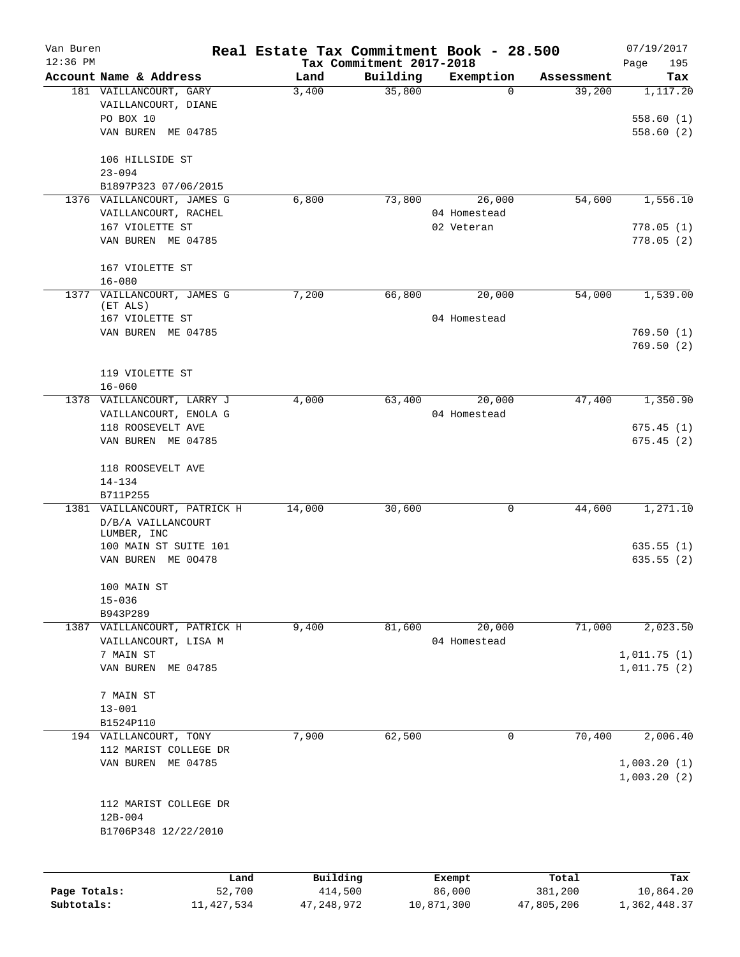| Van Buren    |                                   | Real Estate Tax Commitment Book - 28.500 |                                      |                       |                      | 07/19/2017      |
|--------------|-----------------------------------|------------------------------------------|--------------------------------------|-----------------------|----------------------|-----------------|
| $12:36$ PM   | Account Name & Address            | Land                                     | Tax Commitment 2017-2018<br>Building |                       |                      | 195<br>Page     |
|              | 181 VAILLANCOURT, GARY            | 3,400                                    | 35,800                               | Exemption<br>$\Omega$ | Assessment<br>39,200 | Tax<br>1,117.20 |
|              | VAILLANCOURT, DIANE               |                                          |                                      |                       |                      |                 |
|              | PO BOX 10                         |                                          |                                      |                       |                      | 558.60(1)       |
|              | VAN BUREN<br>ME 04785             |                                          |                                      |                       |                      | 558.60(2)       |
|              |                                   |                                          |                                      |                       |                      |                 |
|              | 106 HILLSIDE ST                   |                                          |                                      |                       |                      |                 |
|              | $23 - 094$                        |                                          |                                      |                       |                      |                 |
|              | B1897P323 07/06/2015              |                                          |                                      |                       |                      |                 |
|              | 1376 VAILLANCOURT, JAMES G        | 6,800                                    | 73,800                               | 26,000                | 54,600               | 1,556.10        |
|              | VAILLANCOURT, RACHEL              |                                          |                                      | 04 Homestead          |                      |                 |
|              | 167 VIOLETTE ST                   |                                          |                                      | 02 Veteran            |                      | 778.05(1)       |
|              | VAN BUREN ME 04785                |                                          |                                      |                       |                      | 778.05(2)       |
|              | 167 VIOLETTE ST                   |                                          |                                      |                       |                      |                 |
|              | $16 - 080$                        |                                          |                                      |                       |                      |                 |
| 1377         | VAILLANCOURT, JAMES G             | 7,200                                    | 66,800                               | 20,000                | 54,000               | 1,539.00        |
|              | (ET ALS)                          |                                          |                                      |                       |                      |                 |
|              | 167 VIOLETTE ST                   |                                          |                                      | 04 Homestead          |                      |                 |
|              | VAN BUREN ME 04785                |                                          |                                      |                       |                      | 769.50(1)       |
|              |                                   |                                          |                                      |                       |                      | 769.50(2)       |
|              | 119 VIOLETTE ST                   |                                          |                                      |                       |                      |                 |
|              | $16 - 060$                        |                                          |                                      |                       |                      |                 |
|              | 1378 VAILLANCOURT, LARRY J        | 4,000                                    | 63,400                               | 20,000                | 47,400               | 1,350.90        |
|              | VAILLANCOURT, ENOLA G             |                                          |                                      | 04 Homestead          |                      |                 |
|              | 118 ROOSEVELT AVE                 |                                          |                                      |                       |                      | 675.45(1)       |
|              | VAN BUREN ME 04785                |                                          |                                      |                       |                      | 675.45(2)       |
|              |                                   |                                          |                                      |                       |                      |                 |
|              | 118 ROOSEVELT AVE                 |                                          |                                      |                       |                      |                 |
|              | $14 - 134$                        |                                          |                                      |                       |                      |                 |
|              | B711P255                          |                                          |                                      |                       |                      |                 |
|              | 1381 VAILLANCOURT, PATRICK H      | 14,000                                   | 30,600                               | 0                     | 44,600               | 1,271.10        |
|              | D/B/A VAILLANCOURT<br>LUMBER, INC |                                          |                                      |                       |                      |                 |
|              | 100 MAIN ST SUITE 101             |                                          |                                      |                       |                      | 635.55 (1)      |
|              | VAN BUREN ME 00478                |                                          |                                      |                       |                      | 635.55(2)       |
|              |                                   |                                          |                                      |                       |                      |                 |
|              | 100 MAIN ST                       |                                          |                                      |                       |                      |                 |
|              | $15 - 036$                        |                                          |                                      |                       |                      |                 |
|              | B943P289                          |                                          |                                      |                       |                      |                 |
|              | 1387 VAILLANCOURT, PATRICK H      | 9,400                                    | 81,600                               | 20,000                | 71,000               | 2,023.50        |
|              | VAILLANCOURT, LISA M              |                                          |                                      | 04 Homestead          |                      |                 |
|              | 7 MAIN ST                         |                                          |                                      |                       |                      | 1,011.75(1)     |
|              | VAN BUREN ME 04785                |                                          |                                      |                       |                      | 1,011.75(2)     |
|              | 7 MAIN ST                         |                                          |                                      |                       |                      |                 |
|              | $13 - 001$                        |                                          |                                      |                       |                      |                 |
|              | B1524P110                         |                                          |                                      |                       |                      |                 |
|              | 194 VAILLANCOURT, TONY            | 7,900                                    | 62,500                               | 0                     | 70,400               | 2,006.40        |
|              | 112 MARIST COLLEGE DR             |                                          |                                      |                       |                      |                 |
|              | VAN BUREN ME 04785                |                                          |                                      |                       |                      | 1,003.20(1)     |
|              |                                   |                                          |                                      |                       |                      | 1,003.20(2)     |
|              |                                   |                                          |                                      |                       |                      |                 |
|              | 112 MARIST COLLEGE DR             |                                          |                                      |                       |                      |                 |
|              | $12B - 004$                       |                                          |                                      |                       |                      |                 |
|              | B1706P348 12/22/2010              |                                          |                                      |                       |                      |                 |
|              |                                   |                                          |                                      |                       |                      |                 |
|              | Land                              | Building                                 |                                      | Exempt                | Total                | Tax             |
| Page Totals: | 52,700                            | 414,500                                  |                                      | 86,000                | 381,200              | 10,864.20       |
| Subtotals:   | 11,427,534                        | 47, 248, 972                             |                                      | 10,871,300            | 47,805,206           | 1,362,448.37    |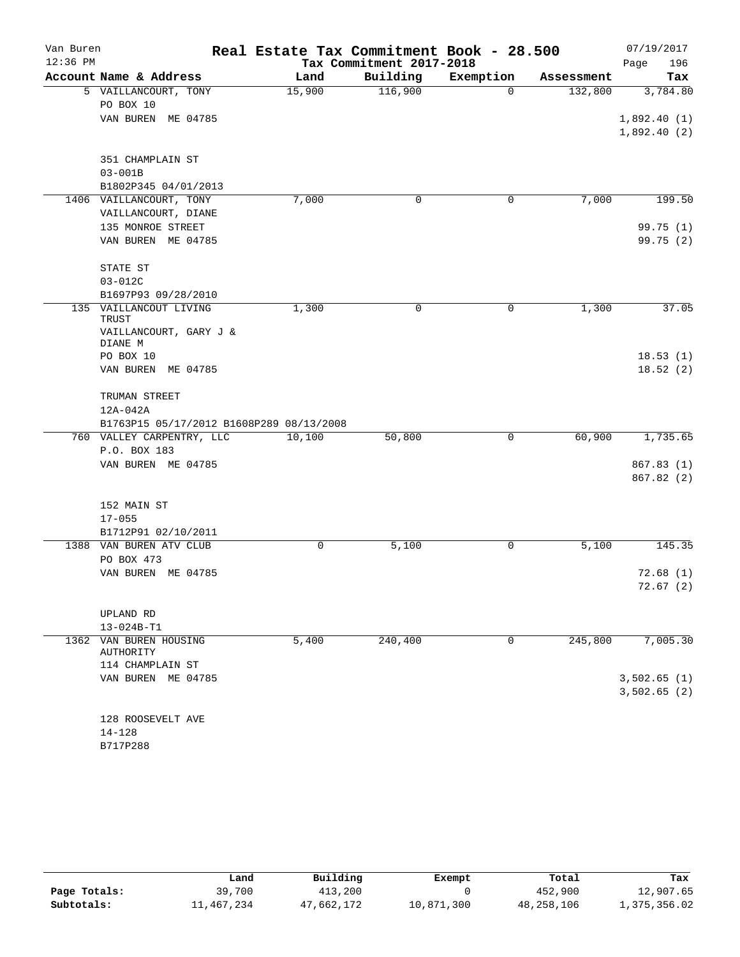| Van Buren  |                                          | Real Estate Tax Commitment Book - 28.500 |                          |           |            | 07/19/2017                 |
|------------|------------------------------------------|------------------------------------------|--------------------------|-----------|------------|----------------------------|
| $12:36$ PM |                                          |                                          | Tax Commitment 2017-2018 |           |            | Page<br>196                |
|            | Account Name & Address                   | Land                                     | Building                 | Exemption | Assessment | Tax                        |
|            | 5 VAILLANCOURT, TONY                     | 15,900                                   | 116,900                  | $\Omega$  | 132,800    | 3,784.80                   |
|            | PO BOX 10                                |                                          |                          |           |            |                            |
|            | VAN BUREN<br>ME 04785                    |                                          |                          |           |            | 1,892.40(1)<br>1,892.40(2) |
|            | 351 CHAMPLAIN ST                         |                                          |                          |           |            |                            |
|            | $03 - 001B$                              |                                          |                          |           |            |                            |
|            | B1802P345 04/01/2013                     |                                          |                          |           |            |                            |
|            | 1406 VAILLANCOURT, TONY                  | 7,000                                    | $\mathbf 0$              | 0         | 7,000      | 199.50                     |
|            | VAILLANCOURT, DIANE                      |                                          |                          |           |            |                            |
|            | 135 MONROE STREET                        |                                          |                          |           |            | 99.75(1)                   |
|            | VAN BUREN ME 04785                       |                                          |                          |           |            | 99.75 (2)                  |
|            | STATE ST                                 |                                          |                          |           |            |                            |
|            | $03 - 012C$                              |                                          |                          |           |            |                            |
|            | B1697P93 09/28/2010                      |                                          |                          |           |            |                            |
| 135        | VAILLANCOUT LIVING<br>TRUST              | 1,300                                    | 0                        | 0         | 1,300      | 37.05                      |
|            | VAILLANCOURT, GARY J &<br>DIANE M        |                                          |                          |           |            |                            |
|            | PO BOX 10                                |                                          |                          |           |            | 18.53(1)                   |
|            | VAN BUREN ME 04785                       |                                          |                          |           |            | 18.52(2)                   |
|            | TRUMAN STREET                            |                                          |                          |           |            |                            |
|            | 12A-042A                                 |                                          |                          |           |            |                            |
|            | B1763P15 05/17/2012 B1608P289 08/13/2008 |                                          |                          |           |            |                            |
|            | 760 VALLEY CARPENTRY, LLC                | 10,100                                   | 50,800                   | 0         | 60,900     | 1,735.65                   |
|            | P.O. BOX 183                             |                                          |                          |           |            |                            |
|            | VAN BUREN ME 04785                       |                                          |                          |           |            | 867.83 (1)                 |
|            |                                          |                                          |                          |           |            | 867.82 (2)                 |
|            | 152 MAIN ST                              |                                          |                          |           |            |                            |
|            | $17 - 055$                               |                                          |                          |           |            |                            |
|            | B1712P91 02/10/2011                      |                                          |                          |           |            |                            |
| 1388       | VAN BUREN ATV CLUB                       | 0                                        | 5,100                    | 0         | 5,100      | 145.35                     |
|            | PO BOX 473                               |                                          |                          |           |            |                            |
|            | VAN BUREN ME 04785                       |                                          |                          |           |            | 72.68(1)                   |
|            |                                          |                                          |                          |           |            | 72.67(2)                   |
|            | UPLAND RD                                |                                          |                          |           |            |                            |
|            | 13-024B-T1                               |                                          |                          |           |            |                            |
|            | 1362 VAN BUREN HOUSING<br>AUTHORITY      | 5,400                                    | 240,400                  | 0         | 245,800    | 7,005.30                   |
|            | 114 CHAMPLAIN ST                         |                                          |                          |           |            |                            |
|            | VAN BUREN ME 04785                       |                                          |                          |           |            | 3,502.65(1)                |
|            |                                          |                                          |                          |           |            | 3,502.65(2)                |
|            | 128 ROOSEVELT AVE                        |                                          |                          |           |            |                            |
|            | $14 - 128$                               |                                          |                          |           |            |                            |
|            | B717P288                                 |                                          |                          |           |            |                            |

|              | Land       | Building   | Exempt     | Total      | Tax          |
|--------------|------------|------------|------------|------------|--------------|
| Page Totals: | 39,700     | 413,200    |            | 452,900    | 12,907.65    |
| Subtotals:   | 11,467,234 | 47,662,172 | 10,871,300 | 48,258,106 | 1,375,356.02 |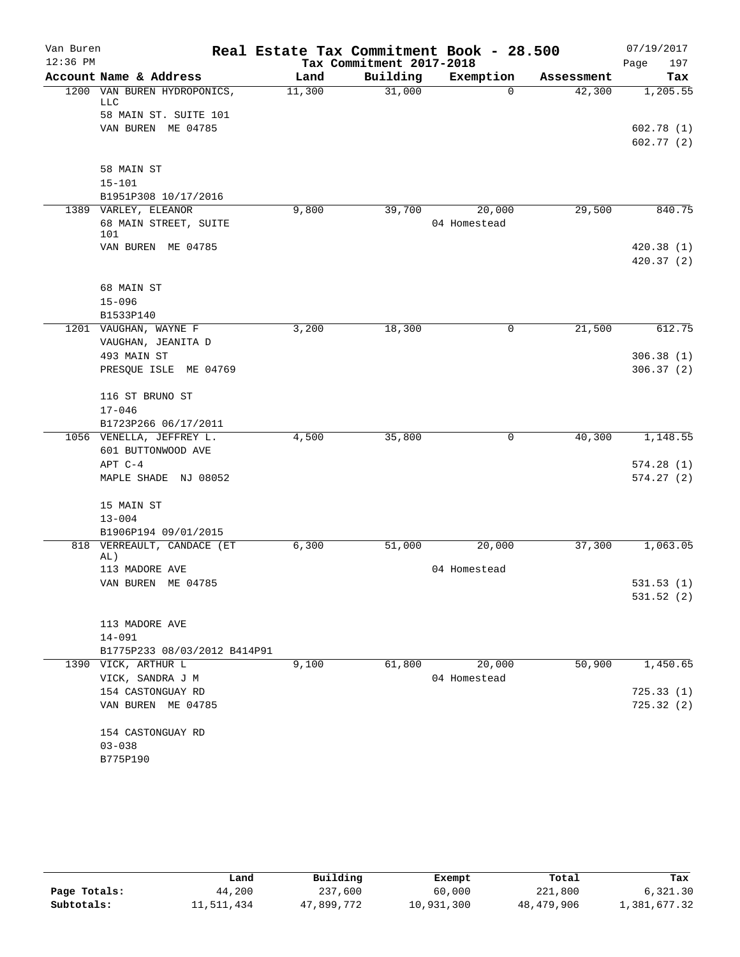| Van Buren  |                                                      |        |                          | Real Estate Tax Commitment Book - 28.500 |            | 07/19/2017  |
|------------|------------------------------------------------------|--------|--------------------------|------------------------------------------|------------|-------------|
| $12:36$ PM |                                                      |        | Tax Commitment 2017-2018 |                                          |            | 197<br>Page |
|            | Account Name & Address                               | Land   | Building                 | Exemption                                | Assessment | Tax         |
|            | 1200 VAN BUREN HYDROPONICS,<br><b>LLC</b>            | 11,300 | 31,000                   | $\Omega$                                 | 42,300     | 1,205.55    |
|            | 58 MAIN ST. SUITE 101                                |        |                          |                                          |            |             |
|            | VAN BUREN ME 04785                                   |        |                          |                                          |            | 602.78(1)   |
|            |                                                      |        |                          |                                          |            | 602.77(2)   |
|            | 58 MAIN ST                                           |        |                          |                                          |            |             |
|            | $15 - 101$                                           |        |                          |                                          |            |             |
|            | B1951P308 10/17/2016                                 |        |                          |                                          |            |             |
|            | 1389 VARLEY, ELEANOR<br>68 MAIN STREET, SUITE<br>101 | 9,800  | 39,700                   | 20,000<br>04 Homestead                   | 29,500     | 840.75      |
|            | VAN BUREN ME 04785                                   |        |                          |                                          |            | 420.38(1)   |
|            |                                                      |        |                          |                                          |            | 420.37(2)   |
|            |                                                      |        |                          |                                          |            |             |
|            | 68 MAIN ST                                           |        |                          |                                          |            |             |
|            | $15 - 096$                                           |        |                          |                                          |            |             |
|            | B1533P140                                            |        |                          |                                          |            |             |
|            | 1201 VAUGHAN, WAYNE F                                | 3,200  | 18,300                   | 0                                        | 21,500     | 612.75      |
|            | VAUGHAN, JEANITA D                                   |        |                          |                                          |            |             |
|            | 493 MAIN ST                                          |        |                          |                                          |            | 306.38(1)   |
|            | PRESQUE ISLE ME 04769                                |        |                          |                                          |            | 306.37(2)   |
|            | 116 ST BRUNO ST                                      |        |                          |                                          |            |             |
|            | $17 - 046$                                           |        |                          |                                          |            |             |
|            | B1723P266 06/17/2011                                 |        |                          |                                          |            |             |
|            | 1056 VENELLA, JEFFREY L.                             | 4,500  | 35,800                   | 0                                        | 40,300     | 1,148.55    |
|            | 601 BUTTONWOOD AVE                                   |        |                          |                                          |            |             |
|            | APT C-4                                              |        |                          |                                          |            | 574.28(1)   |
|            | MAPLE SHADE NJ 08052                                 |        |                          |                                          |            | 574.27(2)   |
|            | 15 MAIN ST                                           |        |                          |                                          |            |             |
|            | $13 - 004$                                           |        |                          |                                          |            |             |
|            | B1906P194 09/01/2015                                 |        |                          |                                          |            |             |
|            | 818 VERREAULT, CANDACE (ET<br>AL)                    | 6,300  | 51,000                   | 20,000                                   | 37,300     | 1,063.05    |
|            | 113 MADORE AVE                                       |        |                          | 04 Homestead                             |            |             |
|            | VAN BUREN ME 04785                                   |        |                          |                                          |            | 531.53(1)   |
|            |                                                      |        |                          |                                          |            | 531.52(2)   |
|            | 113 MADORE AVE                                       |        |                          |                                          |            |             |
|            | 14-091                                               |        |                          |                                          |            |             |
|            | B1775P233 08/03/2012 B414P91                         |        |                          |                                          |            |             |
|            | 1390 VICK, ARTHUR L                                  | 9,100  | 61,800                   | 20,000                                   | 50,900     | 1,450.65    |
|            | VICK, SANDRA J M                                     |        |                          | 04 Homestead                             |            |             |
|            | 154 CASTONGUAY RD                                    |        |                          |                                          |            | 725.33(1)   |
|            | VAN BUREN ME 04785                                   |        |                          |                                          |            | 725.32(2)   |
|            | 154 CASTONGUAY RD                                    |        |                          |                                          |            |             |
|            | $03 - 038$                                           |        |                          |                                          |            |             |
|            | B775P190                                             |        |                          |                                          |            |             |
|            |                                                      |        |                          |                                          |            |             |

|              | Land       | Building   | Exempt     | Total      | Tax          |
|--------------|------------|------------|------------|------------|--------------|
| Page Totals: | 44,200     | 237,600    | 60,000     | 221,800    | 6.321.30     |
| Subtotals:   | 11,511,434 | 47,899,772 | 10,931,300 | 48,479,906 | 1,381,677.32 |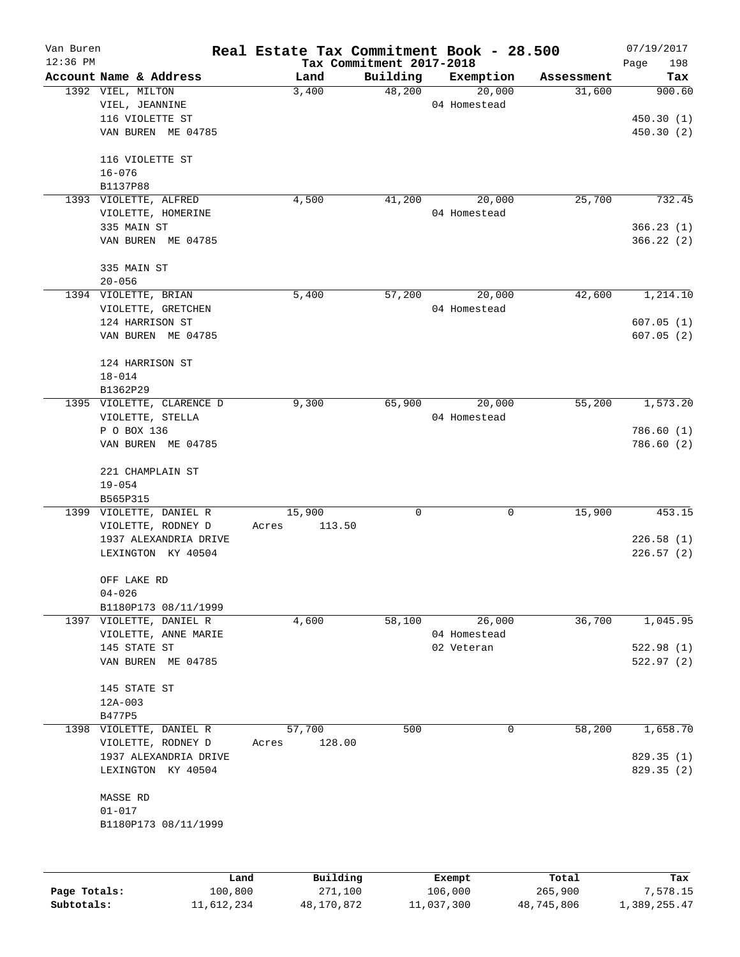| Van Buren<br>$12:36$ PM |                                             | Real Estate Tax Commitment Book - 28.500 | Tax Commitment 2017-2018 |            |              |            | 07/19/2017             |
|-------------------------|---------------------------------------------|------------------------------------------|--------------------------|------------|--------------|------------|------------------------|
|                         | Account Name & Address                      | Land                                     | Building                 |            | Exemption    | Assessment | Page<br>198<br>Tax     |
|                         | 1392 VIEL, MILTON                           | 3,400                                    | 48,200                   |            | 20,000       | 31,600     | 900.60                 |
|                         | VIEL, JEANNINE                              |                                          |                          |            | 04 Homestead |            |                        |
|                         | 116 VIOLETTE ST                             |                                          |                          |            |              |            | 450.30(1)              |
|                         | VAN BUREN ME 04785                          |                                          |                          |            |              |            | 450.30 (2)             |
|                         |                                             |                                          |                          |            |              |            |                        |
|                         | 116 VIOLETTE ST                             |                                          |                          |            |              |            |                        |
|                         | $16 - 076$                                  |                                          |                          |            |              |            |                        |
|                         | B1137P88                                    |                                          |                          |            |              |            |                        |
|                         | 1393 VIOLETTE, ALFRED                       | 4,500                                    | 41,200                   |            | 20,000       | 25,700     | 732.45                 |
|                         | VIOLETTE, HOMERINE                          |                                          |                          |            | 04 Homestead |            |                        |
|                         | 335 MAIN ST                                 |                                          |                          |            |              |            | 366.23(1)              |
|                         | VAN BUREN ME 04785                          |                                          |                          |            |              |            | 366.22(2)              |
|                         |                                             |                                          |                          |            |              |            |                        |
|                         | 335 MAIN ST                                 |                                          |                          |            |              |            |                        |
|                         | $20 - 056$                                  |                                          |                          |            |              |            |                        |
|                         | 1394 VIOLETTE, BRIAN                        | 5,400                                    | 57,200                   |            | 20,000       | 42,600     | 1,214.10               |
|                         | VIOLETTE, GRETCHEN<br>124 HARRISON ST       |                                          |                          |            | 04 Homestead |            |                        |
|                         | VAN BUREN ME 04785                          |                                          |                          |            |              |            | 607.05(1)<br>607.05(2) |
|                         |                                             |                                          |                          |            |              |            |                        |
|                         | 124 HARRISON ST                             |                                          |                          |            |              |            |                        |
|                         | $18 - 014$                                  |                                          |                          |            |              |            |                        |
|                         | B1362P29                                    |                                          |                          |            |              |            |                        |
|                         | 1395 VIOLETTE, CLARENCE D                   | 9,300                                    | 65,900                   |            | 20,000       | 55,200     | 1,573.20               |
|                         | VIOLETTE, STELLA                            |                                          |                          |            | 04 Homestead |            |                        |
|                         | P O BOX 136                                 |                                          |                          |            |              |            | 786.60 (1)             |
|                         | VAN BUREN ME 04785                          |                                          |                          |            |              |            | 786.60 (2)             |
|                         |                                             |                                          |                          |            |              |            |                        |
|                         | 221 CHAMPLAIN ST                            |                                          |                          |            |              |            |                        |
|                         | $19 - 054$                                  |                                          |                          |            |              |            |                        |
|                         | B565P315                                    |                                          |                          |            |              |            |                        |
|                         | 1399 VIOLETTE, DANIEL R                     | 15,900                                   | 0                        |            | $\mathbf 0$  | 15,900     | 453.15                 |
|                         | VIOLETTE, RODNEY D                          | 113.50<br>Acres                          |                          |            |              |            |                        |
|                         | 1937 ALEXANDRIA DRIVE<br>LEXINGTON KY 40504 |                                          |                          |            |              |            | 226.58(1)              |
|                         |                                             |                                          |                          |            |              |            | 226.57(2)              |
|                         | OFF LAKE RD                                 |                                          |                          |            |              |            |                        |
|                         | $04 - 026$                                  |                                          |                          |            |              |            |                        |
|                         | B1180P173 08/11/1999                        |                                          |                          |            |              |            |                        |
|                         | 1397 VIOLETTE, DANIEL R                     | 4,600                                    | 58,100                   |            | 26,000       | 36,700     | 1,045.95               |
|                         | VIOLETTE, ANNE MARIE                        |                                          |                          |            | 04 Homestead |            |                        |
|                         | 145 STATE ST                                |                                          |                          | 02 Veteran |              |            | 522.98(1)              |
|                         | VAN BUREN ME 04785                          |                                          |                          |            |              |            | 522.97(2)              |
|                         |                                             |                                          |                          |            |              |            |                        |
|                         | 145 STATE ST                                |                                          |                          |            |              |            |                        |
|                         | $12A-003$                                   |                                          |                          |            |              |            |                        |
|                         | B477P5                                      |                                          |                          |            |              |            |                        |
|                         | 1398 VIOLETTE, DANIEL R                     | 57,700                                   | 500                      |            | 0            | 58,200     | 1,658.70               |
|                         | VIOLETTE, RODNEY D                          | 128.00<br>Acres                          |                          |            |              |            | 829.35 (1)             |
|                         | 1937 ALEXANDRIA DRIVE<br>LEXINGTON KY 40504 |                                          |                          |            |              |            | 829.35 (2)             |
|                         |                                             |                                          |                          |            |              |            |                        |
|                         | MASSE RD                                    |                                          |                          |            |              |            |                        |
|                         | $01 - 017$                                  |                                          |                          |            |              |            |                        |
|                         | B1180P173 08/11/1999                        |                                          |                          |            |              |            |                        |
|                         |                                             |                                          |                          |            |              |            |                        |
|                         |                                             |                                          |                          |            |              |            |                        |
|                         |                                             |                                          |                          |            |              |            |                        |
|                         |                                             |                                          |                          |            |              |            |                        |

|              | Land       | Building   | Exempt     | Total      | Tax          |
|--------------|------------|------------|------------|------------|--------------|
| Page Totals: | 100,800    | 271,100    | 106,000    | 265,900    | 7,578.15     |
| Subtotals:   | 11,612,234 | 48,170,872 | 11,037,300 | 48,745,806 | 1,389,255.47 |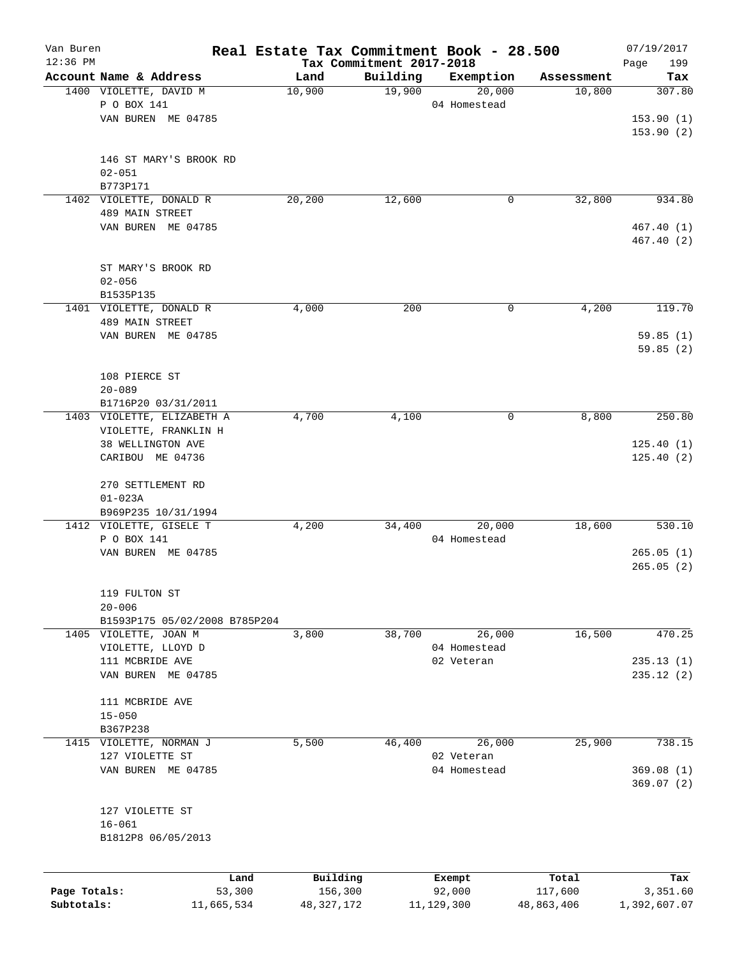| Van Buren    |                                                  |            |                |                          | Real Estate Tax Commitment Book - 28.500 |                      | 07/19/2017             |
|--------------|--------------------------------------------------|------------|----------------|--------------------------|------------------------------------------|----------------------|------------------------|
| $12:36$ PM   |                                                  |            |                | Tax Commitment 2017-2018 |                                          |                      | 199<br>Page            |
|              | Account Name & Address<br>1400 VIOLETTE, DAVID M |            | Land<br>10,900 | Building<br>19,900       | Exemption<br>20,000                      | Assessment<br>10,800 | Tax<br>307.80          |
|              | P O BOX 141                                      |            |                |                          | 04 Homestead                             |                      |                        |
|              | VAN BUREN ME 04785                               |            |                |                          |                                          |                      |                        |
|              |                                                  |            |                |                          |                                          |                      | 153.90(1)<br>153.90(2) |
|              |                                                  |            |                |                          |                                          |                      |                        |
|              | 146 ST MARY'S BROOK RD                           |            |                |                          |                                          |                      |                        |
|              | $02 - 051$                                       |            |                |                          |                                          |                      |                        |
|              | B773P171                                         |            |                |                          |                                          |                      |                        |
|              | 1402 VIOLETTE, DONALD R                          |            | 20,200         | 12,600                   | 0                                        | 32,800               | 934.80                 |
|              | 489 MAIN STREET                                  |            |                |                          |                                          |                      |                        |
|              | VAN BUREN ME 04785                               |            |                |                          |                                          |                      | 467.40 (1)             |
|              |                                                  |            |                |                          |                                          |                      | 467.40 (2)             |
|              | ST MARY'S BROOK RD                               |            |                |                          |                                          |                      |                        |
|              | $02 - 056$                                       |            |                |                          |                                          |                      |                        |
|              | B1535P135                                        |            |                |                          |                                          |                      |                        |
|              | 1401 VIOLETTE, DONALD R                          |            | 4,000          | 200                      | 0                                        | 4,200                | 119.70                 |
|              | 489 MAIN STREET                                  |            |                |                          |                                          |                      |                        |
|              | VAN BUREN ME 04785                               |            |                |                          |                                          |                      | 59.85(1)               |
|              |                                                  |            |                |                          |                                          |                      | 59.85(2)               |
|              |                                                  |            |                |                          |                                          |                      |                        |
|              | 108 PIERCE ST                                    |            |                |                          |                                          |                      |                        |
|              | $20 - 089$                                       |            |                |                          |                                          |                      |                        |
|              | B1716P20 03/31/2011                              |            |                |                          |                                          |                      |                        |
|              | 1403 VIOLETTE, ELIZABETH A                       |            | 4,700          | 4,100                    | 0                                        | 8,800                | 250.80                 |
|              | VIOLETTE, FRANKLIN H                             |            |                |                          |                                          |                      |                        |
|              | 38 WELLINGTON AVE                                |            |                |                          |                                          |                      | 125.40(1)              |
|              | CARIBOU ME 04736                                 |            |                |                          |                                          |                      | 125.40(2)              |
|              |                                                  |            |                |                          |                                          |                      |                        |
|              | 270 SETTLEMENT RD                                |            |                |                          |                                          |                      |                        |
|              | $01 - 023A$                                      |            |                |                          |                                          |                      |                        |
|              | B969P235 10/31/1994                              |            |                |                          |                                          |                      |                        |
|              | 1412 VIOLETTE, GISELE T                          |            | 4,200          | 34,400                   | 20,000                                   | 18,600               | 530.10                 |
|              | P O BOX 141                                      |            |                |                          | 04 Homestead                             |                      |                        |
|              | VAN BUREN ME 04785                               |            |                |                          |                                          |                      | 265.05(1)              |
|              |                                                  |            |                |                          |                                          |                      | 265.05(2)              |
|              | 119 FULTON ST                                    |            |                |                          |                                          |                      |                        |
|              | $20 - 006$                                       |            |                |                          |                                          |                      |                        |
|              | B1593P175 05/02/2008 B785P204                    |            |                |                          |                                          |                      |                        |
|              | 1405 VIOLETTE, JOAN M                            |            | 3,800          | 38,700                   | 26,000                                   | 16,500               | 470.25                 |
|              | VIOLETTE, LLOYD D                                |            |                |                          | 04 Homestead                             |                      |                        |
|              | 111 MCBRIDE AVE                                  |            |                |                          | 02 Veteran                               |                      | 235.13(1)              |
|              | VAN BUREN ME 04785                               |            |                |                          |                                          |                      | 235.12(2)              |
|              |                                                  |            |                |                          |                                          |                      |                        |
|              | 111 MCBRIDE AVE                                  |            |                |                          |                                          |                      |                        |
|              | $15 - 050$                                       |            |                |                          |                                          |                      |                        |
|              | B367P238                                         |            |                |                          |                                          |                      |                        |
|              | 1415 VIOLETTE, NORMAN J                          |            | 5,500          | 46,400                   | 26,000                                   | 25,900               | 738.15                 |
|              | 127 VIOLETTE ST                                  |            |                |                          | 02 Veteran                               |                      |                        |
|              | VAN BUREN ME 04785                               |            |                |                          | 04 Homestead                             |                      | 369.08(1)              |
|              |                                                  |            |                |                          |                                          |                      | 369.07(2)              |
|              |                                                  |            |                |                          |                                          |                      |                        |
|              | 127 VIOLETTE ST                                  |            |                |                          |                                          |                      |                        |
|              | $16 - 061$                                       |            |                |                          |                                          |                      |                        |
|              | B1812P8 06/05/2013                               |            |                |                          |                                          |                      |                        |
|              |                                                  |            |                |                          |                                          |                      |                        |
|              |                                                  | Land       | Building       |                          | Exempt                                   | Total                | Tax                    |
| Page Totals: |                                                  | 53,300     | 156,300        |                          | 92,000                                   | 117,600              | 3,351.60               |
| Subtotals:   |                                                  | 11,665,534 | 48, 327, 172   |                          | 11, 129, 300                             | 48,863,406           | 1,392,607.07           |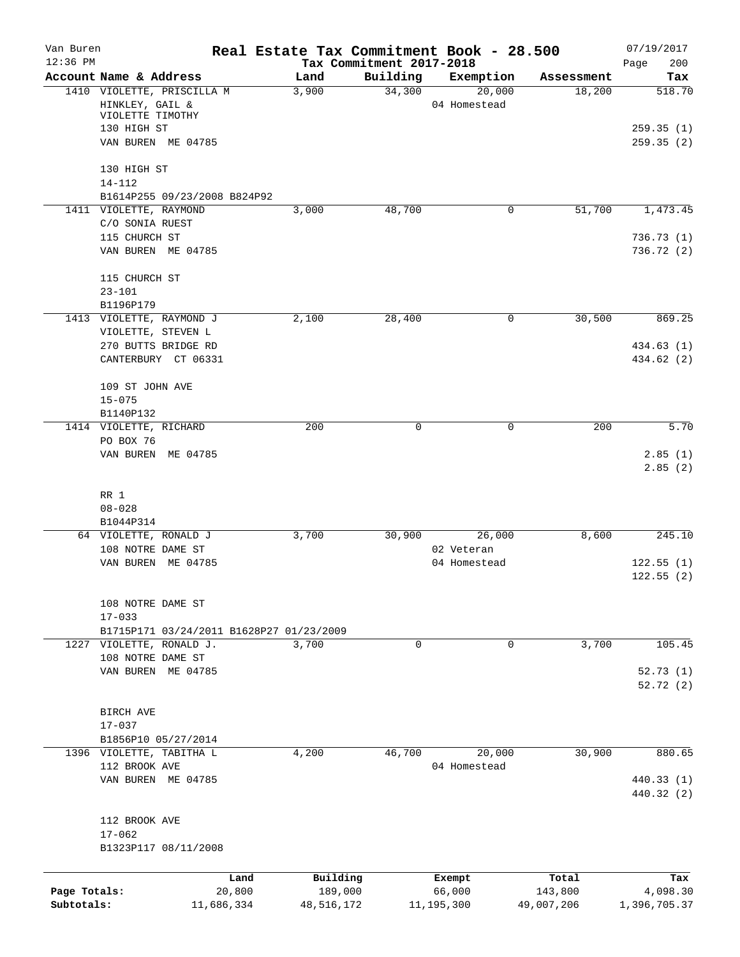| Van Buren<br>$12:36$ PM |                                                        |            |            | Tax Commitment 2017-2018 | Real Estate Tax Commitment Book - 28.500 |            | 07/19/2017               |
|-------------------------|--------------------------------------------------------|------------|------------|--------------------------|------------------------------------------|------------|--------------------------|
|                         | Account Name & Address                                 |            | Land       | Building                 | Exemption                                | Assessment | 200<br>Page<br>Tax       |
|                         | 1410 VIOLETTE, PRISCILLA M<br>HINKLEY, GAIL &          |            | 3,900      | 34,300                   | 20,000<br>04 Homestead                   | 18,200     | 518.70                   |
|                         | VIOLETTE TIMOTHY<br>130 HIGH ST                        |            |            |                          |                                          |            | 259.35(1)                |
|                         | VAN BUREN ME 04785                                     |            |            |                          |                                          |            | 259.35(2)                |
|                         | 130 HIGH ST                                            |            |            |                          |                                          |            |                          |
|                         | $14 - 112$                                             |            |            |                          |                                          |            |                          |
|                         | B1614P255 09/23/2008 B824P92<br>1411 VIOLETTE, RAYMOND |            | 3,000      | 48,700                   | 0                                        | 51,700     | 1,473.45                 |
|                         | C/O SONIA RUEST                                        |            |            |                          |                                          |            |                          |
|                         | 115 CHURCH ST                                          |            |            |                          |                                          |            | 736.73(1)                |
|                         | VAN BUREN ME 04785                                     |            |            |                          |                                          |            | 736.72(2)                |
|                         | 115 CHURCH ST                                          |            |            |                          |                                          |            |                          |
|                         | $23 - 101$                                             |            |            |                          |                                          |            |                          |
|                         | B1196P179<br>1413 VIOLETTE, RAYMOND J                  |            |            | 28,400                   | 0                                        | 30,500     | 869.25                   |
|                         | VIOLETTE, STEVEN L                                     |            | 2,100      |                          |                                          |            |                          |
|                         | 270 BUTTS BRIDGE RD                                    |            |            |                          |                                          |            | 434.63 (1)               |
|                         | CANTERBURY CT 06331                                    |            |            |                          |                                          |            | 434.62 (2)               |
|                         | 109 ST JOHN AVE                                        |            |            |                          |                                          |            |                          |
|                         | $15 - 075$                                             |            |            |                          |                                          |            |                          |
|                         | B1140P132                                              |            | 200        | $\Omega$                 | $\Omega$                                 | 200        | 5.70                     |
|                         | 1414 VIOLETTE, RICHARD<br>PO BOX 76                    |            |            |                          |                                          |            |                          |
|                         | VAN BUREN ME 04785                                     |            |            |                          |                                          |            | 2.85(1)                  |
|                         | RR 1                                                   |            |            |                          |                                          |            | 2.85(2)                  |
|                         | $08 - 028$                                             |            |            |                          |                                          |            |                          |
|                         | B1044P314                                              |            |            |                          |                                          |            |                          |
|                         | 64 VIOLETTE, RONALD J                                  |            | 3,700      | 30,900                   | 26,000                                   | 8,600      | 245.10                   |
|                         | 108 NOTRE DAME ST                                      |            |            |                          | 02 Veteran                               |            |                          |
|                         | VAN BUREN ME 04785                                     |            |            |                          | 04 Homestead                             |            | 122.55(1)                |
|                         |                                                        |            |            |                          |                                          |            | 122.55(2)                |
|                         | 108 NOTRE DAME ST                                      |            |            |                          |                                          |            |                          |
|                         | $17 - 033$                                             |            |            |                          |                                          |            |                          |
|                         | B1715P171 03/24/2011 B1628P27 01/23/2009               |            |            |                          |                                          |            |                          |
|                         | 1227 VIOLETTE, RONALD J.                               |            | 3,700      | $\mathbf 0$              | 0                                        | 3,700      | 105.45                   |
|                         | 108 NOTRE DAME ST                                      |            |            |                          |                                          |            |                          |
|                         | VAN BUREN ME 04785                                     |            |            |                          |                                          |            | 52.73(1)<br>52.72(2)     |
|                         |                                                        |            |            |                          |                                          |            |                          |
|                         | BIRCH AVE                                              |            |            |                          |                                          |            |                          |
|                         | $17 - 037$                                             |            |            |                          |                                          |            |                          |
|                         | B1856P10 05/27/2014                                    |            |            |                          |                                          |            |                          |
|                         | 1396 VIOLETTE, TABITHA L                               |            | 4,200      | 46,700                   | 20,000                                   | 30,900     | 880.65                   |
|                         | 112 BROOK AVE                                          |            |            |                          | 04 Homestead                             |            |                          |
|                         | VAN BUREN ME 04785                                     |            |            |                          |                                          |            | 440.33 (1)<br>440.32 (2) |
|                         |                                                        |            |            |                          |                                          |            |                          |
|                         | 112 BROOK AVE<br>$17 - 062$                            |            |            |                          |                                          |            |                          |
|                         | B1323P117 08/11/2008                                   |            |            |                          |                                          |            |                          |
|                         |                                                        | Land       | Building   |                          | Exempt                                   | Total      | Tax                      |
| Page Totals:            |                                                        | 20,800     | 189,000    |                          | 66,000                                   | 143,800    | 4,098.30                 |
| Subtotals:              |                                                        | 11,686,334 | 48,516,172 |                          | 11, 195, 300                             | 49,007,206 | 1,396,705.37             |
|                         |                                                        |            |            |                          |                                          |            |                          |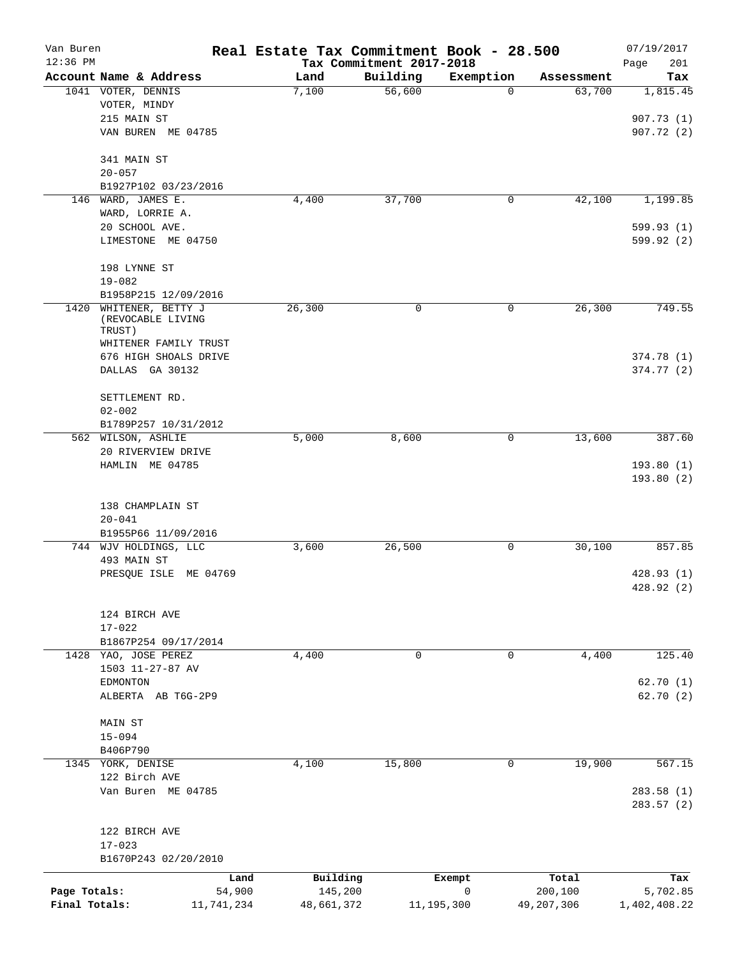| Van Buren     |                                                  | Real Estate Tax Commitment Book - 28.500 |                          |                       |            | 07/19/2017               |
|---------------|--------------------------------------------------|------------------------------------------|--------------------------|-----------------------|------------|--------------------------|
| $12:36$ PM    |                                                  |                                          | Tax Commitment 2017-2018 |                       |            | Page<br>201              |
|               | Account Name & Address<br>1041 VOTER, DENNIS     | Land                                     | Building<br>56,600       | Exemption<br>$\Omega$ | Assessment | Tax                      |
|               | VOTER, MINDY                                     | 7,100                                    |                          |                       | 63,700     | 1,815.45                 |
|               | 215 MAIN ST                                      |                                          |                          |                       |            | 907.73(1)                |
|               | VAN BUREN ME 04785                               |                                          |                          |                       |            | 907.72(2)                |
|               |                                                  |                                          |                          |                       |            |                          |
|               | 341 MAIN ST                                      |                                          |                          |                       |            |                          |
|               | $20 - 057$                                       |                                          |                          |                       |            |                          |
|               | B1927P102 03/23/2016                             |                                          |                          |                       |            |                          |
| 146           | WARD, JAMES E.                                   | 4,400                                    | 37,700                   | 0                     | 42,100     | 1,199.85                 |
|               | WARD, LORRIE A.<br>20 SCHOOL AVE.                |                                          |                          |                       |            | 599.93 (1)               |
|               | LIMESTONE ME 04750                               |                                          |                          |                       |            | 599.92 (2)               |
|               |                                                  |                                          |                          |                       |            |                          |
|               | 198 LYNNE ST                                     |                                          |                          |                       |            |                          |
|               | $19 - 082$                                       |                                          |                          |                       |            |                          |
|               | B1958P215 12/09/2016                             |                                          |                          |                       |            |                          |
| 1420          | WHITENER, BETTY J<br>(REVOCABLE LIVING<br>TRUST) | 26,300                                   | 0                        | 0                     | 26,300     | 749.55                   |
|               | WHITENER FAMILY TRUST                            |                                          |                          |                       |            |                          |
|               | 676 HIGH SHOALS DRIVE                            |                                          |                          |                       |            | 374.78 (1)               |
|               | DALLAS GA 30132                                  |                                          |                          |                       |            | 374.77 (2)               |
|               | SETTLEMENT RD.                                   |                                          |                          |                       |            |                          |
|               | $02 - 002$                                       |                                          |                          |                       |            |                          |
|               | B1789P257 10/31/2012                             |                                          |                          |                       |            |                          |
|               | 562 WILSON, ASHLIE                               | 5,000                                    | 8,600                    | 0                     | 13,600     | 387.60                   |
|               | 20 RIVERVIEW DRIVE                               |                                          |                          |                       |            |                          |
|               | HAMLIN ME 04785                                  |                                          |                          |                       |            | 193.80(1)                |
|               |                                                  |                                          |                          |                       |            | 193.80(2)                |
|               |                                                  |                                          |                          |                       |            |                          |
|               | 138 CHAMPLAIN ST                                 |                                          |                          |                       |            |                          |
|               | $20 - 041$                                       |                                          |                          |                       |            |                          |
|               | B1955P66 11/09/2016                              |                                          |                          |                       |            |                          |
|               | 744 WJV HOLDINGS, LLC                            | 3,600                                    | 26,500                   | 0                     | 30,100     | 857.85                   |
|               | 493 MAIN ST                                      |                                          |                          |                       |            |                          |
|               | PRESQUE ISLE ME 04769                            |                                          |                          |                       |            | 428.93 (1)<br>428.92 (2) |
|               |                                                  |                                          |                          |                       |            |                          |
|               | 124 BIRCH AVE                                    |                                          |                          |                       |            |                          |
|               | $17 - 022$                                       |                                          |                          |                       |            |                          |
|               | B1867P254 09/17/2014                             |                                          |                          |                       |            |                          |
|               | 1428 YAO, JOSE PEREZ                             | 4,400                                    | 0                        | 0                     | 4,400      | 125.40                   |
|               | 1503 11-27-87 AV                                 |                                          |                          |                       |            |                          |
|               | <b>EDMONTON</b><br>ALBERTA AB T6G-2P9            |                                          |                          |                       |            | 62.70 (1)<br>62.70 (2)   |
|               |                                                  |                                          |                          |                       |            |                          |
|               | MAIN ST                                          |                                          |                          |                       |            |                          |
|               | $15 - 094$                                       |                                          |                          |                       |            |                          |
|               | B406P790                                         |                                          |                          |                       |            |                          |
|               | 1345 YORK, DENISE                                | 4,100                                    | 15,800                   | 0                     | 19,900     | 567.15                   |
|               | 122 Birch AVE                                    |                                          |                          |                       |            |                          |
|               | Van Buren ME 04785                               |                                          |                          |                       |            | 283.58 (1)<br>283.57(2)  |
|               |                                                  |                                          |                          |                       |            |                          |
|               | 122 BIRCH AVE                                    |                                          |                          |                       |            |                          |
|               | $17 - 023$                                       |                                          |                          |                       |            |                          |
|               | B1670P243 02/20/2010                             |                                          |                          |                       |            |                          |
|               |                                                  | Building<br>Land                         |                          | Exempt                | Total      | Tax                      |
| Page Totals:  |                                                  | 145,200<br>54,900                        |                          | $\mathbf 0$           | 200,100    | 5,702.85                 |
| Final Totals: | 11,741,234                                       | 48,661,372                               | 11, 195, 300             |                       | 49,207,306 | 1,402,408.22             |